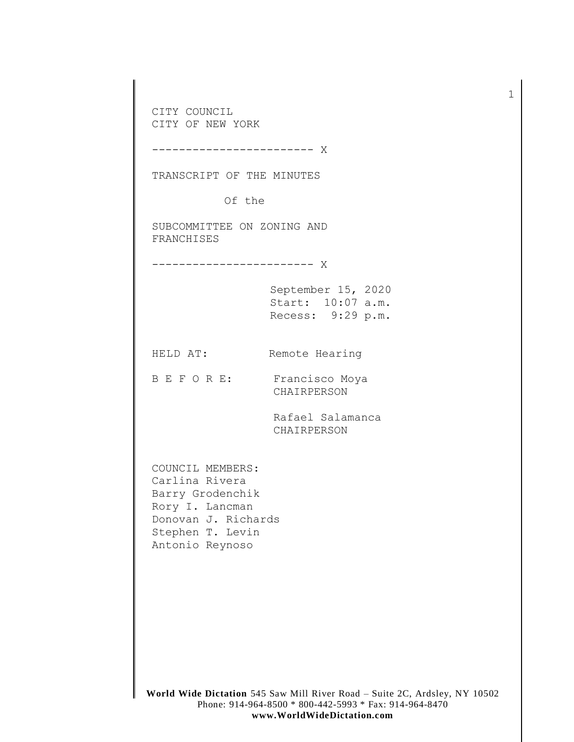CITY COUNCIL CITY OF NEW YORK

------------------------ X

TRANSCRIPT OF THE MINUTES

Of the

SUBCOMMITTEE ON ZONING AND FRANCHISES

------------------------ X

September 15, 2020 Start: 10:07 a.m. Recess: 9:29 p.m.

HELD AT: Remote Hearing

B E F O R E: Francisco Moya CHAIRPERSON

> Rafael Salamanca CHAIRPERSON

COUNCIL MEMBERS: Carlina Rivera Barry Grodenchik Rory I. Lancman Donovan J. Richards Stephen T. Levin Antonio Reynoso

1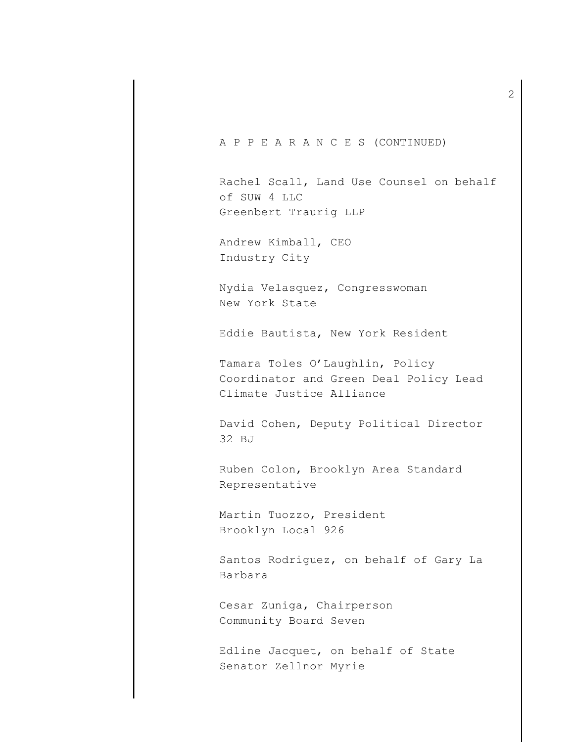A P P E A R A N C E S (CONTINUED)

Rachel Scall, Land Use Counsel on behalf of SUW 4 LLC Greenbert Traurig LLP

Andrew Kimball, CEO Industry City

Nydia Velasquez, Congresswoman New York State

Eddie Bautista, New York Resident

Tamara Toles O'Laughlin, Policy Coordinator and Green Deal Policy Lead Climate Justice Alliance

David Cohen, Deputy Political Director 32 BJ

Ruben Colon, Brooklyn Area Standard Representative

Martin Tuozzo, President Brooklyn Local 926

Santos Rodriguez, on behalf of Gary La Barbara

Cesar Zuniga, Chairperson Community Board Seven

Edline Jacquet, on behalf of State Senator Zellnor Myrie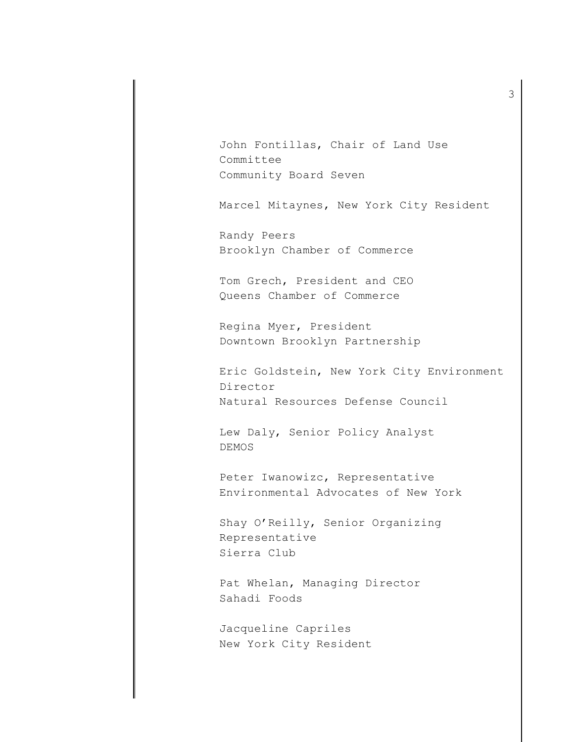John Fontillas, Chair of Land Use Committee Community Board Seven

Marcel Mitaynes, New York City Resident

Randy Peers Brooklyn Chamber of Commerce

Tom Grech, President and CEO Queens Chamber of Commerce

Regina Myer, President Downtown Brooklyn Partnership

Eric Goldstein, New York City Environment Director Natural Resources Defense Council

Lew Daly, Senior Policy Analyst DEMOS

Peter Iwanowizc, Representative Environmental Advocates of New York

Shay O'Reilly, Senior Organizing Representative Sierra Club

Pat Whelan, Managing Director Sahadi Foods

Jacqueline Capriles New York City Resident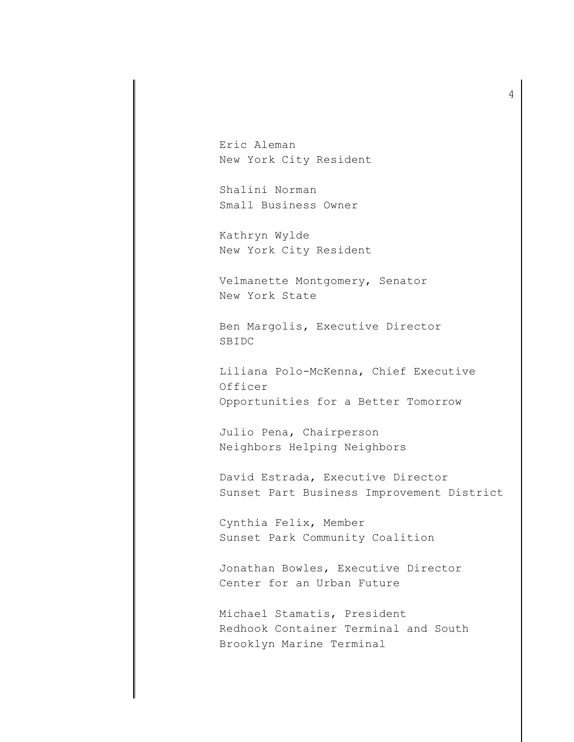Eric Aleman New York City Resident

Shalini Norman Small Business Owner

Kathryn Wylde New York City Resident

Velmanette Montgomery, Senator New York State

Ben Margolis, Executive Director SBIDC

Liliana Polo-McKenna, Chief Executive Officer Opportunities for a Better Tomorrow

Julio Pena, Chairperson Neighbors Helping Neighbors

David Estrada, Executive Director Sunset Part Business Improvement District

Cynthia Felix, Member Sunset Park Community Coalition

Jonathan Bowles, Executive Director Center for an Urban Future

Michael Stamatis, President Redhook Container Terminal and South Brooklyn Marine Terminal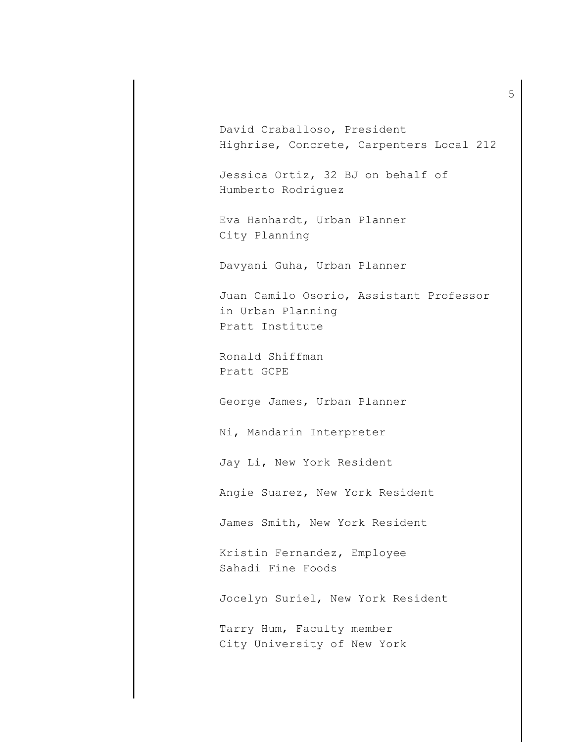David Craballoso, President Highrise, Concrete, Carpenters Local 212

Jessica Ortiz, 32 BJ on behalf of Humberto Rodriguez

Eva Hanhardt, Urban Planner City Planning

Davyani Guha, Urban Planner

Juan Camilo Osorio, Assistant Professor in Urban Planning Pratt Institute

Ronald Shiffman Pratt GCPE

George James, Urban Planner

Ni, Mandarin Interpreter

Jay Li, New York Resident

Angie Suarez, New York Resident

James Smith, New York Resident

Kristin Fernandez, Employee Sahadi Fine Foods

Jocelyn Suriel, New York Resident

Tarry Hum, Faculty member City University of New York 5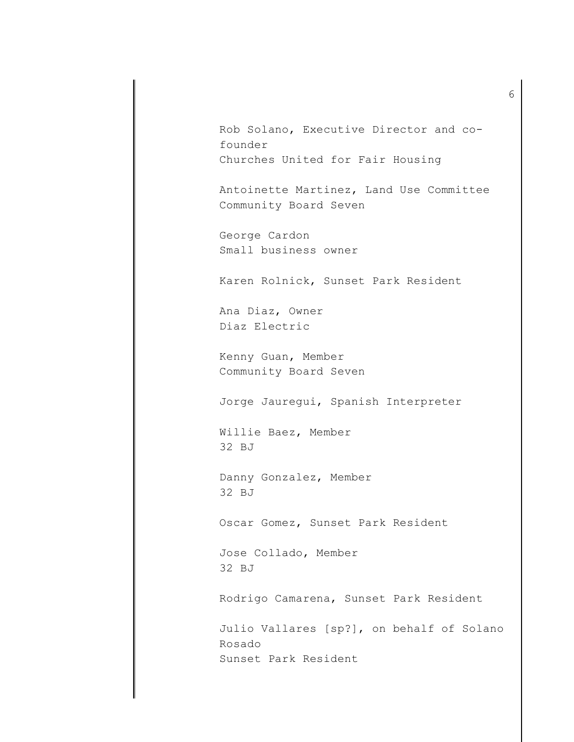Rob Solano, Executive Director and cofounder Churches United for Fair Housing

Antoinette Martinez, Land Use Committee Community Board Seven

George Cardon Small business owner

Karen Rolnick, Sunset Park Resident

Ana Diaz, Owner Diaz Electric

Kenny Guan, Member Community Board Seven

Jorge Jauregui, Spanish Interpreter

Willie Baez, Member 32 BJ

Danny Gonzalez, Member 32 BJ

Oscar Gomez, Sunset Park Resident

Jose Collado, Member 32 BJ

Rodrigo Camarena, Sunset Park Resident

Julio Vallares [sp?], on behalf of Solano Rosado Sunset Park Resident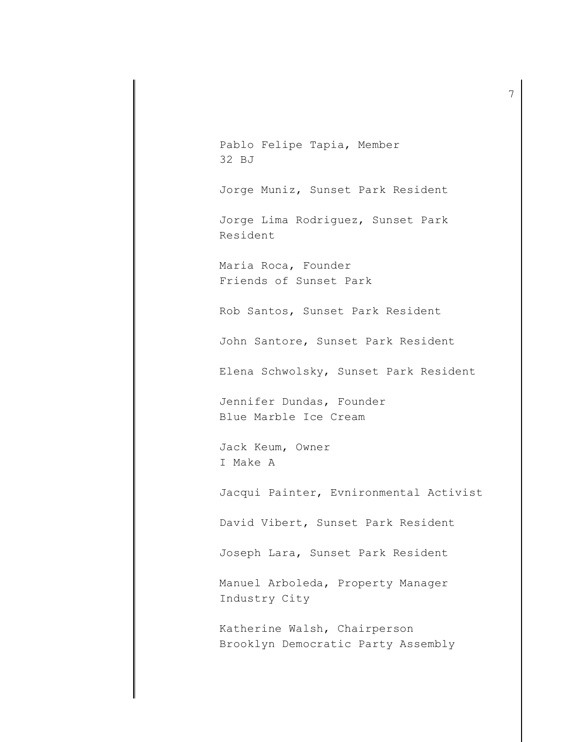Pablo Felipe Tapia, Member 32 BJ Jorge Muniz, Sunset Park Resident Jorge Lima Rodriguez, Sunset Park Resident Maria Roca, Founder Friends of Sunset Park Rob Santos, Sunset Park Resident John Santore, Sunset Park Resident Elena Schwolsky, Sunset Park Resident Jennifer Dundas, Founder Blue Marble Ice Cream Jack Keum, Owner I Make A Jacqui Painter, Evnironmental Activist David Vibert, Sunset Park Resident Joseph Lara, Sunset Park Resident Manuel Arboleda, Property Manager Industry City Katherine Walsh, Chairperson Brooklyn Democratic Party Assembly

7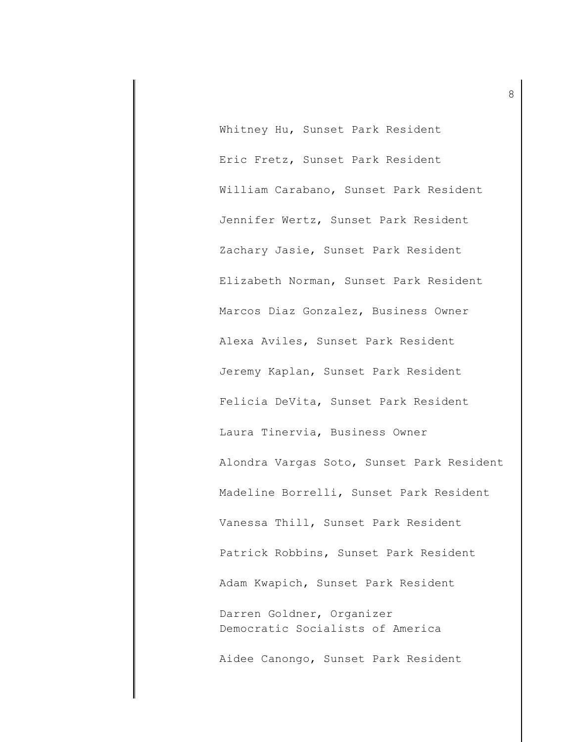Whitney Hu, Sunset Park Resident Eric Fretz, Sunset Park Resident William Carabano, Sunset Park Resident Jennifer Wertz, Sunset Park Resident Zachary Jasie, Sunset Park Resident Elizabeth Norman, Sunset Park Resident Marcos Diaz Gonzalez, Business Owner Alexa Aviles, Sunset Park Resident Jeremy Kaplan, Sunset Park Resident Felicia DeVita, Sunset Park Resident Laura Tinervia, Business Owner Alondra Vargas Soto, Sunset Park Resident Madeline Borrelli, Sunset Park Resident Vanessa Thill, Sunset Park Resident Patrick Robbins, Sunset Park Resident Adam Kwapich, Sunset Park Resident Darren Goldner, Organizer Democratic Socialists of America Aidee Canongo, Sunset Park Resident

8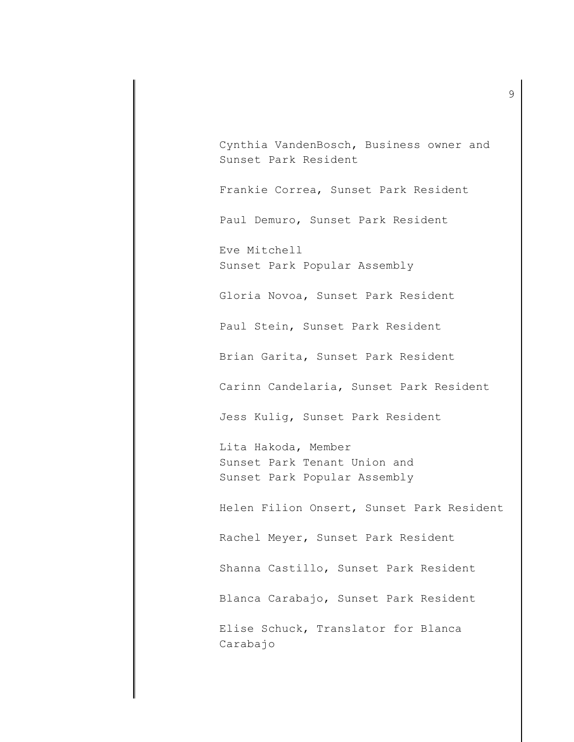Cynthia VandenBosch, Business owner and Sunset Park Resident

Frankie Correa, Sunset Park Resident

Paul Demuro, Sunset Park Resident

Eve Mitchell Sunset Park Popular Assembly

Gloria Novoa, Sunset Park Resident

Paul Stein, Sunset Park Resident

Brian Garita, Sunset Park Resident

Carinn Candelaria, Sunset Park Resident

Jess Kulig, Sunset Park Resident

Lita Hakoda, Member Sunset Park Tenant Union and Sunset Park Popular Assembly

Helen Filion Onsert, Sunset Park Resident

Rachel Meyer, Sunset Park Resident

Shanna Castillo, Sunset Park Resident

Blanca Carabajo, Sunset Park Resident

Elise Schuck, Translator for Blanca Carabajo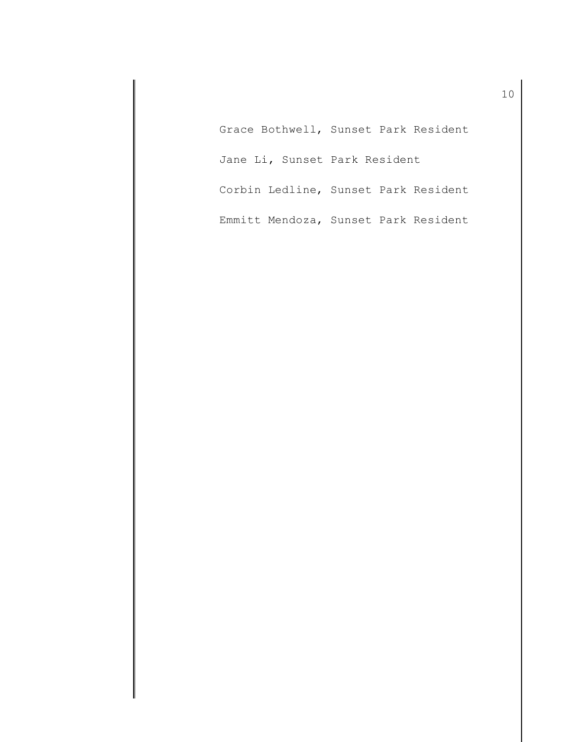Grace Bothwell, Sunset Park Resident Jane Li, Sunset Park Resident Corbin Ledline, Sunset Park Resident Emmitt Mendoza, Sunset Park Resident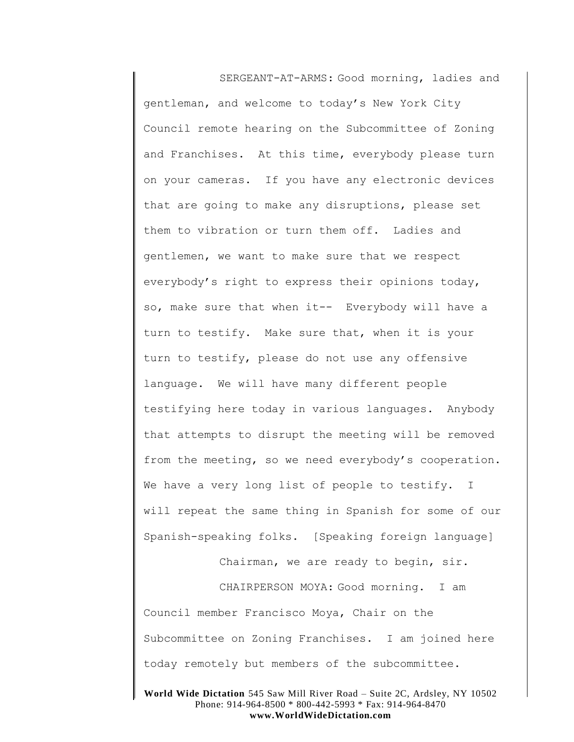SERGEANT-AT-ARMS: Good morning, ladies and gentleman, and welcome to today's New York City Council remote hearing on the Subcommittee of Zoning and Franchises. At this time, everybody please turn on your cameras. If you have any electronic devices that are going to make any disruptions, please set them to vibration or turn them off. Ladies and gentlemen, we want to make sure that we respect everybody's right to express their opinions today, so, make sure that when it-- Everybody will have a turn to testify. Make sure that, when it is your turn to testify, please do not use any offensive language. We will have many different people testifying here today in various languages. Anybody that attempts to disrupt the meeting will be removed from the meeting, so we need everybody's cooperation. We have a very long list of people to testify. I will repeat the same thing in Spanish for some of our Spanish-speaking folks. [Speaking foreign language]

Chairman, we are ready to begin, sir.

CHAIRPERSON MOYA: Good morning. I am Council member Francisco Moya, Chair on the Subcommittee on Zoning Franchises. I am joined here today remotely but members of the subcommittee.

**World Wide Dictation** 545 Saw Mill River Road – Suite 2C, Ardsley, NY 10502 Phone: 914-964-8500 \* 800-442-5993 \* Fax: 914-964-8470 **www.WorldWideDictation.com**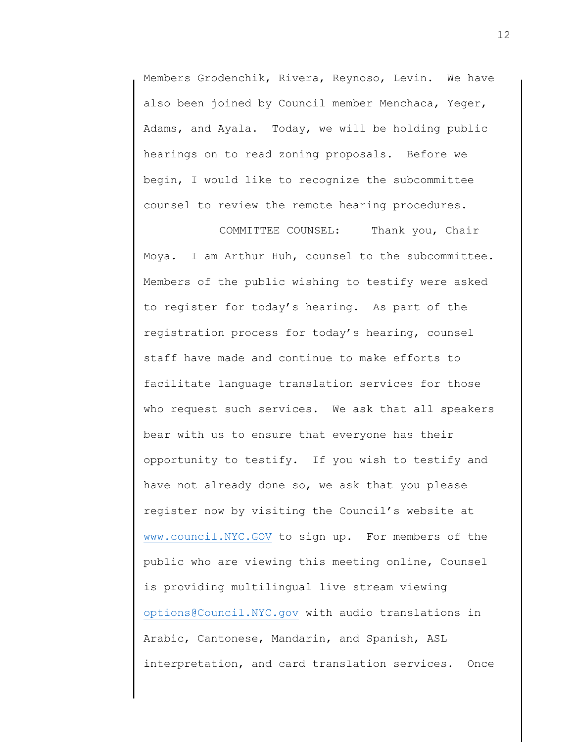Members Grodenchik, Rivera, Reynoso, Levin. We have also been joined by Council member Menchaca, Yeger, Adams, and Ayala. Today, we will be holding public hearings on to read zoning proposals. Before we begin, I would like to recognize the subcommittee counsel to review the remote hearing procedures.

COMMITTEE COUNSEL: Thank you, Chair Moya. I am Arthur Huh, counsel to the subcommittee. Members of the public wishing to testify were asked to register for today's hearing. As part of the registration process for today's hearing, counsel staff have made and continue to make efforts to facilitate language translation services for those who request such services. We ask that all speakers bear with us to ensure that everyone has their opportunity to testify. If you wish to testify and have not already done so, we ask that you please register now by visiting the Council's website at [www.council.NYC.GOV](http://www.council.nyc.gov/) to sign up. For members of the public who are viewing this meeting online, Counsel is providing multilingual live stream viewing [options@Council.NYC.gov](mailto:options@Council.NYC.gov) with audio translations in Arabic, Cantonese, Mandarin, and Spanish, ASL interpretation, and card translation services. Once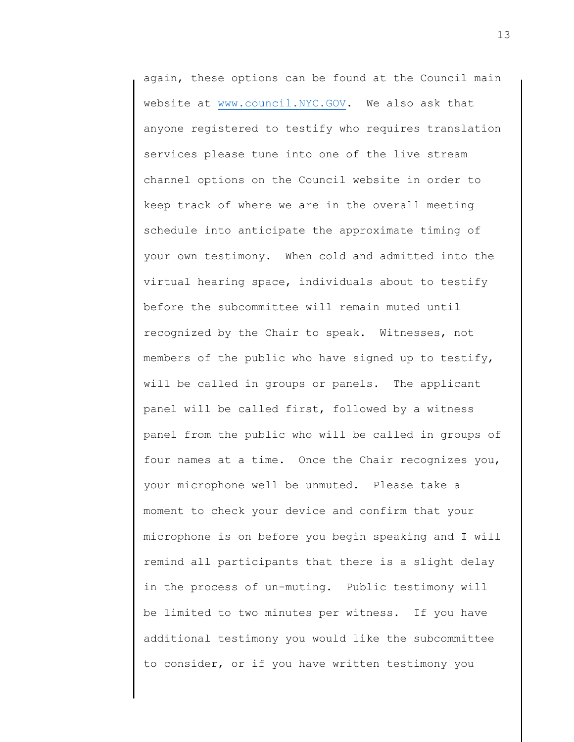again, these options can be found at the Council main website at [www.council.NYC.GOV.](http://www.council.nyc.gov/) We also ask that anyone registered to testify who requires translation services please tune into one of the live stream channel options on the Council website in order to keep track of where we are in the overall meeting schedule into anticipate the approximate timing of your own testimony. When cold and admitted into the virtual hearing space, individuals about to testify before the subcommittee will remain muted until recognized by the Chair to speak. Witnesses, not members of the public who have signed up to testify, will be called in groups or panels. The applicant panel will be called first, followed by a witness panel from the public who will be called in groups of four names at a time. Once the Chair recognizes you, your microphone well be unmuted. Please take a moment to check your device and confirm that your microphone is on before you begin speaking and I will remind all participants that there is a slight delay in the process of un-muting. Public testimony will be limited to two minutes per witness. If you have additional testimony you would like the subcommittee to consider, or if you have written testimony you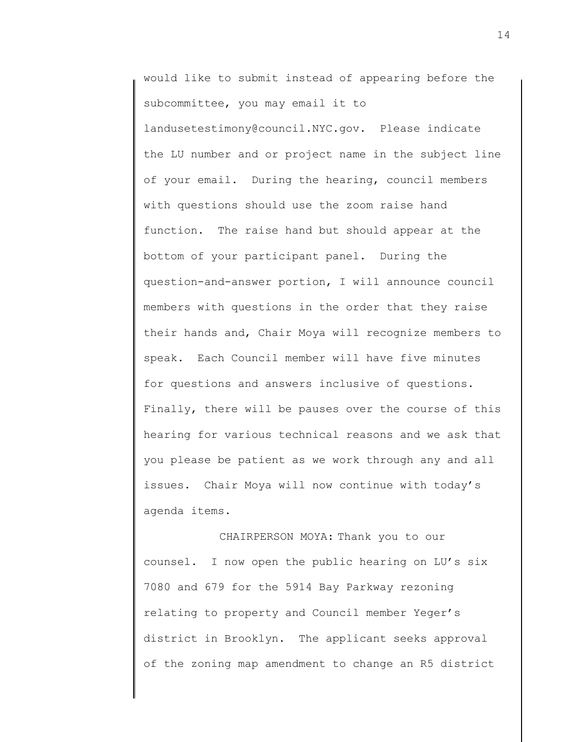would like to submit instead of appearing before the subcommittee, you may email it to landusetestimony@council.NYC.gov. Please indicate the LU number and or project name in the subject line of your email. During the hearing, council members with questions should use the zoom raise hand function. The raise hand but should appear at the bottom of your participant panel. During the question-and-answer portion, I will announce council members with questions in the order that they raise their hands and, Chair Moya will recognize members to speak. Each Council member will have five minutes for questions and answers inclusive of questions. Finally, there will be pauses over the course of this hearing for various technical reasons and we ask that you please be patient as we work through any and all issues. Chair Moya will now continue with today's agenda items.

CHAIRPERSON MOYA: Thank you to our counsel. I now open the public hearing on LU's six 7080 and 679 for the 5914 Bay Parkway rezoning relating to property and Council member Yeger's district in Brooklyn. The applicant seeks approval of the zoning map amendment to change an R5 district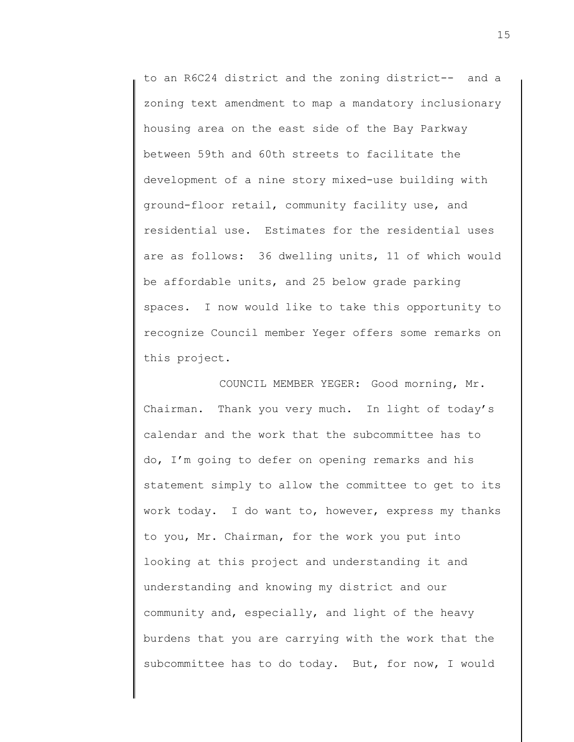to an R6C24 district and the zoning district-- and a zoning text amendment to map a mandatory inclusionary housing area on the east side of the Bay Parkway between 59th and 60th streets to facilitate the development of a nine story mixed-use building with ground-floor retail, community facility use, and residential use. Estimates for the residential uses are as follows: 36 dwelling units, 11 of which would be affordable units, and 25 below grade parking spaces. I now would like to take this opportunity to recognize Council member Yeger offers some remarks on this project.

COUNCIL MEMBER YEGER: Good morning, Mr. Chairman. Thank you very much. In light of today's calendar and the work that the subcommittee has to do, I'm going to defer on opening remarks and his statement simply to allow the committee to get to its work today. I do want to, however, express my thanks to you, Mr. Chairman, for the work you put into looking at this project and understanding it and understanding and knowing my district and our community and, especially, and light of the heavy burdens that you are carrying with the work that the subcommittee has to do today. But, for now, I would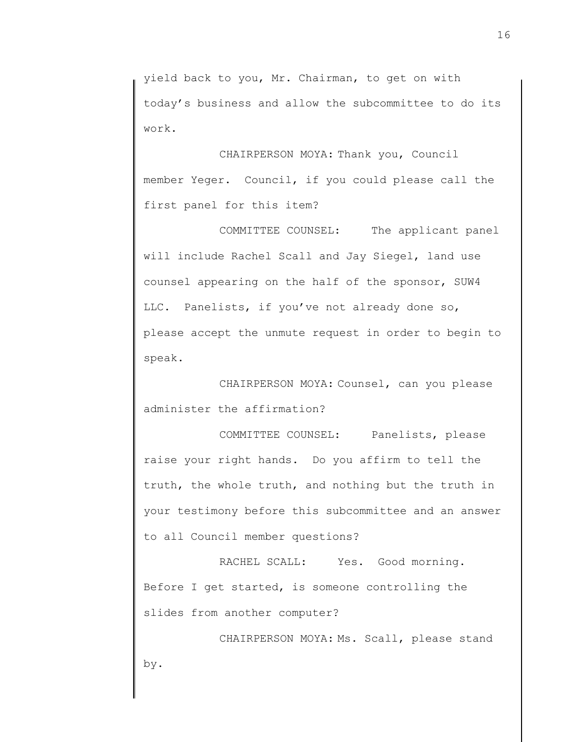yield back to you, Mr. Chairman, to get on with today's business and allow the subcommittee to do its work.

CHAIRPERSON MOYA: Thank you, Council member Yeger. Council, if you could please call the first panel for this item?

COMMITTEE COUNSEL: The applicant panel will include Rachel Scall and Jay Siegel, land use counsel appearing on the half of the sponsor, SUW4 LLC. Panelists, if you've not already done so, please accept the unmute request in order to begin to speak.

CHAIRPERSON MOYA: Counsel, can you please administer the affirmation?

COMMITTEE COUNSEL: Panelists, please raise your right hands. Do you affirm to tell the truth, the whole truth, and nothing but the truth in your testimony before this subcommittee and an answer to all Council member questions?

RACHEL SCALL: Yes. Good morning. Before I get started, is someone controlling the slides from another computer?

CHAIRPERSON MOYA: Ms. Scall, please stand by.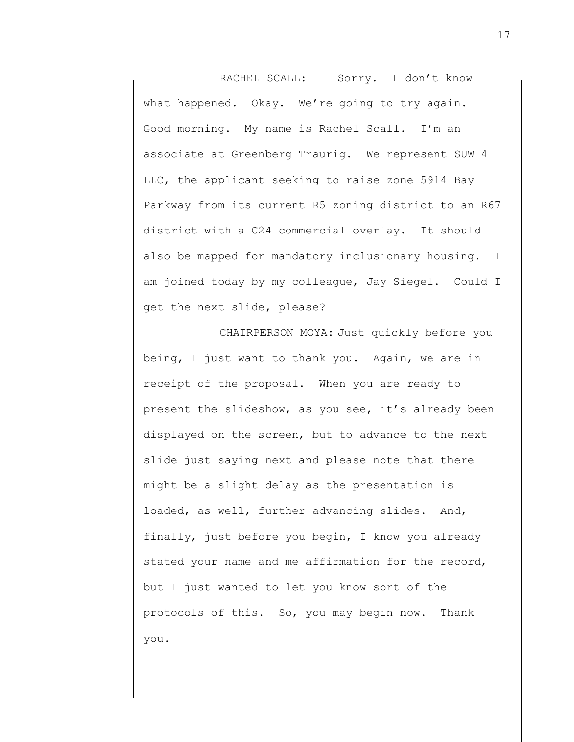RACHEL SCALL: Sorry. I don't know what happened. Okay. We're going to try again. Good morning. My name is Rachel Scall. I'm an associate at Greenberg Traurig. We represent SUW 4 LLC, the applicant seeking to raise zone 5914 Bay Parkway from its current R5 zoning district to an R67 district with a C24 commercial overlay. It should also be mapped for mandatory inclusionary housing. I am joined today by my colleague, Jay Siegel. Could I get the next slide, please?

CHAIRPERSON MOYA: Just quickly before you being, I just want to thank you. Again, we are in receipt of the proposal. When you are ready to present the slideshow, as you see, it's already been displayed on the screen, but to advance to the next slide just saying next and please note that there might be a slight delay as the presentation is loaded, as well, further advancing slides. And, finally, just before you begin, I know you already stated your name and me affirmation for the record, but I just wanted to let you know sort of the protocols of this. So, you may begin now. Thank you.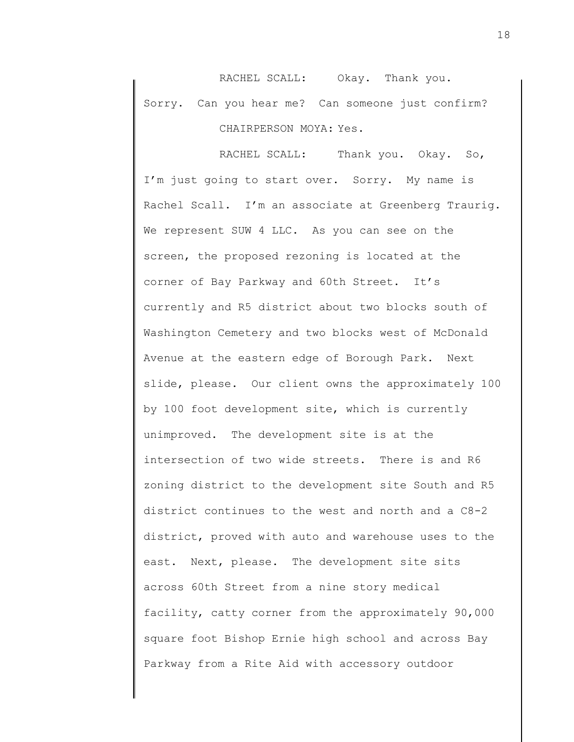RACHEL SCALL: Okay. Thank you. Sorry. Can you hear me? Can someone just confirm? CHAIRPERSON MOYA: Yes.

RACHEL SCALL: Thank you. Okay. So, I'm just going to start over. Sorry. My name is Rachel Scall. I'm an associate at Greenberg Traurig. We represent SUW 4 LLC. As you can see on the screen, the proposed rezoning is located at the corner of Bay Parkway and 60th Street. It's currently and R5 district about two blocks south of Washington Cemetery and two blocks west of McDonald Avenue at the eastern edge of Borough Park. Next slide, please. Our client owns the approximately 100 by 100 foot development site, which is currently unimproved. The development site is at the intersection of two wide streets. There is and R6 zoning district to the development site South and R5 district continues to the west and north and a C8-2 district, proved with auto and warehouse uses to the east. Next, please. The development site sits across 60th Street from a nine story medical facility, catty corner from the approximately 90,000 square foot Bishop Ernie high school and across Bay Parkway from a Rite Aid with accessory outdoor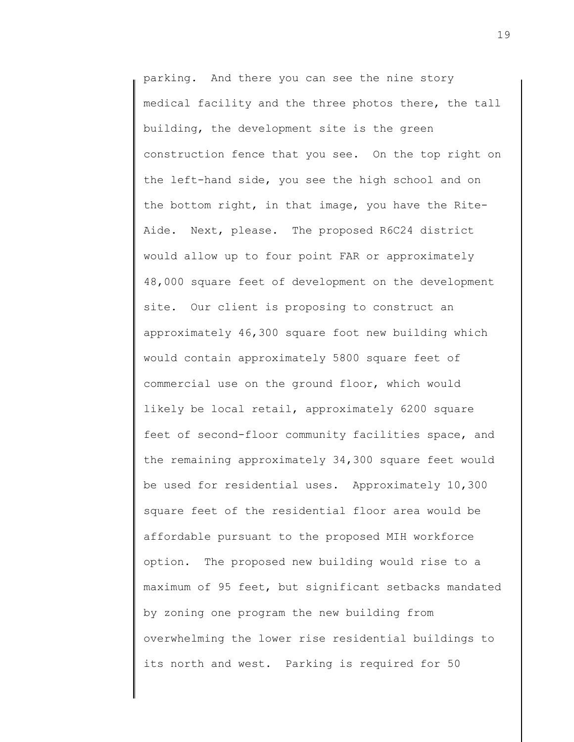parking. And there you can see the nine story medical facility and the three photos there, the tall building, the development site is the green construction fence that you see. On the top right on the left-hand side, you see the high school and on the bottom right, in that image, you have the Rite-Aide. Next, please. The proposed R6C24 district would allow up to four point FAR or approximately 48,000 square feet of development on the development site. Our client is proposing to construct an approximately 46,300 square foot new building which would contain approximately 5800 square feet of commercial use on the ground floor, which would likely be local retail, approximately 6200 square feet of second-floor community facilities space, and the remaining approximately 34,300 square feet would be used for residential uses. Approximately 10,300 square feet of the residential floor area would be affordable pursuant to the proposed MIH workforce option. The proposed new building would rise to a maximum of 95 feet, but significant setbacks mandated by zoning one program the new building from overwhelming the lower rise residential buildings to its north and west. Parking is required for 50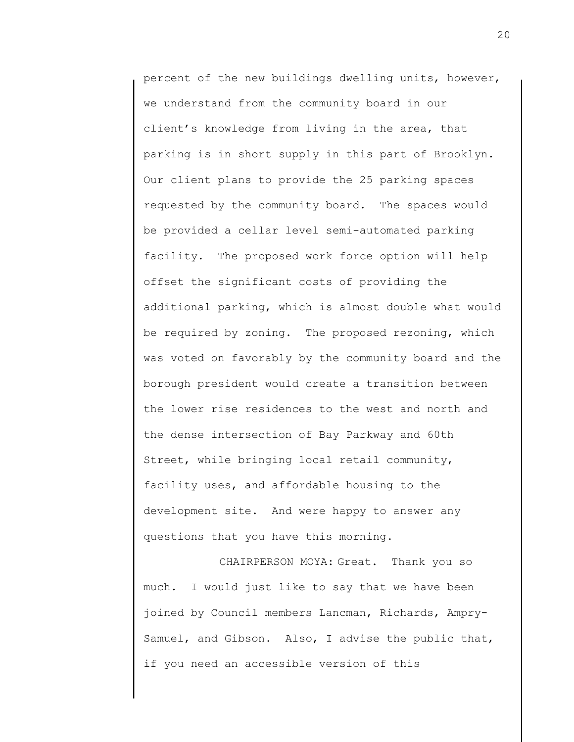percent of the new buildings dwelling units, however, we understand from the community board in our client's knowledge from living in the area, that parking is in short supply in this part of Brooklyn. Our client plans to provide the 25 parking spaces requested by the community board. The spaces would be provided a cellar level semi-automated parking facility. The proposed work force option will help offset the significant costs of providing the additional parking, which is almost double what would be required by zoning. The proposed rezoning, which was voted on favorably by the community board and the borough president would create a transition between the lower rise residences to the west and north and the dense intersection of Bay Parkway and 60th Street, while bringing local retail community, facility uses, and affordable housing to the development site. And were happy to answer any questions that you have this morning.

CHAIRPERSON MOYA: Great. Thank you so much. I would just like to say that we have been joined by Council members Lancman, Richards, Ampry-Samuel, and Gibson. Also, I advise the public that, if you need an accessible version of this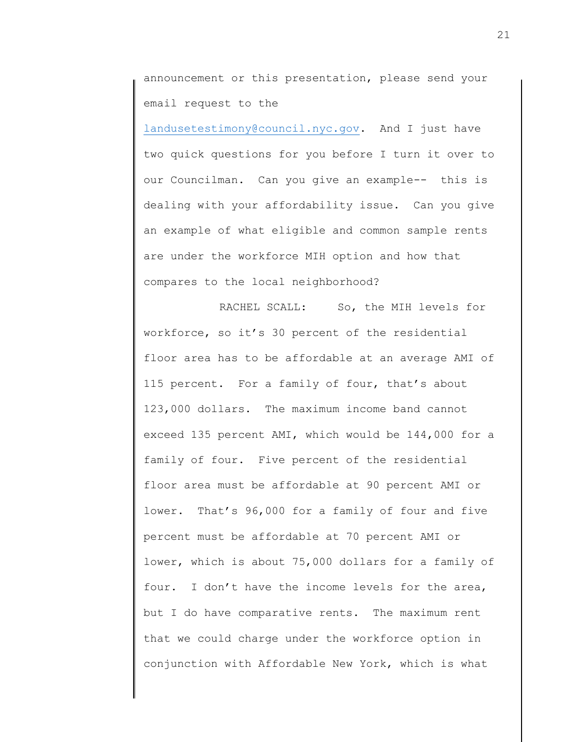announcement or this presentation, please send your email request to the

[landusetestimony@council.nyc.gov.](mailto:landusetestimony@council.nyc.gov) And I just have two quick questions for you before I turn it over to our Councilman. Can you give an example-- this is dealing with your affordability issue. Can you give an example of what eligible and common sample rents are under the workforce MIH option and how that compares to the local neighborhood?

RACHEL SCALL: So, the MIH levels for workforce, so it's 30 percent of the residential floor area has to be affordable at an average AMI of 115 percent. For a family of four, that's about 123,000 dollars. The maximum income band cannot exceed 135 percent AMI, which would be 144,000 for a family of four. Five percent of the residential floor area must be affordable at 90 percent AMI or lower. That's 96,000 for a family of four and five percent must be affordable at 70 percent AMI or lower, which is about 75,000 dollars for a family of four. I don't have the income levels for the area, but I do have comparative rents. The maximum rent that we could charge under the workforce option in conjunction with Affordable New York, which is what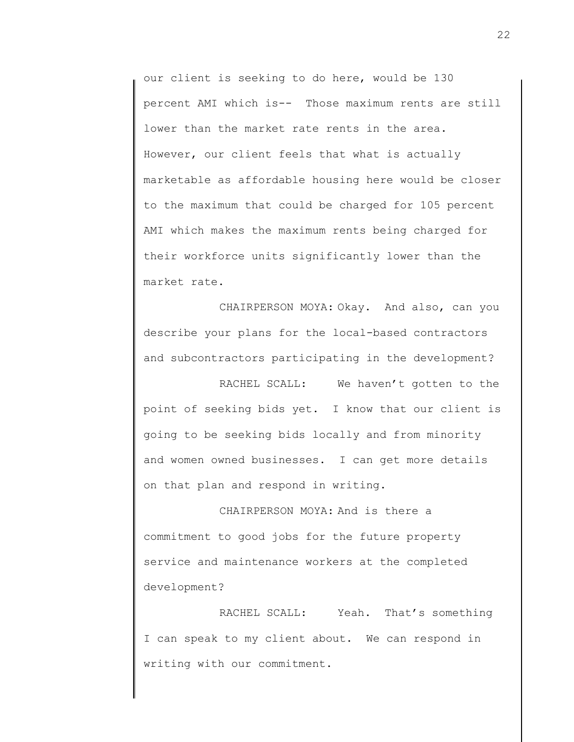our client is seeking to do here, would be 130 percent AMI which is-- Those maximum rents are still lower than the market rate rents in the area. However, our client feels that what is actually marketable as affordable housing here would be closer to the maximum that could be charged for 105 percent AMI which makes the maximum rents being charged for their workforce units significantly lower than the market rate.

CHAIRPERSON MOYA: Okay. And also, can you describe your plans for the local-based contractors and subcontractors participating in the development?

RACHEL SCALL: We haven't gotten to the point of seeking bids yet. I know that our client is going to be seeking bids locally and from minority and women owned businesses. I can get more details on that plan and respond in writing.

CHAIRPERSON MOYA: And is there a commitment to good jobs for the future property service and maintenance workers at the completed development?

RACHEL SCALL: Yeah. That's something I can speak to my client about. We can respond in writing with our commitment.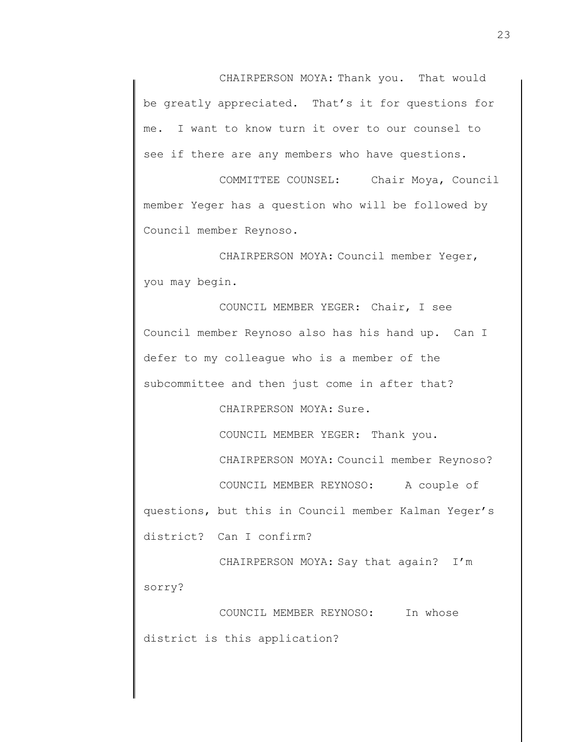CHAIRPERSON MOYA: Thank you. That would be greatly appreciated. That's it for questions for me. I want to know turn it over to our counsel to see if there are any members who have questions.

COMMITTEE COUNSEL: Chair Moya, Council member Yeger has a question who will be followed by Council member Reynoso.

CHAIRPERSON MOYA: Council member Yeger, you may begin.

COUNCIL MEMBER YEGER: Chair, I see Council member Reynoso also has his hand up. Can I defer to my colleague who is a member of the subcommittee and then just come in after that?

CHAIRPERSON MOYA: Sure.

COUNCIL MEMBER YEGER: Thank you.

CHAIRPERSON MOYA: Council member Reynoso?

COUNCIL MEMBER REYNOSO: A couple of questions, but this in Council member Kalman Yeger's district? Can I confirm?

CHAIRPERSON MOYA: Say that again? I'm sorry?

COUNCIL MEMBER REYNOSO: In whose district is this application?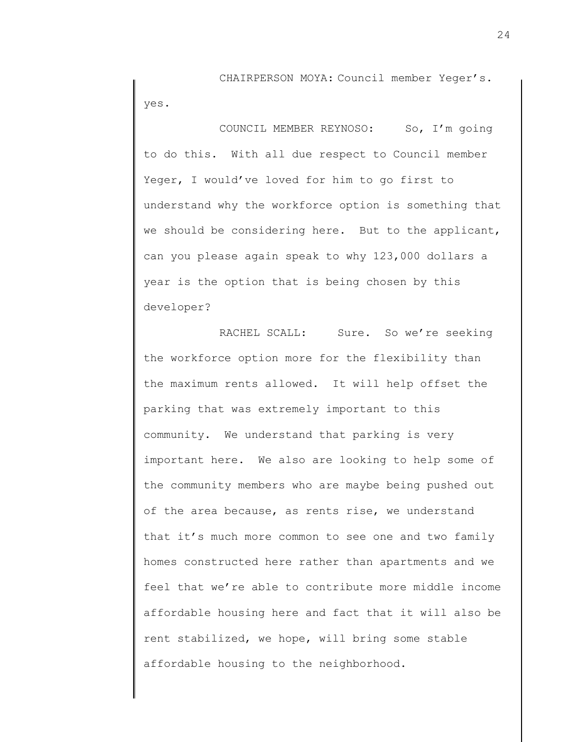CHAIRPERSON MOYA: Council member Yeger's. yes.

COUNCIL MEMBER REYNOSO: So, I'm going to do this. With all due respect to Council member Yeger, I would've loved for him to go first to understand why the workforce option is something that we should be considering here. But to the applicant, can you please again speak to why 123,000 dollars a year is the option that is being chosen by this developer?

RACHEL SCALL: Sure. So we're seeking the workforce option more for the flexibility than the maximum rents allowed. It will help offset the parking that was extremely important to this community. We understand that parking is very important here. We also are looking to help some of the community members who are maybe being pushed out of the area because, as rents rise, we understand that it's much more common to see one and two family homes constructed here rather than apartments and we feel that we're able to contribute more middle income affordable housing here and fact that it will also be rent stabilized, we hope, will bring some stable affordable housing to the neighborhood.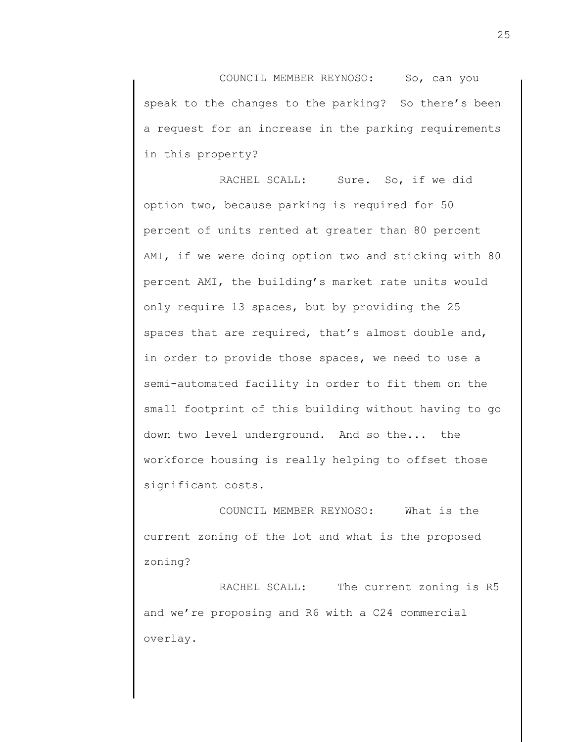COUNCIL MEMBER REYNOSO: So, can you speak to the changes to the parking? So there's been a request for an increase in the parking requirements in this property?

RACHEL SCALL: Sure. So, if we did option two, because parking is required for 50 percent of units rented at greater than 80 percent AMI, if we were doing option two and sticking with 80 percent AMI, the building's market rate units would only require 13 spaces, but by providing the 25 spaces that are required, that's almost double and, in order to provide those spaces, we need to use a semi-automated facility in order to fit them on the small footprint of this building without having to go down two level underground. And so the... the workforce housing is really helping to offset those significant costs.

COUNCIL MEMBER REYNOSO: What is the current zoning of the lot and what is the proposed zoning?

RACHEL SCALL: The current zoning is R5 and we're proposing and R6 with a C24 commercial overlay.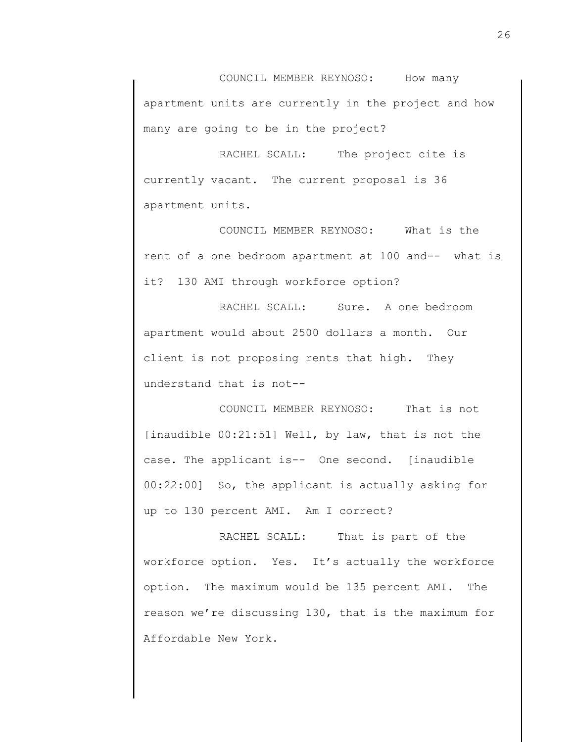COUNCIL MEMBER REYNOSO: How many apartment units are currently in the project and how many are going to be in the project?

RACHEL SCALL: The project cite is currently vacant. The current proposal is 36 apartment units.

COUNCIL MEMBER REYNOSO: What is the rent of a one bedroom apartment at 100 and-- what is it? 130 AMI through workforce option?

RACHEL SCALL: Sure. A one bedroom apartment would about 2500 dollars a month. Our client is not proposing rents that high. They understand that is not--

COUNCIL MEMBER REYNOSO: That is not [inaudible 00:21:51] Well, by law, that is not the case. The applicant is-- One second. [inaudible 00:22:00] So, the applicant is actually asking for up to 130 percent AMI. Am I correct?

RACHEL SCALL: That is part of the workforce option. Yes. It's actually the workforce option. The maximum would be 135 percent AMI. The reason we're discussing 130, that is the maximum for Affordable New York.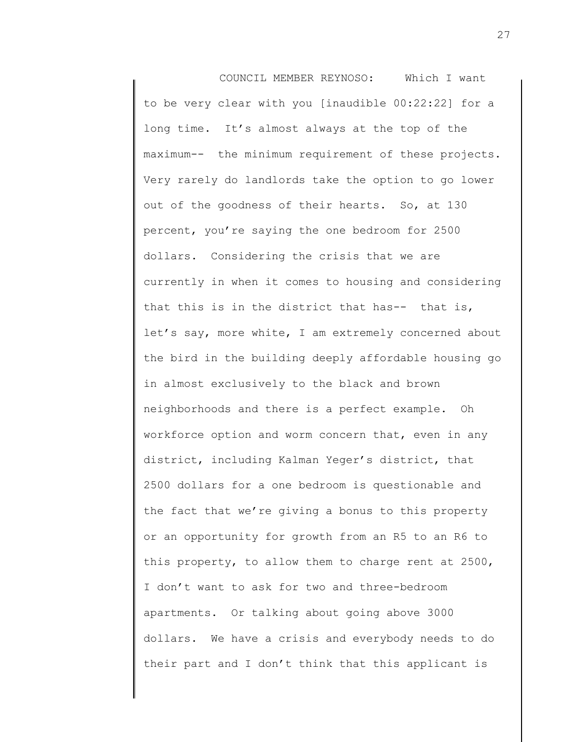COUNCIL MEMBER REYNOSO: Which I want to be very clear with you [inaudible 00:22:22] for a long time. It's almost always at the top of the maximum-- the minimum requirement of these projects. Very rarely do landlords take the option to go lower out of the goodness of their hearts. So, at 130 percent, you're saying the one bedroom for 2500 dollars. Considering the crisis that we are currently in when it comes to housing and considering that this is in the district that has-- that is, let's say, more white, I am extremely concerned about the bird in the building deeply affordable housing go in almost exclusively to the black and brown neighborhoods and there is a perfect example. Oh workforce option and worm concern that, even in any district, including Kalman Yeger's district, that 2500 dollars for a one bedroom is questionable and the fact that we're giving a bonus to this property or an opportunity for growth from an R5 to an R6 to this property, to allow them to charge rent at 2500, I don't want to ask for two and three-bedroom apartments. Or talking about going above 3000 dollars. We have a crisis and everybody needs to do their part and I don't think that this applicant is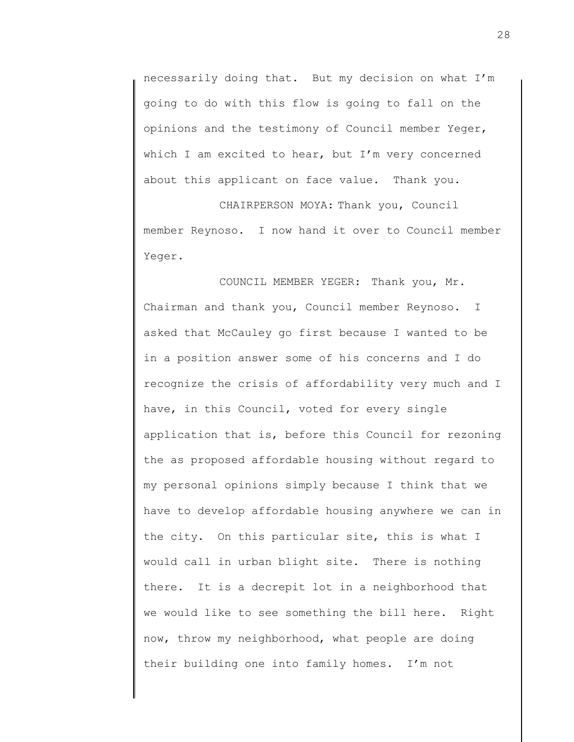necessarily doing that. But my decision on what I'm going to do with this flow is going to fall on the opinions and the testimony of Council member Yeger, which I am excited to hear, but I'm very concerned about this applicant on face value. Thank you.

CHAIRPERSON MOYA: Thank you, Council member Reynoso. I now hand it over to Council member Yeger.

COUNCIL MEMBER YEGER: Thank you, Mr. Chairman and thank you, Council member Reynoso. I asked that McCauley go first because I wanted to be in a position answer some of his concerns and I do recognize the crisis of affordability very much and I have, in this Council, voted for every single application that is, before this Council for rezoning the as proposed affordable housing without regard to my personal opinions simply because I think that we have to develop affordable housing anywhere we can in the city. On this particular site, this is what I would call in urban blight site. There is nothing there. It is a decrepit lot in a neighborhood that we would like to see something the bill here. Right now, throw my neighborhood, what people are doing their building one into family homes. I'm not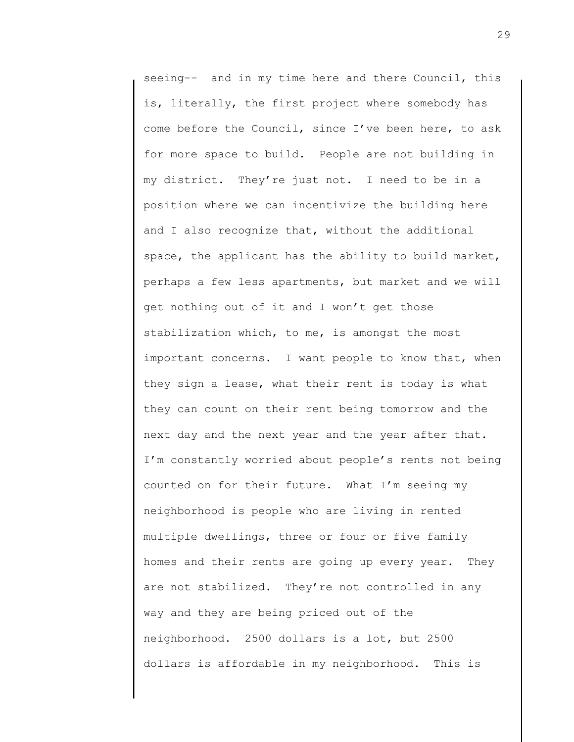seeing-- and in my time here and there Council, this is, literally, the first project where somebody has come before the Council, since I've been here, to ask for more space to build. People are not building in my district. They're just not. I need to be in a position where we can incentivize the building here and I also recognize that, without the additional space, the applicant has the ability to build market, perhaps a few less apartments, but market and we will get nothing out of it and I won't get those stabilization which, to me, is amongst the most important concerns. I want people to know that, when they sign a lease, what their rent is today is what they can count on their rent being tomorrow and the next day and the next year and the year after that. I'm constantly worried about people's rents not being counted on for their future. What I'm seeing my neighborhood is people who are living in rented multiple dwellings, three or four or five family homes and their rents are going up every year. They are not stabilized. They're not controlled in any way and they are being priced out of the neighborhood. 2500 dollars is a lot, but 2500 dollars is affordable in my neighborhood. This is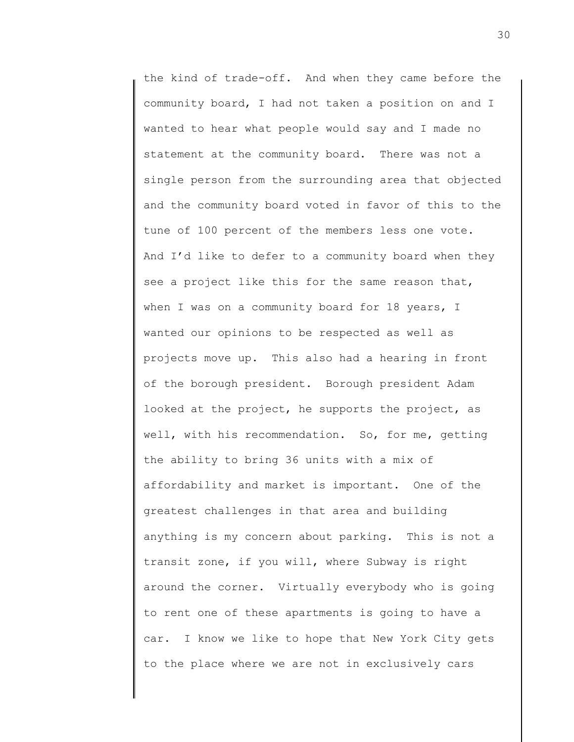the kind of trade-off. And when they came before the community board, I had not taken a position on and I wanted to hear what people would say and I made no statement at the community board. There was not a single person from the surrounding area that objected and the community board voted in favor of this to the tune of 100 percent of the members less one vote. And I'd like to defer to a community board when they see a project like this for the same reason that, when I was on a community board for 18 years, I wanted our opinions to be respected as well as projects move up. This also had a hearing in front of the borough president. Borough president Adam looked at the project, he supports the project, as well, with his recommendation. So, for me, getting the ability to bring 36 units with a mix of affordability and market is important. One of the greatest challenges in that area and building anything is my concern about parking. This is not a transit zone, if you will, where Subway is right around the corner. Virtually everybody who is going to rent one of these apartments is going to have a car. I know we like to hope that New York City gets to the place where we are not in exclusively cars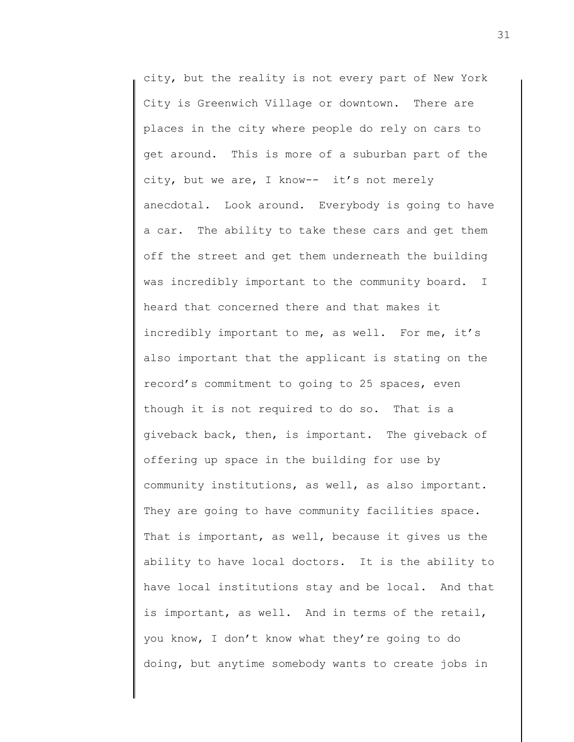city, but the reality is not every part of New York City is Greenwich Village or downtown. There are places in the city where people do rely on cars to get around. This is more of a suburban part of the city, but we are, I know-- it's not merely anecdotal. Look around. Everybody is going to have a car. The ability to take these cars and get them off the street and get them underneath the building was incredibly important to the community board. I heard that concerned there and that makes it incredibly important to me, as well. For me, it's also important that the applicant is stating on the record's commitment to going to 25 spaces, even though it is not required to do so. That is a giveback back, then, is important. The giveback of offering up space in the building for use by community institutions, as well, as also important. They are going to have community facilities space. That is important, as well, because it gives us the ability to have local doctors. It is the ability to have local institutions stay and be local. And that is important, as well. And in terms of the retail, you know, I don't know what they're going to do doing, but anytime somebody wants to create jobs in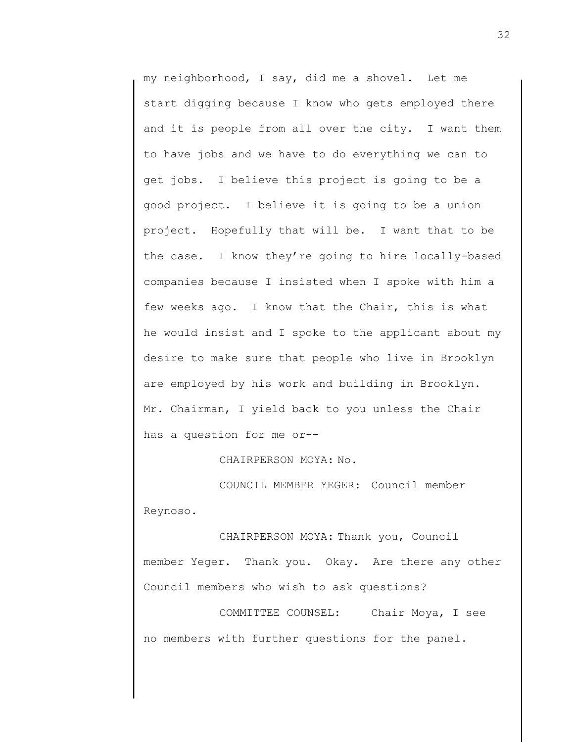my neighborhood, I say, did me a shovel. Let me start digging because I know who gets employed there and it is people from all over the city. I want them to have jobs and we have to do everything we can to get jobs. I believe this project is going to be a good project. I believe it is going to be a union project. Hopefully that will be. I want that to be the case. I know they're going to hire locally-based companies because I insisted when I spoke with him a few weeks ago. I know that the Chair, this is what he would insist and I spoke to the applicant about my desire to make sure that people who live in Brooklyn are employed by his work and building in Brooklyn. Mr. Chairman, I yield back to you unless the Chair has a question for me or--

CHAIRPERSON MOYA: No.

COUNCIL MEMBER YEGER: Council member Reynoso.

CHAIRPERSON MOYA: Thank you, Council member Yeger. Thank you. Okay. Are there any other Council members who wish to ask questions?

COMMITTEE COUNSEL: Chair Moya, I see no members with further questions for the panel.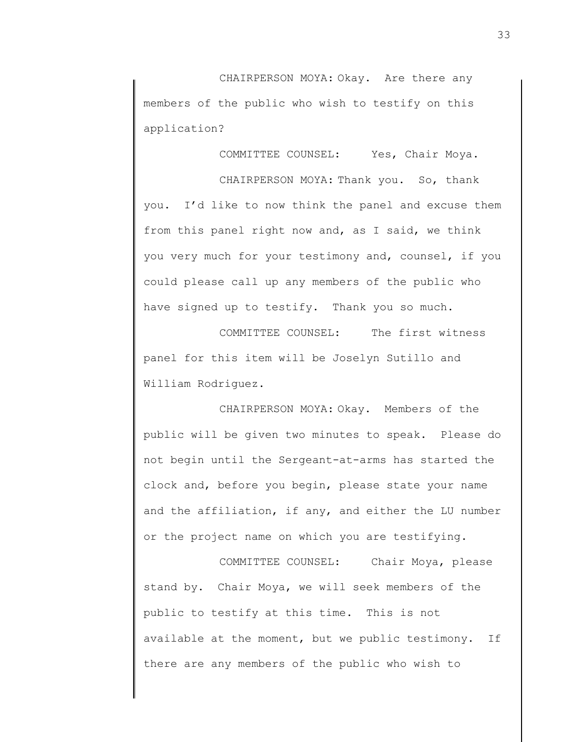CHAIRPERSON MOYA: Okay. Are there any members of the public who wish to testify on this application?

COMMITTEE COUNSEL: Yes, Chair Moya.

CHAIRPERSON MOYA: Thank you. So, thank you. I'd like to now think the panel and excuse them from this panel right now and, as I said, we think you very much for your testimony and, counsel, if you could please call up any members of the public who have signed up to testify. Thank you so much.

COMMITTEE COUNSEL: The first witness panel for this item will be Joselyn Sutillo and William Rodriguez.

CHAIRPERSON MOYA: Okay. Members of the public will be given two minutes to speak. Please do not begin until the Sergeant-at-arms has started the clock and, before you begin, please state your name and the affiliation, if any, and either the LU number or the project name on which you are testifying.

COMMITTEE COUNSEL: Chair Moya, please stand by. Chair Moya, we will seek members of the public to testify at this time. This is not available at the moment, but we public testimony. If there are any members of the public who wish to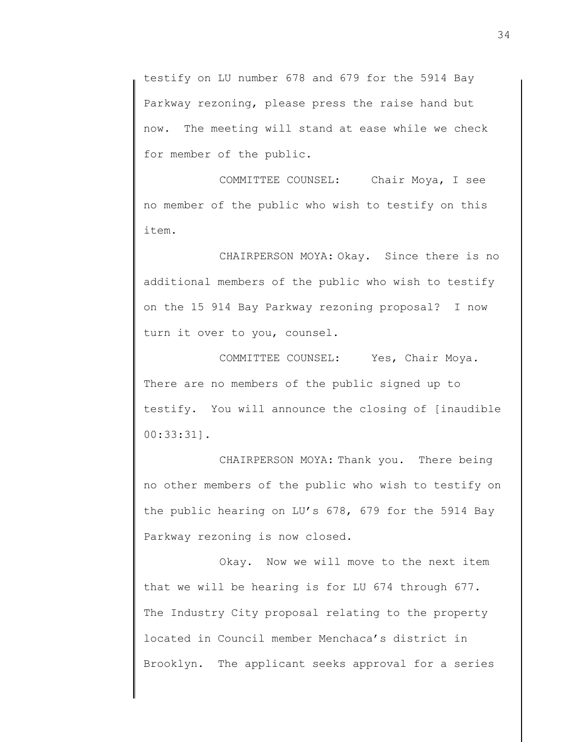testify on LU number 678 and 679 for the 5914 Bay Parkway rezoning, please press the raise hand but now. The meeting will stand at ease while we check for member of the public.

COMMITTEE COUNSEL: Chair Moya, I see no member of the public who wish to testify on this item.

CHAIRPERSON MOYA: Okay. Since there is no additional members of the public who wish to testify on the 15 914 Bay Parkway rezoning proposal? I now turn it over to you, counsel.

COMMITTEE COUNSEL: Yes, Chair Moya. There are no members of the public signed up to testify. You will announce the closing of [inaudible 00:33:31].

CHAIRPERSON MOYA: Thank you. There being no other members of the public who wish to testify on the public hearing on LU's 678, 679 for the 5914 Bay Parkway rezoning is now closed.

Okay. Now we will move to the next item that we will be hearing is for LU 674 through 677. The Industry City proposal relating to the property located in Council member Menchaca's district in Brooklyn. The applicant seeks approval for a series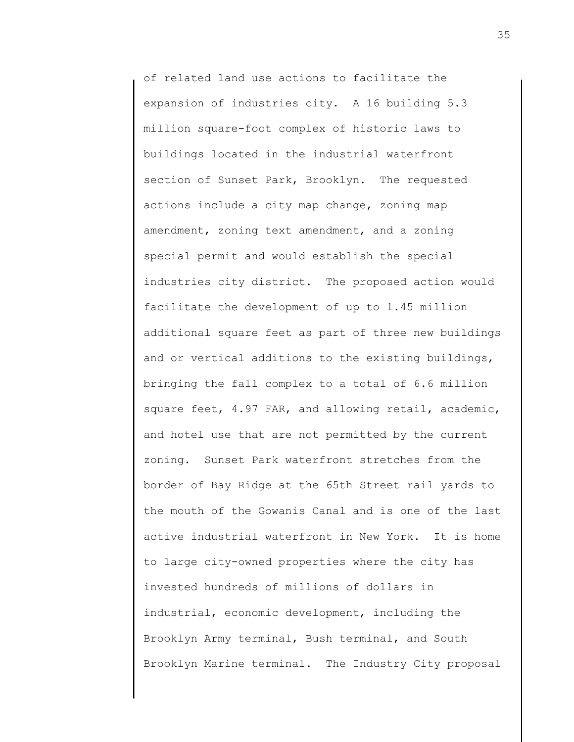of related land use actions to facilitate the expansion of industries city. A 16 building 5.3 million square-foot complex of historic laws to buildings located in the industrial waterfront section of Sunset Park, Brooklyn. The requested actions include a city map change, zoning map amendment, zoning text amendment, and a zoning special permit and would establish the special industries city district. The proposed action would facilitate the development of up to 1.45 million additional square feet as part of three new buildings and or vertical additions to the existing buildings, bringing the fall complex to a total of 6.6 million square feet, 4.97 FAR, and allowing retail, academic, and hotel use that are not permitted by the current zoning. Sunset Park waterfront stretches from the border of Bay Ridge at the 65th Street rail yards to the mouth of the Gowanis Canal and is one of the last active industrial waterfront in New York. It is home to large city-owned properties where the city has invested hundreds of millions of dollars in industrial, economic development, including the Brooklyn Army terminal, Bush terminal, and South Brooklyn Marine terminal. The Industry City proposal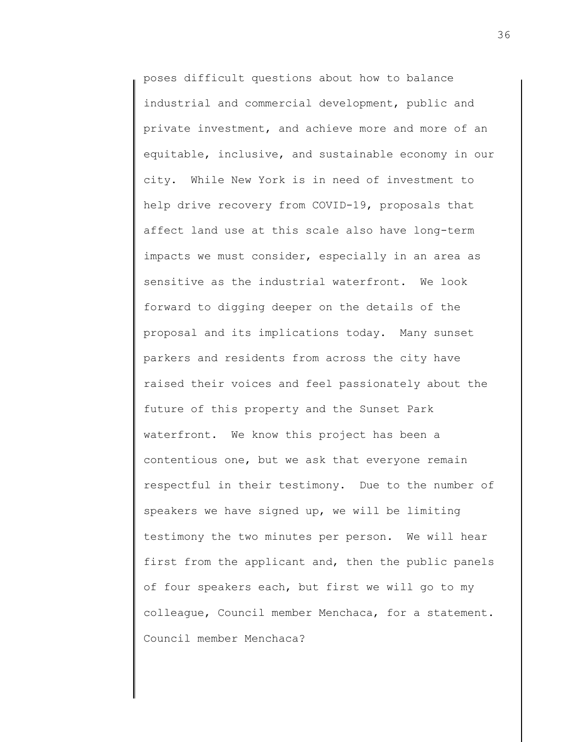poses difficult questions about how to balance industrial and commercial development, public and private investment, and achieve more and more of an equitable, inclusive, and sustainable economy in our city. While New York is in need of investment to help drive recovery from COVID-19, proposals that affect land use at this scale also have long-term impacts we must consider, especially in an area as sensitive as the industrial waterfront. We look forward to digging deeper on the details of the proposal and its implications today. Many sunset parkers and residents from across the city have raised their voices and feel passionately about the future of this property and the Sunset Park waterfront. We know this project has been a contentious one, but we ask that everyone remain respectful in their testimony. Due to the number of speakers we have signed up, we will be limiting testimony the two minutes per person. We will hear first from the applicant and, then the public panels of four speakers each, but first we will go to my colleague, Council member Menchaca, for a statement. Council member Menchaca?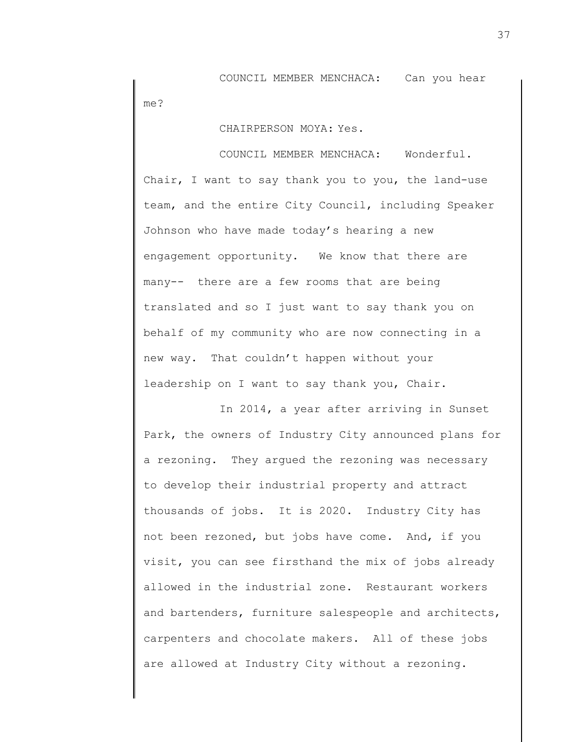COUNCIL MEMBER MENCHACA: Can you hear me?

CHAIRPERSON MOYA: Yes.

COUNCIL MEMBER MENCHACA: Wonderful. Chair, I want to say thank you to you, the land-use team, and the entire City Council, including Speaker Johnson who have made today's hearing a new engagement opportunity. We know that there are many-- there are a few rooms that are being translated and so I just want to say thank you on behalf of my community who are now connecting in a new way. That couldn't happen without your leadership on I want to say thank you, Chair.

In 2014, a year after arriving in Sunset Park, the owners of Industry City announced plans for a rezoning. They argued the rezoning was necessary to develop their industrial property and attract thousands of jobs. It is 2020. Industry City has not been rezoned, but jobs have come. And, if you visit, you can see firsthand the mix of jobs already allowed in the industrial zone. Restaurant workers and bartenders, furniture salespeople and architects, carpenters and chocolate makers. All of these jobs are allowed at Industry City without a rezoning.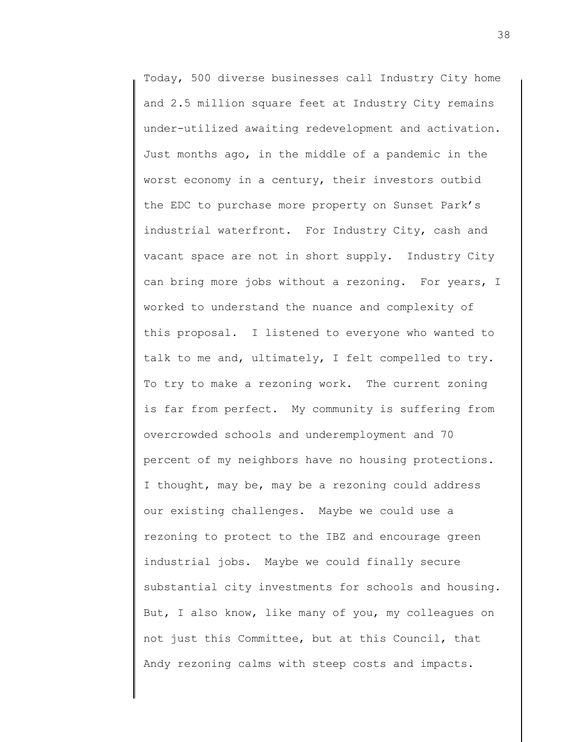Today, 500 diverse businesses call Industry City home and 2.5 million square feet at Industry City remains under-utilized awaiting redevelopment and activation. Just months ago, in the middle of a pandemic in the worst economy in a century, their investors outbid the EDC to purchase more property on Sunset Park's industrial waterfront. For Industry City, cash and vacant space are not in short supply. Industry City can bring more jobs without a rezoning. For years, I worked to understand the nuance and complexity of this proposal. I listened to everyone who wanted to talk to me and, ultimately, I felt compelled to try. To try to make a rezoning work. The current zoning is far from perfect. My community is suffering from overcrowded schools and underemployment and 70 percent of my neighbors have no housing protections. I thought, may be, may be a rezoning could address our existing challenges. Maybe we could use a rezoning to protect to the IBZ and encourage green industrial jobs. Maybe we could finally secure substantial city investments for schools and housing. But, I also know, like many of you, my colleagues on not just this Committee, but at this Council, that Andy rezoning calms with steep costs and impacts.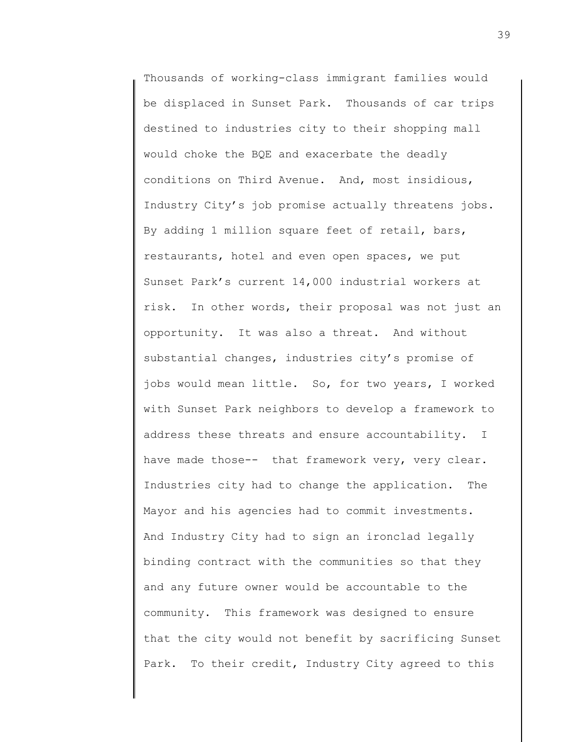Thousands of working-class immigrant families would be displaced in Sunset Park. Thousands of car trips destined to industries city to their shopping mall would choke the BQE and exacerbate the deadly conditions on Third Avenue. And, most insidious, Industry City's job promise actually threatens jobs. By adding 1 million square feet of retail, bars, restaurants, hotel and even open spaces, we put Sunset Park's current 14,000 industrial workers at risk. In other words, their proposal was not just an opportunity. It was also a threat. And without substantial changes, industries city's promise of jobs would mean little. So, for two years, I worked with Sunset Park neighbors to develop a framework to address these threats and ensure accountability. I have made those-- that framework very, very clear. Industries city had to change the application. The Mayor and his agencies had to commit investments. And Industry City had to sign an ironclad legally binding contract with the communities so that they and any future owner would be accountable to the community. This framework was designed to ensure that the city would not benefit by sacrificing Sunset Park. To their credit, Industry City agreed to this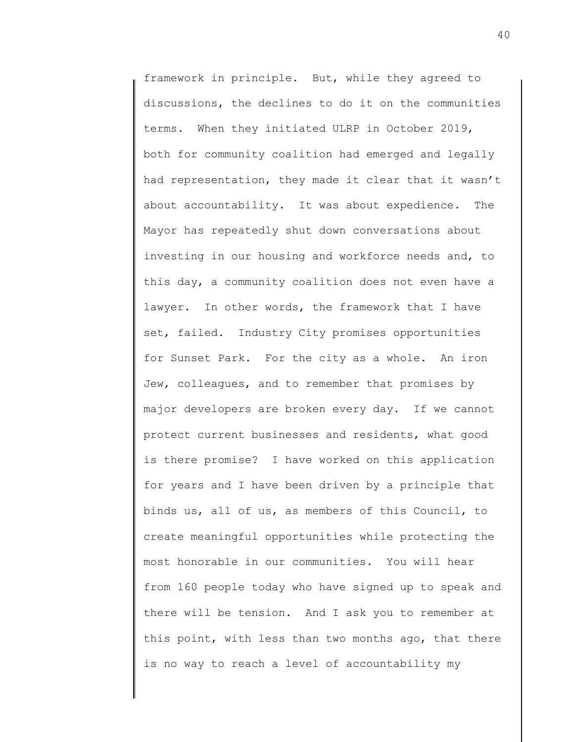framework in principle. But, while they agreed to discussions, the declines to do it on the communities terms. When they initiated ULRP in October 2019, both for community coalition had emerged and legally had representation, they made it clear that it wasn't about accountability. It was about expedience. The Mayor has repeatedly shut down conversations about investing in our housing and workforce needs and, to this day, a community coalition does not even have a lawyer. In other words, the framework that I have set, failed. Industry City promises opportunities for Sunset Park. For the city as a whole. An iron Jew, colleagues, and to remember that promises by major developers are broken every day. If we cannot protect current businesses and residents, what good is there promise? I have worked on this application for years and I have been driven by a principle that binds us, all of us, as members of this Council, to create meaningful opportunities while protecting the most honorable in our communities. You will hear from 160 people today who have signed up to speak and there will be tension. And I ask you to remember at this point, with less than two months ago, that there is no way to reach a level of accountability my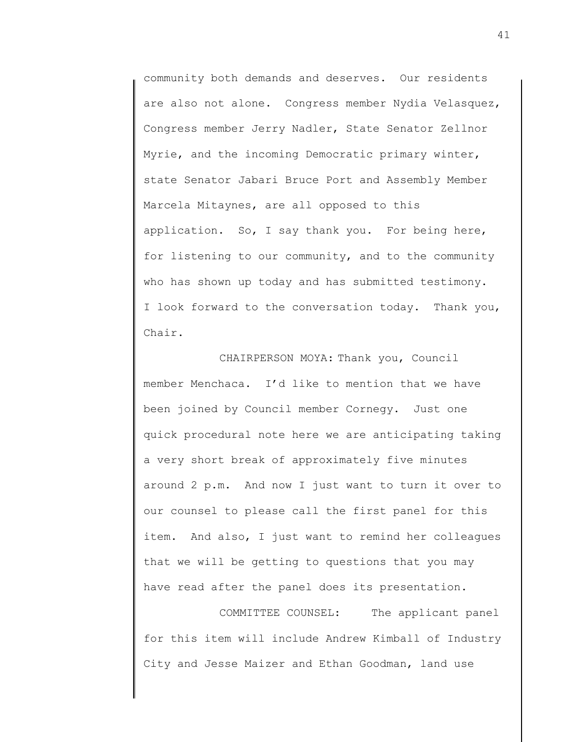community both demands and deserves. Our residents are also not alone. Congress member Nydia Velasquez, Congress member Jerry Nadler, State Senator Zellnor Myrie, and the incoming Democratic primary winter, state Senator Jabari Bruce Port and Assembly Member Marcela Mitaynes, are all opposed to this application. So, I say thank you. For being here, for listening to our community, and to the community who has shown up today and has submitted testimony. I look forward to the conversation today. Thank you, Chair.

CHAIRPERSON MOYA: Thank you, Council member Menchaca. I'd like to mention that we have been joined by Council member Cornegy. Just one quick procedural note here we are anticipating taking a very short break of approximately five minutes around 2 p.m. And now I just want to turn it over to our counsel to please call the first panel for this item. And also, I just want to remind her colleagues that we will be getting to questions that you may have read after the panel does its presentation.

COMMITTEE COUNSEL: The applicant panel for this item will include Andrew Kimball of Industry City and Jesse Maizer and Ethan Goodman, land use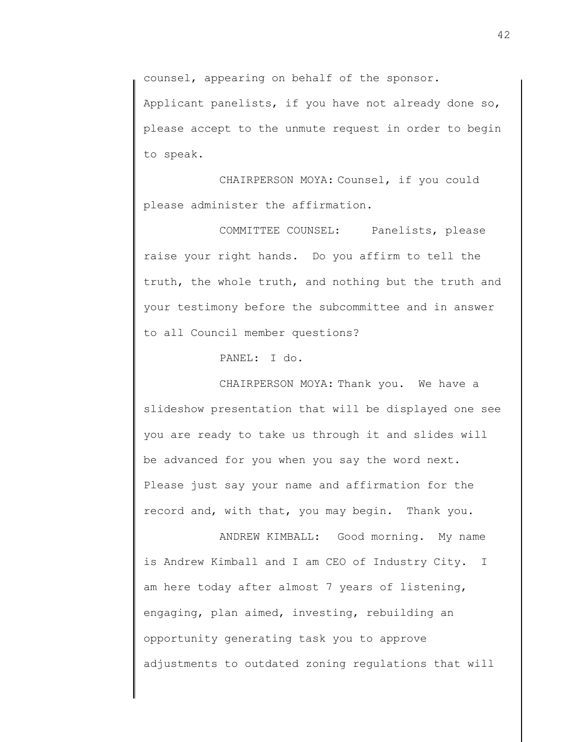counsel, appearing on behalf of the sponsor.

Applicant panelists, if you have not already done so, please accept to the unmute request in order to begin to speak.

CHAIRPERSON MOYA: Counsel, if you could please administer the affirmation.

COMMITTEE COUNSEL: Panelists, please raise your right hands. Do you affirm to tell the truth, the whole truth, and nothing but the truth and your testimony before the subcommittee and in answer to all Council member questions?

PANEL: I do.

CHAIRPERSON MOYA: Thank you. We have a slideshow presentation that will be displayed one see you are ready to take us through it and slides will be advanced for you when you say the word next. Please just say your name and affirmation for the record and, with that, you may begin. Thank you.

ANDREW KIMBALL: Good morning. My name is Andrew Kimball and I am CEO of Industry City. I am here today after almost 7 years of listening, engaging, plan aimed, investing, rebuilding an opportunity generating task you to approve adjustments to outdated zoning regulations that will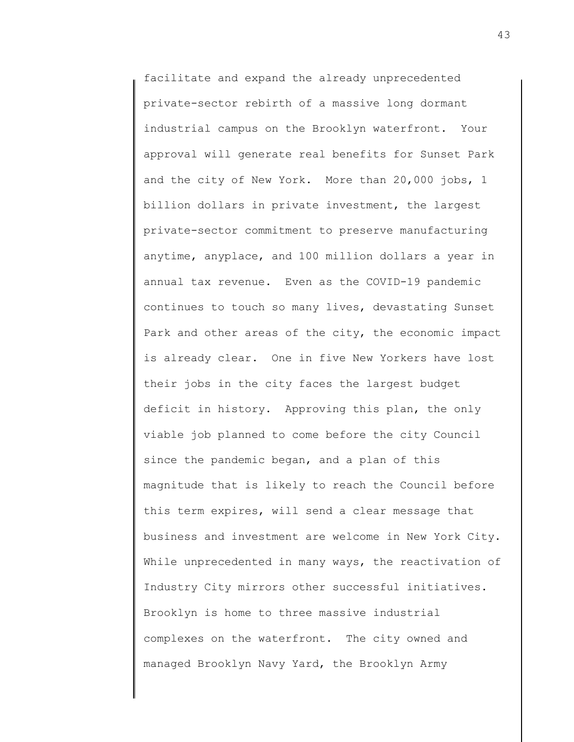facilitate and expand the already unprecedented private-sector rebirth of a massive long dormant industrial campus on the Brooklyn waterfront. Your approval will generate real benefits for Sunset Park and the city of New York. More than 20,000 jobs, 1 billion dollars in private investment, the largest private-sector commitment to preserve manufacturing anytime, anyplace, and 100 million dollars a year in annual tax revenue. Even as the COVID-19 pandemic continues to touch so many lives, devastating Sunset Park and other areas of the city, the economic impact is already clear. One in five New Yorkers have lost their jobs in the city faces the largest budget deficit in history. Approving this plan, the only viable job planned to come before the city Council since the pandemic began, and a plan of this magnitude that is likely to reach the Council before this term expires, will send a clear message that business and investment are welcome in New York City. While unprecedented in many ways, the reactivation of Industry City mirrors other successful initiatives. Brooklyn is home to three massive industrial complexes on the waterfront. The city owned and managed Brooklyn Navy Yard, the Brooklyn Army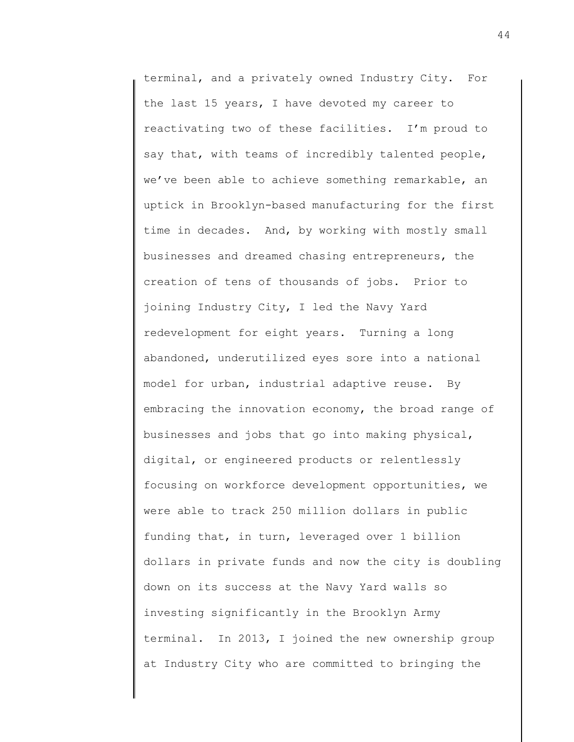terminal, and a privately owned Industry City. For the last 15 years, I have devoted my career to reactivating two of these facilities. I'm proud to say that, with teams of incredibly talented people, we've been able to achieve something remarkable, an uptick in Brooklyn-based manufacturing for the first time in decades. And, by working with mostly small businesses and dreamed chasing entrepreneurs, the creation of tens of thousands of jobs. Prior to joining Industry City, I led the Navy Yard redevelopment for eight years. Turning a long abandoned, underutilized eyes sore into a national model for urban, industrial adaptive reuse. By embracing the innovation economy, the broad range of businesses and jobs that go into making physical, digital, or engineered products or relentlessly focusing on workforce development opportunities, we were able to track 250 million dollars in public funding that, in turn, leveraged over 1 billion dollars in private funds and now the city is doubling down on its success at the Navy Yard walls so investing significantly in the Brooklyn Army terminal. In 2013, I joined the new ownership group at Industry City who are committed to bringing the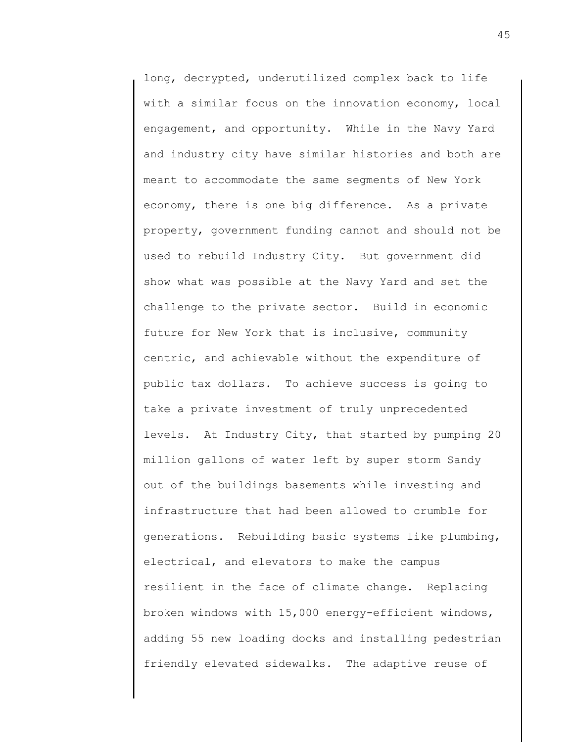long, decrypted, underutilized complex back to life with a similar focus on the innovation economy, local engagement, and opportunity. While in the Navy Yard and industry city have similar histories and both are meant to accommodate the same segments of New York economy, there is one big difference. As a private property, government funding cannot and should not be used to rebuild Industry City. But government did show what was possible at the Navy Yard and set the challenge to the private sector. Build in economic future for New York that is inclusive, community centric, and achievable without the expenditure of public tax dollars. To achieve success is going to take a private investment of truly unprecedented levels. At Industry City, that started by pumping 20 million gallons of water left by super storm Sandy out of the buildings basements while investing and infrastructure that had been allowed to crumble for generations. Rebuilding basic systems like plumbing, electrical, and elevators to make the campus resilient in the face of climate change. Replacing broken windows with 15,000 energy-efficient windows, adding 55 new loading docks and installing pedestrian friendly elevated sidewalks. The adaptive reuse of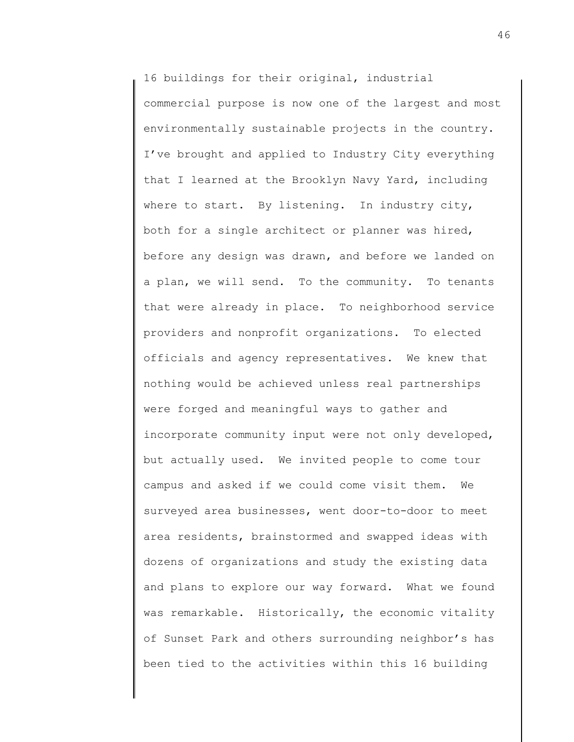16 buildings for their original, industrial commercial purpose is now one of the largest and most environmentally sustainable projects in the country. I've brought and applied to Industry City everything that I learned at the Brooklyn Navy Yard, including where to start. By listening. In industry city, both for a single architect or planner was hired, before any design was drawn, and before we landed on a plan, we will send. To the community. To tenants that were already in place. To neighborhood service providers and nonprofit organizations. To elected officials and agency representatives. We knew that nothing would be achieved unless real partnerships were forged and meaningful ways to gather and incorporate community input were not only developed, but actually used. We invited people to come tour campus and asked if we could come visit them. We surveyed area businesses, went door-to-door to meet area residents, brainstormed and swapped ideas with dozens of organizations and study the existing data and plans to explore our way forward. What we found was remarkable. Historically, the economic vitality of Sunset Park and others surrounding neighbor's has been tied to the activities within this 16 building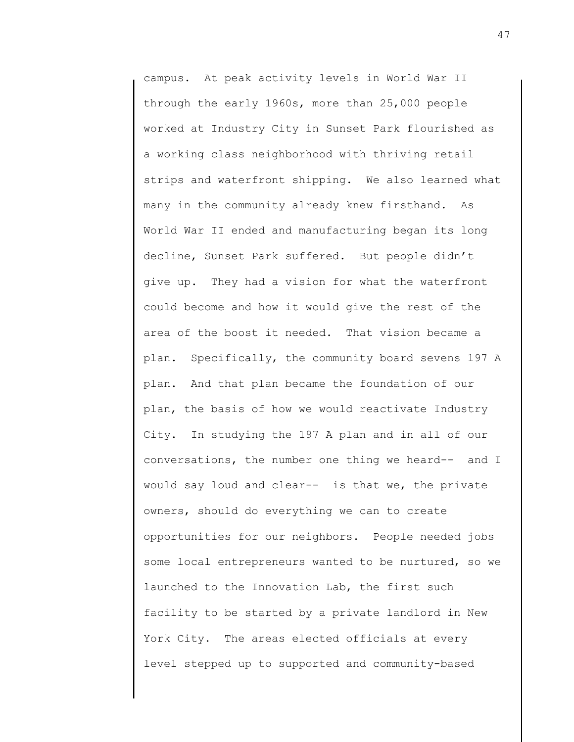campus. At peak activity levels in World War II through the early 1960s, more than 25,000 people worked at Industry City in Sunset Park flourished as a working class neighborhood with thriving retail strips and waterfront shipping. We also learned what many in the community already knew firsthand. As World War II ended and manufacturing began its long decline, Sunset Park suffered. But people didn't give up. They had a vision for what the waterfront could become and how it would give the rest of the area of the boost it needed. That vision became a plan. Specifically, the community board sevens 197 A plan. And that plan became the foundation of our plan, the basis of how we would reactivate Industry City. In studying the 197 A plan and in all of our conversations, the number one thing we heard-- and I would say loud and clear-- is that we, the private owners, should do everything we can to create opportunities for our neighbors. People needed jobs some local entrepreneurs wanted to be nurtured, so we launched to the Innovation Lab, the first such facility to be started by a private landlord in New York City. The areas elected officials at every level stepped up to supported and community-based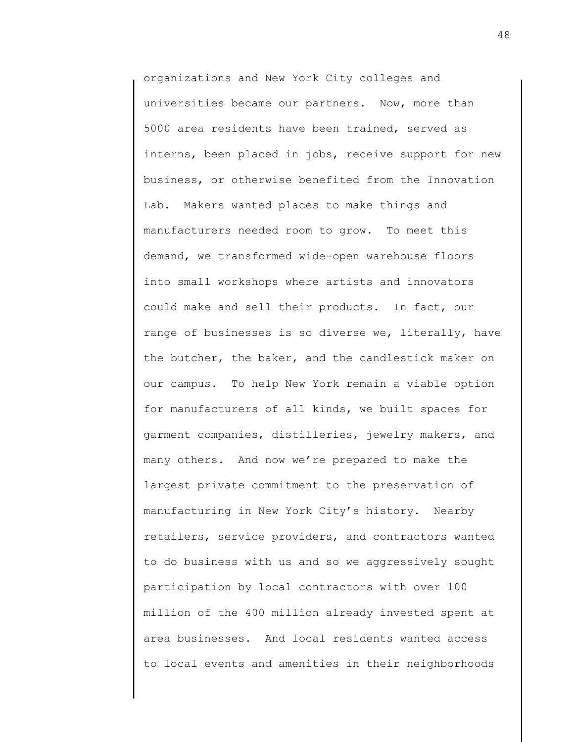organizations and New York City colleges and universities became our partners. Now, more than 5000 area residents have been trained, served as interns, been placed in jobs, receive support for new business, or otherwise benefited from the Innovation Lab. Makers wanted places to make things and manufacturers needed room to grow. To meet this demand, we transformed wide-open warehouse floors into small workshops where artists and innovators could make and sell their products. In fact, our range of businesses is so diverse we, literally, have the butcher, the baker, and the candlestick maker on our campus. To help New York remain a viable option for manufacturers of all kinds, we built spaces for garment companies, distilleries, jewelry makers, and many others. And now we're prepared to make the largest private commitment to the preservation of manufacturing in New York City's history. Nearby retailers, service providers, and contractors wanted to do business with us and so we aggressively sought participation by local contractors with over 100 million of the 400 million already invested spent at area businesses. And local residents wanted access to local events and amenities in their neighborhoods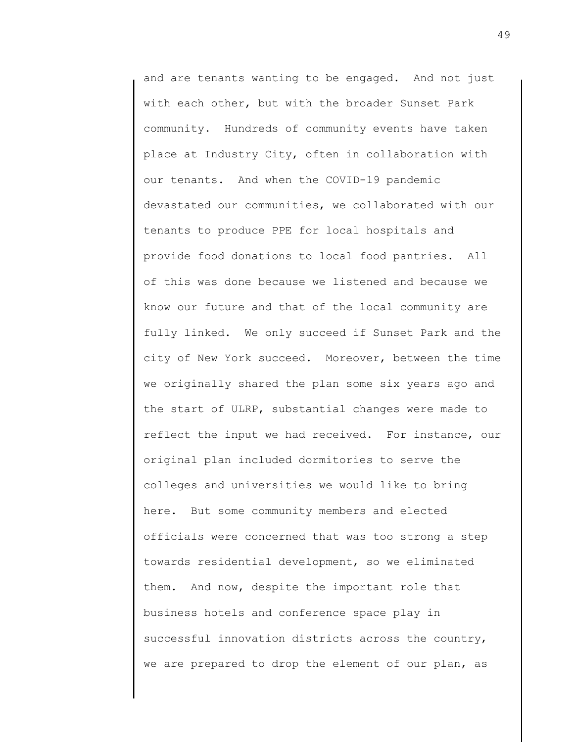and are tenants wanting to be engaged. And not just with each other, but with the broader Sunset Park community. Hundreds of community events have taken place at Industry City, often in collaboration with our tenants. And when the COVID-19 pandemic devastated our communities, we collaborated with our tenants to produce PPE for local hospitals and provide food donations to local food pantries. All of this was done because we listened and because we know our future and that of the local community are fully linked. We only succeed if Sunset Park and the city of New York succeed. Moreover, between the time we originally shared the plan some six years ago and the start of ULRP, substantial changes were made to reflect the input we had received. For instance, our original plan included dormitories to serve the colleges and universities we would like to bring here. But some community members and elected officials were concerned that was too strong a step towards residential development, so we eliminated them. And now, despite the important role that business hotels and conference space play in successful innovation districts across the country, we are prepared to drop the element of our plan, as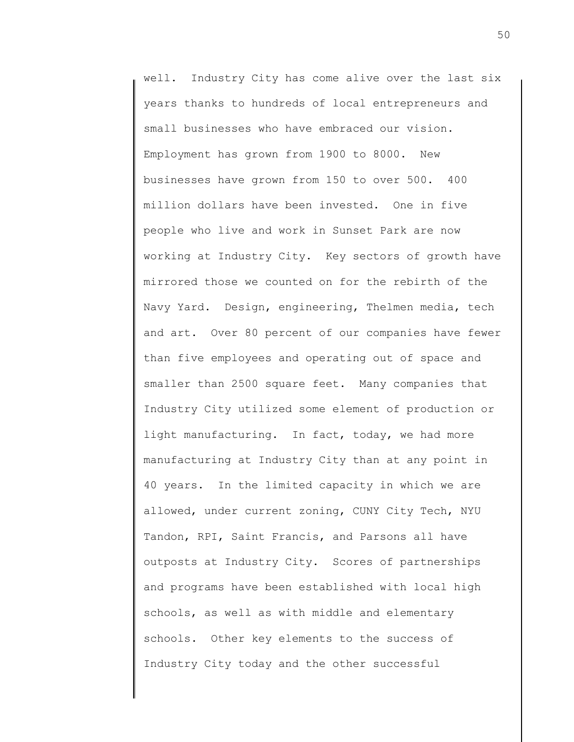well. Industry City has come alive over the last six years thanks to hundreds of local entrepreneurs and small businesses who have embraced our vision. Employment has grown from 1900 to 8000. New businesses have grown from 150 to over 500. 400 million dollars have been invested. One in five people who live and work in Sunset Park are now working at Industry City. Key sectors of growth have mirrored those we counted on for the rebirth of the Navy Yard. Design, engineering, Thelmen media, tech and art. Over 80 percent of our companies have fewer than five employees and operating out of space and smaller than 2500 square feet. Many companies that Industry City utilized some element of production or light manufacturing. In fact, today, we had more manufacturing at Industry City than at any point in 40 years. In the limited capacity in which we are allowed, under current zoning, CUNY City Tech, NYU Tandon, RPI, Saint Francis, and Parsons all have outposts at Industry City. Scores of partnerships and programs have been established with local high schools, as well as with middle and elementary schools. Other key elements to the success of Industry City today and the other successful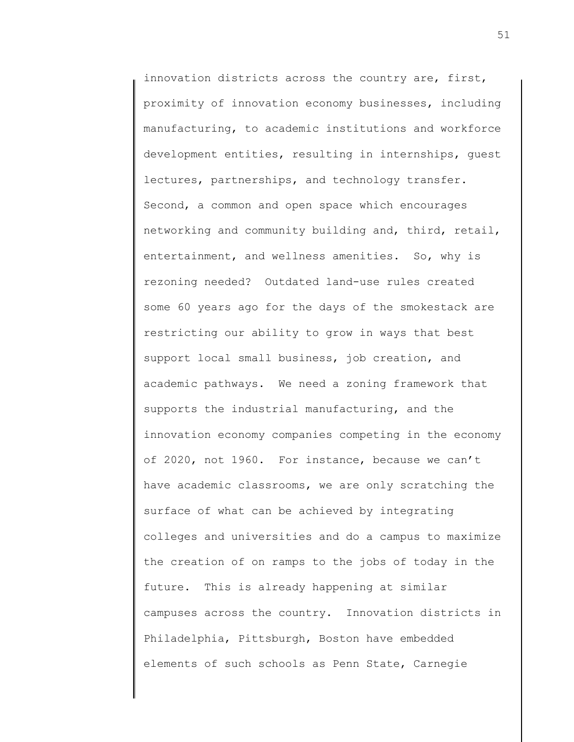innovation districts across the country are, first, proximity of innovation economy businesses, including manufacturing, to academic institutions and workforce development entities, resulting in internships, guest lectures, partnerships, and technology transfer. Second, a common and open space which encourages networking and community building and, third, retail, entertainment, and wellness amenities. So, why is rezoning needed? Outdated land-use rules created some 60 years ago for the days of the smokestack are restricting our ability to grow in ways that best support local small business, job creation, and academic pathways. We need a zoning framework that supports the industrial manufacturing, and the innovation economy companies competing in the economy of 2020, not 1960. For instance, because we can't have academic classrooms, we are only scratching the surface of what can be achieved by integrating colleges and universities and do a campus to maximize the creation of on ramps to the jobs of today in the future. This is already happening at similar campuses across the country. Innovation districts in Philadelphia, Pittsburgh, Boston have embedded elements of such schools as Penn State, Carnegie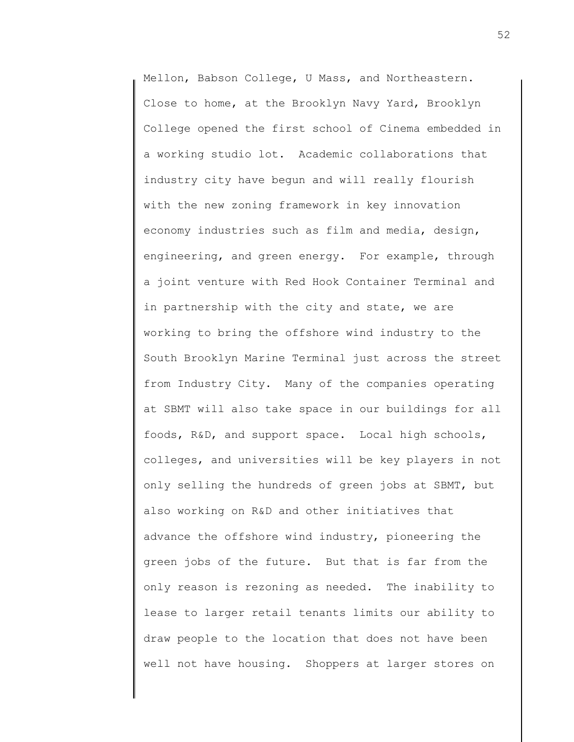Mellon, Babson College, U Mass, and Northeastern. Close to home, at the Brooklyn Navy Yard, Brooklyn College opened the first school of Cinema embedded in a working studio lot. Academic collaborations that industry city have begun and will really flourish with the new zoning framework in key innovation economy industries such as film and media, design, engineering, and green energy. For example, through a joint venture with Red Hook Container Terminal and in partnership with the city and state, we are working to bring the offshore wind industry to the South Brooklyn Marine Terminal just across the street from Industry City. Many of the companies operating at SBMT will also take space in our buildings for all foods, R&D, and support space. Local high schools, colleges, and universities will be key players in not only selling the hundreds of green jobs at SBMT, but also working on R&D and other initiatives that advance the offshore wind industry, pioneering the green jobs of the future. But that is far from the only reason is rezoning as needed. The inability to lease to larger retail tenants limits our ability to draw people to the location that does not have been well not have housing. Shoppers at larger stores on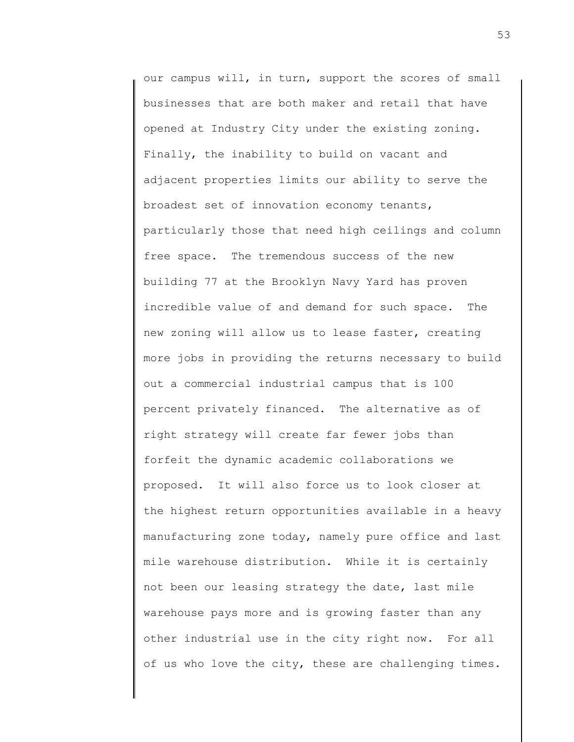our campus will, in turn, support the scores of small businesses that are both maker and retail that have opened at Industry City under the existing zoning. Finally, the inability to build on vacant and adjacent properties limits our ability to serve the broadest set of innovation economy tenants, particularly those that need high ceilings and column free space. The tremendous success of the new building 77 at the Brooklyn Navy Yard has proven incredible value of and demand for such space. The new zoning will allow us to lease faster, creating more jobs in providing the returns necessary to build out a commercial industrial campus that is 100 percent privately financed. The alternative as of right strategy will create far fewer jobs than forfeit the dynamic academic collaborations we proposed. It will also force us to look closer at the highest return opportunities available in a heavy manufacturing zone today, namely pure office and last mile warehouse distribution. While it is certainly not been our leasing strategy the date, last mile warehouse pays more and is growing faster than any other industrial use in the city right now. For all of us who love the city, these are challenging times.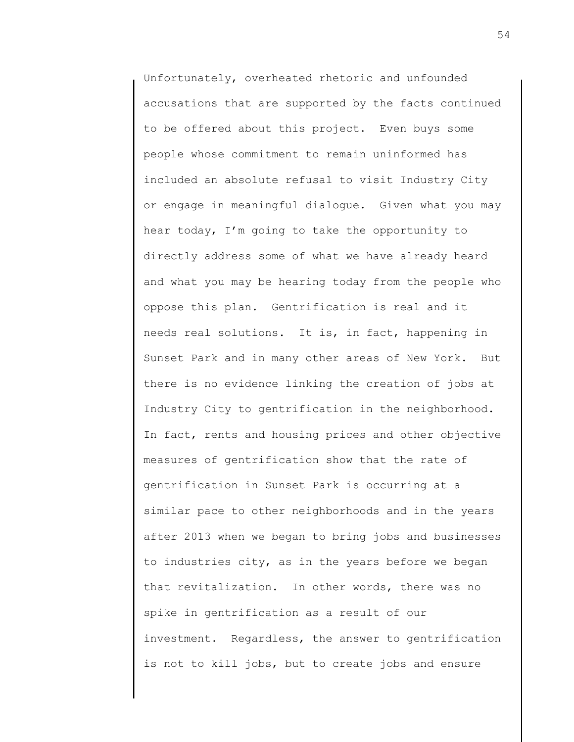Unfortunately, overheated rhetoric and unfounded accusations that are supported by the facts continued to be offered about this project. Even buys some people whose commitment to remain uninformed has included an absolute refusal to visit Industry City or engage in meaningful dialogue. Given what you may hear today, I'm going to take the opportunity to directly address some of what we have already heard and what you may be hearing today from the people who oppose this plan. Gentrification is real and it needs real solutions. It is, in fact, happening in Sunset Park and in many other areas of New York. But there is no evidence linking the creation of jobs at Industry City to gentrification in the neighborhood. In fact, rents and housing prices and other objective measures of gentrification show that the rate of gentrification in Sunset Park is occurring at a similar pace to other neighborhoods and in the years after 2013 when we began to bring jobs and businesses to industries city, as in the years before we began that revitalization. In other words, there was no spike in gentrification as a result of our investment. Regardless, the answer to gentrification is not to kill jobs, but to create jobs and ensure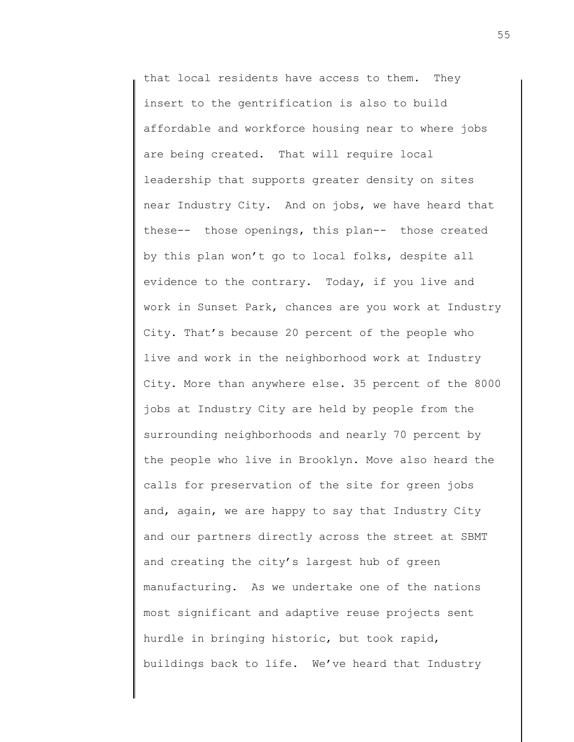that local residents have access to them. They insert to the gentrification is also to build affordable and workforce housing near to where jobs are being created. That will require local leadership that supports greater density on sites near Industry City. And on jobs, we have heard that these-- those openings, this plan-- those created by this plan won't go to local folks, despite all evidence to the contrary. Today, if you live and work in Sunset Park, chances are you work at Industry City. That's because 20 percent of the people who live and work in the neighborhood work at Industry City. More than anywhere else. 35 percent of the 8000 jobs at Industry City are held by people from the surrounding neighborhoods and nearly 70 percent by the people who live in Brooklyn. Move also heard the calls for preservation of the site for green jobs and, again, we are happy to say that Industry City and our partners directly across the street at SBMT and creating the city's largest hub of green manufacturing. As we undertake one of the nations most significant and adaptive reuse projects sent hurdle in bringing historic, but took rapid, buildings back to life. We've heard that Industry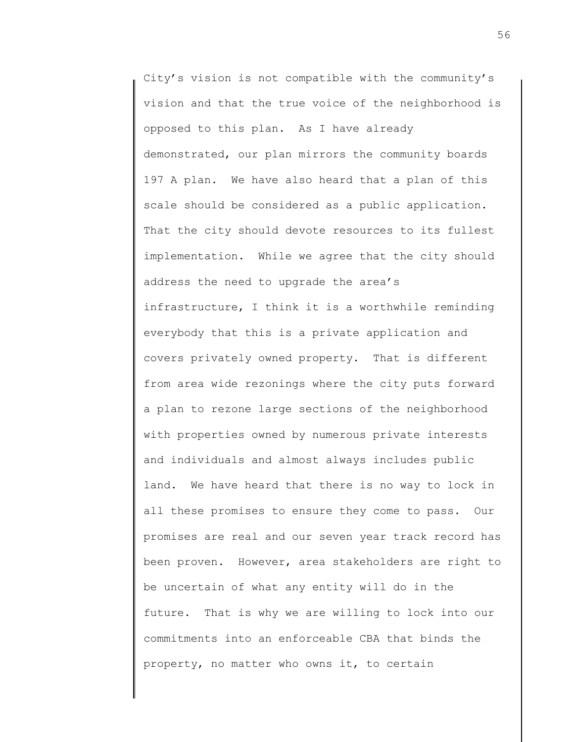City's vision is not compatible with the community's vision and that the true voice of the neighborhood is opposed to this plan. As I have already demonstrated, our plan mirrors the community boards 197 A plan. We have also heard that a plan of this scale should be considered as a public application. That the city should devote resources to its fullest implementation. While we agree that the city should address the need to upgrade the area's infrastructure, I think it is a worthwhile reminding everybody that this is a private application and covers privately owned property. That is different from area wide rezonings where the city puts forward a plan to rezone large sections of the neighborhood with properties owned by numerous private interests and individuals and almost always includes public land. We have heard that there is no way to lock in all these promises to ensure they come to pass. Our promises are real and our seven year track record has been proven. However, area stakeholders are right to be uncertain of what any entity will do in the future. That is why we are willing to lock into our commitments into an enforceable CBA that binds the property, no matter who owns it, to certain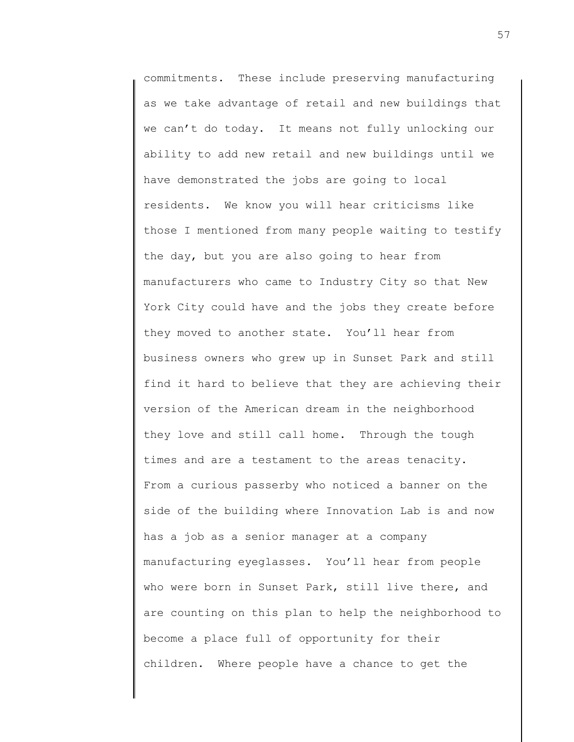commitments. These include preserving manufacturing as we take advantage of retail and new buildings that we can't do today. It means not fully unlocking our ability to add new retail and new buildings until we have demonstrated the jobs are going to local residents. We know you will hear criticisms like those I mentioned from many people waiting to testify the day, but you are also going to hear from manufacturers who came to Industry City so that New York City could have and the jobs they create before they moved to another state. You'll hear from business owners who grew up in Sunset Park and still find it hard to believe that they are achieving their version of the American dream in the neighborhood they love and still call home. Through the tough times and are a testament to the areas tenacity. From a curious passerby who noticed a banner on the side of the building where Innovation Lab is and now has a job as a senior manager at a company manufacturing eyeglasses. You'll hear from people who were born in Sunset Park, still live there, and are counting on this plan to help the neighborhood to become a place full of opportunity for their children. Where people have a chance to get the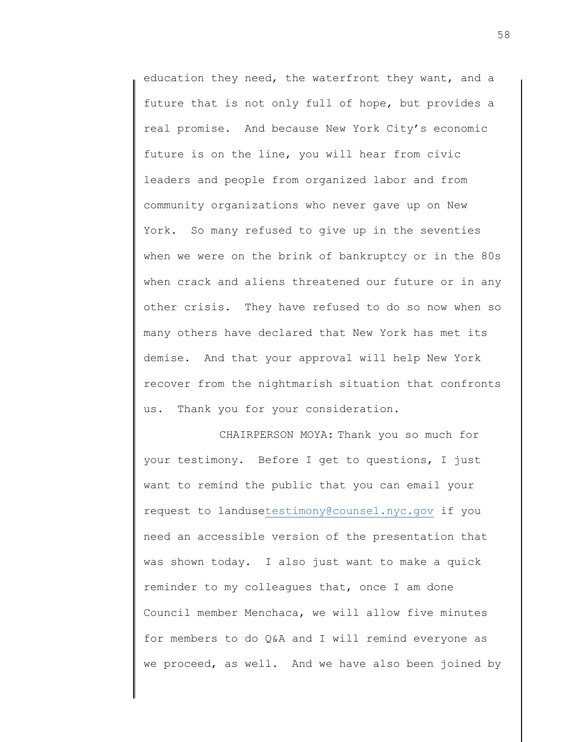education they need, the waterfront they want, and a future that is not only full of hope, but provides a real promise. And because New York City's economic future is on the line, you will hear from civic leaders and people from organized labor and from community organizations who never gave up on New York. So many refused to give up in the seventies when we were on the brink of bankruptcy or in the 80s when crack and aliens threatened our future or in any other crisis. They have refused to do so now when so many others have declared that New York has met its demise. And that your approval will help New York recover from the nightmarish situation that confronts us. Thank you for your consideration.

CHAIRPERSON MOYA: Thank you so much for your testimony. Before I get to questions, I just want to remind the public that you can email your request to landus[etestimony@counsel.nyc.gov](mailto:testimony@counsel.nyc.gov) if you need an accessible version of the presentation that was shown today. I also just want to make a quick reminder to my colleagues that, once I am done Council member Menchaca, we will allow five minutes for members to do Q&A and I will remind everyone as we proceed, as well. And we have also been joined by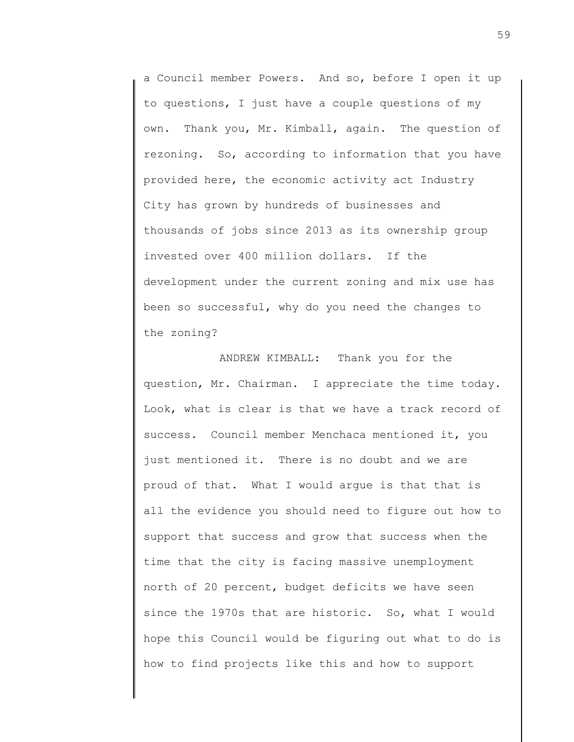a Council member Powers. And so, before I open it up to questions, I just have a couple questions of my own. Thank you, Mr. Kimball, again. The question of rezoning. So, according to information that you have provided here, the economic activity act Industry City has grown by hundreds of businesses and thousands of jobs since 2013 as its ownership group invested over 400 million dollars. If the development under the current zoning and mix use has been so successful, why do you need the changes to the zoning?

ANDREW KIMBALL: Thank you for the question, Mr. Chairman. I appreciate the time today. Look, what is clear is that we have a track record of success. Council member Menchaca mentioned it, you just mentioned it. There is no doubt and we are proud of that. What I would argue is that that is all the evidence you should need to figure out how to support that success and grow that success when the time that the city is facing massive unemployment north of 20 percent, budget deficits we have seen since the 1970s that are historic. So, what I would hope this Council would be figuring out what to do is how to find projects like this and how to support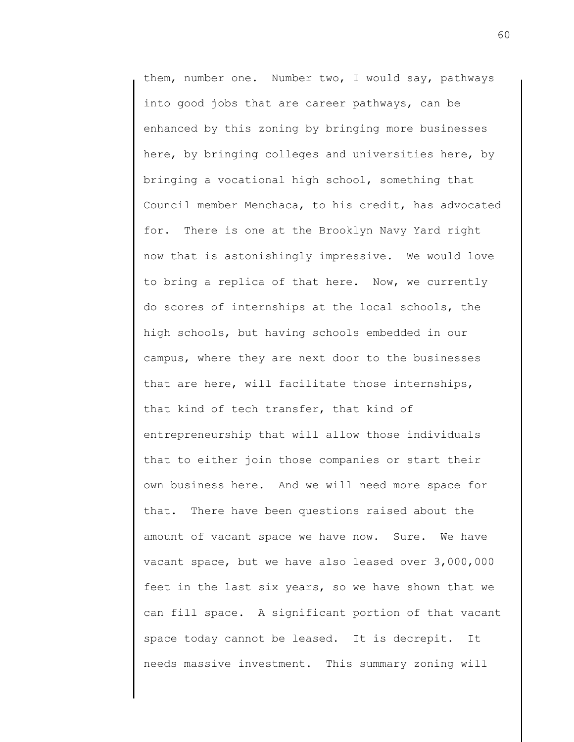them, number one. Number two, I would say, pathways into good jobs that are career pathways, can be enhanced by this zoning by bringing more businesses here, by bringing colleges and universities here, by bringing a vocational high school, something that Council member Menchaca, to his credit, has advocated for. There is one at the Brooklyn Navy Yard right now that is astonishingly impressive. We would love to bring a replica of that here. Now, we currently do scores of internships at the local schools, the high schools, but having schools embedded in our campus, where they are next door to the businesses that are here, will facilitate those internships, that kind of tech transfer, that kind of entrepreneurship that will allow those individuals that to either join those companies or start their own business here. And we will need more space for that. There have been questions raised about the amount of vacant space we have now. Sure. We have vacant space, but we have also leased over 3,000,000 feet in the last six years, so we have shown that we can fill space. A significant portion of that vacant space today cannot be leased. It is decrepit. It needs massive investment. This summary zoning will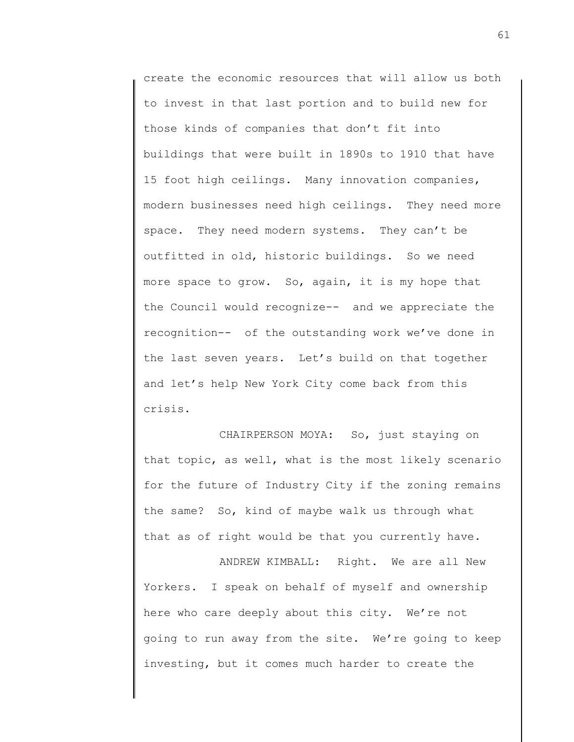create the economic resources that will allow us both to invest in that last portion and to build new for those kinds of companies that don't fit into buildings that were built in 1890s to 1910 that have 15 foot high ceilings. Many innovation companies, modern businesses need high ceilings. They need more space. They need modern systems. They can't be outfitted in old, historic buildings. So we need more space to grow. So, again, it is my hope that the Council would recognize-- and we appreciate the recognition-- of the outstanding work we've done in the last seven years. Let's build on that together and let's help New York City come back from this crisis.

CHAIRPERSON MOYA: So, just staying on that topic, as well, what is the most likely scenario for the future of Industry City if the zoning remains the same? So, kind of maybe walk us through what that as of right would be that you currently have.

ANDREW KIMBALL: Right. We are all New Yorkers. I speak on behalf of myself and ownership here who care deeply about this city. We're not going to run away from the site. We're going to keep investing, but it comes much harder to create the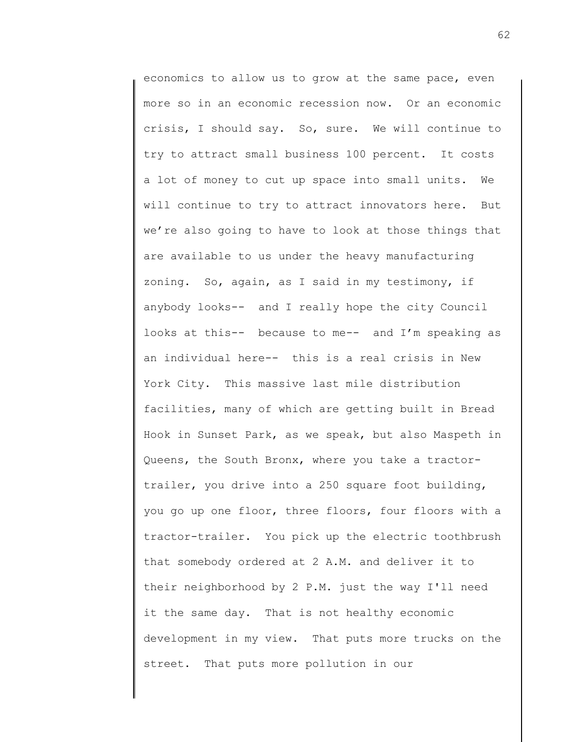economics to allow us to grow at the same pace, even more so in an economic recession now. Or an economic crisis, I should say. So, sure. We will continue to try to attract small business 100 percent. It costs a lot of money to cut up space into small units. We will continue to try to attract innovators here. But we're also going to have to look at those things that are available to us under the heavy manufacturing zoning. So, again, as I said in my testimony, if anybody looks-- and I really hope the city Council looks at this-- because to me-- and I'm speaking as an individual here-- this is a real crisis in New York City. This massive last mile distribution facilities, many of which are getting built in Bread Hook in Sunset Park, as we speak, but also Maspeth in Queens, the South Bronx, where you take a tractortrailer, you drive into a 250 square foot building, you go up one floor, three floors, four floors with a tractor-trailer. You pick up the electric toothbrush that somebody ordered at 2 A.M. and deliver it to their neighborhood by 2 P.M. just the way I'll need it the same day. That is not healthy economic development in my view. That puts more trucks on the street. That puts more pollution in our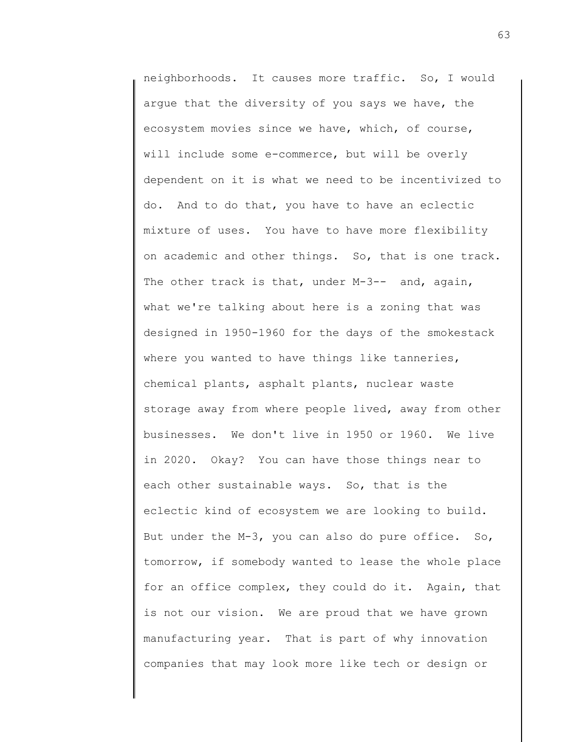neighborhoods. It causes more traffic. So, I would argue that the diversity of you says we have, the ecosystem movies since we have, which, of course, will include some e-commerce, but will be overly dependent on it is what we need to be incentivized to do. And to do that, you have to have an eclectic mixture of uses. You have to have more flexibility on academic and other things. So, that is one track. The other track is that, under M-3-- and, again, what we're talking about here is a zoning that was designed in 1950-1960 for the days of the smokestack where you wanted to have things like tanneries, chemical plants, asphalt plants, nuclear waste storage away from where people lived, away from other businesses. We don't live in 1950 or 1960. We live in 2020. Okay? You can have those things near to each other sustainable ways. So, that is the eclectic kind of ecosystem we are looking to build. But under the M-3, you can also do pure office. So, tomorrow, if somebody wanted to lease the whole place for an office complex, they could do it. Again, that is not our vision. We are proud that we have grown manufacturing year. That is part of why innovation companies that may look more like tech or design or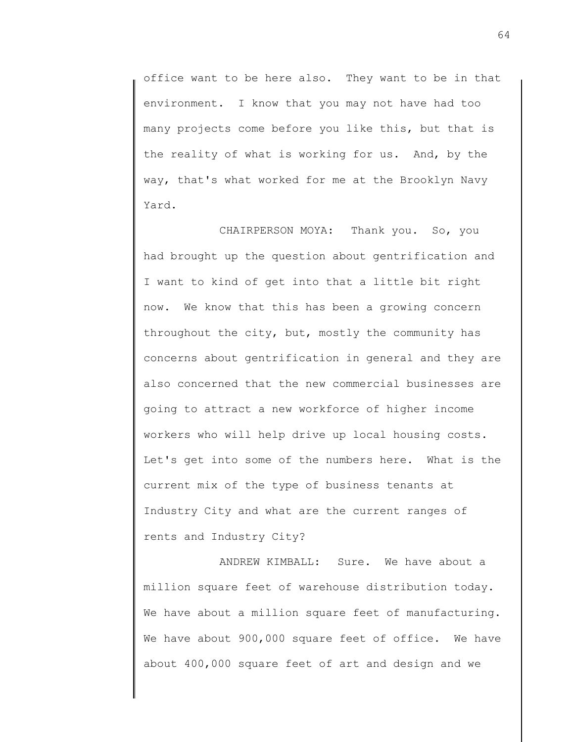office want to be here also. They want to be in that environment. I know that you may not have had too many projects come before you like this, but that is the reality of what is working for us. And, by the way, that's what worked for me at the Brooklyn Navy Yard.

CHAIRPERSON MOYA: Thank you. So, you had brought up the question about gentrification and I want to kind of get into that a little bit right now. We know that this has been a growing concern throughout the city, but, mostly the community has concerns about gentrification in general and they are also concerned that the new commercial businesses are going to attract a new workforce of higher income workers who will help drive up local housing costs. Let's get into some of the numbers here. What is the current mix of the type of business tenants at Industry City and what are the current ranges of rents and Industry City?

ANDREW KIMBALL: Sure. We have about a million square feet of warehouse distribution today. We have about a million square feet of manufacturing. We have about 900,000 square feet of office. We have about 400,000 square feet of art and design and we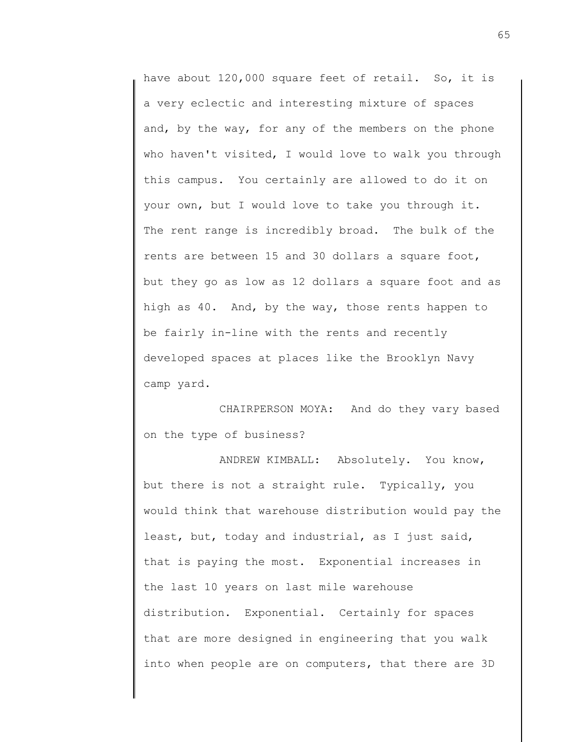have about 120,000 square feet of retail. So, it is a very eclectic and interesting mixture of spaces and, by the way, for any of the members on the phone who haven't visited, I would love to walk you through this campus. You certainly are allowed to do it on your own, but I would love to take you through it. The rent range is incredibly broad. The bulk of the rents are between 15 and 30 dollars a square foot, but they go as low as 12 dollars a square foot and as high as 40. And, by the way, those rents happen to be fairly in-line with the rents and recently developed spaces at places like the Brooklyn Navy camp yard.

CHAIRPERSON MOYA: And do they vary based on the type of business?

ANDREW KIMBALL: Absolutely. You know, but there is not a straight rule. Typically, you would think that warehouse distribution would pay the least, but, today and industrial, as I just said, that is paying the most. Exponential increases in the last 10 years on last mile warehouse distribution. Exponential. Certainly for spaces that are more designed in engineering that you walk into when people are on computers, that there are 3D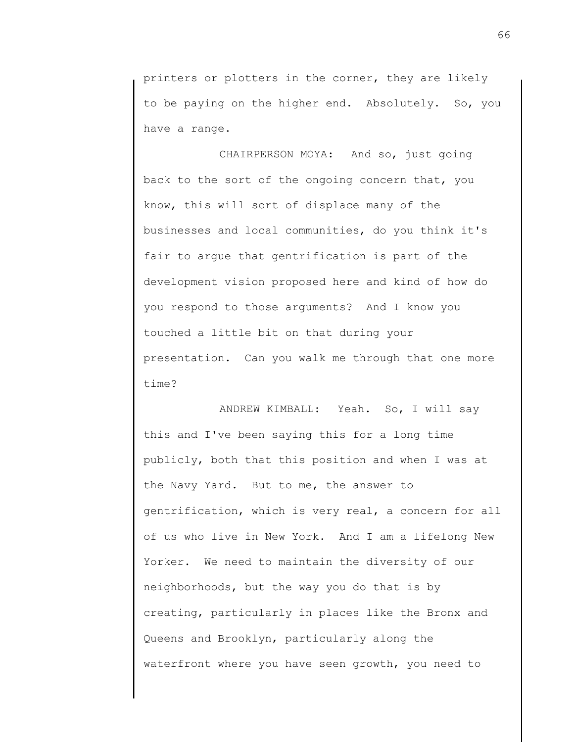printers or plotters in the corner, they are likely to be paying on the higher end. Absolutely. So, you have a range.

CHAIRPERSON MOYA: And so, just going back to the sort of the ongoing concern that, you know, this will sort of displace many of the businesses and local communities, do you think it's fair to argue that gentrification is part of the development vision proposed here and kind of how do you respond to those arguments? And I know you touched a little bit on that during your presentation. Can you walk me through that one more time?

ANDREW KIMBALL: Yeah. So, I will say this and I've been saying this for a long time publicly, both that this position and when I was at the Navy Yard. But to me, the answer to gentrification, which is very real, a concern for all of us who live in New York. And I am a lifelong New Yorker. We need to maintain the diversity of our neighborhoods, but the way you do that is by creating, particularly in places like the Bronx and Queens and Brooklyn, particularly along the waterfront where you have seen growth, you need to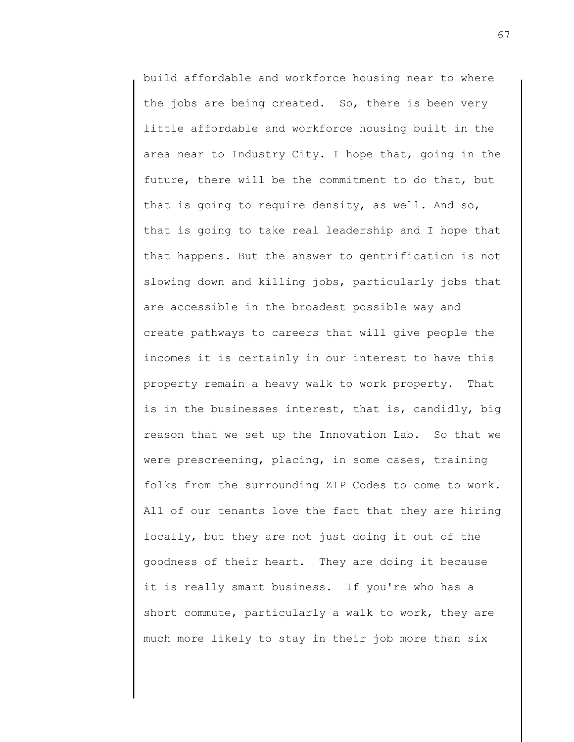build affordable and workforce housing near to where the jobs are being created. So, there is been very little affordable and workforce housing built in the area near to Industry City. I hope that, going in the future, there will be the commitment to do that, but that is going to require density, as well. And so, that is going to take real leadership and I hope that that happens. But the answer to gentrification is not slowing down and killing jobs, particularly jobs that are accessible in the broadest possible way and create pathways to careers that will give people the incomes it is certainly in our interest to have this property remain a heavy walk to work property. That is in the businesses interest, that is, candidly, big reason that we set up the Innovation Lab. So that we were prescreening, placing, in some cases, training folks from the surrounding ZIP Codes to come to work. All of our tenants love the fact that they are hiring locally, but they are not just doing it out of the goodness of their heart. They are doing it because it is really smart business. If you're who has a short commute, particularly a walk to work, they are much more likely to stay in their job more than six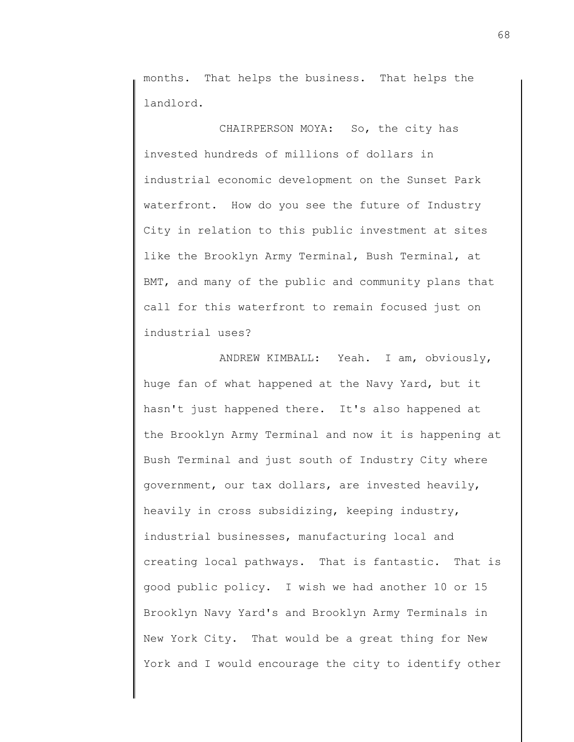months. That helps the business. That helps the landlord.

CHAIRPERSON MOYA: So, the city has invested hundreds of millions of dollars in industrial economic development on the Sunset Park waterfront. How do you see the future of Industry City in relation to this public investment at sites like the Brooklyn Army Terminal, Bush Terminal, at BMT, and many of the public and community plans that call for this waterfront to remain focused just on industrial uses?

ANDREW KIMBALL: Yeah. I am, obviously, huge fan of what happened at the Navy Yard, but it hasn't just happened there. It's also happened at the Brooklyn Army Terminal and now it is happening at Bush Terminal and just south of Industry City where government, our tax dollars, are invested heavily, heavily in cross subsidizing, keeping industry, industrial businesses, manufacturing local and creating local pathways. That is fantastic. That is good public policy. I wish we had another 10 or 15 Brooklyn Navy Yard's and Brooklyn Army Terminals in New York City. That would be a great thing for New York and I would encourage the city to identify other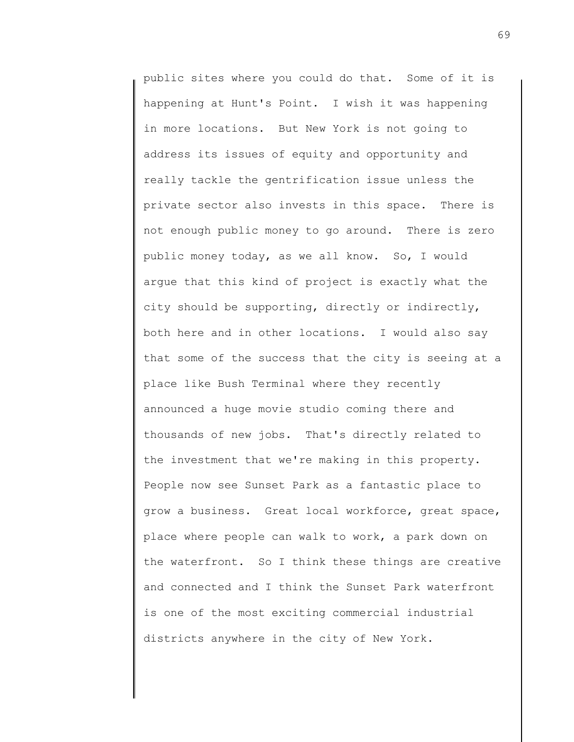public sites where you could do that. Some of it is happening at Hunt's Point. I wish it was happening in more locations. But New York is not going to address its issues of equity and opportunity and really tackle the gentrification issue unless the private sector also invests in this space. There is not enough public money to go around. There is zero public money today, as we all know. So, I would argue that this kind of project is exactly what the city should be supporting, directly or indirectly, both here and in other locations. I would also say that some of the success that the city is seeing at a place like Bush Terminal where they recently announced a huge movie studio coming there and thousands of new jobs. That's directly related to the investment that we're making in this property. People now see Sunset Park as a fantastic place to grow a business. Great local workforce, great space, place where people can walk to work, a park down on the waterfront. So I think these things are creative and connected and I think the Sunset Park waterfront is one of the most exciting commercial industrial districts anywhere in the city of New York.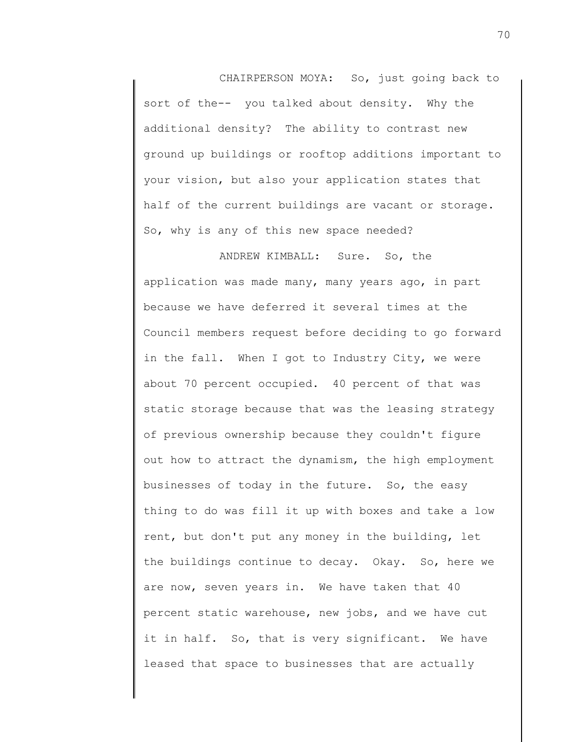CHAIRPERSON MOYA: So, just going back to sort of the-- you talked about density. Why the additional density? The ability to contrast new ground up buildings or rooftop additions important to your vision, but also your application states that half of the current buildings are vacant or storage. So, why is any of this new space needed?

ANDREW KIMBALL: Sure. So, the application was made many, many years ago, in part because we have deferred it several times at the Council members request before deciding to go forward in the fall. When I got to Industry City, we were about 70 percent occupied. 40 percent of that was static storage because that was the leasing strategy of previous ownership because they couldn't figure out how to attract the dynamism, the high employment businesses of today in the future. So, the easy thing to do was fill it up with boxes and take a low rent, but don't put any money in the building, let the buildings continue to decay. Okay. So, here we are now, seven years in. We have taken that 40 percent static warehouse, new jobs, and we have cut it in half. So, that is very significant. We have leased that space to businesses that are actually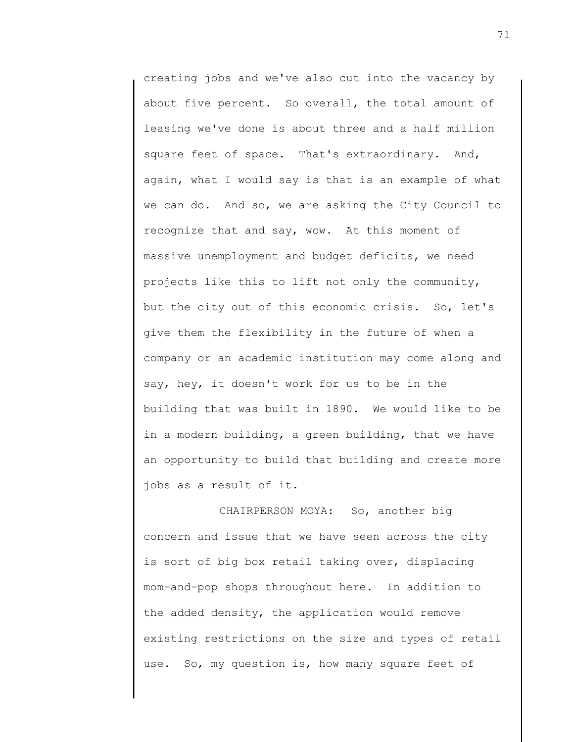creating jobs and we've also cut into the vacancy by about five percent. So overall, the total amount of leasing we've done is about three and a half million square feet of space. That's extraordinary. And, again, what I would say is that is an example of what we can do. And so, we are asking the City Council to recognize that and say, wow. At this moment of massive unemployment and budget deficits, we need projects like this to lift not only the community, but the city out of this economic crisis. So, let's give them the flexibility in the future of when a company or an academic institution may come along and say, hey, it doesn't work for us to be in the building that was built in 1890. We would like to be in a modern building, a green building, that we have an opportunity to build that building and create more jobs as a result of it.

CHAIRPERSON MOYA: So, another big concern and issue that we have seen across the city is sort of big box retail taking over, displacing mom-and-pop shops throughout here. In addition to the added density, the application would remove existing restrictions on the size and types of retail use. So, my question is, how many square feet of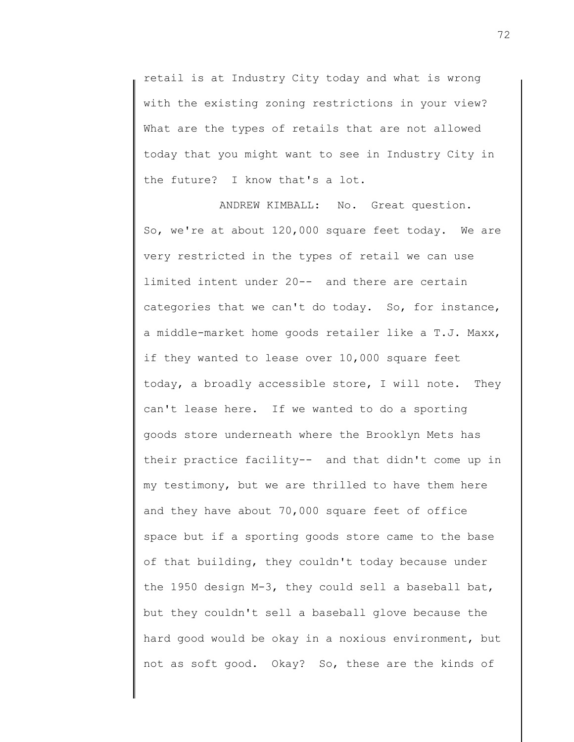retail is at Industry City today and what is wrong with the existing zoning restrictions in your view? What are the types of retails that are not allowed today that you might want to see in Industry City in the future? I know that's a lot.

ANDREW KIMBALL: No. Great question. So, we're at about 120,000 square feet today. We are very restricted in the types of retail we can use limited intent under 20-- and there are certain categories that we can't do today. So, for instance, a middle-market home goods retailer like a T.J. Maxx, if they wanted to lease over 10,000 square feet today, a broadly accessible store, I will note. They can't lease here. If we wanted to do a sporting goods store underneath where the Brooklyn Mets has their practice facility-- and that didn't come up in my testimony, but we are thrilled to have them here and they have about 70,000 square feet of office space but if a sporting goods store came to the base of that building, they couldn't today because under the 1950 design M-3, they could sell a baseball bat, but they couldn't sell a baseball glove because the hard good would be okay in a noxious environment, but not as soft good. Okay? So, these are the kinds of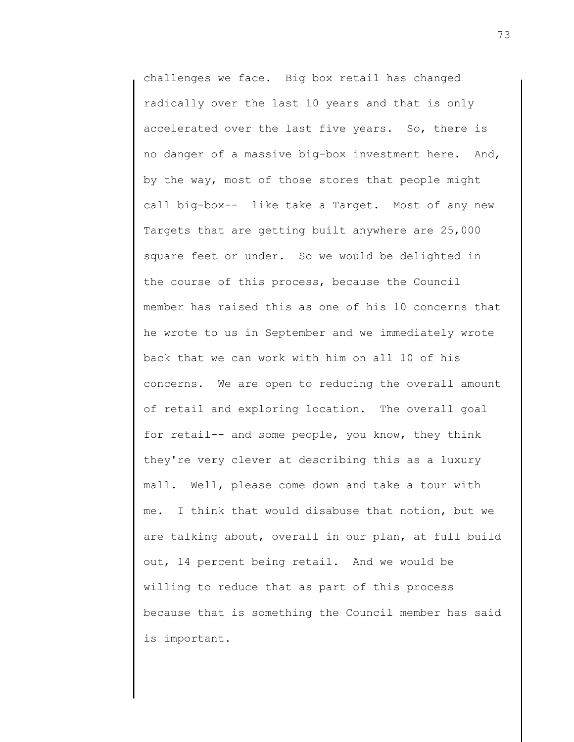challenges we face. Big box retail has changed radically over the last 10 years and that is only accelerated over the last five years. So, there is no danger of a massive big-box investment here. And, by the way, most of those stores that people might call big-box-- like take a Target. Most of any new Targets that are getting built anywhere are 25,000 square feet or under. So we would be delighted in the course of this process, because the Council member has raised this as one of his 10 concerns that he wrote to us in September and we immediately wrote back that we can work with him on all 10 of his concerns. We are open to reducing the overall amount of retail and exploring location. The overall goal for retail-- and some people, you know, they think they're very clever at describing this as a luxury mall. Well, please come down and take a tour with me. I think that would disabuse that notion, but we are talking about, overall in our plan, at full build out, 14 percent being retail. And we would be willing to reduce that as part of this process because that is something the Council member has said is important.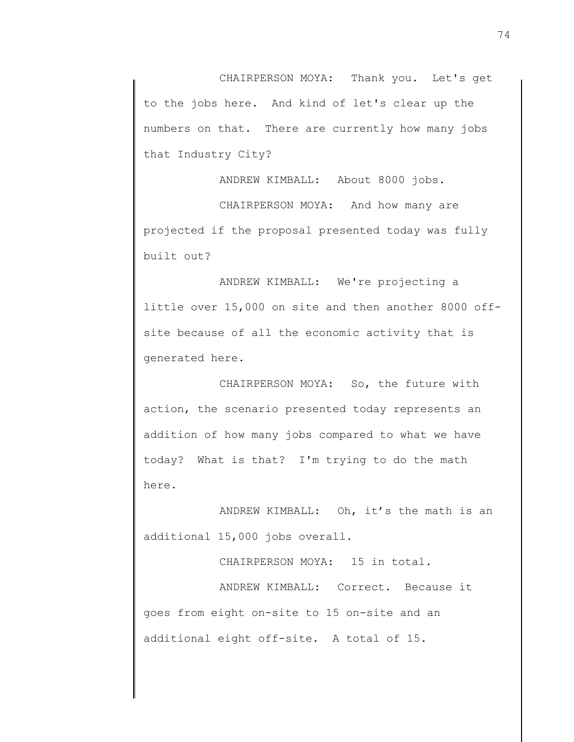CHAIRPERSON MOYA: Thank you. Let's get to the jobs here. And kind of let's clear up the numbers on that. There are currently how many jobs that Industry City?

ANDREW KIMBALL: About 8000 jobs.

CHAIRPERSON MOYA: And how many are projected if the proposal presented today was fully built out?

ANDREW KIMBALL: We're projecting a little over 15,000 on site and then another 8000 offsite because of all the economic activity that is generated here.

CHAIRPERSON MOYA: So, the future with action, the scenario presented today represents an addition of how many jobs compared to what we have today? What is that? I'm trying to do the math here.

ANDREW KIMBALL: Oh, it's the math is an additional 15,000 jobs overall.

CHAIRPERSON MOYA: 15 in total. ANDREW KIMBALL: Correct. Because it goes from eight on-site to 15 on-site and an additional eight off-site. A total of 15.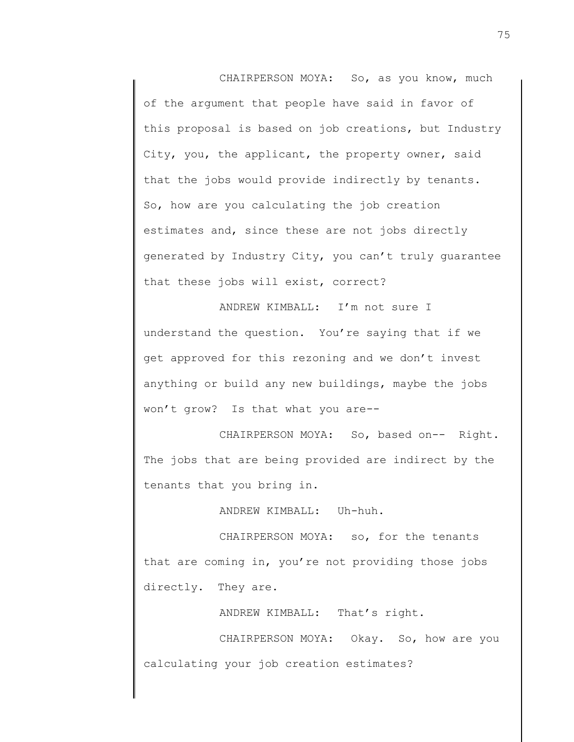CHAIRPERSON MOYA: So, as you know, much of the argument that people have said in favor of this proposal is based on job creations, but Industry City, you, the applicant, the property owner, said that the jobs would provide indirectly by tenants. So, how are you calculating the job creation estimates and, since these are not jobs directly generated by Industry City, you can't truly guarantee that these jobs will exist, correct?

ANDREW KIMBALL: I'm not sure I understand the question. You're saying that if we get approved for this rezoning and we don't invest anything or build any new buildings, maybe the jobs won't grow? Is that what you are--

CHAIRPERSON MOYA: So, based on-- Right. The jobs that are being provided are indirect by the tenants that you bring in.

ANDREW KIMBALL: Uh-huh.

CHAIRPERSON MOYA: so, for the tenants that are coming in, you're not providing those jobs directly. They are.

ANDREW KIMBALL: That's right.

CHAIRPERSON MOYA: Okay. So, how are you calculating your job creation estimates?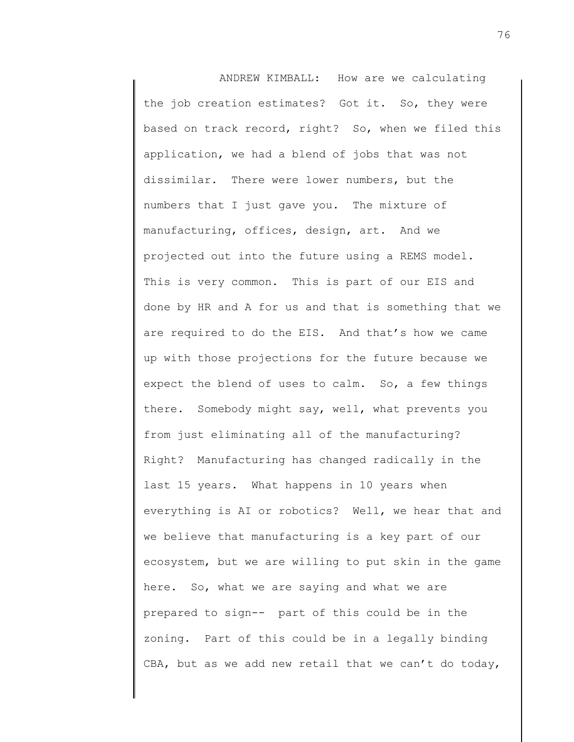ANDREW KIMBALL: How are we calculating the job creation estimates? Got it. So, they were based on track record, right? So, when we filed this application, we had a blend of jobs that was not dissimilar. There were lower numbers, but the numbers that I just gave you. The mixture of manufacturing, offices, design, art. And we projected out into the future using a REMS model. This is very common. This is part of our EIS and done by HR and A for us and that is something that we are required to do the EIS. And that's how we came up with those projections for the future because we expect the blend of uses to calm. So, a few things there. Somebody might say, well, what prevents you from just eliminating all of the manufacturing? Right? Manufacturing has changed radically in the last 15 years. What happens in 10 years when everything is AI or robotics? Well, we hear that and we believe that manufacturing is a key part of our ecosystem, but we are willing to put skin in the game here. So, what we are saying and what we are prepared to sign-- part of this could be in the zoning. Part of this could be in a legally binding CBA, but as we add new retail that we can't do today,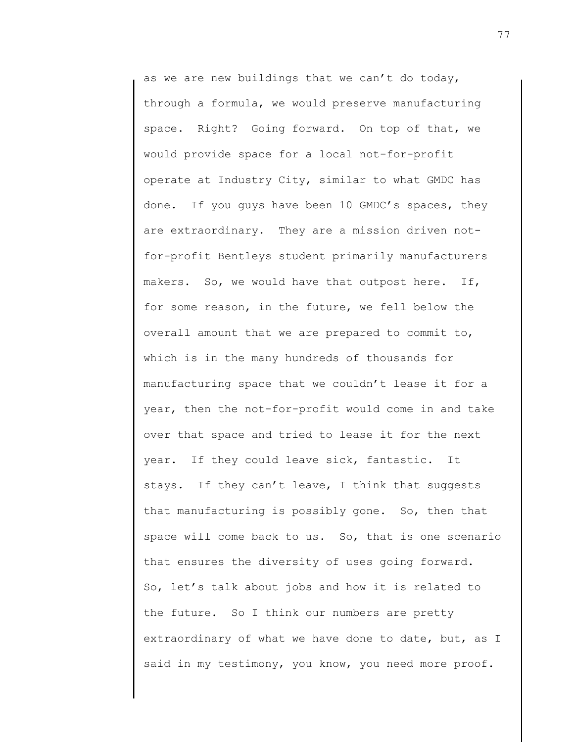as we are new buildings that we can't do today, through a formula, we would preserve manufacturing space. Right? Going forward. On top of that, we would provide space for a local not-for-profit operate at Industry City, similar to what GMDC has done. If you guys have been 10 GMDC's spaces, they are extraordinary. They are a mission driven notfor-profit Bentleys student primarily manufacturers makers. So, we would have that outpost here. If, for some reason, in the future, we fell below the overall amount that we are prepared to commit to, which is in the many hundreds of thousands for manufacturing space that we couldn't lease it for a year, then the not-for-profit would come in and take over that space and tried to lease it for the next year. If they could leave sick, fantastic. It stays. If they can't leave, I think that suggests that manufacturing is possibly gone. So, then that space will come back to us. So, that is one scenario that ensures the diversity of uses going forward. So, let's talk about jobs and how it is related to the future. So I think our numbers are pretty extraordinary of what we have done to date, but, as I said in my testimony, you know, you need more proof.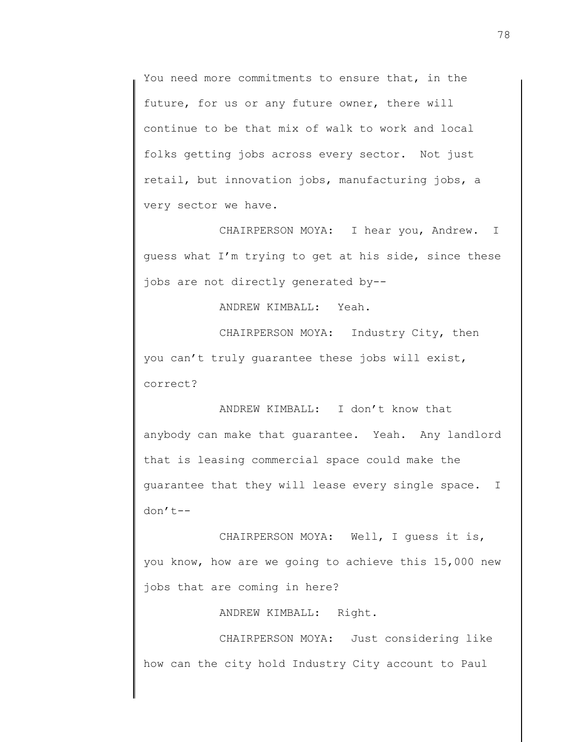You need more commitments to ensure that, in the future, for us or any future owner, there will continue to be that mix of walk to work and local folks getting jobs across every sector. Not just retail, but innovation jobs, manufacturing jobs, a very sector we have.

CHAIRPERSON MOYA: I hear you, Andrew. I guess what I'm trying to get at his side, since these jobs are not directly generated by--

ANDREW KIMBALL: Yeah.

CHAIRPERSON MOYA: Industry City, then you can't truly guarantee these jobs will exist, correct?

ANDREW KIMBALL: I don't know that anybody can make that guarantee. Yeah. Any landlord that is leasing commercial space could make the guarantee that they will lease every single space. I don't--

CHAIRPERSON MOYA: Well, I guess it is, you know, how are we going to achieve this 15,000 new jobs that are coming in here?

ANDREW KIMBALL: Right.

CHAIRPERSON MOYA: Just considering like how can the city hold Industry City account to Paul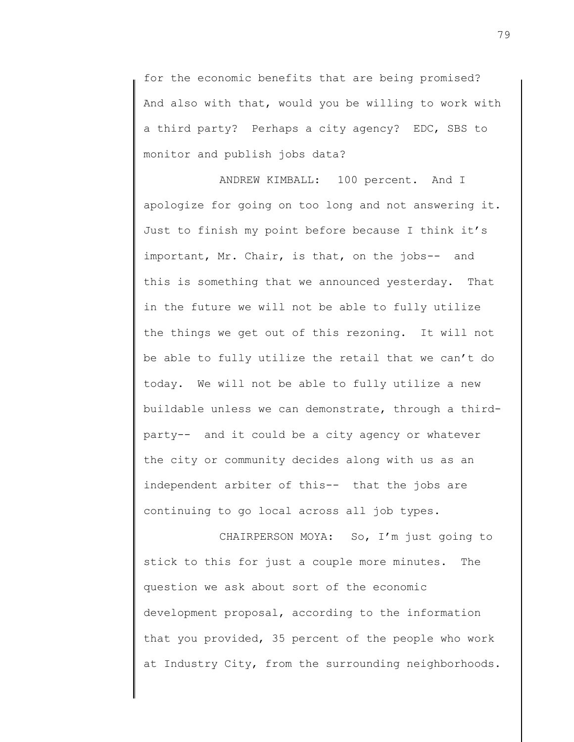for the economic benefits that are being promised? And also with that, would you be willing to work with a third party? Perhaps a city agency? EDC, SBS to monitor and publish jobs data?

ANDREW KIMBALL: 100 percent. And I apologize for going on too long and not answering it. Just to finish my point before because I think it's important, Mr. Chair, is that, on the jobs-- and this is something that we announced yesterday. That in the future we will not be able to fully utilize the things we get out of this rezoning. It will not be able to fully utilize the retail that we can't do today. We will not be able to fully utilize a new buildable unless we can demonstrate, through a thirdparty-- and it could be a city agency or whatever the city or community decides along with us as an independent arbiter of this-- that the jobs are continuing to go local across all job types.

CHAIRPERSON MOYA: So, I'm just going to stick to this for just a couple more minutes. The question we ask about sort of the economic development proposal, according to the information that you provided, 35 percent of the people who work at Industry City, from the surrounding neighborhoods.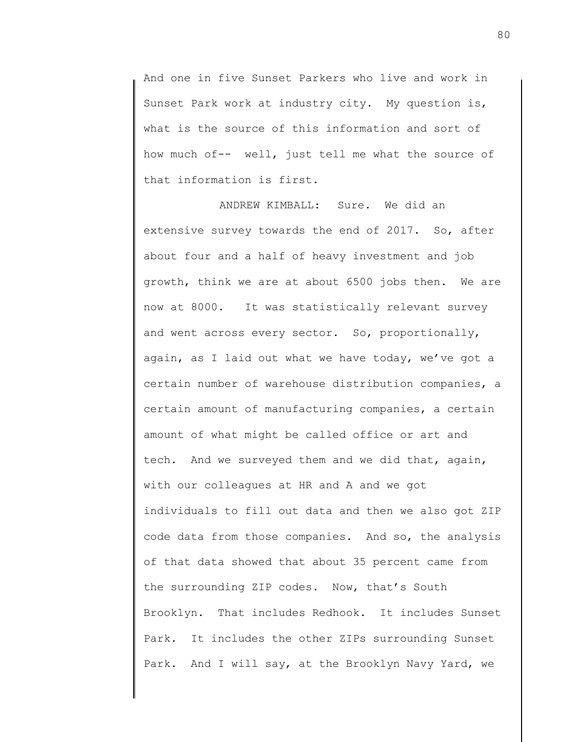And one in five Sunset Parkers who live and work in Sunset Park work at industry city. My question is, what is the source of this information and sort of how much of-- well, just tell me what the source of that information is first.

ANDREW KIMBALL: Sure. We did an extensive survey towards the end of 2017. So, after about four and a half of heavy investment and job growth, think we are at about 6500 jobs then. We are now at 8000. It was statistically relevant survey and went across every sector. So, proportionally, again, as I laid out what we have today, we've got a certain number of warehouse distribution companies, a certain amount of manufacturing companies, a certain amount of what might be called office or art and tech. And we surveyed them and we did that, again, with our colleagues at HR and A and we got individuals to fill out data and then we also got ZIP code data from those companies. And so, the analysis of that data showed that about 35 percent came from the surrounding ZIP codes. Now, that's South Brooklyn. That includes Redhook. It includes Sunset Park. It includes the other ZIPs surrounding Sunset Park. And I will say, at the Brooklyn Navy Yard, we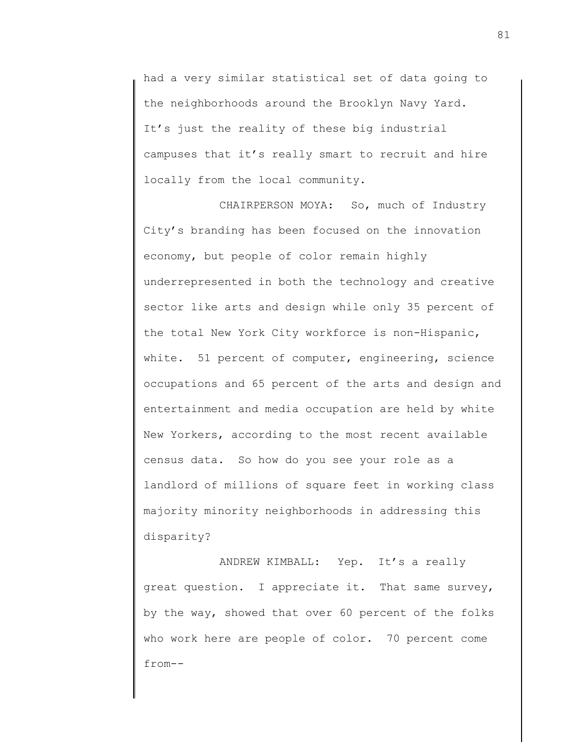had a very similar statistical set of data going to the neighborhoods around the Brooklyn Navy Yard. It's just the reality of these big industrial campuses that it's really smart to recruit and hire locally from the local community.

CHAIRPERSON MOYA: So, much of Industry City's branding has been focused on the innovation economy, but people of color remain highly underrepresented in both the technology and creative sector like arts and design while only 35 percent of the total New York City workforce is non-Hispanic, white. 51 percent of computer, engineering, science occupations and 65 percent of the arts and design and entertainment and media occupation are held by white New Yorkers, according to the most recent available census data. So how do you see your role as a landlord of millions of square feet in working class majority minority neighborhoods in addressing this disparity?

ANDREW KIMBALL: Yep. It's a really great question. I appreciate it. That same survey, by the way, showed that over 60 percent of the folks who work here are people of color. 70 percent come from--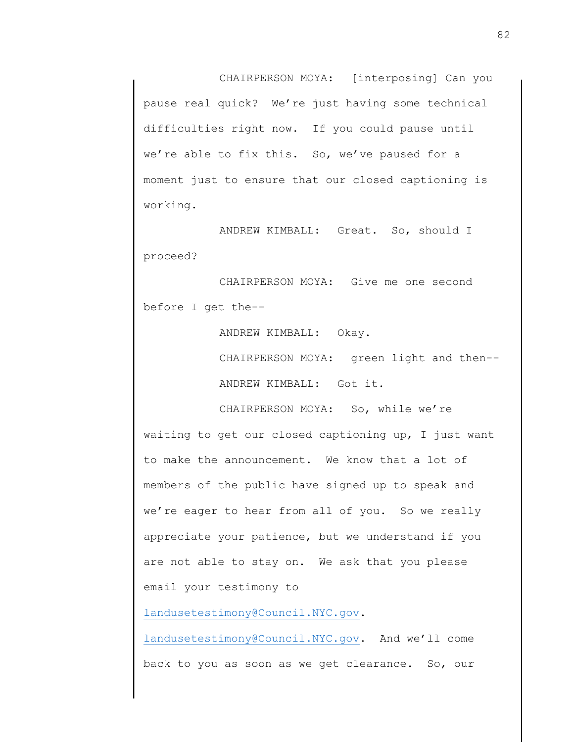CHAIRPERSON MOYA: [interposing] Can you pause real quick? We're just having some technical difficulties right now. If you could pause until we're able to fix this. So, we've paused for a moment just to ensure that our closed captioning is working.

ANDREW KIMBALL: Great. So, should I proceed?

CHAIRPERSON MOYA: Give me one second before I get the--

ANDREW KIMBALL: Okay.

CHAIRPERSON MOYA: green light and then-- ANDREW KIMBALL: Got it.

CHAIRPERSON MOYA: So, while we're waiting to get our closed captioning up, I just want to make the announcement. We know that a lot of members of the public have signed up to speak and we're eager to hear from all of you. So we really appreciate your patience, but we understand if you are not able to stay on. We ask that you please email your testimony to

[landusetestimony@Council.NYC.gov.](mailto:landusetestimony@Council.NYC.gov)

[landusetestimony@Council.NYC.gov.](mailto:landusetestimony@Council.NYC.gov) And we'll come back to you as soon as we get clearance. So, our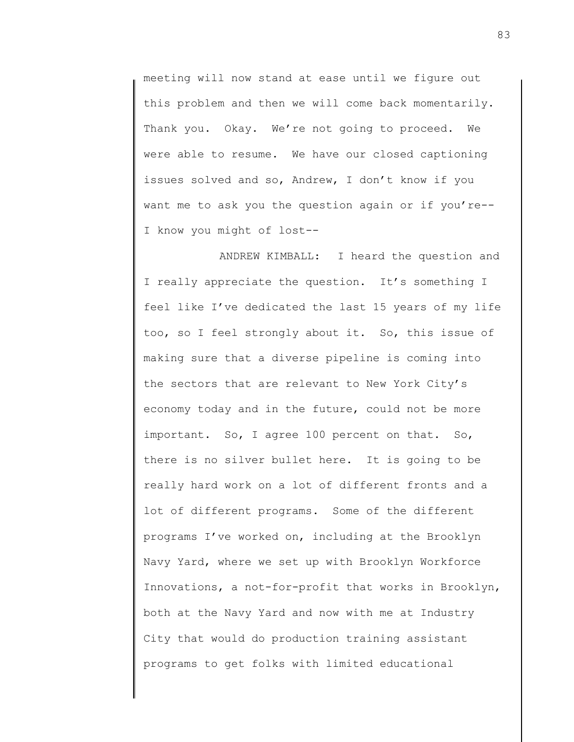meeting will now stand at ease until we figure out this problem and then we will come back momentarily. Thank you. Okay. We're not going to proceed. We were able to resume. We have our closed captioning issues solved and so, Andrew, I don't know if you want me to ask you the question again or if you're-- I know you might of lost--

ANDREW KIMBALL: I heard the question and I really appreciate the question. It's something I feel like I've dedicated the last 15 years of my life too, so I feel strongly about it. So, this issue of making sure that a diverse pipeline is coming into the sectors that are relevant to New York City's economy today and in the future, could not be more important. So, I agree 100 percent on that. So, there is no silver bullet here. It is going to be really hard work on a lot of different fronts and a lot of different programs. Some of the different programs I've worked on, including at the Brooklyn Navy Yard, where we set up with Brooklyn Workforce Innovations, a not-for-profit that works in Brooklyn, both at the Navy Yard and now with me at Industry City that would do production training assistant programs to get folks with limited educational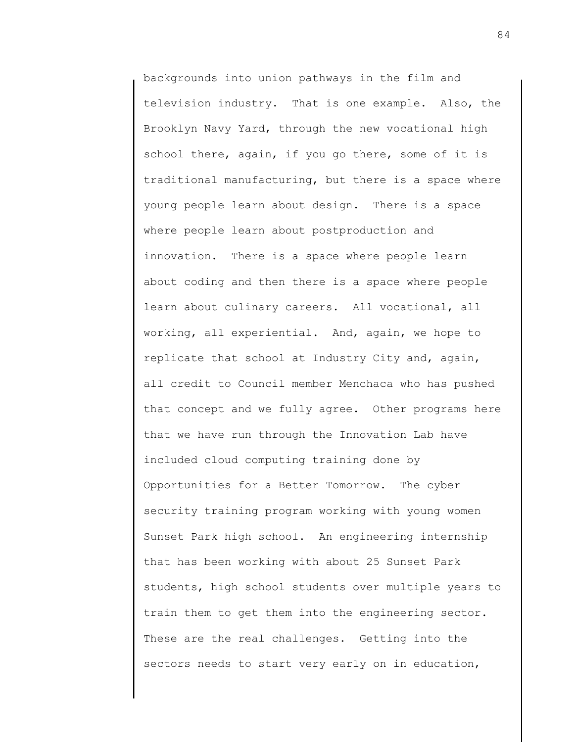backgrounds into union pathways in the film and television industry. That is one example. Also, the Brooklyn Navy Yard, through the new vocational high school there, again, if you go there, some of it is traditional manufacturing, but there is a space where young people learn about design. There is a space where people learn about postproduction and innovation. There is a space where people learn about coding and then there is a space where people learn about culinary careers. All vocational, all working, all experiential. And, again, we hope to replicate that school at Industry City and, again, all credit to Council member Menchaca who has pushed that concept and we fully agree. Other programs here that we have run through the Innovation Lab have included cloud computing training done by Opportunities for a Better Tomorrow. The cyber security training program working with young women Sunset Park high school. An engineering internship that has been working with about 25 Sunset Park students, high school students over multiple years to train them to get them into the engineering sector. These are the real challenges. Getting into the sectors needs to start very early on in education,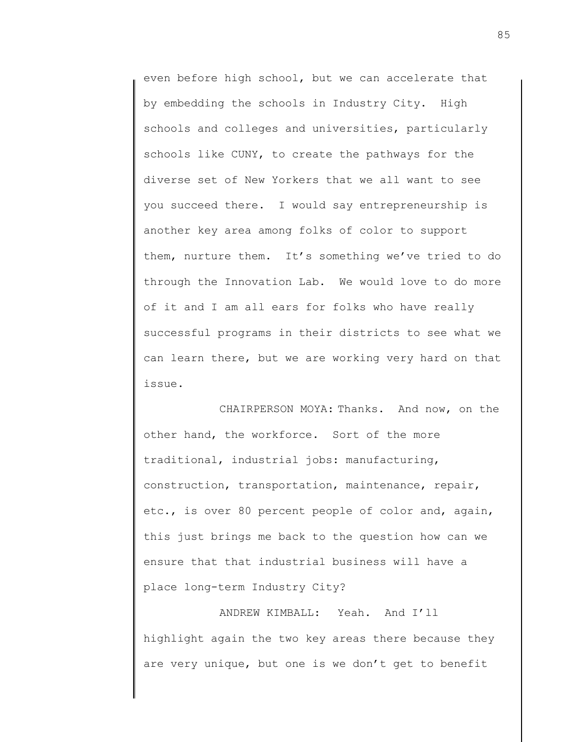even before high school, but we can accelerate that by embedding the schools in Industry City. High schools and colleges and universities, particularly schools like CUNY, to create the pathways for the diverse set of New Yorkers that we all want to see you succeed there. I would say entrepreneurship is another key area among folks of color to support them, nurture them. It's something we've tried to do through the Innovation Lab. We would love to do more of it and I am all ears for folks who have really successful programs in their districts to see what we can learn there, but we are working very hard on that issue.

CHAIRPERSON MOYA: Thanks. And now, on the other hand, the workforce. Sort of the more traditional, industrial jobs: manufacturing, construction, transportation, maintenance, repair, etc., is over 80 percent people of color and, again, this just brings me back to the question how can we ensure that that industrial business will have a place long-term Industry City?

ANDREW KIMBALL: Yeah. And I'll highlight again the two key areas there because they are very unique, but one is we don't get to benefit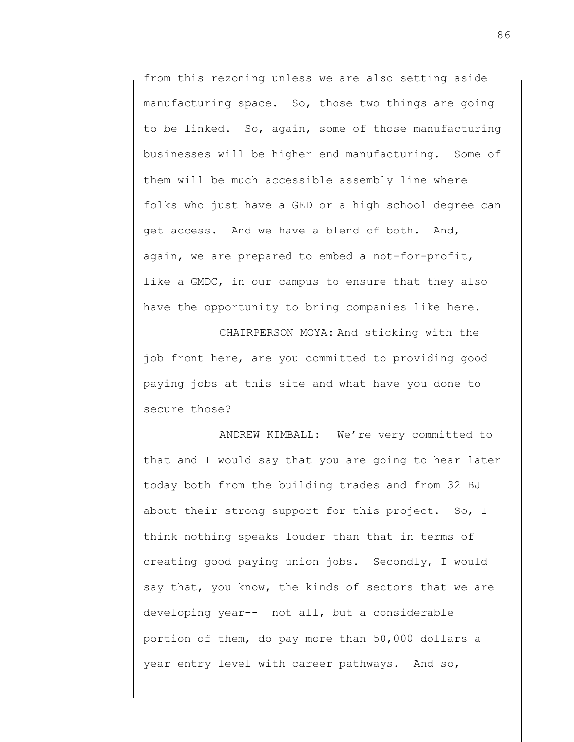from this rezoning unless we are also setting aside manufacturing space. So, those two things are going to be linked. So, again, some of those manufacturing businesses will be higher end manufacturing. Some of them will be much accessible assembly line where folks who just have a GED or a high school degree can get access. And we have a blend of both. And, again, we are prepared to embed a not-for-profit, like a GMDC, in our campus to ensure that they also have the opportunity to bring companies like here.

CHAIRPERSON MOYA: And sticking with the job front here, are you committed to providing good paying jobs at this site and what have you done to secure those?

ANDREW KIMBALL: We're very committed to that and I would say that you are going to hear later today both from the building trades and from 32 BJ about their strong support for this project. So, I think nothing speaks louder than that in terms of creating good paying union jobs. Secondly, I would say that, you know, the kinds of sectors that we are developing year-- not all, but a considerable portion of them, do pay more than 50,000 dollars a year entry level with career pathways. And so,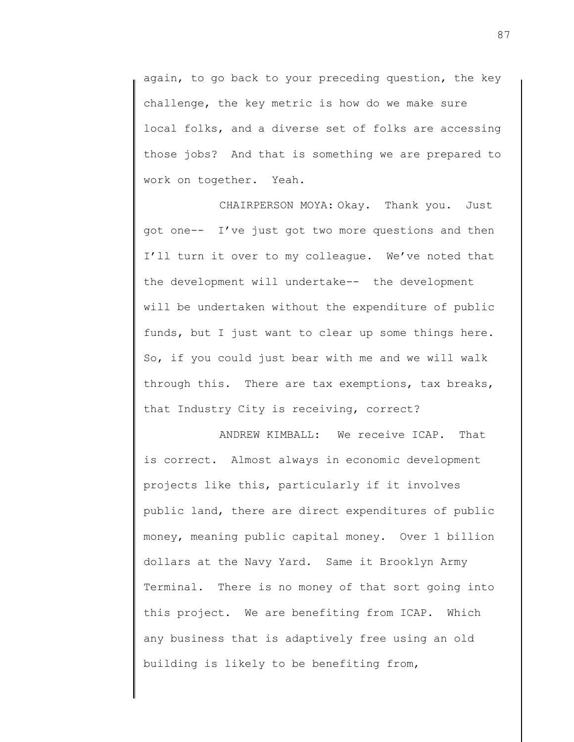again, to go back to your preceding question, the key challenge, the key metric is how do we make sure local folks, and a diverse set of folks are accessing those jobs? And that is something we are prepared to work on together. Yeah.

CHAIRPERSON MOYA: Okay. Thank you. Just got one-- I've just got two more questions and then I'll turn it over to my colleague. We've noted that the development will undertake-- the development will be undertaken without the expenditure of public funds, but I just want to clear up some things here. So, if you could just bear with me and we will walk through this. There are tax exemptions, tax breaks, that Industry City is receiving, correct?

ANDREW KIMBALL: We receive ICAP. That is correct. Almost always in economic development projects like this, particularly if it involves public land, there are direct expenditures of public money, meaning public capital money. Over 1 billion dollars at the Navy Yard. Same it Brooklyn Army Terminal. There is no money of that sort going into this project. We are benefiting from ICAP. Which any business that is adaptively free using an old building is likely to be benefiting from,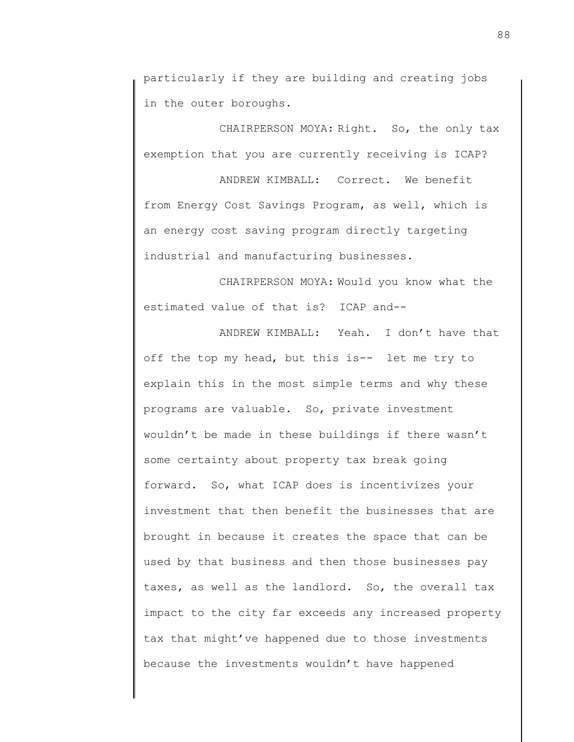particularly if they are building and creating jobs in the outer boroughs.

CHAIRPERSON MOYA: Right. So, the only tax exemption that you are currently receiving is ICAP?

ANDREW KIMBALL: Correct. We benefit from Energy Cost Savings Program, as well, which is an energy cost saving program directly targeting industrial and manufacturing businesses.

CHAIRPERSON MOYA: Would you know what the estimated value of that is? ICAP and--

ANDREW KIMBALL: Yeah. I don't have that off the top my head, but this is-- let me try to explain this in the most simple terms and why these programs are valuable. So, private investment wouldn't be made in these buildings if there wasn't some certainty about property tax break going forward. So, what ICAP does is incentivizes your investment that then benefit the businesses that are brought in because it creates the space that can be used by that business and then those businesses pay taxes, as well as the landlord. So, the overall tax impact to the city far exceeds any increased property tax that might've happened due to those investments because the investments wouldn't have happened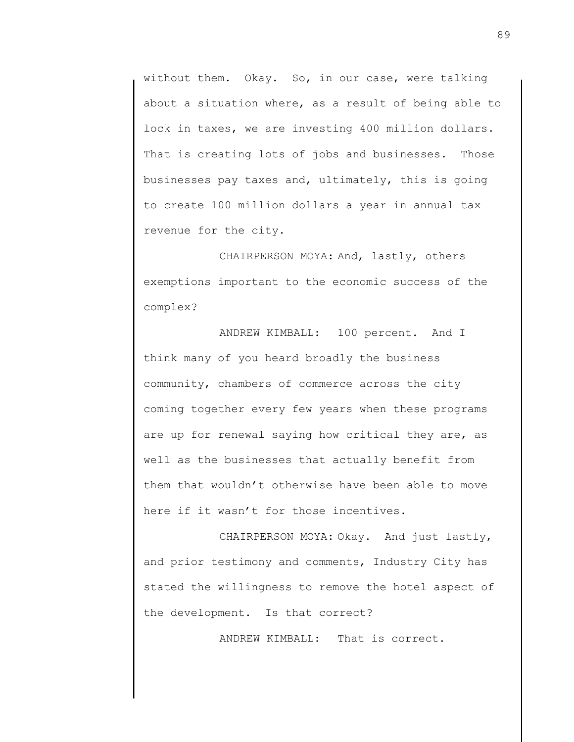without them. Okay. So, in our case, were talking about a situation where, as a result of being able to lock in taxes, we are investing 400 million dollars. That is creating lots of jobs and businesses. Those businesses pay taxes and, ultimately, this is going to create 100 million dollars a year in annual tax revenue for the city.

CHAIRPERSON MOYA: And, lastly, others exemptions important to the economic success of the complex?

ANDREW KIMBALL: 100 percent. And I think many of you heard broadly the business community, chambers of commerce across the city coming together every few years when these programs are up for renewal saying how critical they are, as well as the businesses that actually benefit from them that wouldn't otherwise have been able to move here if it wasn't for those incentives.

CHAIRPERSON MOYA: Okay. And just lastly, and prior testimony and comments, Industry City has stated the willingness to remove the hotel aspect of the development. Is that correct?

ANDREW KIMBALL: That is correct.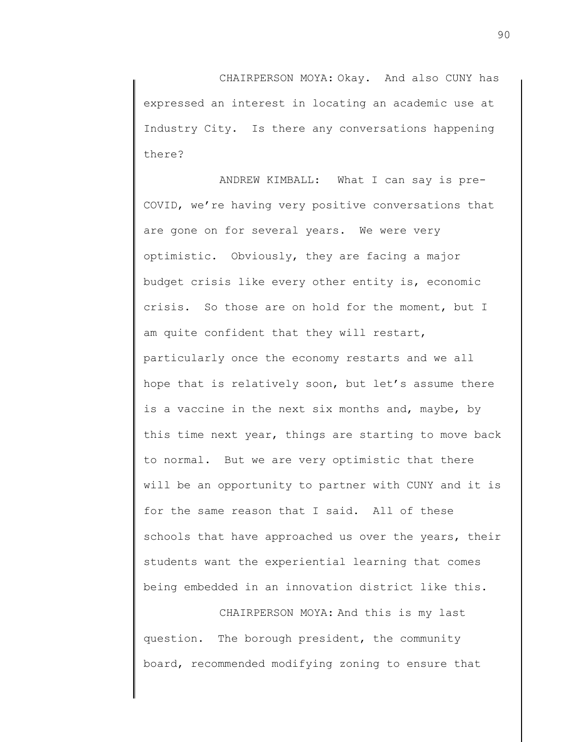CHAIRPERSON MOYA: Okay. And also CUNY has expressed an interest in locating an academic use at Industry City. Is there any conversations happening there?

ANDREW KIMBALL: What I can say is pre-COVID, we're having very positive conversations that are gone on for several years. We were very optimistic. Obviously, they are facing a major budget crisis like every other entity is, economic crisis. So those are on hold for the moment, but I am quite confident that they will restart, particularly once the economy restarts and we all hope that is relatively soon, but let's assume there is a vaccine in the next six months and, maybe, by this time next year, things are starting to move back to normal. But we are very optimistic that there will be an opportunity to partner with CUNY and it is for the same reason that I said. All of these schools that have approached us over the years, their students want the experiential learning that comes being embedded in an innovation district like this.

CHAIRPERSON MOYA: And this is my last question. The borough president, the community board, recommended modifying zoning to ensure that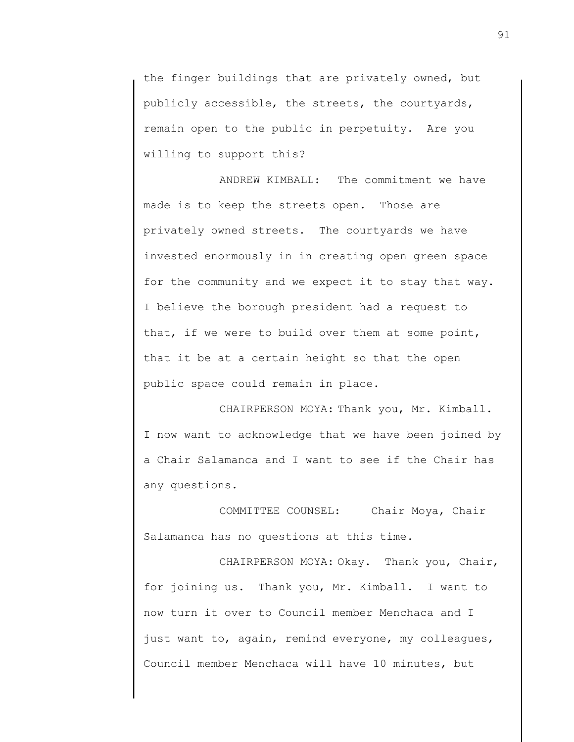the finger buildings that are privately owned, but publicly accessible, the streets, the courtyards, remain open to the public in perpetuity. Are you willing to support this?

ANDREW KIMBALL: The commitment we have made is to keep the streets open. Those are privately owned streets. The courtyards we have invested enormously in in creating open green space for the community and we expect it to stay that way. I believe the borough president had a request to that, if we were to build over them at some point, that it be at a certain height so that the open public space could remain in place.

CHAIRPERSON MOYA: Thank you, Mr. Kimball. I now want to acknowledge that we have been joined by a Chair Salamanca and I want to see if the Chair has any questions.

COMMITTEE COUNSEL: Chair Moya, Chair Salamanca has no questions at this time.

CHAIRPERSON MOYA: Okay. Thank you, Chair, for joining us. Thank you, Mr. Kimball. I want to now turn it over to Council member Menchaca and I just want to, again, remind everyone, my colleagues, Council member Menchaca will have 10 minutes, but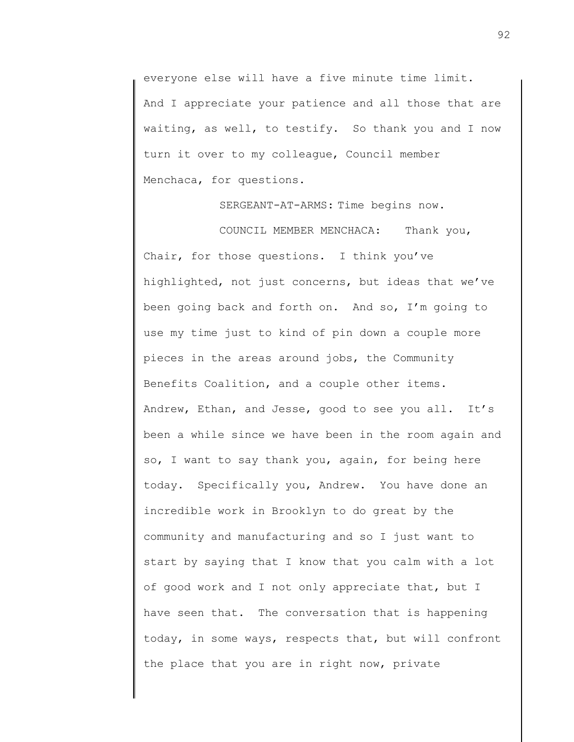everyone else will have a five minute time limit. And I appreciate your patience and all those that are waiting, as well, to testify. So thank you and I now turn it over to my colleague, Council member Menchaca, for questions.

SERGEANT-AT-ARMS: Time begins now.

COUNCIL MEMBER MENCHACA: Thank you, Chair, for those questions. I think you've highlighted, not just concerns, but ideas that we've been going back and forth on. And so, I'm going to use my time just to kind of pin down a couple more pieces in the areas around jobs, the Community Benefits Coalition, and a couple other items. Andrew, Ethan, and Jesse, good to see you all. It's been a while since we have been in the room again and so, I want to say thank you, again, for being here today. Specifically you, Andrew. You have done an incredible work in Brooklyn to do great by the community and manufacturing and so I just want to start by saying that I know that you calm with a lot of good work and I not only appreciate that, but I have seen that. The conversation that is happening today, in some ways, respects that, but will confront the place that you are in right now, private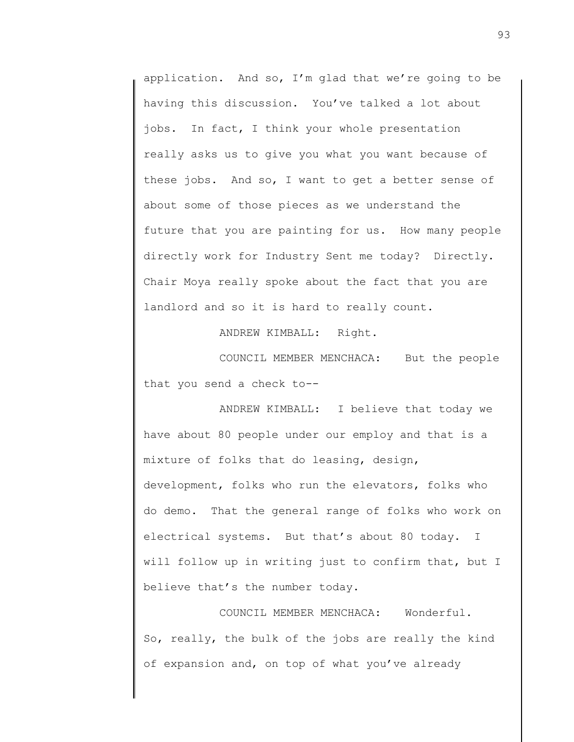application. And so, I'm glad that we're going to be having this discussion. You've talked a lot about jobs. In fact, I think your whole presentation really asks us to give you what you want because of these jobs. And so, I want to get a better sense of about some of those pieces as we understand the future that you are painting for us. How many people directly work for Industry Sent me today? Directly. Chair Moya really spoke about the fact that you are landlord and so it is hard to really count.

ANDREW KIMBALL: Right.

COUNCIL MEMBER MENCHACA: But the people that you send a check to--

ANDREW KIMBALL: I believe that today we have about 80 people under our employ and that is a mixture of folks that do leasing, design, development, folks who run the elevators, folks who do demo. That the general range of folks who work on electrical systems. But that's about 80 today. I will follow up in writing just to confirm that, but I believe that's the number today.

COUNCIL MEMBER MENCHACA: Wonderful. So, really, the bulk of the jobs are really the kind of expansion and, on top of what you've already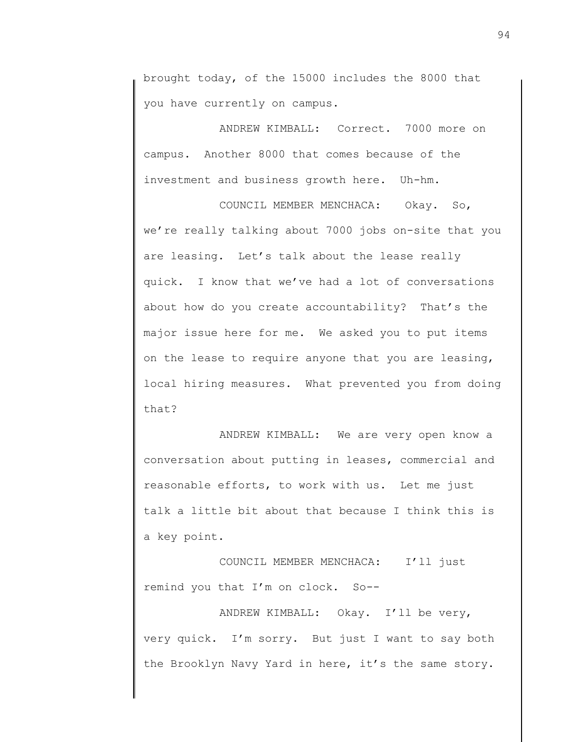brought today, of the 15000 includes the 8000 that you have currently on campus.

ANDREW KIMBALL: Correct. 7000 more on campus. Another 8000 that comes because of the investment and business growth here. Uh-hm.

COUNCIL MEMBER MENCHACA: Okay. So, we're really talking about 7000 jobs on-site that you are leasing. Let's talk about the lease really quick. I know that we've had a lot of conversations about how do you create accountability? That's the major issue here for me. We asked you to put items on the lease to require anyone that you are leasing, local hiring measures. What prevented you from doing that?

ANDREW KIMBALL: We are very open know a conversation about putting in leases, commercial and reasonable efforts, to work with us. Let me just talk a little bit about that because I think this is a key point.

COUNCIL MEMBER MENCHACA: I'll just remind you that I'm on clock. So--

ANDREW KIMBALL: Okay. I'll be very, very quick. I'm sorry. But just I want to say both the Brooklyn Navy Yard in here, it's the same story.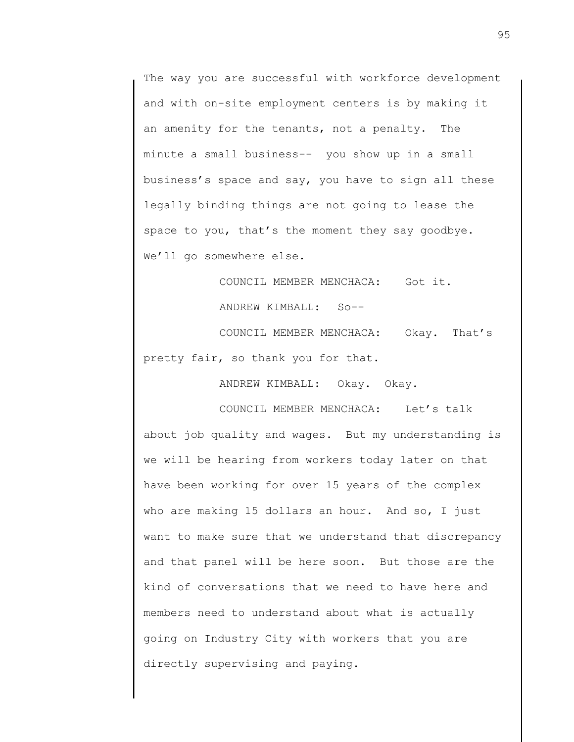The way you are successful with workforce development and with on-site employment centers is by making it an amenity for the tenants, not a penalty. The minute a small business-- you show up in a small business's space and say, you have to sign all these legally binding things are not going to lease the space to you, that's the moment they say goodbye. We'll go somewhere else.

> COUNCIL MEMBER MENCHACA: Got it. ANDREW KIMBALL: So--

COUNCIL MEMBER MENCHACA: Okay. That's pretty fair, so thank you for that.

ANDREW KIMBALL: Okay. Okay.

COUNCIL MEMBER MENCHACA: Let's talk about job quality and wages. But my understanding is we will be hearing from workers today later on that have been working for over 15 years of the complex who are making 15 dollars an hour. And so, I just want to make sure that we understand that discrepancy and that panel will be here soon. But those are the kind of conversations that we need to have here and members need to understand about what is actually going on Industry City with workers that you are directly supervising and paying.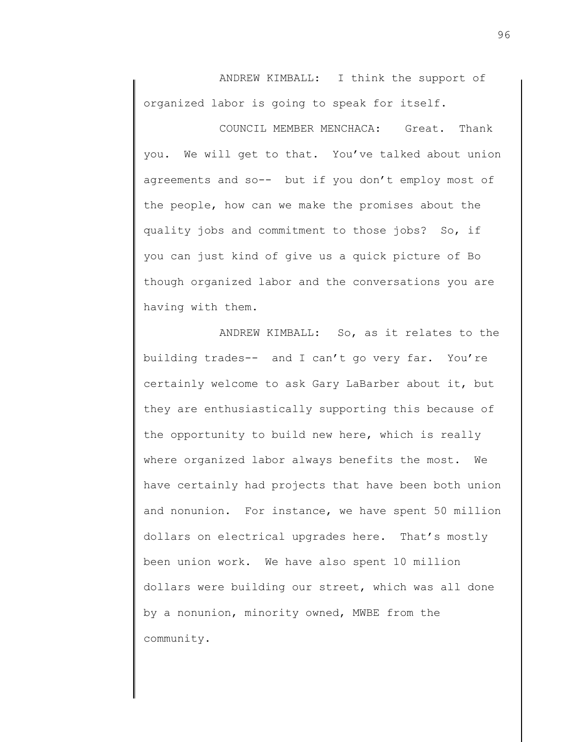ANDREW KIMBALL: I think the support of organized labor is going to speak for itself.

COUNCIL MEMBER MENCHACA: Great. Thank you. We will get to that. You've talked about union agreements and so-- but if you don't employ most of the people, how can we make the promises about the quality jobs and commitment to those jobs? So, if you can just kind of give us a quick picture of Bo though organized labor and the conversations you are having with them.

ANDREW KIMBALL: So, as it relates to the building trades-- and I can't go very far. You're certainly welcome to ask Gary LaBarber about it, but they are enthusiastically supporting this because of the opportunity to build new here, which is really where organized labor always benefits the most. We have certainly had projects that have been both union and nonunion. For instance, we have spent 50 million dollars on electrical upgrades here. That's mostly been union work. We have also spent 10 million dollars were building our street, which was all done by a nonunion, minority owned, MWBE from the community.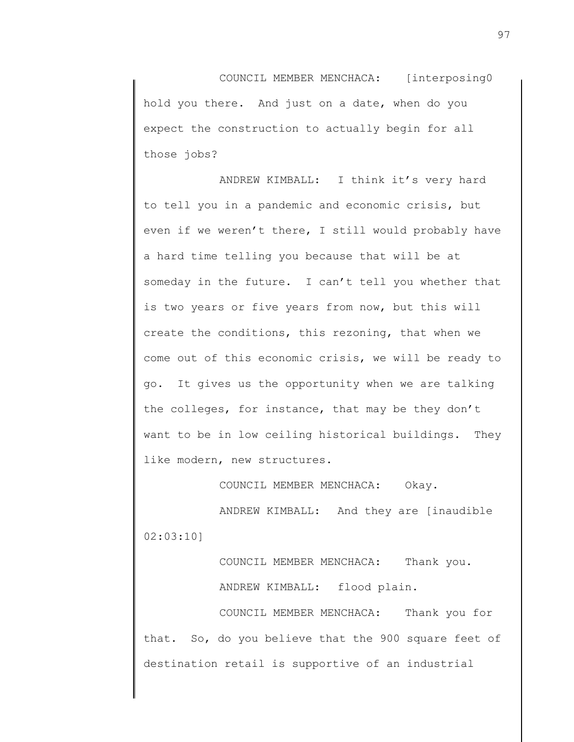COUNCIL MEMBER MENCHACA: [interposing0 hold you there. And just on a date, when do you expect the construction to actually begin for all those jobs?

ANDREW KIMBALL: I think it's very hard to tell you in a pandemic and economic crisis, but even if we weren't there, I still would probably have a hard time telling you because that will be at someday in the future. I can't tell you whether that is two years or five years from now, but this will create the conditions, this rezoning, that when we come out of this economic crisis, we will be ready to go. It gives us the opportunity when we are talking the colleges, for instance, that may be they don't want to be in low ceiling historical buildings. They like modern, new structures.

COUNCIL MEMBER MENCHACA: Okay.

ANDREW KIMBALL: And they are [inaudible 02:03:10]

> COUNCIL MEMBER MENCHACA: Thank you. ANDREW KIMBALL: flood plain.

COUNCIL MEMBER MENCHACA: Thank you for that. So, do you believe that the 900 square feet of destination retail is supportive of an industrial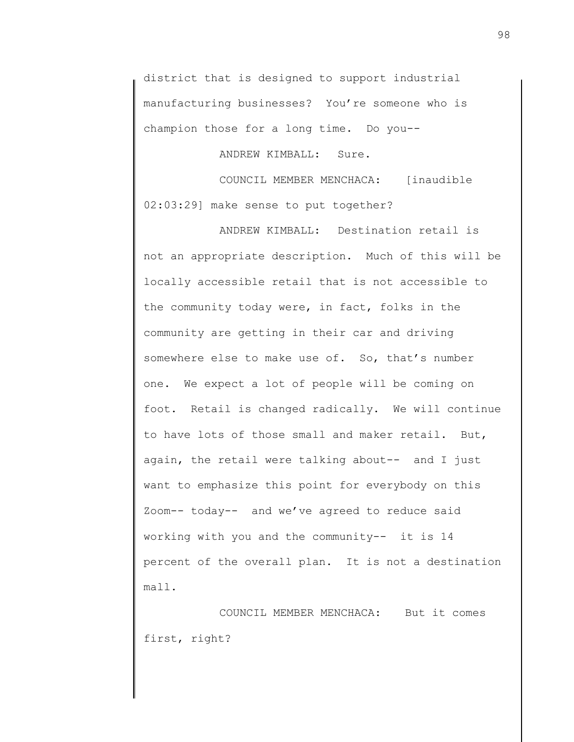district that is designed to support industrial manufacturing businesses? You're someone who is champion those for a long time. Do you--

ANDREW KIMBALL: Sure.

COUNCIL MEMBER MENCHACA: [inaudible 02:03:29] make sense to put together?

ANDREW KIMBALL: Destination retail is not an appropriate description. Much of this will be locally accessible retail that is not accessible to the community today were, in fact, folks in the community are getting in their car and driving somewhere else to make use of. So, that's number one. We expect a lot of people will be coming on foot. Retail is changed radically. We will continue to have lots of those small and maker retail. But, again, the retail were talking about-- and I just want to emphasize this point for everybody on this Zoom-- today-- and we've agreed to reduce said working with you and the community-- it is 14 percent of the overall plan. It is not a destination mall.

COUNCIL MEMBER MENCHACA: But it comes first, right?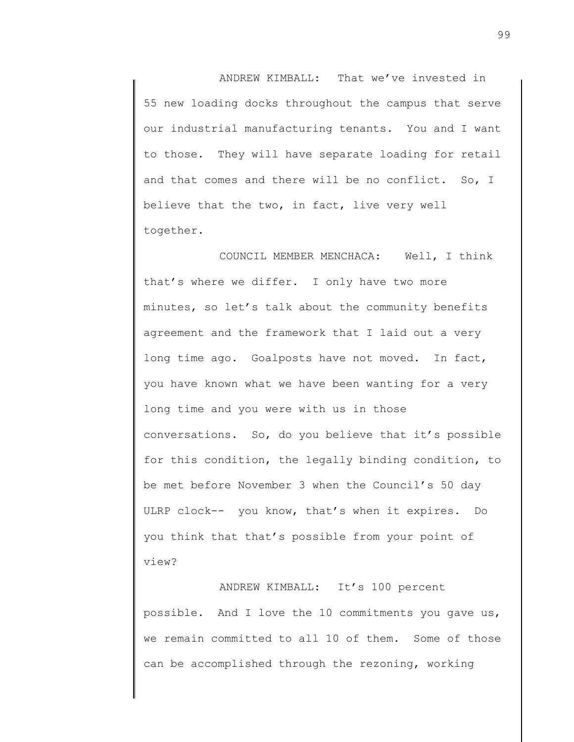ANDREW KIMBALL: That we've invested in 55 new loading docks throughout the campus that serve our industrial manufacturing tenants. You and I want to those. They will have separate loading for retail and that comes and there will be no conflict. So, I believe that the two, in fact, live very well together.

COUNCIL MEMBER MENCHACA: Well, I think that's where we differ. I only have two more minutes, so let's talk about the community benefits agreement and the framework that I laid out a very long time ago. Goalposts have not moved. In fact, you have known what we have been wanting for a very long time and you were with us in those conversations. So, do you believe that it's possible for this condition, the legally binding condition, to be met before November 3 when the Council's 50 day ULRP clock-- you know, that's when it expires. Do you think that that's possible from your point of view?

ANDREW KIMBALL: It's 100 percent possible. And I love the 10 commitments you gave us, we remain committed to all 10 of them. Some of those can be accomplished through the rezoning, working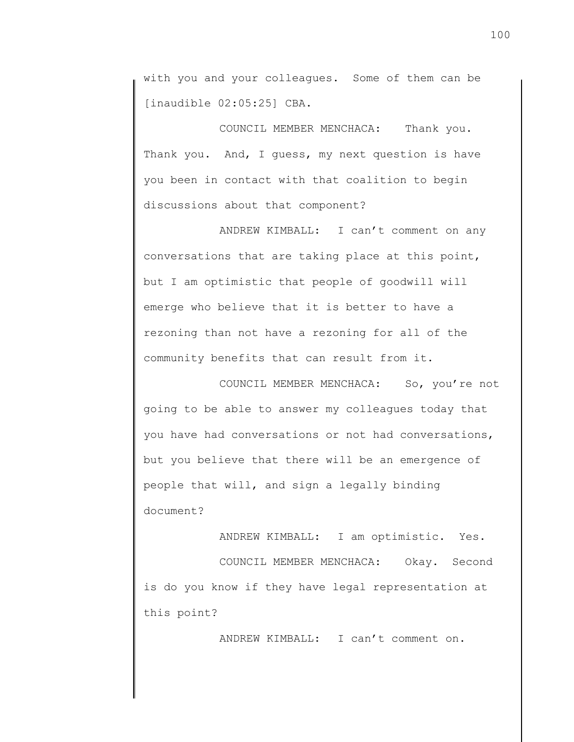with you and your colleagues. Some of them can be [inaudible 02:05:25] CBA.

COUNCIL MEMBER MENCHACA: Thank you. Thank you. And, I guess, my next question is have you been in contact with that coalition to begin discussions about that component?

ANDREW KIMBALL: I can't comment on any conversations that are taking place at this point, but I am optimistic that people of goodwill will emerge who believe that it is better to have a rezoning than not have a rezoning for all of the community benefits that can result from it.

COUNCIL MEMBER MENCHACA: So, you're not going to be able to answer my colleagues today that you have had conversations or not had conversations, but you believe that there will be an emergence of people that will, and sign a legally binding document?

ANDREW KIMBALL: I am optimistic. Yes. COUNCIL MEMBER MENCHACA: Okay. Second is do you know if they have legal representation at this point?

ANDREW KIMBALL: I can't comment on.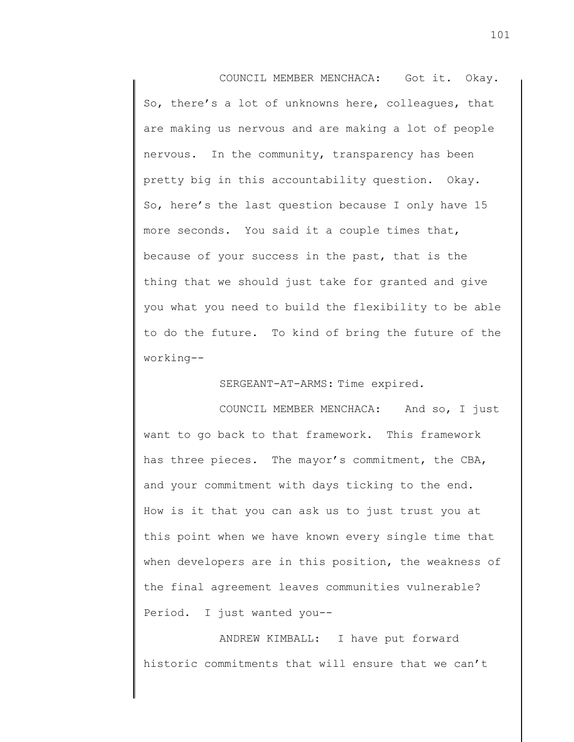COUNCIL MEMBER MENCHACA: Got it. Okay. So, there's a lot of unknowns here, colleagues, that are making us nervous and are making a lot of people nervous. In the community, transparency has been pretty big in this accountability question. Okay. So, here's the last question because I only have 15 more seconds. You said it a couple times that, because of your success in the past, that is the thing that we should just take for granted and give you what you need to build the flexibility to be able to do the future. To kind of bring the future of the working--

SERGEANT-AT-ARMS: Time expired.

COUNCIL MEMBER MENCHACA: And so, I just want to go back to that framework. This framework has three pieces. The mayor's commitment, the CBA, and your commitment with days ticking to the end. How is it that you can ask us to just trust you at this point when we have known every single time that when developers are in this position, the weakness of the final agreement leaves communities vulnerable? Period. I just wanted you--

ANDREW KIMBALL: I have put forward historic commitments that will ensure that we can't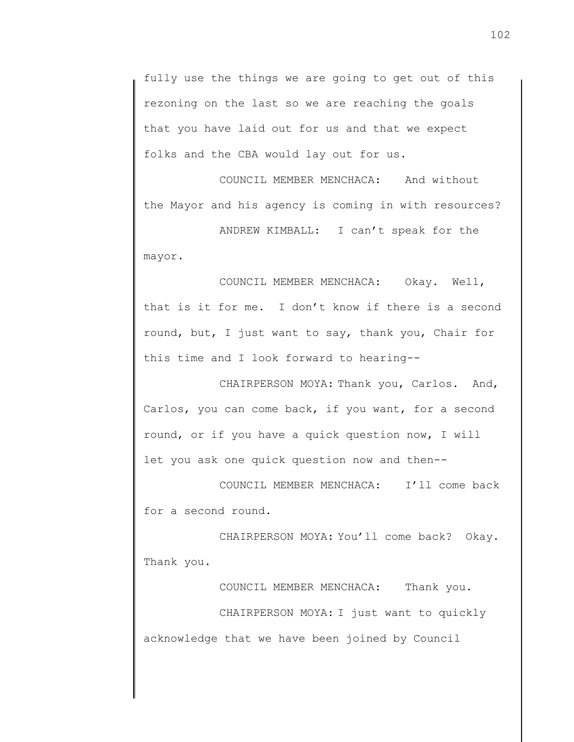fully use the things we are going to get out of this rezoning on the last so we are reaching the goals that you have laid out for us and that we expect folks and the CBA would lay out for us.

COUNCIL MEMBER MENCHACA: And without the Mayor and his agency is coming in with resources?

ANDREW KIMBALL: I can't speak for the mayor.

COUNCIL MEMBER MENCHACA: Okay. Well, that is it for me. I don't know if there is a second round, but, I just want to say, thank you, Chair for this time and I look forward to hearing--

CHAIRPERSON MOYA: Thank you, Carlos. And, Carlos, you can come back, if you want, for a second round, or if you have a quick question now, I will let you ask one quick question now and then--

COUNCIL MEMBER MENCHACA: I'll come back for a second round.

CHAIRPERSON MOYA: You'll come back? Okay. Thank you.

COUNCIL MEMBER MENCHACA: Thank you. CHAIRPERSON MOYA: I just want to quickly acknowledge that we have been joined by Council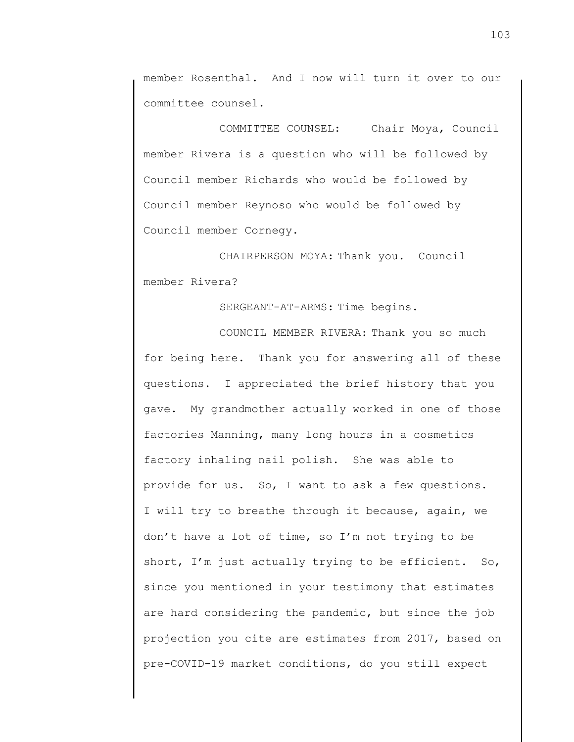member Rosenthal. And I now will turn it over to our committee counsel.

COMMITTEE COUNSEL: Chair Moya, Council member Rivera is a question who will be followed by Council member Richards who would be followed by Council member Reynoso who would be followed by Council member Cornegy.

CHAIRPERSON MOYA: Thank you. Council member Rivera?

SERGEANT-AT-ARMS: Time begins.

COUNCIL MEMBER RIVERA: Thank you so much for being here. Thank you for answering all of these questions. I appreciated the brief history that you gave. My grandmother actually worked in one of those factories Manning, many long hours in a cosmetics factory inhaling nail polish. She was able to provide for us. So, I want to ask a few questions. I will try to breathe through it because, again, we don't have a lot of time, so I'm not trying to be short, I'm just actually trying to be efficient. So, since you mentioned in your testimony that estimates are hard considering the pandemic, but since the job projection you cite are estimates from 2017, based on pre-COVID-19 market conditions, do you still expect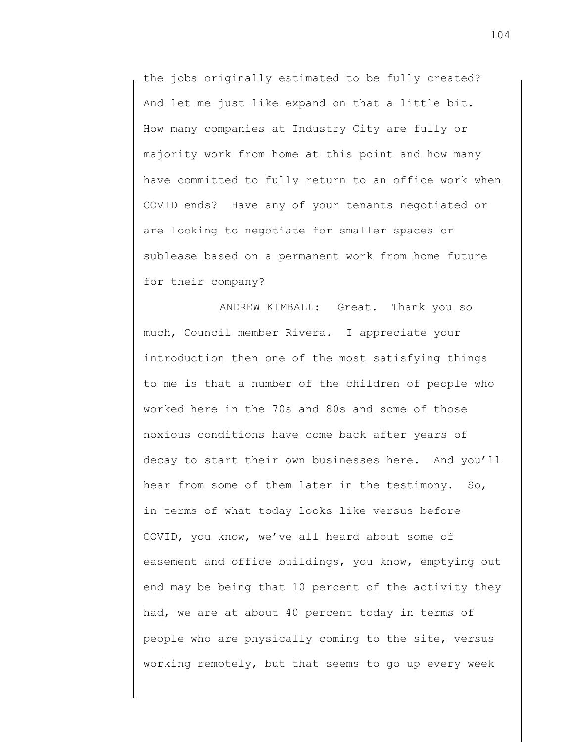the jobs originally estimated to be fully created? And let me just like expand on that a little bit. How many companies at Industry City are fully or majority work from home at this point and how many have committed to fully return to an office work when COVID ends? Have any of your tenants negotiated or are looking to negotiate for smaller spaces or sublease based on a permanent work from home future for their company?

ANDREW KIMBALL: Great. Thank you so much, Council member Rivera. I appreciate your introduction then one of the most satisfying things to me is that a number of the children of people who worked here in the 70s and 80s and some of those noxious conditions have come back after years of decay to start their own businesses here. And you'll hear from some of them later in the testimony. So, in terms of what today looks like versus before COVID, you know, we've all heard about some of easement and office buildings, you know, emptying out end may be being that 10 percent of the activity they had, we are at about 40 percent today in terms of people who are physically coming to the site, versus working remotely, but that seems to go up every week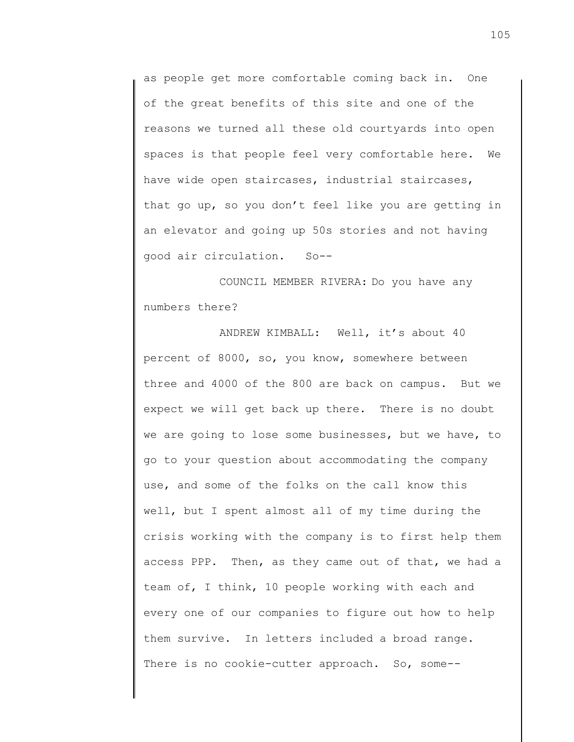as people get more comfortable coming back in. One of the great benefits of this site and one of the reasons we turned all these old courtyards into open spaces is that people feel very comfortable here. We have wide open staircases, industrial staircases, that go up, so you don't feel like you are getting in an elevator and going up 50s stories and not having good air circulation. So--

COUNCIL MEMBER RIVERA: Do you have any numbers there?

ANDREW KIMBALL: Well, it's about 40 percent of 8000, so, you know, somewhere between three and 4000 of the 800 are back on campus. But we expect we will get back up there. There is no doubt we are going to lose some businesses, but we have, to go to your question about accommodating the company use, and some of the folks on the call know this well, but I spent almost all of my time during the crisis working with the company is to first help them access PPP. Then, as they came out of that, we had a team of, I think, 10 people working with each and every one of our companies to figure out how to help them survive. In letters included a broad range. There is no cookie-cutter approach. So, some--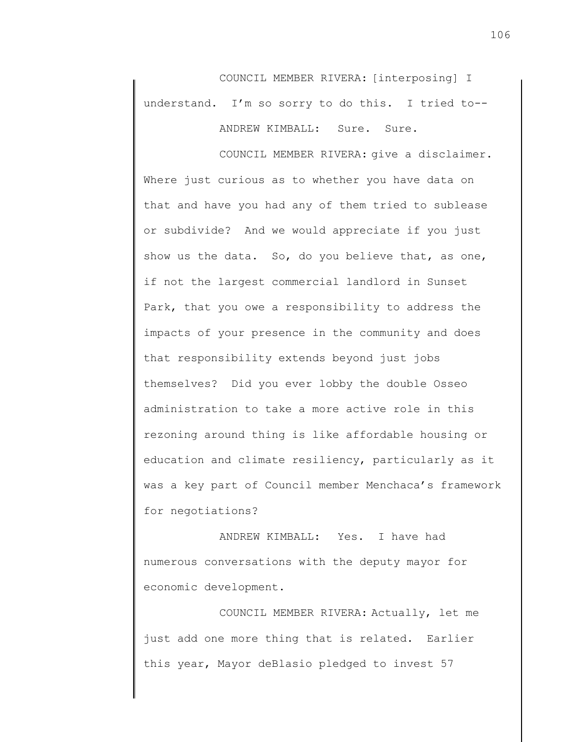COUNCIL MEMBER RIVERA: [interposing] I understand. I'm so sorry to do this. I tried to-- ANDREW KIMBALL: Sure. Sure.

COUNCIL MEMBER RIVERA: give a disclaimer. Where just curious as to whether you have data on that and have you had any of them tried to sublease or subdivide? And we would appreciate if you just show us the data. So, do you believe that, as one, if not the largest commercial landlord in Sunset Park, that you owe a responsibility to address the impacts of your presence in the community and does that responsibility extends beyond just jobs themselves? Did you ever lobby the double Osseo administration to take a more active role in this rezoning around thing is like affordable housing or education and climate resiliency, particularly as it was a key part of Council member Menchaca's framework for negotiations?

ANDREW KIMBALL: Yes. I have had numerous conversations with the deputy mayor for economic development.

COUNCIL MEMBER RIVERA: Actually, let me just add one more thing that is related. Earlier this year, Mayor deBlasio pledged to invest 57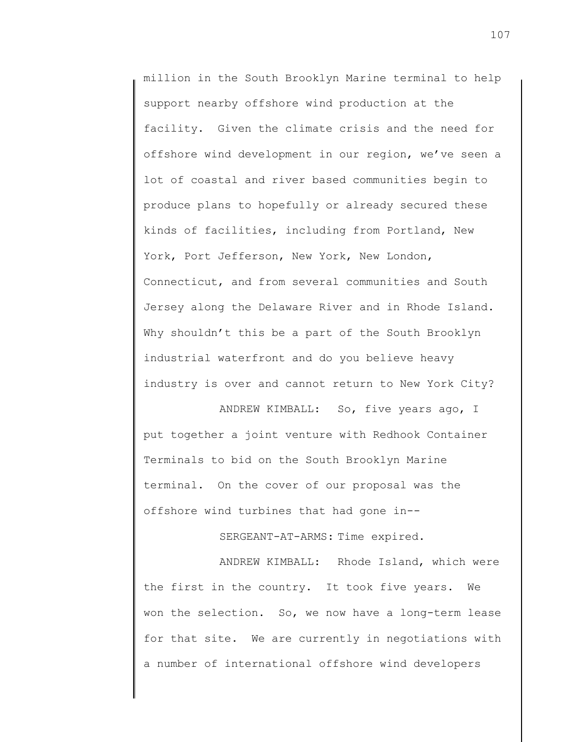million in the South Brooklyn Marine terminal to help support nearby offshore wind production at the facility. Given the climate crisis and the need for offshore wind development in our region, we've seen a lot of coastal and river based communities begin to produce plans to hopefully or already secured these kinds of facilities, including from Portland, New York, Port Jefferson, New York, New London, Connecticut, and from several communities and South Jersey along the Delaware River and in Rhode Island. Why shouldn't this be a part of the South Brooklyn industrial waterfront and do you believe heavy industry is over and cannot return to New York City?

ANDREW KIMBALL: So, five years ago, I put together a joint venture with Redhook Container Terminals to bid on the South Brooklyn Marine terminal. On the cover of our proposal was the offshore wind turbines that had gone in--

SERGEANT-AT-ARMS: Time expired.

ANDREW KIMBALL: Rhode Island, which were the first in the country. It took five years. We won the selection. So, we now have a long-term lease for that site. We are currently in negotiations with a number of international offshore wind developers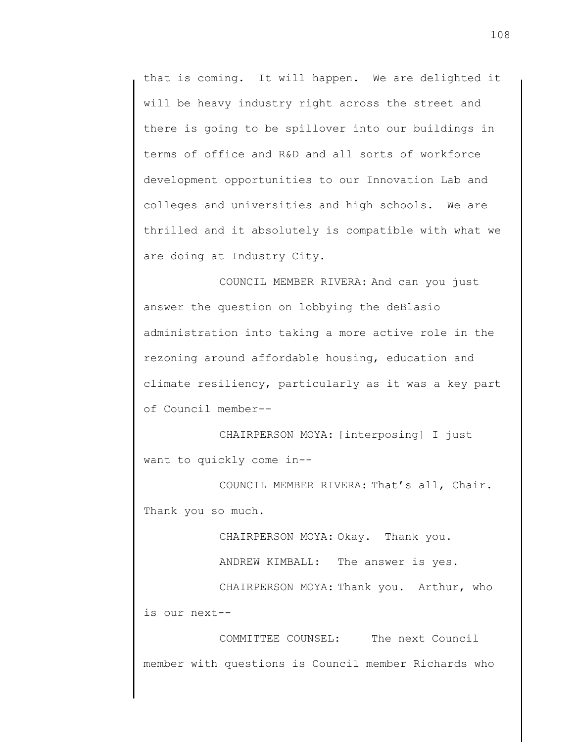that is coming. It will happen. We are delighted it will be heavy industry right across the street and there is going to be spillover into our buildings in terms of office and R&D and all sorts of workforce development opportunities to our Innovation Lab and colleges and universities and high schools. We are thrilled and it absolutely is compatible with what we are doing at Industry City.

COUNCIL MEMBER RIVERA: And can you just answer the question on lobbying the deBlasio administration into taking a more active role in the rezoning around affordable housing, education and climate resiliency, particularly as it was a key part of Council member--

CHAIRPERSON MOYA: [interposing] I just want to quickly come in--

COUNCIL MEMBER RIVERA: That's all, Chair. Thank you so much.

CHAIRPERSON MOYA: Okay. Thank you.

ANDREW KIMBALL: The answer is yes.

CHAIRPERSON MOYA: Thank you. Arthur, who is our next--

COMMITTEE COUNSEL: The next Council member with questions is Council member Richards who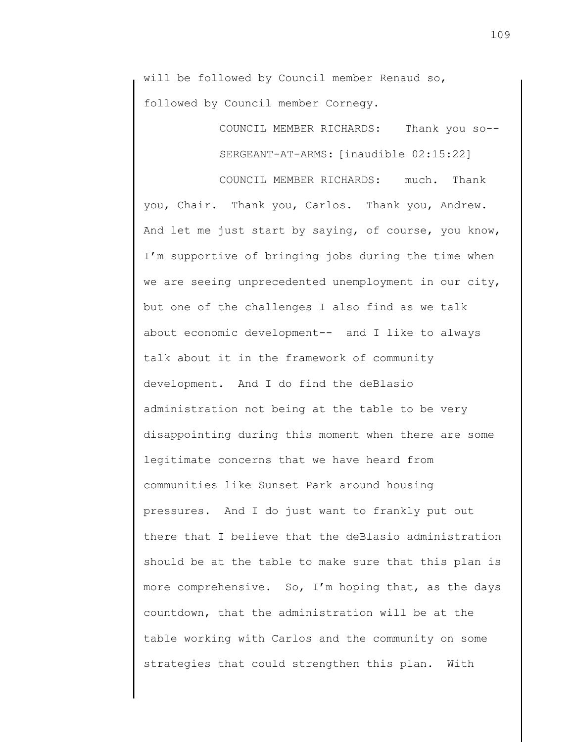will be followed by Council member Renaud so, followed by Council member Cornegy.

> COUNCIL MEMBER RICHARDS: Thank you so-- SERGEANT-AT-ARMS: [inaudible 02:15:22]

COUNCIL MEMBER RICHARDS: much. Thank you, Chair. Thank you, Carlos. Thank you, Andrew. And let me just start by saying, of course, you know, I'm supportive of bringing jobs during the time when we are seeing unprecedented unemployment in our city, but one of the challenges I also find as we talk about economic development-- and I like to always talk about it in the framework of community development. And I do find the deBlasio administration not being at the table to be very disappointing during this moment when there are some legitimate concerns that we have heard from communities like Sunset Park around housing pressures. And I do just want to frankly put out there that I believe that the deBlasio administration should be at the table to make sure that this plan is more comprehensive. So, I'm hoping that, as the days countdown, that the administration will be at the table working with Carlos and the community on some strategies that could strengthen this plan. With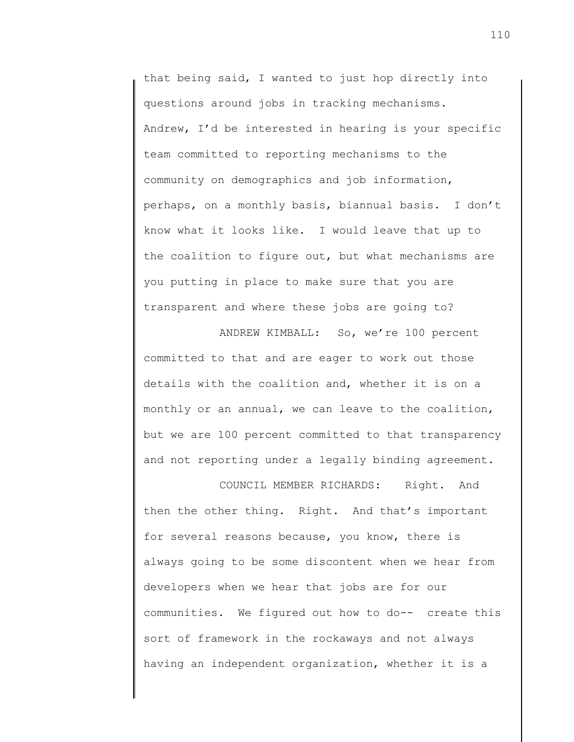that being said, I wanted to just hop directly into questions around jobs in tracking mechanisms. Andrew, I'd be interested in hearing is your specific team committed to reporting mechanisms to the community on demographics and job information, perhaps, on a monthly basis, biannual basis. I don't know what it looks like. I would leave that up to the coalition to figure out, but what mechanisms are you putting in place to make sure that you are transparent and where these jobs are going to?

ANDREW KIMBALL: So, we're 100 percent committed to that and are eager to work out those details with the coalition and, whether it is on a monthly or an annual, we can leave to the coalition, but we are 100 percent committed to that transparency and not reporting under a legally binding agreement.

COUNCIL MEMBER RICHARDS: Right. And then the other thing. Right. And that's important for several reasons because, you know, there is always going to be some discontent when we hear from developers when we hear that jobs are for our communities. We figured out how to do-- create this sort of framework in the rockaways and not always having an independent organization, whether it is a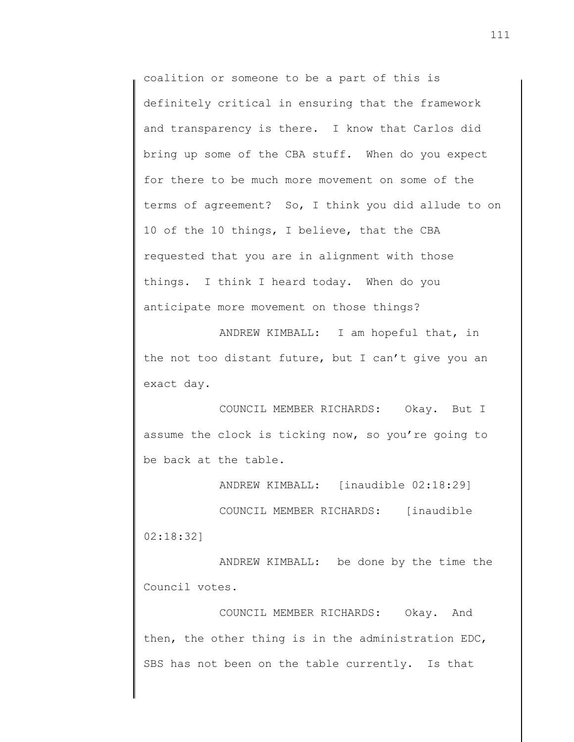coalition or someone to be a part of this is definitely critical in ensuring that the framework and transparency is there. I know that Carlos did bring up some of the CBA stuff. When do you expect for there to be much more movement on some of the terms of agreement? So, I think you did allude to on 10 of the 10 things, I believe, that the CBA requested that you are in alignment with those things. I think I heard today. When do you anticipate more movement on those things?

ANDREW KIMBALL: I am hopeful that, in the not too distant future, but I can't give you an exact day.

COUNCIL MEMBER RICHARDS: Okay. But I assume the clock is ticking now, so you're going to be back at the table.

ANDREW KIMBALL: [inaudible 02:18:29]

COUNCIL MEMBER RICHARDS: [inaudible 02:18:32]

ANDREW KIMBALL: be done by the time the Council votes.

COUNCIL MEMBER RICHARDS: Okay. And then, the other thing is in the administration EDC, SBS has not been on the table currently. Is that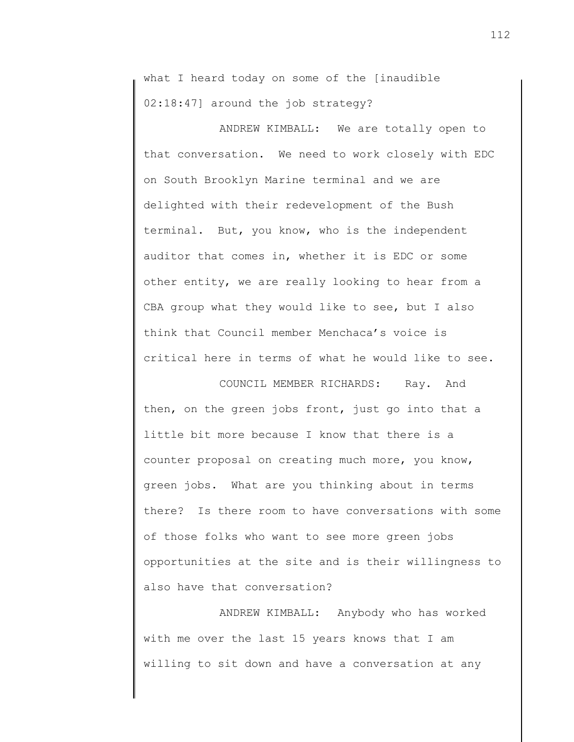what I heard today on some of the [inaudible 02:18:47] around the job strategy?

ANDREW KIMBALL: We are totally open to that conversation. We need to work closely with EDC on South Brooklyn Marine terminal and we are delighted with their redevelopment of the Bush terminal. But, you know, who is the independent auditor that comes in, whether it is EDC or some other entity, we are really looking to hear from a CBA group what they would like to see, but I also think that Council member Menchaca's voice is critical here in terms of what he would like to see.

COUNCIL MEMBER RICHARDS: Ray. And then, on the green jobs front, just go into that a little bit more because I know that there is a counter proposal on creating much more, you know, green jobs. What are you thinking about in terms there? Is there room to have conversations with some of those folks who want to see more green jobs opportunities at the site and is their willingness to also have that conversation?

ANDREW KIMBALL: Anybody who has worked with me over the last 15 years knows that I am willing to sit down and have a conversation at any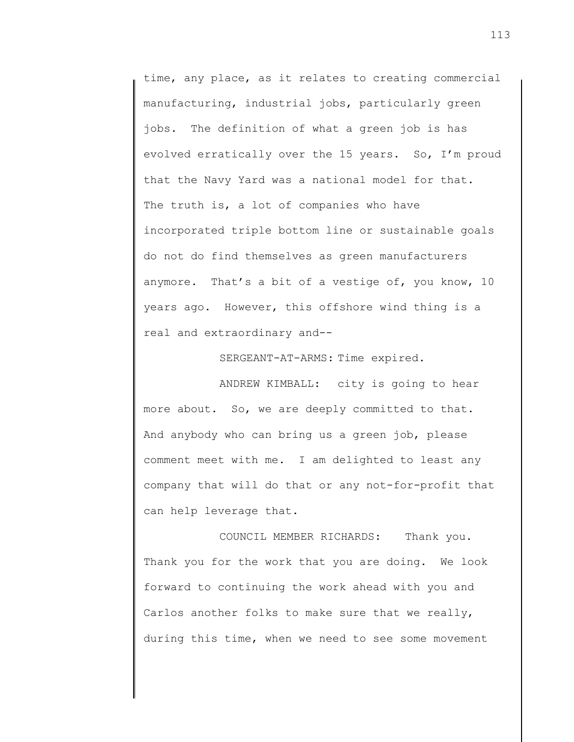time, any place, as it relates to creating commercial manufacturing, industrial jobs, particularly green jobs. The definition of what a green job is has evolved erratically over the 15 years. So, I'm proud that the Navy Yard was a national model for that. The truth is, a lot of companies who have incorporated triple bottom line or sustainable goals do not do find themselves as green manufacturers anymore. That's a bit of a vestige of, you know, 10 years ago. However, this offshore wind thing is a real and extraordinary and--

SERGEANT-AT-ARMS: Time expired.

ANDREW KIMBALL: city is going to hear more about. So, we are deeply committed to that. And anybody who can bring us a green job, please comment meet with me. I am delighted to least any company that will do that or any not-for-profit that can help leverage that.

COUNCIL MEMBER RICHARDS: Thank you. Thank you for the work that you are doing. We look forward to continuing the work ahead with you and Carlos another folks to make sure that we really, during this time, when we need to see some movement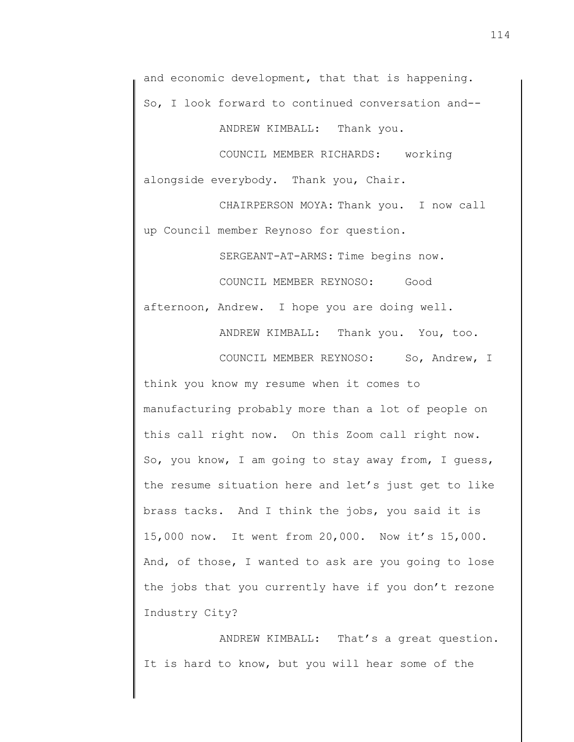ANDREW KIMBALL: Thank you.

COUNCIL MEMBER RICHARDS: working alongside everybody. Thank you, Chair.

CHAIRPERSON MOYA: Thank you. I now call up Council member Reynoso for question.

SERGEANT-AT-ARMS: Time begins now.

COUNCIL MEMBER REYNOSO: Good afternoon, Andrew. I hope you are doing well.

ANDREW KIMBALL: Thank you. You, too.

COUNCIL MEMBER REYNOSO: So, Andrew, I

think you know my resume when it comes to manufacturing probably more than a lot of people on this call right now. On this Zoom call right now. So, you know, I am going to stay away from, I guess, the resume situation here and let's just get to like brass tacks. And I think the jobs, you said it is 15,000 now. It went from 20,000. Now it's 15,000. And, of those, I wanted to ask are you going to lose the jobs that you currently have if you don't rezone Industry City?

ANDREW KIMBALL: That's a great question. It is hard to know, but you will hear some of the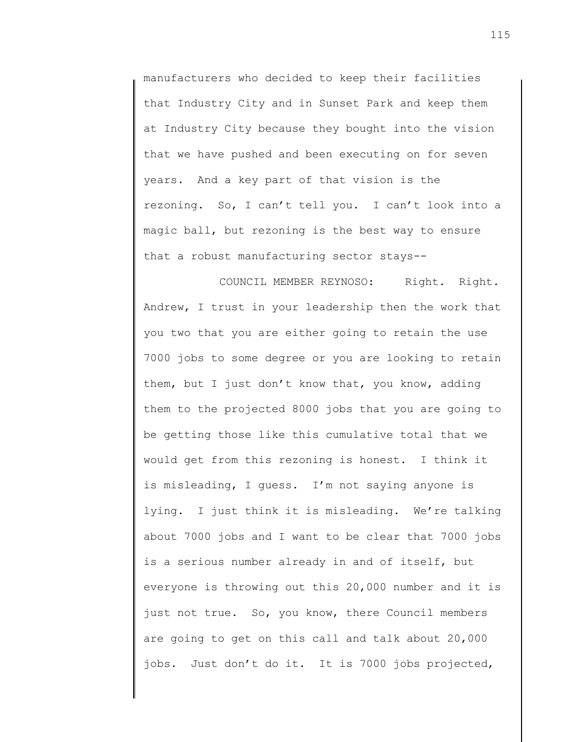manufacturers who decided to keep their facilities that Industry City and in Sunset Park and keep them at Industry City because they bought into the vision that we have pushed and been executing on for seven years. And a key part of that vision is the rezoning. So, I can't tell you. I can't look into a magic ball, but rezoning is the best way to ensure that a robust manufacturing sector stays--

COUNCIL MEMBER REYNOSO: Right. Right. Andrew, I trust in your leadership then the work that you two that you are either going to retain the use 7000 jobs to some degree or you are looking to retain them, but I just don't know that, you know, adding them to the projected 8000 jobs that you are going to be getting those like this cumulative total that we would get from this rezoning is honest. I think it is misleading, I guess. I'm not saying anyone is lying. I just think it is misleading. We're talking about 7000 jobs and I want to be clear that 7000 jobs is a serious number already in and of itself, but everyone is throwing out this 20,000 number and it is just not true. So, you know, there Council members are going to get on this call and talk about 20,000 jobs. Just don't do it. It is 7000 jobs projected,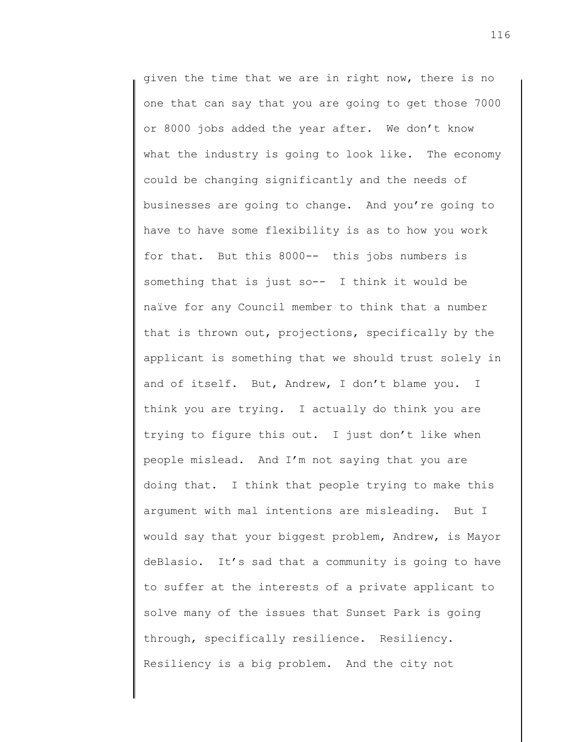given the time that we are in right now, there is no one that can say that you are going to get those 7000 or 8000 jobs added the year after. We don't know what the industry is going to look like. The economy could be changing significantly and the needs of businesses are going to change. And you're going to have to have some flexibility is as to how you work for that. But this 8000-- this jobs numbers is something that is just so-- I think it would be naïve for any Council member to think that a number that is thrown out, projections, specifically by the applicant is something that we should trust solely in and of itself. But, Andrew, I don't blame you. I think you are trying. I actually do think you are trying to figure this out. I just don't like when people mislead. And I'm not saying that you are doing that. I think that people trying to make this argument with mal intentions are misleading. But I would say that your biggest problem, Andrew, is Mayor deBlasio. It's sad that a community is going to have to suffer at the interests of a private applicant to solve many of the issues that Sunset Park is going through, specifically resilience. Resiliency. Resiliency is a big problem. And the city not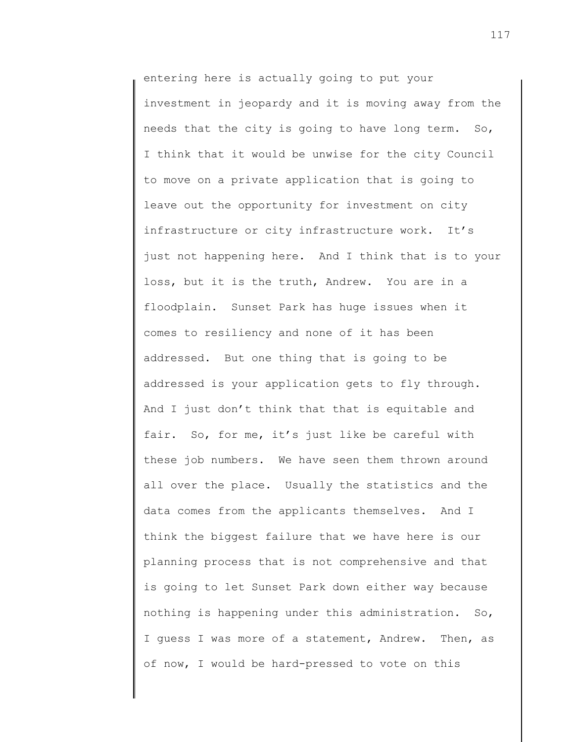entering here is actually going to put your investment in jeopardy and it is moving away from the needs that the city is going to have long term. So, I think that it would be unwise for the city Council to move on a private application that is going to leave out the opportunity for investment on city infrastructure or city infrastructure work. It's just not happening here. And I think that is to your loss, but it is the truth, Andrew. You are in a floodplain. Sunset Park has huge issues when it comes to resiliency and none of it has been addressed. But one thing that is going to be addressed is your application gets to fly through. And I just don't think that that is equitable and fair. So, for me, it's just like be careful with these job numbers. We have seen them thrown around all over the place. Usually the statistics and the data comes from the applicants themselves. And I think the biggest failure that we have here is our planning process that is not comprehensive and that is going to let Sunset Park down either way because nothing is happening under this administration. So, I guess I was more of a statement, Andrew. Then, as of now, I would be hard-pressed to vote on this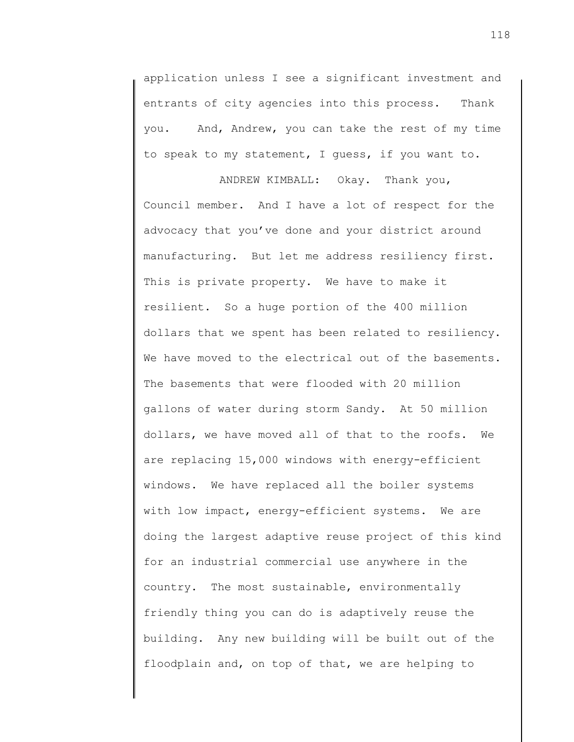application unless I see a significant investment and entrants of city agencies into this process. Thank you. And, Andrew, you can take the rest of my time to speak to my statement, I guess, if you want to.

ANDREW KIMBALL: Okay. Thank you, Council member. And I have a lot of respect for the advocacy that you've done and your district around manufacturing. But let me address resiliency first. This is private property. We have to make it resilient. So a huge portion of the 400 million dollars that we spent has been related to resiliency. We have moved to the electrical out of the basements. The basements that were flooded with 20 million gallons of water during storm Sandy. At 50 million dollars, we have moved all of that to the roofs. We are replacing 15,000 windows with energy-efficient windows. We have replaced all the boiler systems with low impact, energy-efficient systems. We are doing the largest adaptive reuse project of this kind for an industrial commercial use anywhere in the country. The most sustainable, environmentally friendly thing you can do is adaptively reuse the building. Any new building will be built out of the floodplain and, on top of that, we are helping to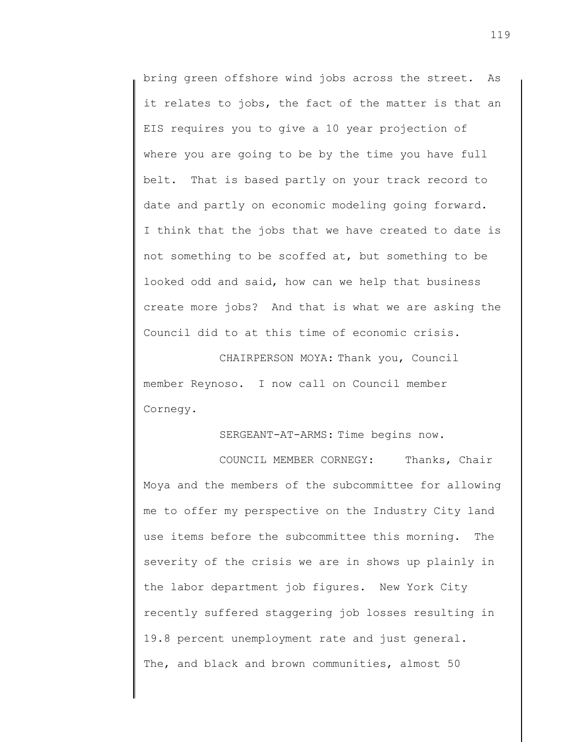bring green offshore wind jobs across the street. As it relates to jobs, the fact of the matter is that an EIS requires you to give a 10 year projection of where you are going to be by the time you have full belt. That is based partly on your track record to date and partly on economic modeling going forward. I think that the jobs that we have created to date is not something to be scoffed at, but something to be looked odd and said, how can we help that business create more jobs? And that is what we are asking the Council did to at this time of economic crisis.

CHAIRPERSON MOYA: Thank you, Council member Reynoso. I now call on Council member Cornegy.

SERGEANT-AT-ARMS: Time begins now.

COUNCIL MEMBER CORNEGY: Thanks, Chair Moya and the members of the subcommittee for allowing me to offer my perspective on the Industry City land use items before the subcommittee this morning. The severity of the crisis we are in shows up plainly in the labor department job figures. New York City recently suffered staggering job losses resulting in 19.8 percent unemployment rate and just general. The, and black and brown communities, almost 50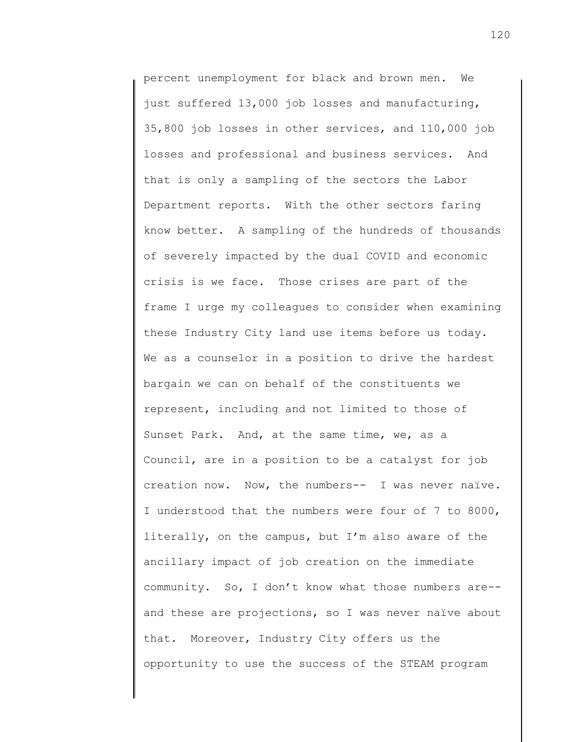percent unemployment for black and brown men. We just suffered 13,000 job losses and manufacturing, 35,800 job losses in other services, and 110,000 job losses and professional and business services. And that is only a sampling of the sectors the Labor Department reports. With the other sectors faring know better. A sampling of the hundreds of thousands of severely impacted by the dual COVID and economic crisis is we face. Those crises are part of the frame I urge my colleagues to consider when examining these Industry City land use items before us today. We as a counselor in a position to drive the hardest bargain we can on behalf of the constituents we represent, including and not limited to those of Sunset Park. And, at the same time, we, as a Council, are in a position to be a catalyst for job creation now. Now, the numbers-- I was never naïve. I understood that the numbers were four of 7 to 8000, literally, on the campus, but I'm also aware of the ancillary impact of job creation on the immediate community. So, I don't know what those numbers are- and these are projections, so I was never naïve about that. Moreover, Industry City offers us the opportunity to use the success of the STEAM program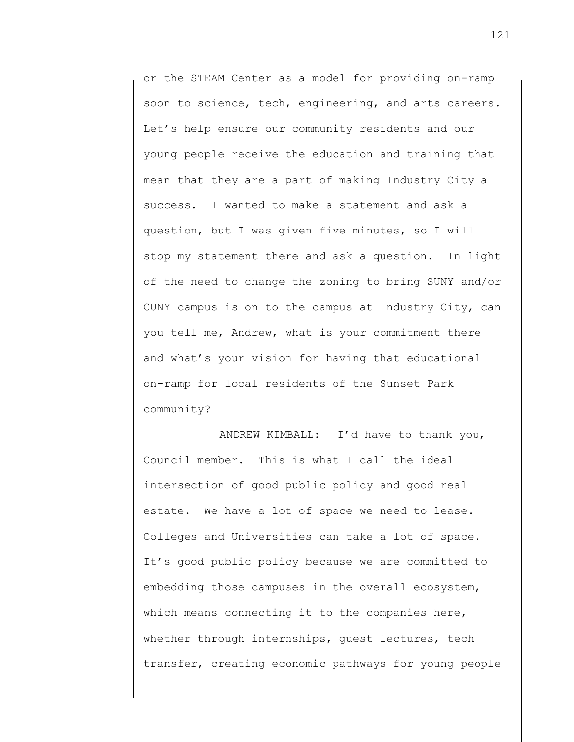or the STEAM Center as a model for providing on-ramp soon to science, tech, engineering, and arts careers. Let's help ensure our community residents and our young people receive the education and training that mean that they are a part of making Industry City a success. I wanted to make a statement and ask a question, but I was given five minutes, so I will stop my statement there and ask a question. In light of the need to change the zoning to bring SUNY and/or CUNY campus is on to the campus at Industry City, can you tell me, Andrew, what is your commitment there and what's your vision for having that educational on-ramp for local residents of the Sunset Park community?

ANDREW KIMBALL: I'd have to thank you, Council member. This is what I call the ideal intersection of good public policy and good real estate. We have a lot of space we need to lease. Colleges and Universities can take a lot of space. It's good public policy because we are committed to embedding those campuses in the overall ecosystem, which means connecting it to the companies here, whether through internships, guest lectures, tech transfer, creating economic pathways for young people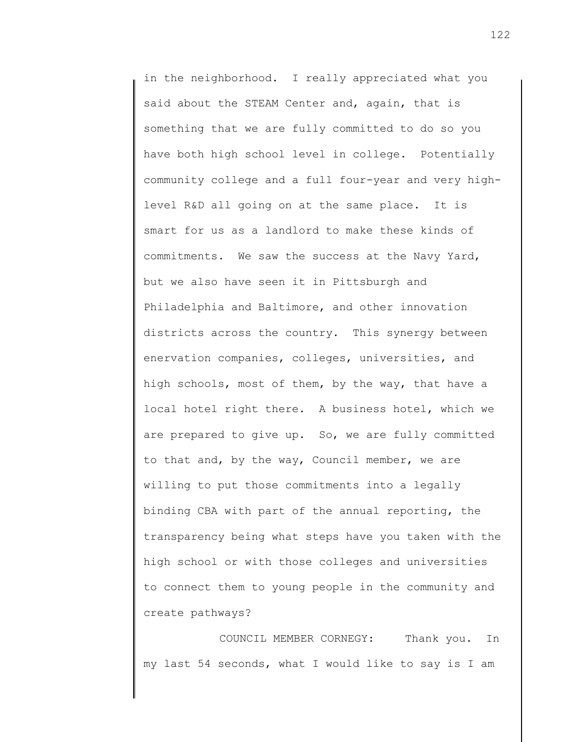in the neighborhood. I really appreciated what you said about the STEAM Center and, again, that is something that we are fully committed to do so you have both high school level in college. Potentially community college and a full four-year and very highlevel R&D all going on at the same place. It is smart for us as a landlord to make these kinds of commitments. We saw the success at the Navy Yard, but we also have seen it in Pittsburgh and Philadelphia and Baltimore, and other innovation districts across the country. This synergy between enervation companies, colleges, universities, and high schools, most of them, by the way, that have a local hotel right there. A business hotel, which we are prepared to give up. So, we are fully committed to that and, by the way, Council member, we are willing to put those commitments into a legally binding CBA with part of the annual reporting, the transparency being what steps have you taken with the high school or with those colleges and universities to connect them to young people in the community and create pathways?

COUNCIL MEMBER CORNEGY: Thank you. In my last 54 seconds, what I would like to say is I am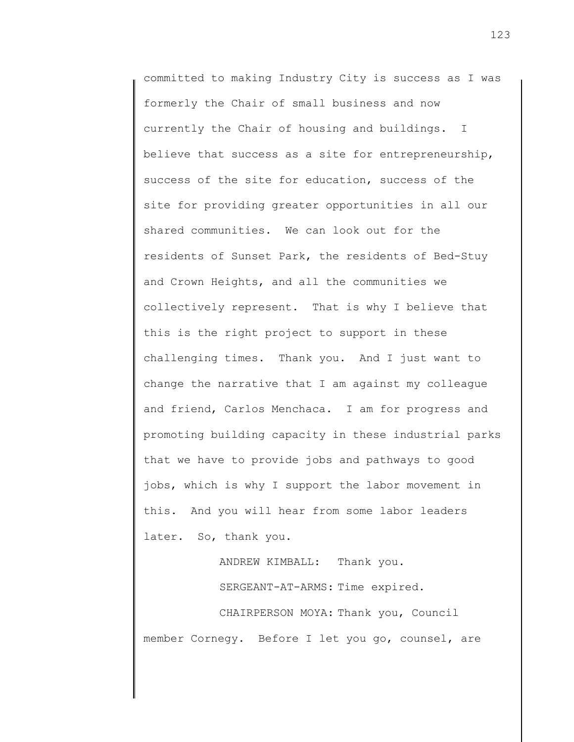committed to making Industry City is success as I was formerly the Chair of small business and now currently the Chair of housing and buildings. I believe that success as a site for entrepreneurship, success of the site for education, success of the site for providing greater opportunities in all our shared communities. We can look out for the residents of Sunset Park, the residents of Bed-Stuy and Crown Heights, and all the communities we collectively represent. That is why I believe that this is the right project to support in these challenging times. Thank you. And I just want to change the narrative that I am against my colleague and friend, Carlos Menchaca. I am for progress and promoting building capacity in these industrial parks that we have to provide jobs and pathways to good jobs, which is why I support the labor movement in this. And you will hear from some labor leaders later. So, thank you.

> ANDREW KIMBALL: Thank you. SERGEANT-AT-ARMS: Time expired.

CHAIRPERSON MOYA: Thank you, Council member Cornegy. Before I let you go, counsel, are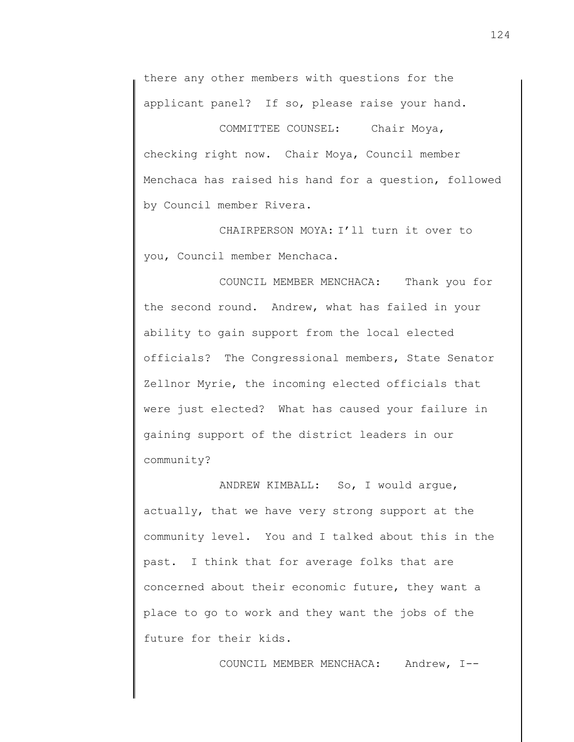there any other members with questions for the applicant panel? If so, please raise your hand.

COMMITTEE COUNSEL: Chair Moya, checking right now. Chair Moya, Council member Menchaca has raised his hand for a question, followed by Council member Rivera.

CHAIRPERSON MOYA: I'll turn it over to you, Council member Menchaca.

COUNCIL MEMBER MENCHACA: Thank you for the second round. Andrew, what has failed in your ability to gain support from the local elected officials? The Congressional members, State Senator Zellnor Myrie, the incoming elected officials that were just elected? What has caused your failure in gaining support of the district leaders in our community?

ANDREW KIMBALL: So, I would argue, actually, that we have very strong support at the community level. You and I talked about this in the past. I think that for average folks that are concerned about their economic future, they want a place to go to work and they want the jobs of the future for their kids.

COUNCIL MEMBER MENCHACA: Andrew, I--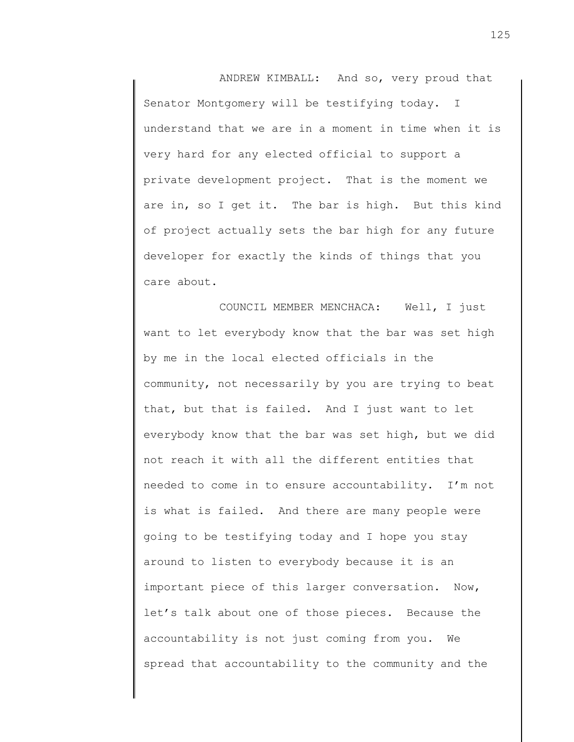ANDREW KIMBALL: And so, very proud that Senator Montgomery will be testifying today. I understand that we are in a moment in time when it is very hard for any elected official to support a private development project. That is the moment we are in, so I get it. The bar is high. But this kind of project actually sets the bar high for any future developer for exactly the kinds of things that you care about.

COUNCIL MEMBER MENCHACA: Well, I just want to let everybody know that the bar was set high by me in the local elected officials in the community, not necessarily by you are trying to beat that, but that is failed. And I just want to let everybody know that the bar was set high, but we did not reach it with all the different entities that needed to come in to ensure accountability. I'm not is what is failed. And there are many people were going to be testifying today and I hope you stay around to listen to everybody because it is an important piece of this larger conversation. Now, let's talk about one of those pieces. Because the accountability is not just coming from you. We spread that accountability to the community and the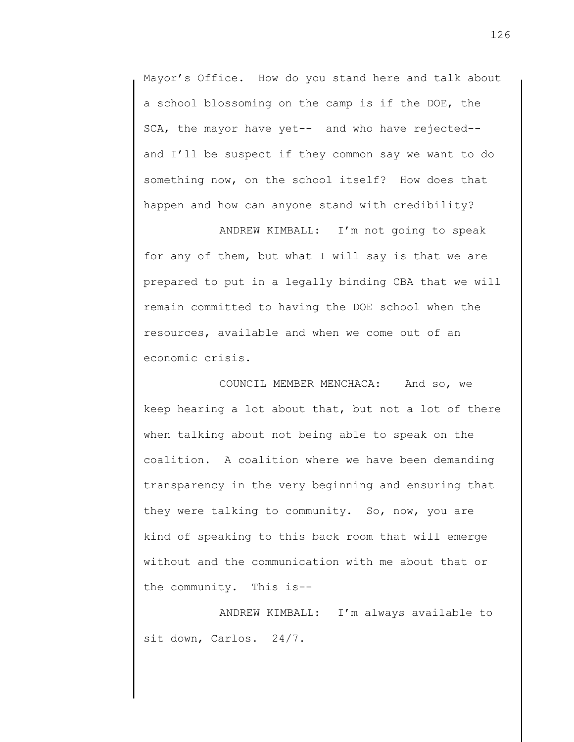Mayor's Office. How do you stand here and talk about a school blossoming on the camp is if the DOE, the SCA, the mayor have yet-- and who have rejected- and I'll be suspect if they common say we want to do something now, on the school itself? How does that happen and how can anyone stand with credibility?

ANDREW KIMBALL: I'm not going to speak for any of them, but what I will say is that we are prepared to put in a legally binding CBA that we will remain committed to having the DOE school when the resources, available and when we come out of an economic crisis.

COUNCIL MEMBER MENCHACA: And so, we keep hearing a lot about that, but not a lot of there when talking about not being able to speak on the coalition. A coalition where we have been demanding transparency in the very beginning and ensuring that they were talking to community. So, now, you are kind of speaking to this back room that will emerge without and the communication with me about that or the community. This is--

ANDREW KIMBALL: I'm always available to sit down, Carlos. 24/7.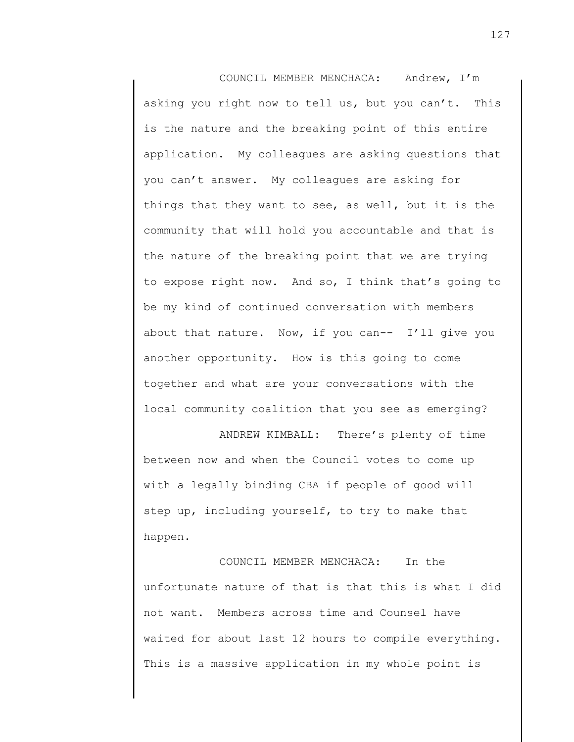COUNCIL MEMBER MENCHACA: Andrew, I'm asking you right now to tell us, but you can't. This is the nature and the breaking point of this entire application. My colleagues are asking questions that you can't answer. My colleagues are asking for things that they want to see, as well, but it is the community that will hold you accountable and that is the nature of the breaking point that we are trying to expose right now. And so, I think that's going to be my kind of continued conversation with members about that nature. Now, if you can-- I'll give you another opportunity. How is this going to come together and what are your conversations with the local community coalition that you see as emerging?

ANDREW KIMBALL: There's plenty of time between now and when the Council votes to come up with a legally binding CBA if people of good will step up, including yourself, to try to make that happen.

COUNCIL MEMBER MENCHACA: In the unfortunate nature of that is that this is what I did not want. Members across time and Counsel have waited for about last 12 hours to compile everything. This is a massive application in my whole point is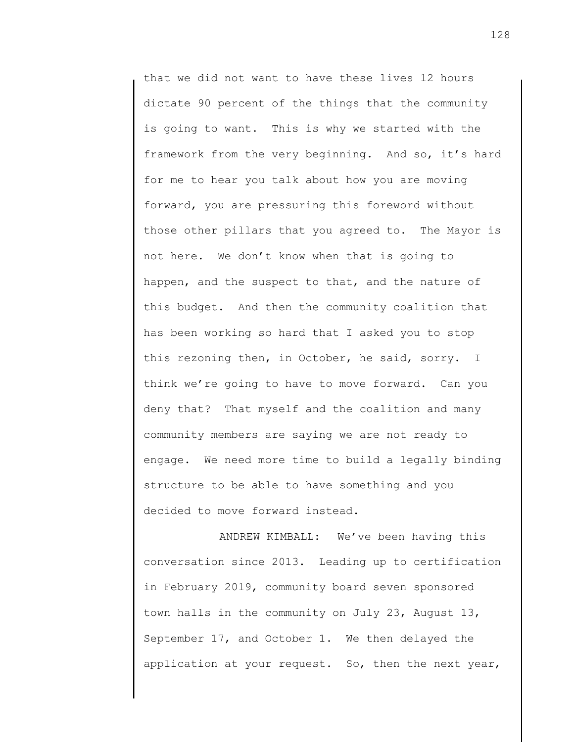that we did not want to have these lives 12 hours dictate 90 percent of the things that the community is going to want. This is why we started with the framework from the very beginning. And so, it's hard for me to hear you talk about how you are moving forward, you are pressuring this foreword without those other pillars that you agreed to. The Mayor is not here. We don't know when that is going to happen, and the suspect to that, and the nature of this budget. And then the community coalition that has been working so hard that I asked you to stop this rezoning then, in October, he said, sorry. I think we're going to have to move forward. Can you deny that? That myself and the coalition and many community members are saying we are not ready to engage. We need more time to build a legally binding structure to be able to have something and you decided to move forward instead.

ANDREW KIMBALL: We've been having this conversation since 2013. Leading up to certification in February 2019, community board seven sponsored town halls in the community on July 23, August 13, September 17, and October 1. We then delayed the application at your request. So, then the next year,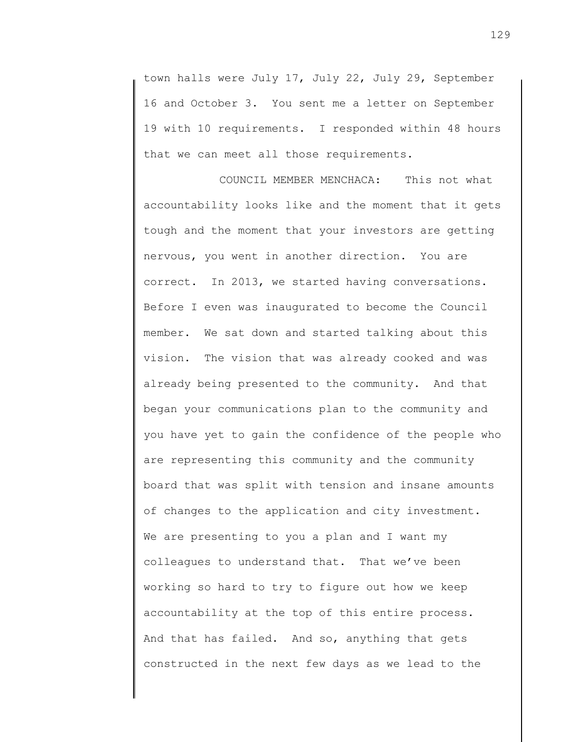town halls were July 17, July 22, July 29, September 16 and October 3. You sent me a letter on September 19 with 10 requirements. I responded within 48 hours that we can meet all those requirements.

COUNCIL MEMBER MENCHACA: This not what accountability looks like and the moment that it gets tough and the moment that your investors are getting nervous, you went in another direction. You are correct. In 2013, we started having conversations. Before I even was inaugurated to become the Council member. We sat down and started talking about this vision. The vision that was already cooked and was already being presented to the community. And that began your communications plan to the community and you have yet to gain the confidence of the people who are representing this community and the community board that was split with tension and insane amounts of changes to the application and city investment. We are presenting to you a plan and I want my colleagues to understand that. That we've been working so hard to try to figure out how we keep accountability at the top of this entire process. And that has failed. And so, anything that gets constructed in the next few days as we lead to the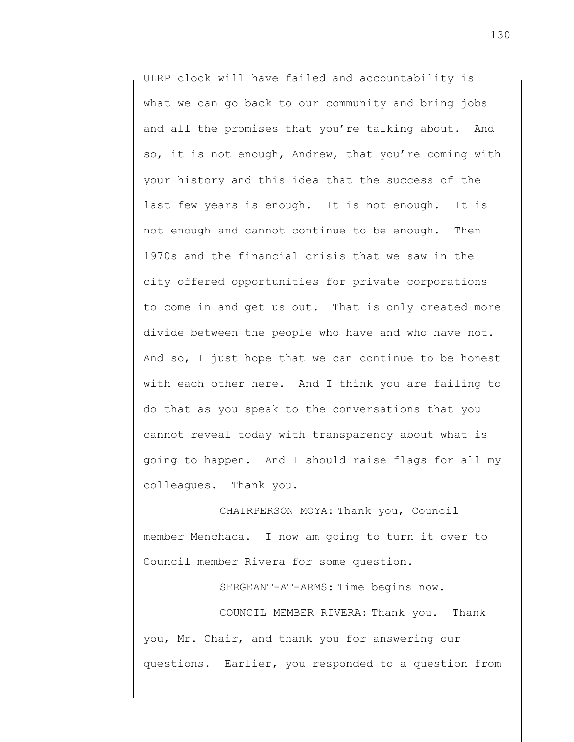ULRP clock will have failed and accountability is what we can go back to our community and bring jobs and all the promises that you're talking about. And so, it is not enough, Andrew, that you're coming with your history and this idea that the success of the last few years is enough. It is not enough. It is not enough and cannot continue to be enough. Then 1970s and the financial crisis that we saw in the city offered opportunities for private corporations to come in and get us out. That is only created more divide between the people who have and who have not. And so, I just hope that we can continue to be honest with each other here. And I think you are failing to do that as you speak to the conversations that you cannot reveal today with transparency about what is going to happen. And I should raise flags for all my colleagues. Thank you.

CHAIRPERSON MOYA: Thank you, Council member Menchaca. I now am going to turn it over to Council member Rivera for some question.

SERGEANT-AT-ARMS: Time begins now.

COUNCIL MEMBER RIVERA: Thank you. Thank you, Mr. Chair, and thank you for answering our questions. Earlier, you responded to a question from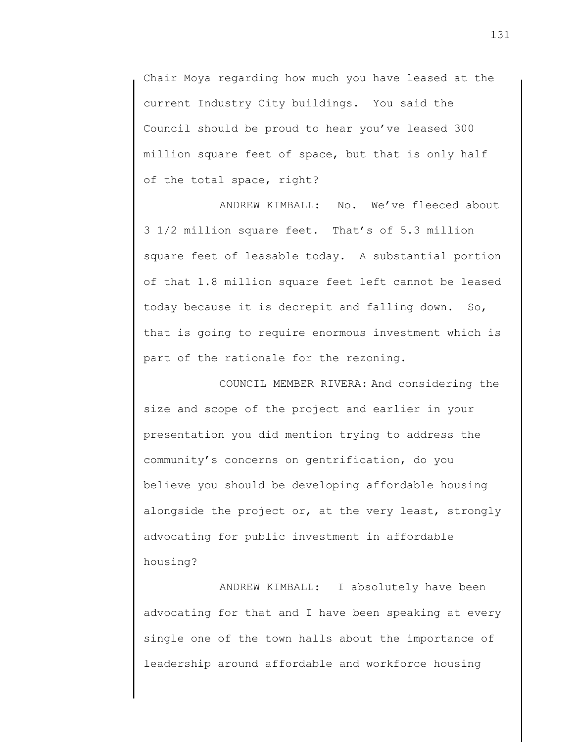Chair Moya regarding how much you have leased at the current Industry City buildings. You said the Council should be proud to hear you've leased 300 million square feet of space, but that is only half of the total space, right?

ANDREW KIMBALL: No. We've fleeced about 3 1/2 million square feet. That's of 5.3 million square feet of leasable today. A substantial portion of that 1.8 million square feet left cannot be leased today because it is decrepit and falling down. So, that is going to require enormous investment which is part of the rationale for the rezoning.

COUNCIL MEMBER RIVERA: And considering the size and scope of the project and earlier in your presentation you did mention trying to address the community's concerns on gentrification, do you believe you should be developing affordable housing alongside the project or, at the very least, strongly advocating for public investment in affordable housing?

ANDREW KIMBALL: I absolutely have been advocating for that and I have been speaking at every single one of the town halls about the importance of leadership around affordable and workforce housing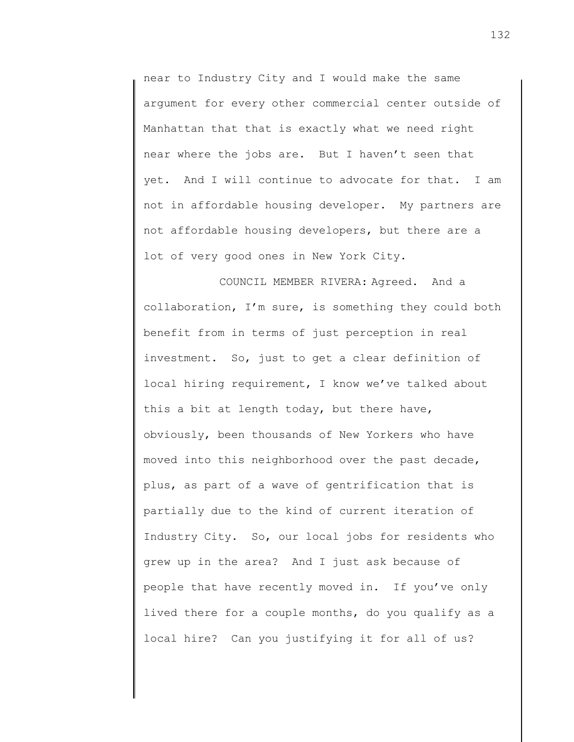near to Industry City and I would make the same argument for every other commercial center outside of Manhattan that that is exactly what we need right near where the jobs are. But I haven't seen that yet. And I will continue to advocate for that. I am not in affordable housing developer. My partners are not affordable housing developers, but there are a lot of very good ones in New York City.

COUNCIL MEMBER RIVERA: Agreed. And a collaboration, I'm sure, is something they could both benefit from in terms of just perception in real investment. So, just to get a clear definition of local hiring requirement, I know we've talked about this a bit at length today, but there have, obviously, been thousands of New Yorkers who have moved into this neighborhood over the past decade, plus, as part of a wave of gentrification that is partially due to the kind of current iteration of Industry City. So, our local jobs for residents who grew up in the area? And I just ask because of people that have recently moved in. If you've only lived there for a couple months, do you qualify as a local hire? Can you justifying it for all of us?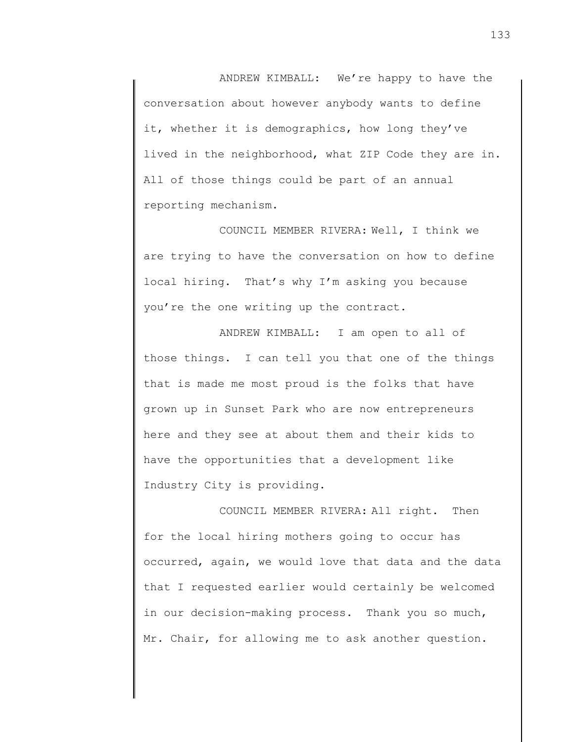ANDREW KIMBALL: We're happy to have the conversation about however anybody wants to define it, whether it is demographics, how long they've lived in the neighborhood, what ZIP Code they are in. All of those things could be part of an annual reporting mechanism.

COUNCIL MEMBER RIVERA: Well, I think we are trying to have the conversation on how to define local hiring. That's why I'm asking you because you're the one writing up the contract.

ANDREW KIMBALL: I am open to all of those things. I can tell you that one of the things that is made me most proud is the folks that have grown up in Sunset Park who are now entrepreneurs here and they see at about them and their kids to have the opportunities that a development like Industry City is providing.

COUNCIL MEMBER RIVERA: All right. Then for the local hiring mothers going to occur has occurred, again, we would love that data and the data that I requested earlier would certainly be welcomed in our decision-making process. Thank you so much, Mr. Chair, for allowing me to ask another question.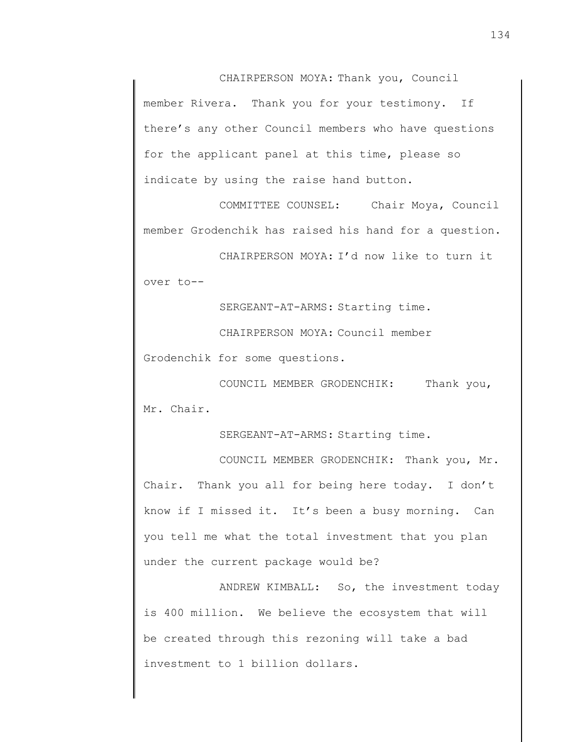CHAIRPERSON MOYA: Thank you, Council member Rivera. Thank you for your testimony. If there's any other Council members who have questions for the applicant panel at this time, please so indicate by using the raise hand button.

COMMITTEE COUNSEL: Chair Moya, Council member Grodenchik has raised his hand for a question.

CHAIRPERSON MOYA: I'd now like to turn it over to--

SERGEANT-AT-ARMS: Starting time.

CHAIRPERSON MOYA: Council member

Grodenchik for some questions.

COUNCIL MEMBER GRODENCHIK: Thank you, Mr. Chair.

SERGEANT-AT-ARMS: Starting time.

COUNCIL MEMBER GRODENCHIK: Thank you, Mr. Chair. Thank you all for being here today. I don't know if I missed it. It's been a busy morning. Can you tell me what the total investment that you plan under the current package would be?

ANDREW KIMBALL: So, the investment today is 400 million. We believe the ecosystem that will be created through this rezoning will take a bad investment to 1 billion dollars.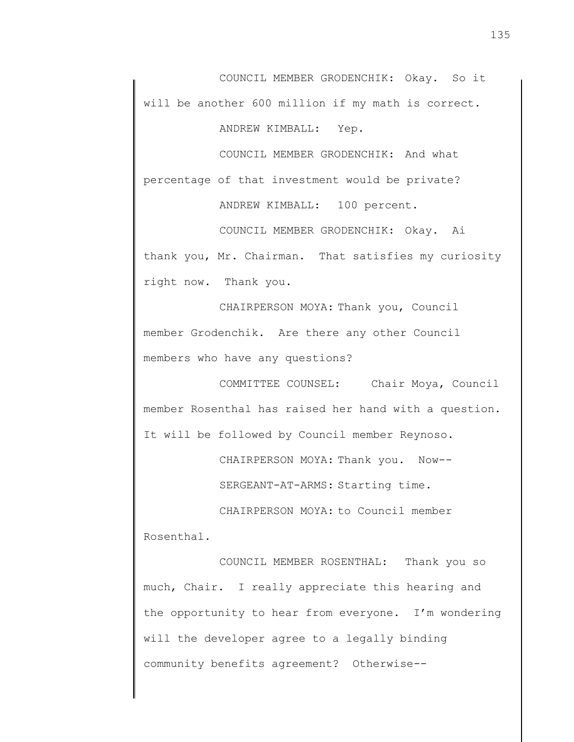COUNCIL MEMBER GRODENCHIK: Okay. So it will be another 600 million if my math is correct.

ANDREW KIMBALL: Yep.

COUNCIL MEMBER GRODENCHIK: And what percentage of that investment would be private?

ANDREW KIMBALL: 100 percent.

COUNCIL MEMBER GRODENCHIK: Okay. Ai thank you, Mr. Chairman. That satisfies my curiosity right now. Thank you.

CHAIRPERSON MOYA: Thank you, Council member Grodenchik. Are there any other Council members who have any questions?

COMMITTEE COUNSEL: Chair Moya, Council member Rosenthal has raised her hand with a question. It will be followed by Council member Reynoso.

CHAIRPERSON MOYA: Thank you. Now--

SERGEANT-AT-ARMS: Starting time.

CHAIRPERSON MOYA: to Council member Rosenthal.

COUNCIL MEMBER ROSENTHAL: Thank you so much, Chair. I really appreciate this hearing and the opportunity to hear from everyone. I'm wondering will the developer agree to a legally binding community benefits agreement? Otherwise--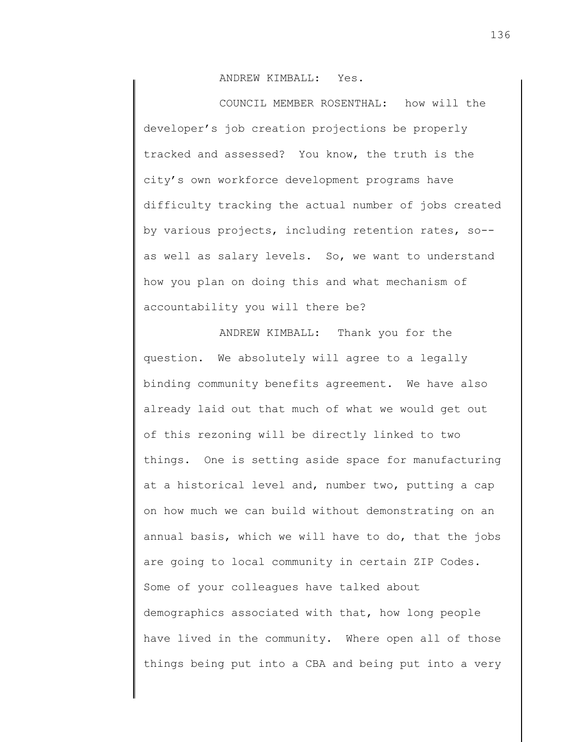ANDREW KIMBALL: Yes.

COUNCIL MEMBER ROSENTHAL: how will the developer's job creation projections be properly tracked and assessed? You know, the truth is the city's own workforce development programs have difficulty tracking the actual number of jobs created by various projects, including retention rates, so- as well as salary levels. So, we want to understand how you plan on doing this and what mechanism of accountability you will there be?

ANDREW KIMBALL: Thank you for the question. We absolutely will agree to a legally binding community benefits agreement. We have also already laid out that much of what we would get out of this rezoning will be directly linked to two things. One is setting aside space for manufacturing at a historical level and, number two, putting a cap on how much we can build without demonstrating on an annual basis, which we will have to do, that the jobs are going to local community in certain ZIP Codes. Some of your colleagues have talked about demographics associated with that, how long people have lived in the community. Where open all of those things being put into a CBA and being put into a very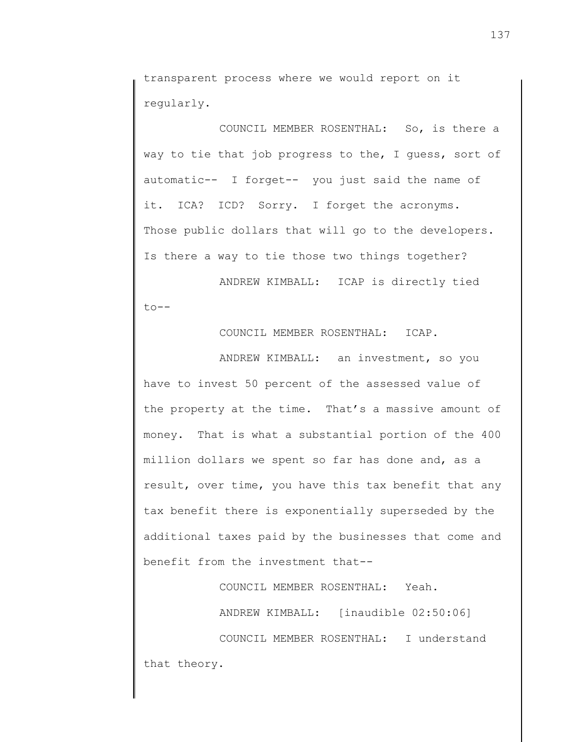transparent process where we would report on it regularly.

COUNCIL MEMBER ROSENTHAL: So, is there a way to tie that job progress to the, I guess, sort of automatic-- I forget-- you just said the name of it. ICA? ICD? Sorry. I forget the acronyms. Those public dollars that will go to the developers. Is there a way to tie those two things together?

ANDREW KIMBALL: ICAP is directly tied  $to --$ 

COUNCIL MEMBER ROSENTHAL: ICAP.

ANDREW KIMBALL: an investment, so you have to invest 50 percent of the assessed value of the property at the time. That's a massive amount of money. That is what a substantial portion of the 400 million dollars we spent so far has done and, as a result, over time, you have this tax benefit that any tax benefit there is exponentially superseded by the additional taxes paid by the businesses that come and benefit from the investment that--

COUNCIL MEMBER ROSENTHAL: Yeah.

ANDREW KIMBALL: [inaudible 02:50:06]

COUNCIL MEMBER ROSENTHAL: I understand that theory.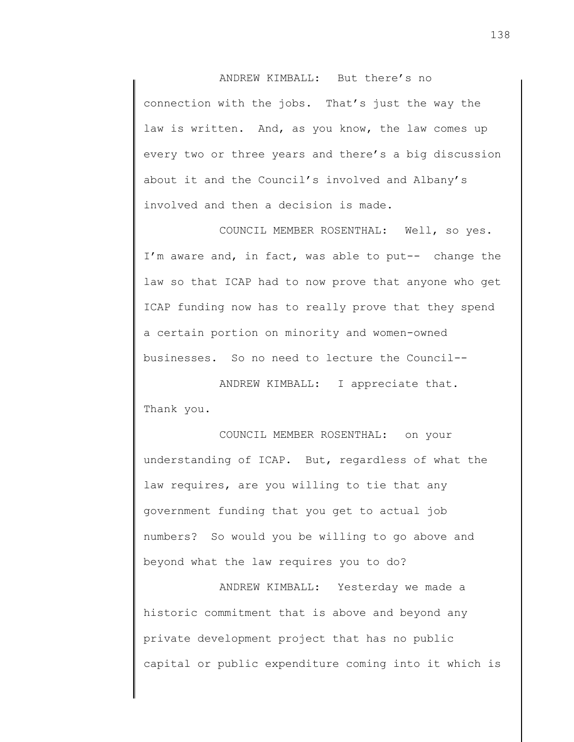ANDREW KIMBALL: But there's no connection with the jobs. That's just the way the law is written. And, as you know, the law comes up every two or three years and there's a big discussion about it and the Council's involved and Albany's involved and then a decision is made.

COUNCIL MEMBER ROSENTHAL: Well, so yes. I'm aware and, in fact, was able to put-- change the law so that ICAP had to now prove that anyone who get ICAP funding now has to really prove that they spend a certain portion on minority and women-owned businesses. So no need to lecture the Council--

ANDREW KIMBALL: I appreciate that. Thank you.

COUNCIL MEMBER ROSENTHAL: on your understanding of ICAP. But, regardless of what the law requires, are you willing to tie that any government funding that you get to actual job numbers? So would you be willing to go above and beyond what the law requires you to do?

ANDREW KIMBALL: Yesterday we made a historic commitment that is above and beyond any private development project that has no public capital or public expenditure coming into it which is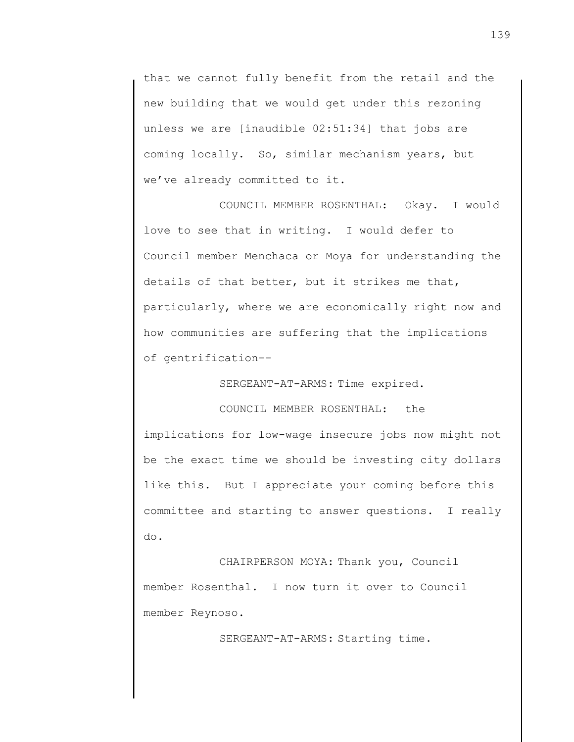that we cannot fully benefit from the retail and the new building that we would get under this rezoning unless we are [inaudible 02:51:34] that jobs are coming locally. So, similar mechanism years, but we've already committed to it.

COUNCIL MEMBER ROSENTHAL: Okay. I would love to see that in writing. I would defer to Council member Menchaca or Moya for understanding the details of that better, but it strikes me that, particularly, where we are economically right now and how communities are suffering that the implications of gentrification--

SERGEANT-AT-ARMS: Time expired.

COUNCIL MEMBER ROSENTHAL: the implications for low-wage insecure jobs now might not be the exact time we should be investing city dollars like this. But I appreciate your coming before this committee and starting to answer questions. I really do.

CHAIRPERSON MOYA: Thank you, Council member Rosenthal. I now turn it over to Council member Reynoso.

SERGEANT-AT-ARMS: Starting time.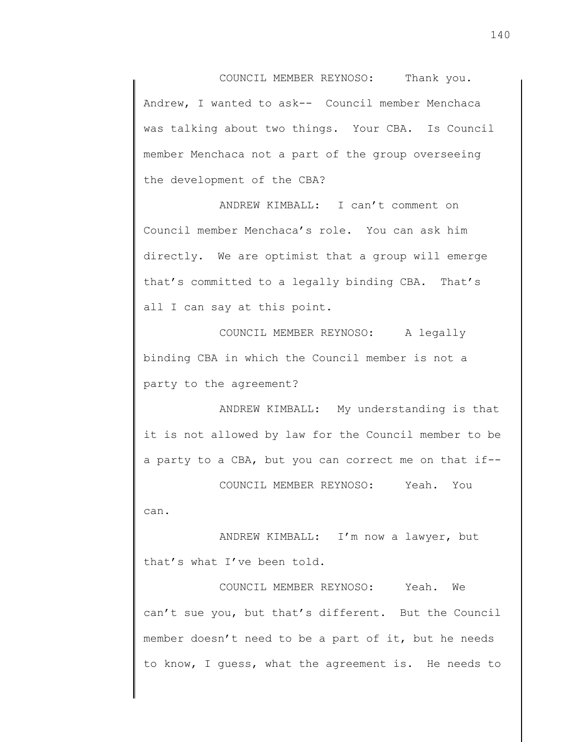COUNCIL MEMBER REYNOSO: Thank you. Andrew, I wanted to ask-- Council member Menchaca was talking about two things. Your CBA. Is Council member Menchaca not a part of the group overseeing the development of the CBA?

ANDREW KIMBALL: I can't comment on Council member Menchaca's role. You can ask him directly. We are optimist that a group will emerge that's committed to a legally binding CBA. That's all I can say at this point.

COUNCIL MEMBER REYNOSO: A legally binding CBA in which the Council member is not a party to the agreement?

ANDREW KIMBALL: My understanding is that it is not allowed by law for the Council member to be a party to a CBA, but you can correct me on that if--

COUNCIL MEMBER REYNOSO: Yeah. You can.

ANDREW KIMBALL: I'm now a lawyer, but that's what I've been told.

COUNCIL MEMBER REYNOSO: Yeah. We can't sue you, but that's different. But the Council member doesn't need to be a part of it, but he needs to know, I guess, what the agreement is. He needs to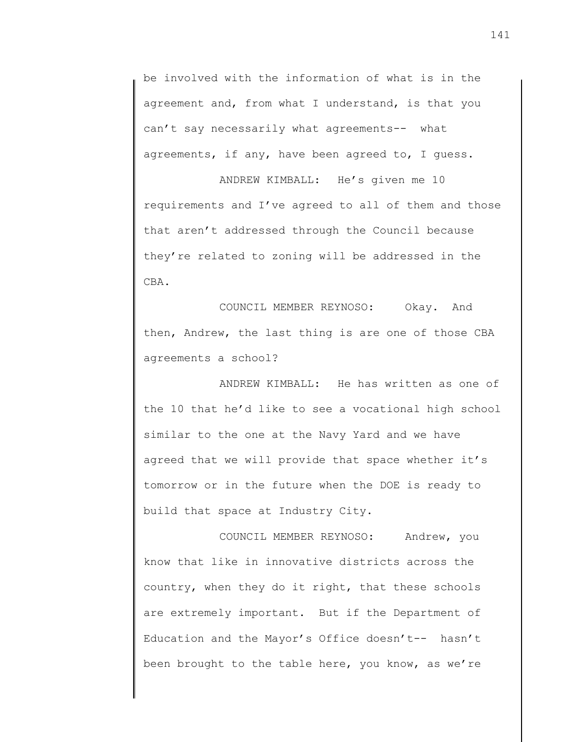be involved with the information of what is in the agreement and, from what I understand, is that you can't say necessarily what agreements-- what agreements, if any, have been agreed to, I guess.

ANDREW KIMBALL: He's given me 10 requirements and I've agreed to all of them and those that aren't addressed through the Council because they're related to zoning will be addressed in the CBA.

COUNCIL MEMBER REYNOSO: Okay. And then, Andrew, the last thing is are one of those CBA agreements a school?

ANDREW KIMBALL: He has written as one of the 10 that he'd like to see a vocational high school similar to the one at the Navy Yard and we have agreed that we will provide that space whether it's tomorrow or in the future when the DOE is ready to build that space at Industry City.

COUNCIL MEMBER REYNOSO: Andrew, you know that like in innovative districts across the country, when they do it right, that these schools are extremely important. But if the Department of Education and the Mayor's Office doesn't-- hasn't been brought to the table here, you know, as we're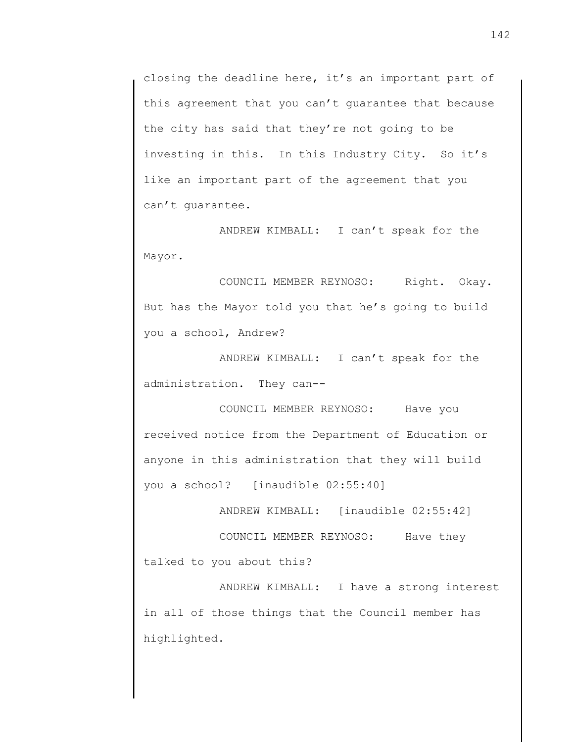closing the deadline here, it's an important part of this agreement that you can't guarantee that because the city has said that they're not going to be investing in this. In this Industry City. So it's like an important part of the agreement that you can't guarantee.

ANDREW KIMBALL: I can't speak for the Mayor.

COUNCIL MEMBER REYNOSO: Right. Okay. But has the Mayor told you that he's going to build you a school, Andrew?

ANDREW KIMBALL: I can't speak for the administration. They can--

COUNCIL MEMBER REYNOSO: Have you received notice from the Department of Education or anyone in this administration that they will build you a school? [inaudible 02:55:40]

ANDREW KIMBALL: [inaudible 02:55:42]

COUNCIL MEMBER REYNOSO: Have they talked to you about this?

ANDREW KIMBALL: I have a strong interest in all of those things that the Council member has highlighted.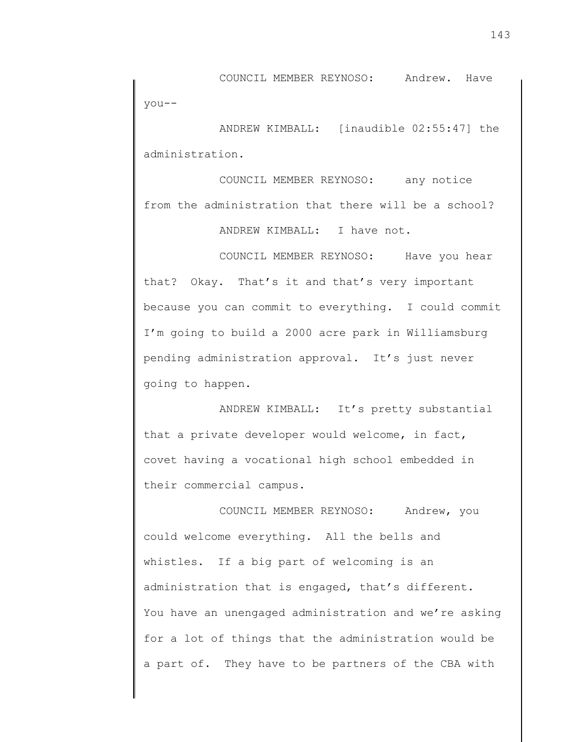COUNCIL MEMBER REYNOSO: Andrew. Have you--

ANDREW KIMBALL: [inaudible 02:55:47] the administration.

COUNCIL MEMBER REYNOSO: any notice from the administration that there will be a school? ANDREW KIMBALL: I have not.

COUNCIL MEMBER REYNOSO: Have you hear that? Okay. That's it and that's very important because you can commit to everything. I could commit I'm going to build a 2000 acre park in Williamsburg pending administration approval. It's just never going to happen.

ANDREW KIMBALL: It's pretty substantial that a private developer would welcome, in fact, covet having a vocational high school embedded in their commercial campus.

COUNCIL MEMBER REYNOSO: Andrew, you could welcome everything. All the bells and whistles. If a big part of welcoming is an administration that is engaged, that's different. You have an unengaged administration and we're asking for a lot of things that the administration would be a part of. They have to be partners of the CBA with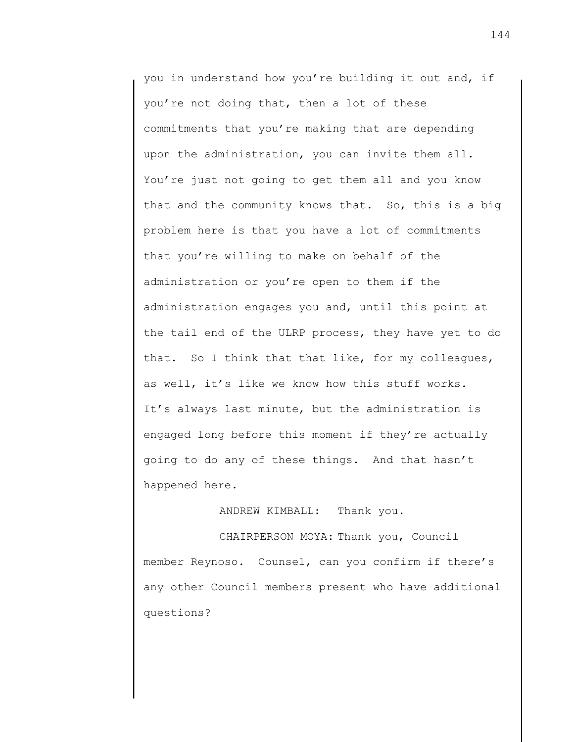you in understand how you're building it out and, if you're not doing that, then a lot of these commitments that you're making that are depending upon the administration, you can invite them all. You're just not going to get them all and you know that and the community knows that. So, this is a big problem here is that you have a lot of commitments that you're willing to make on behalf of the administration or you're open to them if the administration engages you and, until this point at the tail end of the ULRP process, they have yet to do that. So I think that that like, for my colleagues, as well, it's like we know how this stuff works. It's always last minute, but the administration is engaged long before this moment if they're actually going to do any of these things. And that hasn't happened here.

ANDREW KIMBALL: Thank you.

CHAIRPERSON MOYA: Thank you, Council member Reynoso. Counsel, can you confirm if there's any other Council members present who have additional questions?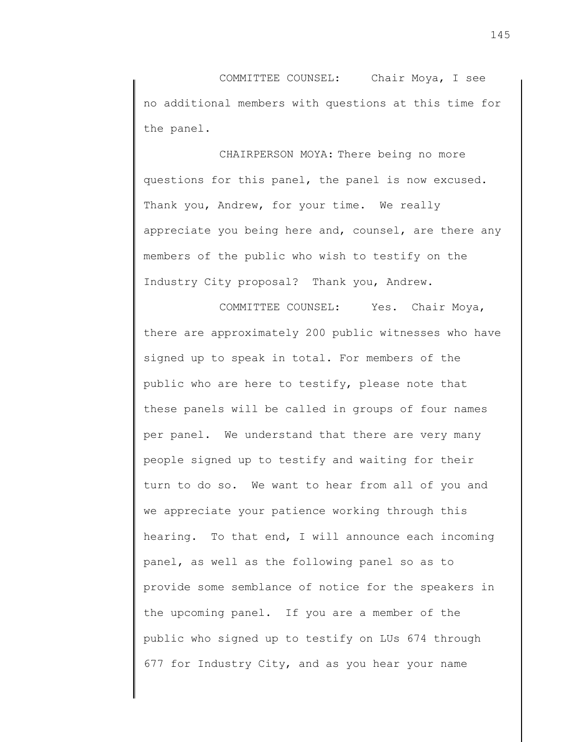COMMITTEE COUNSEL: Chair Moya, I see no additional members with questions at this time for the panel.

CHAIRPERSON MOYA: There being no more questions for this panel, the panel is now excused. Thank you, Andrew, for your time. We really appreciate you being here and, counsel, are there any members of the public who wish to testify on the Industry City proposal? Thank you, Andrew.

COMMITTEE COUNSEL: Yes. Chair Moya, there are approximately 200 public witnesses who have signed up to speak in total. For members of the public who are here to testify, please note that these panels will be called in groups of four names per panel. We understand that there are very many people signed up to testify and waiting for their turn to do so. We want to hear from all of you and we appreciate your patience working through this hearing. To that end, I will announce each incoming panel, as well as the following panel so as to provide some semblance of notice for the speakers in the upcoming panel. If you are a member of the public who signed up to testify on LUs 674 through 677 for Industry City, and as you hear your name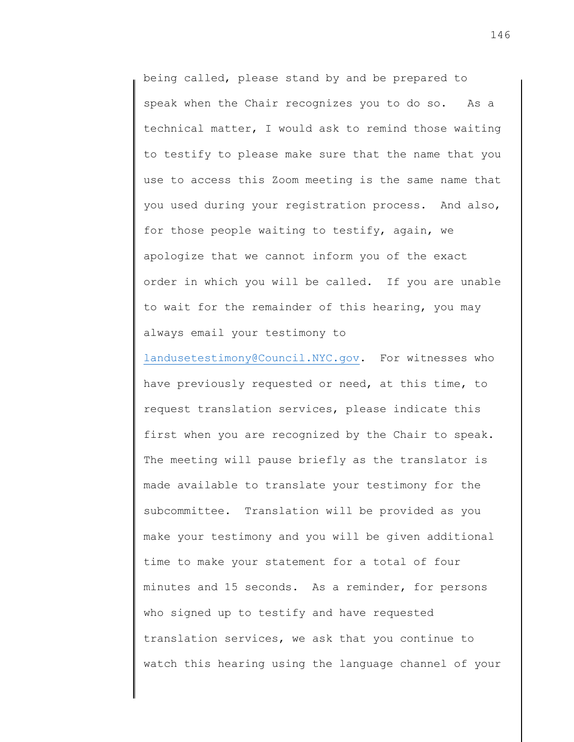being called, please stand by and be prepared to speak when the Chair recognizes you to do so. As a technical matter, I would ask to remind those waiting to testify to please make sure that the name that you use to access this Zoom meeting is the same name that you used during your registration process. And also, for those people waiting to testify, again, we apologize that we cannot inform you of the exact order in which you will be called. If you are unable to wait for the remainder of this hearing, you may always email your testimony to

[landusetestimony@Council.NYC.gov.](mailto:landusetestimony@Council.NYC.gov) For witnesses who have previously requested or need, at this time, to request translation services, please indicate this first when you are recognized by the Chair to speak. The meeting will pause briefly as the translator is made available to translate your testimony for the subcommittee. Translation will be provided as you make your testimony and you will be given additional time to make your statement for a total of four minutes and 15 seconds. As a reminder, for persons who signed up to testify and have requested translation services, we ask that you continue to watch this hearing using the language channel of your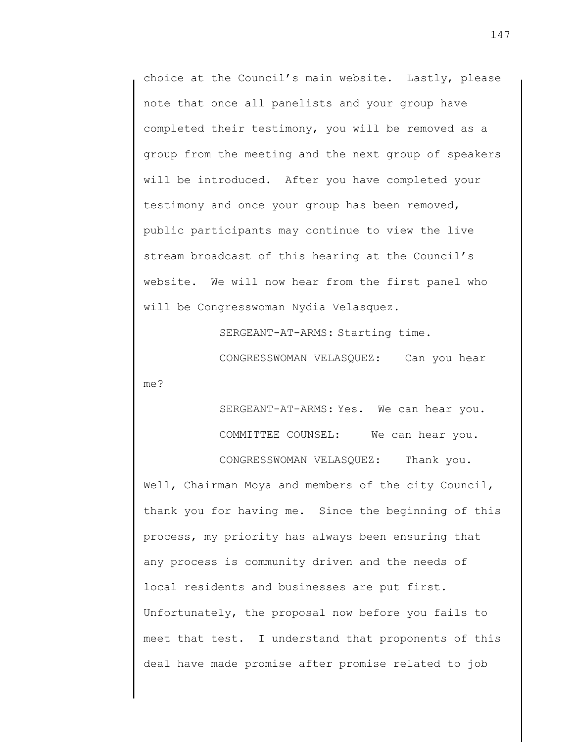choice at the Council's main website. Lastly, please note that once all panelists and your group have completed their testimony, you will be removed as a group from the meeting and the next group of speakers will be introduced. After you have completed your testimony and once your group has been removed, public participants may continue to view the live stream broadcast of this hearing at the Council's website. We will now hear from the first panel who will be Congresswoman Nydia Velasquez.

SERGEANT-AT-ARMS: Starting time.

CONGRESSWOMAN VELASQUEZ: Can you hear

me?

SERGEANT-AT-ARMS: Yes. We can hear you. COMMITTEE COUNSEL: We can hear you. CONGRESSWOMAN VELASQUEZ: Thank you.

Well, Chairman Moya and members of the city Council, thank you for having me. Since the beginning of this process, my priority has always been ensuring that any process is community driven and the needs of local residents and businesses are put first. Unfortunately, the proposal now before you fails to meet that test. I understand that proponents of this deal have made promise after promise related to job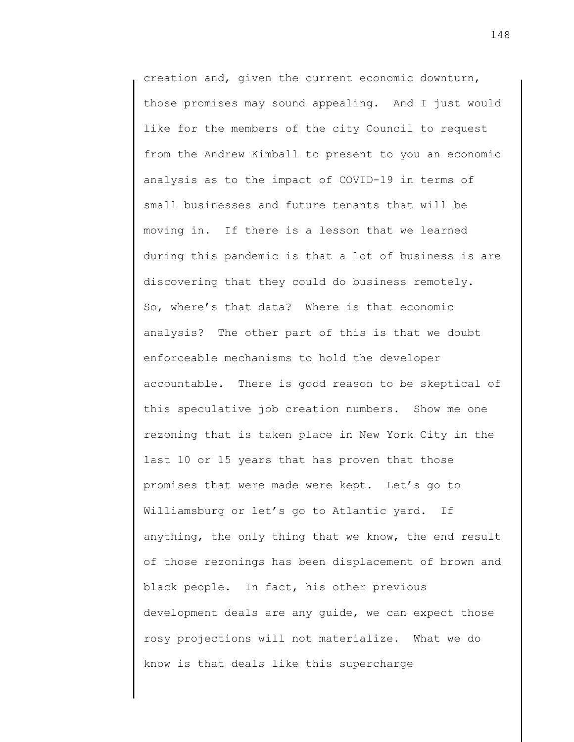creation and, given the current economic downturn, those promises may sound appealing. And I just would like for the members of the city Council to request from the Andrew Kimball to present to you an economic analysis as to the impact of COVID-19 in terms of small businesses and future tenants that will be moving in. If there is a lesson that we learned during this pandemic is that a lot of business is are discovering that they could do business remotely. So, where's that data? Where is that economic analysis? The other part of this is that we doubt enforceable mechanisms to hold the developer accountable. There is good reason to be skeptical of this speculative job creation numbers. Show me one rezoning that is taken place in New York City in the last 10 or 15 years that has proven that those promises that were made were kept. Let's go to Williamsburg or let's go to Atlantic yard. If anything, the only thing that we know, the end result of those rezonings has been displacement of brown and black people. In fact, his other previous development deals are any guide, we can expect those rosy projections will not materialize. What we do know is that deals like this supercharge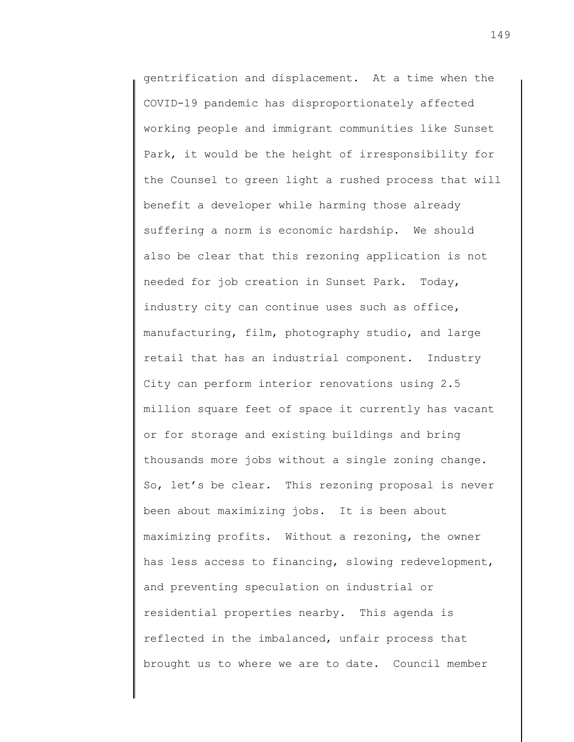gentrification and displacement. At a time when the COVID-19 pandemic has disproportionately affected working people and immigrant communities like Sunset Park, it would be the height of irresponsibility for the Counsel to green light a rushed process that will benefit a developer while harming those already suffering a norm is economic hardship. We should also be clear that this rezoning application is not needed for job creation in Sunset Park. Today, industry city can continue uses such as office, manufacturing, film, photography studio, and large retail that has an industrial component. Industry City can perform interior renovations using 2.5 million square feet of space it currently has vacant or for storage and existing buildings and bring thousands more jobs without a single zoning change. So, let's be clear. This rezoning proposal is never been about maximizing jobs. It is been about maximizing profits. Without a rezoning, the owner has less access to financing, slowing redevelopment, and preventing speculation on industrial or residential properties nearby. This agenda is reflected in the imbalanced, unfair process that brought us to where we are to date. Council member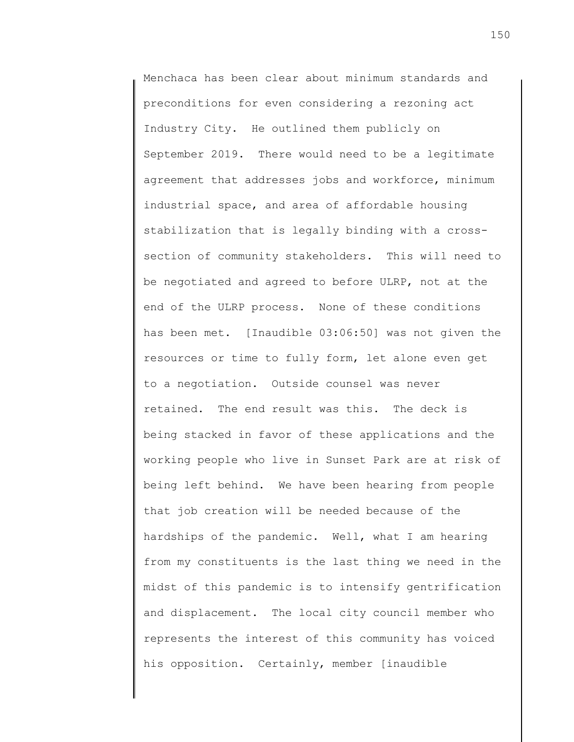Menchaca has been clear about minimum standards and preconditions for even considering a rezoning act Industry City. He outlined them publicly on September 2019. There would need to be a legitimate agreement that addresses jobs and workforce, minimum industrial space, and area of affordable housing stabilization that is legally binding with a crosssection of community stakeholders. This will need to be negotiated and agreed to before ULRP, not at the end of the ULRP process. None of these conditions has been met. [Inaudible 03:06:50] was not given the resources or time to fully form, let alone even get to a negotiation. Outside counsel was never retained. The end result was this. The deck is being stacked in favor of these applications and the working people who live in Sunset Park are at risk of being left behind. We have been hearing from people that job creation will be needed because of the hardships of the pandemic. Well, what I am hearing from my constituents is the last thing we need in the midst of this pandemic is to intensify gentrification and displacement. The local city council member who represents the interest of this community has voiced his opposition. Certainly, member [inaudible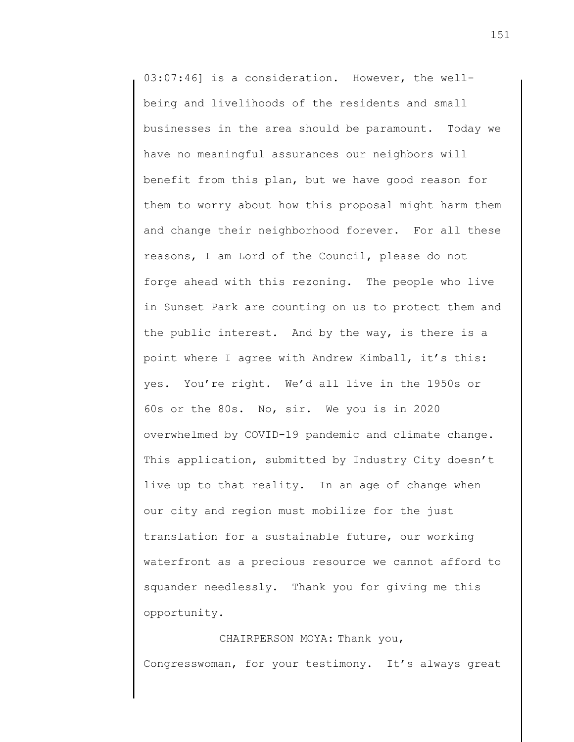03:07:46] is a consideration. However, the wellbeing and livelihoods of the residents and small businesses in the area should be paramount. Today we have no meaningful assurances our neighbors will benefit from this plan, but we have good reason for them to worry about how this proposal might harm them and change their neighborhood forever. For all these reasons, I am Lord of the Council, please do not forge ahead with this rezoning. The people who live in Sunset Park are counting on us to protect them and the public interest. And by the way, is there is a point where I agree with Andrew Kimball, it's this: yes. You're right. We'd all live in the 1950s or 60s or the 80s. No, sir. We you is in 2020 overwhelmed by COVID-19 pandemic and climate change. This application, submitted by Industry City doesn't live up to that reality. In an age of change when our city and region must mobilize for the just translation for a sustainable future, our working waterfront as a precious resource we cannot afford to squander needlessly. Thank you for giving me this opportunity.

CHAIRPERSON MOYA: Thank you, Congresswoman, for your testimony. It's always great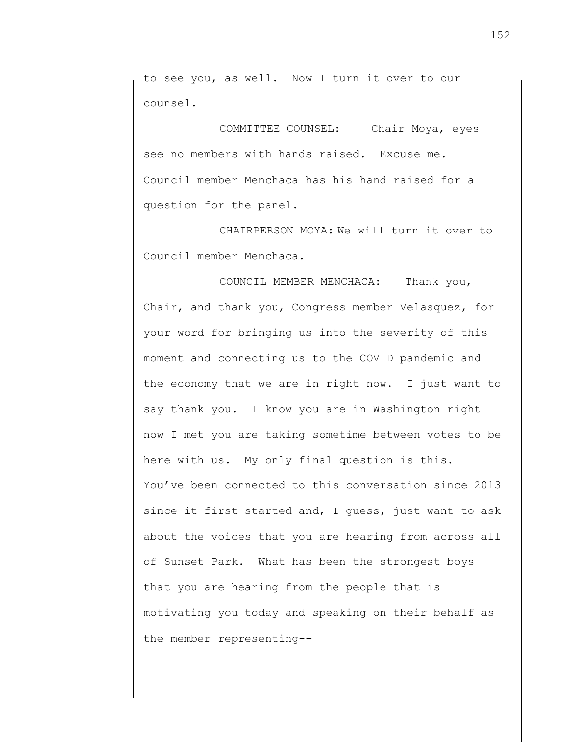to see you, as well. Now I turn it over to our counsel.

COMMITTEE COUNSEL: Chair Moya, eyes see no members with hands raised. Excuse me. Council member Menchaca has his hand raised for a question for the panel.

CHAIRPERSON MOYA: We will turn it over to Council member Menchaca.

COUNCIL MEMBER MENCHACA: Thank you, Chair, and thank you, Congress member Velasquez, for your word for bringing us into the severity of this moment and connecting us to the COVID pandemic and the economy that we are in right now. I just want to say thank you. I know you are in Washington right now I met you are taking sometime between votes to be here with us. My only final question is this. You've been connected to this conversation since 2013 since it first started and, I guess, just want to ask about the voices that you are hearing from across all of Sunset Park. What has been the strongest boys that you are hearing from the people that is motivating you today and speaking on their behalf as the member representing--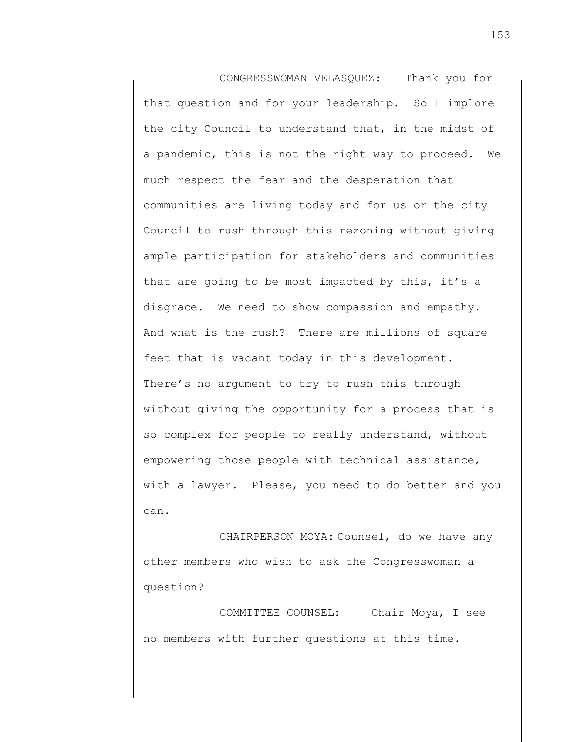CONGRESSWOMAN VELASQUEZ: Thank you for that question and for your leadership. So I implore the city Council to understand that, in the midst of a pandemic, this is not the right way to proceed. We much respect the fear and the desperation that communities are living today and for us or the city Council to rush through this rezoning without giving ample participation for stakeholders and communities that are going to be most impacted by this, it's a disgrace. We need to show compassion and empathy. And what is the rush? There are millions of square feet that is vacant today in this development. There's no argument to try to rush this through without giving the opportunity for a process that is so complex for people to really understand, without empowering those people with technical assistance, with a lawyer. Please, you need to do better and you can.

CHAIRPERSON MOYA: Counsel, do we have any other members who wish to ask the Congresswoman a question?

COMMITTEE COUNSEL: Chair Moya, I see no members with further questions at this time.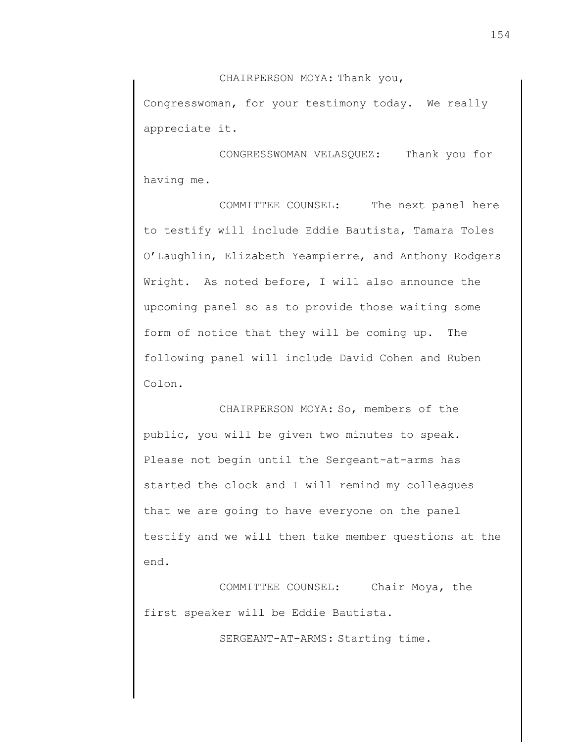CHAIRPERSON MOYA: Thank you,

Congresswoman, for your testimony today. We really appreciate it.

CONGRESSWOMAN VELASQUEZ: Thank you for having me.

COMMITTEE COUNSEL: The next panel here to testify will include Eddie Bautista, Tamara Toles O'Laughlin, Elizabeth Yeampierre, and Anthony Rodgers Wright. As noted before, I will also announce the upcoming panel so as to provide those waiting some form of notice that they will be coming up. The following panel will include David Cohen and Ruben Colon.

CHAIRPERSON MOYA: So, members of the public, you will be given two minutes to speak. Please not begin until the Sergeant-at-arms has started the clock and I will remind my colleagues that we are going to have everyone on the panel testify and we will then take member questions at the end.

COMMITTEE COUNSEL: Chair Moya, the first speaker will be Eddie Bautista.

SERGEANT-AT-ARMS: Starting time.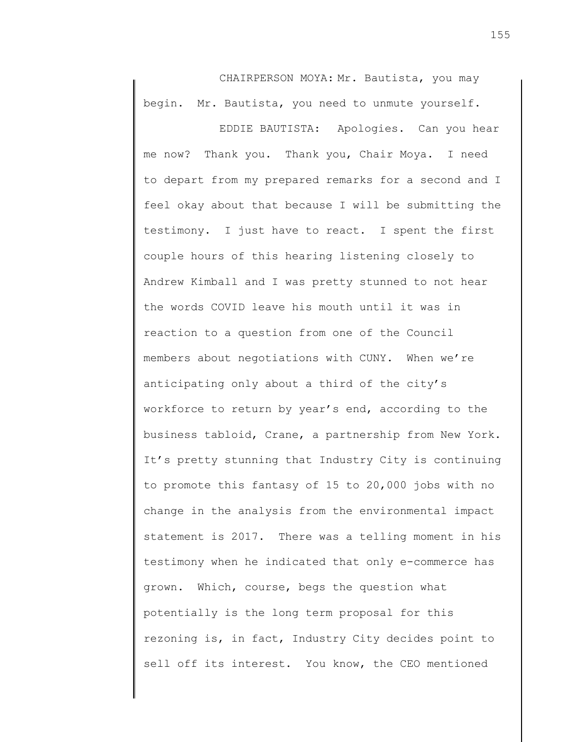CHAIRPERSON MOYA: Mr. Bautista, you may begin. Mr. Bautista, you need to unmute yourself.

EDDIE BAUTISTA: Apologies. Can you hear me now? Thank you. Thank you, Chair Moya. I need to depart from my prepared remarks for a second and I feel okay about that because I will be submitting the testimony. I just have to react. I spent the first couple hours of this hearing listening closely to Andrew Kimball and I was pretty stunned to not hear the words COVID leave his mouth until it was in reaction to a question from one of the Council members about negotiations with CUNY. When we're anticipating only about a third of the city's workforce to return by year's end, according to the business tabloid, Crane, a partnership from New York. It's pretty stunning that Industry City is continuing to promote this fantasy of 15 to 20,000 jobs with no change in the analysis from the environmental impact statement is 2017. There was a telling moment in his testimony when he indicated that only e-commerce has grown. Which, course, begs the question what potentially is the long term proposal for this rezoning is, in fact, Industry City decides point to sell off its interest. You know, the CEO mentioned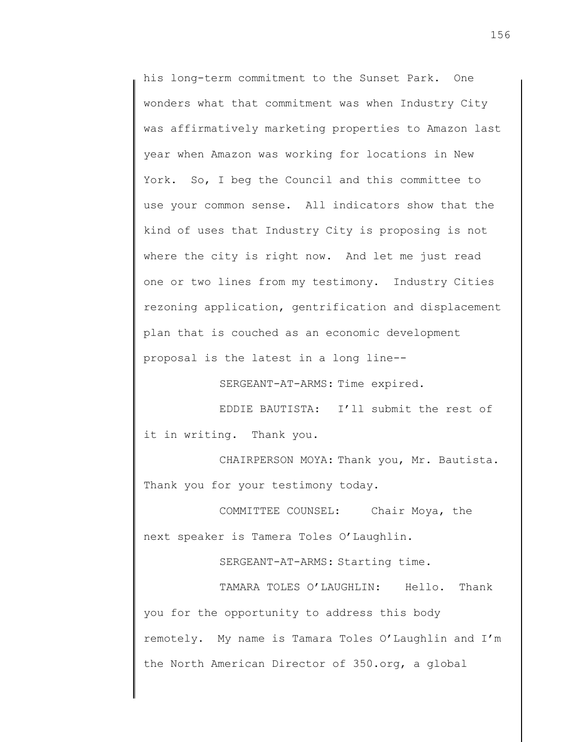his long-term commitment to the Sunset Park. One wonders what that commitment was when Industry City was affirmatively marketing properties to Amazon last year when Amazon was working for locations in New York. So, I beg the Council and this committee to use your common sense. All indicators show that the kind of uses that Industry City is proposing is not where the city is right now. And let me just read one or two lines from my testimony. Industry Cities rezoning application, gentrification and displacement plan that is couched as an economic development proposal is the latest in a long line--

SERGEANT-AT-ARMS: Time expired.

EDDIE BAUTISTA: I'll submit the rest of it in writing. Thank you.

CHAIRPERSON MOYA: Thank you, Mr. Bautista. Thank you for your testimony today.

COMMITTEE COUNSEL: Chair Moya, the next speaker is Tamera Toles O'Laughlin.

SERGEANT-AT-ARMS: Starting time.

TAMARA TOLES O'LAUGHLIN: Hello. Thank you for the opportunity to address this body remotely. My name is Tamara Toles O'Laughlin and I'm the North American Director of 350.org, a global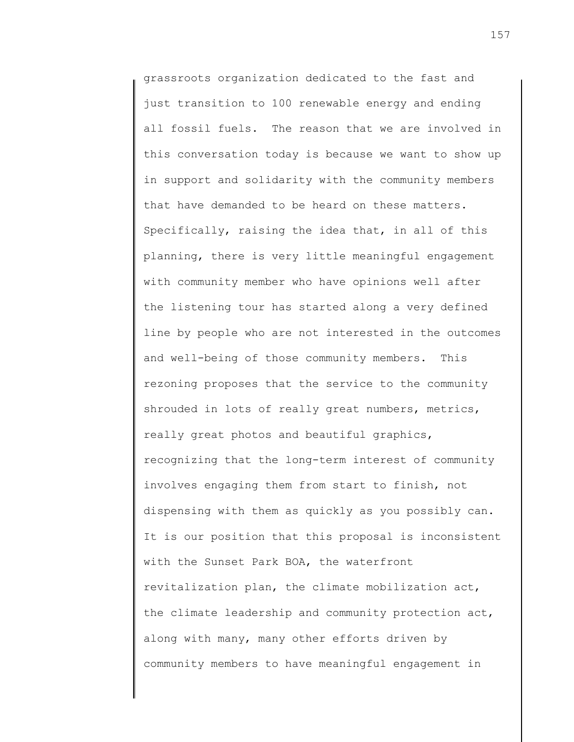grassroots organization dedicated to the fast and just transition to 100 renewable energy and ending all fossil fuels. The reason that we are involved in this conversation today is because we want to show up in support and solidarity with the community members that have demanded to be heard on these matters. Specifically, raising the idea that, in all of this planning, there is very little meaningful engagement with community member who have opinions well after the listening tour has started along a very defined line by people who are not interested in the outcomes and well-being of those community members. This rezoning proposes that the service to the community shrouded in lots of really great numbers, metrics, really great photos and beautiful graphics, recognizing that the long-term interest of community involves engaging them from start to finish, not dispensing with them as quickly as you possibly can. It is our position that this proposal is inconsistent with the Sunset Park BOA, the waterfront revitalization plan, the climate mobilization act, the climate leadership and community protection act, along with many, many other efforts driven by community members to have meaningful engagement in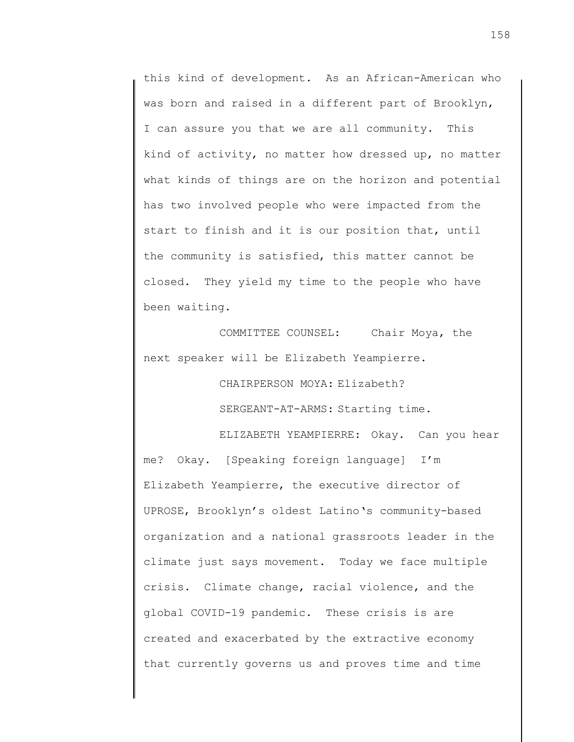this kind of development. As an African-American who was born and raised in a different part of Brooklyn, I can assure you that we are all community. This kind of activity, no matter how dressed up, no matter what kinds of things are on the horizon and potential has two involved people who were impacted from the start to finish and it is our position that, until the community is satisfied, this matter cannot be closed. They yield my time to the people who have been waiting.

COMMITTEE COUNSEL: Chair Moya, the next speaker will be Elizabeth Yeampierre.

CHAIRPERSON MOYA: Elizabeth?

SERGEANT-AT-ARMS: Starting time.

ELIZABETH YEAMPIERRE: Okay. Can you hear me? Okay. [Speaking foreign language] I'm Elizabeth Yeampierre, the executive director of UPROSE, Brooklyn's oldest Latino's community-based organization and a national grassroots leader in the climate just says movement. Today we face multiple crisis. Climate change, racial violence, and the global COVID-19 pandemic. These crisis is are created and exacerbated by the extractive economy that currently governs us and proves time and time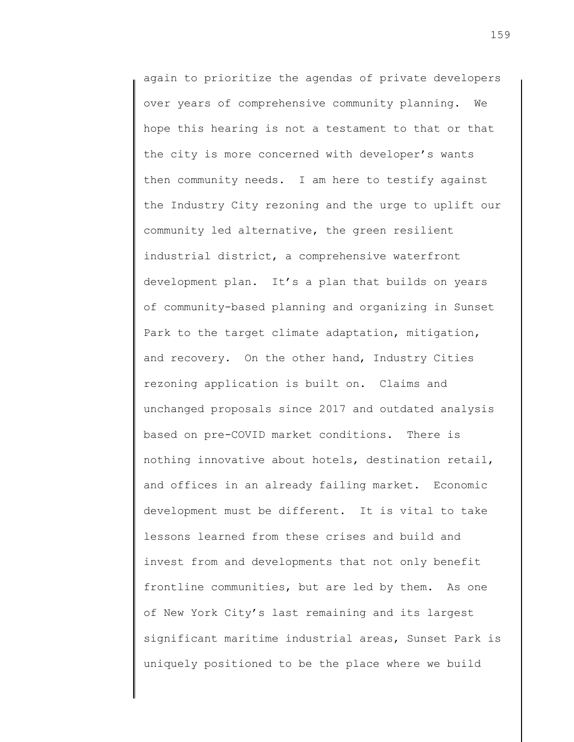again to prioritize the agendas of private developers over years of comprehensive community planning. We hope this hearing is not a testament to that or that the city is more concerned with developer's wants then community needs. I am here to testify against the Industry City rezoning and the urge to uplift our community led alternative, the green resilient industrial district, a comprehensive waterfront development plan. It's a plan that builds on years of community-based planning and organizing in Sunset Park to the target climate adaptation, mitigation, and recovery. On the other hand, Industry Cities rezoning application is built on. Claims and unchanged proposals since 2017 and outdated analysis based on pre-COVID market conditions. There is nothing innovative about hotels, destination retail, and offices in an already failing market. Economic development must be different. It is vital to take lessons learned from these crises and build and invest from and developments that not only benefit frontline communities, but are led by them. As one of New York City's last remaining and its largest significant maritime industrial areas, Sunset Park is uniquely positioned to be the place where we build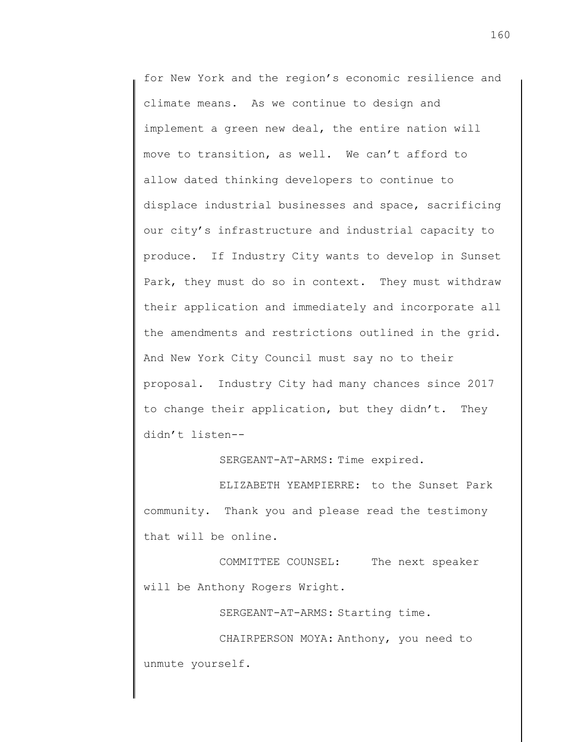for New York and the region's economic resilience and climate means. As we continue to design and implement a green new deal, the entire nation will move to transition, as well. We can't afford to allow dated thinking developers to continue to displace industrial businesses and space, sacrificing our city's infrastructure and industrial capacity to produce. If Industry City wants to develop in Sunset Park, they must do so in context. They must withdraw their application and immediately and incorporate all the amendments and restrictions outlined in the grid. And New York City Council must say no to their proposal. Industry City had many chances since 2017 to change their application, but they didn't. They didn't listen--

SERGEANT-AT-ARMS: Time expired.

ELIZABETH YEAMPIERRE: to the Sunset Park community. Thank you and please read the testimony that will be online.

COMMITTEE COUNSEL: The next speaker will be Anthony Rogers Wright.

SERGEANT-AT-ARMS: Starting time.

CHAIRPERSON MOYA: Anthony, you need to unmute yourself.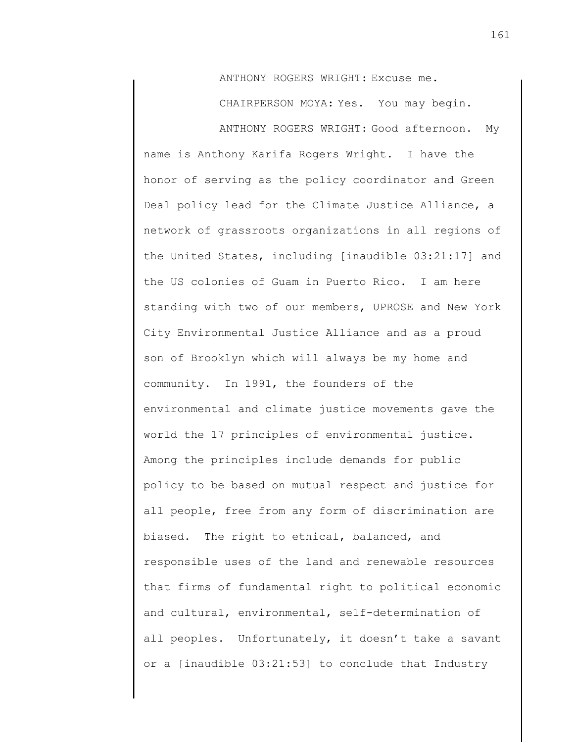ANTHONY ROGERS WRIGHT: Excuse me.

CHAIRPERSON MOYA: Yes. You may begin.

ANTHONY ROGERS WRIGHT: Good afternoon. My name is Anthony Karifa Rogers Wright. I have the honor of serving as the policy coordinator and Green Deal policy lead for the Climate Justice Alliance, a network of grassroots organizations in all regions of the United States, including [inaudible 03:21:17] and the US colonies of Guam in Puerto Rico. I am here standing with two of our members, UPROSE and New York City Environmental Justice Alliance and as a proud son of Brooklyn which will always be my home and community. In 1991, the founders of the environmental and climate justice movements gave the world the 17 principles of environmental justice. Among the principles include demands for public policy to be based on mutual respect and justice for all people, free from any form of discrimination are biased. The right to ethical, balanced, and responsible uses of the land and renewable resources that firms of fundamental right to political economic and cultural, environmental, self-determination of all peoples. Unfortunately, it doesn't take a savant or a [inaudible 03:21:53] to conclude that Industry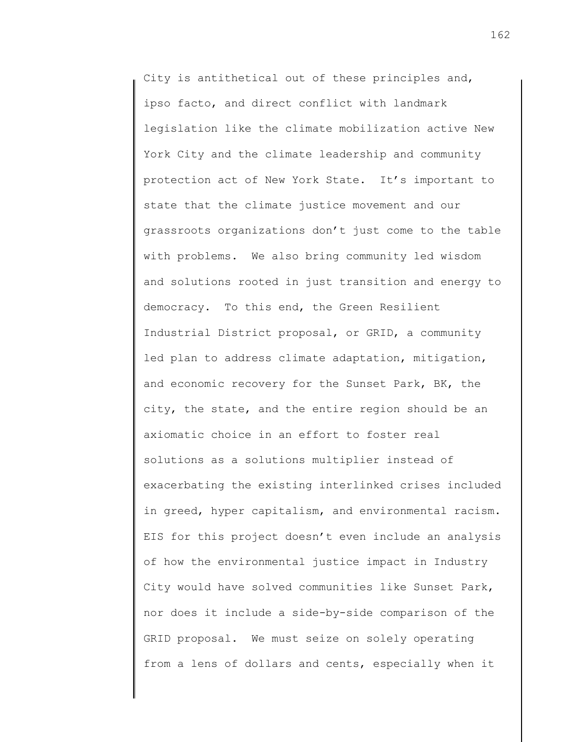City is antithetical out of these principles and, ipso facto, and direct conflict with landmark legislation like the climate mobilization active New York City and the climate leadership and community protection act of New York State. It's important to state that the climate justice movement and our grassroots organizations don't just come to the table with problems. We also bring community led wisdom and solutions rooted in just transition and energy to democracy. To this end, the Green Resilient Industrial District proposal, or GRID, a community led plan to address climate adaptation, mitigation, and economic recovery for the Sunset Park, BK, the city, the state, and the entire region should be an axiomatic choice in an effort to foster real solutions as a solutions multiplier instead of exacerbating the existing interlinked crises included in greed, hyper capitalism, and environmental racism. EIS for this project doesn't even include an analysis of how the environmental justice impact in Industry City would have solved communities like Sunset Park, nor does it include a side-by-side comparison of the GRID proposal. We must seize on solely operating from a lens of dollars and cents, especially when it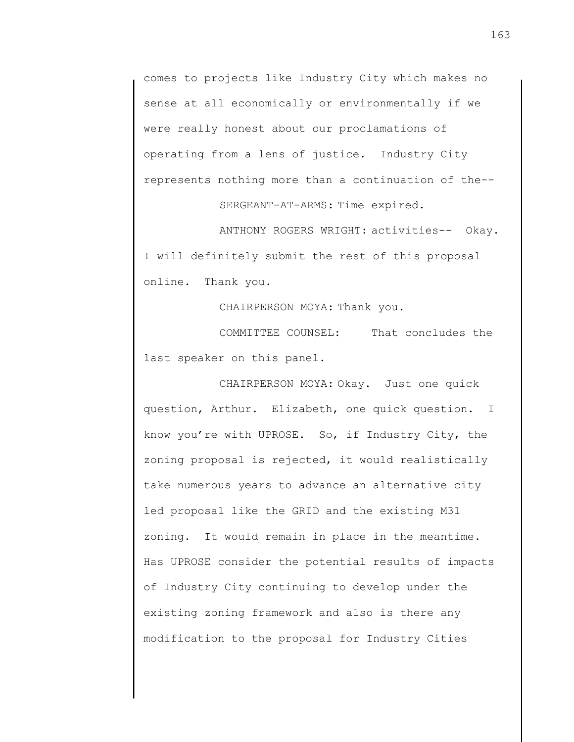comes to projects like Industry City which makes no sense at all economically or environmentally if we were really honest about our proclamations of operating from a lens of justice. Industry City represents nothing more than a continuation of the-- SERGEANT-AT-ARMS: Time expired.

ANTHONY ROGERS WRIGHT: activities-- Okay. I will definitely submit the rest of this proposal online. Thank you.

CHAIRPERSON MOYA: Thank you.

COMMITTEE COUNSEL: That concludes the last speaker on this panel.

CHAIRPERSON MOYA: Okay. Just one quick question, Arthur. Elizabeth, one quick question. I know you're with UPROSE. So, if Industry City, the zoning proposal is rejected, it would realistically take numerous years to advance an alternative city led proposal like the GRID and the existing M31 zoning. It would remain in place in the meantime. Has UPROSE consider the potential results of impacts of Industry City continuing to develop under the existing zoning framework and also is there any modification to the proposal for Industry Cities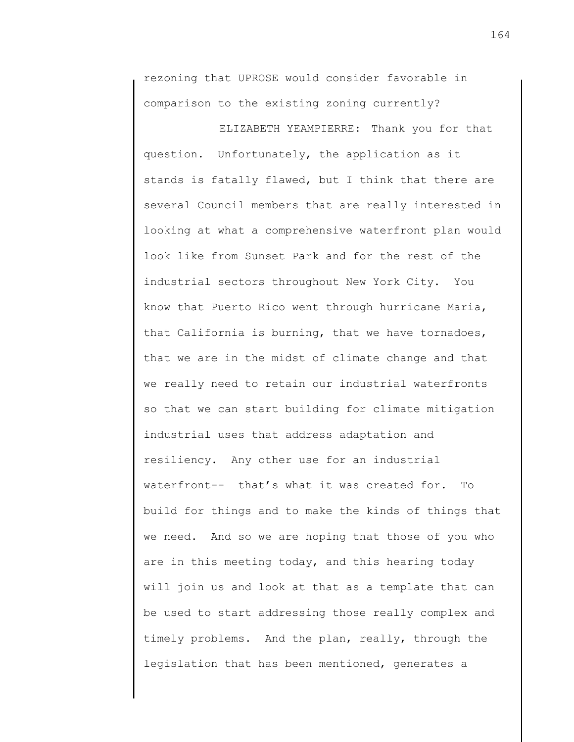rezoning that UPROSE would consider favorable in comparison to the existing zoning currently?

ELIZABETH YEAMPIERRE: Thank you for that question. Unfortunately, the application as it stands is fatally flawed, but I think that there are several Council members that are really interested in looking at what a comprehensive waterfront plan would look like from Sunset Park and for the rest of the industrial sectors throughout New York City. You know that Puerto Rico went through hurricane Maria, that California is burning, that we have tornadoes, that we are in the midst of climate change and that we really need to retain our industrial waterfronts so that we can start building for climate mitigation industrial uses that address adaptation and resiliency. Any other use for an industrial waterfront-- that's what it was created for. To build for things and to make the kinds of things that we need. And so we are hoping that those of you who are in this meeting today, and this hearing today will join us and look at that as a template that can be used to start addressing those really complex and timely problems. And the plan, really, through the legislation that has been mentioned, generates a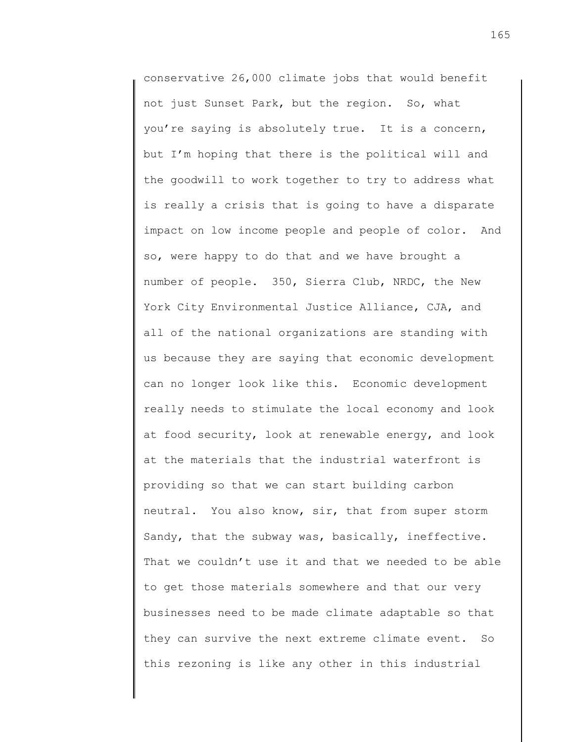conservative 26,000 climate jobs that would benefit not just Sunset Park, but the region. So, what you're saying is absolutely true. It is a concern, but I'm hoping that there is the political will and the goodwill to work together to try to address what is really a crisis that is going to have a disparate impact on low income people and people of color. And so, were happy to do that and we have brought a number of people. 350, Sierra Club, NRDC, the New York City Environmental Justice Alliance, CJA, and all of the national organizations are standing with us because they are saying that economic development can no longer look like this. Economic development really needs to stimulate the local economy and look at food security, look at renewable energy, and look at the materials that the industrial waterfront is providing so that we can start building carbon neutral. You also know, sir, that from super storm Sandy, that the subway was, basically, ineffective. That we couldn't use it and that we needed to be able to get those materials somewhere and that our very businesses need to be made climate adaptable so that they can survive the next extreme climate event. So this rezoning is like any other in this industrial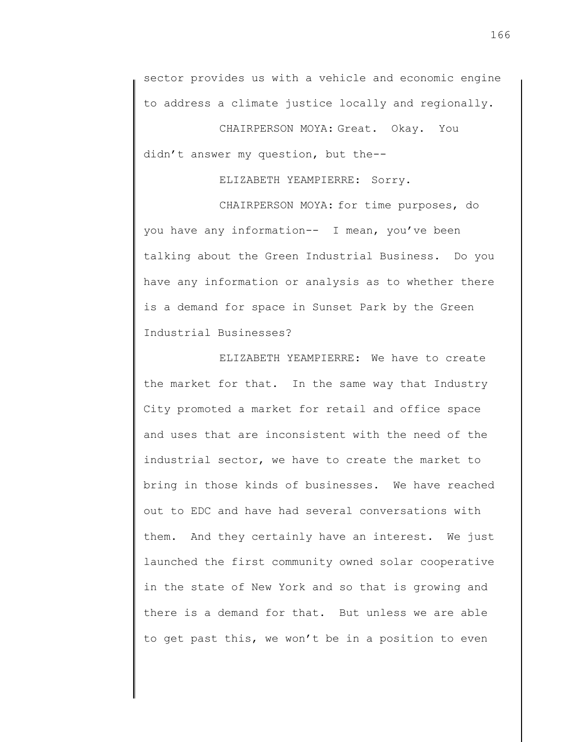sector provides us with a vehicle and economic engine to address a climate justice locally and regionally.

CHAIRPERSON MOYA: Great. Okay. You didn't answer my question, but the--

## ELIZABETH YEAMPIERRE: Sorry.

CHAIRPERSON MOYA: for time purposes, do you have any information-- I mean, you've been talking about the Green Industrial Business. Do you have any information or analysis as to whether there is a demand for space in Sunset Park by the Green Industrial Businesses?

ELIZABETH YEAMPIERRE: We have to create the market for that. In the same way that Industry City promoted a market for retail and office space and uses that are inconsistent with the need of the industrial sector, we have to create the market to bring in those kinds of businesses. We have reached out to EDC and have had several conversations with them. And they certainly have an interest. We just launched the first community owned solar cooperative in the state of New York and so that is growing and there is a demand for that. But unless we are able to get past this, we won't be in a position to even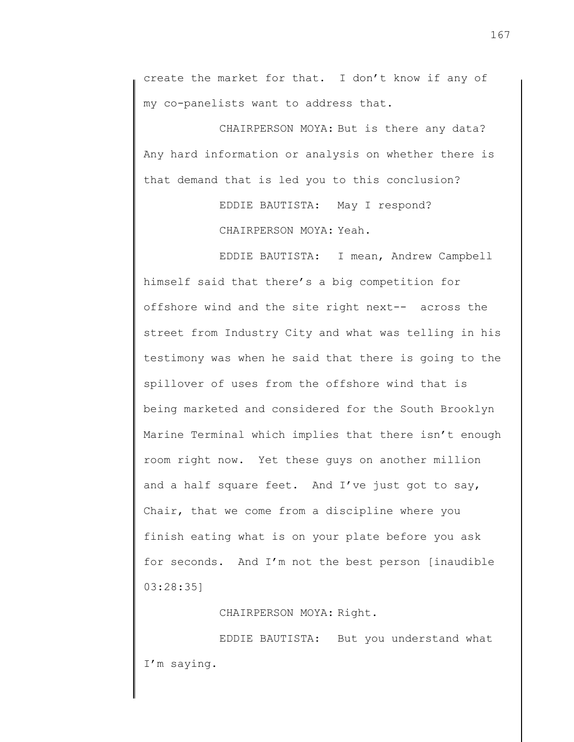create the market for that. I don't know if any of my co-panelists want to address that.

CHAIRPERSON MOYA: But is there any data? Any hard information or analysis on whether there is that demand that is led you to this conclusion?

> EDDIE BAUTISTA: May I respond? CHAIRPERSON MOYA: Yeah.

EDDIE BAUTISTA: I mean, Andrew Campbell himself said that there's a big competition for offshore wind and the site right next-- across the street from Industry City and what was telling in his testimony was when he said that there is going to the spillover of uses from the offshore wind that is being marketed and considered for the South Brooklyn Marine Terminal which implies that there isn't enough room right now. Yet these guys on another million and a half square feet. And I've just got to say, Chair, that we come from a discipline where you finish eating what is on your plate before you ask for seconds. And I'm not the best person [inaudible 03:28:35]

CHAIRPERSON MOYA: Right.

EDDIE BAUTISTA: But you understand what I'm saying.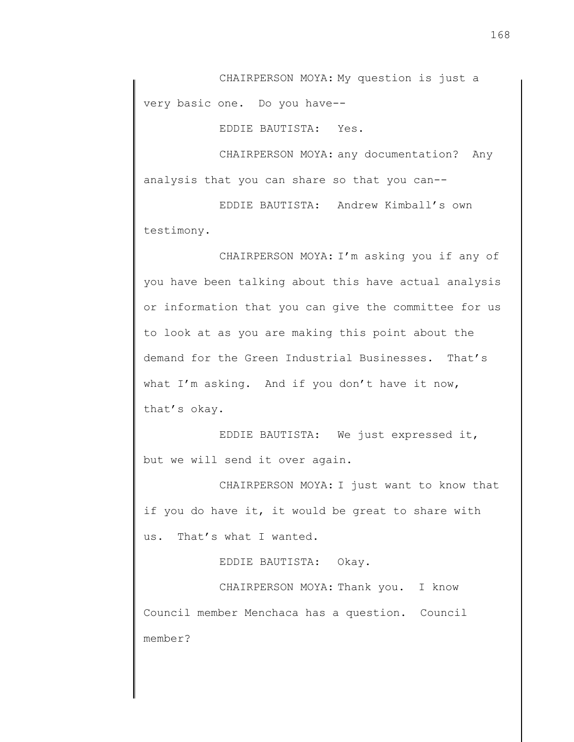CHAIRPERSON MOYA: My question is just a very basic one. Do you have--

EDDIE BAUTISTA: Yes.

CHAIRPERSON MOYA: any documentation? Any analysis that you can share so that you can--

EDDIE BAUTISTA: Andrew Kimball's own testimony.

CHAIRPERSON MOYA: I'm asking you if any of you have been talking about this have actual analysis or information that you can give the committee for us to look at as you are making this point about the demand for the Green Industrial Businesses. That's what I'm asking. And if you don't have it now, that's okay.

EDDIE BAUTISTA: We just expressed it, but we will send it over again.

CHAIRPERSON MOYA: I just want to know that if you do have it, it would be great to share with us. That's what I wanted.

EDDIE BAUTISTA: Okay.

CHAIRPERSON MOYA: Thank you. I know Council member Menchaca has a question. Council member?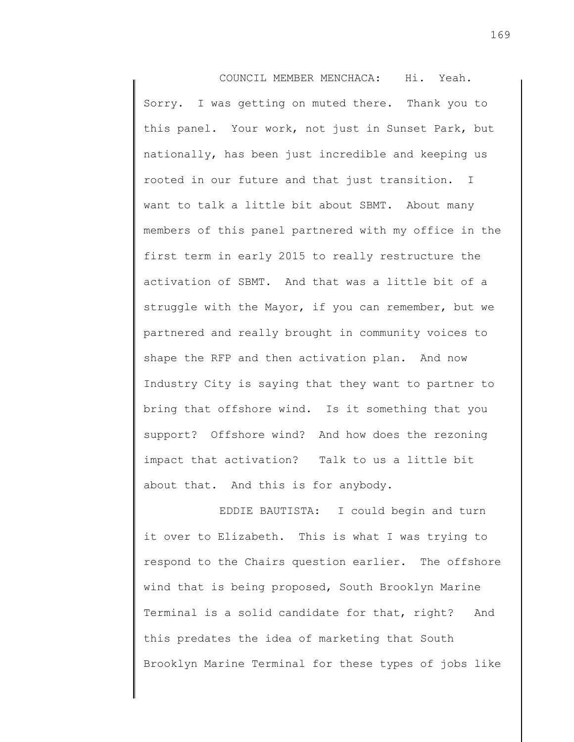COUNCIL MEMBER MENCHACA: Hi. Yeah. Sorry. I was getting on muted there. Thank you to this panel. Your work, not just in Sunset Park, but nationally, has been just incredible and keeping us rooted in our future and that just transition. I want to talk a little bit about SBMT. About many members of this panel partnered with my office in the first term in early 2015 to really restructure the activation of SBMT. And that was a little bit of a struggle with the Mayor, if you can remember, but we partnered and really brought in community voices to shape the RFP and then activation plan. And now Industry City is saying that they want to partner to bring that offshore wind. Is it something that you support? Offshore wind? And how does the rezoning impact that activation? Talk to us a little bit about that. And this is for anybody.

EDDIE BAUTISTA: I could begin and turn it over to Elizabeth. This is what I was trying to respond to the Chairs question earlier. The offshore wind that is being proposed, South Brooklyn Marine Terminal is a solid candidate for that, right? And this predates the idea of marketing that South Brooklyn Marine Terminal for these types of jobs like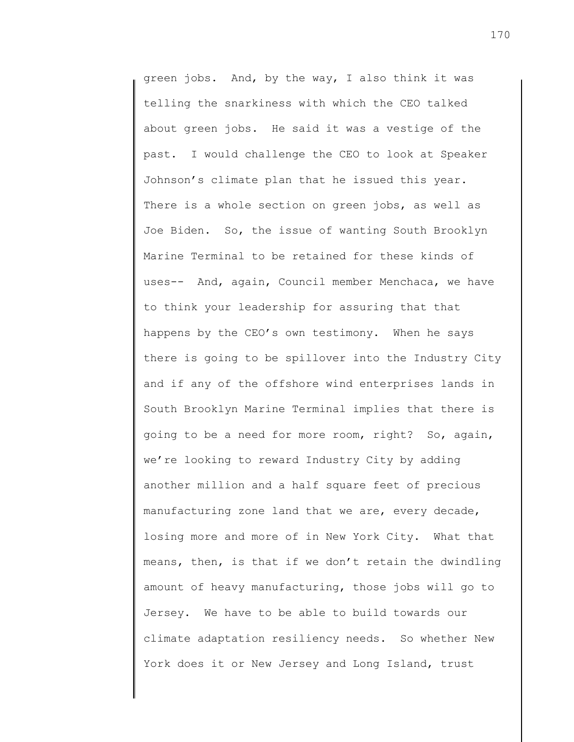green jobs. And, by the way, I also think it was telling the snarkiness with which the CEO talked about green jobs. He said it was a vestige of the past. I would challenge the CEO to look at Speaker Johnson's climate plan that he issued this year. There is a whole section on green jobs, as well as Joe Biden. So, the issue of wanting South Brooklyn Marine Terminal to be retained for these kinds of uses-- And, again, Council member Menchaca, we have to think your leadership for assuring that that happens by the CEO's own testimony. When he says there is going to be spillover into the Industry City and if any of the offshore wind enterprises lands in South Brooklyn Marine Terminal implies that there is going to be a need for more room, right? So, again, we're looking to reward Industry City by adding another million and a half square feet of precious manufacturing zone land that we are, every decade, losing more and more of in New York City. What that means, then, is that if we don't retain the dwindling amount of heavy manufacturing, those jobs will go to Jersey. We have to be able to build towards our climate adaptation resiliency needs. So whether New York does it or New Jersey and Long Island, trust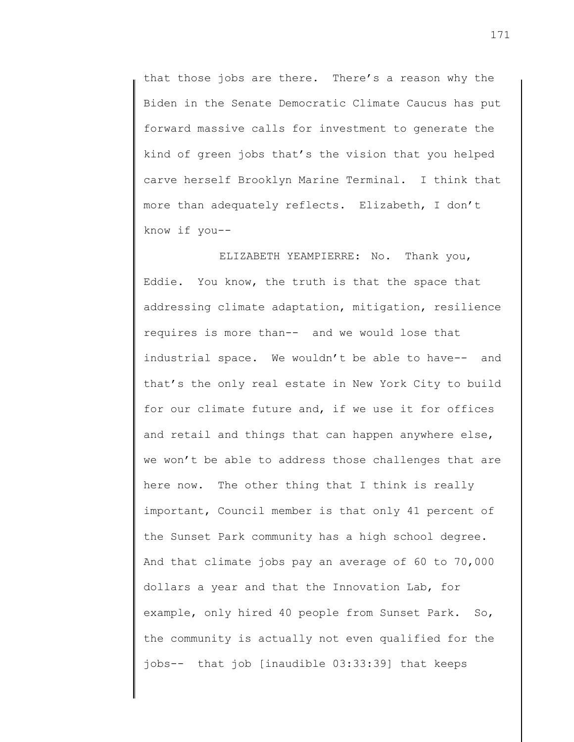that those jobs are there. There's a reason why the Biden in the Senate Democratic Climate Caucus has put forward massive calls for investment to generate the kind of green jobs that's the vision that you helped carve herself Brooklyn Marine Terminal. I think that more than adequately reflects. Elizabeth, I don't know if you--

ELIZABETH YEAMPIERRE: No. Thank you, Eddie. You know, the truth is that the space that addressing climate adaptation, mitigation, resilience requires is more than-- and we would lose that industrial space. We wouldn't be able to have-- and that's the only real estate in New York City to build for our climate future and, if we use it for offices and retail and things that can happen anywhere else, we won't be able to address those challenges that are here now. The other thing that I think is really important, Council member is that only 41 percent of the Sunset Park community has a high school degree. And that climate jobs pay an average of 60 to 70,000 dollars a year and that the Innovation Lab, for example, only hired 40 people from Sunset Park. So, the community is actually not even qualified for the jobs-- that job [inaudible 03:33:39] that keeps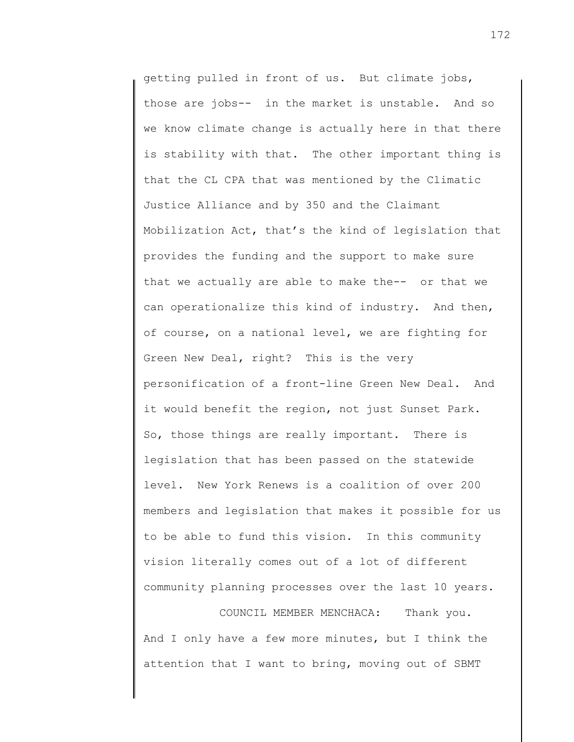getting pulled in front of us. But climate jobs, those are jobs-- in the market is unstable. And so we know climate change is actually here in that there is stability with that. The other important thing is that the CL CPA that was mentioned by the Climatic Justice Alliance and by 350 and the Claimant Mobilization Act, that's the kind of legislation that provides the funding and the support to make sure that we actually are able to make the-- or that we can operationalize this kind of industry. And then, of course, on a national level, we are fighting for Green New Deal, right? This is the very personification of a front-line Green New Deal. And it would benefit the region, not just Sunset Park. So, those things are really important. There is legislation that has been passed on the statewide level. New York Renews is a coalition of over 200 members and legislation that makes it possible for us to be able to fund this vision. In this community vision literally comes out of a lot of different community planning processes over the last 10 years.

COUNCIL MEMBER MENCHACA: Thank you. And I only have a few more minutes, but I think the attention that I want to bring, moving out of SBMT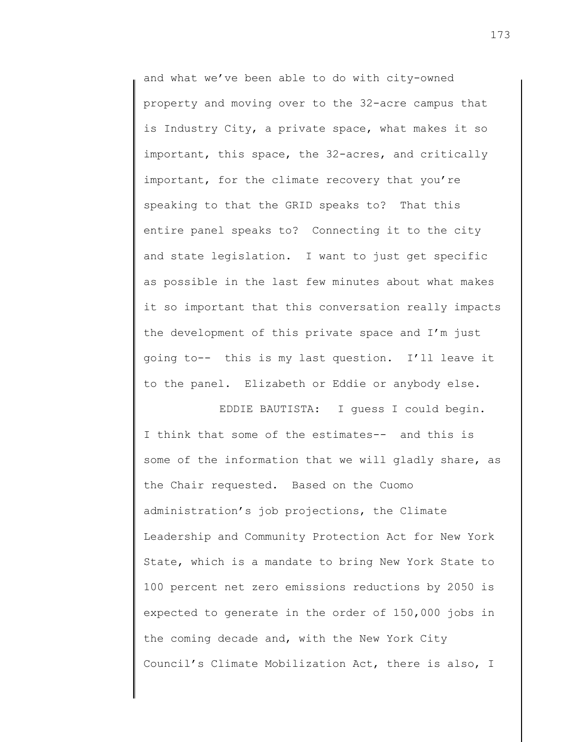and what we've been able to do with city-owned property and moving over to the 32-acre campus that is Industry City, a private space, what makes it so important, this space, the 32-acres, and critically important, for the climate recovery that you're speaking to that the GRID speaks to? That this entire panel speaks to? Connecting it to the city and state legislation. I want to just get specific as possible in the last few minutes about what makes it so important that this conversation really impacts the development of this private space and I'm just going to-- this is my last question. I'll leave it to the panel. Elizabeth or Eddie or anybody else.

EDDIE BAUTISTA: I guess I could begin. I think that some of the estimates-- and this is some of the information that we will gladly share, as the Chair requested. Based on the Cuomo administration's job projections, the Climate Leadership and Community Protection Act for New York State, which is a mandate to bring New York State to 100 percent net zero emissions reductions by 2050 is expected to generate in the order of 150,000 jobs in the coming decade and, with the New York City Council's Climate Mobilization Act, there is also, I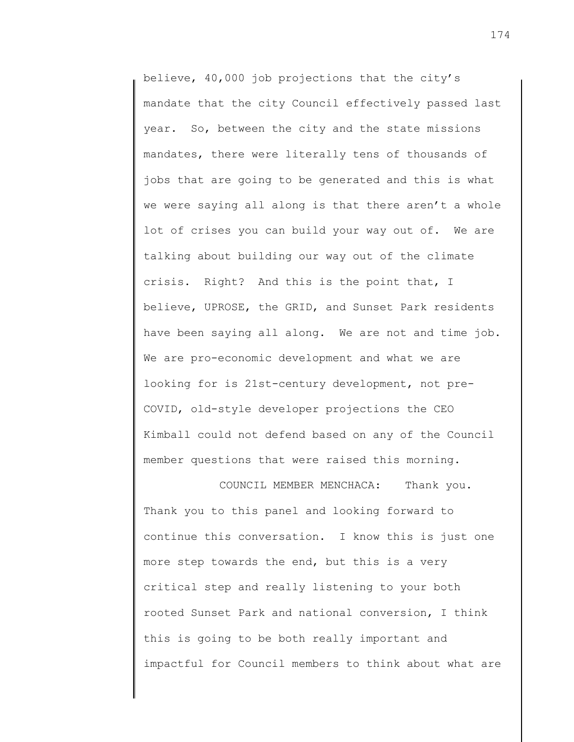believe, 40,000 job projections that the city's mandate that the city Council effectively passed last year. So, between the city and the state missions mandates, there were literally tens of thousands of jobs that are going to be generated and this is what we were saying all along is that there aren't a whole lot of crises you can build your way out of. We are talking about building our way out of the climate crisis. Right? And this is the point that, I believe, UPROSE, the GRID, and Sunset Park residents have been saying all along. We are not and time job. We are pro-economic development and what we are looking for is 21st-century development, not pre-COVID, old-style developer projections the CEO Kimball could not defend based on any of the Council member questions that were raised this morning.

COUNCIL MEMBER MENCHACA: Thank you. Thank you to this panel and looking forward to continue this conversation. I know this is just one more step towards the end, but this is a very critical step and really listening to your both rooted Sunset Park and national conversion, I think this is going to be both really important and impactful for Council members to think about what are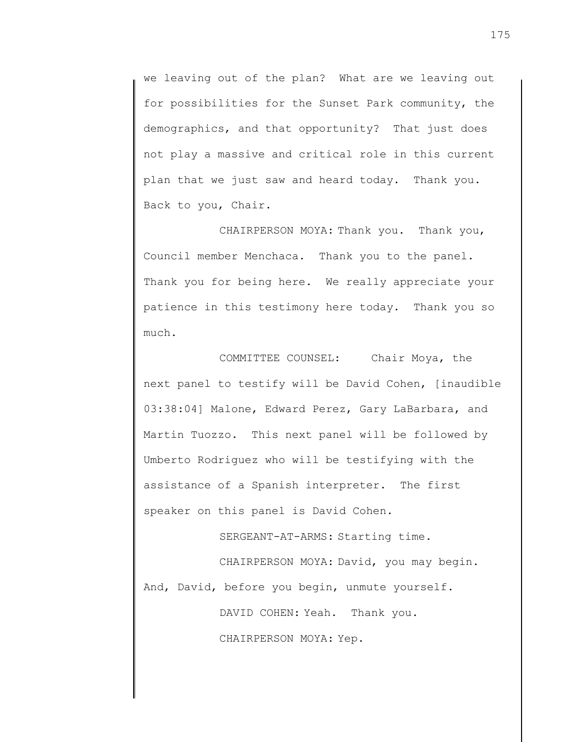we leaving out of the plan? What are we leaving out for possibilities for the Sunset Park community, the demographics, and that opportunity? That just does not play a massive and critical role in this current plan that we just saw and heard today. Thank you. Back to you, Chair.

CHAIRPERSON MOYA: Thank you. Thank you, Council member Menchaca. Thank you to the panel. Thank you for being here. We really appreciate your patience in this testimony here today. Thank you so much.

COMMITTEE COUNSEL: Chair Moya, the next panel to testify will be David Cohen, [inaudible 03:38:04] Malone, Edward Perez, Gary LaBarbara, and Martin Tuozzo. This next panel will be followed by Umberto Rodriguez who will be testifying with the assistance of a Spanish interpreter. The first speaker on this panel is David Cohen.

SERGEANT-AT-ARMS: Starting time.

CHAIRPERSON MOYA: David, you may begin. And, David, before you begin, unmute yourself.

DAVID COHEN: Yeah. Thank you.

CHAIRPERSON MOYA: Yep.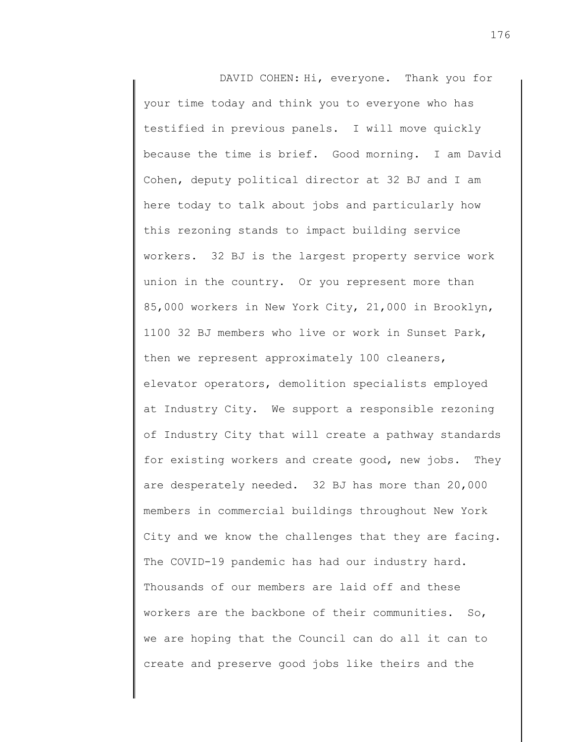DAVID COHEN: Hi, everyone. Thank you for your time today and think you to everyone who has testified in previous panels. I will move quickly because the time is brief. Good morning. I am David Cohen, deputy political director at 32 BJ and I am here today to talk about jobs and particularly how this rezoning stands to impact building service workers. 32 BJ is the largest property service work union in the country. Or you represent more than 85,000 workers in New York City, 21,000 in Brooklyn, 1100 32 BJ members who live or work in Sunset Park, then we represent approximately 100 cleaners, elevator operators, demolition specialists employed at Industry City. We support a responsible rezoning of Industry City that will create a pathway standards for existing workers and create good, new jobs. They are desperately needed. 32 BJ has more than 20,000 members in commercial buildings throughout New York City and we know the challenges that they are facing. The COVID-19 pandemic has had our industry hard. Thousands of our members are laid off and these workers are the backbone of their communities. So, we are hoping that the Council can do all it can to create and preserve good jobs like theirs and the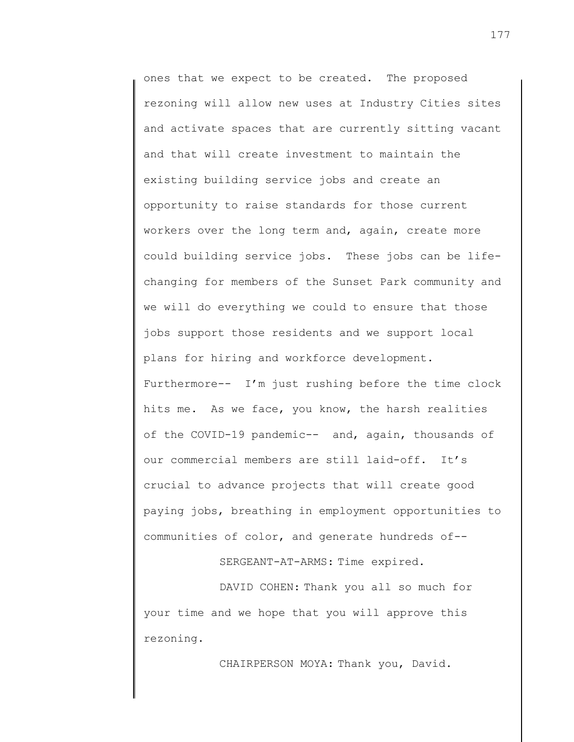ones that we expect to be created. The proposed rezoning will allow new uses at Industry Cities sites and activate spaces that are currently sitting vacant and that will create investment to maintain the existing building service jobs and create an opportunity to raise standards for those current workers over the long term and, again, create more could building service jobs. These jobs can be lifechanging for members of the Sunset Park community and we will do everything we could to ensure that those jobs support those residents and we support local plans for hiring and workforce development. Furthermore-- I'm just rushing before the time clock hits me. As we face, you know, the harsh realities of the COVID-19 pandemic-- and, again, thousands of our commercial members are still laid-off. It's crucial to advance projects that will create good paying jobs, breathing in employment opportunities to communities of color, and generate hundreds of--

SERGEANT-AT-ARMS: Time expired.

DAVID COHEN: Thank you all so much for your time and we hope that you will approve this rezoning.

CHAIRPERSON MOYA: Thank you, David.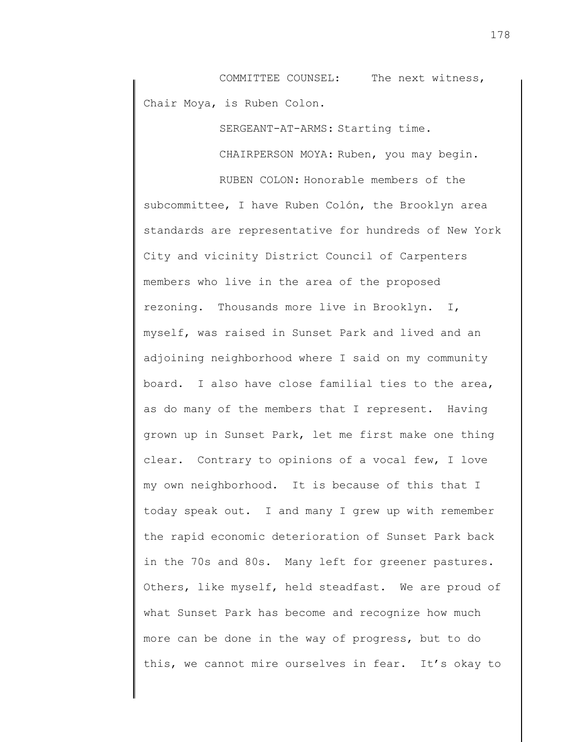COMMITTEE COUNSEL: The next witness, Chair Moya, is Ruben Colon.

SERGEANT-AT-ARMS: Starting time.

CHAIRPERSON MOYA: Ruben, you may begin.

RUBEN COLON: Honorable members of the subcommittee, I have Ruben Colón, the Brooklyn area standards are representative for hundreds of New York City and vicinity District Council of Carpenters members who live in the area of the proposed rezoning. Thousands more live in Brooklyn. I, myself, was raised in Sunset Park and lived and an adjoining neighborhood where I said on my community board. I also have close familial ties to the area, as do many of the members that I represent. Having grown up in Sunset Park, let me first make one thing clear. Contrary to opinions of a vocal few, I love my own neighborhood. It is because of this that I today speak out. I and many I grew up with remember the rapid economic deterioration of Sunset Park back in the 70s and 80s. Many left for greener pastures. Others, like myself, held steadfast. We are proud of what Sunset Park has become and recognize how much more can be done in the way of progress, but to do this, we cannot mire ourselves in fear. It's okay to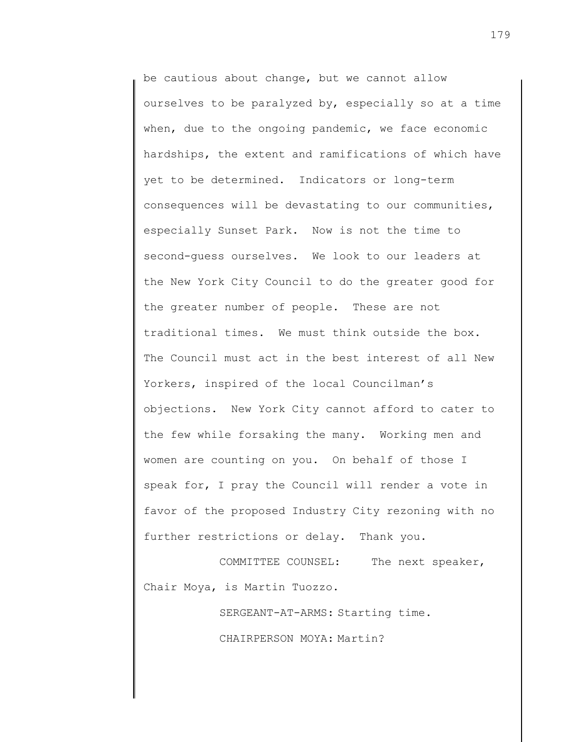be cautious about change, but we cannot allow ourselves to be paralyzed by, especially so at a time when, due to the ongoing pandemic, we face economic hardships, the extent and ramifications of which have yet to be determined. Indicators or long-term consequences will be devastating to our communities, especially Sunset Park. Now is not the time to second-guess ourselves. We look to our leaders at the New York City Council to do the greater good for the greater number of people. These are not traditional times. We must think outside the box. The Council must act in the best interest of all New Yorkers, inspired of the local Councilman's objections. New York City cannot afford to cater to the few while forsaking the many. Working men and women are counting on you. On behalf of those I speak for, I pray the Council will render a vote in favor of the proposed Industry City rezoning with no further restrictions or delay. Thank you.

COMMITTEE COUNSEL: The next speaker, Chair Moya, is Martin Tuozzo.

SERGEANT-AT-ARMS: Starting time.

CHAIRPERSON MOYA: Martin?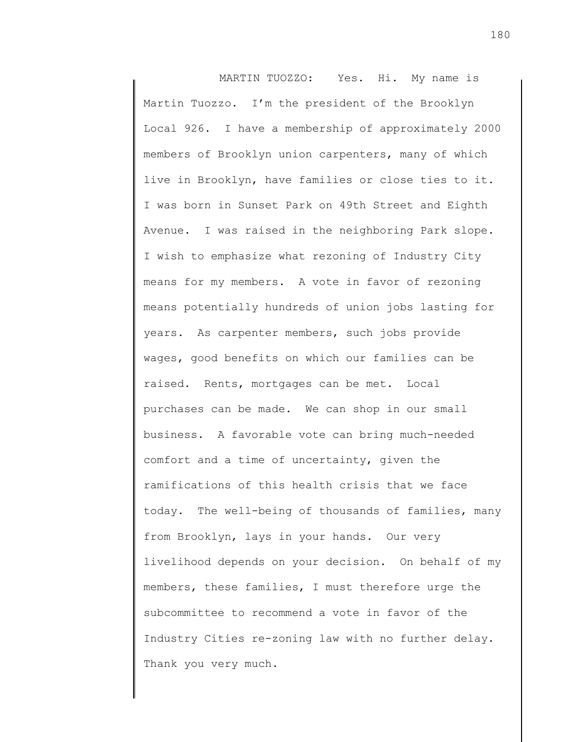MARTIN TUOZZO: Yes. Hi. My name is Martin Tuozzo. I'm the president of the Brooklyn Local 926. I have a membership of approximately 2000 members of Brooklyn union carpenters, many of which live in Brooklyn, have families or close ties to it. I was born in Sunset Park on 49th Street and Eighth Avenue. I was raised in the neighboring Park slope. I wish to emphasize what rezoning of Industry City means for my members. A vote in favor of rezoning means potentially hundreds of union jobs lasting for years. As carpenter members, such jobs provide wages, good benefits on which our families can be raised. Rents, mortgages can be met. Local purchases can be made. We can shop in our small business. A favorable vote can bring much-needed comfort and a time of uncertainty, given the ramifications of this health crisis that we face today. The well-being of thousands of families, many from Brooklyn, lays in your hands. Our very livelihood depends on your decision. On behalf of my members, these families, I must therefore urge the subcommittee to recommend a vote in favor of the Industry Cities re-zoning law with no further delay. Thank you very much.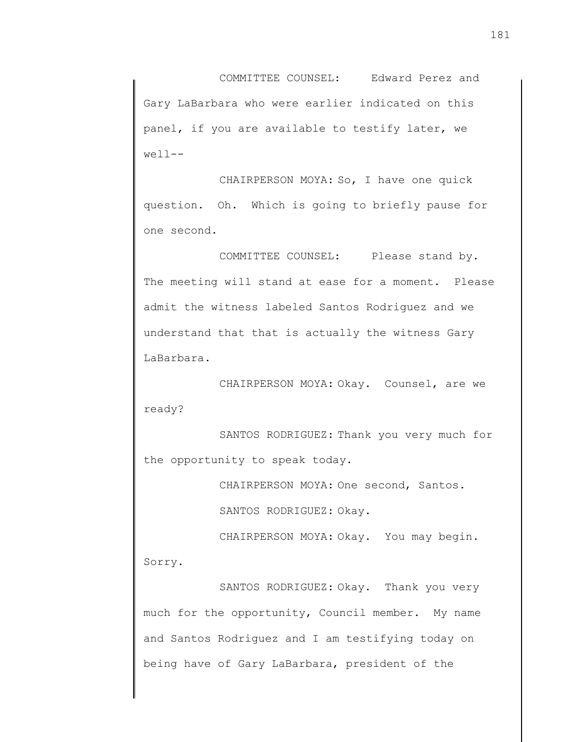COMMITTEE COUNSEL: Edward Perez and Gary LaBarbara who were earlier indicated on this panel, if you are available to testify later, we  $well--$ 

CHAIRPERSON MOYA: So, I have one quick question. Oh. Which is going to briefly pause for one second.

COMMITTEE COUNSEL: Please stand by. The meeting will stand at ease for a moment. Please admit the witness labeled Santos Rodriguez and we understand that that is actually the witness Gary LaBarbara.

CHAIRPERSON MOYA: Okay. Counsel, are we ready?

SANTOS RODRIGUEZ: Thank you very much for the opportunity to speak today.

CHAIRPERSON MOYA: One second, Santos.

SANTOS RODRIGUEZ: Okay.

CHAIRPERSON MOYA: Okay. You may begin. Sorry.

SANTOS RODRIGUEZ: Okay. Thank you very much for the opportunity, Council member. My name and Santos Rodriguez and I am testifying today on being have of Gary LaBarbara, president of the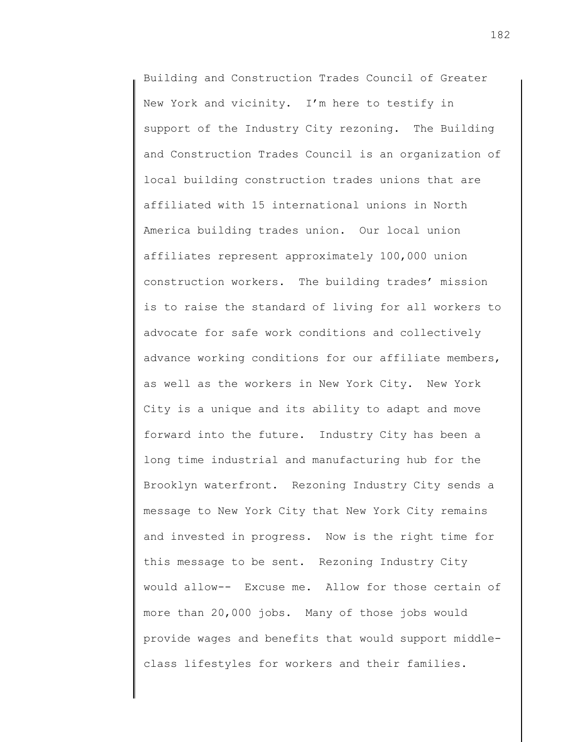Building and Construction Trades Council of Greater New York and vicinity. I'm here to testify in support of the Industry City rezoning. The Building and Construction Trades Council is an organization of local building construction trades unions that are affiliated with 15 international unions in North America building trades union. Our local union affiliates represent approximately 100,000 union construction workers. The building trades' mission is to raise the standard of living for all workers to advocate for safe work conditions and collectively advance working conditions for our affiliate members, as well as the workers in New York City. New York City is a unique and its ability to adapt and move forward into the future. Industry City has been a long time industrial and manufacturing hub for the Brooklyn waterfront. Rezoning Industry City sends a message to New York City that New York City remains and invested in progress. Now is the right time for this message to be sent. Rezoning Industry City would allow-- Excuse me. Allow for those certain of more than 20,000 jobs. Many of those jobs would provide wages and benefits that would support middleclass lifestyles for workers and their families.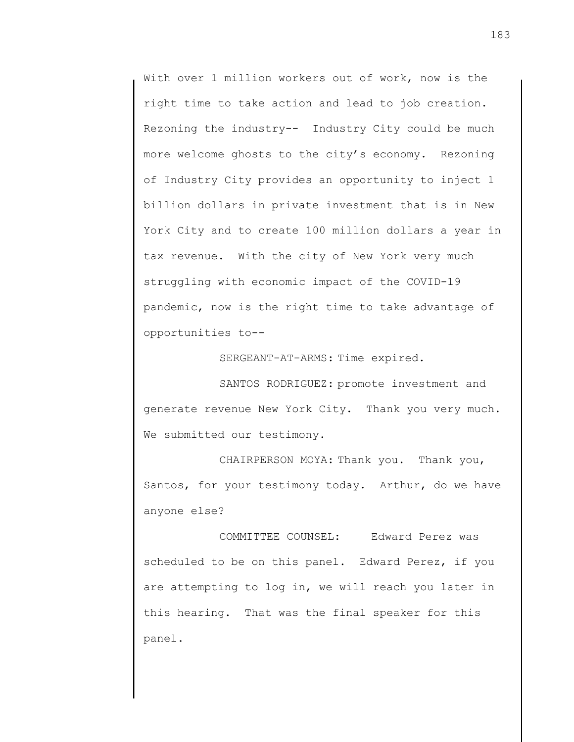With over 1 million workers out of work, now is the right time to take action and lead to job creation. Rezoning the industry-- Industry City could be much more welcome ghosts to the city's economy. Rezoning of Industry City provides an opportunity to inject 1 billion dollars in private investment that is in New York City and to create 100 million dollars a year in tax revenue. With the city of New York very much struggling with economic impact of the COVID-19 pandemic, now is the right time to take advantage of opportunities to--

SERGEANT-AT-ARMS: Time expired.

SANTOS RODRIGUEZ: promote investment and generate revenue New York City. Thank you very much. We submitted our testimony.

CHAIRPERSON MOYA: Thank you. Thank you, Santos, for your testimony today. Arthur, do we have anyone else?

COMMITTEE COUNSEL: Edward Perez was scheduled to be on this panel. Edward Perez, if you are attempting to log in, we will reach you later in this hearing. That was the final speaker for this panel.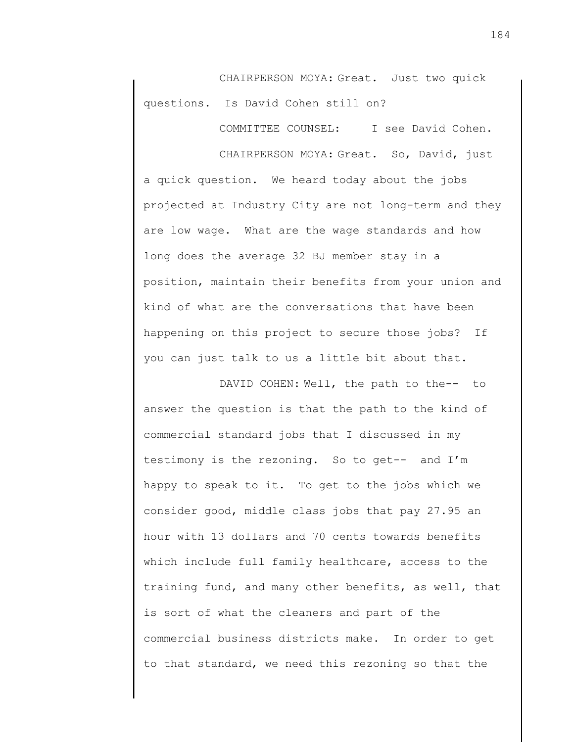CHAIRPERSON MOYA: Great. Just two quick questions. Is David Cohen still on?

COMMITTEE COUNSEL: I see David Cohen.

CHAIRPERSON MOYA: Great. So, David, just a quick question. We heard today about the jobs projected at Industry City are not long-term and they are low wage. What are the wage standards and how long does the average 32 BJ member stay in a position, maintain their benefits from your union and kind of what are the conversations that have been happening on this project to secure those jobs? If you can just talk to us a little bit about that.

DAVID COHEN: Well, the path to the-- to answer the question is that the path to the kind of commercial standard jobs that I discussed in my testimony is the rezoning. So to get-- and I'm happy to speak to it. To get to the jobs which we consider good, middle class jobs that pay 27.95 an hour with 13 dollars and 70 cents towards benefits which include full family healthcare, access to the training fund, and many other benefits, as well, that is sort of what the cleaners and part of the commercial business districts make. In order to get to that standard, we need this rezoning so that the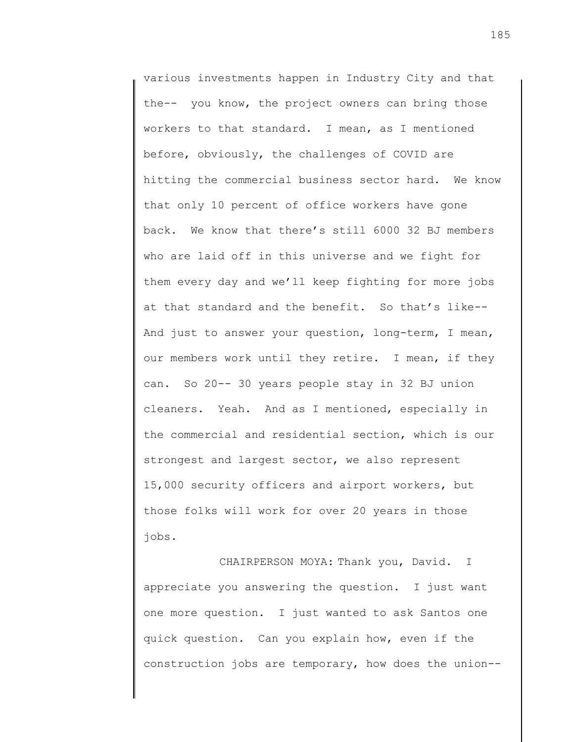various investments happen in Industry City and that the-- you know, the project owners can bring those workers to that standard. I mean, as I mentioned before, obviously, the challenges of COVID are hitting the commercial business sector hard. We know that only 10 percent of office workers have gone back. We know that there's still 6000 32 BJ members who are laid off in this universe and we fight for them every day and we'll keep fighting for more jobs at that standard and the benefit. So that's like-- And just to answer your question, long-term, I mean, our members work until they retire. I mean, if they can. So 20-- 30 years people stay in 32 BJ union cleaners. Yeah. And as I mentioned, especially in the commercial and residential section, which is our strongest and largest sector, we also represent 15,000 security officers and airport workers, but those folks will work for over 20 years in those jobs.

CHAIRPERSON MOYA: Thank you, David. I appreciate you answering the question. I just want one more question. I just wanted to ask Santos one quick question. Can you explain how, even if the construction jobs are temporary, how does the union--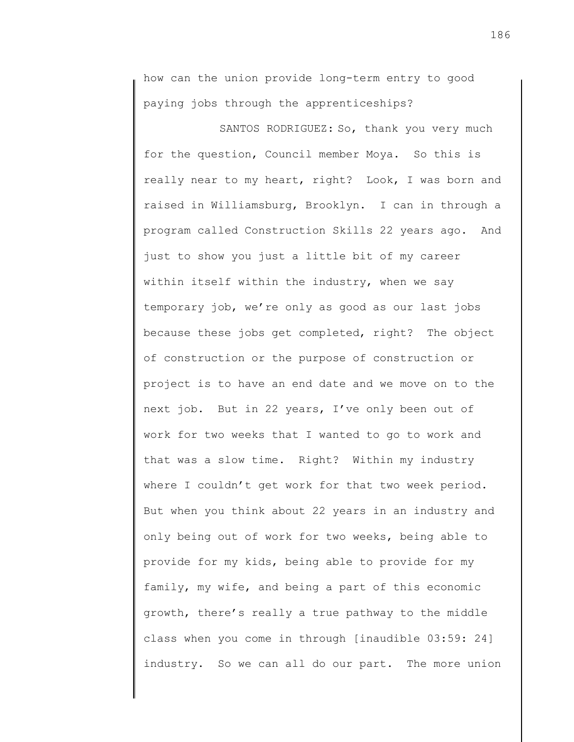how can the union provide long-term entry to good paying jobs through the apprenticeships?

SANTOS RODRIGUEZ: So, thank you very much for the question, Council member Moya. So this is really near to my heart, right? Look, I was born and raised in Williamsburg, Brooklyn. I can in through a program called Construction Skills 22 years ago. And just to show you just a little bit of my career within itself within the industry, when we say temporary job, we're only as good as our last jobs because these jobs get completed, right? The object of construction or the purpose of construction or project is to have an end date and we move on to the next job. But in 22 years, I've only been out of work for two weeks that I wanted to go to work and that was a slow time. Right? Within my industry where I couldn't get work for that two week period. But when you think about 22 years in an industry and only being out of work for two weeks, being able to provide for my kids, being able to provide for my family, my wife, and being a part of this economic growth, there's really a true pathway to the middle class when you come in through [inaudible 03:59: 24] industry. So we can all do our part. The more union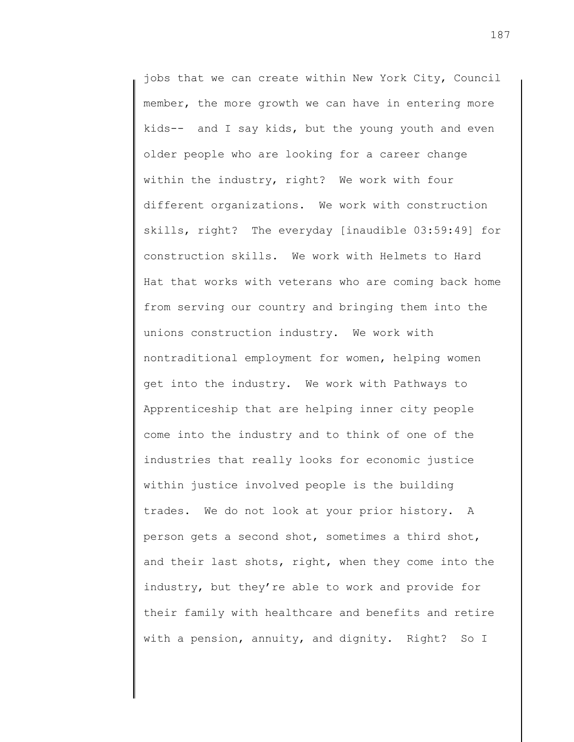jobs that we can create within New York City, Council member, the more growth we can have in entering more kids-- and I say kids, but the young youth and even older people who are looking for a career change within the industry, right? We work with four different organizations. We work with construction skills, right? The everyday [inaudible 03:59:49] for construction skills. We work with Helmets to Hard Hat that works with veterans who are coming back home from serving our country and bringing them into the unions construction industry. We work with nontraditional employment for women, helping women get into the industry. We work with Pathways to Apprenticeship that are helping inner city people come into the industry and to think of one of the industries that really looks for economic justice within justice involved people is the building trades. We do not look at your prior history. A person gets a second shot, sometimes a third shot, and their last shots, right, when they come into the industry, but they're able to work and provide for their family with healthcare and benefits and retire with a pension, annuity, and dignity. Right? So I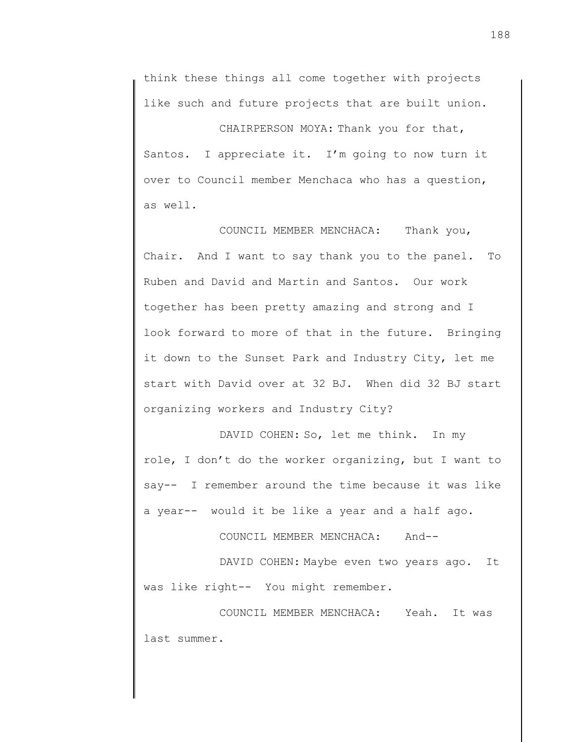think these things all come together with projects like such and future projects that are built union.

CHAIRPERSON MOYA: Thank you for that, Santos. I appreciate it. I'm going to now turn it over to Council member Menchaca who has a question, as well.

COUNCIL MEMBER MENCHACA: Thank you, Chair. And I want to say thank you to the panel. To Ruben and David and Martin and Santos. Our work together has been pretty amazing and strong and I look forward to more of that in the future. Bringing it down to the Sunset Park and Industry City, let me start with David over at 32 BJ. When did 32 BJ start organizing workers and Industry City?

DAVID COHEN: So, let me think. In my role, I don't do the worker organizing, but I want to say-- I remember around the time because it was like a year-- would it be like a year and a half ago.

COUNCIL MEMBER MENCHACA: And--

DAVID COHEN: Maybe even two years ago. It was like right-- You might remember.

COUNCIL MEMBER MENCHACA: Yeah. It was last summer.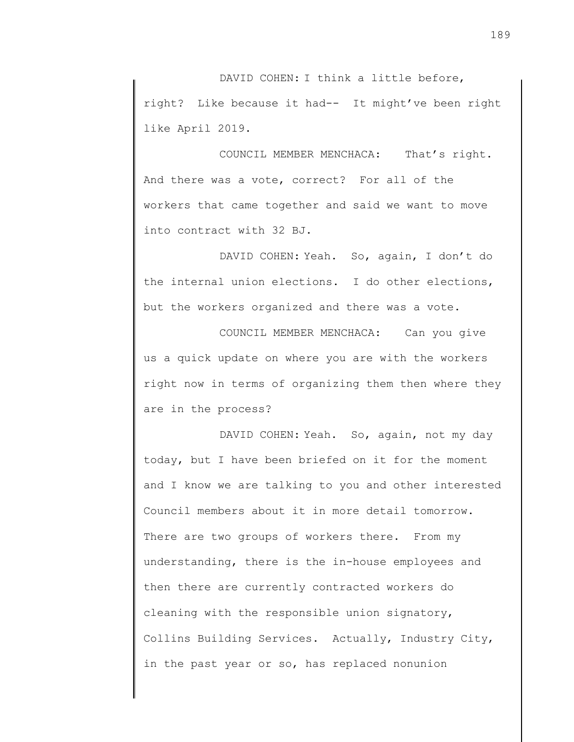DAVID COHEN: I think a little before, right? Like because it had-- It might've been right like April 2019.

COUNCIL MEMBER MENCHACA: That's right. And there was a vote, correct? For all of the workers that came together and said we want to move into contract with 32 BJ.

DAVID COHEN: Yeah. So, again, I don't do the internal union elections. I do other elections, but the workers organized and there was a vote.

COUNCIL MEMBER MENCHACA: Can you give us a quick update on where you are with the workers right now in terms of organizing them then where they are in the process?

DAVID COHEN: Yeah. So, again, not my day today, but I have been briefed on it for the moment and I know we are talking to you and other interested Council members about it in more detail tomorrow. There are two groups of workers there. From my understanding, there is the in-house employees and then there are currently contracted workers do cleaning with the responsible union signatory, Collins Building Services. Actually, Industry City, in the past year or so, has replaced nonunion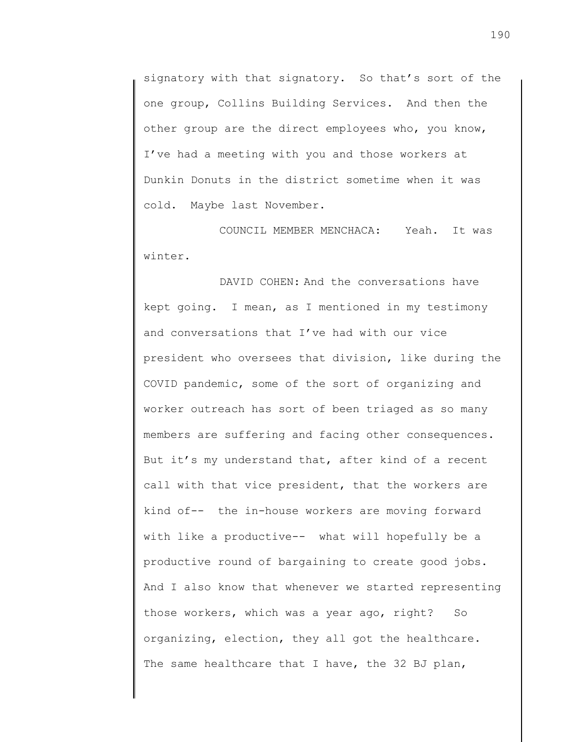signatory with that signatory. So that's sort of the one group, Collins Building Services. And then the other group are the direct employees who, you know, I've had a meeting with you and those workers at Dunkin Donuts in the district sometime when it was cold. Maybe last November.

COUNCIL MEMBER MENCHACA: Yeah. It was winter.

DAVID COHEN: And the conversations have kept going. I mean, as I mentioned in my testimony and conversations that I've had with our vice president who oversees that division, like during the COVID pandemic, some of the sort of organizing and worker outreach has sort of been triaged as so many members are suffering and facing other consequences. But it's my understand that, after kind of a recent call with that vice president, that the workers are kind of-- the in-house workers are moving forward with like a productive-- what will hopefully be a productive round of bargaining to create good jobs. And I also know that whenever we started representing those workers, which was a year ago, right? So organizing, election, they all got the healthcare. The same healthcare that I have, the 32 BJ plan,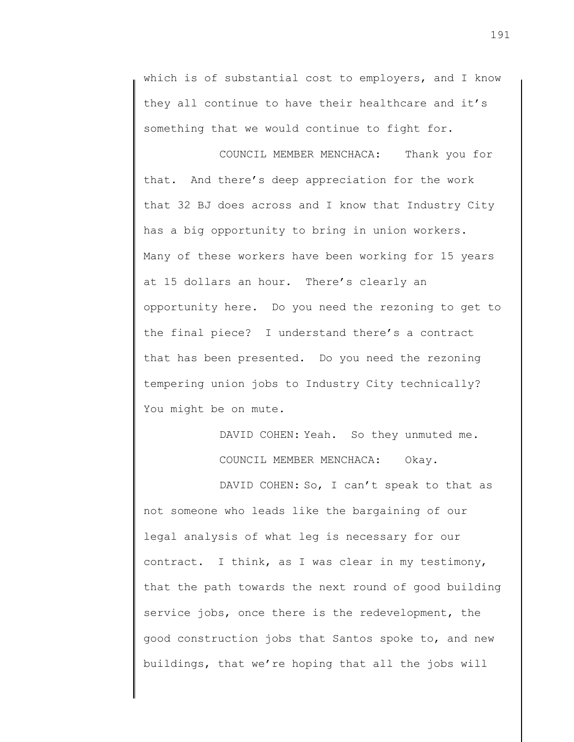which is of substantial cost to employers, and I know they all continue to have their healthcare and it's something that we would continue to fight for.

COUNCIL MEMBER MENCHACA: Thank you for that. And there's deep appreciation for the work that 32 BJ does across and I know that Industry City has a big opportunity to bring in union workers. Many of these workers have been working for 15 years at 15 dollars an hour. There's clearly an opportunity here. Do you need the rezoning to get to the final piece? I understand there's a contract that has been presented. Do you need the rezoning tempering union jobs to Industry City technically? You might be on mute.

> DAVID COHEN: Yeah. So they unmuted me. COUNCIL MEMBER MENCHACA: Okay.

DAVID COHEN: So, I can't speak to that as not someone who leads like the bargaining of our legal analysis of what leg is necessary for our contract. I think, as I was clear in my testimony, that the path towards the next round of good building service jobs, once there is the redevelopment, the good construction jobs that Santos spoke to, and new buildings, that we're hoping that all the jobs will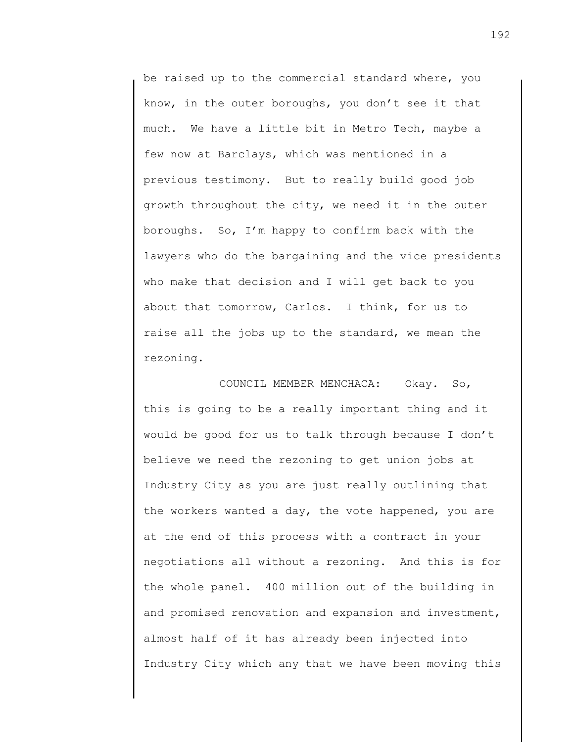be raised up to the commercial standard where, you know, in the outer boroughs, you don't see it that much. We have a little bit in Metro Tech, maybe a few now at Barclays, which was mentioned in a previous testimony. But to really build good job growth throughout the city, we need it in the outer boroughs. So, I'm happy to confirm back with the lawyers who do the bargaining and the vice presidents who make that decision and I will get back to you about that tomorrow, Carlos. I think, for us to raise all the jobs up to the standard, we mean the rezoning.

COUNCIL MEMBER MENCHACA: Okay. So, this is going to be a really important thing and it would be good for us to talk through because I don't believe we need the rezoning to get union jobs at Industry City as you are just really outlining that the workers wanted a day, the vote happened, you are at the end of this process with a contract in your negotiations all without a rezoning. And this is for the whole panel. 400 million out of the building in and promised renovation and expansion and investment, almost half of it has already been injected into Industry City which any that we have been moving this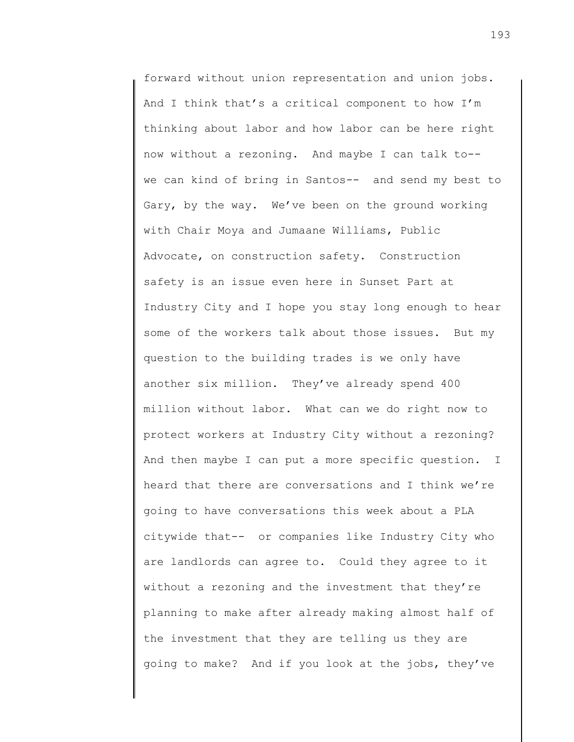forward without union representation and union jobs. And I think that's a critical component to how I'm thinking about labor and how labor can be here right now without a rezoning. And maybe I can talk to- we can kind of bring in Santos-- and send my best to Gary, by the way. We've been on the ground working with Chair Moya and Jumaane Williams, Public Advocate, on construction safety. Construction safety is an issue even here in Sunset Part at Industry City and I hope you stay long enough to hear some of the workers talk about those issues. But my question to the building trades is we only have another six million. They've already spend 400 million without labor. What can we do right now to protect workers at Industry City without a rezoning? And then maybe I can put a more specific question. I heard that there are conversations and I think we're going to have conversations this week about a PLA citywide that-- or companies like Industry City who are landlords can agree to. Could they agree to it without a rezoning and the investment that they're planning to make after already making almost half of the investment that they are telling us they are going to make? And if you look at the jobs, they've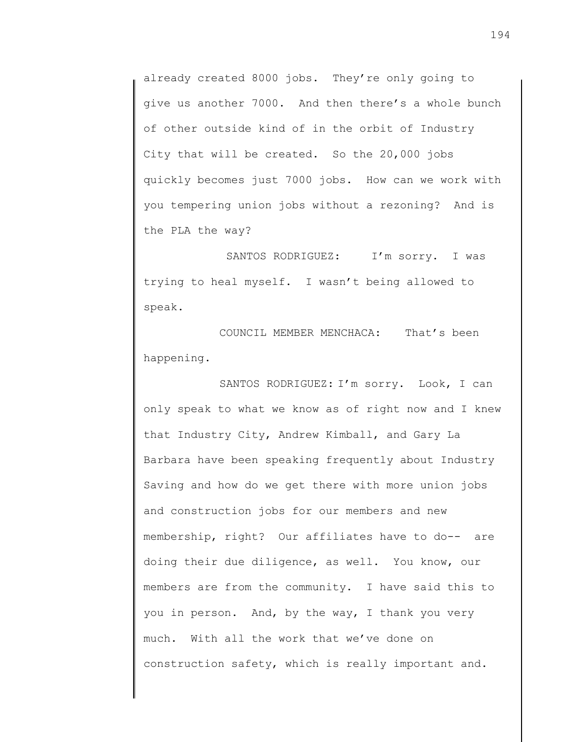already created 8000 jobs. They're only going to give us another 7000. And then there's a whole bunch of other outside kind of in the orbit of Industry City that will be created. So the 20,000 jobs quickly becomes just 7000 jobs. How can we work with you tempering union jobs without a rezoning? And is the PLA the way?

SANTOS RODRIGUEZ: I'm sorry. I was trying to heal myself. I wasn't being allowed to speak.

COUNCIL MEMBER MENCHACA: That's been happening.

SANTOS RODRIGUEZ: I'm sorry. Look, I can only speak to what we know as of right now and I knew that Industry City, Andrew Kimball, and Gary La Barbara have been speaking frequently about Industry Saving and how do we get there with more union jobs and construction jobs for our members and new membership, right? Our affiliates have to do-- are doing their due diligence, as well. You know, our members are from the community. I have said this to you in person. And, by the way, I thank you very much. With all the work that we've done on construction safety, which is really important and.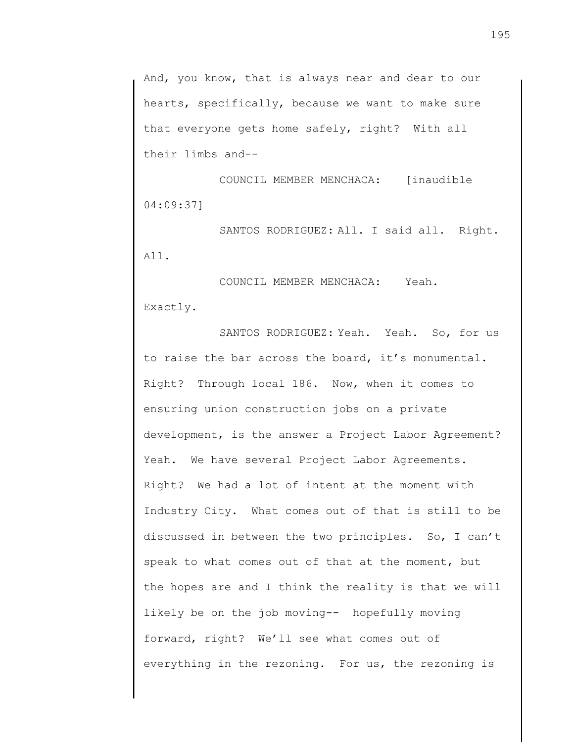And, you know, that is always near and dear to our hearts, specifically, because we want to make sure that everyone gets home safely, right? With all their limbs and--

COUNCIL MEMBER MENCHACA: [inaudible 04:09:37]

SANTOS RODRIGUEZ: All. I said all. Right. All.

COUNCIL MEMBER MENCHACA: Yeah. Exactly.

SANTOS RODRIGUEZ: Yeah. Yeah. So, for us to raise the bar across the board, it's monumental. Right? Through local 186. Now, when it comes to ensuring union construction jobs on a private development, is the answer a Project Labor Agreement? Yeah. We have several Project Labor Agreements. Right? We had a lot of intent at the moment with Industry City. What comes out of that is still to be discussed in between the two principles. So, I can't speak to what comes out of that at the moment, but the hopes are and I think the reality is that we will likely be on the job moving-- hopefully moving forward, right? We'll see what comes out of everything in the rezoning. For us, the rezoning is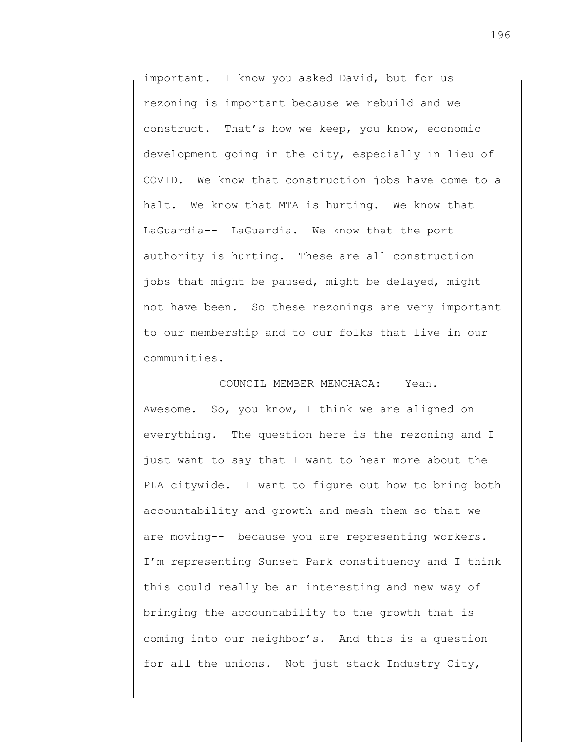important. I know you asked David, but for us rezoning is important because we rebuild and we construct. That's how we keep, you know, economic development going in the city, especially in lieu of COVID. We know that construction jobs have come to a halt. We know that MTA is hurting. We know that LaGuardia-- LaGuardia. We know that the port authority is hurting. These are all construction jobs that might be paused, might be delayed, might not have been. So these rezonings are very important to our membership and to our folks that live in our communities.

COUNCIL MEMBER MENCHACA: Yeah. Awesome. So, you know, I think we are aligned on everything. The question here is the rezoning and I just want to say that I want to hear more about the PLA citywide. I want to figure out how to bring both accountability and growth and mesh them so that we are moving-- because you are representing workers. I'm representing Sunset Park constituency and I think this could really be an interesting and new way of bringing the accountability to the growth that is coming into our neighbor's. And this is a question for all the unions. Not just stack Industry City,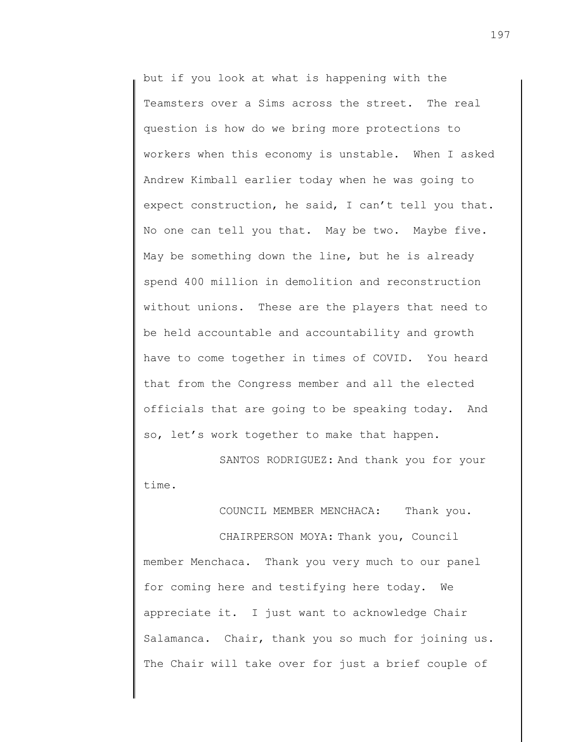but if you look at what is happening with the Teamsters over a Sims across the street. The real question is how do we bring more protections to workers when this economy is unstable. When I asked Andrew Kimball earlier today when he was going to expect construction, he said, I can't tell you that. No one can tell you that. May be two. Maybe five. May be something down the line, but he is already spend 400 million in demolition and reconstruction without unions. These are the players that need to be held accountable and accountability and growth have to come together in times of COVID. You heard that from the Congress member and all the elected officials that are going to be speaking today. And so, let's work together to make that happen.

SANTOS RODRIGUEZ: And thank you for your time.

COUNCIL MEMBER MENCHACA: Thank you.

CHAIRPERSON MOYA: Thank you, Council member Menchaca. Thank you very much to our panel for coming here and testifying here today. We appreciate it. I just want to acknowledge Chair Salamanca. Chair, thank you so much for joining us. The Chair will take over for just a brief couple of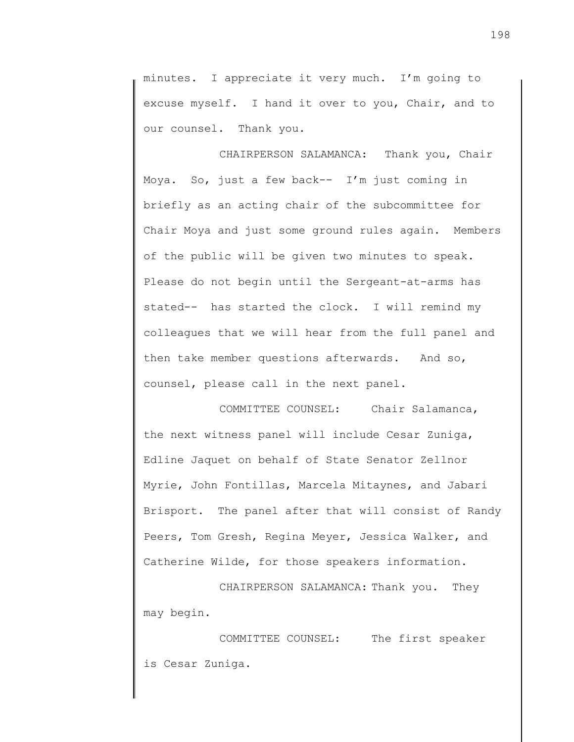minutes. I appreciate it very much. I'm going to excuse myself. I hand it over to you, Chair, and to our counsel. Thank you.

CHAIRPERSON SALAMANCA: Thank you, Chair Moya. So, just a few back-- I'm just coming in briefly as an acting chair of the subcommittee for Chair Moya and just some ground rules again. Members of the public will be given two minutes to speak. Please do not begin until the Sergeant-at-arms has stated-- has started the clock. I will remind my colleagues that we will hear from the full panel and then take member questions afterwards. And so, counsel, please call in the next panel.

COMMITTEE COUNSEL: Chair Salamanca, the next witness panel will include Cesar Zuniga, Edline Jaquet on behalf of State Senator Zellnor Myrie, John Fontillas, Marcela Mitaynes, and Jabari Brisport. The panel after that will consist of Randy Peers, Tom Gresh, Regina Meyer, Jessica Walker, and Catherine Wilde, for those speakers information.

CHAIRPERSON SALAMANCA: Thank you. They may begin.

COMMITTEE COUNSEL: The first speaker is Cesar Zuniga.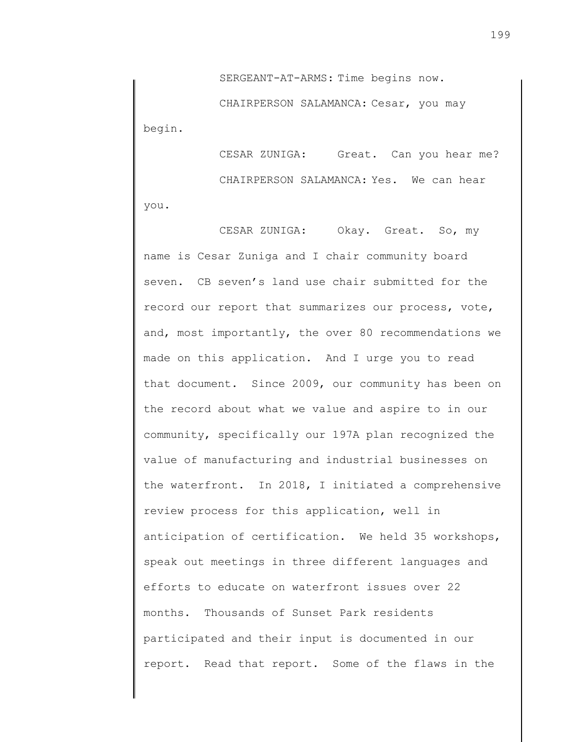SERGEANT-AT-ARMS: Time begins now.

CHAIRPERSON SALAMANCA: Cesar, you may begin.

CESAR ZUNIGA: Great. Can you hear me? CHAIRPERSON SALAMANCA: Yes. We can hear you.

CESAR ZUNIGA: Okay. Great. So, my name is Cesar Zuniga and I chair community board seven. CB seven's land use chair submitted for the record our report that summarizes our process, vote, and, most importantly, the over 80 recommendations we made on this application. And I urge you to read that document. Since 2009, our community has been on the record about what we value and aspire to in our community, specifically our 197A plan recognized the value of manufacturing and industrial businesses on the waterfront. In 2018, I initiated a comprehensive review process for this application, well in anticipation of certification. We held 35 workshops, speak out meetings in three different languages and efforts to educate on waterfront issues over 22 months. Thousands of Sunset Park residents participated and their input is documented in our report. Read that report. Some of the flaws in the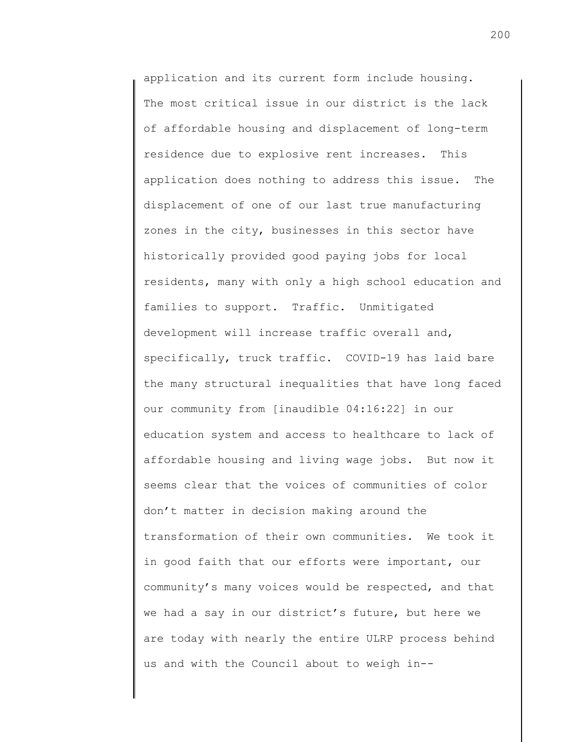application and its current form include housing. The most critical issue in our district is the lack of affordable housing and displacement of long-term residence due to explosive rent increases. This application does nothing to address this issue. The displacement of one of our last true manufacturing zones in the city, businesses in this sector have historically provided good paying jobs for local residents, many with only a high school education and families to support. Traffic. Unmitigated development will increase traffic overall and, specifically, truck traffic. COVID-19 has laid bare the many structural inequalities that have long faced our community from [inaudible 04:16:22] in our education system and access to healthcare to lack of affordable housing and living wage jobs. But now it seems clear that the voices of communities of color don't matter in decision making around the transformation of their own communities. We took it in good faith that our efforts were important, our community's many voices would be respected, and that we had a say in our district's future, but here we are today with nearly the entire ULRP process behind us and with the Council about to weigh in--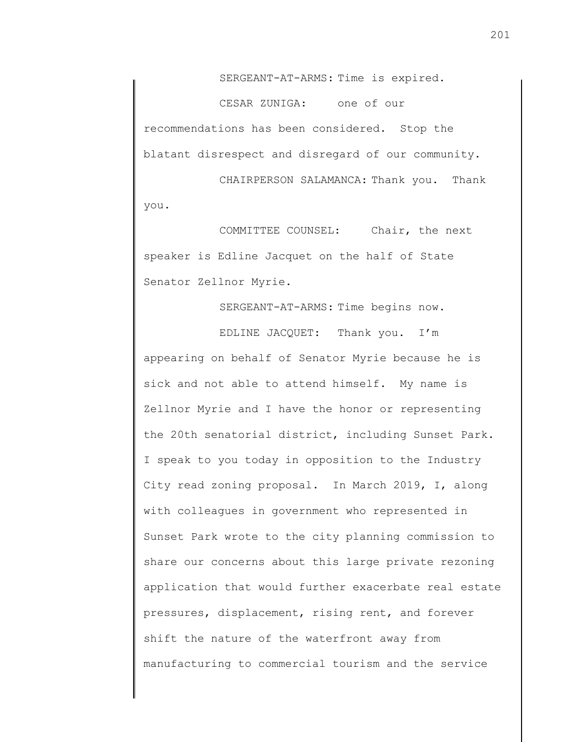SERGEANT-AT-ARMS: Time is expired.

CESAR ZUNIGA: one of our recommendations has been considered. Stop the blatant disrespect and disregard of our community.

CHAIRPERSON SALAMANCA: Thank you. Thank you.

COMMITTEE COUNSEL: Chair, the next speaker is Edline Jacquet on the half of State Senator Zellnor Myrie.

SERGEANT-AT-ARMS: Time begins now.

EDLINE JACQUET: Thank you. I'm appearing on behalf of Senator Myrie because he is sick and not able to attend himself. My name is Zellnor Myrie and I have the honor or representing the 20th senatorial district, including Sunset Park. I speak to you today in opposition to the Industry City read zoning proposal. In March 2019, I, along with colleagues in government who represented in Sunset Park wrote to the city planning commission to share our concerns about this large private rezoning application that would further exacerbate real estate pressures, displacement, rising rent, and forever shift the nature of the waterfront away from manufacturing to commercial tourism and the service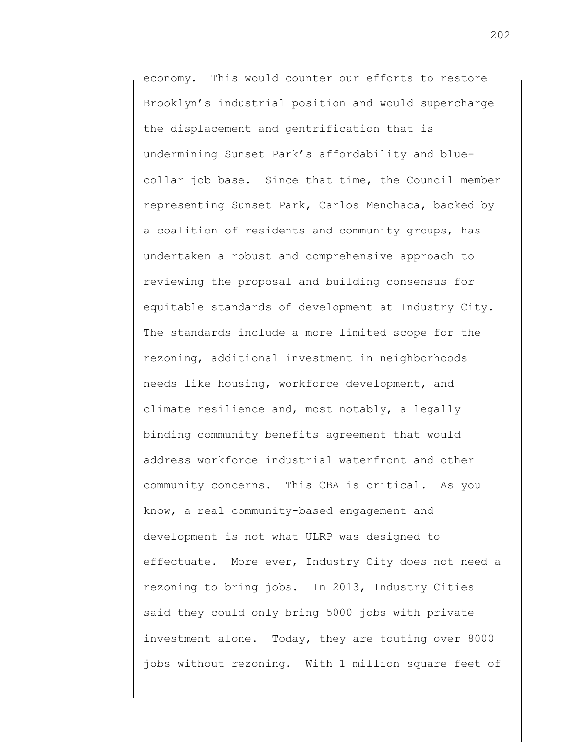economy. This would counter our efforts to restore Brooklyn's industrial position and would supercharge the displacement and gentrification that is undermining Sunset Park's affordability and bluecollar job base. Since that time, the Council member representing Sunset Park, Carlos Menchaca, backed by a coalition of residents and community groups, has undertaken a robust and comprehensive approach to reviewing the proposal and building consensus for equitable standards of development at Industry City. The standards include a more limited scope for the rezoning, additional investment in neighborhoods needs like housing, workforce development, and climate resilience and, most notably, a legally binding community benefits agreement that would address workforce industrial waterfront and other community concerns. This CBA is critical. As you know, a real community-based engagement and development is not what ULRP was designed to effectuate. More ever, Industry City does not need a rezoning to bring jobs. In 2013, Industry Cities said they could only bring 5000 jobs with private investment alone. Today, they are touting over 8000 jobs without rezoning. With 1 million square feet of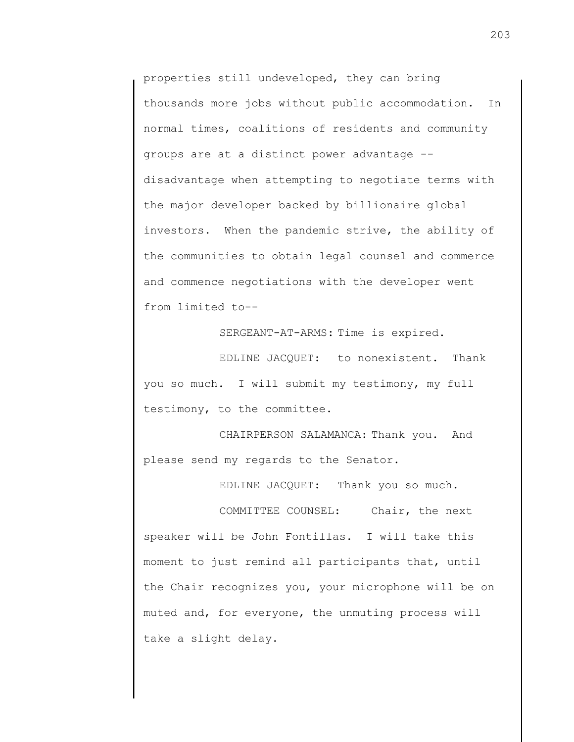properties still undeveloped, they can bring thousands more jobs without public accommodation. In normal times, coalitions of residents and community groups are at a distinct power advantage - disadvantage when attempting to negotiate terms with the major developer backed by billionaire global investors. When the pandemic strive, the ability of the communities to obtain legal counsel and commerce and commence negotiations with the developer went from limited to--

SERGEANT-AT-ARMS: Time is expired.

EDLINE JACQUET: to nonexistent. Thank you so much. I will submit my testimony, my full testimony, to the committee.

CHAIRPERSON SALAMANCA: Thank you. And please send my regards to the Senator.

EDLINE JACQUET: Thank you so much.

COMMITTEE COUNSEL: Chair, the next speaker will be John Fontillas. I will take this moment to just remind all participants that, until the Chair recognizes you, your microphone will be on muted and, for everyone, the unmuting process will take a slight delay.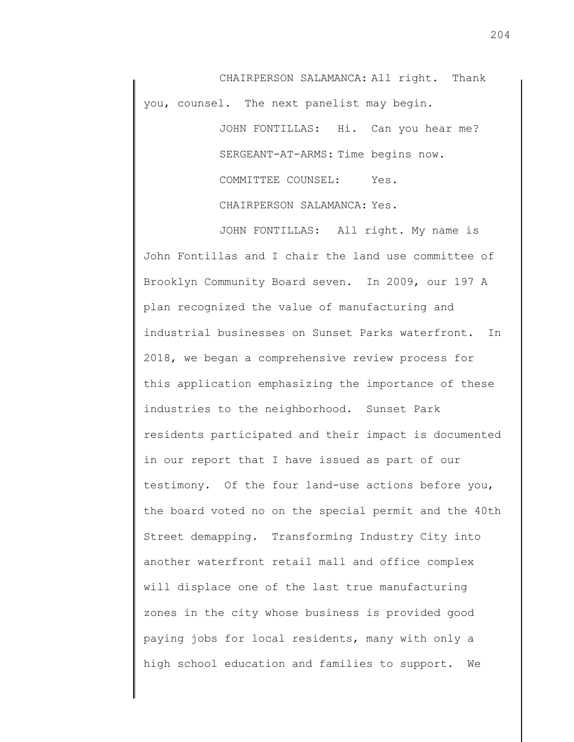CHAIRPERSON SALAMANCA: All right. Thank you, counsel. The next panelist may begin.

> JOHN FONTILLAS: Hi. Can you hear me? SERGEANT-AT-ARMS: Time begins now. COMMITTEE COUNSEL: Yes. CHAIRPERSON SALAMANCA: Yes.

JOHN FONTILLAS: All right. My name is John Fontillas and I chair the land use committee of Brooklyn Community Board seven. In 2009, our 197 A plan recognized the value of manufacturing and industrial businesses on Sunset Parks waterfront. In 2018, we began a comprehensive review process for this application emphasizing the importance of these industries to the neighborhood. Sunset Park residents participated and their impact is documented in our report that I have issued as part of our testimony. Of the four land-use actions before you, the board voted no on the special permit and the 40th Street demapping. Transforming Industry City into another waterfront retail mall and office complex will displace one of the last true manufacturing zones in the city whose business is provided good paying jobs for local residents, many with only a high school education and families to support. We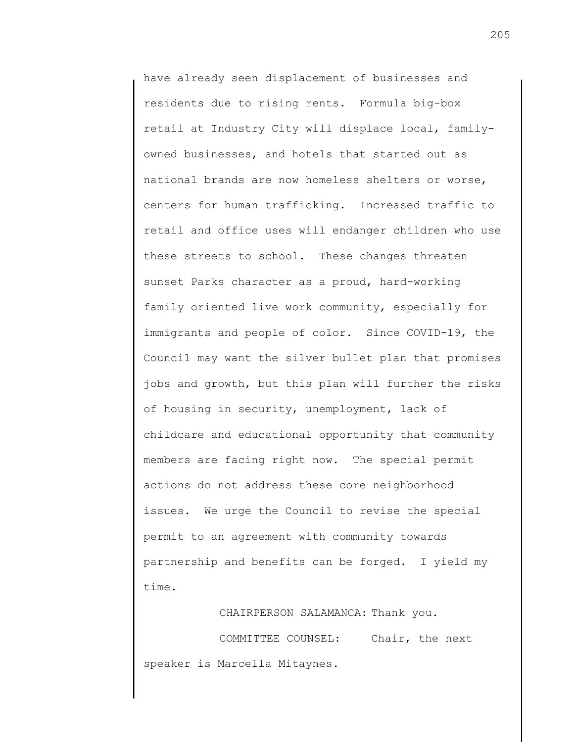have already seen displacement of businesses and residents due to rising rents. Formula big-box retail at Industry City will displace local, familyowned businesses, and hotels that started out as national brands are now homeless shelters or worse, centers for human trafficking. Increased traffic to retail and office uses will endanger children who use these streets to school. These changes threaten sunset Parks character as a proud, hard-working family oriented live work community, especially for immigrants and people of color. Since COVID-19, the Council may want the silver bullet plan that promises jobs and growth, but this plan will further the risks of housing in security, unemployment, lack of childcare and educational opportunity that community members are facing right now. The special permit actions do not address these core neighborhood issues. We urge the Council to revise the special permit to an agreement with community towards partnership and benefits can be forged. I yield my time.

CHAIRPERSON SALAMANCA: Thank you. COMMITTEE COUNSEL: Chair, the next speaker is Marcella Mitaynes.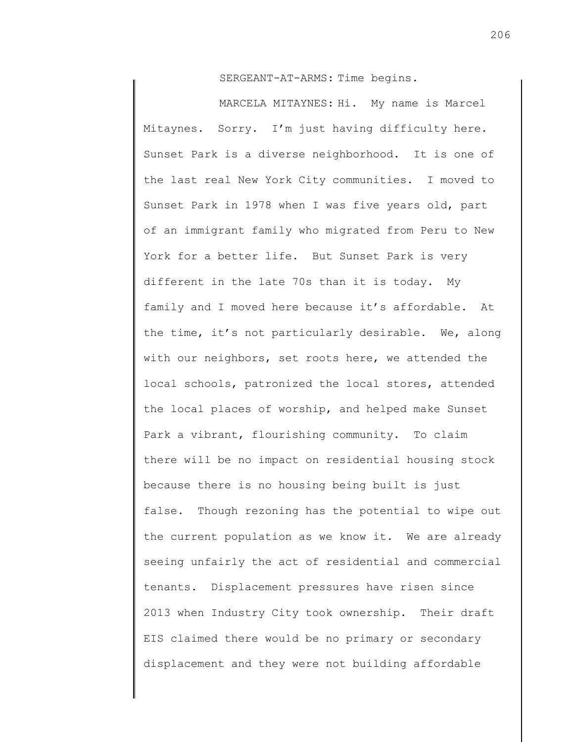SERGEANT-AT-ARMS: Time begins.

MARCELA MITAYNES: Hi. My name is Marcel Mitaynes. Sorry. I'm just having difficulty here. Sunset Park is a diverse neighborhood. It is one of the last real New York City communities. I moved to Sunset Park in 1978 when I was five years old, part of an immigrant family who migrated from Peru to New York for a better life. But Sunset Park is very different in the late 70s than it is today. My family and I moved here because it's affordable. At the time, it's not particularly desirable. We, along with our neighbors, set roots here, we attended the local schools, patronized the local stores, attended the local places of worship, and helped make Sunset Park a vibrant, flourishing community. To claim there will be no impact on residential housing stock because there is no housing being built is just false. Though rezoning has the potential to wipe out the current population as we know it. We are already seeing unfairly the act of residential and commercial tenants. Displacement pressures have risen since 2013 when Industry City took ownership. Their draft EIS claimed there would be no primary or secondary displacement and they were not building affordable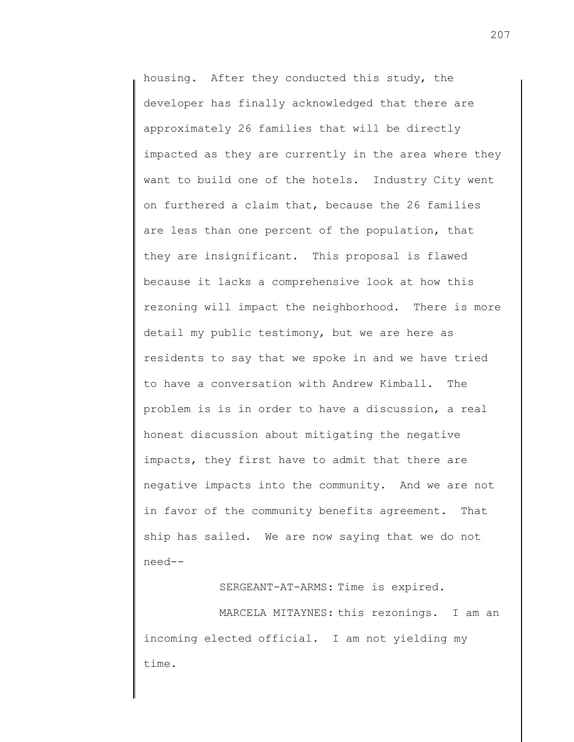housing. After they conducted this study, the developer has finally acknowledged that there are approximately 26 families that will be directly impacted as they are currently in the area where they want to build one of the hotels. Industry City went on furthered a claim that, because the 26 families are less than one percent of the population, that they are insignificant. This proposal is flawed because it lacks a comprehensive look at how this rezoning will impact the neighborhood. There is more detail my public testimony, but we are here as residents to say that we spoke in and we have tried to have a conversation with Andrew Kimball. The problem is is in order to have a discussion, a real honest discussion about mitigating the negative impacts, they first have to admit that there are negative impacts into the community. And we are not in favor of the community benefits agreement. That ship has sailed. We are now saying that we do not need--

SERGEANT-AT-ARMS: Time is expired.

MARCELA MITAYNES: this rezonings. I am an incoming elected official. I am not yielding my time.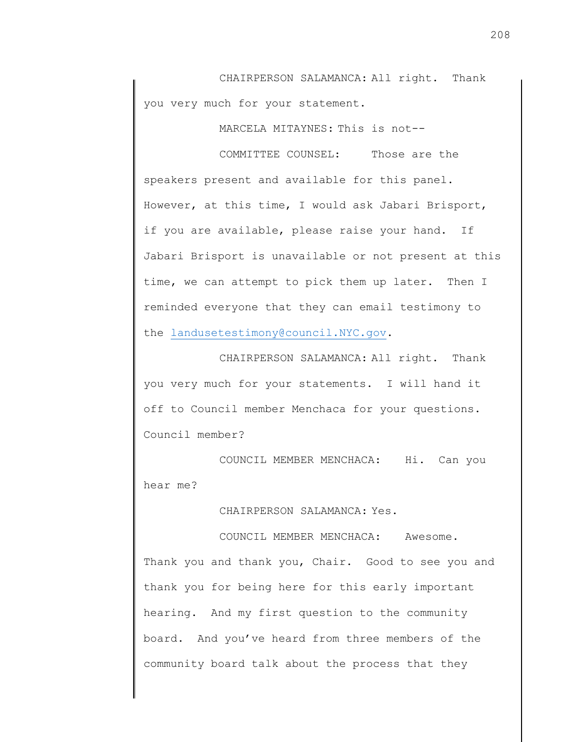CHAIRPERSON SALAMANCA: All right. Thank you very much for your statement.

MARCELA MITAYNES: This is not--

COMMITTEE COUNSEL: Those are the speakers present and available for this panel. However, at this time, I would ask Jabari Brisport, if you are available, please raise your hand. If Jabari Brisport is unavailable or not present at this time, we can attempt to pick them up later. Then I reminded everyone that they can email testimony to the [landusetestimony@council.NYC.gov.](mailto:landusetestimony@council.NYC.gov)

CHAIRPERSON SALAMANCA: All right. Thank you very much for your statements. I will hand it off to Council member Menchaca for your questions. Council member?

COUNCIL MEMBER MENCHACA: Hi. Can you hear me?

CHAIRPERSON SALAMANCA: Yes.

COUNCIL MEMBER MENCHACA: Awesome. Thank you and thank you, Chair. Good to see you and thank you for being here for this early important hearing. And my first question to the community board. And you've heard from three members of the community board talk about the process that they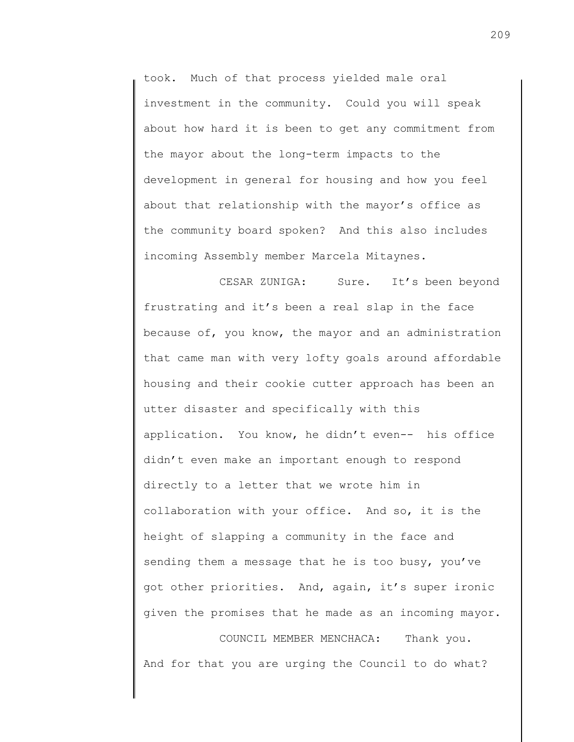took. Much of that process yielded male oral investment in the community. Could you will speak about how hard it is been to get any commitment from the mayor about the long-term impacts to the development in general for housing and how you feel about that relationship with the mayor's office as the community board spoken? And this also includes incoming Assembly member Marcela Mitaynes.

CESAR ZUNIGA: Sure. It's been beyond frustrating and it's been a real slap in the face because of, you know, the mayor and an administration that came man with very lofty goals around affordable housing and their cookie cutter approach has been an utter disaster and specifically with this application. You know, he didn't even-- his office didn't even make an important enough to respond directly to a letter that we wrote him in collaboration with your office. And so, it is the height of slapping a community in the face and sending them a message that he is too busy, you've got other priorities. And, again, it's super ironic given the promises that he made as an incoming mayor.

COUNCIL MEMBER MENCHACA: Thank you. And for that you are urging the Council to do what?

209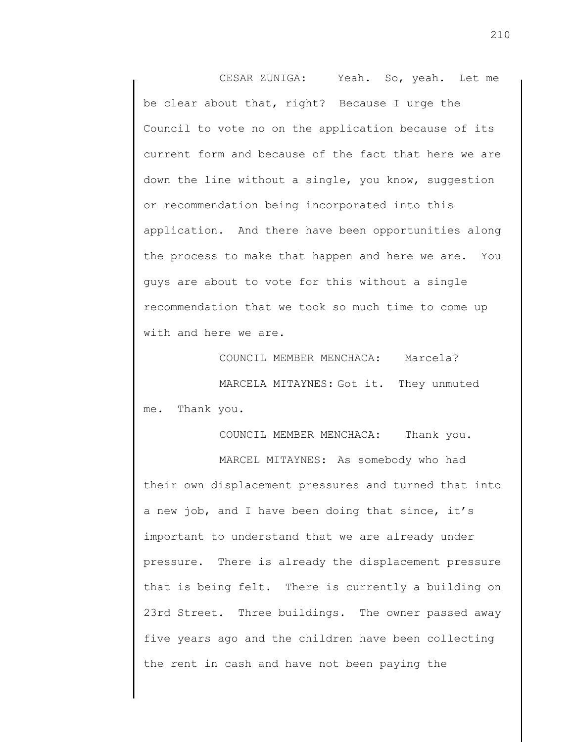CESAR ZUNIGA: Yeah. So, yeah. Let me be clear about that, right? Because I urge the Council to vote no on the application because of its current form and because of the fact that here we are down the line without a single, you know, suggestion or recommendation being incorporated into this application. And there have been opportunities along the process to make that happen and here we are. You guys are about to vote for this without a single recommendation that we took so much time to come up with and here we are.

COUNCIL MEMBER MENCHACA: Marcela? MARCELA MITAYNES: Got it. They unmuted me. Thank you.

COUNCIL MEMBER MENCHACA: Thank you. MARCEL MITAYNES: As somebody who had their own displacement pressures and turned that into a new job, and I have been doing that since, it's important to understand that we are already under pressure. There is already the displacement pressure that is being felt. There is currently a building on 23rd Street. Three buildings. The owner passed away five years ago and the children have been collecting the rent in cash and have not been paying the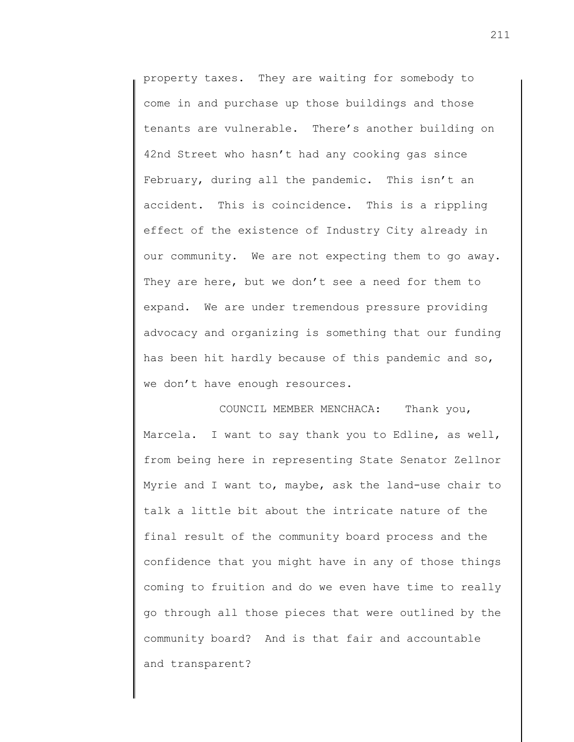property taxes. They are waiting for somebody to come in and purchase up those buildings and those tenants are vulnerable. There's another building on 42nd Street who hasn't had any cooking gas since February, during all the pandemic. This isn't an accident. This is coincidence. This is a rippling effect of the existence of Industry City already in our community. We are not expecting them to go away. They are here, but we don't see a need for them to expand. We are under tremendous pressure providing advocacy and organizing is something that our funding has been hit hardly because of this pandemic and so, we don't have enough resources.

COUNCIL MEMBER MENCHACA: Thank you, Marcela. I want to say thank you to Edline, as well, from being here in representing State Senator Zellnor Myrie and I want to, maybe, ask the land-use chair to talk a little bit about the intricate nature of the final result of the community board process and the confidence that you might have in any of those things coming to fruition and do we even have time to really go through all those pieces that were outlined by the community board? And is that fair and accountable and transparent?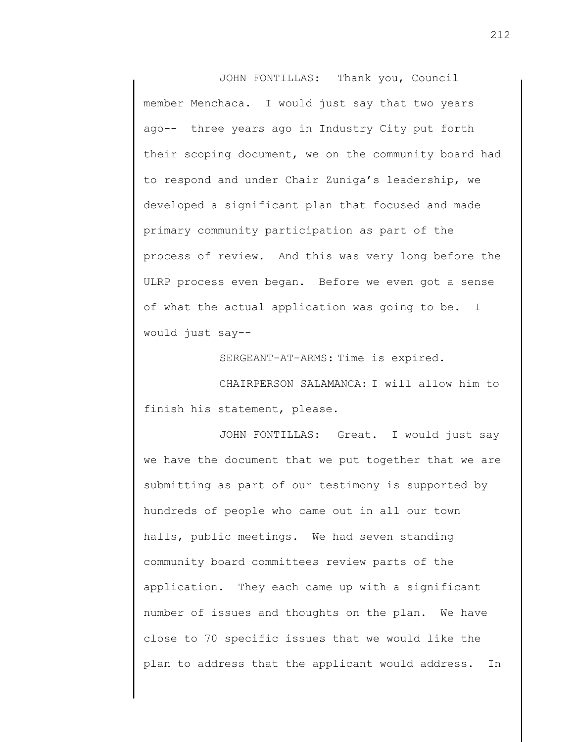JOHN FONTILLAS: Thank you, Council member Menchaca. I would just say that two years ago-- three years ago in Industry City put forth their scoping document, we on the community board had to respond and under Chair Zuniga's leadership, we developed a significant plan that focused and made primary community participation as part of the process of review. And this was very long before the ULRP process even began. Before we even got a sense of what the actual application was going to be. I would just say--

SERGEANT-AT-ARMS: Time is expired.

CHAIRPERSON SALAMANCA: I will allow him to finish his statement, please.

JOHN FONTILLAS: Great. I would just say we have the document that we put together that we are submitting as part of our testimony is supported by hundreds of people who came out in all our town halls, public meetings. We had seven standing community board committees review parts of the application. They each came up with a significant number of issues and thoughts on the plan. We have close to 70 specific issues that we would like the plan to address that the applicant would address. In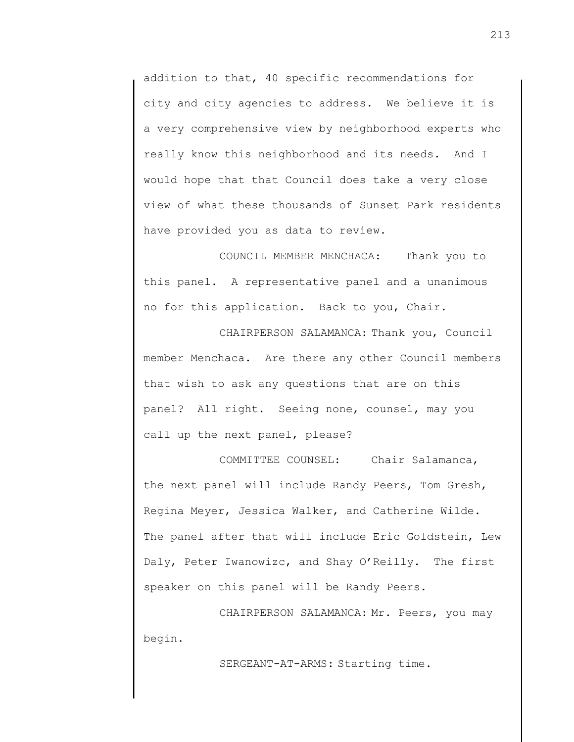addition to that, 40 specific recommendations for city and city agencies to address. We believe it is a very comprehensive view by neighborhood experts who really know this neighborhood and its needs. And I would hope that that Council does take a very close view of what these thousands of Sunset Park residents have provided you as data to review.

COUNCIL MEMBER MENCHACA: Thank you to this panel. A representative panel and a unanimous no for this application. Back to you, Chair.

CHAIRPERSON SALAMANCA: Thank you, Council member Menchaca. Are there any other Council members that wish to ask any questions that are on this panel? All right. Seeing none, counsel, may you call up the next panel, please?

COMMITTEE COUNSEL: Chair Salamanca, the next panel will include Randy Peers, Tom Gresh, Regina Meyer, Jessica Walker, and Catherine Wilde. The panel after that will include Eric Goldstein, Lew Daly, Peter Iwanowizc, and Shay O'Reilly. The first speaker on this panel will be Randy Peers.

CHAIRPERSON SALAMANCA: Mr. Peers, you may begin.

SERGEANT-AT-ARMS: Starting time.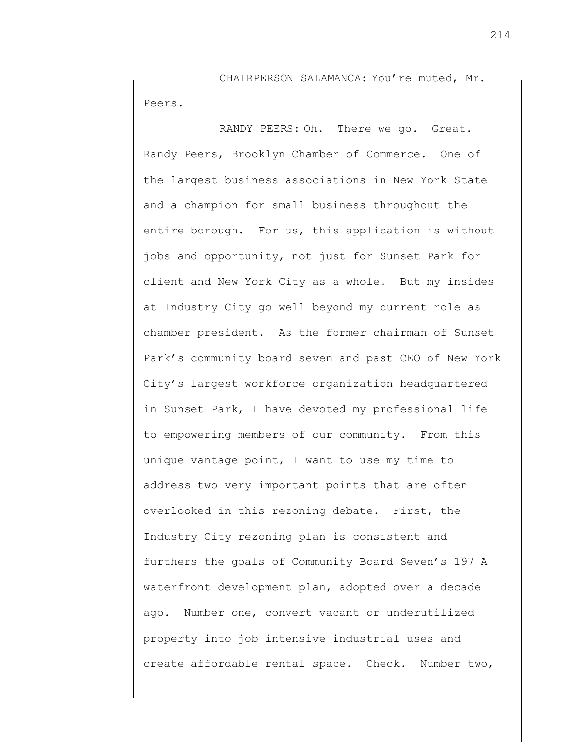CHAIRPERSON SALAMANCA: You're muted, Mr. Peers.

RANDY PEERS: Oh. There we go. Great. Randy Peers, Brooklyn Chamber of Commerce. One of the largest business associations in New York State and a champion for small business throughout the entire borough. For us, this application is without jobs and opportunity, not just for Sunset Park for client and New York City as a whole. But my insides at Industry City go well beyond my current role as chamber president. As the former chairman of Sunset Park's community board seven and past CEO of New York City's largest workforce organization headquartered in Sunset Park, I have devoted my professional life to empowering members of our community. From this unique vantage point, I want to use my time to address two very important points that are often overlooked in this rezoning debate. First, the Industry City rezoning plan is consistent and furthers the goals of Community Board Seven's 197 A waterfront development plan, adopted over a decade ago. Number one, convert vacant or underutilized property into job intensive industrial uses and create affordable rental space. Check. Number two,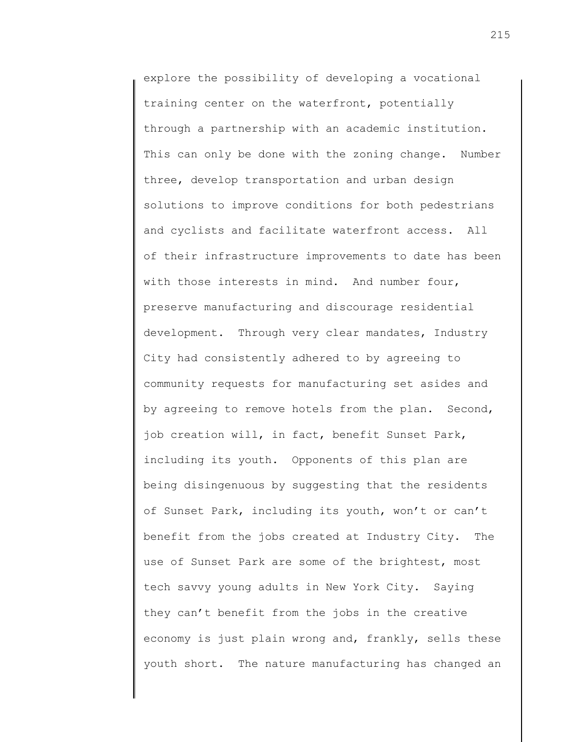explore the possibility of developing a vocational training center on the waterfront, potentially through a partnership with an academic institution. This can only be done with the zoning change. Number three, develop transportation and urban design solutions to improve conditions for both pedestrians and cyclists and facilitate waterfront access. All of their infrastructure improvements to date has been with those interests in mind. And number four, preserve manufacturing and discourage residential development. Through very clear mandates, Industry City had consistently adhered to by agreeing to community requests for manufacturing set asides and by agreeing to remove hotels from the plan. Second, job creation will, in fact, benefit Sunset Park, including its youth. Opponents of this plan are being disingenuous by suggesting that the residents of Sunset Park, including its youth, won't or can't benefit from the jobs created at Industry City. The use of Sunset Park are some of the brightest, most tech savvy young adults in New York City. Saying they can't benefit from the jobs in the creative economy is just plain wrong and, frankly, sells these youth short. The nature manufacturing has changed an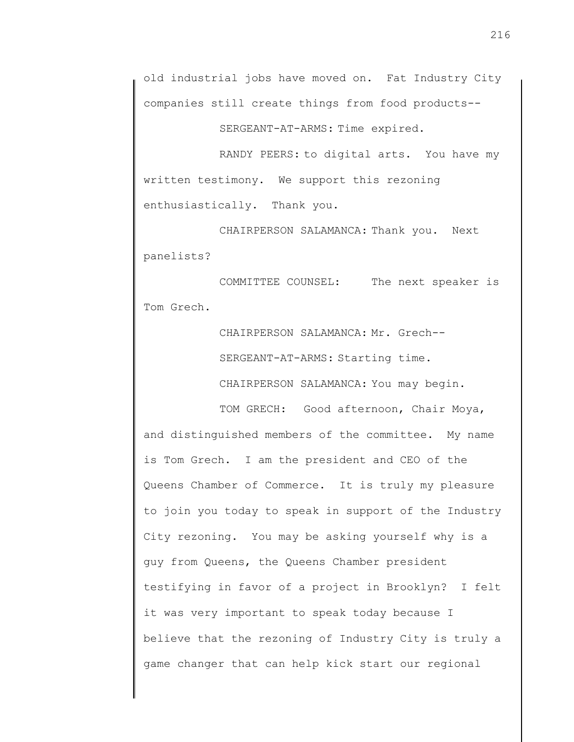SERGEANT-AT-ARMS: Time expired.

RANDY PEERS: to digital arts. You have my written testimony. We support this rezoning enthusiastically. Thank you.

CHAIRPERSON SALAMANCA: Thank you. Next panelists?

COMMITTEE COUNSEL: The next speaker is Tom Grech.

> CHAIRPERSON SALAMANCA: Mr. Grech-- SERGEANT-AT-ARMS: Starting time.

CHAIRPERSON SALAMANCA: You may begin.

TOM GRECH: Good afternoon, Chair Moya, and distinguished members of the committee. My name is Tom Grech. I am the president and CEO of the Queens Chamber of Commerce. It is truly my pleasure to join you today to speak in support of the Industry City rezoning. You may be asking yourself why is a guy from Queens, the Queens Chamber president testifying in favor of a project in Brooklyn? I felt it was very important to speak today because I believe that the rezoning of Industry City is truly a game changer that can help kick start our regional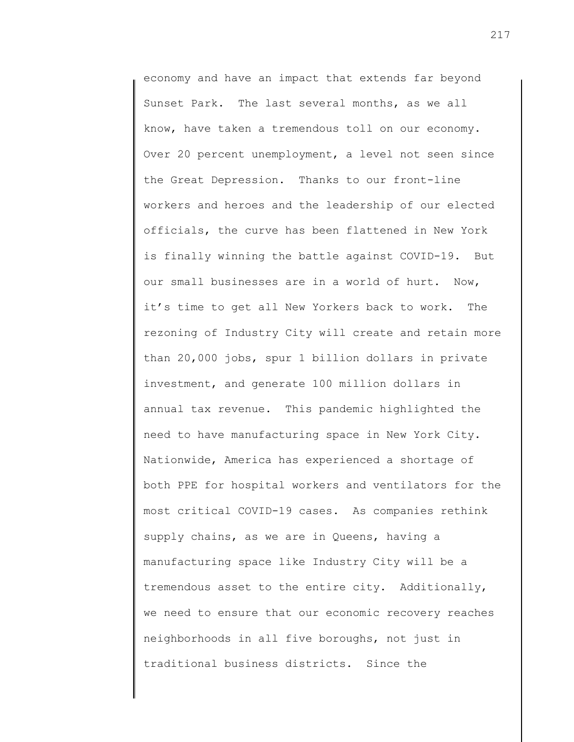economy and have an impact that extends far beyond Sunset Park. The last several months, as we all know, have taken a tremendous toll on our economy. Over 20 percent unemployment, a level not seen since the Great Depression. Thanks to our front-line workers and heroes and the leadership of our elected officials, the curve has been flattened in New York is finally winning the battle against COVID-19. But our small businesses are in a world of hurt. Now, it's time to get all New Yorkers back to work. The rezoning of Industry City will create and retain more than 20,000 jobs, spur 1 billion dollars in private investment, and generate 100 million dollars in annual tax revenue. This pandemic highlighted the need to have manufacturing space in New York City. Nationwide, America has experienced a shortage of both PPE for hospital workers and ventilators for the most critical COVID-19 cases. As companies rethink supply chains, as we are in Queens, having a manufacturing space like Industry City will be a tremendous asset to the entire city. Additionally, we need to ensure that our economic recovery reaches neighborhoods in all five boroughs, not just in traditional business districts. Since the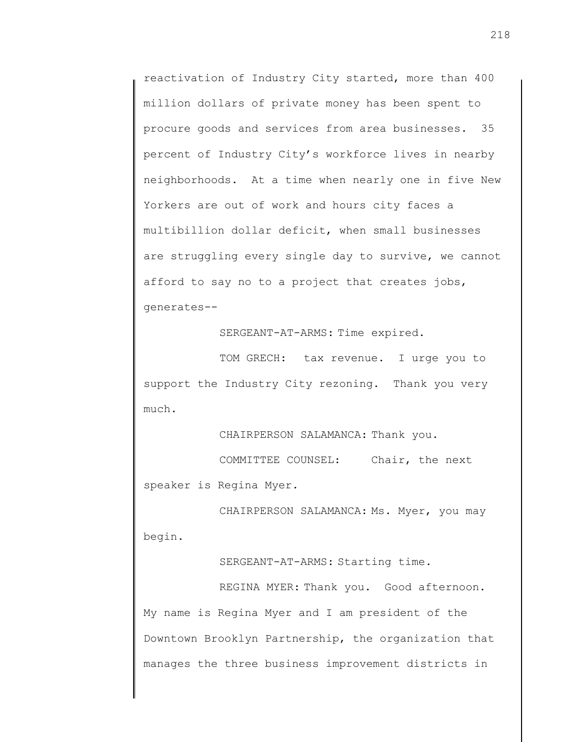reactivation of Industry City started, more than 400 million dollars of private money has been spent to procure goods and services from area businesses. 35 percent of Industry City's workforce lives in nearby neighborhoods. At a time when nearly one in five New Yorkers are out of work and hours city faces a multibillion dollar deficit, when small businesses are struggling every single day to survive, we cannot afford to say no to a project that creates jobs, generates--

SERGEANT-AT-ARMS: Time expired.

TOM GRECH: tax revenue. I urge you to support the Industry City rezoning. Thank you very much.

CHAIRPERSON SALAMANCA: Thank you.

COMMITTEE COUNSEL: Chair, the next

speaker is Regina Myer.

CHAIRPERSON SALAMANCA: Ms. Myer, you may begin.

SERGEANT-AT-ARMS: Starting time.

REGINA MYER: Thank you. Good afternoon. My name is Regina Myer and I am president of the Downtown Brooklyn Partnership, the organization that manages the three business improvement districts in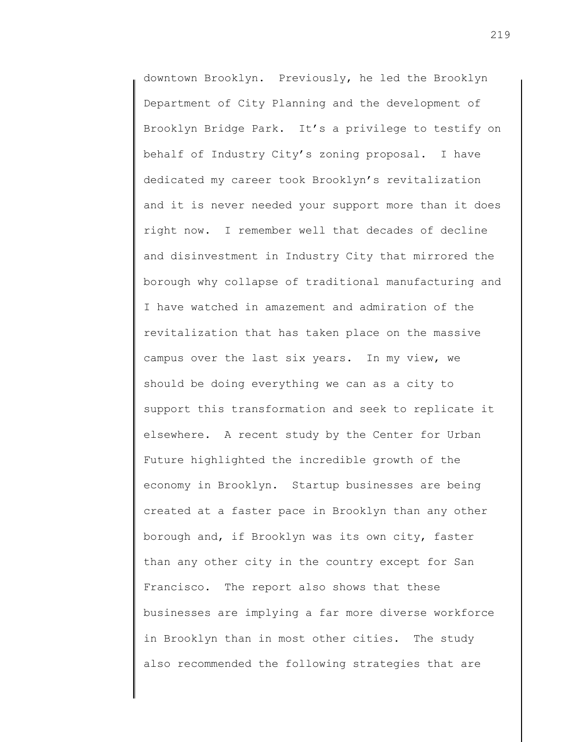downtown Brooklyn. Previously, he led the Brooklyn Department of City Planning and the development of Brooklyn Bridge Park. It's a privilege to testify on behalf of Industry City's zoning proposal. I have dedicated my career took Brooklyn's revitalization and it is never needed your support more than it does right now. I remember well that decades of decline and disinvestment in Industry City that mirrored the borough why collapse of traditional manufacturing and I have watched in amazement and admiration of the revitalization that has taken place on the massive campus over the last six years. In my view, we should be doing everything we can as a city to support this transformation and seek to replicate it elsewhere. A recent study by the Center for Urban Future highlighted the incredible growth of the economy in Brooklyn. Startup businesses are being created at a faster pace in Brooklyn than any other borough and, if Brooklyn was its own city, faster than any other city in the country except for San Francisco. The report also shows that these businesses are implying a far more diverse workforce in Brooklyn than in most other cities. The study also recommended the following strategies that are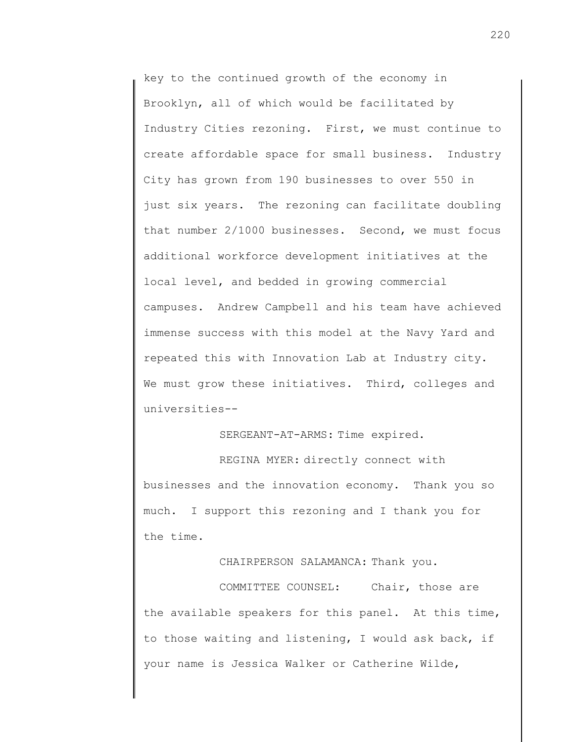key to the continued growth of the economy in Brooklyn, all of which would be facilitated by Industry Cities rezoning. First, we must continue to create affordable space for small business. Industry City has grown from 190 businesses to over 550 in just six years. The rezoning can facilitate doubling that number 2/1000 businesses. Second, we must focus additional workforce development initiatives at the local level, and bedded in growing commercial campuses. Andrew Campbell and his team have achieved immense success with this model at the Navy Yard and repeated this with Innovation Lab at Industry city. We must grow these initiatives. Third, colleges and universities--

SERGEANT-AT-ARMS: Time expired.

REGINA MYER: directly connect with businesses and the innovation economy. Thank you so much. I support this rezoning and I thank you for the time.

CHAIRPERSON SALAMANCA: Thank you.

COMMITTEE COUNSEL: Chair, those are the available speakers for this panel. At this time, to those waiting and listening, I would ask back, if your name is Jessica Walker or Catherine Wilde,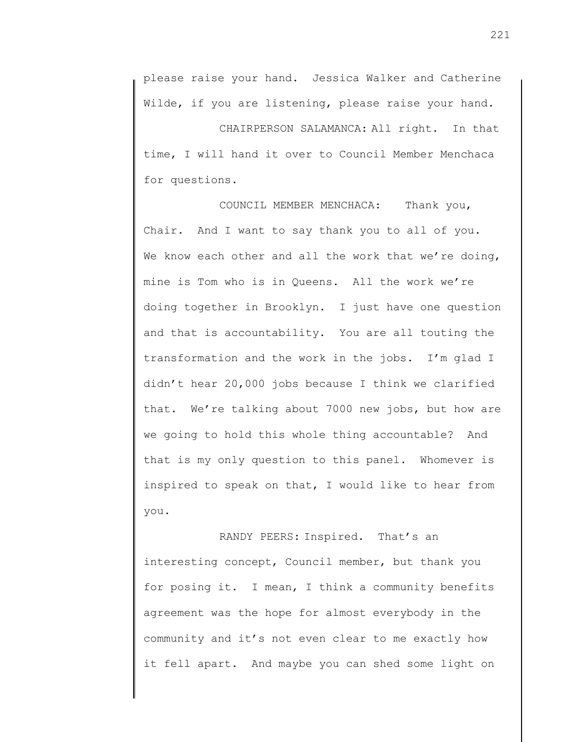CHAIRPERSON SALAMANCA: All right. In that time, I will hand it over to Council Member Menchaca for questions.

COUNCIL MEMBER MENCHACA: Thank you, Chair. And I want to say thank you to all of you. We know each other and all the work that we're doing, mine is Tom who is in Queens. All the work we're doing together in Brooklyn. I just have one question and that is accountability. You are all touting the transformation and the work in the jobs. I'm glad I didn't hear 20,000 jobs because I think we clarified that. We're talking about 7000 new jobs, but how are we going to hold this whole thing accountable? And that is my only question to this panel. Whomever is inspired to speak on that, I would like to hear from you.

RANDY PEERS: Inspired. That's an interesting concept, Council member, but thank you for posing it. I mean, I think a community benefits agreement was the hope for almost everybody in the community and it's not even clear to me exactly how it fell apart. And maybe you can shed some light on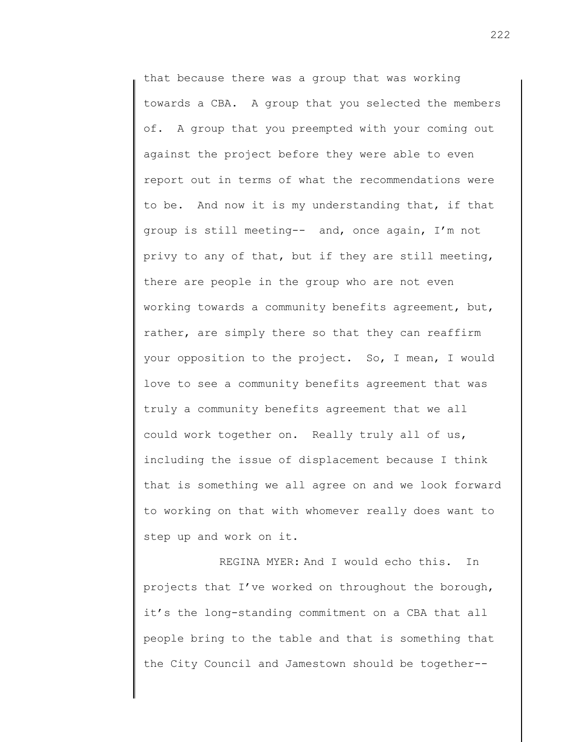that because there was a group that was working towards a CBA. A group that you selected the members of. A group that you preempted with your coming out against the project before they were able to even report out in terms of what the recommendations were to be. And now it is my understanding that, if that group is still meeting-- and, once again, I'm not privy to any of that, but if they are still meeting, there are people in the group who are not even working towards a community benefits agreement, but, rather, are simply there so that they can reaffirm your opposition to the project. So, I mean, I would love to see a community benefits agreement that was truly a community benefits agreement that we all could work together on. Really truly all of us, including the issue of displacement because I think that is something we all agree on and we look forward to working on that with whomever really does want to step up and work on it.

REGINA MYER: And I would echo this. In projects that I've worked on throughout the borough, it's the long-standing commitment on a CBA that all people bring to the table and that is something that the City Council and Jamestown should be together--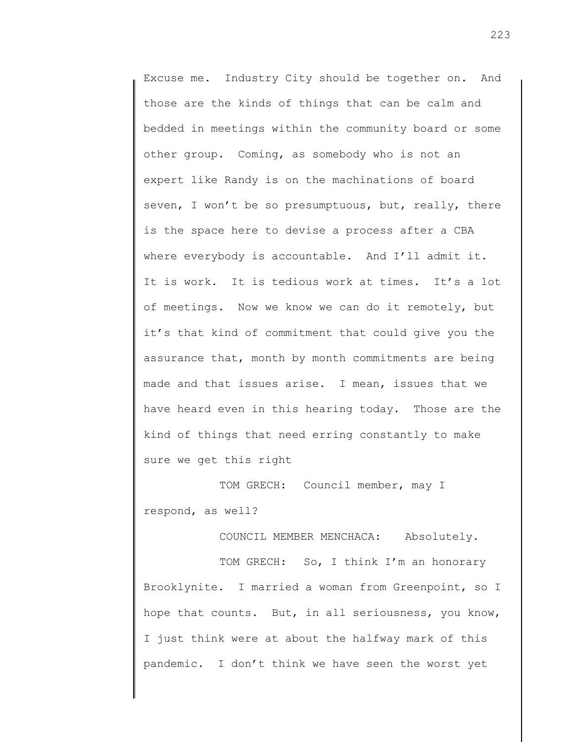Excuse me. Industry City should be together on. And those are the kinds of things that can be calm and bedded in meetings within the community board or some other group. Coming, as somebody who is not an expert like Randy is on the machinations of board seven, I won't be so presumptuous, but, really, there is the space here to devise a process after a CBA where everybody is accountable. And I'll admit it. It is work. It is tedious work at times. It's a lot of meetings. Now we know we can do it remotely, but it's that kind of commitment that could give you the assurance that, month by month commitments are being made and that issues arise. I mean, issues that we have heard even in this hearing today. Those are the kind of things that need erring constantly to make sure we get this right

TOM GRECH: Council member, may I respond, as well?

COUNCIL MEMBER MENCHACA: Absolutely.

TOM GRECH: So, I think I'm an honorary Brooklynite. I married a woman from Greenpoint, so I hope that counts. But, in all seriousness, you know, I just think were at about the halfway mark of this pandemic. I don't think we have seen the worst yet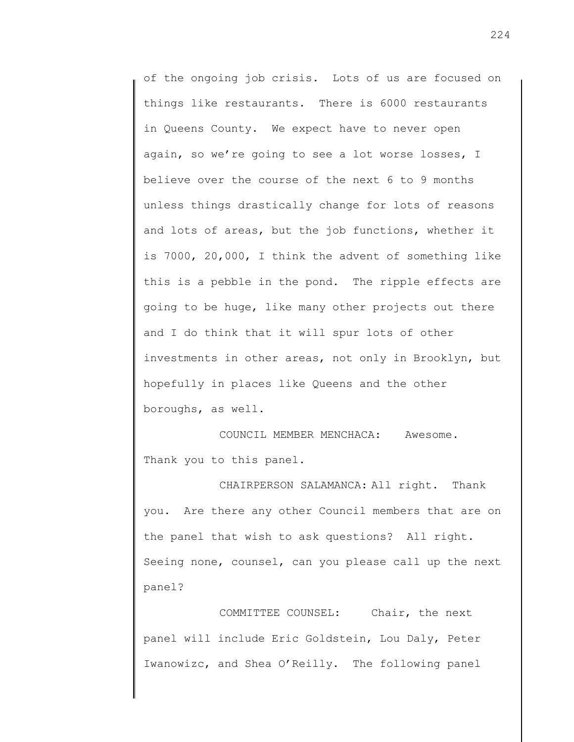of the ongoing job crisis. Lots of us are focused on things like restaurants. There is 6000 restaurants in Queens County. We expect have to never open again, so we're going to see a lot worse losses, I believe over the course of the next 6 to 9 months unless things drastically change for lots of reasons and lots of areas, but the job functions, whether it is 7000, 20,000, I think the advent of something like this is a pebble in the pond. The ripple effects are going to be huge, like many other projects out there and I do think that it will spur lots of other investments in other areas, not only in Brooklyn, but hopefully in places like Queens and the other boroughs, as well.

COUNCIL MEMBER MENCHACA: Awesome. Thank you to this panel.

CHAIRPERSON SALAMANCA: All right. Thank you. Are there any other Council members that are on the panel that wish to ask questions? All right. Seeing none, counsel, can you please call up the next panel?

COMMITTEE COUNSEL: Chair, the next panel will include Eric Goldstein, Lou Daly, Peter Iwanowizc, and Shea O'Reilly. The following panel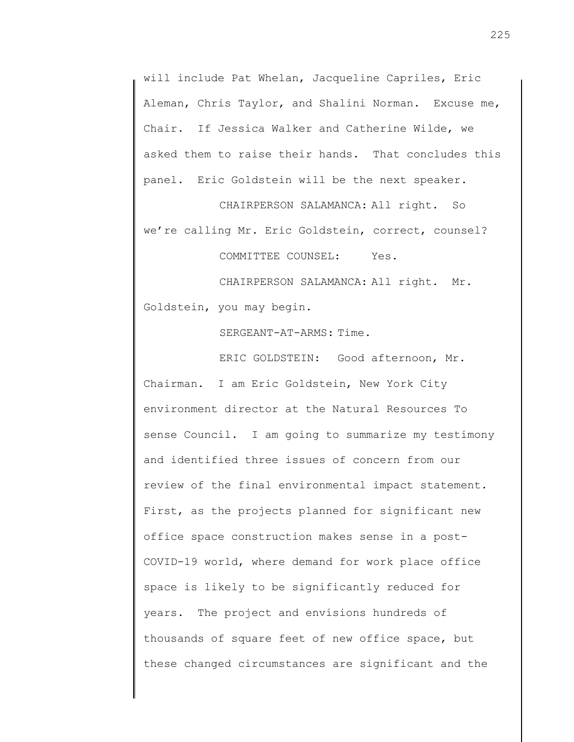will include Pat Whelan, Jacqueline Capriles, Eric Aleman, Chris Taylor, and Shalini Norman. Excuse me, Chair. If Jessica Walker and Catherine Wilde, we asked them to raise their hands. That concludes this panel. Eric Goldstein will be the next speaker.

CHAIRPERSON SALAMANCA: All right. So we're calling Mr. Eric Goldstein, correct, counsel?

COMMITTEE COUNSEL: Yes.

CHAIRPERSON SALAMANCA: All right. Mr. Goldstein, you may begin.

SERGEANT-AT-ARMS: Time.

ERIC GOLDSTEIN: Good afternoon, Mr. Chairman. I am Eric Goldstein, New York City environment director at the Natural Resources To sense Council. I am going to summarize my testimony and identified three issues of concern from our review of the final environmental impact statement. First, as the projects planned for significant new office space construction makes sense in a post-COVID-19 world, where demand for work place office space is likely to be significantly reduced for years. The project and envisions hundreds of thousands of square feet of new office space, but these changed circumstances are significant and the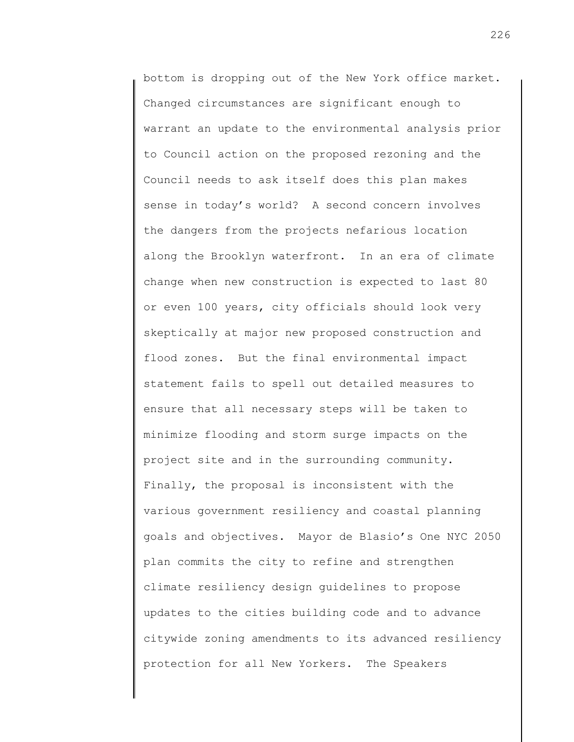bottom is dropping out of the New York office market. Changed circumstances are significant enough to warrant an update to the environmental analysis prior to Council action on the proposed rezoning and the Council needs to ask itself does this plan makes sense in today's world? A second concern involves the dangers from the projects nefarious location along the Brooklyn waterfront. In an era of climate change when new construction is expected to last 80 or even 100 years, city officials should look very skeptically at major new proposed construction and flood zones. But the final environmental impact statement fails to spell out detailed measures to ensure that all necessary steps will be taken to minimize flooding and storm surge impacts on the project site and in the surrounding community. Finally, the proposal is inconsistent with the various government resiliency and coastal planning goals and objectives. Mayor de Blasio's One NYC 2050 plan commits the city to refine and strengthen climate resiliency design guidelines to propose updates to the cities building code and to advance citywide zoning amendments to its advanced resiliency protection for all New Yorkers. The Speakers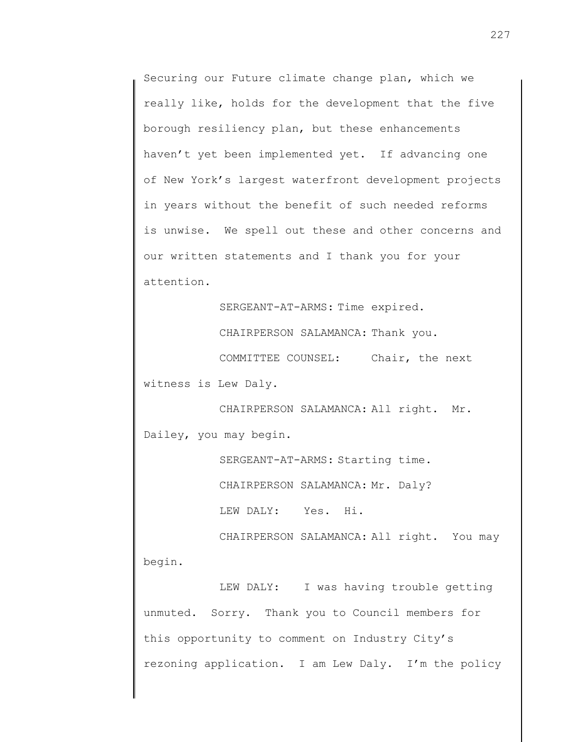Securing our Future climate change plan, which we really like, holds for the development that the five borough resiliency plan, but these enhancements haven't yet been implemented yet. If advancing one of New York's largest waterfront development projects in years without the benefit of such needed reforms is unwise. We spell out these and other concerns and our written statements and I thank you for your attention.

SERGEANT-AT-ARMS: Time expired. CHAIRPERSON SALAMANCA: Thank you. COMMITTEE COUNSEL: Chair, the next witness is Lew Daly.

CHAIRPERSON SALAMANCA: All right. Mr. Dailey, you may begin.

SERGEANT-AT-ARMS: Starting time.

CHAIRPERSON SALAMANCA: Mr. Daly?

LEW DALY: Yes. Hi.

CHAIRPERSON SALAMANCA: All right. You may begin.

LEW DALY: I was having trouble getting unmuted. Sorry. Thank you to Council members for this opportunity to comment on Industry City's rezoning application. I am Lew Daly. I'm the policy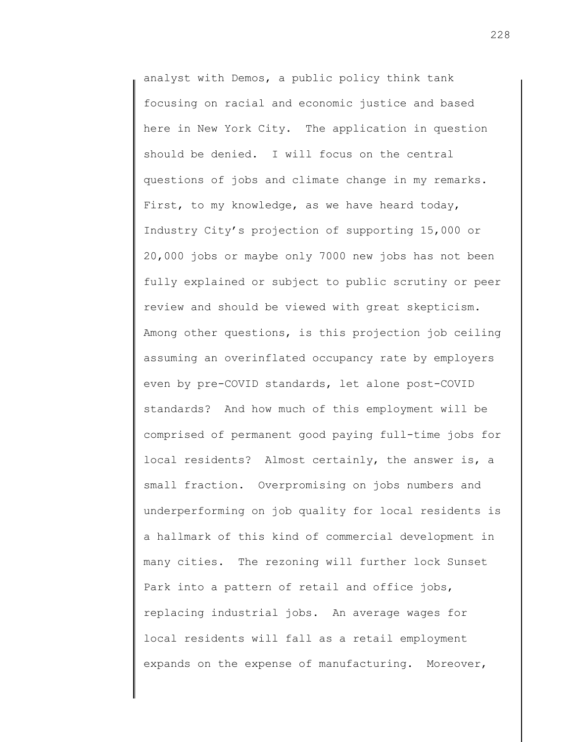analyst with Demos, a public policy think tank focusing on racial and economic justice and based here in New York City. The application in question should be denied. I will focus on the central questions of jobs and climate change in my remarks. First, to my knowledge, as we have heard today, Industry City's projection of supporting 15,000 or 20,000 jobs or maybe only 7000 new jobs has not been fully explained or subject to public scrutiny or peer review and should be viewed with great skepticism. Among other questions, is this projection job ceiling assuming an overinflated occupancy rate by employers even by pre-COVID standards, let alone post-COVID standards? And how much of this employment will be comprised of permanent good paying full-time jobs for local residents? Almost certainly, the answer is, a small fraction. Overpromising on jobs numbers and underperforming on job quality for local residents is a hallmark of this kind of commercial development in many cities. The rezoning will further lock Sunset Park into a pattern of retail and office jobs, replacing industrial jobs. An average wages for local residents will fall as a retail employment expands on the expense of manufacturing. Moreover,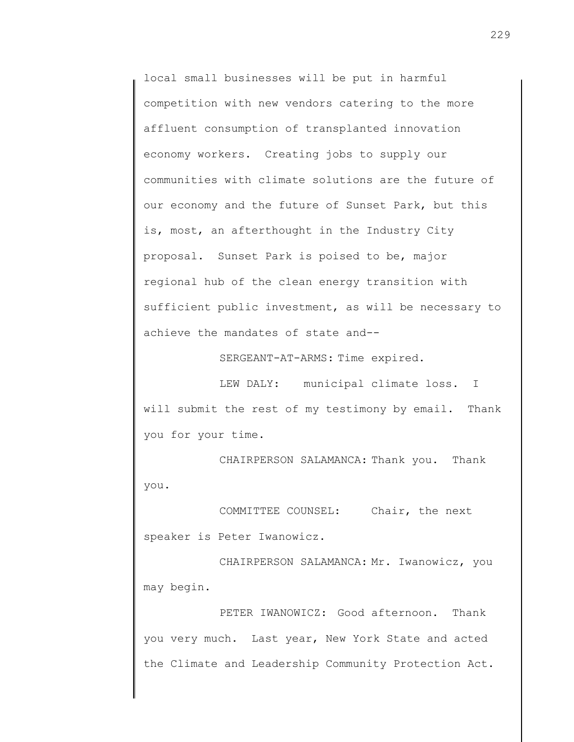local small businesses will be put in harmful competition with new vendors catering to the more affluent consumption of transplanted innovation economy workers. Creating jobs to supply our communities with climate solutions are the future of our economy and the future of Sunset Park, but this is, most, an afterthought in the Industry City proposal. Sunset Park is poised to be, major regional hub of the clean energy transition with sufficient public investment, as will be necessary to achieve the mandates of state and--

SERGEANT-AT-ARMS: Time expired.

LEW DALY: municipal climate loss. I will submit the rest of my testimony by email. Thank you for your time.

CHAIRPERSON SALAMANCA: Thank you. Thank you.

COMMITTEE COUNSEL: Chair, the next speaker is Peter Iwanowicz.

CHAIRPERSON SALAMANCA: Mr. Iwanowicz, you may begin.

PETER IWANOWICZ: Good afternoon. Thank you very much. Last year, New York State and acted the Climate and Leadership Community Protection Act.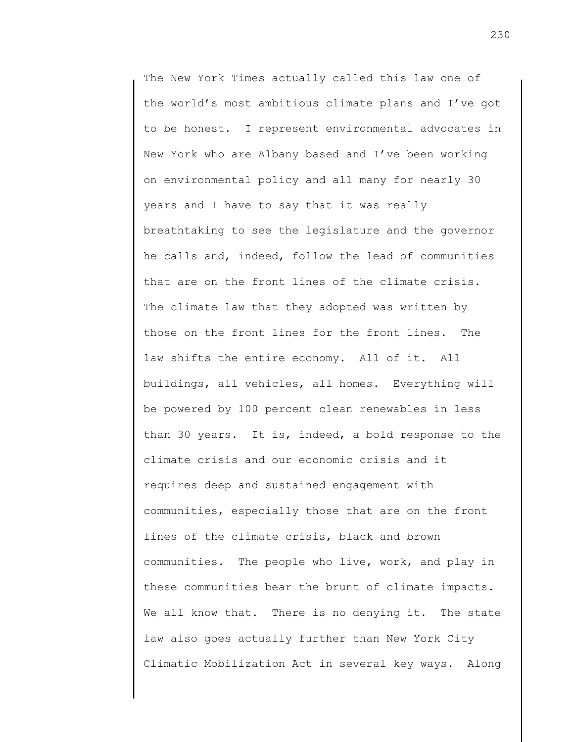The New York Times actually called this law one of the world's most ambitious climate plans and I've got to be honest. I represent environmental advocates in New York who are Albany based and I've been working on environmental policy and all many for nearly 30 years and I have to say that it was really breathtaking to see the legislature and the governor he calls and, indeed, follow the lead of communities that are on the front lines of the climate crisis. The climate law that they adopted was written by those on the front lines for the front lines. The law shifts the entire economy. All of it. All buildings, all vehicles, all homes. Everything will be powered by 100 percent clean renewables in less than 30 years. It is, indeed, a bold response to the climate crisis and our economic crisis and it requires deep and sustained engagement with communities, especially those that are on the front lines of the climate crisis, black and brown communities. The people who live, work, and play in these communities bear the brunt of climate impacts. We all know that. There is no denying it. The state law also goes actually further than New York City Climatic Mobilization Act in several key ways. Along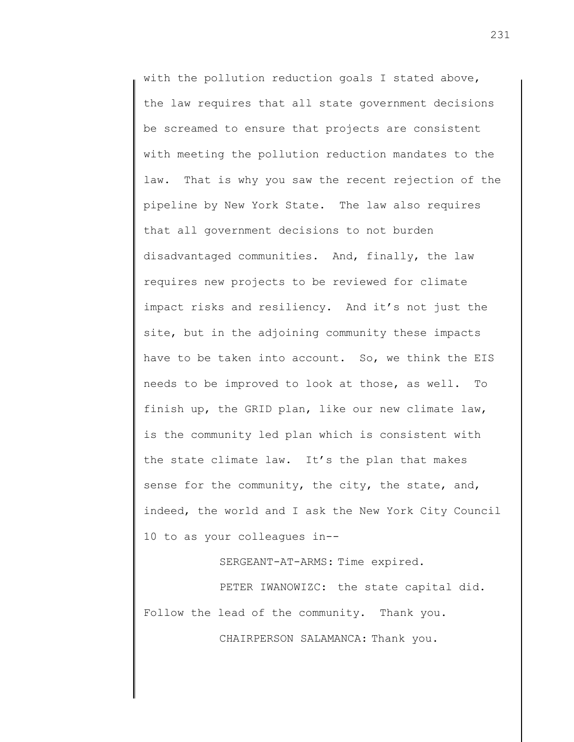with the pollution reduction goals I stated above, the law requires that all state government decisions be screamed to ensure that projects are consistent with meeting the pollution reduction mandates to the law. That is why you saw the recent rejection of the pipeline by New York State. The law also requires that all government decisions to not burden disadvantaged communities. And, finally, the law requires new projects to be reviewed for climate impact risks and resiliency. And it's not just the site, but in the adjoining community these impacts have to be taken into account. So, we think the EIS needs to be improved to look at those, as well. To finish up, the GRID plan, like our new climate law, is the community led plan which is consistent with the state climate law. It's the plan that makes sense for the community, the city, the state, and, indeed, the world and I ask the New York City Council 10 to as your colleagues in--

SERGEANT-AT-ARMS: Time expired.

PETER IWANOWIZC: the state capital did. Follow the lead of the community. Thank you.

CHAIRPERSON SALAMANCA: Thank you.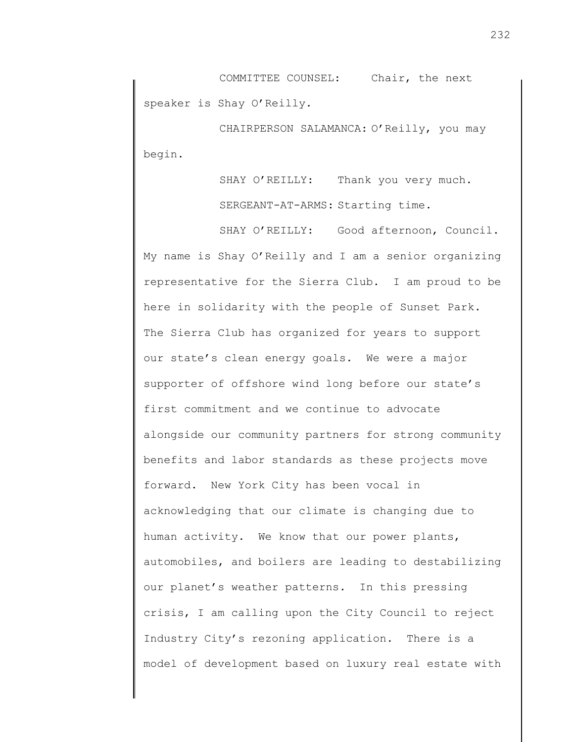COMMITTEE COUNSEL: Chair, the next speaker is Shay O'Reilly.

CHAIRPERSON SALAMANCA: O'Reilly, you may begin.

> SHAY O'REILLY: Thank you very much. SERGEANT-AT-ARMS: Starting time.

SHAY O'REILLY: Good afternoon, Council. My name is Shay O'Reilly and I am a senior organizing representative for the Sierra Club. I am proud to be here in solidarity with the people of Sunset Park. The Sierra Club has organized for years to support our state's clean energy goals. We were a major supporter of offshore wind long before our state's first commitment and we continue to advocate alongside our community partners for strong community benefits and labor standards as these projects move forward. New York City has been vocal in acknowledging that our climate is changing due to human activity. We know that our power plants, automobiles, and boilers are leading to destabilizing our planet's weather patterns. In this pressing crisis, I am calling upon the City Council to reject Industry City's rezoning application. There is a model of development based on luxury real estate with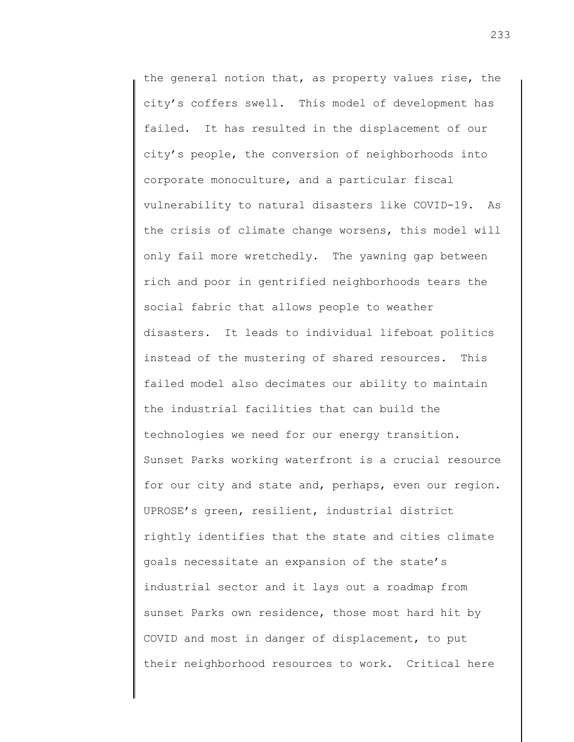the general notion that, as property values rise, the city's coffers swell. This model of development has failed. It has resulted in the displacement of our city's people, the conversion of neighborhoods into corporate monoculture, and a particular fiscal vulnerability to natural disasters like COVID-19. As the crisis of climate change worsens, this model will only fail more wretchedly. The yawning gap between rich and poor in gentrified neighborhoods tears the social fabric that allows people to weather disasters. It leads to individual lifeboat politics instead of the mustering of shared resources. This failed model also decimates our ability to maintain the industrial facilities that can build the technologies we need for our energy transition. Sunset Parks working waterfront is a crucial resource for our city and state and, perhaps, even our region. UPROSE's green, resilient, industrial district rightly identifies that the state and cities climate goals necessitate an expansion of the state's industrial sector and it lays out a roadmap from sunset Parks own residence, those most hard hit by COVID and most in danger of displacement, to put their neighborhood resources to work. Critical here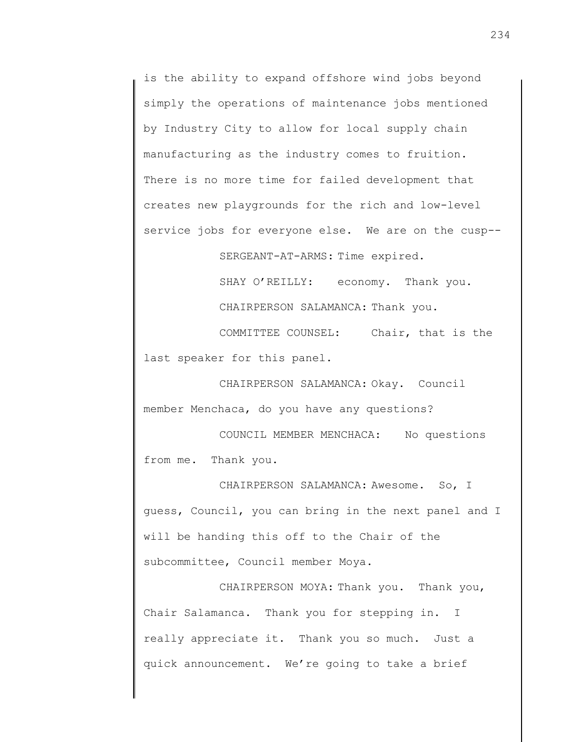is the ability to expand offshore wind jobs beyond simply the operations of maintenance jobs mentioned by Industry City to allow for local supply chain manufacturing as the industry comes to fruition. There is no more time for failed development that creates new playgrounds for the rich and low-level service jobs for everyone else. We are on the cusp--

SERGEANT-AT-ARMS: Time expired.

SHAY O'REILLY: economy. Thank you. CHAIRPERSON SALAMANCA: Thank you.

COMMITTEE COUNSEL: Chair, that is the last speaker for this panel.

CHAIRPERSON SALAMANCA: Okay. Council member Menchaca, do you have any questions?

COUNCIL MEMBER MENCHACA: No questions from me. Thank you.

CHAIRPERSON SALAMANCA: Awesome. So, I guess, Council, you can bring in the next panel and I will be handing this off to the Chair of the subcommittee, Council member Moya.

CHAIRPERSON MOYA: Thank you. Thank you, Chair Salamanca. Thank you for stepping in. I really appreciate it. Thank you so much. Just a quick announcement. We're going to take a brief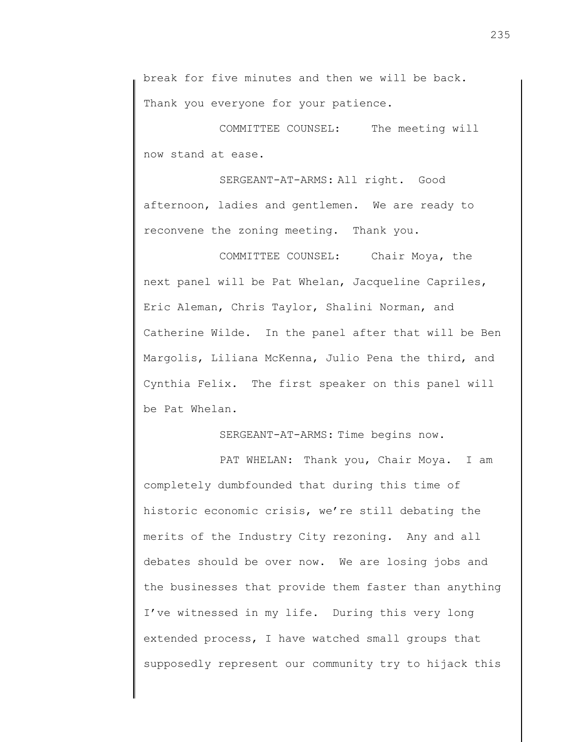COMMITTEE COUNSEL: The meeting will now stand at ease.

SERGEANT-AT-ARMS: All right. Good afternoon, ladies and gentlemen. We are ready to reconvene the zoning meeting. Thank you.

COMMITTEE COUNSEL: Chair Moya, the next panel will be Pat Whelan, Jacqueline Capriles, Eric Aleman, Chris Taylor, Shalini Norman, and Catherine Wilde. In the panel after that will be Ben Margolis, Liliana McKenna, Julio Pena the third, and Cynthia Felix. The first speaker on this panel will be Pat Whelan.

SERGEANT-AT-ARMS: Time begins now.

PAT WHELAN: Thank you, Chair Moya. I am completely dumbfounded that during this time of historic economic crisis, we're still debating the merits of the Industry City rezoning. Any and all debates should be over now. We are losing jobs and the businesses that provide them faster than anything I've witnessed in my life. During this very long extended process, I have watched small groups that supposedly represent our community try to hijack this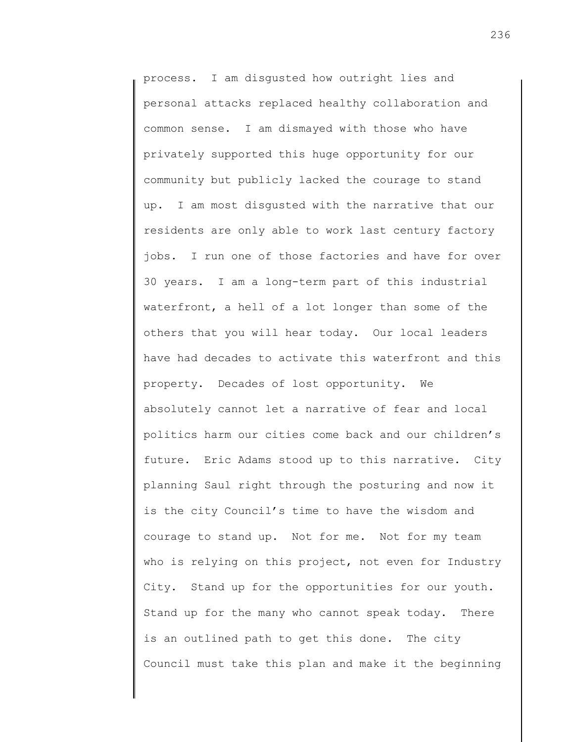process. I am disgusted how outright lies and personal attacks replaced healthy collaboration and common sense. I am dismayed with those who have privately supported this huge opportunity for our community but publicly lacked the courage to stand up. I am most disgusted with the narrative that our residents are only able to work last century factory jobs. I run one of those factories and have for over 30 years. I am a long-term part of this industrial waterfront, a hell of a lot longer than some of the others that you will hear today. Our local leaders have had decades to activate this waterfront and this property. Decades of lost opportunity. We absolutely cannot let a narrative of fear and local politics harm our cities come back and our children's future. Eric Adams stood up to this narrative. City planning Saul right through the posturing and now it is the city Council's time to have the wisdom and courage to stand up. Not for me. Not for my team who is relying on this project, not even for Industry City. Stand up for the opportunities for our youth. Stand up for the many who cannot speak today. There is an outlined path to get this done. The city Council must take this plan and make it the beginning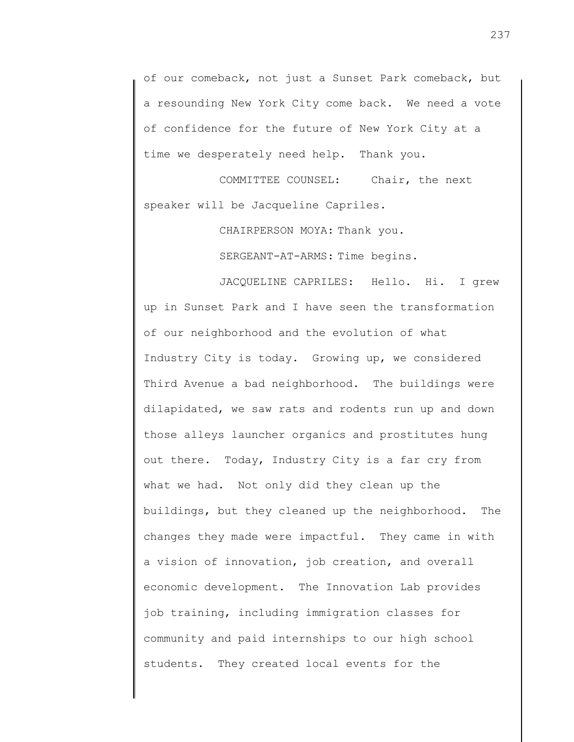of our comeback, not just a Sunset Park comeback, but a resounding New York City come back. We need a vote of confidence for the future of New York City at a time we desperately need help. Thank you.

COMMITTEE COUNSEL: Chair, the next speaker will be Jacqueline Capriles.

CHAIRPERSON MOYA: Thank you.

SERGEANT-AT-ARMS: Time begins.

JACQUELINE CAPRILES: Hello. Hi. I grew up in Sunset Park and I have seen the transformation of our neighborhood and the evolution of what Industry City is today. Growing up, we considered Third Avenue a bad neighborhood. The buildings were dilapidated, we saw rats and rodents run up and down those alleys launcher organics and prostitutes hung out there. Today, Industry City is a far cry from what we had. Not only did they clean up the buildings, but they cleaned up the neighborhood. The changes they made were impactful. They came in with a vision of innovation, job creation, and overall economic development. The Innovation Lab provides job training, including immigration classes for community and paid internships to our high school students. They created local events for the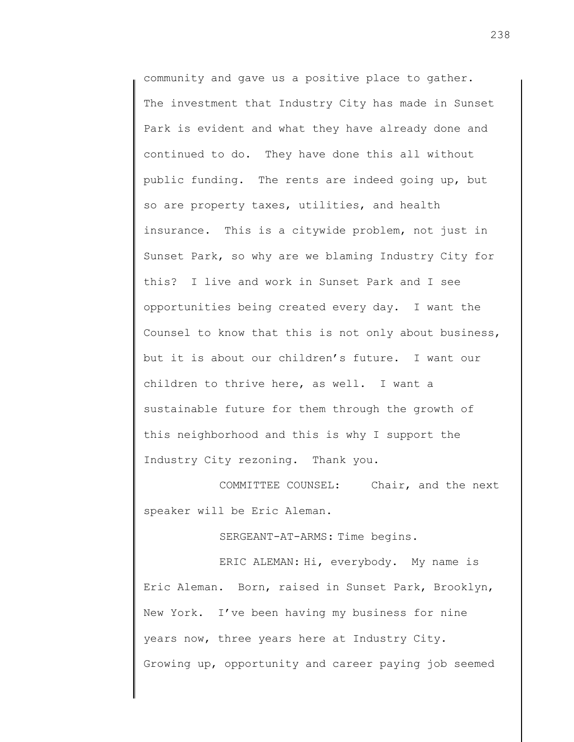community and gave us a positive place to gather. The investment that Industry City has made in Sunset Park is evident and what they have already done and continued to do. They have done this all without public funding. The rents are indeed going up, but so are property taxes, utilities, and health insurance. This is a citywide problem, not just in Sunset Park, so why are we blaming Industry City for this? I live and work in Sunset Park and I see opportunities being created every day. I want the Counsel to know that this is not only about business, but it is about our children's future. I want our children to thrive here, as well. I want a sustainable future for them through the growth of this neighborhood and this is why I support the Industry City rezoning. Thank you.

COMMITTEE COUNSEL: Chair, and the next speaker will be Eric Aleman.

SERGEANT-AT-ARMS: Time begins.

ERIC ALEMAN: Hi, everybody. My name is Eric Aleman. Born, raised in Sunset Park, Brooklyn, New York. I've been having my business for nine years now, three years here at Industry City. Growing up, opportunity and career paying job seemed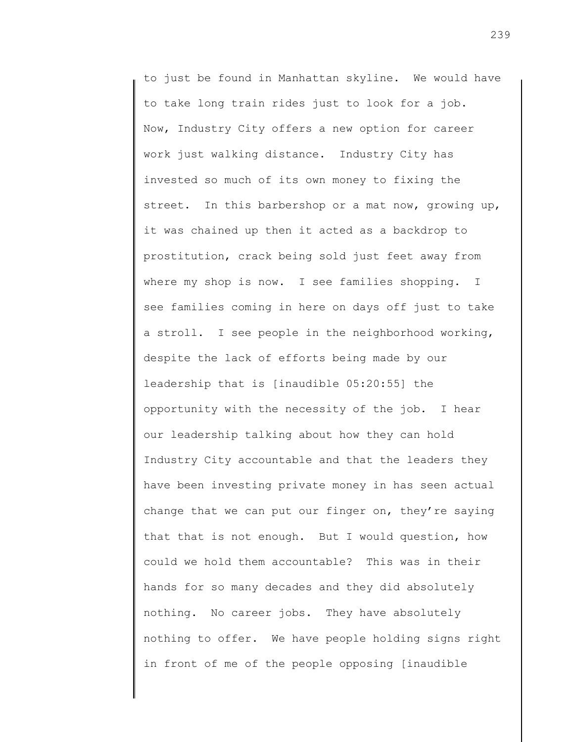to just be found in Manhattan skyline. We would have to take long train rides just to look for a job. Now, Industry City offers a new option for career work just walking distance. Industry City has invested so much of its own money to fixing the street. In this barbershop or a mat now, growing up, it was chained up then it acted as a backdrop to prostitution, crack being sold just feet away from where my shop is now. I see families shopping. I see families coming in here on days off just to take a stroll. I see people in the neighborhood working, despite the lack of efforts being made by our leadership that is [inaudible 05:20:55] the opportunity with the necessity of the job. I hear our leadership talking about how they can hold Industry City accountable and that the leaders they have been investing private money in has seen actual change that we can put our finger on, they're saying that that is not enough. But I would question, how could we hold them accountable? This was in their hands for so many decades and they did absolutely nothing. No career jobs. They have absolutely nothing to offer. We have people holding signs right in front of me of the people opposing [inaudible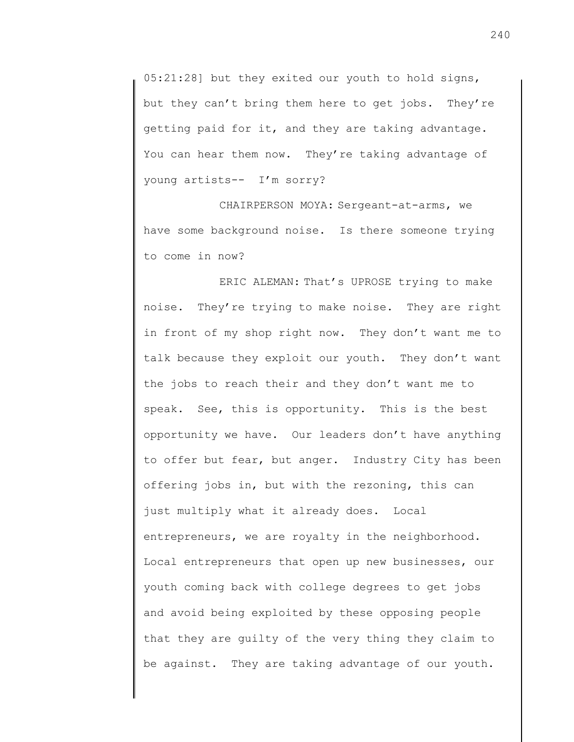05:21:28] but they exited our youth to hold signs, but they can't bring them here to get jobs. They're getting paid for it, and they are taking advantage. You can hear them now. They're taking advantage of young artists-- I'm sorry?

CHAIRPERSON MOYA: Sergeant-at-arms, we have some background noise. Is there someone trying to come in now?

ERIC ALEMAN: That's UPROSE trying to make noise. They're trying to make noise. They are right in front of my shop right now. They don't want me to talk because they exploit our youth. They don't want the jobs to reach their and they don't want me to speak. See, this is opportunity. This is the best opportunity we have. Our leaders don't have anything to offer but fear, but anger. Industry City has been offering jobs in, but with the rezoning, this can just multiply what it already does. Local entrepreneurs, we are royalty in the neighborhood. Local entrepreneurs that open up new businesses, our youth coming back with college degrees to get jobs and avoid being exploited by these opposing people that they are guilty of the very thing they claim to be against. They are taking advantage of our youth.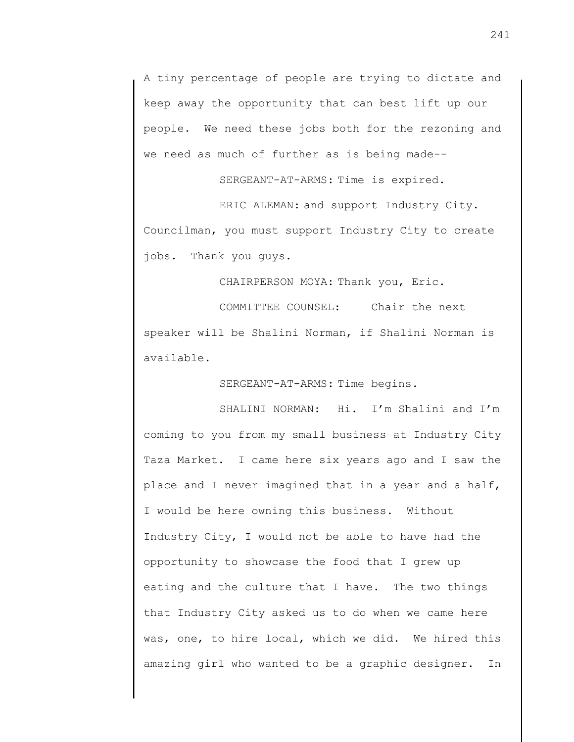A tiny percentage of people are trying to dictate and keep away the opportunity that can best lift up our people. We need these jobs both for the rezoning and we need as much of further as is being made--

SERGEANT-AT-ARMS: Time is expired.

ERIC ALEMAN: and support Industry City. Councilman, you must support Industry City to create jobs. Thank you guys.

CHAIRPERSON MOYA: Thank you, Eric.

COMMITTEE COUNSEL: Chair the next speaker will be Shalini Norman, if Shalini Norman is available.

SERGEANT-AT-ARMS: Time begins.

SHALINI NORMAN: Hi. I'm Shalini and I'm coming to you from my small business at Industry City Taza Market. I came here six years ago and I saw the place and I never imagined that in a year and a half, I would be here owning this business. Without Industry City, I would not be able to have had the opportunity to showcase the food that I grew up eating and the culture that I have. The two things that Industry City asked us to do when we came here was, one, to hire local, which we did. We hired this amazing girl who wanted to be a graphic designer. In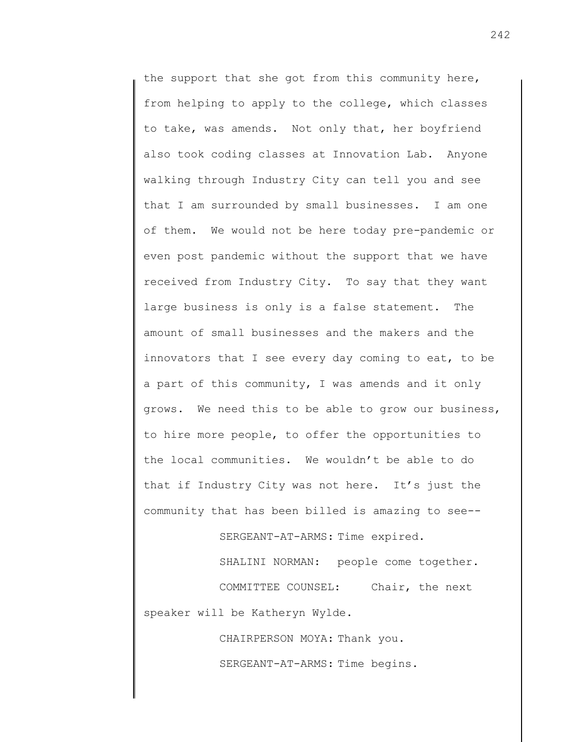the support that she got from this community here, from helping to apply to the college, which classes to take, was amends. Not only that, her boyfriend also took coding classes at Innovation Lab. Anyone walking through Industry City can tell you and see that I am surrounded by small businesses. I am one of them. We would not be here today pre-pandemic or even post pandemic without the support that we have received from Industry City. To say that they want large business is only is a false statement. The amount of small businesses and the makers and the innovators that I see every day coming to eat, to be a part of this community, I was amends and it only grows. We need this to be able to grow our business, to hire more people, to offer the opportunities to the local communities. We wouldn't be able to do that if Industry City was not here. It's just the community that has been billed is amazing to see--

SERGEANT-AT-ARMS: Time expired.

SHALINI NORMAN: people come together. COMMITTEE COUNSEL: Chair, the next speaker will be Katheryn Wylde.

> CHAIRPERSON MOYA: Thank you. SERGEANT-AT-ARMS: Time begins.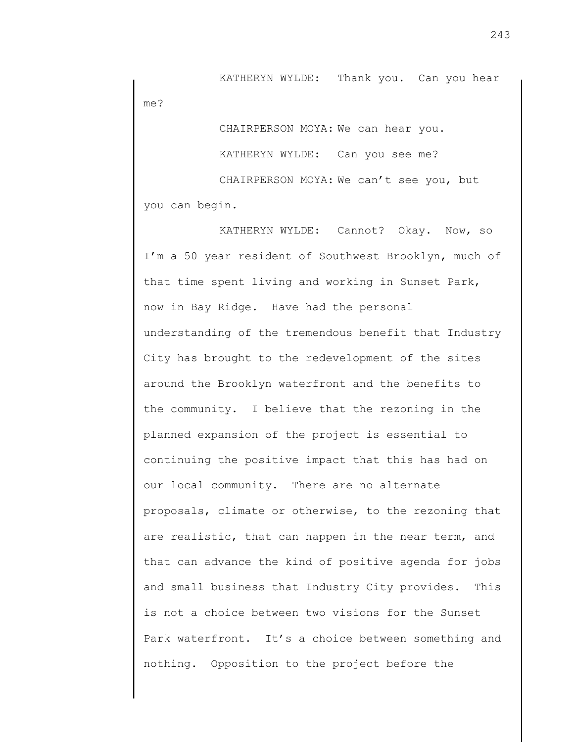KATHERYN WYLDE: Thank you. Can you hear me?

CHAIRPERSON MOYA: We can hear you. KATHERYN WYLDE: Can you see me? CHAIRPERSON MOYA: We can't see you, but

you can begin.

KATHERYN WYLDE: Cannot? Okay. Now, so I'm a 50 year resident of Southwest Brooklyn, much of that time spent living and working in Sunset Park, now in Bay Ridge. Have had the personal understanding of the tremendous benefit that Industry City has brought to the redevelopment of the sites around the Brooklyn waterfront and the benefits to the community. I believe that the rezoning in the planned expansion of the project is essential to continuing the positive impact that this has had on our local community. There are no alternate proposals, climate or otherwise, to the rezoning that are realistic, that can happen in the near term, and that can advance the kind of positive agenda for jobs and small business that Industry City provides. This is not a choice between two visions for the Sunset Park waterfront. It's a choice between something and nothing. Opposition to the project before the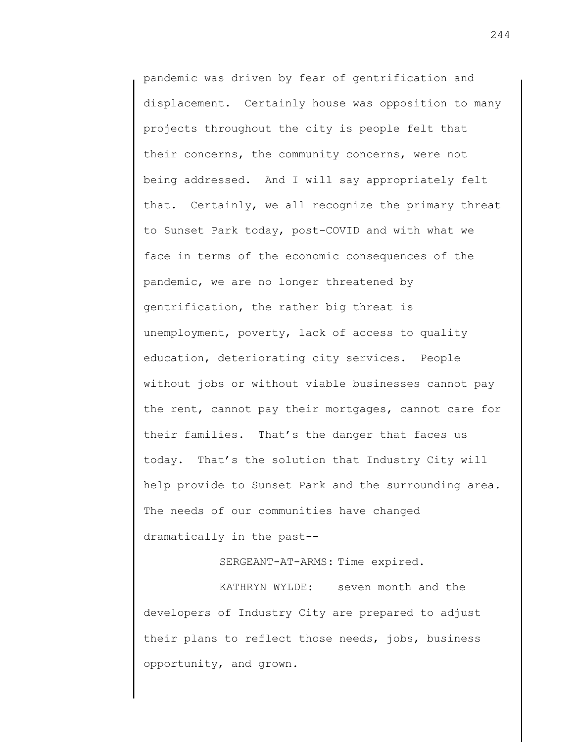pandemic was driven by fear of gentrification and displacement. Certainly house was opposition to many projects throughout the city is people felt that their concerns, the community concerns, were not being addressed. And I will say appropriately felt that. Certainly, we all recognize the primary threat to Sunset Park today, post-COVID and with what we face in terms of the economic consequences of the pandemic, we are no longer threatened by gentrification, the rather big threat is unemployment, poverty, lack of access to quality education, deteriorating city services. People without jobs or without viable businesses cannot pay the rent, cannot pay their mortgages, cannot care for their families. That's the danger that faces us today. That's the solution that Industry City will help provide to Sunset Park and the surrounding area. The needs of our communities have changed dramatically in the past--

SERGEANT-AT-ARMS: Time expired.

KATHRYN WYLDE: seven month and the developers of Industry City are prepared to adjust their plans to reflect those needs, jobs, business opportunity, and grown.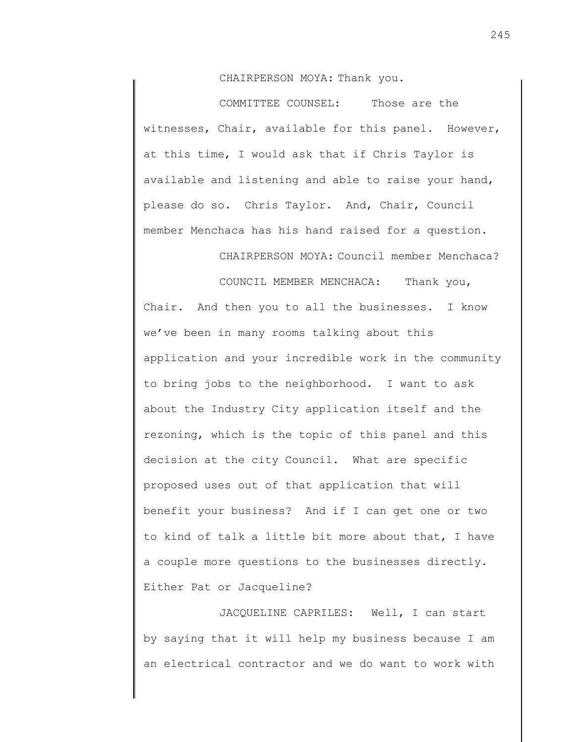CHAIRPERSON MOYA: Thank you.

COMMITTEE COUNSEL: Those are the witnesses, Chair, available for this panel. However, at this time, I would ask that if Chris Taylor is available and listening and able to raise your hand, please do so. Chris Taylor. And, Chair, Council member Menchaca has his hand raised for a question.

CHAIRPERSON MOYA: Council member Menchaca?

COUNCIL MEMBER MENCHACA: Thank you, Chair. And then you to all the businesses. I know we've been in many rooms talking about this application and your incredible work in the community to bring jobs to the neighborhood. I want to ask about the Industry City application itself and the rezoning, which is the topic of this panel and this decision at the city Council. What are specific proposed uses out of that application that will benefit your business? And if I can get one or two to kind of talk a little bit more about that, I have a couple more questions to the businesses directly. Either Pat or Jacqueline?

JACQUELINE CAPRILES: Well, I can start by saying that it will help my business because I am an electrical contractor and we do want to work with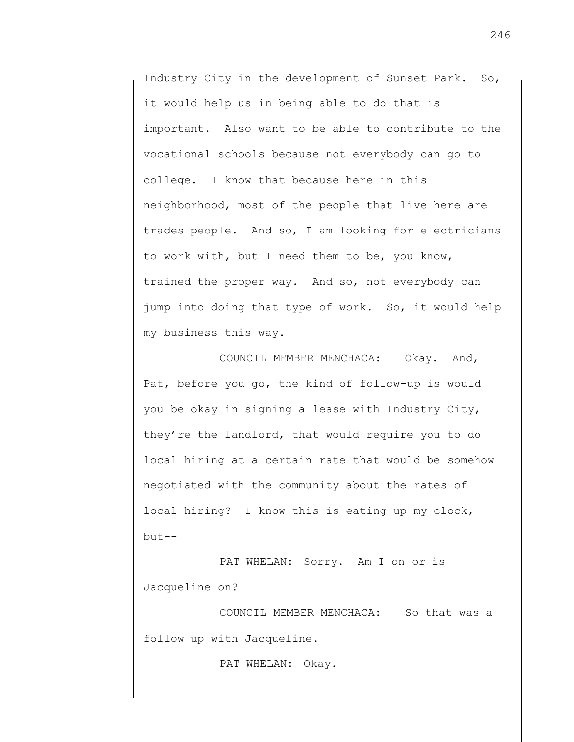Industry City in the development of Sunset Park. So, it would help us in being able to do that is important. Also want to be able to contribute to the vocational schools because not everybody can go to college. I know that because here in this neighborhood, most of the people that live here are trades people. And so, I am looking for electricians to work with, but I need them to be, you know, trained the proper way. And so, not everybody can jump into doing that type of work. So, it would help my business this way.

COUNCIL MEMBER MENCHACA: Okay. And, Pat, before you go, the kind of follow-up is would you be okay in signing a lease with Industry City, they're the landlord, that would require you to do local hiring at a certain rate that would be somehow negotiated with the community about the rates of local hiring? I know this is eating up my clock, but--

PAT WHELAN: Sorry. Am I on or is Jacqueline on?

COUNCIL MEMBER MENCHACA: So that was a follow up with Jacqueline.

PAT WHELAN: Okay.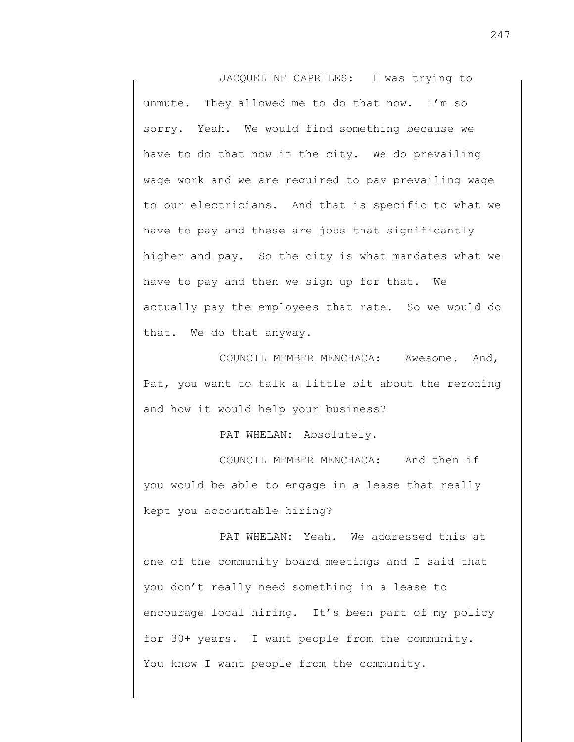JACQUELINE CAPRILES: I was trying to unmute. They allowed me to do that now. I'm so sorry. Yeah. We would find something because we have to do that now in the city. We do prevailing wage work and we are required to pay prevailing wage to our electricians. And that is specific to what we have to pay and these are jobs that significantly higher and pay. So the city is what mandates what we have to pay and then we sign up for that. We actually pay the employees that rate. So we would do that. We do that anyway.

COUNCIL MEMBER MENCHACA: Awesome. And, Pat, you want to talk a little bit about the rezoning and how it would help your business?

PAT WHELAN: Absolutely.

COUNCIL MEMBER MENCHACA: And then if you would be able to engage in a lease that really kept you accountable hiring?

PAT WHELAN: Yeah. We addressed this at one of the community board meetings and I said that you don't really need something in a lease to encourage local hiring. It's been part of my policy for 30+ years. I want people from the community. You know I want people from the community.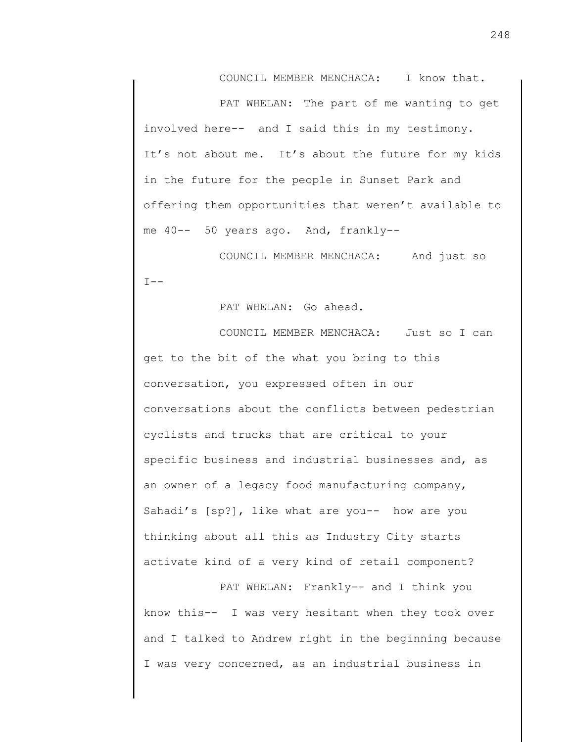COUNCIL MEMBER MENCHACA: I know that.

PAT WHELAN: The part of me wanting to get involved here-- and I said this in my testimony. It's not about me. It's about the future for my kids in the future for the people in Sunset Park and offering them opportunities that weren't available to me 40-- 50 years ago. And, frankly--

COUNCIL MEMBER MENCHACA: And just so  $I --$ 

PAT WHELAN: Go ahead.

COUNCIL MEMBER MENCHACA: Just so I can get to the bit of the what you bring to this conversation, you expressed often in our conversations about the conflicts between pedestrian cyclists and trucks that are critical to your specific business and industrial businesses and, as an owner of a legacy food manufacturing company, Sahadi's [sp?], like what are you-- how are you thinking about all this as Industry City starts activate kind of a very kind of retail component?

PAT WHELAN: Frankly-- and I think you know this-- I was very hesitant when they took over and I talked to Andrew right in the beginning because I was very concerned, as an industrial business in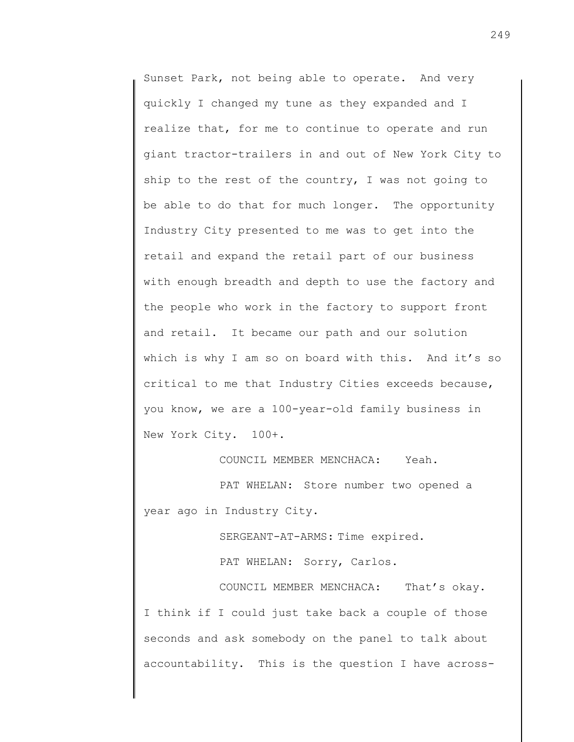Sunset Park, not being able to operate. And very quickly I changed my tune as they expanded and I realize that, for me to continue to operate and run giant tractor-trailers in and out of New York City to ship to the rest of the country, I was not going to be able to do that for much longer. The opportunity Industry City presented to me was to get into the retail and expand the retail part of our business with enough breadth and depth to use the factory and the people who work in the factory to support front and retail. It became our path and our solution which is why I am so on board with this. And it's so critical to me that Industry Cities exceeds because, you know, we are a 100-year-old family business in New York City. 100+.

COUNCIL MEMBER MENCHACA: Yeah.

PAT WHELAN: Store number two opened a year ago in Industry City.

SERGEANT-AT-ARMS: Time expired.

PAT WHELAN: Sorry, Carlos.

COUNCIL MEMBER MENCHACA: That's okay. I think if I could just take back a couple of those seconds and ask somebody on the panel to talk about accountability. This is the question I have across-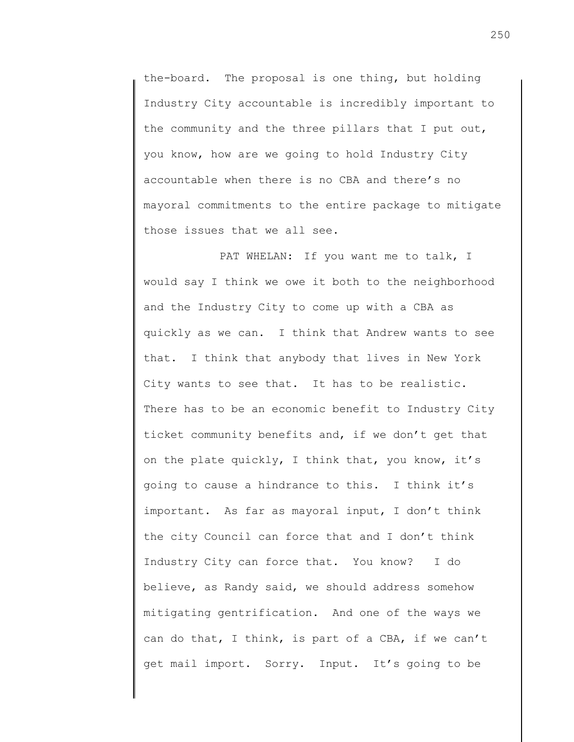the-board. The proposal is one thing, but holding Industry City accountable is incredibly important to the community and the three pillars that I put out, you know, how are we going to hold Industry City accountable when there is no CBA and there's no mayoral commitments to the entire package to mitigate those issues that we all see.

PAT WHELAN: If you want me to talk, I would say I think we owe it both to the neighborhood and the Industry City to come up with a CBA as quickly as we can. I think that Andrew wants to see that. I think that anybody that lives in New York City wants to see that. It has to be realistic. There has to be an economic benefit to Industry City ticket community benefits and, if we don't get that on the plate quickly, I think that, you know, it's going to cause a hindrance to this. I think it's important. As far as mayoral input, I don't think the city Council can force that and I don't think Industry City can force that. You know? I do believe, as Randy said, we should address somehow mitigating gentrification. And one of the ways we can do that, I think, is part of a CBA, if we can't get mail import. Sorry. Input. It's going to be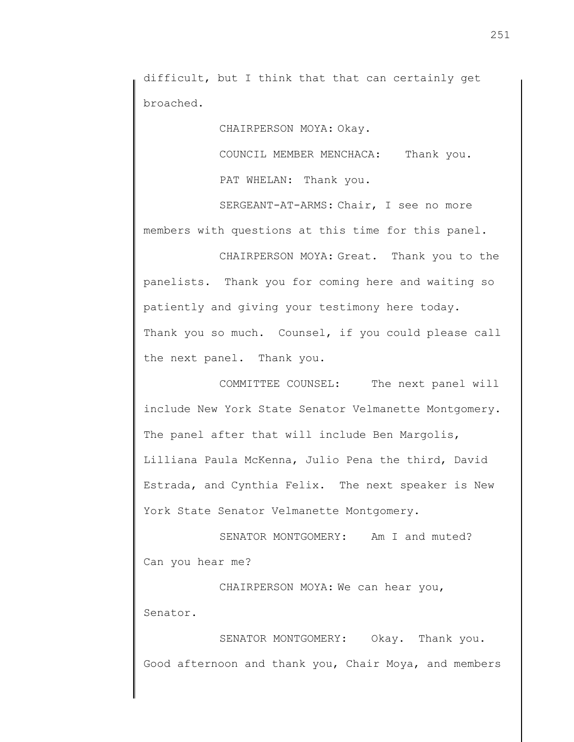difficult, but I think that that can certainly get broached.

CHAIRPERSON MOYA: Okay.

COUNCIL MEMBER MENCHACA: Thank you.

PAT WHELAN: Thank you.

SERGEANT-AT-ARMS: Chair, I see no more members with questions at this time for this panel.

CHAIRPERSON MOYA: Great. Thank you to the panelists. Thank you for coming here and waiting so patiently and giving your testimony here today. Thank you so much. Counsel, if you could please call the next panel. Thank you.

COMMITTEE COUNSEL: The next panel will include New York State Senator Velmanette Montgomery. The panel after that will include Ben Margolis, Lilliana Paula McKenna, Julio Pena the third, David Estrada, and Cynthia Felix. The next speaker is New York State Senator Velmanette Montgomery.

SENATOR MONTGOMERY: Am I and muted? Can you hear me?

CHAIRPERSON MOYA: We can hear you, Senator.

SENATOR MONTGOMERY: Okay. Thank you. Good afternoon and thank you, Chair Moya, and members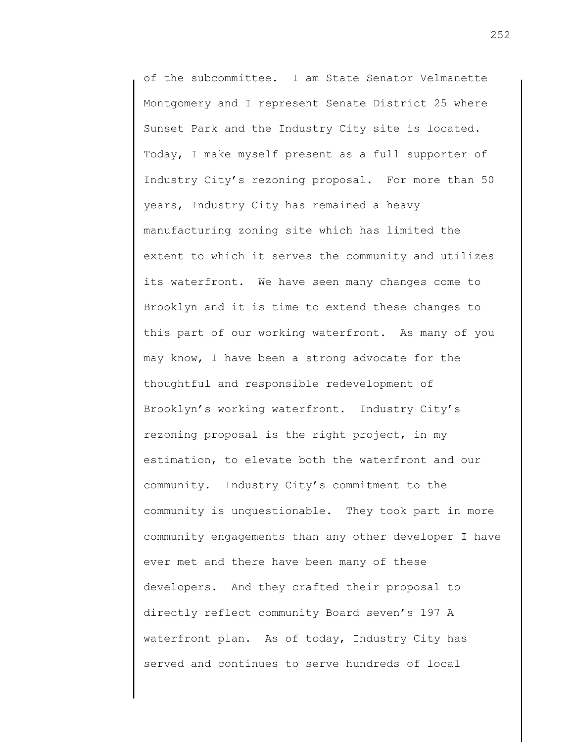of the subcommittee. I am State Senator Velmanette Montgomery and I represent Senate District 25 where Sunset Park and the Industry City site is located. Today, I make myself present as a full supporter of Industry City's rezoning proposal. For more than 50 years, Industry City has remained a heavy manufacturing zoning site which has limited the extent to which it serves the community and utilizes its waterfront. We have seen many changes come to Brooklyn and it is time to extend these changes to this part of our working waterfront. As many of you may know, I have been a strong advocate for the thoughtful and responsible redevelopment of Brooklyn's working waterfront. Industry City's rezoning proposal is the right project, in my estimation, to elevate both the waterfront and our community. Industry City's commitment to the community is unquestionable. They took part in more community engagements than any other developer I have ever met and there have been many of these developers. And they crafted their proposal to directly reflect community Board seven's 197 A waterfront plan. As of today, Industry City has served and continues to serve hundreds of local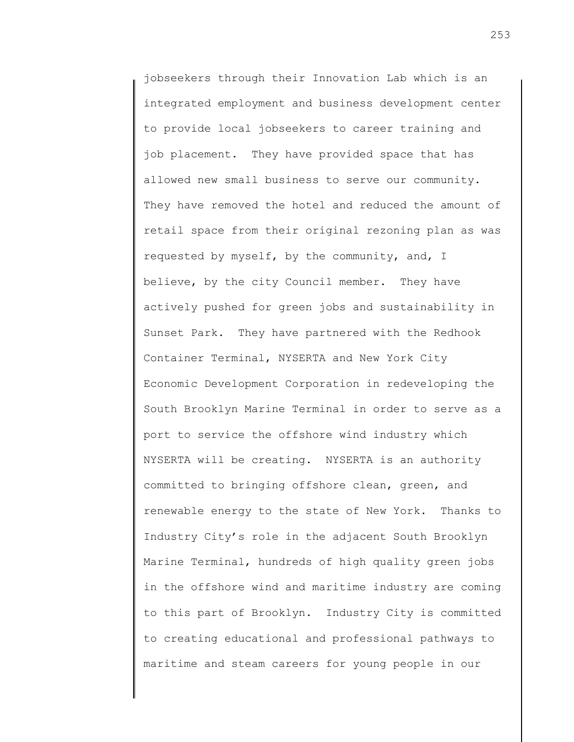jobseekers through their Innovation Lab which is an integrated employment and business development center to provide local jobseekers to career training and job placement. They have provided space that has allowed new small business to serve our community. They have removed the hotel and reduced the amount of retail space from their original rezoning plan as was requested by myself, by the community, and, I believe, by the city Council member. They have actively pushed for green jobs and sustainability in Sunset Park. They have partnered with the Redhook Container Terminal, NYSERTA and New York City Economic Development Corporation in redeveloping the South Brooklyn Marine Terminal in order to serve as a port to service the offshore wind industry which NYSERTA will be creating. NYSERTA is an authority committed to bringing offshore clean, green, and renewable energy to the state of New York. Thanks to Industry City's role in the adjacent South Brooklyn Marine Terminal, hundreds of high quality green jobs in the offshore wind and maritime industry are coming to this part of Brooklyn. Industry City is committed to creating educational and professional pathways to maritime and steam careers for young people in our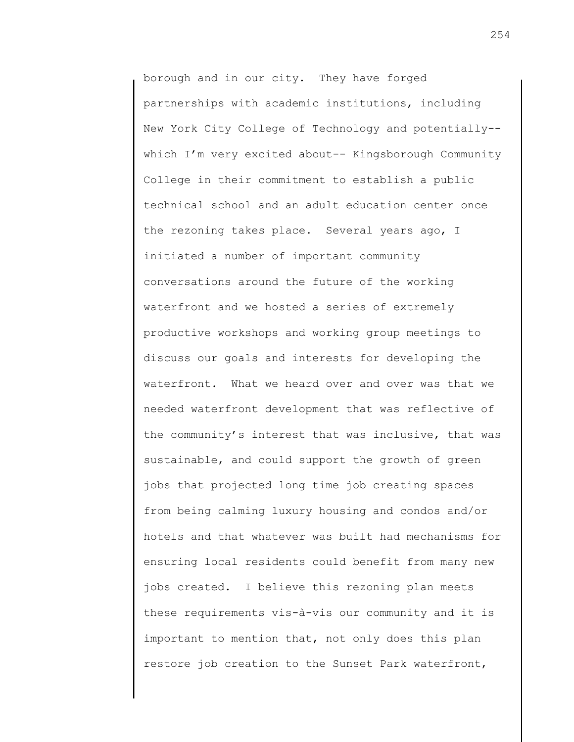borough and in our city. They have forged partnerships with academic institutions, including New York City College of Technology and potentially- which I'm very excited about-- Kingsborough Community College in their commitment to establish a public technical school and an adult education center once the rezoning takes place. Several years ago, I initiated a number of important community conversations around the future of the working waterfront and we hosted a series of extremely productive workshops and working group meetings to discuss our goals and interests for developing the waterfront. What we heard over and over was that we needed waterfront development that was reflective of the community's interest that was inclusive, that was sustainable, and could support the growth of green jobs that projected long time job creating spaces from being calming luxury housing and condos and/or hotels and that whatever was built had mechanisms for ensuring local residents could benefit from many new jobs created. I believe this rezoning plan meets these requirements vis-à-vis our community and it is important to mention that, not only does this plan restore job creation to the Sunset Park waterfront,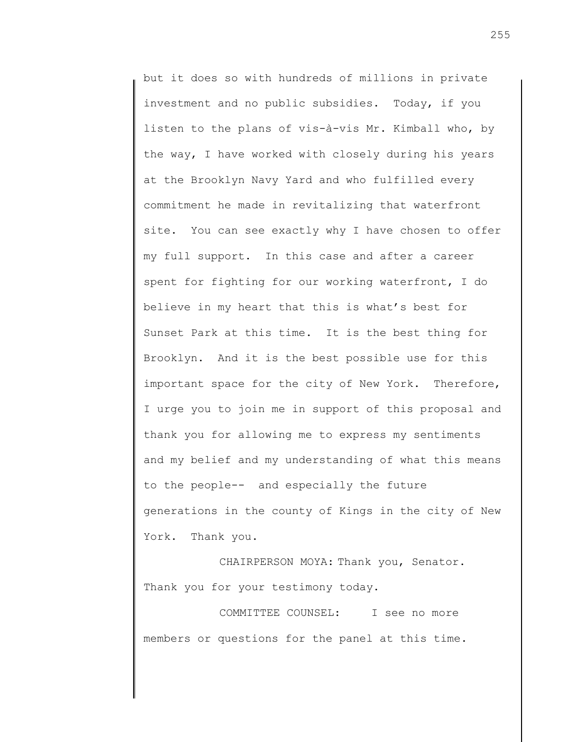but it does so with hundreds of millions in private investment and no public subsidies. Today, if you listen to the plans of vis-à-vis Mr. Kimball who, by the way, I have worked with closely during his years at the Brooklyn Navy Yard and who fulfilled every commitment he made in revitalizing that waterfront site. You can see exactly why I have chosen to offer my full support. In this case and after a career spent for fighting for our working waterfront, I do believe in my heart that this is what's best for Sunset Park at this time. It is the best thing for Brooklyn. And it is the best possible use for this important space for the city of New York. Therefore, I urge you to join me in support of this proposal and thank you for allowing me to express my sentiments and my belief and my understanding of what this means to the people-- and especially the future generations in the county of Kings in the city of New York. Thank you.

CHAIRPERSON MOYA: Thank you, Senator. Thank you for your testimony today.

COMMITTEE COUNSEL: I see no more members or questions for the panel at this time.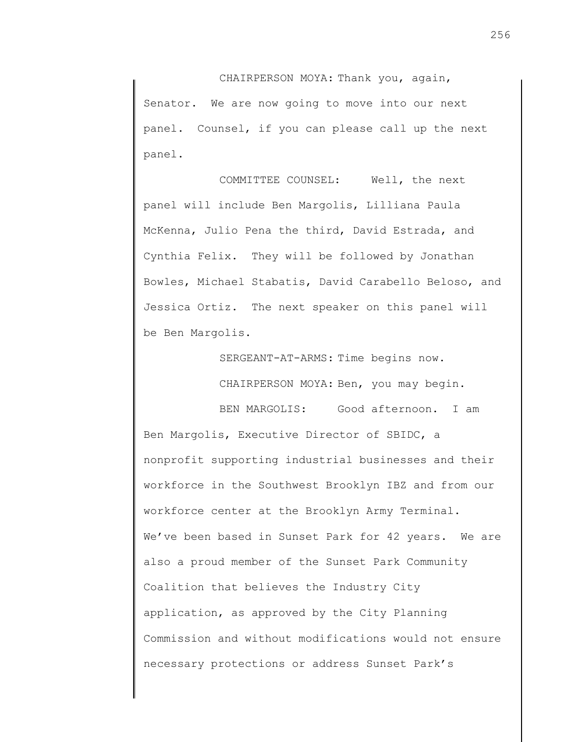CHAIRPERSON MOYA: Thank you, again, Senator. We are now going to move into our next panel. Counsel, if you can please call up the next panel.

COMMITTEE COUNSEL: Well, the next panel will include Ben Margolis, Lilliana Paula McKenna, Julio Pena the third, David Estrada, and Cynthia Felix. They will be followed by Jonathan Bowles, Michael Stabatis, David Carabello Beloso, and Jessica Ortiz. The next speaker on this panel will be Ben Margolis.

SERGEANT-AT-ARMS: Time begins now.

CHAIRPERSON MOYA: Ben, you may begin.

BEN MARGOLIS: Good afternoon. I am Ben Margolis, Executive Director of SBIDC, a nonprofit supporting industrial businesses and their workforce in the Southwest Brooklyn IBZ and from our workforce center at the Brooklyn Army Terminal. We've been based in Sunset Park for 42 years. We are also a proud member of the Sunset Park Community Coalition that believes the Industry City application, as approved by the City Planning Commission and without modifications would not ensure necessary protections or address Sunset Park's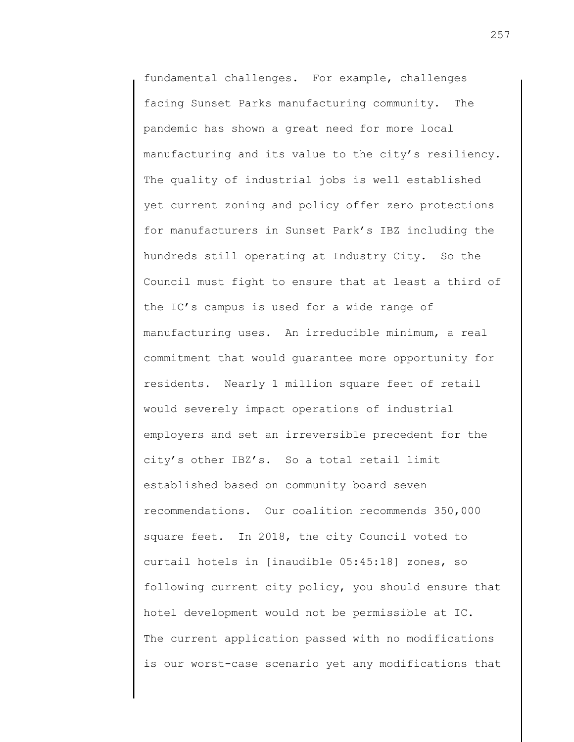fundamental challenges. For example, challenges facing Sunset Parks manufacturing community. The pandemic has shown a great need for more local manufacturing and its value to the city's resiliency. The quality of industrial jobs is well established yet current zoning and policy offer zero protections for manufacturers in Sunset Park's IBZ including the hundreds still operating at Industry City. So the Council must fight to ensure that at least a third of the IC's campus is used for a wide range of manufacturing uses. An irreducible minimum, a real commitment that would guarantee more opportunity for residents. Nearly 1 million square feet of retail would severely impact operations of industrial employers and set an irreversible precedent for the city's other IBZ's. So a total retail limit established based on community board seven recommendations. Our coalition recommends 350,000 square feet. In 2018, the city Council voted to curtail hotels in [inaudible 05:45:18] zones, so following current city policy, you should ensure that hotel development would not be permissible at IC. The current application passed with no modifications is our worst-case scenario yet any modifications that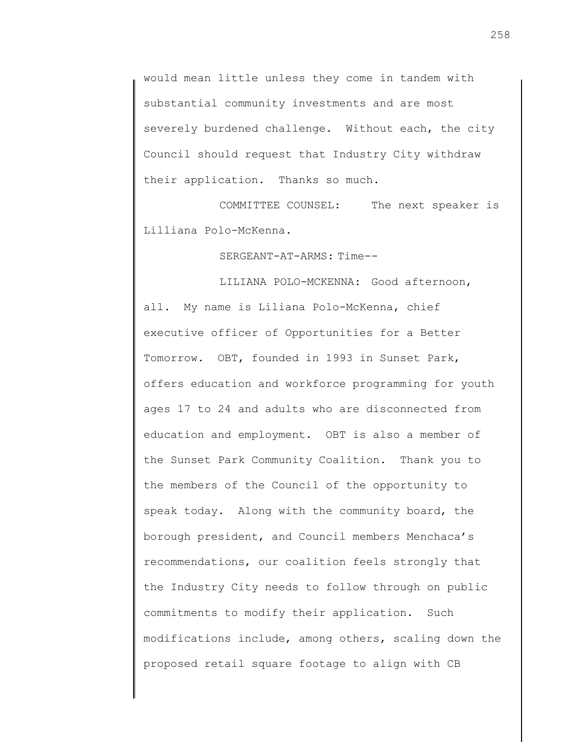would mean little unless they come in tandem with substantial community investments and are most severely burdened challenge. Without each, the city Council should request that Industry City withdraw their application. Thanks so much.

COMMITTEE COUNSEL: The next speaker is Lilliana Polo-McKenna.

SERGEANT-AT-ARMS: Time--

LILIANA POLO-MCKENNA: Good afternoon, all. My name is Liliana Polo-McKenna, chief executive officer of Opportunities for a Better Tomorrow. OBT, founded in 1993 in Sunset Park, offers education and workforce programming for youth ages 17 to 24 and adults who are disconnected from education and employment. OBT is also a member of the Sunset Park Community Coalition. Thank you to the members of the Council of the opportunity to speak today. Along with the community board, the borough president, and Council members Menchaca's recommendations, our coalition feels strongly that the Industry City needs to follow through on public commitments to modify their application. Such modifications include, among others, scaling down the proposed retail square footage to align with CB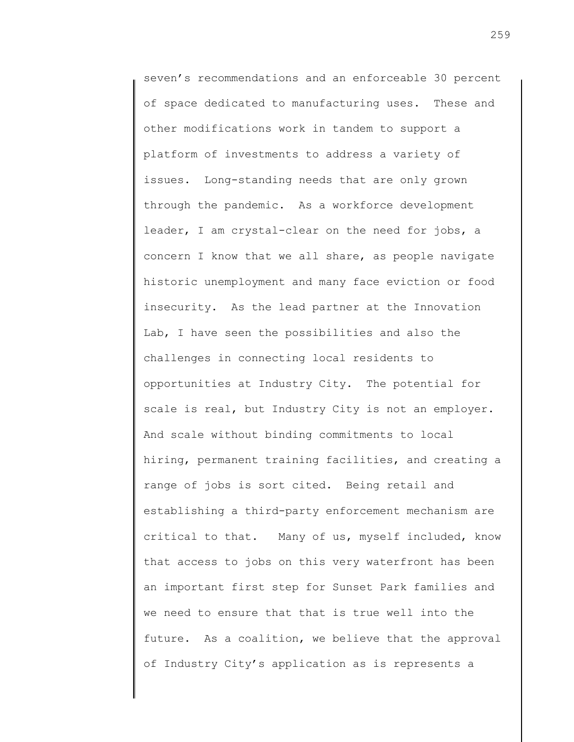seven's recommendations and an enforceable 30 percent of space dedicated to manufacturing uses. These and other modifications work in tandem to support a platform of investments to address a variety of issues. Long-standing needs that are only grown through the pandemic. As a workforce development leader, I am crystal-clear on the need for jobs, a concern I know that we all share, as people navigate historic unemployment and many face eviction or food insecurity. As the lead partner at the Innovation Lab, I have seen the possibilities and also the challenges in connecting local residents to opportunities at Industry City. The potential for scale is real, but Industry City is not an employer. And scale without binding commitments to local hiring, permanent training facilities, and creating a range of jobs is sort cited. Being retail and establishing a third-party enforcement mechanism are critical to that. Many of us, myself included, know that access to jobs on this very waterfront has been an important first step for Sunset Park families and we need to ensure that that is true well into the future. As a coalition, we believe that the approval of Industry City's application as is represents a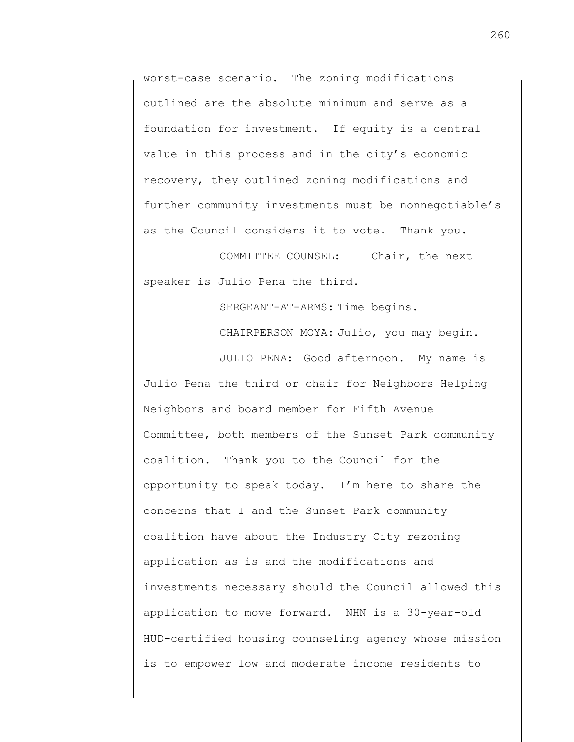worst-case scenario. The zoning modifications outlined are the absolute minimum and serve as a foundation for investment. If equity is a central value in this process and in the city's economic recovery, they outlined zoning modifications and further community investments must be nonnegotiable's as the Council considers it to vote. Thank you.

COMMITTEE COUNSEL: Chair, the next speaker is Julio Pena the third.

> SERGEANT-AT-ARMS: Time begins. CHAIRPERSON MOYA: Julio, you may begin.

JULIO PENA: Good afternoon. My name is Julio Pena the third or chair for Neighbors Helping Neighbors and board member for Fifth Avenue Committee, both members of the Sunset Park community coalition. Thank you to the Council for the opportunity to speak today. I'm here to share the concerns that I and the Sunset Park community coalition have about the Industry City rezoning application as is and the modifications and investments necessary should the Council allowed this application to move forward. NHN is a 30-year-old HUD-certified housing counseling agency whose mission is to empower low and moderate income residents to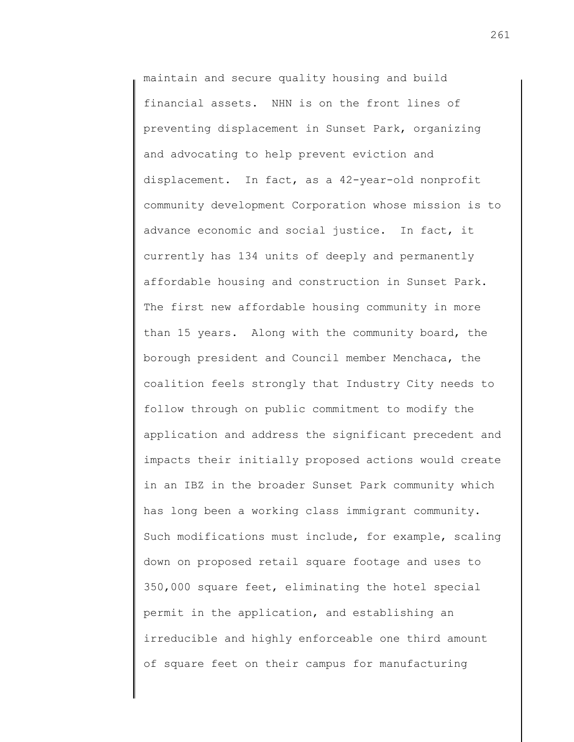maintain and secure quality housing and build financial assets. NHN is on the front lines of preventing displacement in Sunset Park, organizing and advocating to help prevent eviction and displacement. In fact, as a 42-year-old nonprofit community development Corporation whose mission is to advance economic and social justice. In fact, it currently has 134 units of deeply and permanently affordable housing and construction in Sunset Park. The first new affordable housing community in more than 15 years. Along with the community board, the borough president and Council member Menchaca, the coalition feels strongly that Industry City needs to follow through on public commitment to modify the application and address the significant precedent and impacts their initially proposed actions would create in an IBZ in the broader Sunset Park community which has long been a working class immigrant community. Such modifications must include, for example, scaling down on proposed retail square footage and uses to 350,000 square feet, eliminating the hotel special permit in the application, and establishing an irreducible and highly enforceable one third amount of square feet on their campus for manufacturing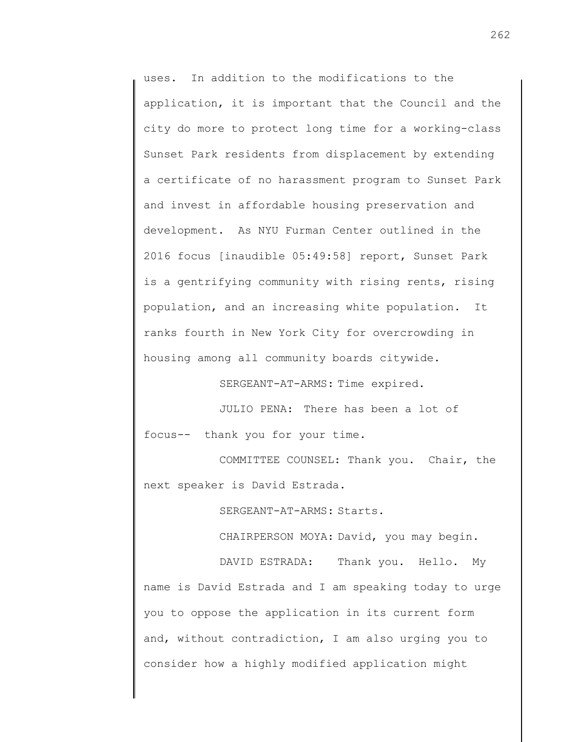uses. In addition to the modifications to the application, it is important that the Council and the city do more to protect long time for a working-class Sunset Park residents from displacement by extending a certificate of no harassment program to Sunset Park and invest in affordable housing preservation and development. As NYU Furman Center outlined in the 2016 focus [inaudible 05:49:58] report, Sunset Park is a gentrifying community with rising rents, rising population, and an increasing white population. It ranks fourth in New York City for overcrowding in housing among all community boards citywide.

SERGEANT-AT-ARMS: Time expired.

JULIO PENA: There has been a lot of focus-- thank you for your time.

COMMITTEE COUNSEL: Thank you. Chair, the next speaker is David Estrada.

SERGEANT-AT-ARMS: Starts.

CHAIRPERSON MOYA: David, you may begin.

DAVID ESTRADA: Thank you. Hello. My name is David Estrada and I am speaking today to urge you to oppose the application in its current form and, without contradiction, I am also urging you to consider how a highly modified application might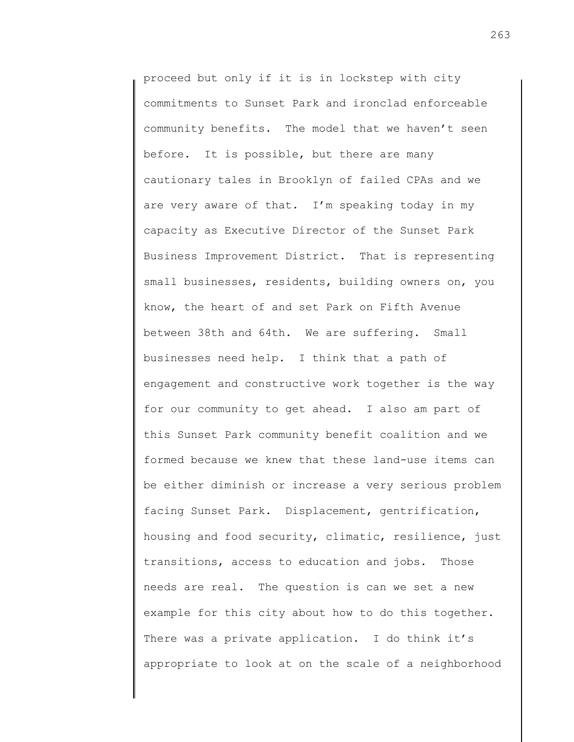proceed but only if it is in lockstep with city commitments to Sunset Park and ironclad enforceable community benefits. The model that we haven't seen before. It is possible, but there are many cautionary tales in Brooklyn of failed CPAs and we are very aware of that. I'm speaking today in my capacity as Executive Director of the Sunset Park Business Improvement District. That is representing small businesses, residents, building owners on, you know, the heart of and set Park on Fifth Avenue between 38th and 64th. We are suffering. Small businesses need help. I think that a path of engagement and constructive work together is the way for our community to get ahead. I also am part of this Sunset Park community benefit coalition and we formed because we knew that these land-use items can be either diminish or increase a very serious problem facing Sunset Park. Displacement, gentrification, housing and food security, climatic, resilience, just transitions, access to education and jobs. Those needs are real. The question is can we set a new example for this city about how to do this together. There was a private application. I do think it's appropriate to look at on the scale of a neighborhood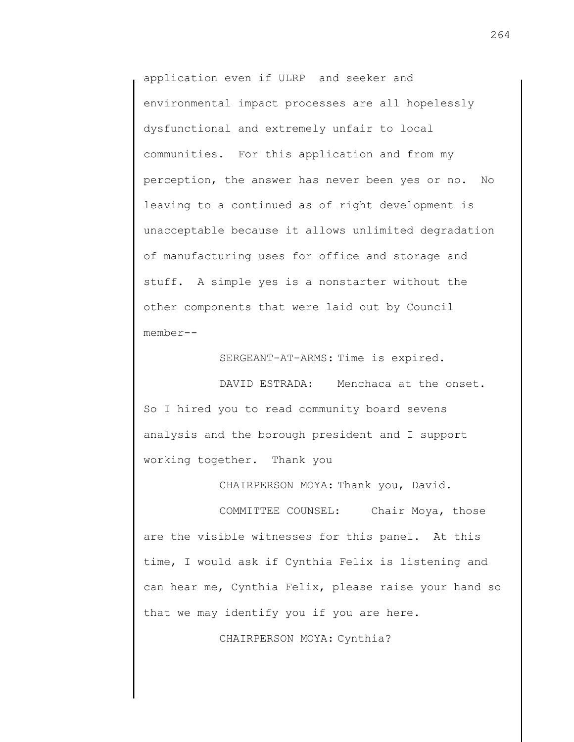application even if ULRP and seeker and environmental impact processes are all hopelessly dysfunctional and extremely unfair to local communities. For this application and from my perception, the answer has never been yes or no. No leaving to a continued as of right development is unacceptable because it allows unlimited degradation of manufacturing uses for office and storage and stuff. A simple yes is a nonstarter without the other components that were laid out by Council member--

SERGEANT-AT-ARMS: Time is expired.

DAVID ESTRADA: Menchaca at the onset. So I hired you to read community board sevens analysis and the borough president and I support working together. Thank you

CHAIRPERSON MOYA: Thank you, David.

COMMITTEE COUNSEL: Chair Moya, those are the visible witnesses for this panel. At this time, I would ask if Cynthia Felix is listening and can hear me, Cynthia Felix, please raise your hand so that we may identify you if you are here.

CHAIRPERSON MOYA: Cynthia?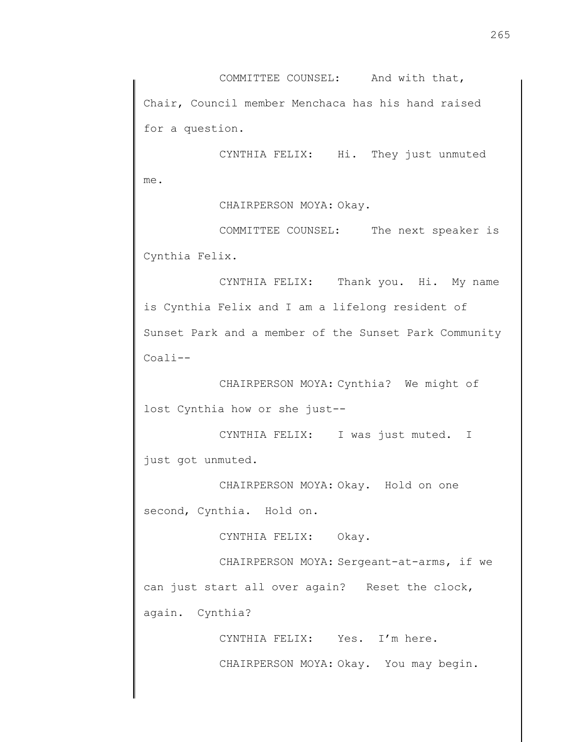COMMITTEE COUNSEL: And with that, Chair, Council member Menchaca has his hand raised for a question.

CYNTHIA FELIX: Hi. They just unmuted me.

CHAIRPERSON MOYA: Okay.

COMMITTEE COUNSEL: The next speaker is Cynthia Felix.

CYNTHIA FELIX: Thank you. Hi. My name is Cynthia Felix and I am a lifelong resident of Sunset Park and a member of the Sunset Park Community Coali--

CHAIRPERSON MOYA: Cynthia? We might of lost Cynthia how or she just--

CYNTHIA FELIX: I was just muted. I just got unmuted.

CHAIRPERSON MOYA: Okay. Hold on one second, Cynthia. Hold on.

CYNTHIA FELIX: Okay.

CHAIRPERSON MOYA: Sergeant-at-arms, if we can just start all over again? Reset the clock, again. Cynthia?

> CYNTHIA FELIX: Yes. I'm here. CHAIRPERSON MOYA: Okay. You may begin.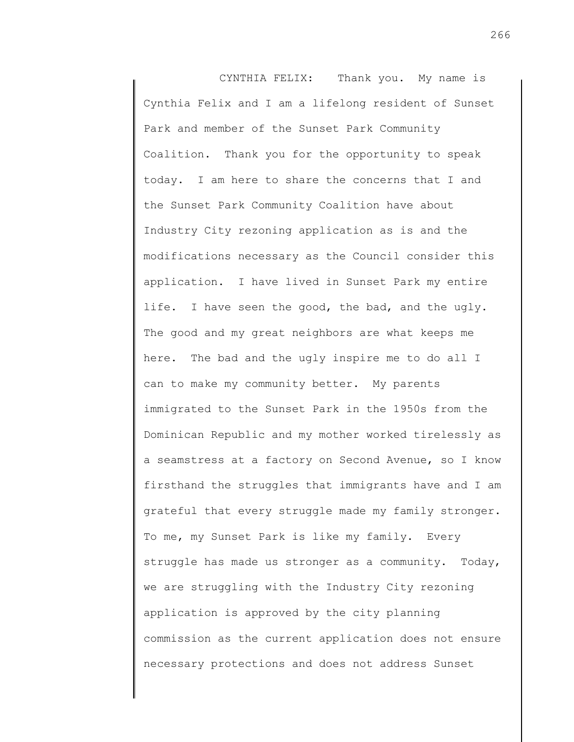CYNTHIA FELIX: Thank you. My name is Cynthia Felix and I am a lifelong resident of Sunset Park and member of the Sunset Park Community Coalition. Thank you for the opportunity to speak today. I am here to share the concerns that I and the Sunset Park Community Coalition have about Industry City rezoning application as is and the modifications necessary as the Council consider this application. I have lived in Sunset Park my entire life. I have seen the good, the bad, and the ugly. The good and my great neighbors are what keeps me here. The bad and the ugly inspire me to do all I can to make my community better. My parents immigrated to the Sunset Park in the 1950s from the Dominican Republic and my mother worked tirelessly as a seamstress at a factory on Second Avenue, so I know firsthand the struggles that immigrants have and I am grateful that every struggle made my family stronger. To me, my Sunset Park is like my family. Every struggle has made us stronger as a community. Today, we are struggling with the Industry City rezoning application is approved by the city planning commission as the current application does not ensure necessary protections and does not address Sunset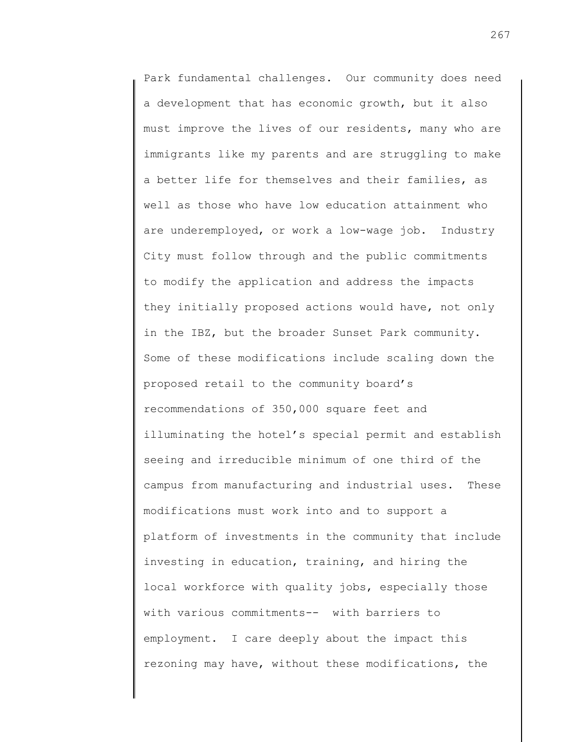Park fundamental challenges. Our community does need a development that has economic growth, but it also must improve the lives of our residents, many who are immigrants like my parents and are struggling to make a better life for themselves and their families, as well as those who have low education attainment who are underemployed, or work a low-wage job. Industry City must follow through and the public commitments to modify the application and address the impacts they initially proposed actions would have, not only in the IBZ, but the broader Sunset Park community. Some of these modifications include scaling down the proposed retail to the community board's recommendations of 350,000 square feet and illuminating the hotel's special permit and establish seeing and irreducible minimum of one third of the campus from manufacturing and industrial uses. These modifications must work into and to support a platform of investments in the community that include investing in education, training, and hiring the local workforce with quality jobs, especially those with various commitments-- with barriers to employment. I care deeply about the impact this rezoning may have, without these modifications, the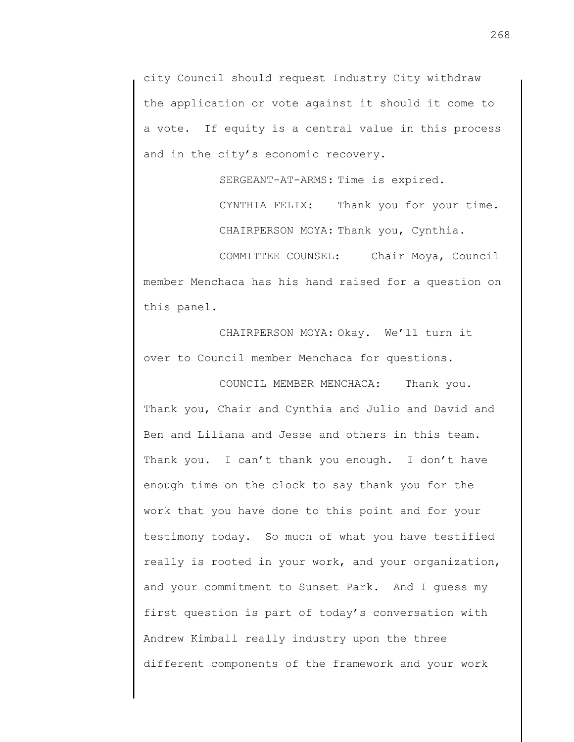city Council should request Industry City withdraw the application or vote against it should it come to a vote. If equity is a central value in this process and in the city's economic recovery.

SERGEANT-AT-ARMS: Time is expired.

CYNTHIA FELIX: Thank you for your time. CHAIRPERSON MOYA: Thank you, Cynthia.

COMMITTEE COUNSEL: Chair Moya, Council member Menchaca has his hand raised for a question on this panel.

CHAIRPERSON MOYA: Okay. We'll turn it over to Council member Menchaca for questions.

COUNCIL MEMBER MENCHACA: Thank you. Thank you, Chair and Cynthia and Julio and David and Ben and Liliana and Jesse and others in this team. Thank you. I can't thank you enough. I don't have enough time on the clock to say thank you for the work that you have done to this point and for your testimony today. So much of what you have testified really is rooted in your work, and your organization, and your commitment to Sunset Park. And I guess my first question is part of today's conversation with Andrew Kimball really industry upon the three different components of the framework and your work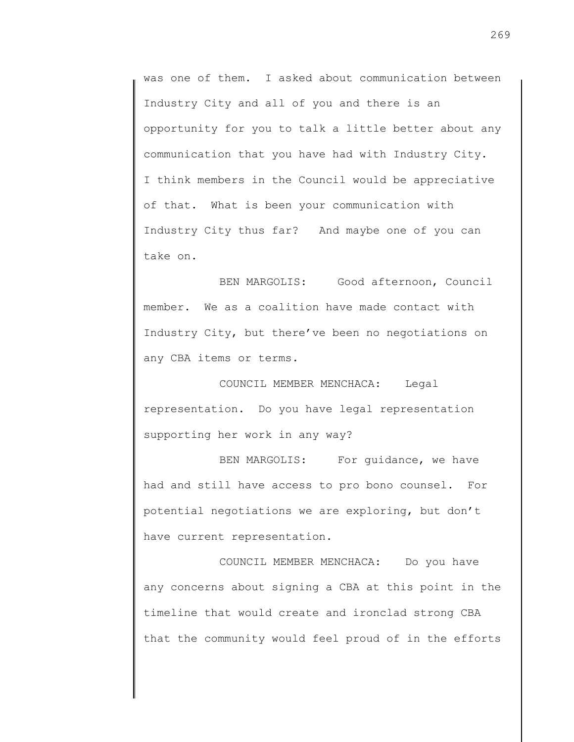was one of them. I asked about communication between Industry City and all of you and there is an opportunity for you to talk a little better about any communication that you have had with Industry City. I think members in the Council would be appreciative of that. What is been your communication with Industry City thus far? And maybe one of you can take on.

BEN MARGOLIS: Good afternoon, Council member. We as a coalition have made contact with Industry City, but there've been no negotiations on any CBA items or terms.

COUNCIL MEMBER MENCHACA: Legal representation. Do you have legal representation supporting her work in any way?

BEN MARGOLIS: For quidance, we have had and still have access to pro bono counsel. For potential negotiations we are exploring, but don't have current representation.

COUNCIL MEMBER MENCHACA: Do you have any concerns about signing a CBA at this point in the timeline that would create and ironclad strong CBA that the community would feel proud of in the efforts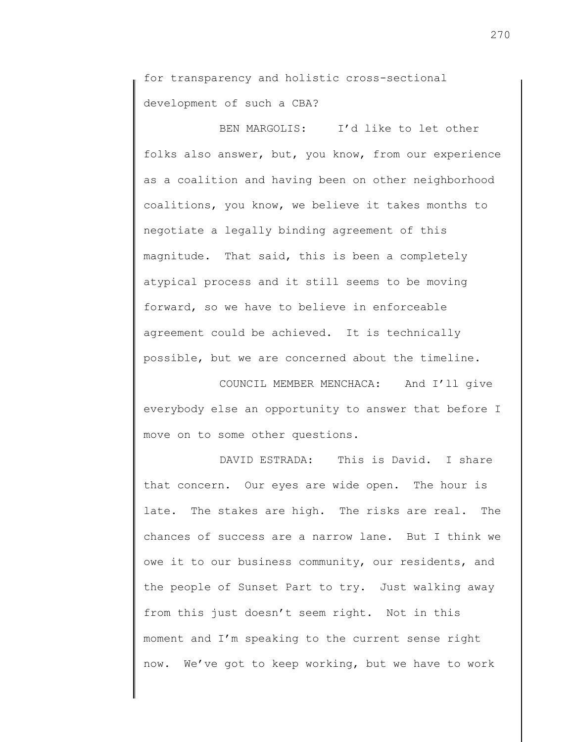for transparency and holistic cross-sectional development of such a CBA?

BEN MARGOLIS: I'd like to let other folks also answer, but, you know, from our experience as a coalition and having been on other neighborhood coalitions, you know, we believe it takes months to negotiate a legally binding agreement of this magnitude. That said, this is been a completely atypical process and it still seems to be moving forward, so we have to believe in enforceable agreement could be achieved. It is technically possible, but we are concerned about the timeline.

COUNCIL MEMBER MENCHACA: And I'll give everybody else an opportunity to answer that before I move on to some other questions.

DAVID ESTRADA: This is David. I share that concern. Our eyes are wide open. The hour is late. The stakes are high. The risks are real. The chances of success are a narrow lane. But I think we owe it to our business community, our residents, and the people of Sunset Part to try. Just walking away from this just doesn't seem right. Not in this moment and I'm speaking to the current sense right now. We've got to keep working, but we have to work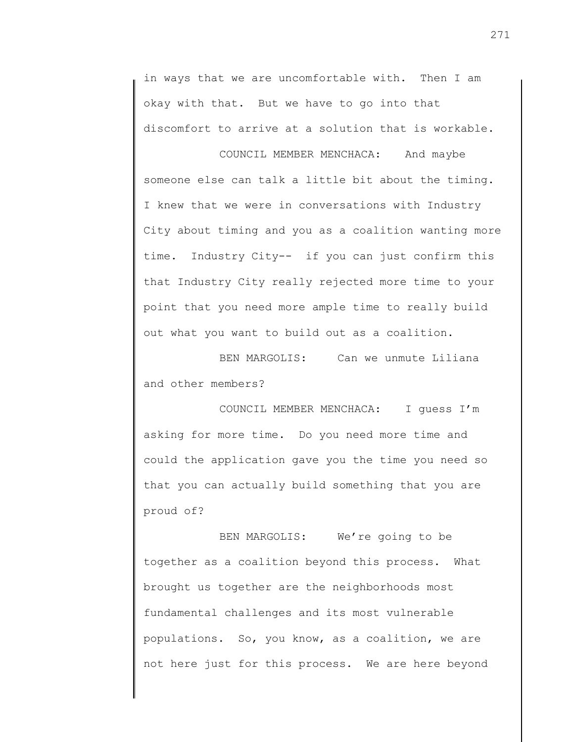in ways that we are uncomfortable with. Then I am okay with that. But we have to go into that discomfort to arrive at a solution that is workable.

COUNCIL MEMBER MENCHACA: And maybe someone else can talk a little bit about the timing. I knew that we were in conversations with Industry City about timing and you as a coalition wanting more time. Industry City-- if you can just confirm this that Industry City really rejected more time to your point that you need more ample time to really build out what you want to build out as a coalition.

BEN MARGOLIS: Can we unmute Liliana and other members?

COUNCIL MEMBER MENCHACA: I guess I'm asking for more time. Do you need more time and could the application gave you the time you need so that you can actually build something that you are proud of?

BEN MARGOLIS: We're going to be together as a coalition beyond this process. What brought us together are the neighborhoods most fundamental challenges and its most vulnerable populations. So, you know, as a coalition, we are not here just for this process. We are here beyond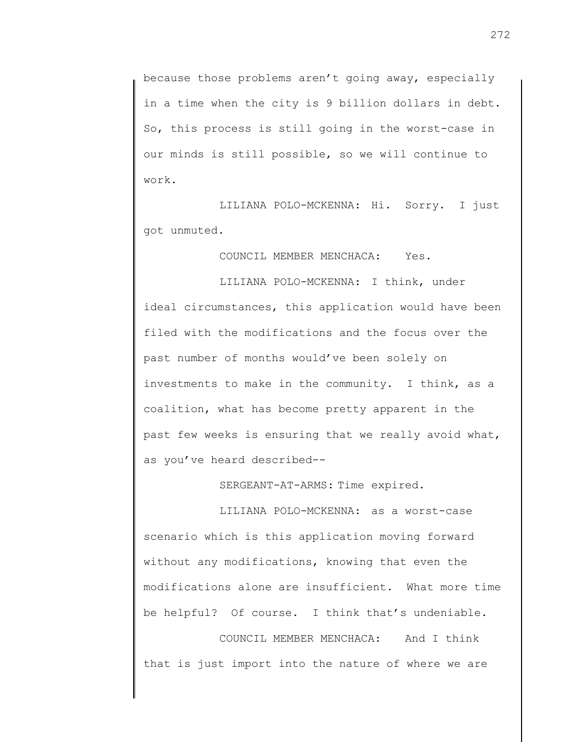because those problems aren't going away, especially in a time when the city is 9 billion dollars in debt. So, this process is still going in the worst-case in our minds is still possible, so we will continue to work.

LILIANA POLO-MCKENNA: Hi. Sorry. I just got unmuted.

COUNCIL MEMBER MENCHACA: Yes.

LILIANA POLO-MCKENNA: I think, under ideal circumstances, this application would have been filed with the modifications and the focus over the past number of months would've been solely on investments to make in the community. I think, as a coalition, what has become pretty apparent in the past few weeks is ensuring that we really avoid what, as you've heard described--

SERGEANT-AT-ARMS: Time expired.

LILIANA POLO-MCKENNA: as a worst-case scenario which is this application moving forward without any modifications, knowing that even the modifications alone are insufficient. What more time be helpful? Of course. I think that's undeniable.

COUNCIL MEMBER MENCHACA: And I think that is just import into the nature of where we are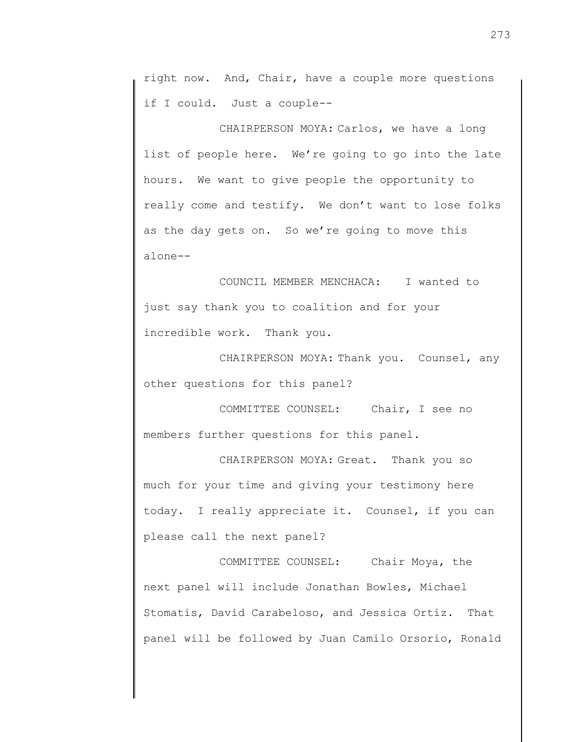right now. And, Chair, have a couple more questions if I could. Just a couple--

CHAIRPERSON MOYA: Carlos, we have a long list of people here. We're going to go into the late hours. We want to give people the opportunity to really come and testify. We don't want to lose folks as the day gets on. So we're going to move this alone--

COUNCIL MEMBER MENCHACA: I wanted to just say thank you to coalition and for your incredible work. Thank you.

CHAIRPERSON MOYA: Thank you. Counsel, any other questions for this panel?

COMMITTEE COUNSEL: Chair, I see no members further questions for this panel.

CHAIRPERSON MOYA: Great. Thank you so much for your time and giving your testimony here today. I really appreciate it. Counsel, if you can please call the next panel?

COMMITTEE COUNSEL: Chair Moya, the next panel will include Jonathan Bowles, Michael Stomatis, David Carabeloso, and Jessica Ortiz. That panel will be followed by Juan Camilo Orsorio, Ronald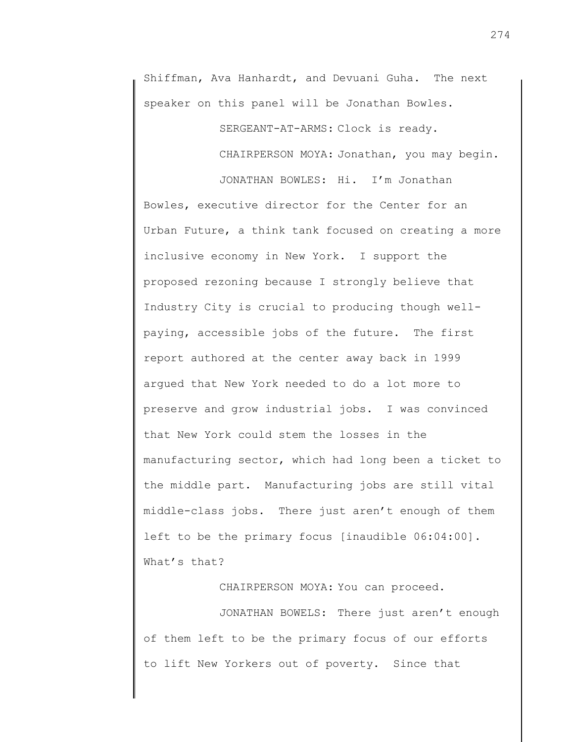Shiffman, Ava Hanhardt, and Devuani Guha. The next speaker on this panel will be Jonathan Bowles.

SERGEANT-AT-ARMS: Clock is ready.

CHAIRPERSON MOYA: Jonathan, you may begin.

JONATHAN BOWLES: Hi. I'm Jonathan Bowles, executive director for the Center for an Urban Future, a think tank focused on creating a more inclusive economy in New York. I support the proposed rezoning because I strongly believe that Industry City is crucial to producing though wellpaying, accessible jobs of the future. The first report authored at the center away back in 1999 argued that New York needed to do a lot more to preserve and grow industrial jobs. I was convinced that New York could stem the losses in the manufacturing sector, which had long been a ticket to the middle part. Manufacturing jobs are still vital middle-class jobs. There just aren't enough of them left to be the primary focus [inaudible 06:04:00]. What's that?

CHAIRPERSON MOYA: You can proceed.

JONATHAN BOWELS: There just aren't enough of them left to be the primary focus of our efforts to lift New Yorkers out of poverty. Since that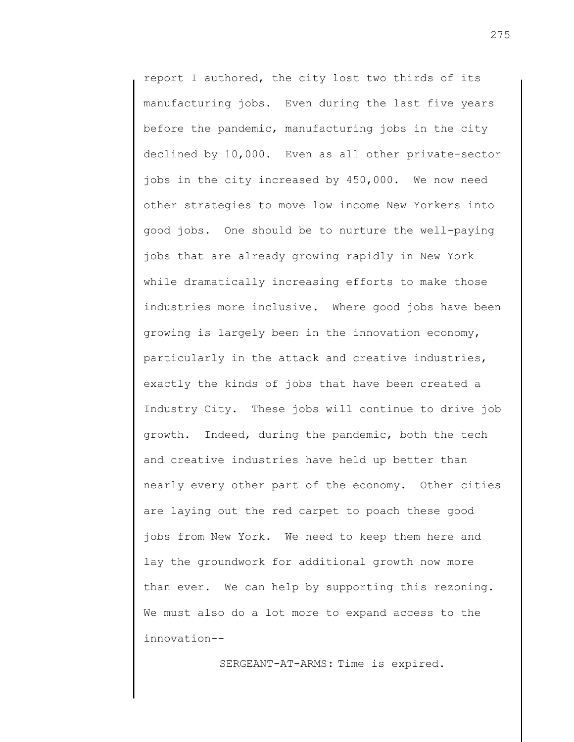report I authored, the city lost two thirds of its manufacturing jobs. Even during the last five years before the pandemic, manufacturing jobs in the city declined by 10,000. Even as all other private-sector jobs in the city increased by 450,000. We now need other strategies to move low income New Yorkers into good jobs. One should be to nurture the well-paying jobs that are already growing rapidly in New York while dramatically increasing efforts to make those industries more inclusive. Where good jobs have been growing is largely been in the innovation economy, particularly in the attack and creative industries, exactly the kinds of jobs that have been created a Industry City. These jobs will continue to drive job growth. Indeed, during the pandemic, both the tech and creative industries have held up better than nearly every other part of the economy. Other cities are laying out the red carpet to poach these good jobs from New York. We need to keep them here and lay the groundwork for additional growth now more than ever. We can help by supporting this rezoning. We must also do a lot more to expand access to the innovation--

SERGEANT-AT-ARMS: Time is expired.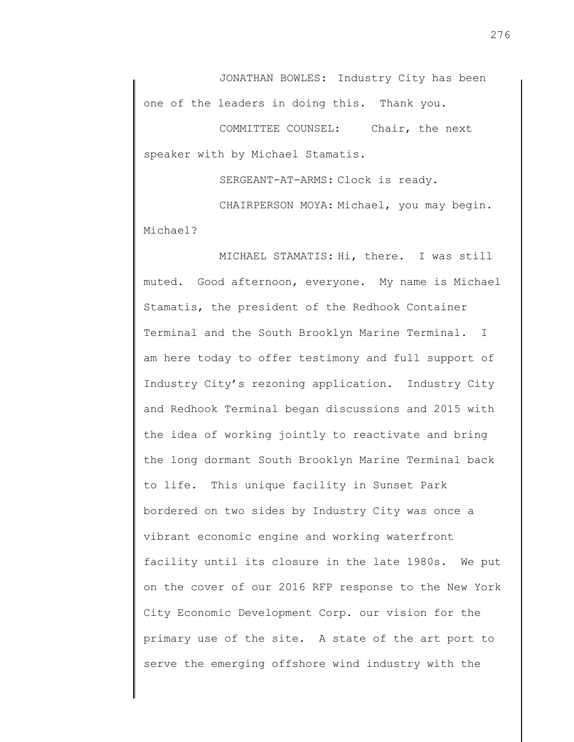JONATHAN BOWLES: Industry City has been one of the leaders in doing this. Thank you.

COMMITTEE COUNSEL: Chair, the next speaker with by Michael Stamatis.

SERGEANT-AT-ARMS: Clock is ready.

CHAIRPERSON MOYA: Michael, you may begin. Michael?

MICHAEL STAMATIS: Hi, there. I was still muted. Good afternoon, everyone. My name is Michael Stamatis, the president of the Redhook Container Terminal and the South Brooklyn Marine Terminal. I am here today to offer testimony and full support of Industry City's rezoning application. Industry City and Redhook Terminal began discussions and 2015 with the idea of working jointly to reactivate and bring the long dormant South Brooklyn Marine Terminal back to life. This unique facility in Sunset Park bordered on two sides by Industry City was once a vibrant economic engine and working waterfront facility until its closure in the late 1980s. We put on the cover of our 2016 RFP response to the New York City Economic Development Corp. our vision for the primary use of the site. A state of the art port to serve the emerging offshore wind industry with the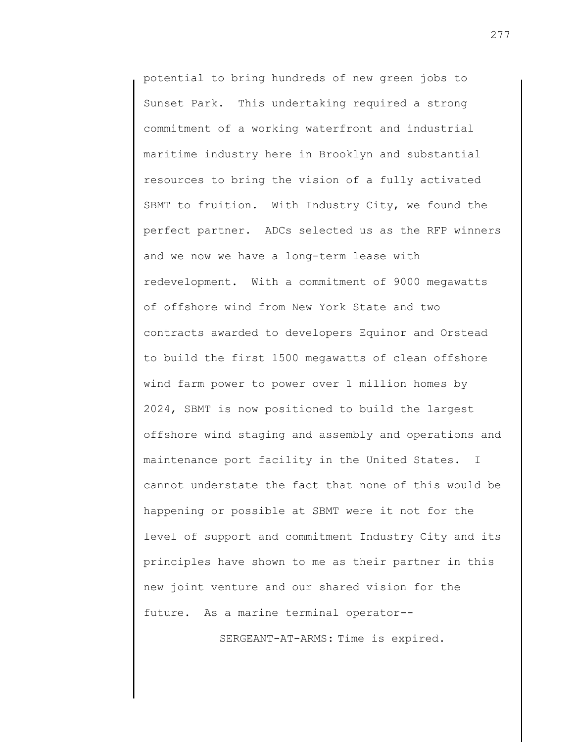potential to bring hundreds of new green jobs to Sunset Park. This undertaking required a strong commitment of a working waterfront and industrial maritime industry here in Brooklyn and substantial resources to bring the vision of a fully activated SBMT to fruition. With Industry City, we found the perfect partner. ADCs selected us as the RFP winners and we now we have a long-term lease with redevelopment. With a commitment of 9000 megawatts of offshore wind from New York State and two contracts awarded to developers Equinor and Orstead to build the first 1500 megawatts of clean offshore wind farm power to power over 1 million homes by 2024, SBMT is now positioned to build the largest offshore wind staging and assembly and operations and maintenance port facility in the United States. I cannot understate the fact that none of this would be happening or possible at SBMT were it not for the level of support and commitment Industry City and its principles have shown to me as their partner in this new joint venture and our shared vision for the future. As a marine terminal operator--

SERGEANT-AT-ARMS: Time is expired.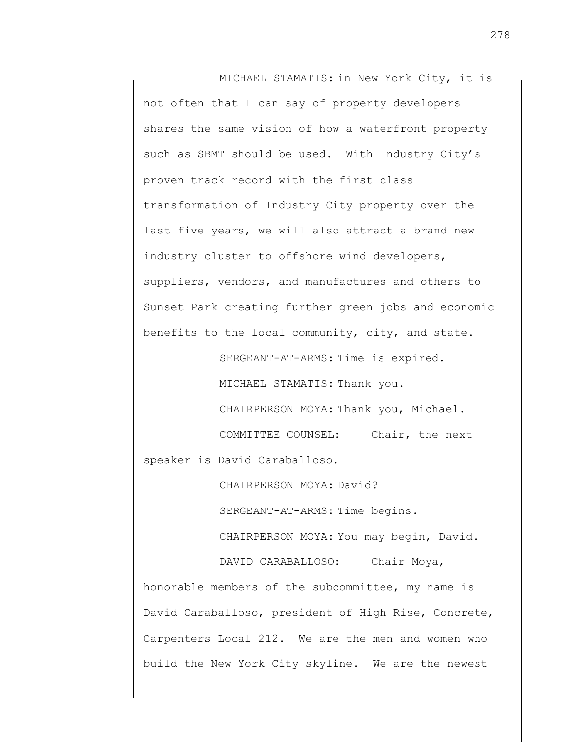MICHAEL STAMATIS: in New York City, it is not often that I can say of property developers shares the same vision of how a waterfront property such as SBMT should be used. With Industry City's proven track record with the first class transformation of Industry City property over the last five years, we will also attract a brand new industry cluster to offshore wind developers, suppliers, vendors, and manufactures and others to Sunset Park creating further green jobs and economic benefits to the local community, city, and state.

SERGEANT-AT-ARMS: Time is expired.

MICHAEL STAMATIS: Thank you.

CHAIRPERSON MOYA: Thank you, Michael. COMMITTEE COUNSEL: Chair, the next

speaker is David Caraballoso.

CHAIRPERSON MOYA: David? SERGEANT-AT-ARMS: Time begins.

CHAIRPERSON MOYA: You may begin, David.

DAVID CARABALLOSO: Chair Moya, honorable members of the subcommittee, my name is David Caraballoso, president of High Rise, Concrete, Carpenters Local 212. We are the men and women who build the New York City skyline. We are the newest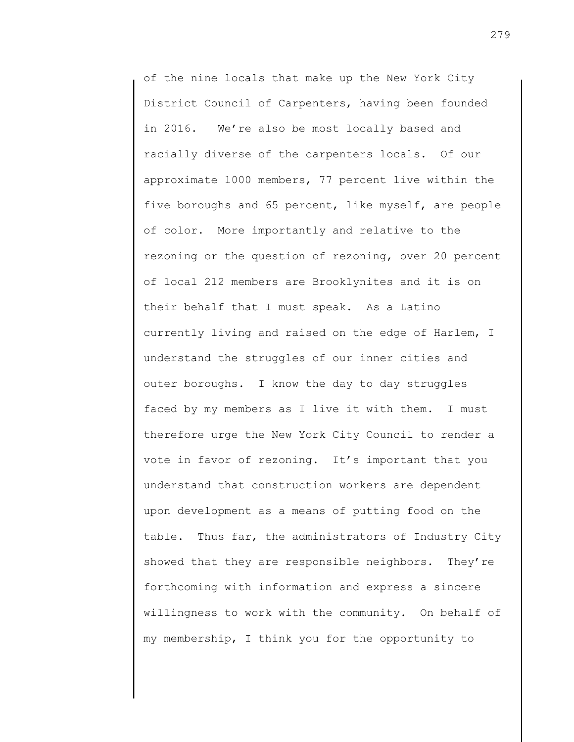of the nine locals that make up the New York City District Council of Carpenters, having been founded in 2016. We're also be most locally based and racially diverse of the carpenters locals. Of our approximate 1000 members, 77 percent live within the five boroughs and 65 percent, like myself, are people of color. More importantly and relative to the rezoning or the question of rezoning, over 20 percent of local 212 members are Brooklynites and it is on their behalf that I must speak. As a Latino currently living and raised on the edge of Harlem, I understand the struggles of our inner cities and outer boroughs. I know the day to day struggles faced by my members as I live it with them. I must therefore urge the New York City Council to render a vote in favor of rezoning. It's important that you understand that construction workers are dependent upon development as a means of putting food on the table. Thus far, the administrators of Industry City showed that they are responsible neighbors. They're forthcoming with information and express a sincere willingness to work with the community. On behalf of my membership, I think you for the opportunity to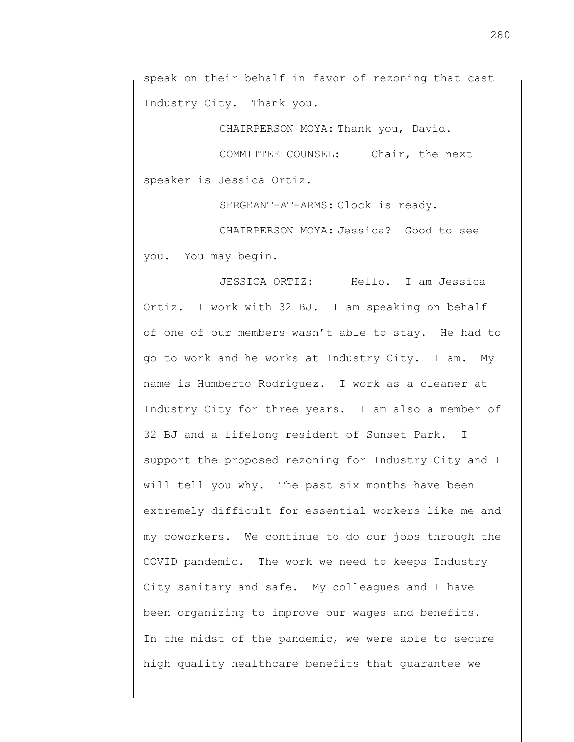speak on their behalf in favor of rezoning that cast Industry City. Thank you.

CHAIRPERSON MOYA: Thank you, David.

COMMITTEE COUNSEL: Chair, the next speaker is Jessica Ortiz.

SERGEANT-AT-ARMS: Clock is ready.

CHAIRPERSON MOYA: Jessica? Good to see you. You may begin.

JESSICA ORTIZ: Hello. I am Jessica Ortiz. I work with 32 BJ. I am speaking on behalf of one of our members wasn't able to stay. He had to go to work and he works at Industry City. I am. My name is Humberto Rodriguez. I work as a cleaner at Industry City for three years. I am also a member of 32 BJ and a lifelong resident of Sunset Park. I support the proposed rezoning for Industry City and I will tell you why. The past six months have been extremely difficult for essential workers like me and my coworkers. We continue to do our jobs through the COVID pandemic. The work we need to keeps Industry City sanitary and safe. My colleagues and I have been organizing to improve our wages and benefits. In the midst of the pandemic, we were able to secure high quality healthcare benefits that guarantee we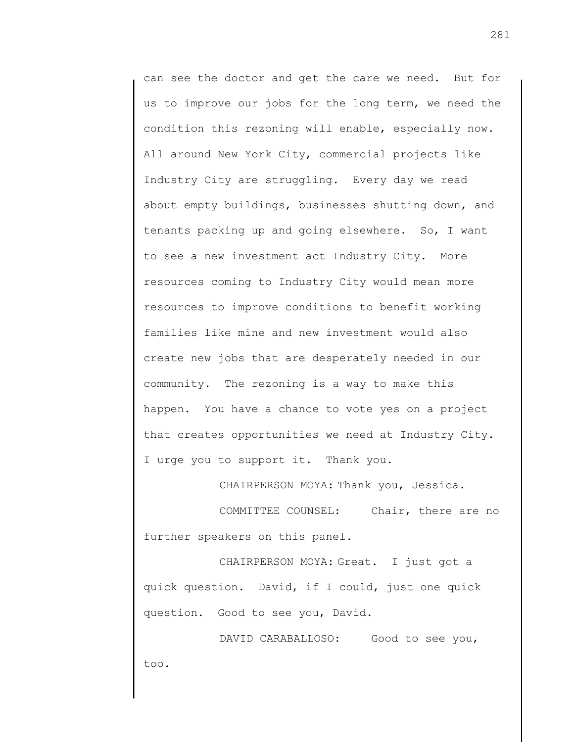can see the doctor and get the care we need. But for us to improve our jobs for the long term, we need the condition this rezoning will enable, especially now. All around New York City, commercial projects like Industry City are struggling. Every day we read about empty buildings, businesses shutting down, and tenants packing up and going elsewhere. So, I want to see a new investment act Industry City. More resources coming to Industry City would mean more resources to improve conditions to benefit working families like mine and new investment would also create new jobs that are desperately needed in our community. The rezoning is a way to make this happen. You have a chance to vote yes on a project that creates opportunities we need at Industry City. I urge you to support it. Thank you.

CHAIRPERSON MOYA: Thank you, Jessica.

COMMITTEE COUNSEL: Chair, there are no further speakers on this panel.

CHAIRPERSON MOYA: Great. I just got a quick question. David, if I could, just one quick question. Good to see you, David.

DAVID CARABALLOSO: Good to see you, too.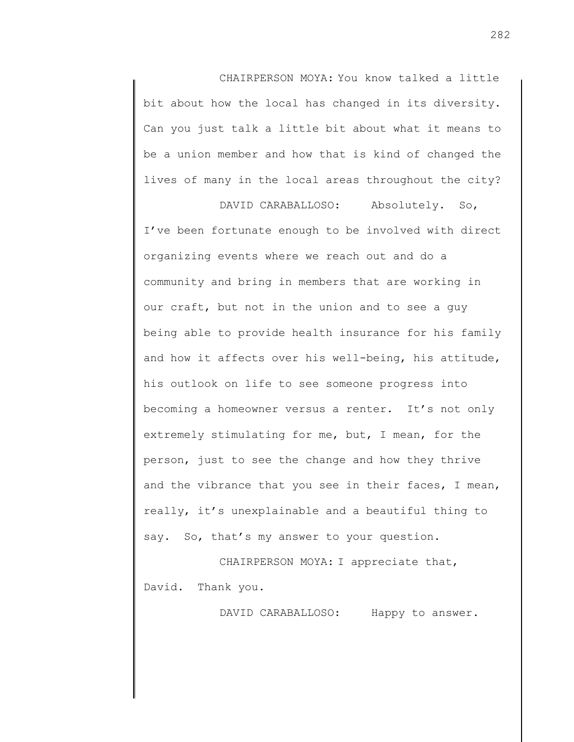CHAIRPERSON MOYA: You know talked a little bit about how the local has changed in its diversity. Can you just talk a little bit about what it means to be a union member and how that is kind of changed the lives of many in the local areas throughout the city?

DAVID CARABALLOSO: Absolutely. So, I've been fortunate enough to be involved with direct organizing events where we reach out and do a community and bring in members that are working in our craft, but not in the union and to see a guy being able to provide health insurance for his family and how it affects over his well-being, his attitude, his outlook on life to see someone progress into becoming a homeowner versus a renter. It's not only extremely stimulating for me, but, I mean, for the person, just to see the change and how they thrive and the vibrance that you see in their faces, I mean, really, it's unexplainable and a beautiful thing to say. So, that's my answer to your question.

CHAIRPERSON MOYA: I appreciate that, David. Thank you.

DAVID CARABALLOSO: Happy to answer.

282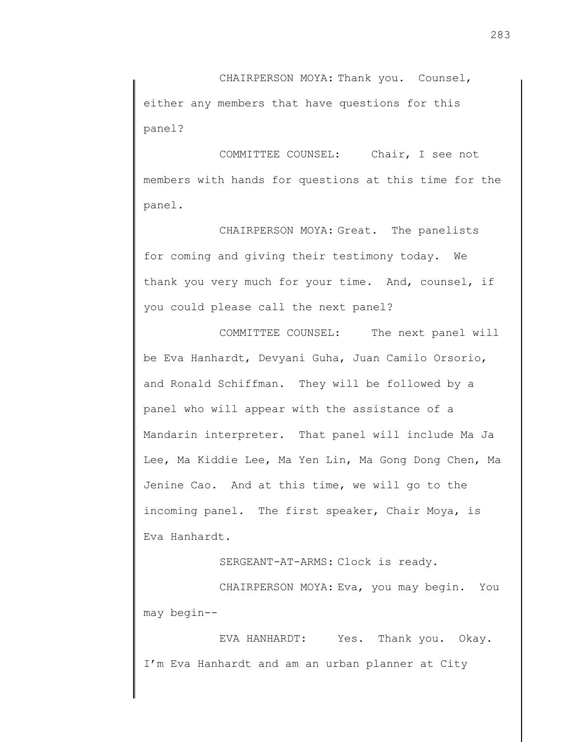CHAIRPERSON MOYA: Thank you. Counsel, either any members that have questions for this panel?

COMMITTEE COUNSEL: Chair, I see not members with hands for questions at this time for the panel.

CHAIRPERSON MOYA: Great. The panelists for coming and giving their testimony today. We thank you very much for your time. And, counsel, if you could please call the next panel?

COMMITTEE COUNSEL: The next panel will be Eva Hanhardt, Devyani Guha, Juan Camilo Orsorio, and Ronald Schiffman. They will be followed by a panel who will appear with the assistance of a Mandarin interpreter. That panel will include Ma Ja Lee, Ma Kiddie Lee, Ma Yen Lin, Ma Gong Dong Chen, Ma Jenine Cao. And at this time, we will go to the incoming panel. The first speaker, Chair Moya, is Eva Hanhardt.

SERGEANT-AT-ARMS: Clock is ready.

CHAIRPERSON MOYA: Eva, you may begin. You may begin--

EVA HANHARDT: Yes. Thank you. Okay. I'm Eva Hanhardt and am an urban planner at City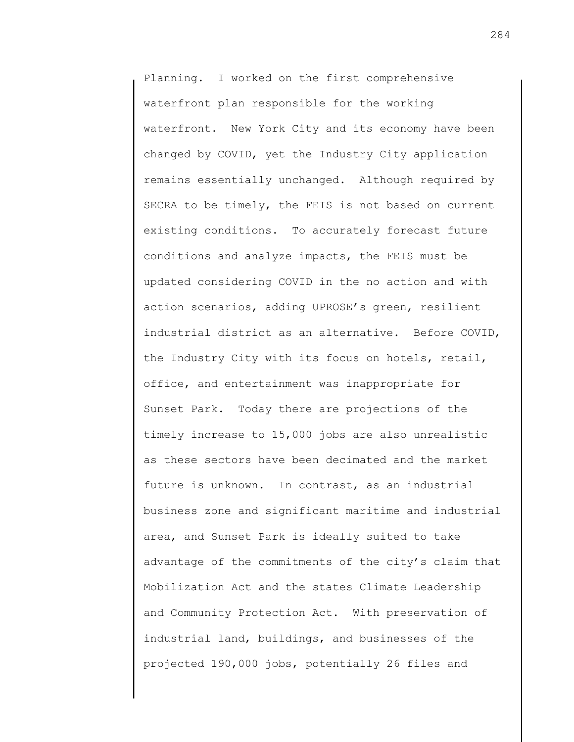Planning. I worked on the first comprehensive waterfront plan responsible for the working waterfront. New York City and its economy have been changed by COVID, yet the Industry City application remains essentially unchanged. Although required by SECRA to be timely, the FEIS is not based on current existing conditions. To accurately forecast future conditions and analyze impacts, the FEIS must be updated considering COVID in the no action and with action scenarios, adding UPROSE's green, resilient industrial district as an alternative. Before COVID, the Industry City with its focus on hotels, retail, office, and entertainment was inappropriate for Sunset Park. Today there are projections of the timely increase to 15,000 jobs are also unrealistic as these sectors have been decimated and the market future is unknown. In contrast, as an industrial business zone and significant maritime and industrial area, and Sunset Park is ideally suited to take advantage of the commitments of the city's claim that Mobilization Act and the states Climate Leadership and Community Protection Act. With preservation of industrial land, buildings, and businesses of the projected 190,000 jobs, potentially 26 files and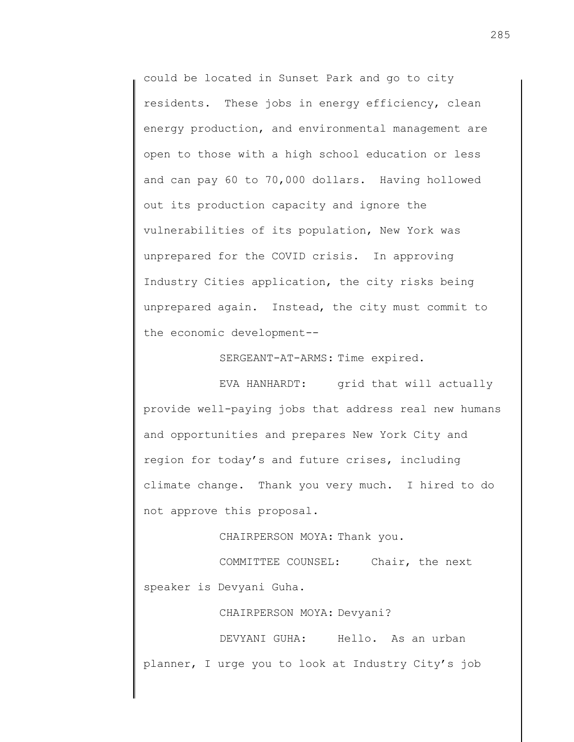could be located in Sunset Park and go to city residents. These jobs in energy efficiency, clean energy production, and environmental management are open to those with a high school education or less and can pay 60 to 70,000 dollars. Having hollowed out its production capacity and ignore the vulnerabilities of its population, New York was unprepared for the COVID crisis. In approving Industry Cities application, the city risks being unprepared again. Instead, the city must commit to the economic development--

SERGEANT-AT-ARMS: Time expired.

EVA HANHARDT: grid that will actually provide well-paying jobs that address real new humans and opportunities and prepares New York City and region for today's and future crises, including climate change. Thank you very much. I hired to do not approve this proposal.

CHAIRPERSON MOYA: Thank you.

COMMITTEE COUNSEL: Chair, the next speaker is Devyani Guha.

CHAIRPERSON MOYA: Devyani?

DEVYANI GUHA: Hello. As an urban planner, I urge you to look at Industry City's job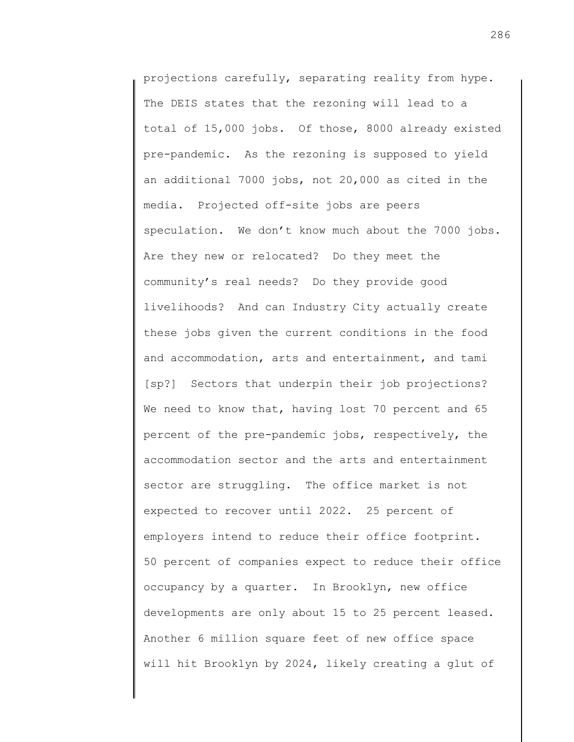projections carefully, separating reality from hype. The DEIS states that the rezoning will lead to a total of 15,000 jobs. Of those, 8000 already existed pre-pandemic. As the rezoning is supposed to yield an additional 7000 jobs, not 20,000 as cited in the media. Projected off-site jobs are peers speculation. We don't know much about the 7000 jobs. Are they new or relocated? Do they meet the community's real needs? Do they provide good livelihoods? And can Industry City actually create these jobs given the current conditions in the food and accommodation, arts and entertainment, and tami [sp?] Sectors that underpin their job projections? We need to know that, having lost 70 percent and 65 percent of the pre-pandemic jobs, respectively, the accommodation sector and the arts and entertainment sector are struggling. The office market is not expected to recover until 2022. 25 percent of employers intend to reduce their office footprint. 50 percent of companies expect to reduce their office occupancy by a quarter. In Brooklyn, new office developments are only about 15 to 25 percent leased. Another 6 million square feet of new office space will hit Brooklyn by 2024, likely creating a glut of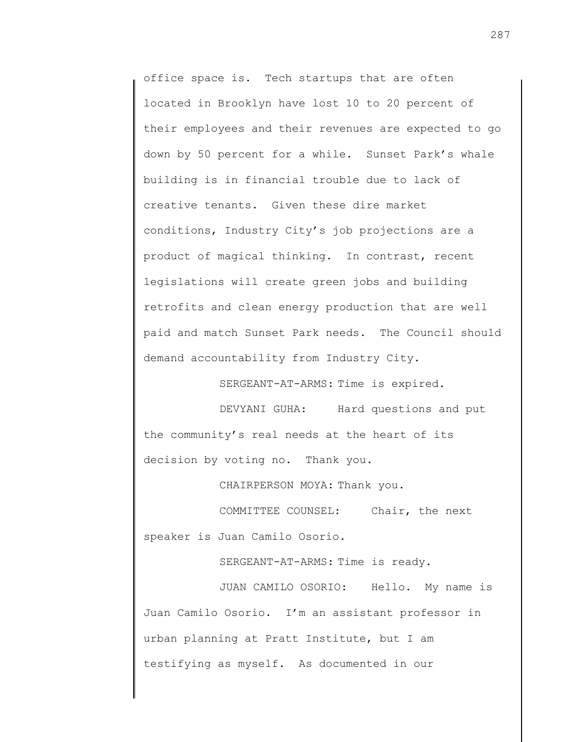office space is. Tech startups that are often located in Brooklyn have lost 10 to 20 percent of their employees and their revenues are expected to go down by 50 percent for a while. Sunset Park's whale building is in financial trouble due to lack of creative tenants. Given these dire market conditions, Industry City's job projections are a product of magical thinking. In contrast, recent legislations will create green jobs and building retrofits and clean energy production that are well paid and match Sunset Park needs. The Council should demand accountability from Industry City.

SERGEANT-AT-ARMS: Time is expired.

DEVYANI GUHA: Hard questions and put the community's real needs at the heart of its decision by voting no. Thank you.

CHAIRPERSON MOYA: Thank you.

COMMITTEE COUNSEL: Chair, the next speaker is Juan Camilo Osorio.

SERGEANT-AT-ARMS: Time is ready.

JUAN CAMILO OSORIO: Hello. My name is Juan Camilo Osorio. I'm an assistant professor in urban planning at Pratt Institute, but I am testifying as myself. As documented in our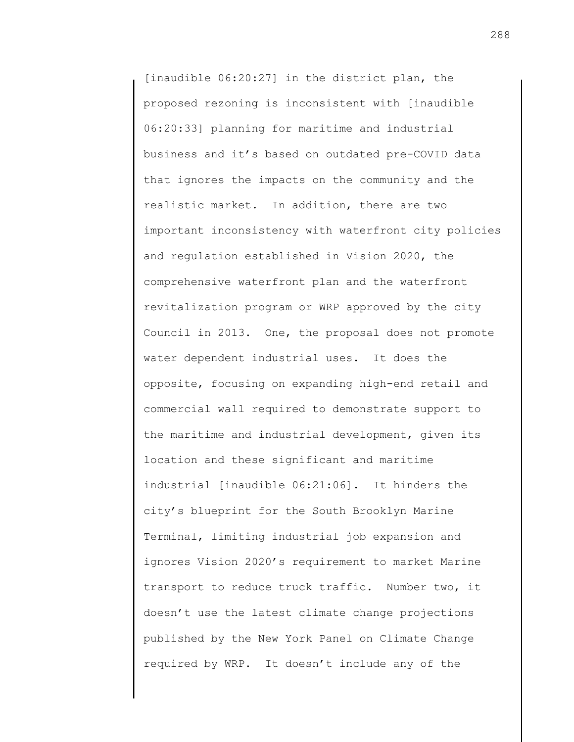[inaudible 06:20:27] in the district plan, the proposed rezoning is inconsistent with [inaudible 06:20:33] planning for maritime and industrial business and it's based on outdated pre-COVID data that ignores the impacts on the community and the realistic market. In addition, there are two important inconsistency with waterfront city policies and regulation established in Vision 2020, the comprehensive waterfront plan and the waterfront revitalization program or WRP approved by the city Council in 2013. One, the proposal does not promote water dependent industrial uses. It does the opposite, focusing on expanding high-end retail and commercial wall required to demonstrate support to the maritime and industrial development, given its location and these significant and maritime industrial [inaudible 06:21:06]. It hinders the city's blueprint for the South Brooklyn Marine Terminal, limiting industrial job expansion and ignores Vision 2020's requirement to market Marine transport to reduce truck traffic. Number two, it doesn't use the latest climate change projections published by the New York Panel on Climate Change required by WRP. It doesn't include any of the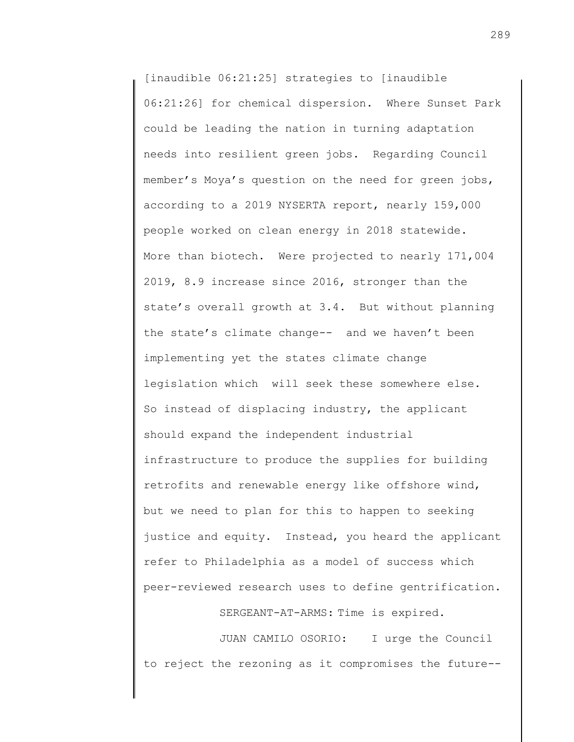[inaudible 06:21:25] strategies to [inaudible 06:21:26] for chemical dispersion. Where Sunset Park could be leading the nation in turning adaptation needs into resilient green jobs. Regarding Council member's Moya's question on the need for green jobs, according to a 2019 NYSERTA report, nearly 159,000 people worked on clean energy in 2018 statewide. More than biotech. Were projected to nearly 171,004 2019, 8.9 increase since 2016, stronger than the state's overall growth at 3.4. But without planning the state's climate change-- and we haven't been implementing yet the states climate change legislation which will seek these somewhere else. So instead of displacing industry, the applicant should expand the independent industrial infrastructure to produce the supplies for building retrofits and renewable energy like offshore wind, but we need to plan for this to happen to seeking justice and equity. Instead, you heard the applicant refer to Philadelphia as a model of success which peer-reviewed research uses to define gentrification.

SERGEANT-AT-ARMS: Time is expired.

JUAN CAMILO OSORIO: I urge the Council to reject the rezoning as it compromises the future--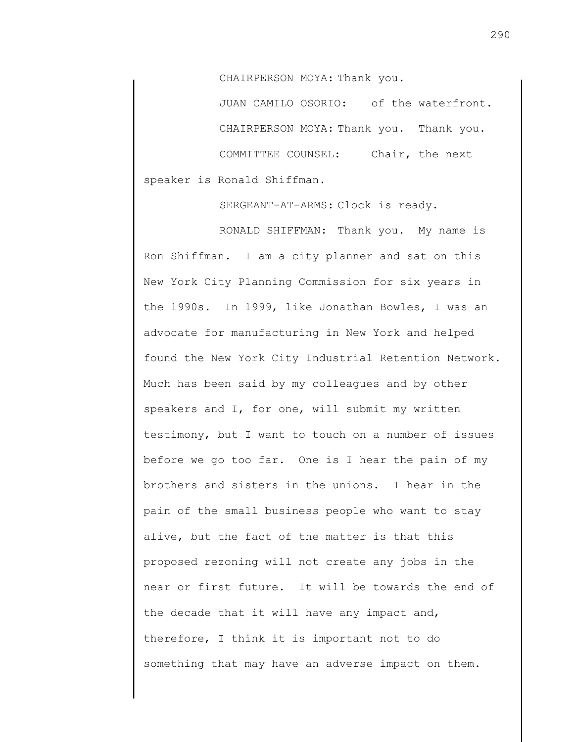CHAIRPERSON MOYA: Thank you.

JUAN CAMILO OSORIO: of the waterfront. CHAIRPERSON MOYA: Thank you. Thank you. COMMITTEE COUNSEL: Chair, the next speaker is Ronald Shiffman.

SERGEANT-AT-ARMS: Clock is ready.

RONALD SHIFFMAN: Thank you. My name is Ron Shiffman. I am a city planner and sat on this New York City Planning Commission for six years in the 1990s. In 1999, like Jonathan Bowles, I was an advocate for manufacturing in New York and helped found the New York City Industrial Retention Network. Much has been said by my colleagues and by other speakers and I, for one, will submit my written testimony, but I want to touch on a number of issues before we go too far. One is I hear the pain of my brothers and sisters in the unions. I hear in the pain of the small business people who want to stay alive, but the fact of the matter is that this proposed rezoning will not create any jobs in the near or first future. It will be towards the end of the decade that it will have any impact and, therefore, I think it is important not to do something that may have an adverse impact on them.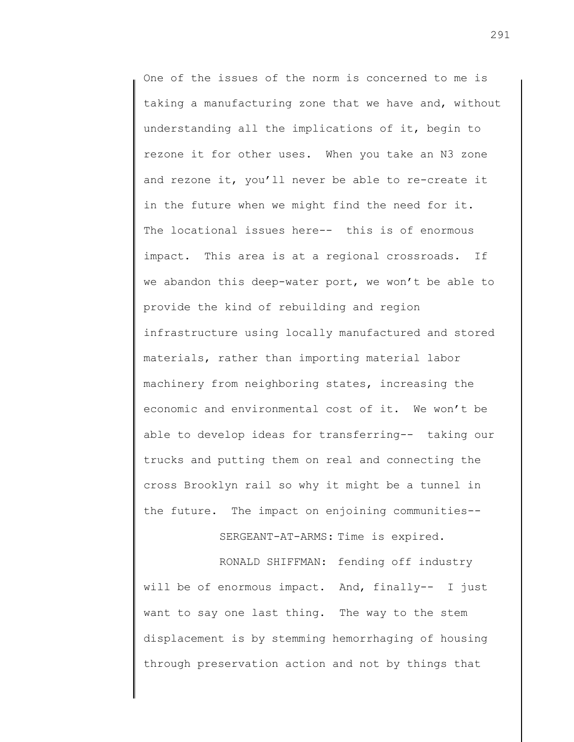One of the issues of the norm is concerned to me is taking a manufacturing zone that we have and, without understanding all the implications of it, begin to rezone it for other uses. When you take an N3 zone and rezone it, you'll never be able to re-create it in the future when we might find the need for it. The locational issues here-- this is of enormous impact. This area is at a regional crossroads. If we abandon this deep-water port, we won't be able to provide the kind of rebuilding and region infrastructure using locally manufactured and stored materials, rather than importing material labor machinery from neighboring states, increasing the economic and environmental cost of it. We won't be able to develop ideas for transferring-- taking our trucks and putting them on real and connecting the cross Brooklyn rail so why it might be a tunnel in the future. The impact on enjoining communities--

## SERGEANT-AT-ARMS: Time is expired.

RONALD SHIFFMAN: fending off industry will be of enormous impact. And, finally-- I just want to say one last thing. The way to the stem displacement is by stemming hemorrhaging of housing through preservation action and not by things that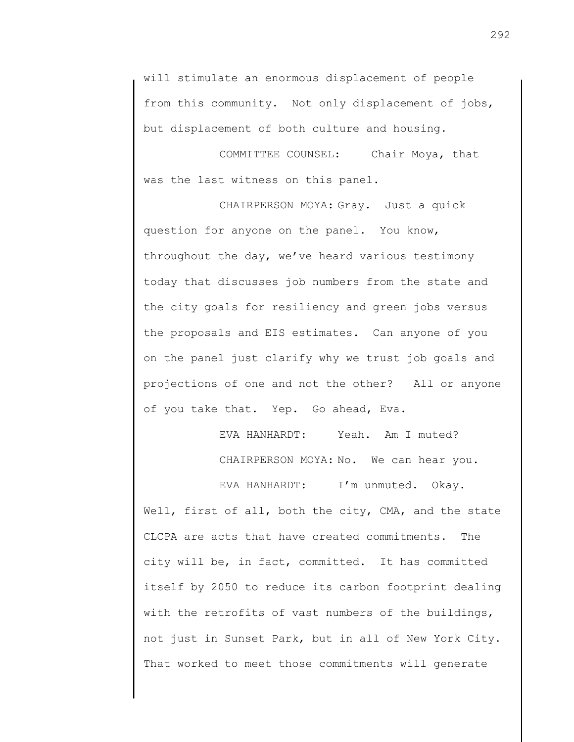will stimulate an enormous displacement of people from this community. Not only displacement of jobs, but displacement of both culture and housing.

COMMITTEE COUNSEL: Chair Moya, that was the last witness on this panel.

CHAIRPERSON MOYA: Gray. Just a quick question for anyone on the panel. You know, throughout the day, we've heard various testimony today that discusses job numbers from the state and the city goals for resiliency and green jobs versus the proposals and EIS estimates. Can anyone of you on the panel just clarify why we trust job goals and projections of one and not the other? All or anyone of you take that. Yep. Go ahead, Eva.

> EVA HANHARDT: Yeah. Am I muted? CHAIRPERSON MOYA: No. We can hear you.

EVA HANHARDT: I'm unmuted. Okay. Well, first of all, both the city, CMA, and the state CLCPA are acts that have created commitments. The city will be, in fact, committed. It has committed itself by 2050 to reduce its carbon footprint dealing with the retrofits of vast numbers of the buildings, not just in Sunset Park, but in all of New York City. That worked to meet those commitments will generate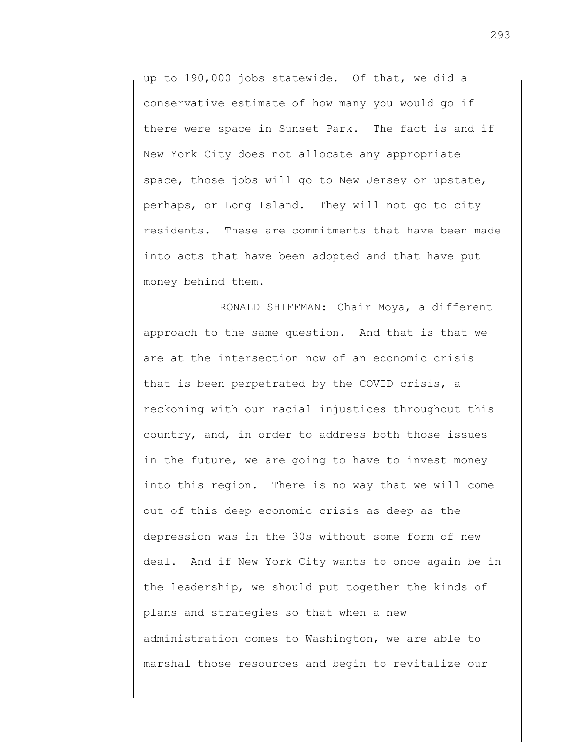up to 190,000 jobs statewide. Of that, we did a conservative estimate of how many you would go if there were space in Sunset Park. The fact is and if New York City does not allocate any appropriate space, those jobs will go to New Jersey or upstate, perhaps, or Long Island. They will not go to city residents. These are commitments that have been made into acts that have been adopted and that have put money behind them.

RONALD SHIFFMAN: Chair Moya, a different approach to the same question. And that is that we are at the intersection now of an economic crisis that is been perpetrated by the COVID crisis, a reckoning with our racial injustices throughout this country, and, in order to address both those issues in the future, we are going to have to invest money into this region. There is no way that we will come out of this deep economic crisis as deep as the depression was in the 30s without some form of new deal. And if New York City wants to once again be in the leadership, we should put together the kinds of plans and strategies so that when a new administration comes to Washington, we are able to marshal those resources and begin to revitalize our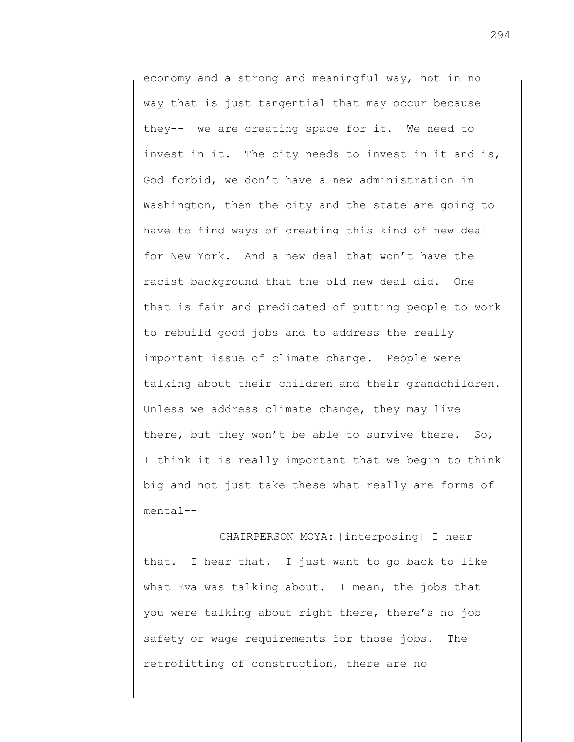economy and a strong and meaningful way, not in no way that is just tangential that may occur because they-- we are creating space for it. We need to invest in it. The city needs to invest in it and is, God forbid, we don't have a new administration in Washington, then the city and the state are going to have to find ways of creating this kind of new deal for New York. And a new deal that won't have the racist background that the old new deal did. One that is fair and predicated of putting people to work to rebuild good jobs and to address the really important issue of climate change. People were talking about their children and their grandchildren. Unless we address climate change, they may live there, but they won't be able to survive there. So, I think it is really important that we begin to think big and not just take these what really are forms of mental--

CHAIRPERSON MOYA: [interposing] I hear that. I hear that. I just want to go back to like what Eva was talking about. I mean, the jobs that you were talking about right there, there's no job safety or wage requirements for those jobs. The retrofitting of construction, there are no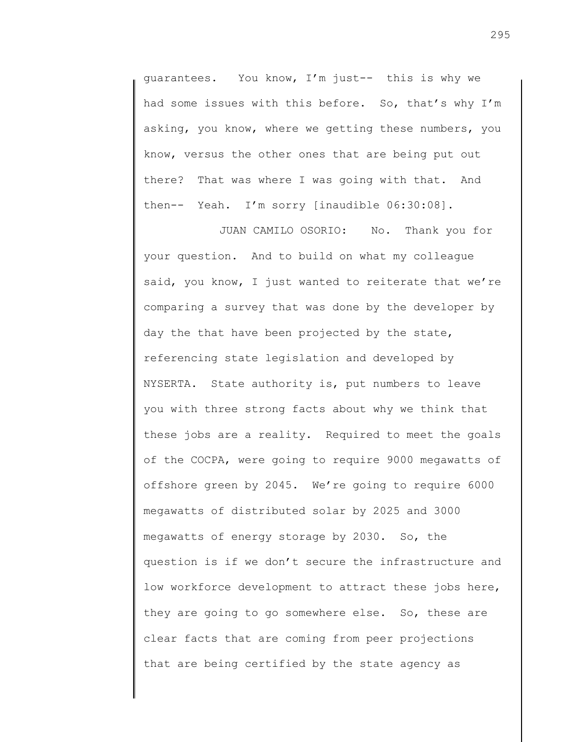guarantees. You know, I'm just-- this is why we had some issues with this before. So, that's why I'm asking, you know, where we getting these numbers, you know, versus the other ones that are being put out there? That was where I was going with that. And then-- Yeah. I'm sorry [inaudible 06:30:08].

JUAN CAMILO OSORIO: No. Thank you for your question. And to build on what my colleague said, you know, I just wanted to reiterate that we're comparing a survey that was done by the developer by day the that have been projected by the state, referencing state legislation and developed by NYSERTA. State authority is, put numbers to leave you with three strong facts about why we think that these jobs are a reality. Required to meet the goals of the COCPA, were going to require 9000 megawatts of offshore green by 2045. We're going to require 6000 megawatts of distributed solar by 2025 and 3000 megawatts of energy storage by 2030. So, the question is if we don't secure the infrastructure and low workforce development to attract these jobs here, they are going to go somewhere else. So, these are clear facts that are coming from peer projections that are being certified by the state agency as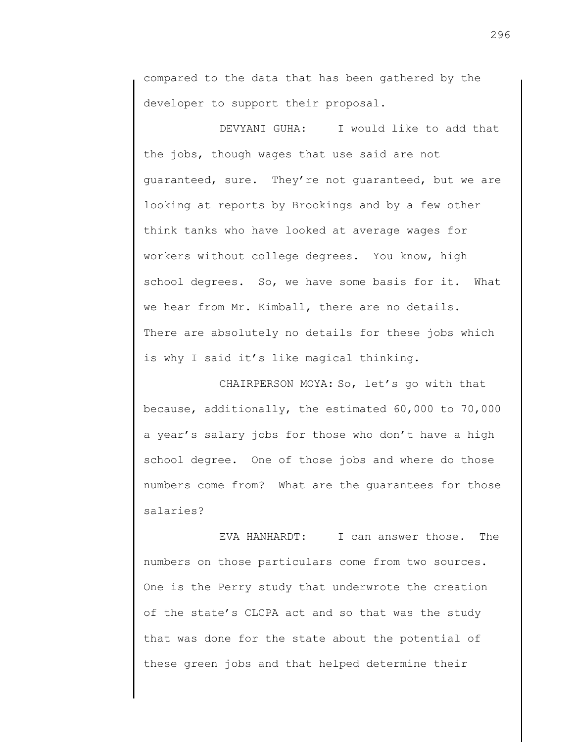compared to the data that has been gathered by the developer to support their proposal.

DEVYANI GUHA: I would like to add that the jobs, though wages that use said are not guaranteed, sure. They're not guaranteed, but we are looking at reports by Brookings and by a few other think tanks who have looked at average wages for workers without college degrees. You know, high school degrees. So, we have some basis for it. What we hear from Mr. Kimball, there are no details. There are absolutely no details for these jobs which is why I said it's like magical thinking.

CHAIRPERSON MOYA: So, let's go with that because, additionally, the estimated 60,000 to 70,000 a year's salary jobs for those who don't have a high school degree. One of those jobs and where do those numbers come from? What are the guarantees for those salaries?

EVA HANHARDT: I can answer those. The numbers on those particulars come from two sources. One is the Perry study that underwrote the creation of the state's CLCPA act and so that was the study that was done for the state about the potential of these green jobs and that helped determine their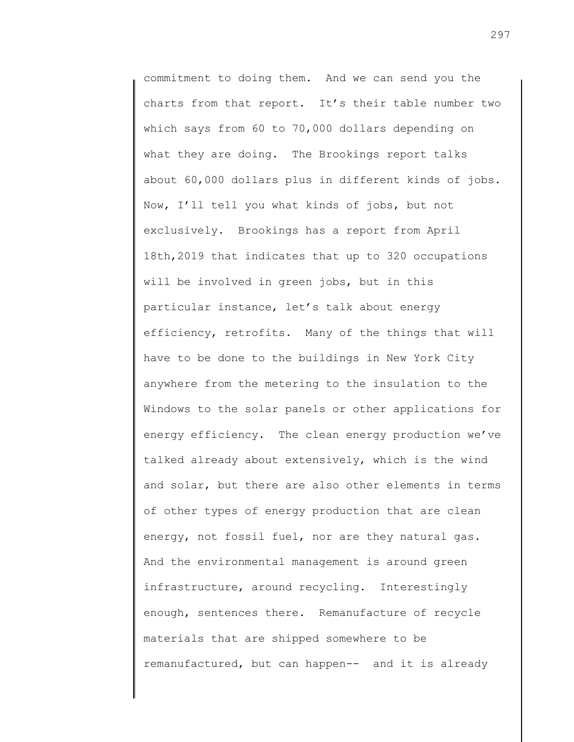commitment to doing them. And we can send you the charts from that report. It's their table number two which says from 60 to 70,000 dollars depending on what they are doing. The Brookings report talks about 60,000 dollars plus in different kinds of jobs. Now, I'll tell you what kinds of jobs, but not exclusively. Brookings has a report from April 18th,2019 that indicates that up to 320 occupations will be involved in green jobs, but in this particular instance, let's talk about energy efficiency, retrofits. Many of the things that will have to be done to the buildings in New York City anywhere from the metering to the insulation to the Windows to the solar panels or other applications for energy efficiency. The clean energy production we've talked already about extensively, which is the wind and solar, but there are also other elements in terms of other types of energy production that are clean energy, not fossil fuel, nor are they natural gas. And the environmental management is around green infrastructure, around recycling. Interestingly enough, sentences there. Remanufacture of recycle materials that are shipped somewhere to be remanufactured, but can happen-- and it is already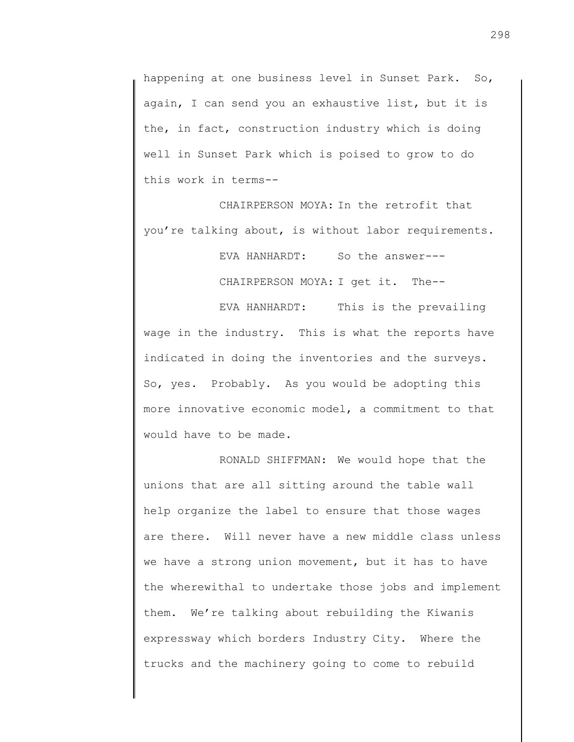happening at one business level in Sunset Park. So, again, I can send you an exhaustive list, but it is the, in fact, construction industry which is doing well in Sunset Park which is poised to grow to do this work in terms--

CHAIRPERSON MOYA: In the retrofit that you're talking about, is without labor requirements.

EVA HANHARDT: So the answer---

CHAIRPERSON MOYA: I get it. The--

EVA HANHARDT: This is the prevailing wage in the industry. This is what the reports have indicated in doing the inventories and the surveys. So, yes. Probably. As you would be adopting this more innovative economic model, a commitment to that would have to be made.

RONALD SHIFFMAN: We would hope that the unions that are all sitting around the table wall help organize the label to ensure that those wages are there. Will never have a new middle class unless we have a strong union movement, but it has to have the wherewithal to undertake those jobs and implement them. We're talking about rebuilding the Kiwanis expressway which borders Industry City. Where the trucks and the machinery going to come to rebuild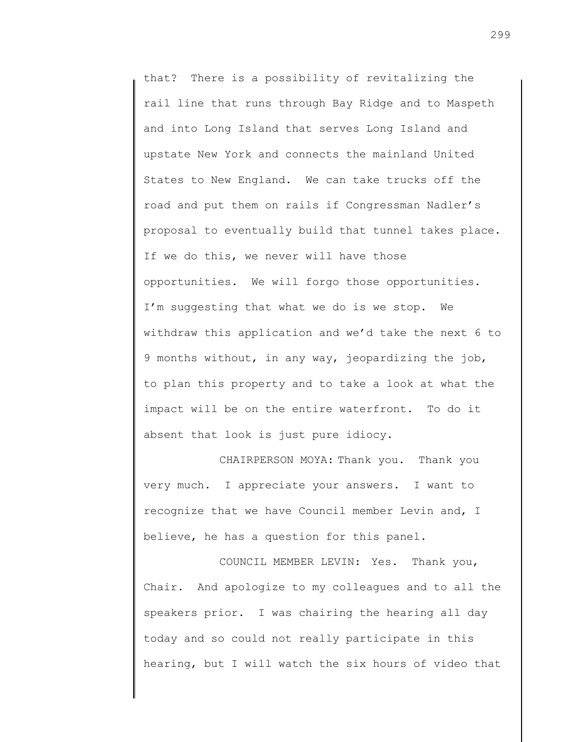that? There is a possibility of revitalizing the rail line that runs through Bay Ridge and to Maspeth and into Long Island that serves Long Island and upstate New York and connects the mainland United States to New England. We can take trucks off the road and put them on rails if Congressman Nadler's proposal to eventually build that tunnel takes place. If we do this, we never will have those opportunities. We will forgo those opportunities. I'm suggesting that what we do is we stop. We withdraw this application and we'd take the next 6 to 9 months without, in any way, jeopardizing the job, to plan this property and to take a look at what the impact will be on the entire waterfront. To do it absent that look is just pure idiocy.

CHAIRPERSON MOYA: Thank you. Thank you very much. I appreciate your answers. I want to recognize that we have Council member Levin and, I believe, he has a question for this panel.

COUNCIL MEMBER LEVIN: Yes. Thank you, Chair. And apologize to my colleagues and to all the speakers prior. I was chairing the hearing all day today and so could not really participate in this hearing, but I will watch the six hours of video that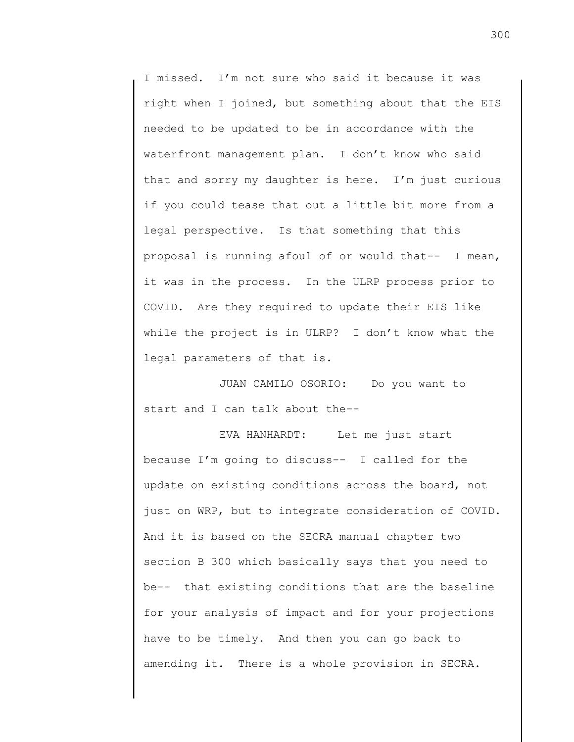I missed. I'm not sure who said it because it was right when I joined, but something about that the EIS needed to be updated to be in accordance with the waterfront management plan. I don't know who said that and sorry my daughter is here. I'm just curious if you could tease that out a little bit more from a legal perspective. Is that something that this proposal is running afoul of or would that-- I mean, it was in the process. In the ULRP process prior to COVID. Are they required to update their EIS like while the project is in ULRP? I don't know what the legal parameters of that is.

JUAN CAMILO OSORIO: Do you want to start and I can talk about the--

EVA HANHARDT: Let me just start because I'm going to discuss-- I called for the update on existing conditions across the board, not just on WRP, but to integrate consideration of COVID. And it is based on the SECRA manual chapter two section B 300 which basically says that you need to be-- that existing conditions that are the baseline for your analysis of impact and for your projections have to be timely. And then you can go back to amending it. There is a whole provision in SECRA.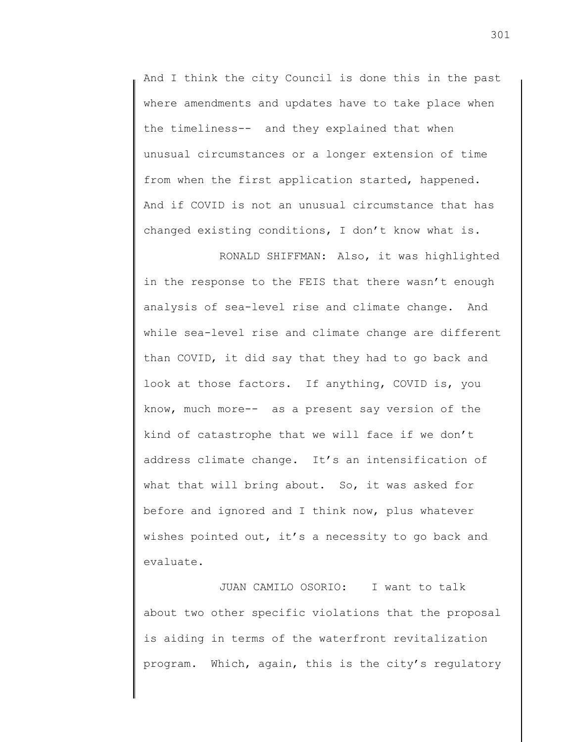And I think the city Council is done this in the past where amendments and updates have to take place when the timeliness-- and they explained that when unusual circumstances or a longer extension of time from when the first application started, happened. And if COVID is not an unusual circumstance that has changed existing conditions, I don't know what is.

RONALD SHIFFMAN: Also, it was highlighted in the response to the FEIS that there wasn't enough analysis of sea-level rise and climate change. And while sea-level rise and climate change are different than COVID, it did say that they had to go back and look at those factors. If anything, COVID is, you know, much more-- as a present say version of the kind of catastrophe that we will face if we don't address climate change. It's an intensification of what that will bring about. So, it was asked for before and ignored and I think now, plus whatever wishes pointed out, it's a necessity to go back and evaluate.

JUAN CAMILO OSORIO: I want to talk about two other specific violations that the proposal is aiding in terms of the waterfront revitalization program. Which, again, this is the city's regulatory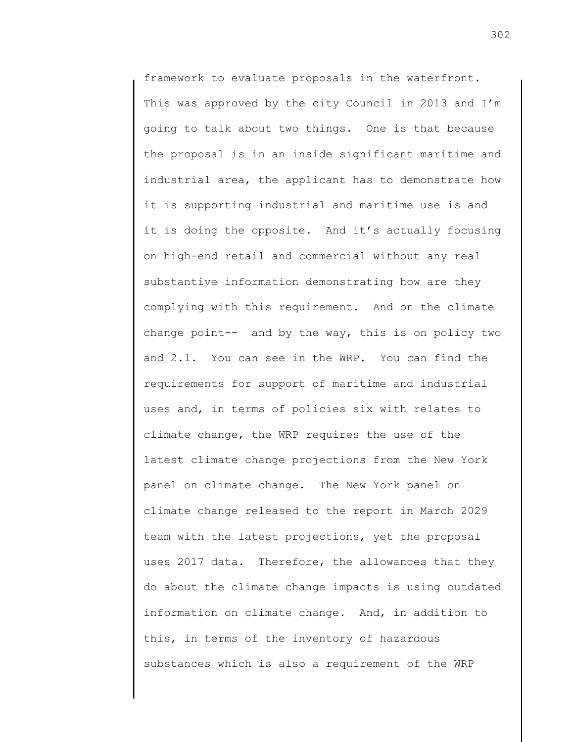framework to evaluate proposals in the waterfront. This was approved by the city Council in 2013 and I'm going to talk about two things. One is that because the proposal is in an inside significant maritime and industrial area, the applicant has to demonstrate how it is supporting industrial and maritime use is and it is doing the opposite. And it's actually focusing on high-end retail and commercial without any real substantive information demonstrating how are they complying with this requirement. And on the climate change point-- and by the way, this is on policy two and 2.1. You can see in the WRP. You can find the requirements for support of maritime and industrial uses and, in terms of policies six with relates to climate change, the WRP requires the use of the latest climate change projections from the New York panel on climate change. The New York panel on climate change released to the report in March 2029 team with the latest projections, yet the proposal uses 2017 data. Therefore, the allowances that they do about the climate change impacts is using outdated information on climate change. And, in addition to this, in terms of the inventory of hazardous substances which is also a requirement of the WRP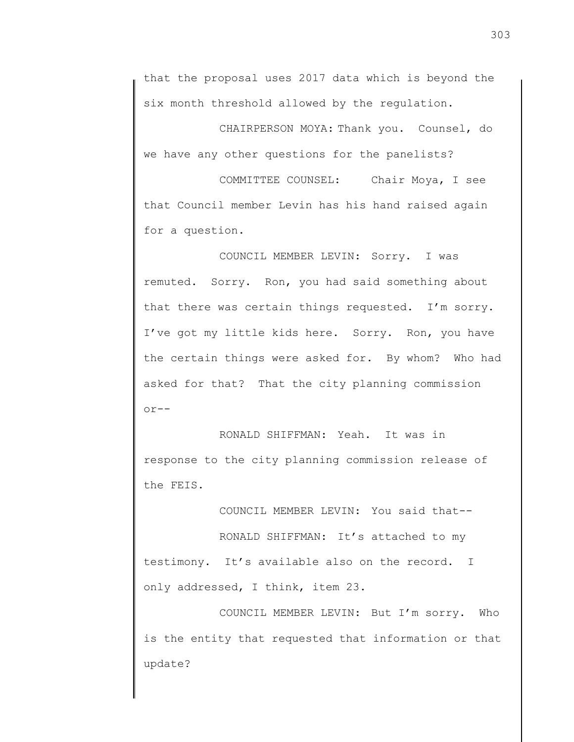that the proposal uses 2017 data which is beyond the six month threshold allowed by the regulation.

CHAIRPERSON MOYA: Thank you. Counsel, do we have any other questions for the panelists?

COMMITTEE COUNSEL: Chair Moya, I see that Council member Levin has his hand raised again for a question.

COUNCIL MEMBER LEVIN: Sorry. I was remuted. Sorry. Ron, you had said something about that there was certain things requested. I'm sorry. I've got my little kids here. Sorry. Ron, you have the certain things were asked for. By whom? Who had asked for that? That the city planning commission  $or--$ 

RONALD SHIFFMAN: Yeah. It was in response to the city planning commission release of the FEIS.

COUNCIL MEMBER LEVIN: You said that--

RONALD SHIFFMAN: It's attached to my testimony. It's available also on the record. I only addressed, I think, item 23.

COUNCIL MEMBER LEVIN: But I'm sorry. Who is the entity that requested that information or that update?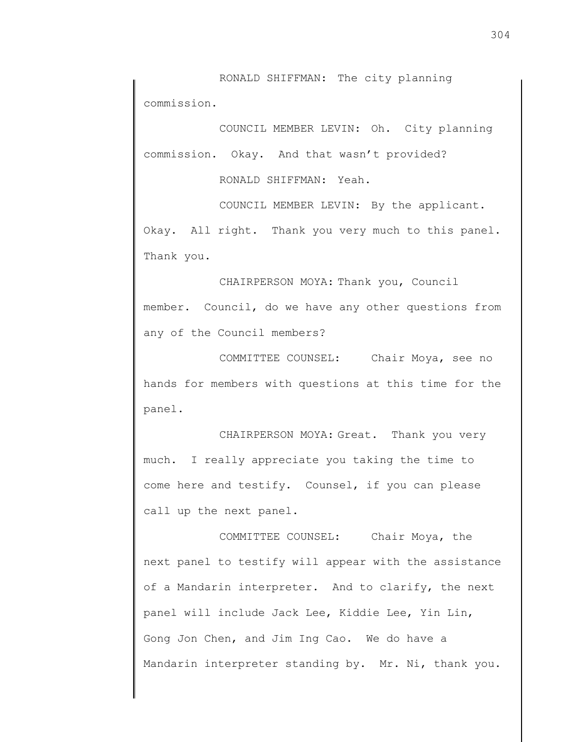RONALD SHIFFMAN: The city planning commission.

COUNCIL MEMBER LEVIN: Oh. City planning commission. Okay. And that wasn't provided?

RONALD SHIFFMAN: Yeah.

COUNCIL MEMBER LEVIN: By the applicant.

Okay. All right. Thank you very much to this panel. Thank you.

CHAIRPERSON MOYA: Thank you, Council member. Council, do we have any other questions from any of the Council members?

COMMITTEE COUNSEL: Chair Moya, see no hands for members with questions at this time for the panel.

CHAIRPERSON MOYA: Great. Thank you very much. I really appreciate you taking the time to come here and testify. Counsel, if you can please call up the next panel.

COMMITTEE COUNSEL: Chair Moya, the next panel to testify will appear with the assistance of a Mandarin interpreter. And to clarify, the next panel will include Jack Lee, Kiddie Lee, Yin Lin, Gong Jon Chen, and Jim Ing Cao. We do have a Mandarin interpreter standing by. Mr. Ni, thank you.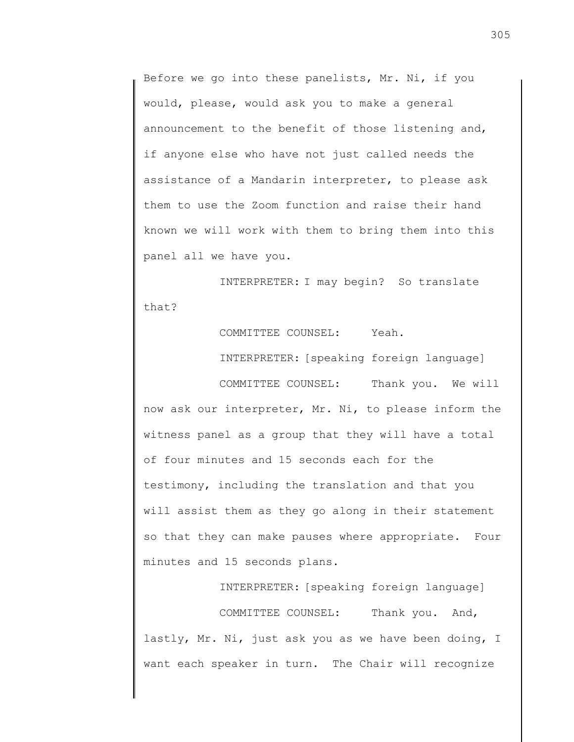Before we go into these panelists, Mr. Ni, if you would, please, would ask you to make a general announcement to the benefit of those listening and, if anyone else who have not just called needs the assistance of a Mandarin interpreter, to please ask them to use the Zoom function and raise their hand known we will work with them to bring them into this panel all we have you.

INTERPRETER: I may begin? So translate that?

COMMITTEE COUNSEL: Yeah.

INTERPRETER: [speaking foreign language]

COMMITTEE COUNSEL: Thank you. We will now ask our interpreter, Mr. Ni, to please inform the witness panel as a group that they will have a total of four minutes and 15 seconds each for the testimony, including the translation and that you will assist them as they go along in their statement so that they can make pauses where appropriate. Four minutes and 15 seconds plans.

INTERPRETER: [speaking foreign language]

COMMITTEE COUNSEL: Thank you. And, lastly, Mr. Ni, just ask you as we have been doing, I want each speaker in turn. The Chair will recognize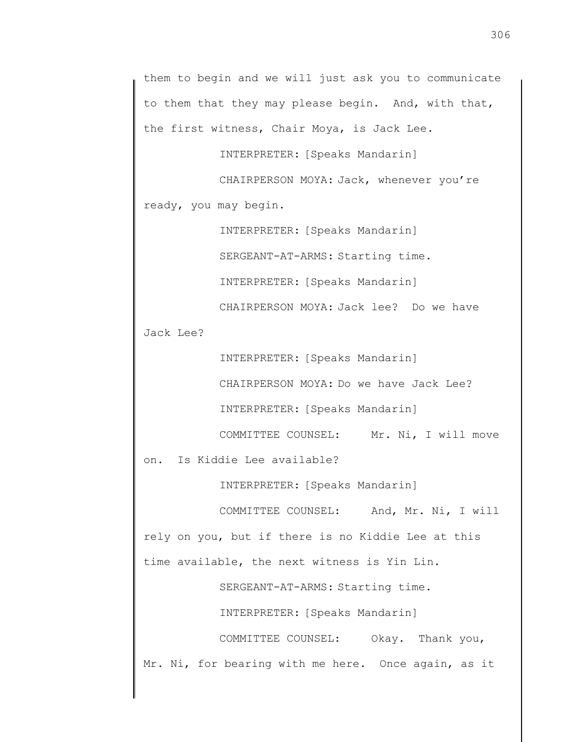them to begin and we will just ask you to communicate to them that they may please begin. And, with that, the first witness, Chair Moya, is Jack Lee.

INTERPRETER: [Speaks Mandarin]

CHAIRPERSON MOYA: Jack, whenever you're ready, you may begin.

INTERPRETER: [Speaks Mandarin]

SERGEANT-AT-ARMS: Starting time.

INTERPRETER: [Speaks Mandarin]

CHAIRPERSON MOYA: Jack lee? Do we have

Jack Lee?

INTERPRETER: [Speaks Mandarin]

CHAIRPERSON MOYA: Do we have Jack Lee?

INTERPRETER: [Speaks Mandarin]

COMMITTEE COUNSEL: Mr. Ni, I will move

on. Is Kiddie Lee available?

INTERPRETER: [Speaks Mandarin]

COMMITTEE COUNSEL: And, Mr. Ni, I will rely on you, but if there is no Kiddie Lee at this time available, the next witness is Yin Lin.

SERGEANT-AT-ARMS: Starting time.

INTERPRETER: [Speaks Mandarin]

COMMITTEE COUNSEL: Okay. Thank you, Mr. Ni, for bearing with me here. Once again, as it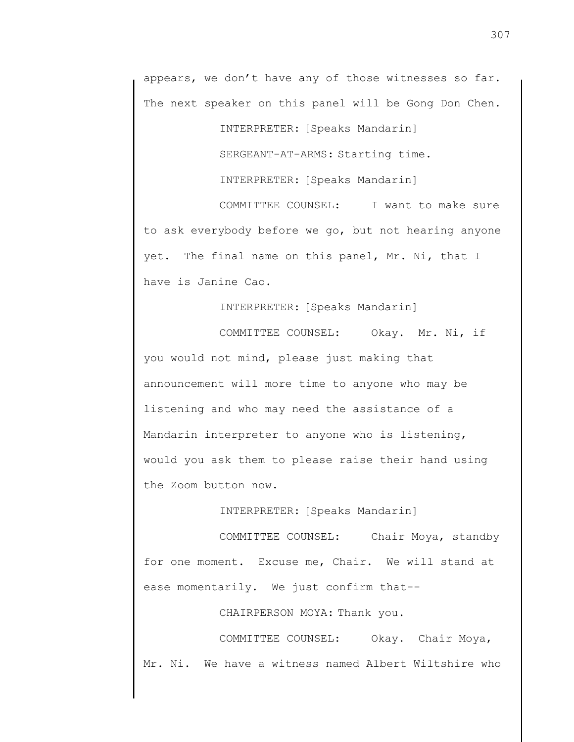appears, we don't have any of those witnesses so far. The next speaker on this panel will be Gong Don Chen.

INTERPRETER: [Speaks Mandarin]

SERGEANT-AT-ARMS: Starting time.

INTERPRETER: [Speaks Mandarin]

COMMITTEE COUNSEL: I want to make sure to ask everybody before we go, but not hearing anyone yet. The final name on this panel, Mr. Ni, that I have is Janine Cao.

INTERPRETER: [Speaks Mandarin]

COMMITTEE COUNSEL: Okay. Mr. Ni, if you would not mind, please just making that announcement will more time to anyone who may be listening and who may need the assistance of a Mandarin interpreter to anyone who is listening, would you ask them to please raise their hand using the Zoom button now.

INTERPRETER: [Speaks Mandarin]

COMMITTEE COUNSEL: Chair Moya, standby for one moment. Excuse me, Chair. We will stand at ease momentarily. We just confirm that--

CHAIRPERSON MOYA: Thank you.

COMMITTEE COUNSEL: Okay. Chair Moya, Mr. Ni. We have a witness named Albert Wiltshire who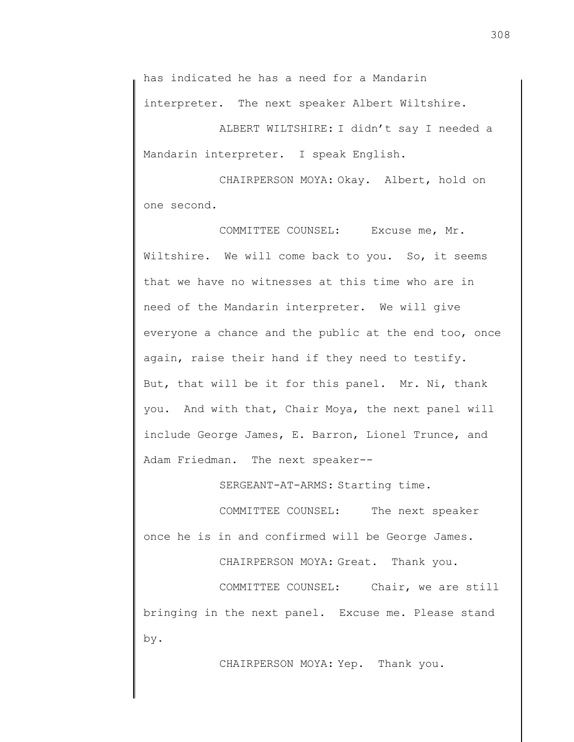has indicated he has a need for a Mandarin interpreter. The next speaker Albert Wiltshire.

ALBERT WILTSHIRE: I didn't say I needed a Mandarin interpreter. I speak English.

CHAIRPERSON MOYA: Okay. Albert, hold on one second.

COMMITTEE COUNSEL: Excuse me, Mr. Wiltshire. We will come back to you. So, it seems that we have no witnesses at this time who are in need of the Mandarin interpreter. We will give everyone a chance and the public at the end too, once again, raise their hand if they need to testify. But, that will be it for this panel. Mr. Ni, thank you. And with that, Chair Moya, the next panel will include George James, E. Barron, Lionel Trunce, and Adam Friedman. The next speaker--

SERGEANT-AT-ARMS: Starting time.

COMMITTEE COUNSEL: The next speaker once he is in and confirmed will be George James.

CHAIRPERSON MOYA: Great. Thank you.

COMMITTEE COUNSEL: Chair, we are still bringing in the next panel. Excuse me. Please stand by.

CHAIRPERSON MOYA: Yep. Thank you.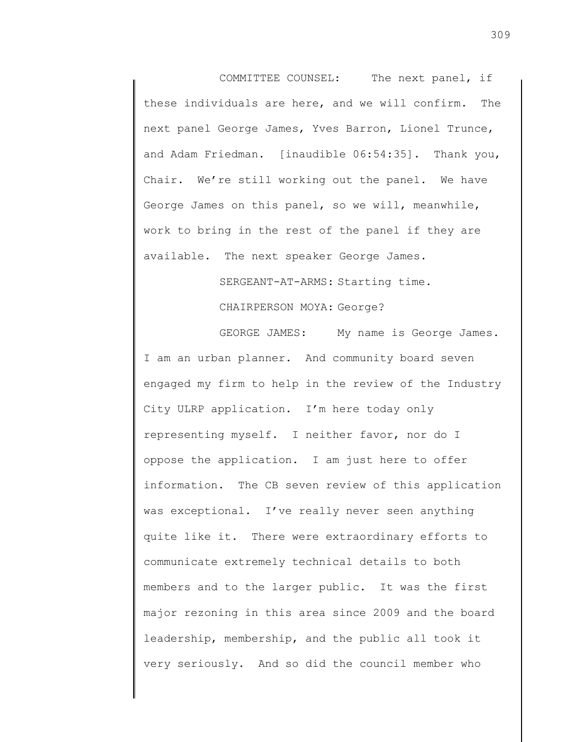COMMITTEE COUNSEL: The next panel, if these individuals are here, and we will confirm. The next panel George James, Yves Barron, Lionel Trunce, and Adam Friedman. [inaudible 06:54:35]. Thank you, Chair. We're still working out the panel. We have George James on this panel, so we will, meanwhile, work to bring in the rest of the panel if they are available. The next speaker George James.

> SERGEANT-AT-ARMS: Starting time. CHAIRPERSON MOYA: George?

GEORGE JAMES: My name is George James. I am an urban planner. And community board seven engaged my firm to help in the review of the Industry City ULRP application. I'm here today only representing myself. I neither favor, nor do I oppose the application. I am just here to offer information. The CB seven review of this application was exceptional. I've really never seen anything quite like it. There were extraordinary efforts to communicate extremely technical details to both members and to the larger public. It was the first major rezoning in this area since 2009 and the board leadership, membership, and the public all took it very seriously. And so did the council member who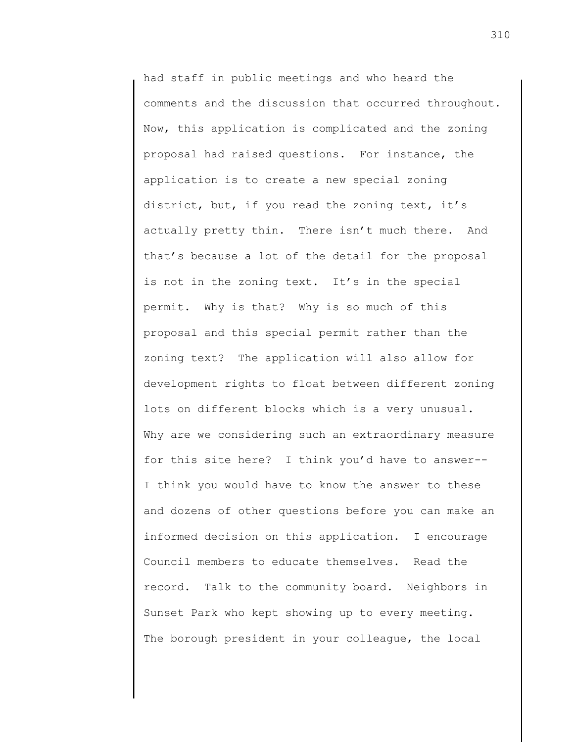had staff in public meetings and who heard the comments and the discussion that occurred throughout. Now, this application is complicated and the zoning proposal had raised questions. For instance, the application is to create a new special zoning district, but, if you read the zoning text, it's actually pretty thin. There isn't much there. And that's because a lot of the detail for the proposal is not in the zoning text. It's in the special permit. Why is that? Why is so much of this proposal and this special permit rather than the zoning text? The application will also allow for development rights to float between different zoning lots on different blocks which is a very unusual. Why are we considering such an extraordinary measure for this site here? I think you'd have to answer-- I think you would have to know the answer to these and dozens of other questions before you can make an informed decision on this application. I encourage Council members to educate themselves. Read the record. Talk to the community board. Neighbors in Sunset Park who kept showing up to every meeting. The borough president in your colleague, the local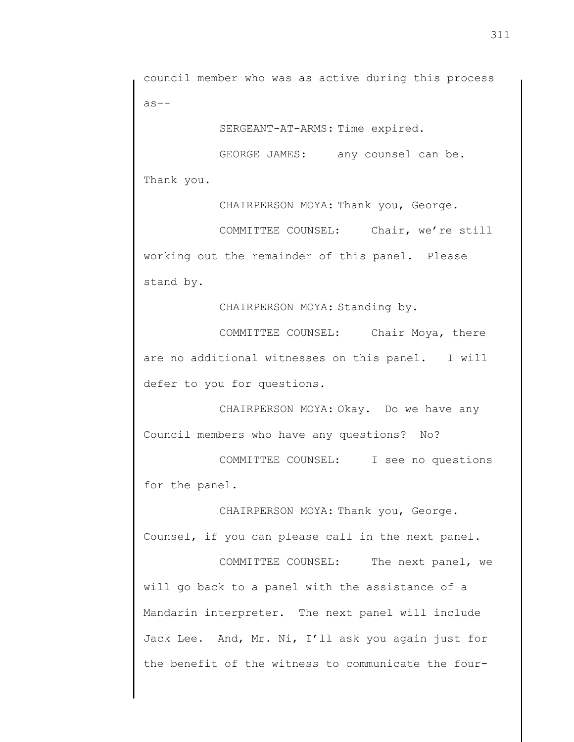council member who was as active during this process as--

SERGEANT-AT-ARMS: Time expired.

GEORGE JAMES: any counsel can be. Thank you.

CHAIRPERSON MOYA: Thank you, George.

COMMITTEE COUNSEL: Chair, we're still working out the remainder of this panel. Please stand by.

CHAIRPERSON MOYA: Standing by.

COMMITTEE COUNSEL: Chair Moya, there are no additional witnesses on this panel. I will defer to you for questions.

CHAIRPERSON MOYA: Okay. Do we have any Council members who have any questions? No?

COMMITTEE COUNSEL: I see no questions for the panel.

CHAIRPERSON MOYA: Thank you, George. Counsel, if you can please call in the next panel.

COMMITTEE COUNSEL: The next panel, we will go back to a panel with the assistance of a Mandarin interpreter. The next panel will include Jack Lee. And, Mr. Ni, I'll ask you again just for the benefit of the witness to communicate the four-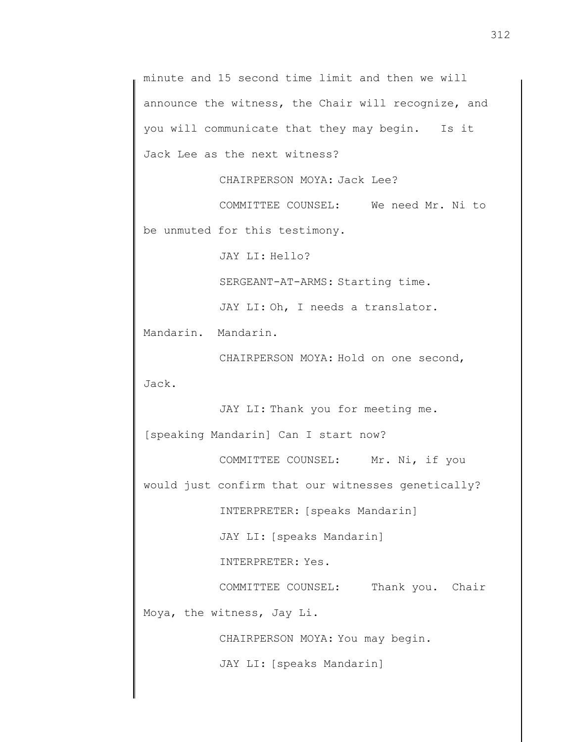```
minute and 15 second time limit and then we will 
announce the witness, the Chair will recognize, and 
you will communicate that they may begin. Is it 
Jack Lee as the next witness? 
           CHAIRPERSON MOYA: Jack Lee? 
           COMMITTEE COUNSEL: We need Mr. Ni to 
be unmuted for this testimony. 
           JAY LI: Hello? 
           SERGEANT-AT-ARMS: Starting time. 
           JAY LI: Oh, I needs a translator. 
Mandarin. Mandarin. 
           CHAIRPERSON MOYA: Hold on one second, 
Jack. 
           JAY LI: Thank you for meeting me. 
[speaking Mandarin] Can I start now? 
           COMMITTEE COUNSEL: Mr. Ni, if you 
would just confirm that our witnesses genetically? 
           INTERPRETER: [speaks Mandarin] 
           JAY LI: [speaks Mandarin] 
           INTERPRETER: Yes. 
           COMMITTEE COUNSEL: Thank you. Chair 
Moya, the witness, Jay Li. 
           CHAIRPERSON MOYA: You may begin. 
           JAY LI: [speaks Mandarin]
```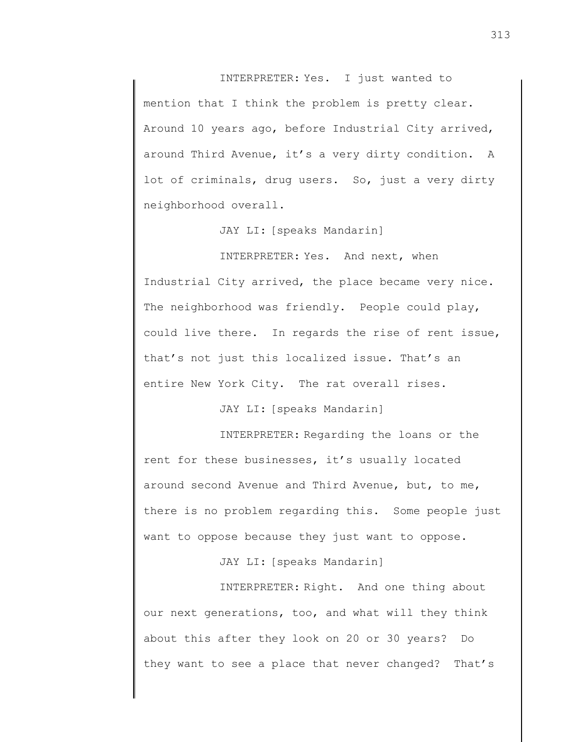INTERPRETER: Yes. I just wanted to mention that I think the problem is pretty clear. Around 10 years ago, before Industrial City arrived, around Third Avenue, it's a very dirty condition. A lot of criminals, drug users. So, just a very dirty neighborhood overall.

JAY LI: [speaks Mandarin]

INTERPRETER: Yes. And next, when Industrial City arrived, the place became very nice. The neighborhood was friendly. People could play, could live there. In regards the rise of rent issue, that's not just this localized issue. That's an entire New York City. The rat overall rises.

JAY LI: [speaks Mandarin]

INTERPRETER: Regarding the loans or the rent for these businesses, it's usually located around second Avenue and Third Avenue, but, to me, there is no problem regarding this. Some people just want to oppose because they just want to oppose.

JAY LI: [speaks Mandarin]

INTERPRETER: Right. And one thing about our next generations, too, and what will they think about this after they look on 20 or 30 years? Do they want to see a place that never changed? That's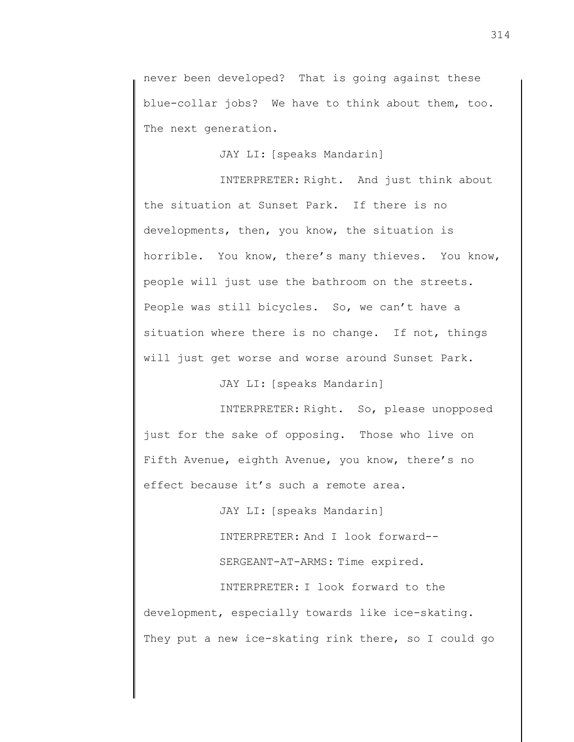never been developed? That is going against these blue-collar jobs? We have to think about them, too. The next generation.

JAY LI: [speaks Mandarin]

INTERPRETER: Right. And just think about the situation at Sunset Park. If there is no developments, then, you know, the situation is horrible. You know, there's many thieves. You know, people will just use the bathroom on the streets. People was still bicycles. So, we can't have a situation where there is no change. If not, things will just get worse and worse around Sunset Park.

JAY LI: [speaks Mandarin]

INTERPRETER: Right. So, please unopposed just for the sake of opposing. Those who live on Fifth Avenue, eighth Avenue, you know, there's no effect because it's such a remote area.

> JAY LI: [speaks Mandarin] INTERPRETER: And I look forward-- SERGEANT-AT-ARMS: Time expired.

INTERPRETER: I look forward to the development, especially towards like ice-skating. They put a new ice-skating rink there, so I could go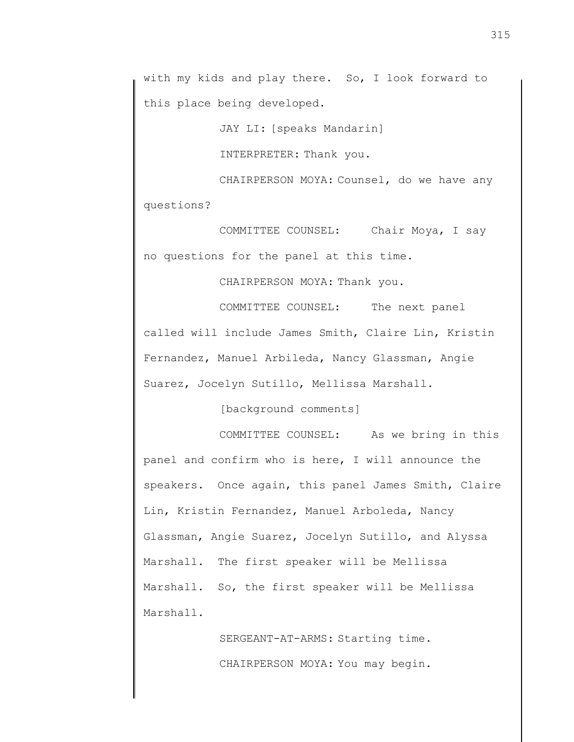with my kids and play there. So, I look forward to this place being developed.

JAY LI: [speaks Mandarin]

INTERPRETER: Thank you.

CHAIRPERSON MOYA: Counsel, do we have any questions?

COMMITTEE COUNSEL: Chair Moya, I say no questions for the panel at this time.

CHAIRPERSON MOYA: Thank you.

COMMITTEE COUNSEL: The next panel called will include James Smith, Claire Lin, Kristin Fernandez, Manuel Arbileda, Nancy Glassman, Angie Suarez, Jocelyn Sutillo, Mellissa Marshall.

[background comments]

COMMITTEE COUNSEL: As we bring in this panel and confirm who is here, I will announce the speakers. Once again, this panel James Smith, Claire Lin, Kristin Fernandez, Manuel Arboleda, Nancy Glassman, Angie Suarez, Jocelyn Sutillo, and Alyssa Marshall. The first speaker will be Mellissa Marshall. So, the first speaker will be Mellissa Marshall.

> SERGEANT-AT-ARMS: Starting time. CHAIRPERSON MOYA: You may begin.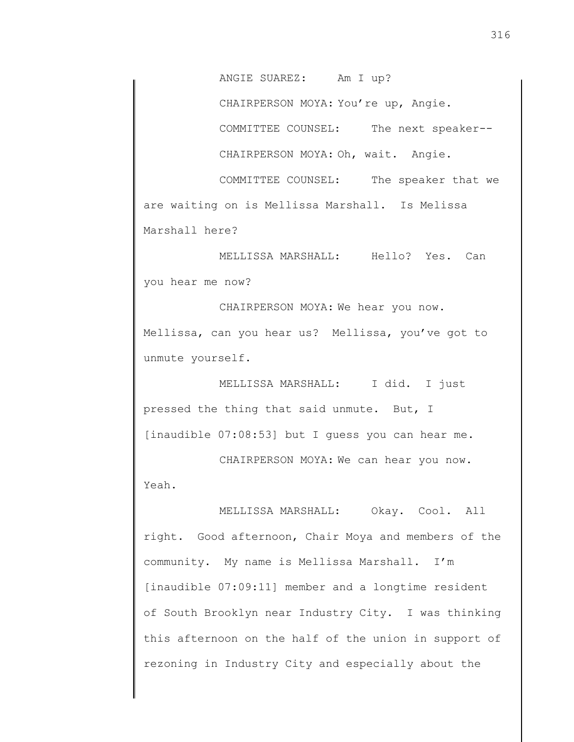ANGIE SUAREZ: Am I up?

CHAIRPERSON MOYA: You're up, Angie.

COMMITTEE COUNSEL: The next speaker--

CHAIRPERSON MOYA: Oh, wait. Angie.

COMMITTEE COUNSEL: The speaker that we are waiting on is Mellissa Marshall. Is Melissa Marshall here?

MELLISSA MARSHALL: Hello? Yes. Can you hear me now?

CHAIRPERSON MOYA: We hear you now. Mellissa, can you hear us? Mellissa, you've got to unmute yourself.

MELLISSA MARSHALL: I did. I just pressed the thing that said unmute. But, I [inaudible 07:08:53] but I guess you can hear me.

CHAIRPERSON MOYA: We can hear you now. Yeah.

MELLISSA MARSHALL: Okay. Cool. All right. Good afternoon, Chair Moya and members of the community. My name is Mellissa Marshall. I'm [inaudible 07:09:11] member and a longtime resident of South Brooklyn near Industry City. I was thinking this afternoon on the half of the union in support of rezoning in Industry City and especially about the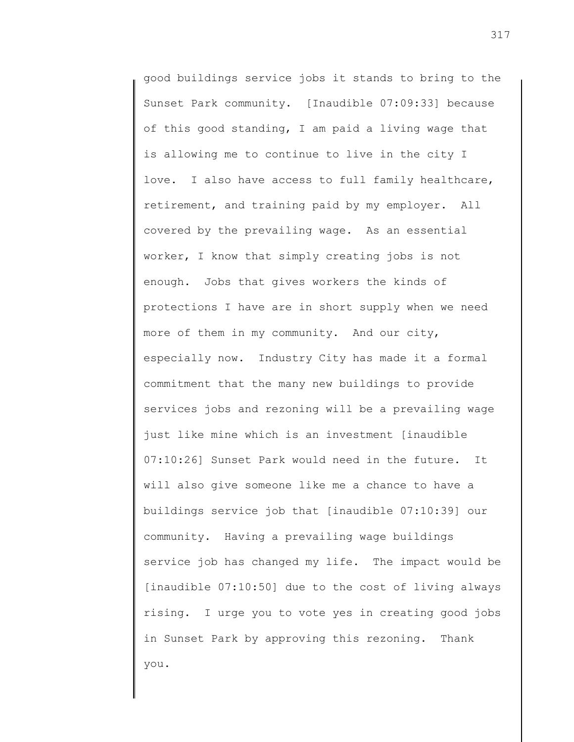good buildings service jobs it stands to bring to the Sunset Park community. [Inaudible 07:09:33] because of this good standing, I am paid a living wage that is allowing me to continue to live in the city I love. I also have access to full family healthcare, retirement, and training paid by my employer. All covered by the prevailing wage. As an essential worker, I know that simply creating jobs is not enough. Jobs that gives workers the kinds of protections I have are in short supply when we need more of them in my community. And our city, especially now. Industry City has made it a formal commitment that the many new buildings to provide services jobs and rezoning will be a prevailing wage just like mine which is an investment [inaudible 07:10:26] Sunset Park would need in the future. It will also give someone like me a chance to have a buildings service job that [inaudible 07:10:39] our community. Having a prevailing wage buildings service job has changed my life. The impact would be [inaudible 07:10:50] due to the cost of living always rising. I urge you to vote yes in creating good jobs in Sunset Park by approving this rezoning. Thank you.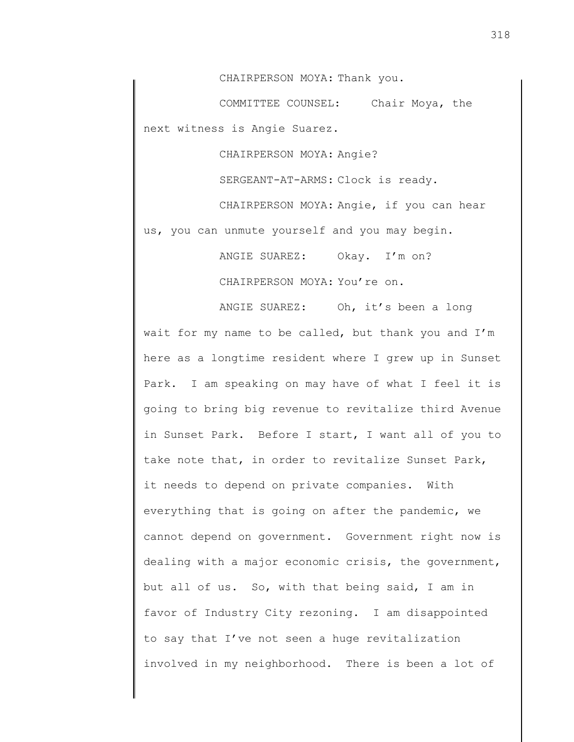CHAIRPERSON MOYA: Thank you.

COMMITTEE COUNSEL: Chair Moya, the next witness is Angie Suarez.

CHAIRPERSON MOYA: Angie?

SERGEANT-AT-ARMS: Clock is ready.

CHAIRPERSON MOYA: Angie, if you can hear us, you can unmute yourself and you may begin.

ANGIE SUAREZ: Okay. I'm on?

CHAIRPERSON MOYA: You're on.

ANGIE SUAREZ: Oh, it's been a long wait for my name to be called, but thank you and I'm here as a longtime resident where I grew up in Sunset Park. I am speaking on may have of what I feel it is going to bring big revenue to revitalize third Avenue in Sunset Park. Before I start, I want all of you to take note that, in order to revitalize Sunset Park, it needs to depend on private companies. With everything that is going on after the pandemic, we cannot depend on government. Government right now is dealing with a major economic crisis, the government, but all of us. So, with that being said, I am in favor of Industry City rezoning. I am disappointed to say that I've not seen a huge revitalization involved in my neighborhood. There is been a lot of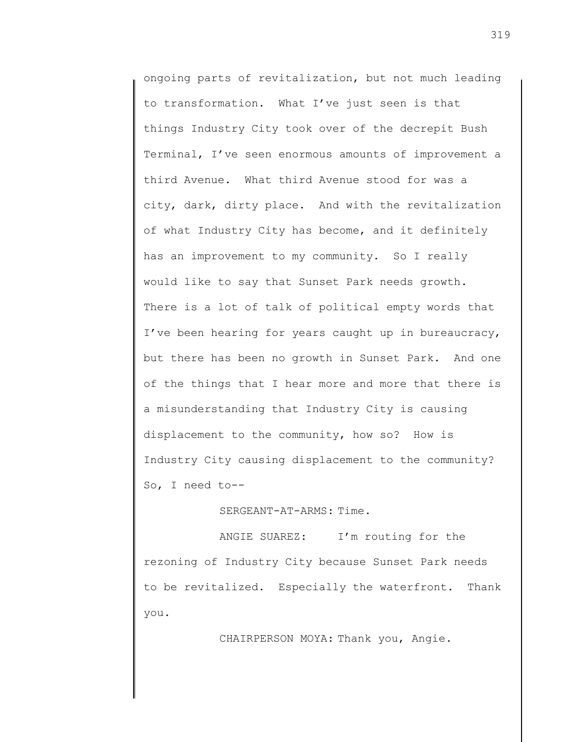ongoing parts of revitalization, but not much leading to transformation. What I've just seen is that things Industry City took over of the decrepit Bush Terminal, I've seen enormous amounts of improvement a third Avenue. What third Avenue stood for was a city, dark, dirty place. And with the revitalization of what Industry City has become, and it definitely has an improvement to my community. So I really would like to say that Sunset Park needs growth. There is a lot of talk of political empty words that I've been hearing for years caught up in bureaucracy, but there has been no growth in Sunset Park. And one of the things that I hear more and more that there is a misunderstanding that Industry City is causing displacement to the community, how so? How is Industry City causing displacement to the community? So, I need to--

SERGEANT-AT-ARMS: Time.

ANGIE SUAREZ: I'm routing for the rezoning of Industry City because Sunset Park needs to be revitalized. Especially the waterfront. Thank you.

CHAIRPERSON MOYA: Thank you, Angie.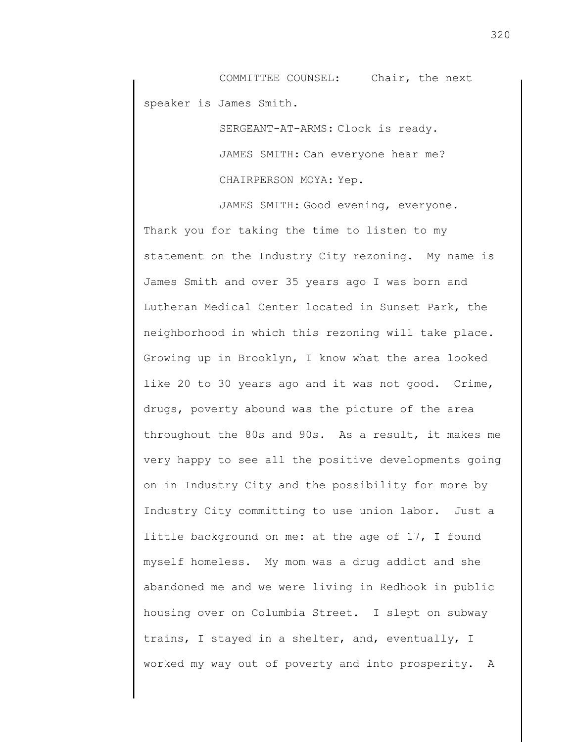COMMITTEE COUNSEL: Chair, the next speaker is James Smith.

> SERGEANT-AT-ARMS: Clock is ready. JAMES SMITH: Can everyone hear me? CHAIRPERSON MOYA: Yep.

JAMES SMITH: Good evening, everyone. Thank you for taking the time to listen to my statement on the Industry City rezoning. My name is James Smith and over 35 years ago I was born and Lutheran Medical Center located in Sunset Park, the neighborhood in which this rezoning will take place. Growing up in Brooklyn, I know what the area looked like 20 to 30 years ago and it was not good. Crime, drugs, poverty abound was the picture of the area throughout the 80s and 90s. As a result, it makes me very happy to see all the positive developments going on in Industry City and the possibility for more by Industry City committing to use union labor. Just a little background on me: at the age of 17, I found myself homeless. My mom was a drug addict and she abandoned me and we were living in Redhook in public housing over on Columbia Street. I slept on subway trains, I stayed in a shelter, and, eventually, I worked my way out of poverty and into prosperity. A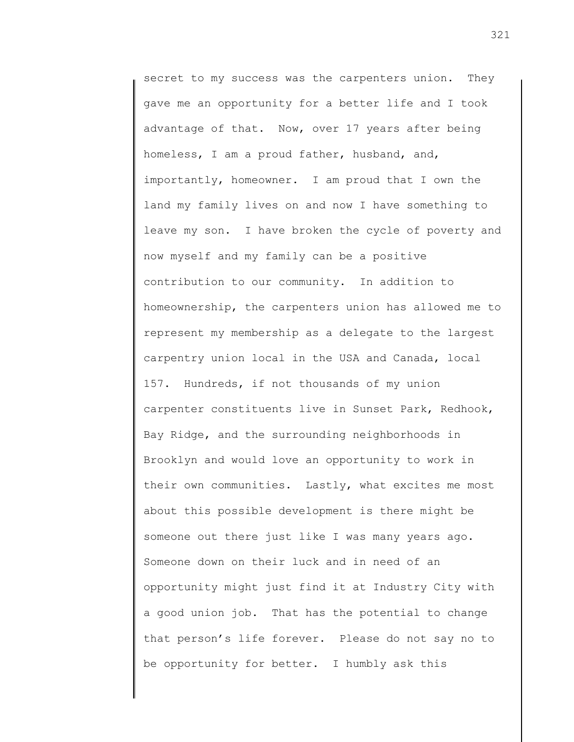secret to my success was the carpenters union. They gave me an opportunity for a better life and I took advantage of that. Now, over 17 years after being homeless, I am a proud father, husband, and, importantly, homeowner. I am proud that I own the land my family lives on and now I have something to leave my son. I have broken the cycle of poverty and now myself and my family can be a positive contribution to our community. In addition to homeownership, the carpenters union has allowed me to represent my membership as a delegate to the largest carpentry union local in the USA and Canada, local 157. Hundreds, if not thousands of my union carpenter constituents live in Sunset Park, Redhook, Bay Ridge, and the surrounding neighborhoods in Brooklyn and would love an opportunity to work in their own communities. Lastly, what excites me most about this possible development is there might be someone out there just like I was many years ago. Someone down on their luck and in need of an opportunity might just find it at Industry City with a good union job. That has the potential to change that person's life forever. Please do not say no to be opportunity for better. I humbly ask this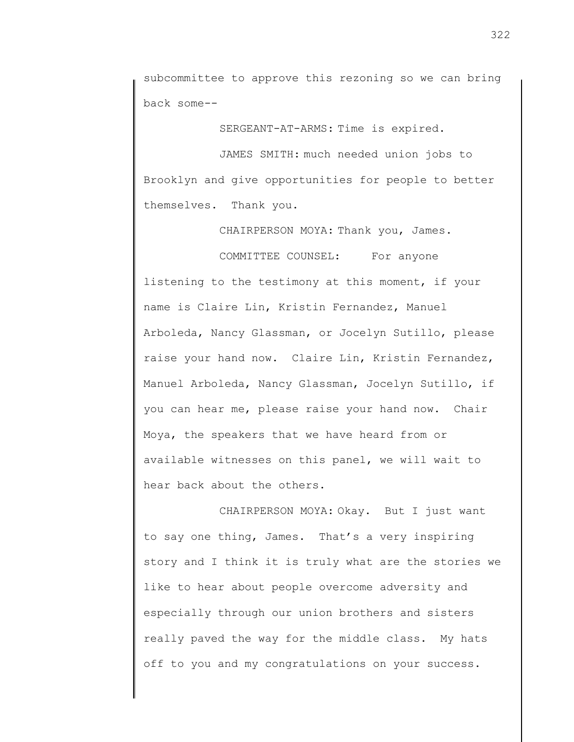subcommittee to approve this rezoning so we can bring back some--

SERGEANT-AT-ARMS: Time is expired.

JAMES SMITH: much needed union jobs to Brooklyn and give opportunities for people to better themselves. Thank you.

CHAIRPERSON MOYA: Thank you, James.

COMMITTEE COUNSEL: For anyone listening to the testimony at this moment, if your name is Claire Lin, Kristin Fernandez, Manuel Arboleda, Nancy Glassman, or Jocelyn Sutillo, please raise your hand now. Claire Lin, Kristin Fernandez, Manuel Arboleda, Nancy Glassman, Jocelyn Sutillo, if you can hear me, please raise your hand now. Chair Moya, the speakers that we have heard from or available witnesses on this panel, we will wait to hear back about the others.

CHAIRPERSON MOYA: Okay. But I just want to say one thing, James. That's a very inspiring story and I think it is truly what are the stories we like to hear about people overcome adversity and especially through our union brothers and sisters really paved the way for the middle class. My hats off to you and my congratulations on your success.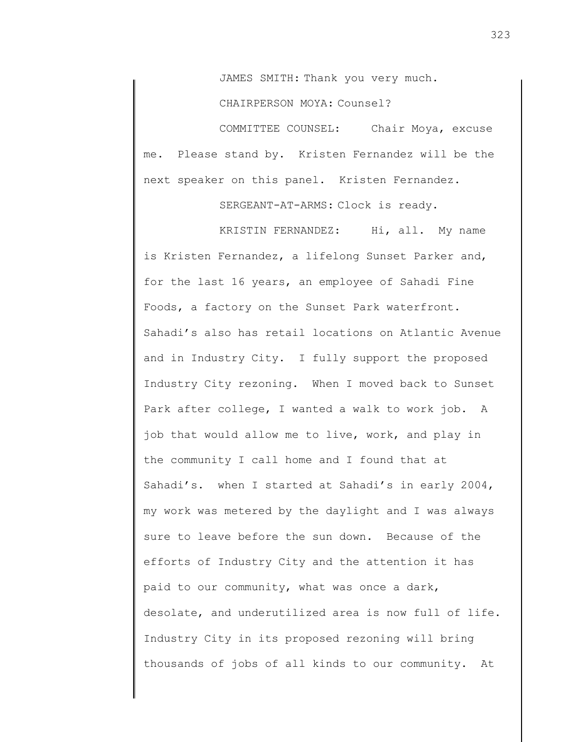JAMES SMITH: Thank you very much.

CHAIRPERSON MOYA: Counsel?

COMMITTEE COUNSEL: Chair Moya, excuse me. Please stand by. Kristen Fernandez will be the next speaker on this panel. Kristen Fernandez.

SERGEANT-AT-ARMS: Clock is ready.

KRISTIN FERNANDEZ: Hi, all. My name is Kristen Fernandez, a lifelong Sunset Parker and, for the last 16 years, an employee of Sahadi Fine Foods, a factory on the Sunset Park waterfront. Sahadi's also has retail locations on Atlantic Avenue and in Industry City. I fully support the proposed Industry City rezoning. When I moved back to Sunset Park after college, I wanted a walk to work job. A job that would allow me to live, work, and play in the community I call home and I found that at Sahadi's. when I started at Sahadi's in early 2004, my work was metered by the daylight and I was always sure to leave before the sun down. Because of the efforts of Industry City and the attention it has paid to our community, what was once a dark, desolate, and underutilized area is now full of life. Industry City in its proposed rezoning will bring thousands of jobs of all kinds to our community. At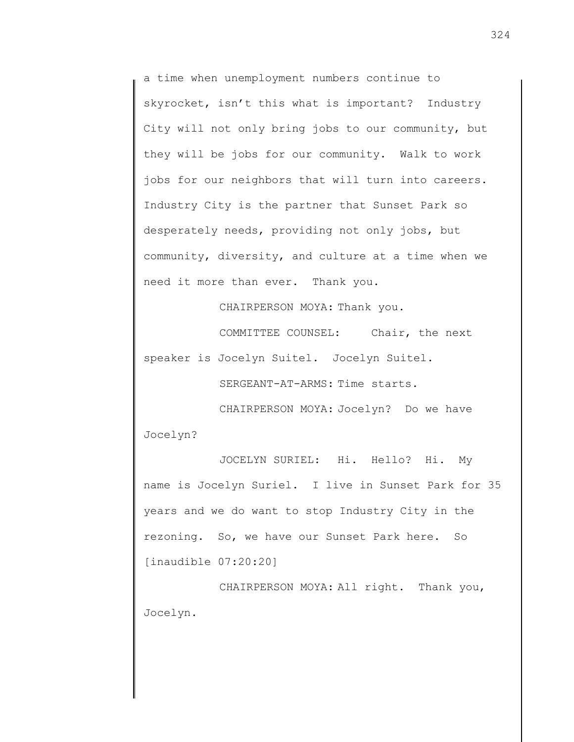a time when unemployment numbers continue to skyrocket, isn't this what is important? Industry City will not only bring jobs to our community, but they will be jobs for our community. Walk to work jobs for our neighbors that will turn into careers. Industry City is the partner that Sunset Park so desperately needs, providing not only jobs, but community, diversity, and culture at a time when we need it more than ever. Thank you.

CHAIRPERSON MOYA: Thank you.

COMMITTEE COUNSEL: Chair, the next speaker is Jocelyn Suitel. Jocelyn Suitel.

SERGEANT-AT-ARMS: Time starts.

CHAIRPERSON MOYA: Jocelyn? Do we have Jocelyn?

JOCELYN SURIEL: Hi. Hello? Hi. My name is Jocelyn Suriel. I live in Sunset Park for 35 years and we do want to stop Industry City in the rezoning. So, we have our Sunset Park here. So [inaudible 07:20:20]

CHAIRPERSON MOYA: All right. Thank you, Jocelyn.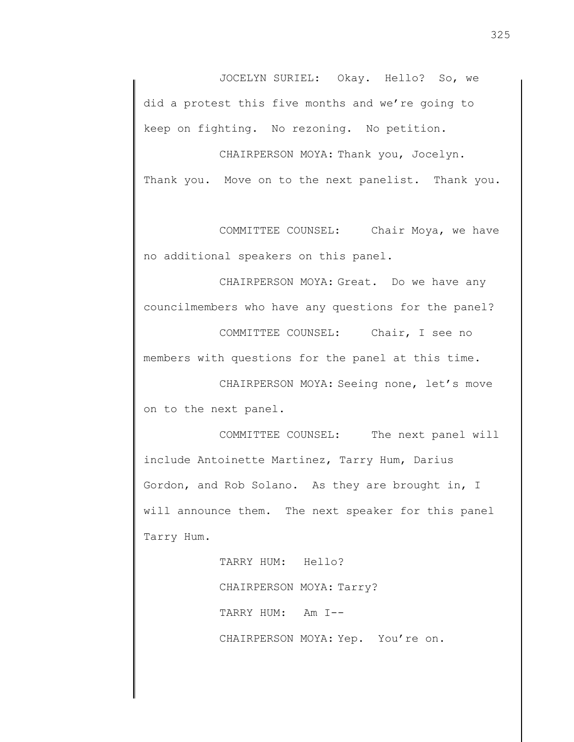JOCELYN SURIEL: Okay. Hello? So, we did a protest this five months and we're going to keep on fighting. No rezoning. No petition.

CHAIRPERSON MOYA: Thank you, Jocelyn. Thank you. Move on to the next panelist. Thank you.

COMMITTEE COUNSEL: Chair Moya, we have no additional speakers on this panel.

CHAIRPERSON MOYA: Great. Do we have any councilmembers who have any questions for the panel?

COMMITTEE COUNSEL: Chair, I see no members with questions for the panel at this time.

CHAIRPERSON MOYA: Seeing none, let's move on to the next panel.

COMMITTEE COUNSEL: The next panel will include Antoinette Martinez, Tarry Hum, Darius Gordon, and Rob Solano. As they are brought in, I will announce them. The next speaker for this panel Tarry Hum.

> TARRY HUM: Hello? CHAIRPERSON MOYA: Tarry? TARRY HUM: Am I-- CHAIRPERSON MOYA: Yep. You're on.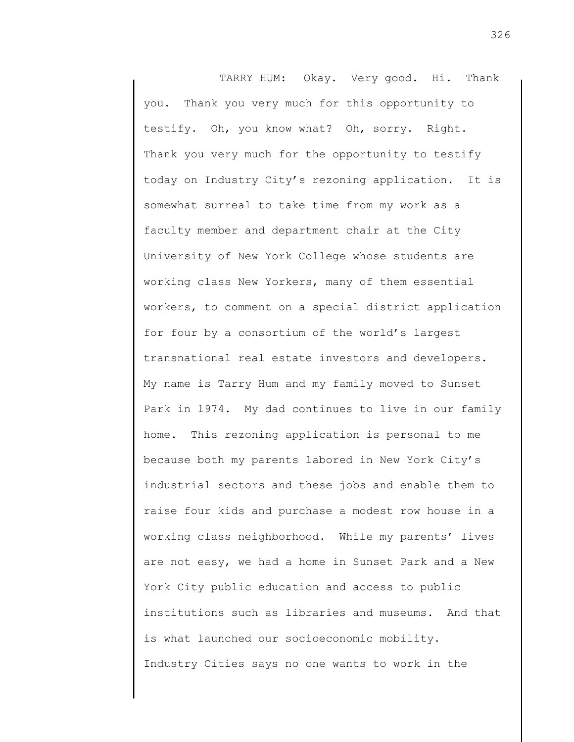TARRY HUM: Okay. Very good. Hi. Thank you. Thank you very much for this opportunity to testify. Oh, you know what? Oh, sorry. Right. Thank you very much for the opportunity to testify today on Industry City's rezoning application. It is somewhat surreal to take time from my work as a faculty member and department chair at the City University of New York College whose students are working class New Yorkers, many of them essential workers, to comment on a special district application for four by a consortium of the world's largest transnational real estate investors and developers. My name is Tarry Hum and my family moved to Sunset Park in 1974. My dad continues to live in our family home. This rezoning application is personal to me because both my parents labored in New York City's industrial sectors and these jobs and enable them to raise four kids and purchase a modest row house in a working class neighborhood. While my parents' lives are not easy, we had a home in Sunset Park and a New York City public education and access to public institutions such as libraries and museums. And that is what launched our socioeconomic mobility. Industry Cities says no one wants to work in the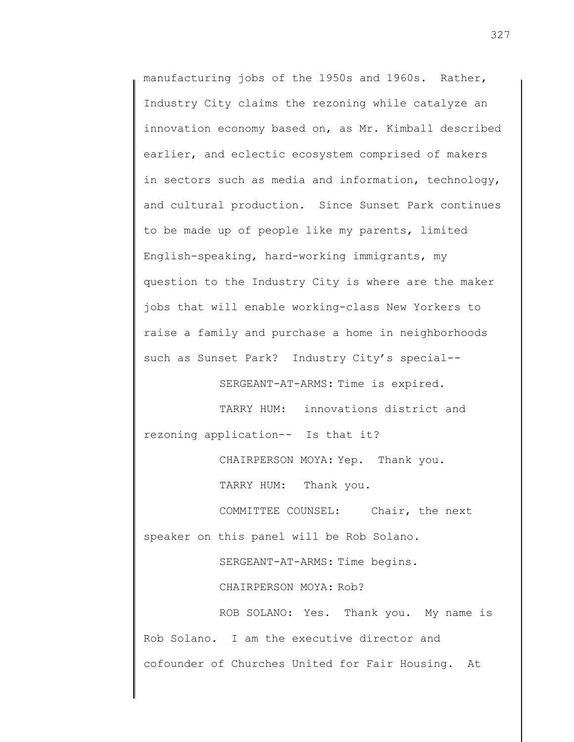manufacturing jobs of the 1950s and 1960s. Rather, Industry City claims the rezoning while catalyze an innovation economy based on, as Mr. Kimball described earlier, and eclectic ecosystem comprised of makers in sectors such as media and information, technology, and cultural production. Since Sunset Park continues to be made up of people like my parents, limited English-speaking, hard-working immigrants, my question to the Industry City is where are the maker jobs that will enable working-class New Yorkers to raise a family and purchase a home in neighborhoods such as Sunset Park? Industry City's special--

SERGEANT-AT-ARMS: Time is expired.

TARRY HUM: innovations district and

rezoning application-- Is that it?

CHAIRPERSON MOYA: Yep. Thank you.

TARRY HUM: Thank you.

COMMITTEE COUNSEL: Chair, the next speaker on this panel will be Rob Solano.

SERGEANT-AT-ARMS: Time begins.

CHAIRPERSON MOYA: Rob?

ROB SOLANO: Yes. Thank you. My name is Rob Solano. I am the executive director and cofounder of Churches United for Fair Housing. At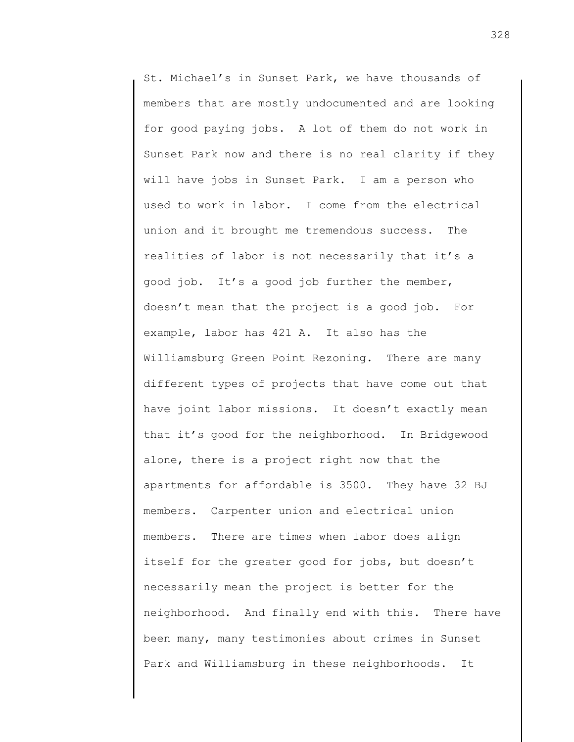St. Michael's in Sunset Park, we have thousands of members that are mostly undocumented and are looking for good paying jobs. A lot of them do not work in Sunset Park now and there is no real clarity if they will have jobs in Sunset Park. I am a person who used to work in labor. I come from the electrical union and it brought me tremendous success. The realities of labor is not necessarily that it's a good job. It's a good job further the member, doesn't mean that the project is a good job. For example, labor has 421 A. It also has the Williamsburg Green Point Rezoning. There are many different types of projects that have come out that have joint labor missions. It doesn't exactly mean that it's good for the neighborhood. In Bridgewood alone, there is a project right now that the apartments for affordable is 3500. They have 32 BJ members. Carpenter union and electrical union members. There are times when labor does align itself for the greater good for jobs, but doesn't necessarily mean the project is better for the neighborhood. And finally end with this. There have been many, many testimonies about crimes in Sunset Park and Williamsburg in these neighborhoods. It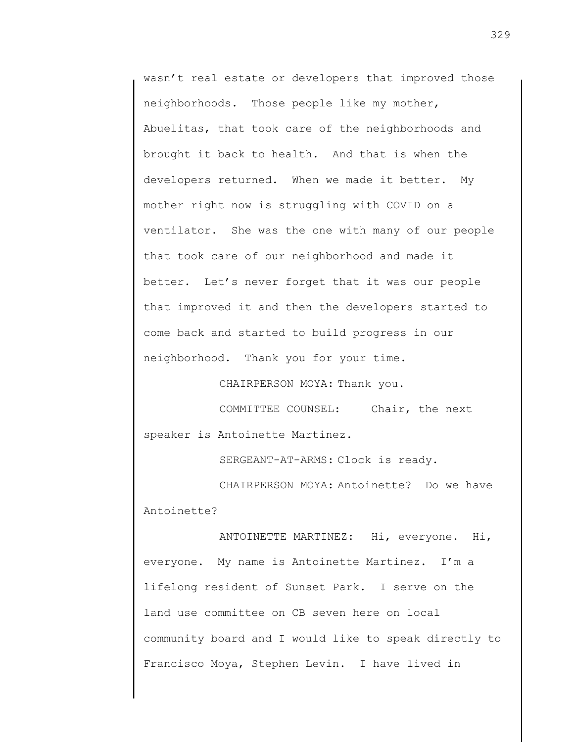wasn't real estate or developers that improved those neighborhoods. Those people like my mother, Abuelitas, that took care of the neighborhoods and brought it back to health. And that is when the developers returned. When we made it better. My mother right now is struggling with COVID on a ventilator. She was the one with many of our people that took care of our neighborhood and made it better. Let's never forget that it was our people that improved it and then the developers started to come back and started to build progress in our neighborhood. Thank you for your time.

CHAIRPERSON MOYA: Thank you.

COMMITTEE COUNSEL: Chair, the next speaker is Antoinette Martinez.

SERGEANT-AT-ARMS: Clock is ready.

CHAIRPERSON MOYA: Antoinette? Do we have Antoinette?

ANTOINETTE MARTINEZ: Hi, everyone. Hi, everyone. My name is Antoinette Martinez. I'm a lifelong resident of Sunset Park. I serve on the land use committee on CB seven here on local community board and I would like to speak directly to Francisco Moya, Stephen Levin. I have lived in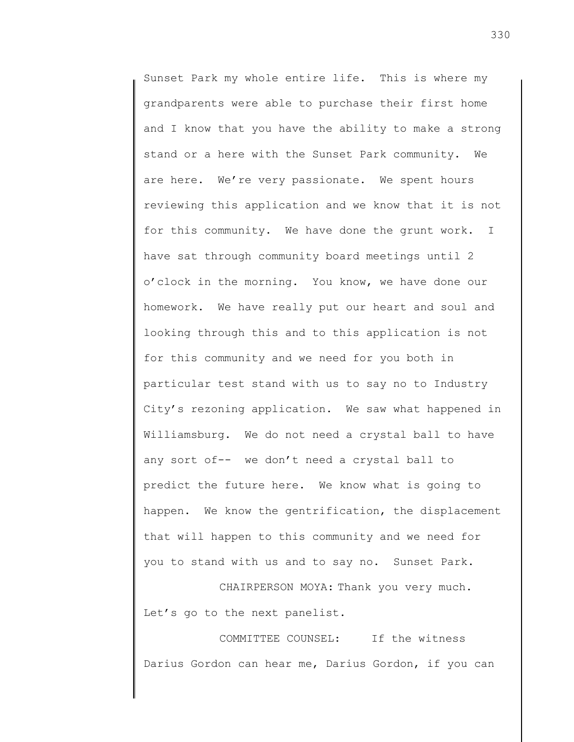Sunset Park my whole entire life. This is where my grandparents were able to purchase their first home and I know that you have the ability to make a strong stand or a here with the Sunset Park community. We are here. We're very passionate. We spent hours reviewing this application and we know that it is not for this community. We have done the grunt work. I have sat through community board meetings until 2 o'clock in the morning. You know, we have done our homework. We have really put our heart and soul and looking through this and to this application is not for this community and we need for you both in particular test stand with us to say no to Industry City's rezoning application. We saw what happened in Williamsburg. We do not need a crystal ball to have any sort of-- we don't need a crystal ball to predict the future here. We know what is going to happen. We know the gentrification, the displacement that will happen to this community and we need for you to stand with us and to say no. Sunset Park.

CHAIRPERSON MOYA: Thank you very much. Let's go to the next panelist.

COMMITTEE COUNSEL: If the witness Darius Gordon can hear me, Darius Gordon, if you can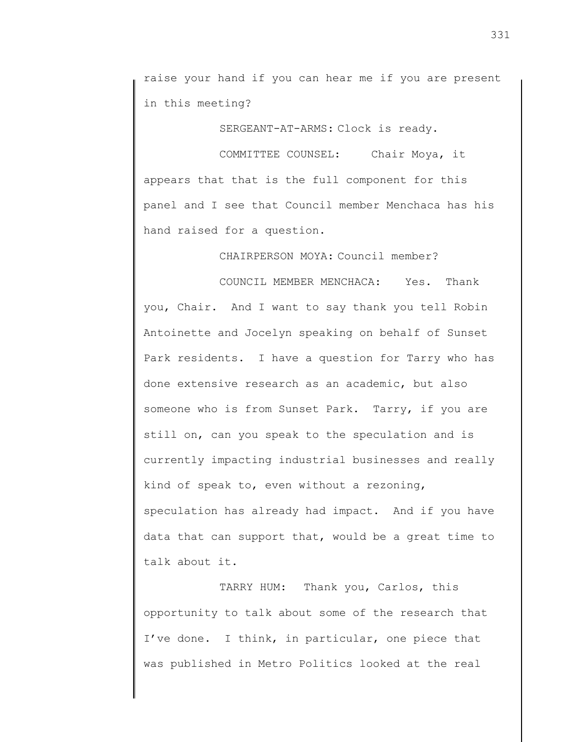raise your hand if you can hear me if you are present in this meeting?

SERGEANT-AT-ARMS: Clock is ready.

COMMITTEE COUNSEL: Chair Moya, it appears that that is the full component for this panel and I see that Council member Menchaca has his hand raised for a question.

CHAIRPERSON MOYA: Council member?

COUNCIL MEMBER MENCHACA: Yes. Thank you, Chair. And I want to say thank you tell Robin Antoinette and Jocelyn speaking on behalf of Sunset Park residents. I have a question for Tarry who has done extensive research as an academic, but also someone who is from Sunset Park. Tarry, if you are still on, can you speak to the speculation and is currently impacting industrial businesses and really kind of speak to, even without a rezoning, speculation has already had impact. And if you have data that can support that, would be a great time to talk about it.

TARRY HUM: Thank you, Carlos, this opportunity to talk about some of the research that I've done. I think, in particular, one piece that was published in Metro Politics looked at the real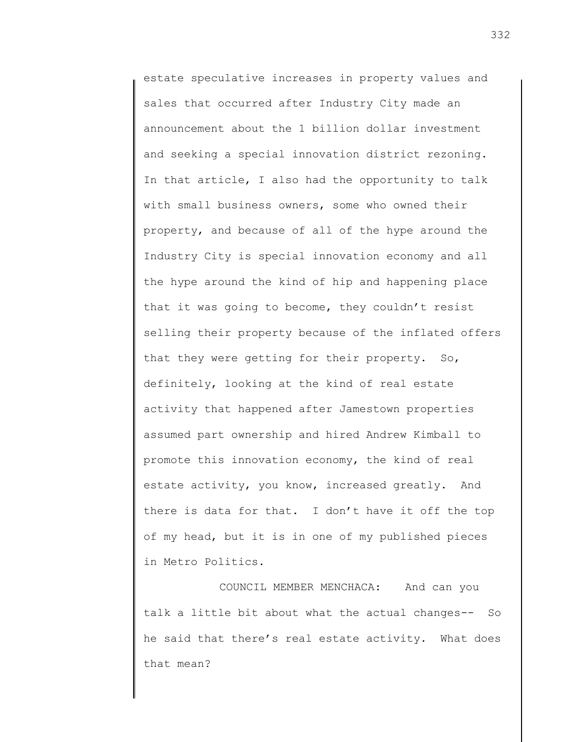estate speculative increases in property values and sales that occurred after Industry City made an announcement about the 1 billion dollar investment and seeking a special innovation district rezoning. In that article, I also had the opportunity to talk with small business owners, some who owned their property, and because of all of the hype around the Industry City is special innovation economy and all the hype around the kind of hip and happening place that it was going to become, they couldn't resist selling their property because of the inflated offers that they were getting for their property. So, definitely, looking at the kind of real estate activity that happened after Jamestown properties assumed part ownership and hired Andrew Kimball to promote this innovation economy, the kind of real estate activity, you know, increased greatly. And there is data for that. I don't have it off the top of my head, but it is in one of my published pieces in Metro Politics.

COUNCIL MEMBER MENCHACA: And can you talk a little bit about what the actual changes-- So he said that there's real estate activity. What does that mean?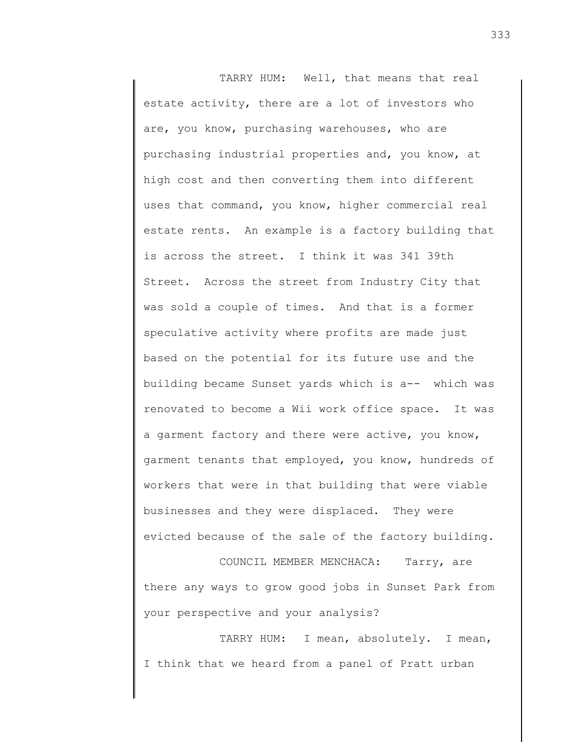TARRY HUM: Well, that means that real estate activity, there are a lot of investors who are, you know, purchasing warehouses, who are purchasing industrial properties and, you know, at high cost and then converting them into different uses that command, you know, higher commercial real estate rents. An example is a factory building that is across the street. I think it was 341 39th Street. Across the street from Industry City that was sold a couple of times. And that is a former speculative activity where profits are made just based on the potential for its future use and the building became Sunset yards which is a-- which was renovated to become a Wii work office space. It was a garment factory and there were active, you know, garment tenants that employed, you know, hundreds of workers that were in that building that were viable businesses and they were displaced. They were evicted because of the sale of the factory building.

COUNCIL MEMBER MENCHACA: Tarry, are there any ways to grow good jobs in Sunset Park from your perspective and your analysis?

TARRY HUM: I mean, absolutely. I mean, I think that we heard from a panel of Pratt urban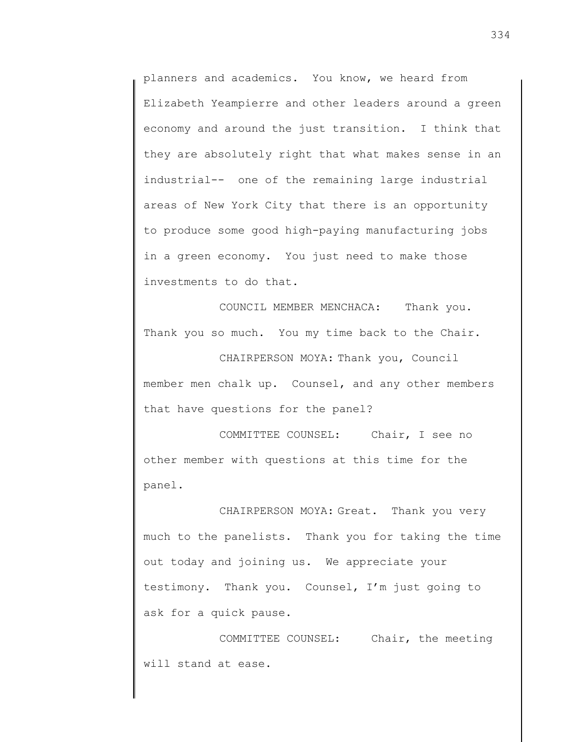planners and academics. You know, we heard from Elizabeth Yeampierre and other leaders around a green economy and around the just transition. I think that they are absolutely right that what makes sense in an industrial-- one of the remaining large industrial areas of New York City that there is an opportunity to produce some good high-paying manufacturing jobs in a green economy. You just need to make those investments to do that.

COUNCIL MEMBER MENCHACA: Thank you. Thank you so much. You my time back to the Chair.

CHAIRPERSON MOYA: Thank you, Council member men chalk up. Counsel, and any other members that have questions for the panel?

COMMITTEE COUNSEL: Chair, I see no other member with questions at this time for the panel.

CHAIRPERSON MOYA: Great. Thank you very much to the panelists. Thank you for taking the time out today and joining us. We appreciate your testimony. Thank you. Counsel, I'm just going to ask for a quick pause.

COMMITTEE COUNSEL: Chair, the meeting will stand at ease.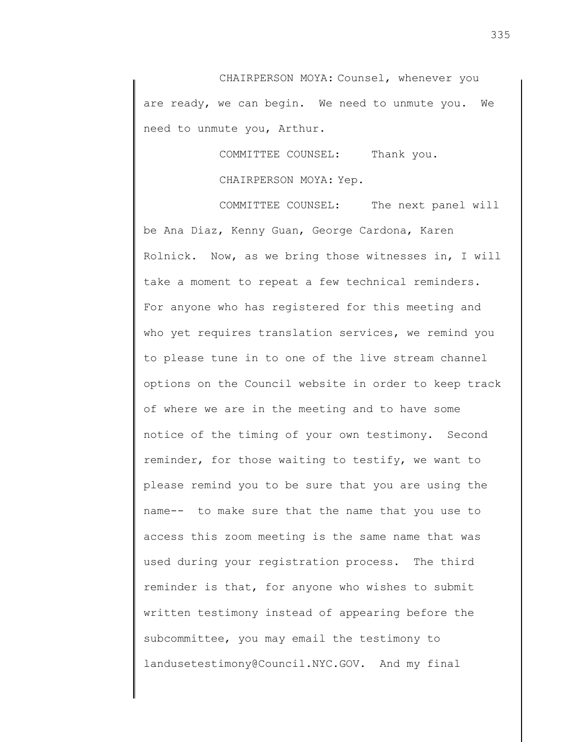CHAIRPERSON MOYA: Counsel, whenever you are ready, we can begin. We need to unmute you. We need to unmute you, Arthur.

COMMITTEE COUNSEL: Thank you.

CHAIRPERSON MOYA: Yep.

COMMITTEE COUNSEL: The next panel will be Ana Diaz, Kenny Guan, George Cardona, Karen Rolnick. Now, as we bring those witnesses in, I will take a moment to repeat a few technical reminders. For anyone who has registered for this meeting and who yet requires translation services, we remind you to please tune in to one of the live stream channel options on the Council website in order to keep track of where we are in the meeting and to have some notice of the timing of your own testimony. Second reminder, for those waiting to testify, we want to please remind you to be sure that you are using the name-- to make sure that the name that you use to access this zoom meeting is the same name that was used during your registration process. The third reminder is that, for anyone who wishes to submit written testimony instead of appearing before the subcommittee, you may email the testimony to landusetestimony@Council.NYC.GOV. And my final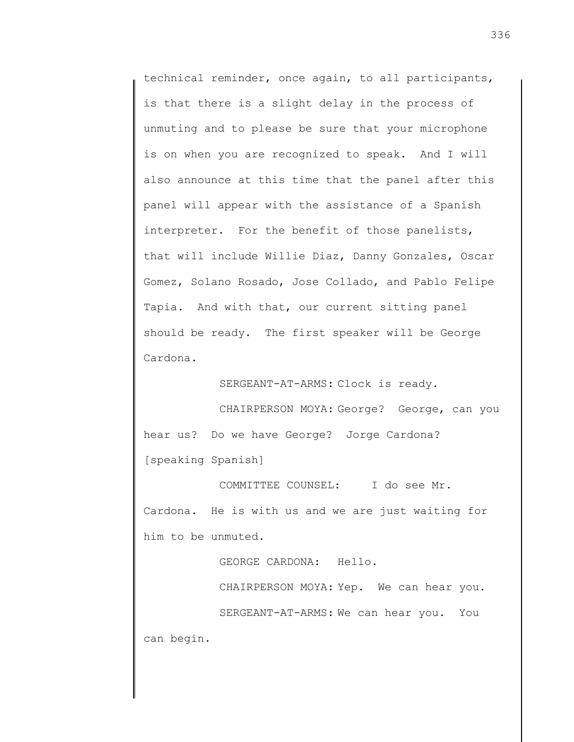technical reminder, once again, to all participants, is that there is a slight delay in the process of unmuting and to please be sure that your microphone is on when you are recognized to speak. And I will also announce at this time that the panel after this panel will appear with the assistance of a Spanish interpreter. For the benefit of those panelists, that will include Willie Diaz, Danny Gonzales, Oscar Gomez, Solano Rosado, Jose Collado, and Pablo Felipe Tapia. And with that, our current sitting panel should be ready. The first speaker will be George Cardona.

SERGEANT-AT-ARMS: Clock is ready.

CHAIRPERSON MOYA: George? George, can you hear us? Do we have George? Jorge Cardona? [speaking Spanish]

COMMITTEE COUNSEL: I do see Mr. Cardona. He is with us and we are just waiting for him to be unmuted.

GEORGE CARDONA: Hello.

CHAIRPERSON MOYA: Yep. We can hear you. SERGEANT-AT-ARMS: We can hear you. You

can begin.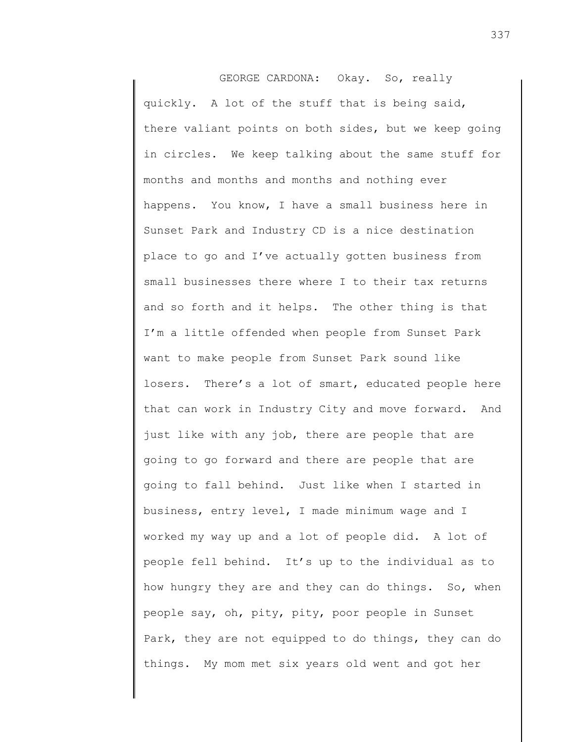GEORGE CARDONA: Okay. So, really quickly. A lot of the stuff that is being said, there valiant points on both sides, but we keep going in circles. We keep talking about the same stuff for months and months and months and nothing ever happens. You know, I have a small business here in Sunset Park and Industry CD is a nice destination place to go and I've actually gotten business from small businesses there where I to their tax returns and so forth and it helps. The other thing is that I'm a little offended when people from Sunset Park want to make people from Sunset Park sound like losers. There's a lot of smart, educated people here that can work in Industry City and move forward. And just like with any job, there are people that are going to go forward and there are people that are going to fall behind. Just like when I started in business, entry level, I made minimum wage and I worked my way up and a lot of people did. A lot of people fell behind. It's up to the individual as to how hungry they are and they can do things. So, when people say, oh, pity, pity, poor people in Sunset Park, they are not equipped to do things, they can do things. My mom met six years old went and got her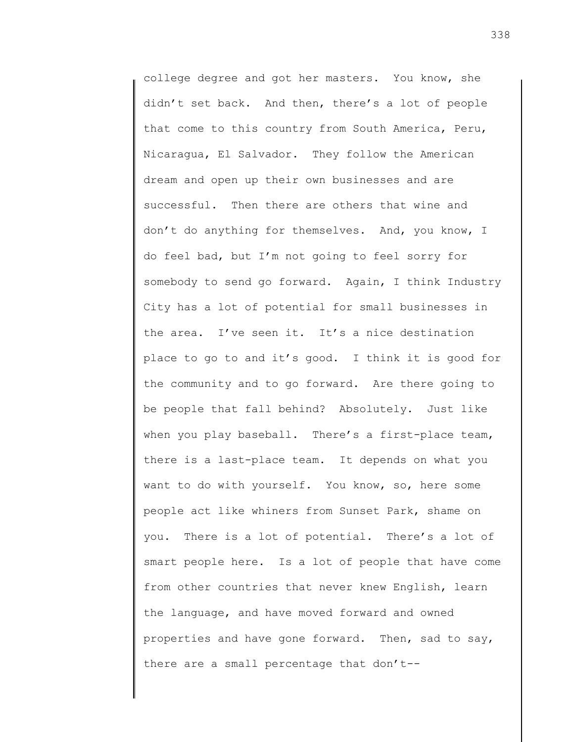college degree and got her masters. You know, she didn't set back. And then, there's a lot of people that come to this country from South America, Peru, Nicaragua, El Salvador. They follow the American dream and open up their own businesses and are successful. Then there are others that wine and don't do anything for themselves. And, you know, I do feel bad, but I'm not going to feel sorry for somebody to send go forward. Again, I think Industry City has a lot of potential for small businesses in the area. I've seen it. It's a nice destination place to go to and it's good. I think it is good for the community and to go forward. Are there going to be people that fall behind? Absolutely. Just like when you play baseball. There's a first-place team, there is a last-place team. It depends on what you want to do with yourself. You know, so, here some people act like whiners from Sunset Park, shame on you. There is a lot of potential. There's a lot of smart people here. Is a lot of people that have come from other countries that never knew English, learn the language, and have moved forward and owned properties and have gone forward. Then, sad to say, there are a small percentage that don't--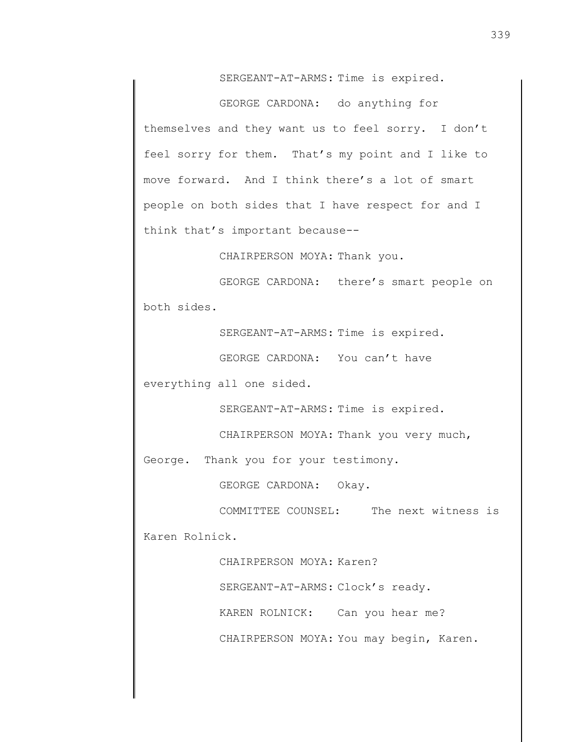SERGEANT-AT-ARMS: Time is expired.

GEORGE CARDONA: do anything for themselves and they want us to feel sorry. I don't feel sorry for them. That's my point and I like to move forward. And I think there's a lot of smart people on both sides that I have respect for and I think that's important because--

CHAIRPERSON MOYA: Thank you.

GEORGE CARDONA: there's smart people on both sides.

SERGEANT-AT-ARMS: Time is expired.

GEORGE CARDONA: You can't have

everything all one sided.

SERGEANT-AT-ARMS: Time is expired.

CHAIRPERSON MOYA: Thank you very much,

George. Thank you for your testimony.

GEORGE CARDONA: Okay.

COMMITTEE COUNSEL: The next witness is Karen Rolnick.

> CHAIRPERSON MOYA: Karen? SERGEANT-AT-ARMS: Clock's ready. KAREN ROLNICK: Can you hear me?

CHAIRPERSON MOYA: You may begin, Karen.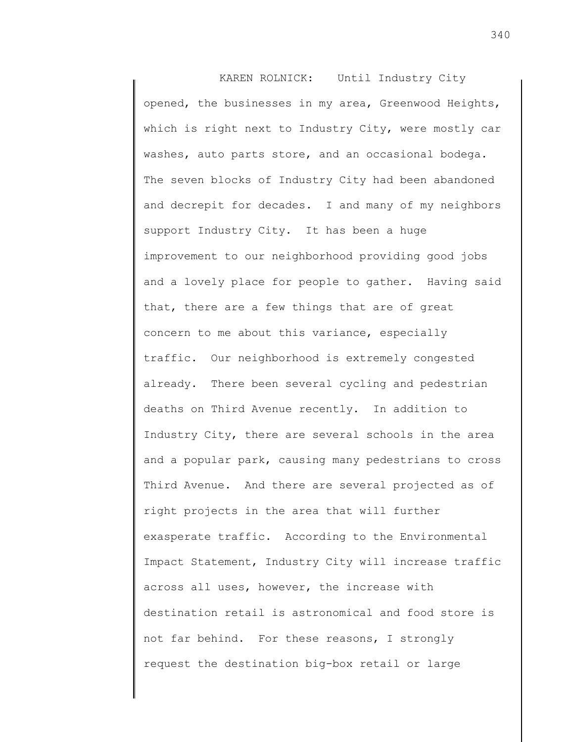KAREN ROLNICK: Until Industry City opened, the businesses in my area, Greenwood Heights, which is right next to Industry City, were mostly car washes, auto parts store, and an occasional bodega. The seven blocks of Industry City had been abandoned and decrepit for decades. I and many of my neighbors support Industry City. It has been a huge improvement to our neighborhood providing good jobs and a lovely place for people to gather. Having said that, there are a few things that are of great concern to me about this variance, especially traffic. Our neighborhood is extremely congested already. There been several cycling and pedestrian deaths on Third Avenue recently. In addition to Industry City, there are several schools in the area and a popular park, causing many pedestrians to cross Third Avenue. And there are several projected as of right projects in the area that will further exasperate traffic. According to the Environmental Impact Statement, Industry City will increase traffic across all uses, however, the increase with destination retail is astronomical and food store is not far behind. For these reasons, I strongly request the destination big-box retail or large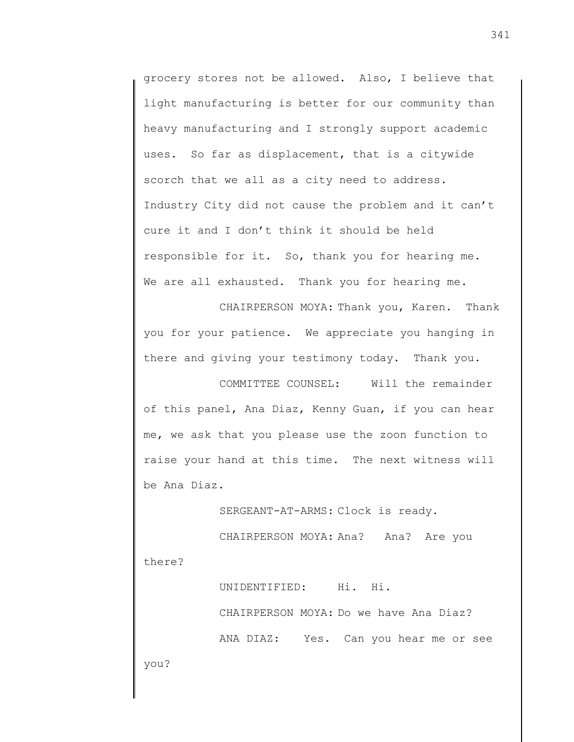grocery stores not be allowed. Also, I believe that light manufacturing is better for our community than heavy manufacturing and I strongly support academic uses. So far as displacement, that is a citywide scorch that we all as a city need to address. Industry City did not cause the problem and it can't cure it and I don't think it should be held responsible for it. So, thank you for hearing me. We are all exhausted. Thank you for hearing me.

CHAIRPERSON MOYA: Thank you, Karen. Thank you for your patience. We appreciate you hanging in there and giving your testimony today. Thank you.

COMMITTEE COUNSEL: Will the remainder of this panel, Ana Diaz, Kenny Guan, if you can hear me, we ask that you please use the zoon function to raise your hand at this time. The next witness will be Ana Diaz.

SERGEANT-AT-ARMS: Clock is ready.

CHAIRPERSON MOYA: Ana? Ana? Are you there?

> UNIDENTIFIED: Hi. Hi. CHAIRPERSON MOYA: Do we have Ana Diaz? ANA DIAZ: Yes. Can you hear me or see

you?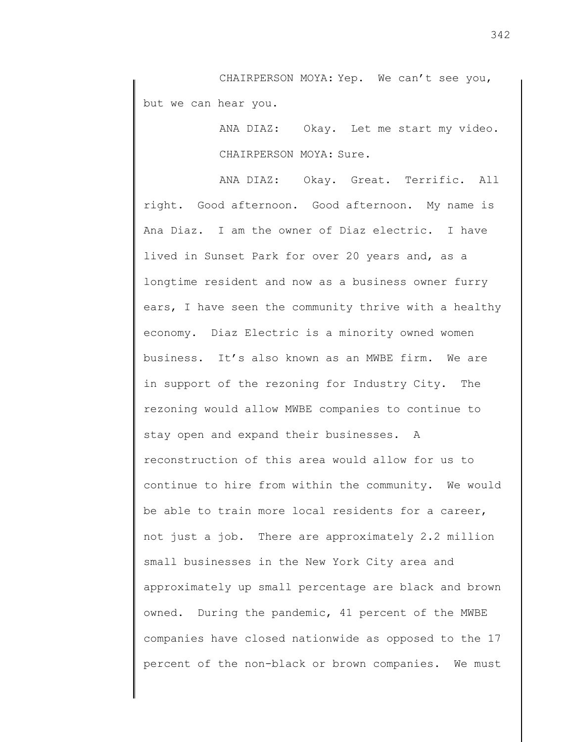CHAIRPERSON MOYA: Yep. We can't see you, but we can hear you.

> ANA DIAZ: Okay. Let me start my video. CHAIRPERSON MOYA: Sure.

ANA DIAZ: Okay. Great. Terrific. All right. Good afternoon. Good afternoon. My name is Ana Diaz. I am the owner of Diaz electric. I have lived in Sunset Park for over 20 years and, as a longtime resident and now as a business owner furry ears, I have seen the community thrive with a healthy economy. Diaz Electric is a minority owned women business. It's also known as an MWBE firm. We are in support of the rezoning for Industry City. The rezoning would allow MWBE companies to continue to stay open and expand their businesses. A reconstruction of this area would allow for us to continue to hire from within the community. We would be able to train more local residents for a career, not just a job. There are approximately 2.2 million small businesses in the New York City area and approximately up small percentage are black and brown owned. During the pandemic, 41 percent of the MWBE companies have closed nationwide as opposed to the 17 percent of the non-black or brown companies. We must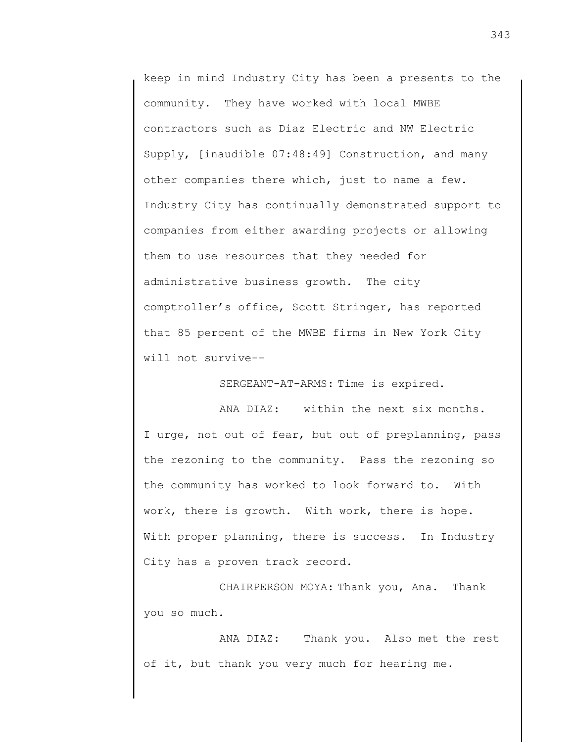keep in mind Industry City has been a presents to the community. They have worked with local MWBE contractors such as Diaz Electric and NW Electric Supply, [inaudible 07:48:49] Construction, and many other companies there which, just to name a few. Industry City has continually demonstrated support to companies from either awarding projects or allowing them to use resources that they needed for administrative business growth. The city comptroller's office, Scott Stringer, has reported that 85 percent of the MWBE firms in New York City will not survive--

SERGEANT-AT-ARMS: Time is expired.

ANA DIAZ: within the next six months. I urge, not out of fear, but out of preplanning, pass the rezoning to the community. Pass the rezoning so the community has worked to look forward to. With work, there is growth. With work, there is hope. With proper planning, there is success. In Industry City has a proven track record.

CHAIRPERSON MOYA: Thank you, Ana. Thank you so much.

ANA DIAZ: Thank you. Also met the rest of it, but thank you very much for hearing me.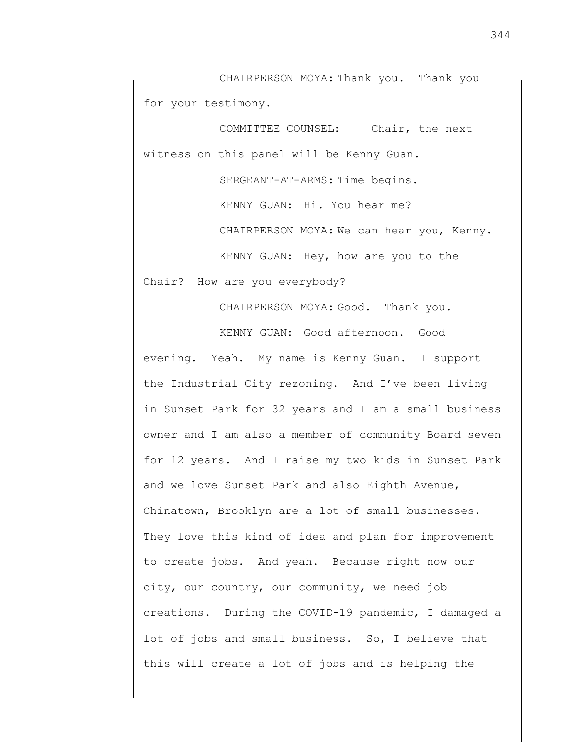CHAIRPERSON MOYA: Thank you. Thank you for your testimony.

COMMITTEE COUNSEL: Chair, the next witness on this panel will be Kenny Guan.

> SERGEANT-AT-ARMS: Time begins. KENNY GUAN: Hi. You hear me? CHAIRPERSON MOYA: We can hear you, Kenny. KENNY GUAN: Hey, how are you to the

Chair? How are you everybody?

CHAIRPERSON MOYA: Good. Thank you. KENNY GUAN: Good afternoon. Good evening. Yeah. My name is Kenny Guan. I support the Industrial City rezoning. And I've been living in Sunset Park for 32 years and I am a small business owner and I am also a member of community Board seven for 12 years. And I raise my two kids in Sunset Park and we love Sunset Park and also Eighth Avenue, Chinatown, Brooklyn are a lot of small businesses. They love this kind of idea and plan for improvement to create jobs. And yeah. Because right now our city, our country, our community, we need job creations. During the COVID-19 pandemic, I damaged a lot of jobs and small business. So, I believe that this will create a lot of jobs and is helping the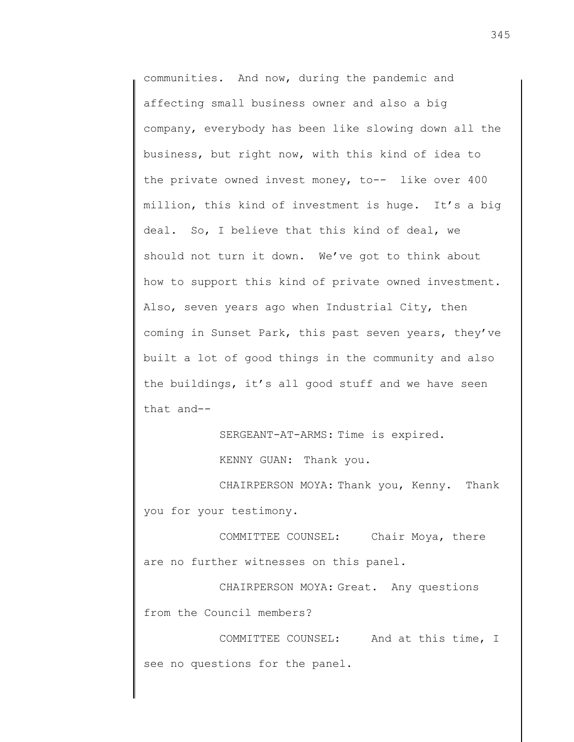communities. And now, during the pandemic and affecting small business owner and also a big company, everybody has been like slowing down all the business, but right now, with this kind of idea to the private owned invest money, to-- like over 400 million, this kind of investment is huge. It's a big deal. So, I believe that this kind of deal, we should not turn it down. We've got to think about how to support this kind of private owned investment. Also, seven years ago when Industrial City, then coming in Sunset Park, this past seven years, they've built a lot of good things in the community and also the buildings, it's all good stuff and we have seen that and--

SERGEANT-AT-ARMS: Time is expired.

KENNY GUAN: Thank you.

CHAIRPERSON MOYA: Thank you, Kenny. Thank you for your testimony.

COMMITTEE COUNSEL: Chair Moya, there are no further witnesses on this panel.

CHAIRPERSON MOYA: Great. Any questions from the Council members?

COMMITTEE COUNSEL: And at this time, I see no questions for the panel.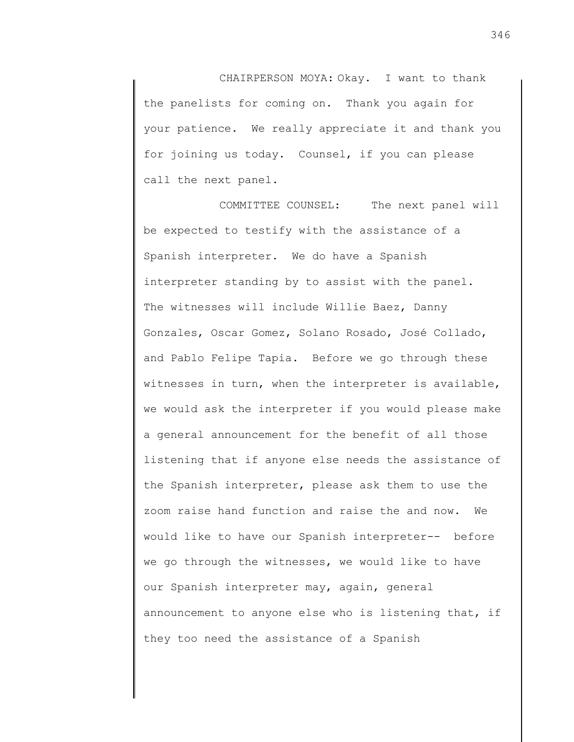CHAIRPERSON MOYA: Okay. I want to thank the panelists for coming on. Thank you again for your patience. We really appreciate it and thank you for joining us today. Counsel, if you can please call the next panel.

COMMITTEE COUNSEL: The next panel will be expected to testify with the assistance of a Spanish interpreter. We do have a Spanish interpreter standing by to assist with the panel. The witnesses will include Willie Baez, Danny Gonzales, Oscar Gomez, Solano Rosado, José Collado, and Pablo Felipe Tapia. Before we go through these witnesses in turn, when the interpreter is available, we would ask the interpreter if you would please make a general announcement for the benefit of all those listening that if anyone else needs the assistance of the Spanish interpreter, please ask them to use the zoom raise hand function and raise the and now. We would like to have our Spanish interpreter-- before we go through the witnesses, we would like to have our Spanish interpreter may, again, general announcement to anyone else who is listening that, if they too need the assistance of a Spanish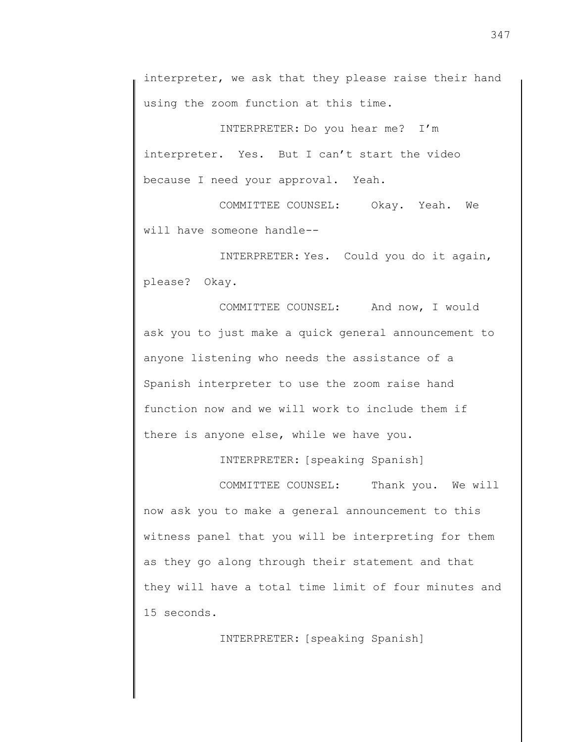interpreter, we ask that they please raise their hand using the zoom function at this time.

INTERPRETER: Do you hear me? I'm interpreter. Yes. But I can't start the video because I need your approval. Yeah.

COMMITTEE COUNSEL: Okay. Yeah. We will have someone handle--

INTERPRETER: Yes. Could you do it again, please? Okay.

COMMITTEE COUNSEL: And now, I would ask you to just make a quick general announcement to anyone listening who needs the assistance of a Spanish interpreter to use the zoom raise hand function now and we will work to include them if there is anyone else, while we have you.

INTERPRETER: [speaking Spanish]

COMMITTEE COUNSEL: Thank you. We will now ask you to make a general announcement to this witness panel that you will be interpreting for them as they go along through their statement and that they will have a total time limit of four minutes and 15 seconds.

INTERPRETER: [speaking Spanish]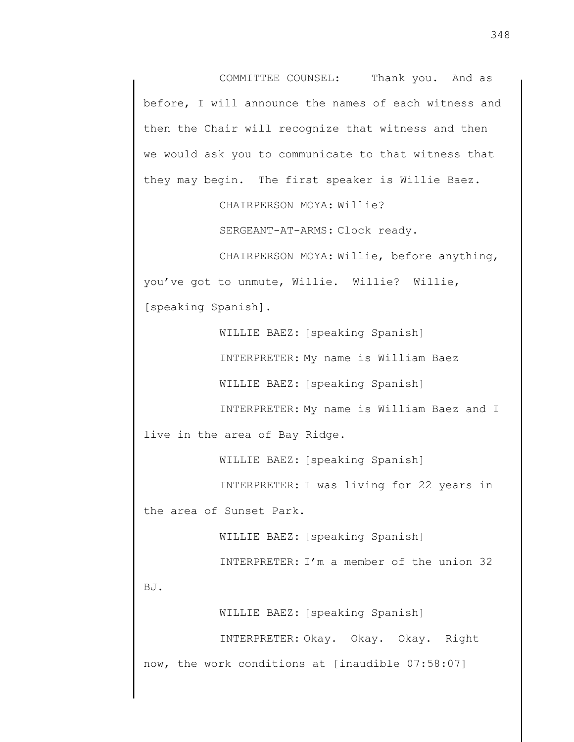COMMITTEE COUNSEL: Thank you. And as before, I will announce the names of each witness and then the Chair will recognize that witness and then we would ask you to communicate to that witness that they may begin. The first speaker is Willie Baez.

CHAIRPERSON MOYA: Willie?

SERGEANT-AT-ARMS: Clock ready.

CHAIRPERSON MOYA: Willie, before anything, you've got to unmute, Willie. Willie? Willie, [speaking Spanish].

> WILLIE BAEZ: [speaking Spanish] INTERPRETER: My name is William Baez

WILLIE BAEZ: [speaking Spanish]

INTERPRETER: My name is William Baez and I

live in the area of Bay Ridge.

WILLIE BAEZ: [speaking Spanish]

INTERPRETER: I was living for 22 years in the area of Sunset Park.

WILLIE BAEZ: [speaking Spanish]

INTERPRETER: I'm a member of the union 32

BJ.

WILLIE BAEZ: [speaking Spanish]

INTERPRETER: Okay. Okay. Okay. Right now, the work conditions at [inaudible 07:58:07]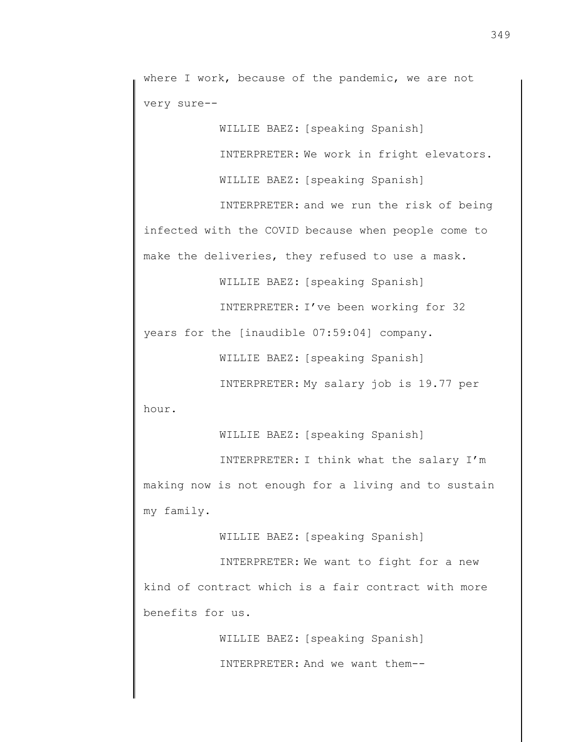where I work, because of the pandemic, we are not very sure--

WILLIE BAEZ: [speaking Spanish]

INTERPRETER: We work in fright elevators.

WILLIE BAEZ: [speaking Spanish]

INTERPRETER: and we run the risk of being infected with the COVID because when people come to make the deliveries, they refused to use a mask.

WILLIE BAEZ: [speaking Spanish]

INTERPRETER: I've been working for 32

years for the [inaudible 07:59:04] company.

WILLIE BAEZ: [speaking Spanish]

INTERPRETER: My salary job is 19.77 per hour.

WILLIE BAEZ: [speaking Spanish]

INTERPRETER: I think what the salary I'm making now is not enough for a living and to sustain my family.

WILLIE BAEZ: [speaking Spanish]

INTERPRETER: We want to fight for a new kind of contract which is a fair contract with more benefits for us.

> WILLIE BAEZ: [speaking Spanish] INTERPRETER: And we want them--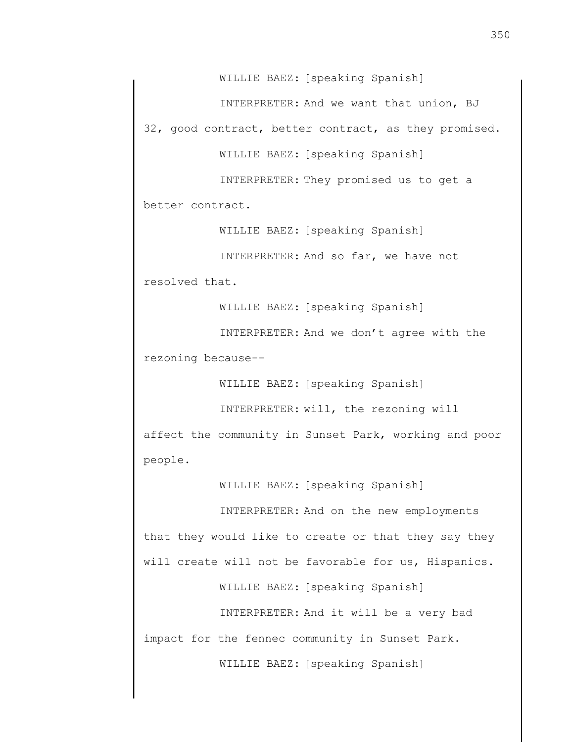WILLIE BAEZ: [speaking Spanish]

INTERPRETER: And we want that union, BJ

32, good contract, better contract, as they promised.

WILLIE BAEZ: [speaking Spanish]

INTERPRETER: They promised us to get a

better contract.

WILLIE BAEZ: [speaking Spanish]

INTERPRETER: And so far, we have not resolved that.

WILLIE BAEZ: [speaking Spanish]

INTERPRETER: And we don't agree with the rezoning because--

WILLIE BAEZ: [speaking Spanish]

INTERPRETER: will, the rezoning will

affect the community in Sunset Park, working and poor people.

WILLIE BAEZ: [speaking Spanish]

INTERPRETER: And on the new employments that they would like to create or that they say they will create will not be favorable for us, Hispanics.

WILLIE BAEZ: [speaking Spanish]

INTERPRETER: And it will be a very bad

impact for the fennec community in Sunset Park.

WILLIE BAEZ: [speaking Spanish]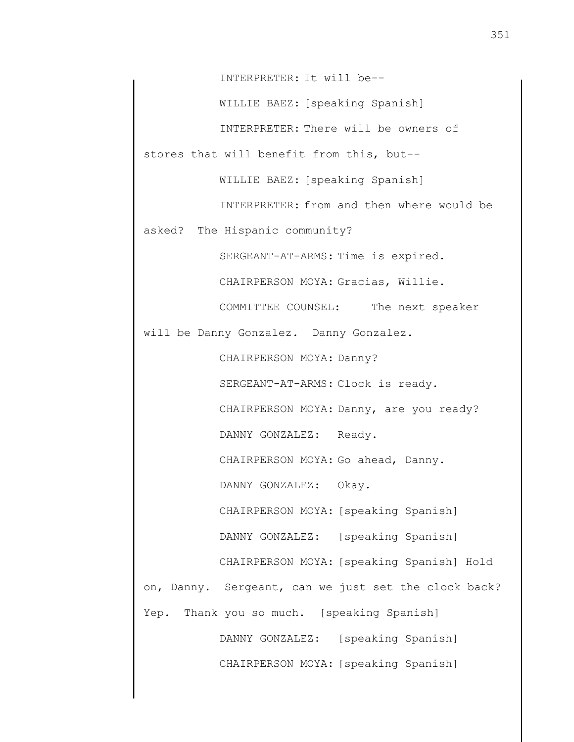INTERPRETER: It will be--

WILLIE BAEZ: [speaking Spanish]

INTERPRETER: There will be owners of

stores that will benefit from this, but--

WILLIE BAEZ: [speaking Spanish]

INTERPRETER: from and then where would be

asked? The Hispanic community?

SERGEANT-AT-ARMS: Time is expired.

CHAIRPERSON MOYA: Gracias, Willie.

COMMITTEE COUNSEL: The next speaker

will be Danny Gonzalez. Danny Gonzalez.

CHAIRPERSON MOYA: Danny?

SERGEANT-AT-ARMS: Clock is ready.

CHAIRPERSON MOYA: Danny, are you ready?

DANNY GONZALEZ: Ready.

CHAIRPERSON MOYA: Go ahead, Danny.

DANNY GONZALEZ: Okay.

CHAIRPERSON MOYA: [speaking Spanish]

DANNY GONZALEZ: [speaking Spanish]

CHAIRPERSON MOYA: [speaking Spanish] Hold on, Danny. Sergeant, can we just set the clock back?

Yep. Thank you so much. [speaking Spanish]

DANNY GONZALEZ: [speaking Spanish] CHAIRPERSON MOYA: [speaking Spanish]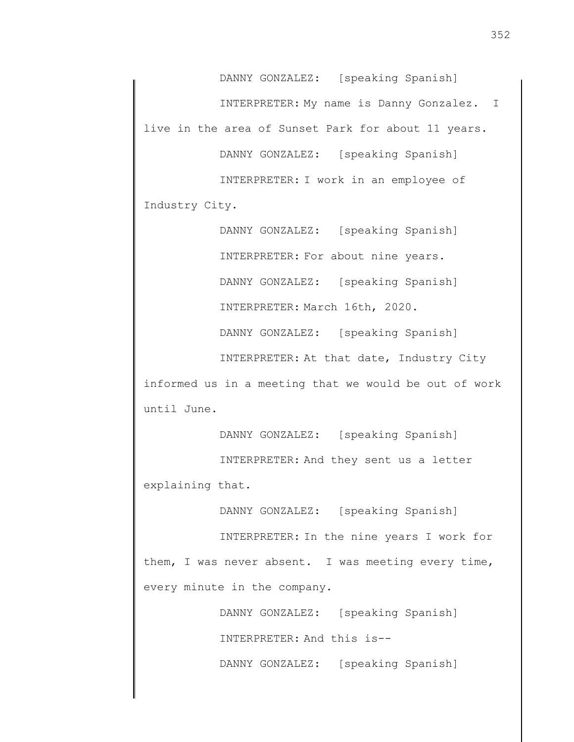DANNY GONZALEZ: [speaking Spanish] INTERPRETER: My name is Danny Gonzalez. I live in the area of Sunset Park for about 11 years. DANNY GONZALEZ: [speaking Spanish]

INTERPRETER: I work in an employee of Industry City.

> DANNY GONZALEZ: [speaking Spanish] INTERPRETER: For about nine years. DANNY GONZALEZ: [speaking Spanish] INTERPRETER: March 16th, 2020. DANNY GONZALEZ: [speaking Spanish] INTERPRETER: At that date, Industry City

informed us in a meeting that we would be out of work until June.

DANNY GONZALEZ: [speaking Spanish] INTERPRETER: And they sent us a letter explaining that.

DANNY GONZALEZ: [speaking Spanish]

INTERPRETER: In the nine years I work for them, I was never absent. I was meeting every time, every minute in the company.

> DANNY GONZALEZ: [speaking Spanish] INTERPRETER: And this is--

> DANNY GONZALEZ: [speaking Spanish]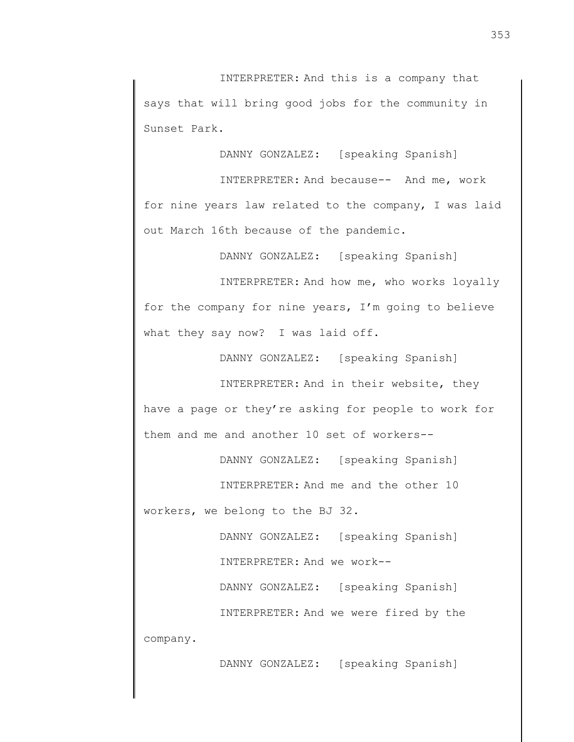INTERPRETER: And this is a company that says that will bring good jobs for the community in Sunset Park.

DANNY GONZALEZ: [speaking Spanish]

INTERPRETER: And because-- And me, work for nine years law related to the company, I was laid out March 16th because of the pandemic.

DANNY GONZALEZ: [speaking Spanish]

INTERPRETER: And how me, who works loyally for the company for nine years, I'm going to believe what they say now? I was laid off.

DANNY GONZALEZ: [speaking Spanish]

INTERPRETER: And in their website, they have a page or they're asking for people to work for them and me and another 10 set of workers--

DANNY GONZALEZ: [speaking Spanish]

INTERPRETER: And me and the other 10

workers, we belong to the BJ 32.

DANNY GONZALEZ: [speaking Spanish] INTERPRETER: And we work--

INTERPRETER: And we were fired by the

DANNY GONZALEZ: [speaking Spanish]

company.

DANNY GONZALEZ: [speaking Spanish]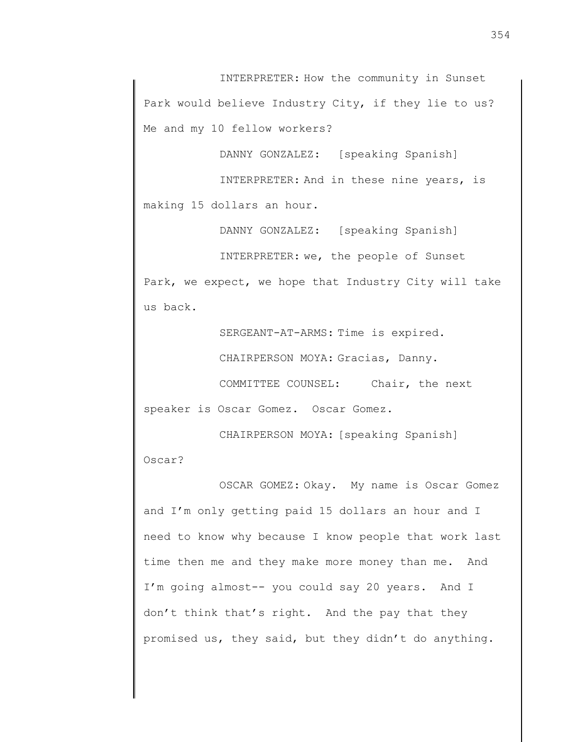INTERPRETER: How the community in Sunset Park would believe Industry City, if they lie to us? Me and my 10 fellow workers?

DANNY GONZALEZ: [speaking Spanish]

INTERPRETER: And in these nine years, is making 15 dollars an hour.

DANNY GONZALEZ: [speaking Spanish]

INTERPRETER: we, the people of Sunset Park, we expect, we hope that Industry City will take us back.

SERGEANT-AT-ARMS: Time is expired.

CHAIRPERSON MOYA: Gracias, Danny.

COMMITTEE COUNSEL: Chair, the next speaker is Oscar Gomez. Oscar Gomez.

CHAIRPERSON MOYA: [speaking Spanish] Oscar?

OSCAR GOMEZ: Okay. My name is Oscar Gomez and I'm only getting paid 15 dollars an hour and I need to know why because I know people that work last time then me and they make more money than me. And I'm going almost-- you could say 20 years. And I don't think that's right. And the pay that they promised us, they said, but they didn't do anything.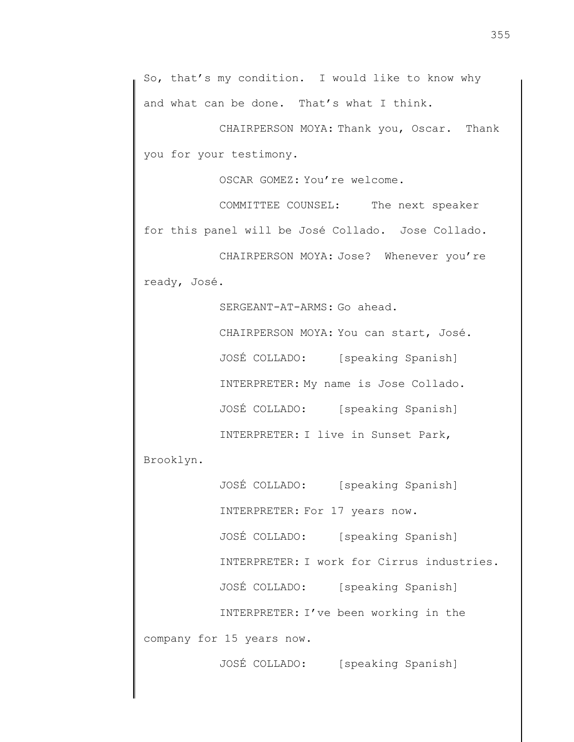So, that's my condition. I would like to know why and what can be done. That's what I think.

CHAIRPERSON MOYA: Thank you, Oscar. Thank you for your testimony.

OSCAR GOMEZ: You're welcome.

COMMITTEE COUNSEL: The next speaker for this panel will be José Collado. Jose Collado.

CHAIRPERSON MOYA: Jose? Whenever you're ready, José.

> SERGEANT-AT-ARMS: Go ahead. CHAIRPERSON MOYA: You can start, José. JOSÉ COLLADO: [speaking Spanish] INTERPRETER: My name is Jose Collado. JOSÉ COLLADO: [speaking Spanish] INTERPRETER: I live in Sunset Park,

Brooklyn.

JOSÉ COLLADO: [speaking Spanish] INTERPRETER: For 17 years now. JOSÉ COLLADO: [speaking Spanish] INTERPRETER: I work for Cirrus industries. JOSÉ COLLADO: [speaking Spanish] INTERPRETER: I've been working in the company for 15 years now.

JOSÉ COLLADO: [speaking Spanish]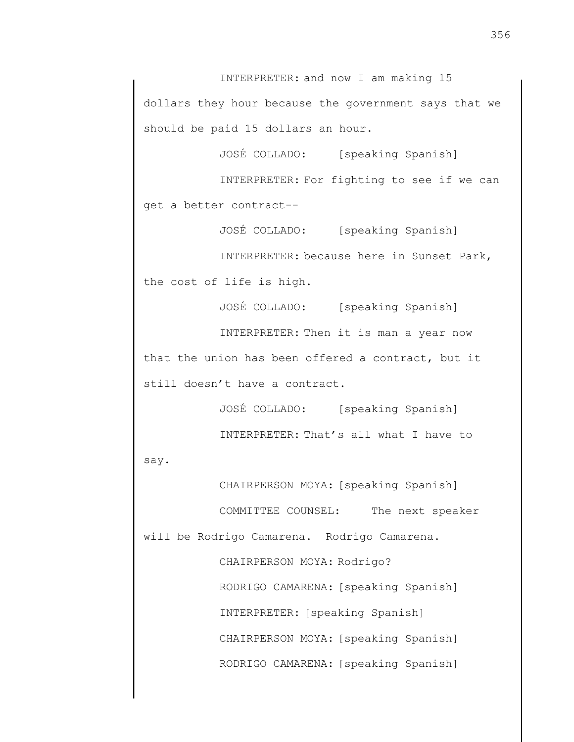INTERPRETER: and now I am making 15 dollars they hour because the government says that we should be paid 15 dollars an hour.

JOSÉ COLLADO: [speaking Spanish]

INTERPRETER: For fighting to see if we can get a better contract--

JOSÉ COLLADO: [speaking Spanish] INTERPRETER: because here in Sunset Park, the cost of life is high.

JOSÉ COLLADO: [speaking Spanish] INTERPRETER: Then it is man a year now that the union has been offered a contract, but it still doesn't have a contract.

> JOSÉ COLLADO: [speaking Spanish] INTERPRETER: That's all what I have to

say.

CHAIRPERSON MOYA: [speaking Spanish] COMMITTEE COUNSEL: The next speaker will be Rodrigo Camarena. Rodrigo Camarena.

> CHAIRPERSON MOYA: Rodrigo? RODRIGO CAMARENA: [speaking Spanish] INTERPRETER: [speaking Spanish] CHAIRPERSON MOYA: [speaking Spanish] RODRIGO CAMARENA: [speaking Spanish]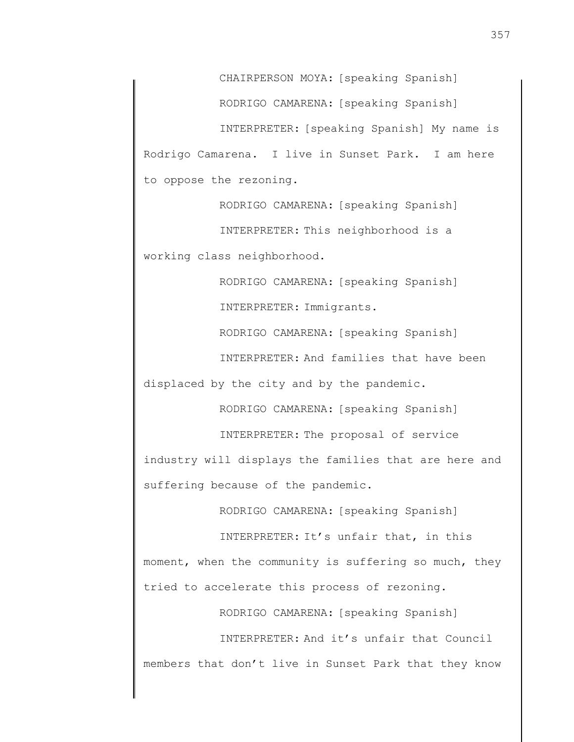CHAIRPERSON MOYA: [speaking Spanish]

RODRIGO CAMARENA: [speaking Spanish]

INTERPRETER: [speaking Spanish] My name is Rodrigo Camarena. I live in Sunset Park. I am here to oppose the rezoning.

RODRIGO CAMARENA: [speaking Spanish]

INTERPRETER: This neighborhood is a working class neighborhood.

RODRIGO CAMARENA: [speaking Spanish]

INTERPRETER: Immigrants.

RODRIGO CAMARENA: [speaking Spanish]

INTERPRETER: And families that have been

displaced by the city and by the pandemic.

RODRIGO CAMARENA: [speaking Spanish]

INTERPRETER: The proposal of service industry will displays the families that are here and suffering because of the pandemic.

RODRIGO CAMARENA: [speaking Spanish]

INTERPRETER: It's unfair that, in this moment, when the community is suffering so much, they tried to accelerate this process of rezoning.

RODRIGO CAMARENA: [speaking Spanish]

INTERPRETER: And it's unfair that Council members that don't live in Sunset Park that they know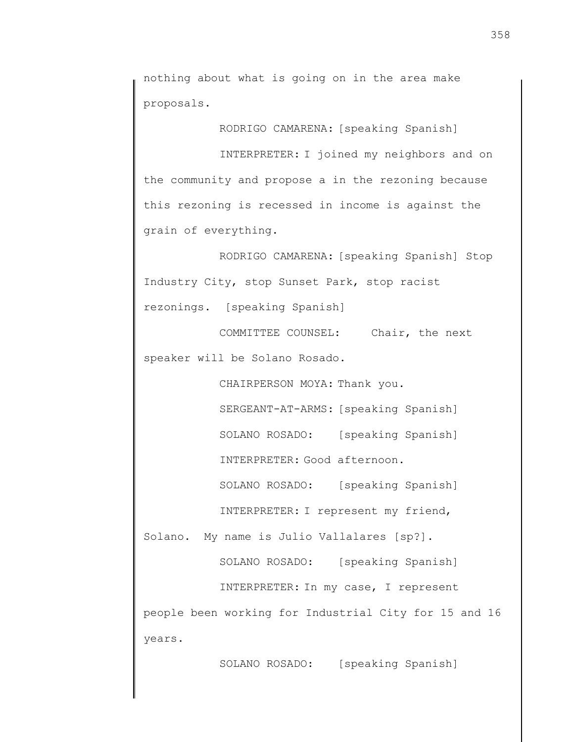nothing about what is going on in the area make proposals.

RODRIGO CAMARENA: [speaking Spanish] INTERPRETER: I joined my neighbors and on the community and propose a in the rezoning because this rezoning is recessed in income is against the

grain of everything.

RODRIGO CAMARENA: [speaking Spanish] Stop Industry City, stop Sunset Park, stop racist rezonings. [speaking Spanish]

COMMITTEE COUNSEL: Chair, the next speaker will be Solano Rosado.

CHAIRPERSON MOYA: Thank you.

SERGEANT-AT-ARMS: [speaking Spanish]

SOLANO ROSADO: [speaking Spanish]

INTERPRETER: Good afternoon.

SOLANO ROSADO: [speaking Spanish] INTERPRETER: I represent my friend,

Solano. My name is Julio Vallalares [sp?].

SOLANO ROSADO: [speaking Spanish]

INTERPRETER: In my case, I represent

people been working for Industrial City for 15 and 16 years.

SOLANO ROSADO: [speaking Spanish]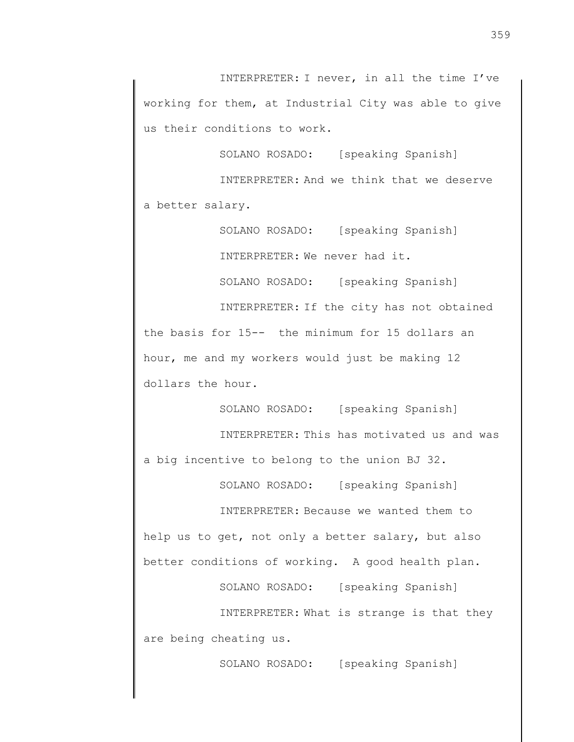INTERPRETER: I never, in all the time I've working for them, at Industrial City was able to give us their conditions to work.

SOLANO ROSADO: [speaking Spanish]

INTERPRETER: And we think that we deserve a better salary.

> SOLANO ROSADO: [speaking Spanish] INTERPRETER: We never had it.

SOLANO ROSADO: [speaking Spanish]

INTERPRETER: If the city has not obtained the basis for 15-- the minimum for 15 dollars an hour, me and my workers would just be making 12 dollars the hour.

SOLANO ROSADO: [speaking Spanish] INTERPRETER: This has motivated us and was a big incentive to belong to the union BJ 32.

SOLANO ROSADO: [speaking Spanish] INTERPRETER: Because we wanted them to

help us to get, not only a better salary, but also better conditions of working. A good health plan.

SOLANO ROSADO: [speaking Spanish]

INTERPRETER: What is strange is that they are being cheating us.

SOLANO ROSADO: [speaking Spanish]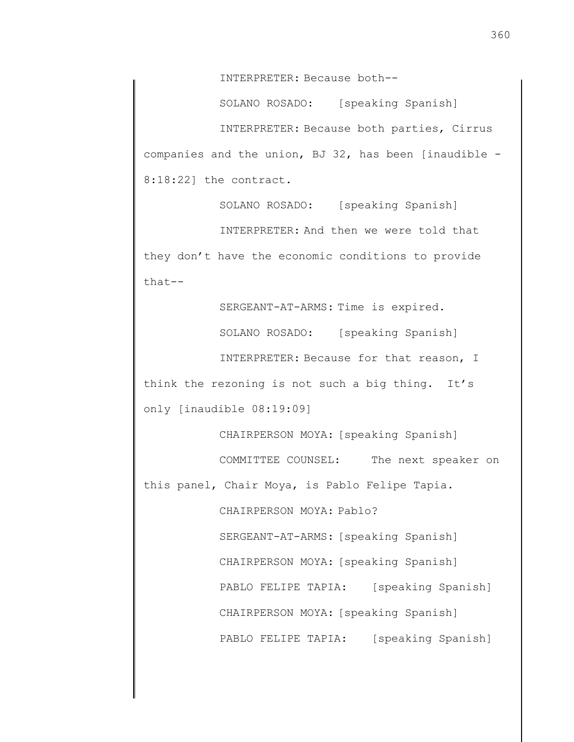INTERPRETER: Because both--

SOLANO ROSADO: [speaking Spanish] INTERPRETER: Because both parties, Cirrus companies and the union, BJ 32, has been [inaudible - 8:18:22] the contract.

SOLANO ROSADO: [speaking Spanish] INTERPRETER: And then we were told that they don't have the economic conditions to provide that--

SERGEANT-AT-ARMS: Time is expired.

SOLANO ROSADO: [speaking Spanish]

INTERPRETER: Because for that reason, I think the rezoning is not such a big thing. It's only [inaudible 08:19:09]

CHAIRPERSON MOYA: [speaking Spanish]

COMMITTEE COUNSEL: The next speaker on

this panel, Chair Moya, is Pablo Felipe Tapia.

CHAIRPERSON MOYA: Pablo?

SERGEANT-AT-ARMS: [speaking Spanish] CHAIRPERSON MOYA: [speaking Spanish] PABLO FELIPE TAPIA: [speaking Spanish] CHAIRPERSON MOYA: [speaking Spanish] PABLO FELIPE TAPIA: [speaking Spanish]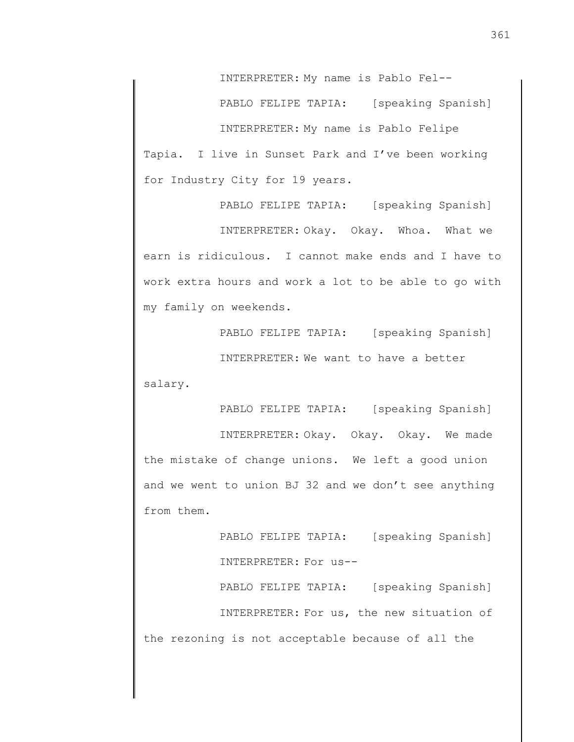INTERPRETER: My name is Pablo Fel--

PABLO FELIPE TAPIA: [speaking Spanish]

INTERPRETER: My name is Pablo Felipe Tapia. I live in Sunset Park and I've been working for Industry City for 19 years.

PABLO FELIPE TAPIA: [speaking Spanish]

INTERPRETER: Okay. Okay. Whoa. What we earn is ridiculous. I cannot make ends and I have to work extra hours and work a lot to be able to go with my family on weekends.

> PABLO FELIPE TAPIA: [speaking Spanish] INTERPRETER: We want to have a better

salary.

PABLO FELIPE TAPIA: [speaking Spanish]

INTERPRETER: Okay. Okay. Okay. We made the mistake of change unions. We left a good union and we went to union BJ 32 and we don't see anything from them.

PABLO FELIPE TAPIA: [speaking Spanish] INTERPRETER: For us-- PABLO FELIPE TAPIA: [speaking Spanish] INTERPRETER: For us, the new situation of

the rezoning is not acceptable because of all the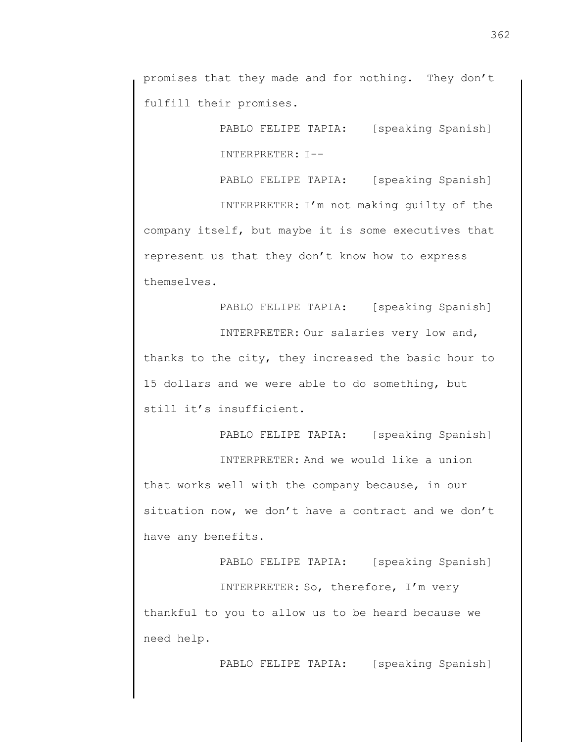promises that they made and for nothing. They don't fulfill their promises.

> PABLO FELIPE TAPIA: [speaking Spanish] INTERPRETER: I--

> PABLO FELIPE TAPIA: [speaking Spanish]

INTERPRETER: I'm not making guilty of the company itself, but maybe it is some executives that represent us that they don't know how to express themselves.

PABLO FELIPE TAPIA: [speaking Spanish]

INTERPRETER: Our salaries very low and, thanks to the city, they increased the basic hour to 15 dollars and we were able to do something, but still it's insufficient.

PABLO FELIPE TAPIA: [speaking Spanish]

INTERPRETER: And we would like a union that works well with the company because, in our situation now, we don't have a contract and we don't have any benefits.

PABLO FELIPE TAPIA: [speaking Spanish]

INTERPRETER: So, therefore, I'm very thankful to you to allow us to be heard because we need help.

PABLO FELIPE TAPIA: [speaking Spanish]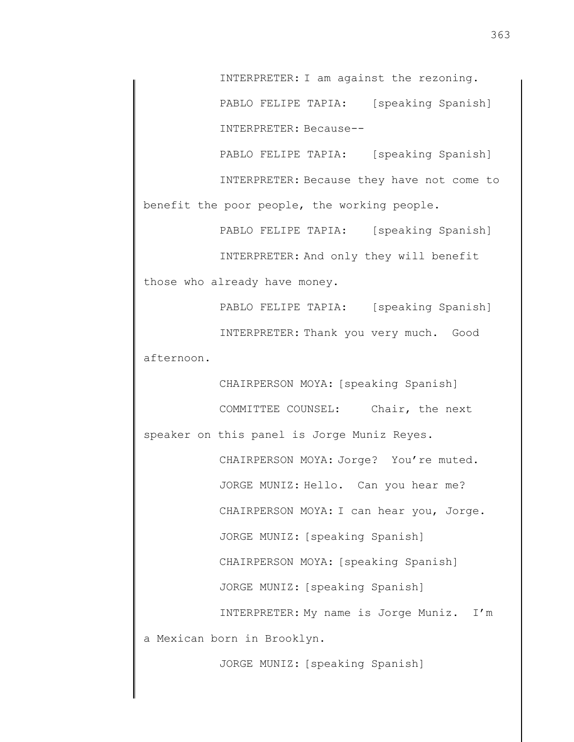INTERPRETER: I am against the rezoning. PABLO FELIPE TAPIA: [speaking Spanish] INTERPRETER: Because--

PABLO FELIPE TAPIA: [speaking Spanish] INTERPRETER: Because they have not come to benefit the poor people, the working people.

PABLO FELIPE TAPIA: [speaking Spanish] INTERPRETER: And only they will benefit those who already have money.

PABLO FELIPE TAPIA: [speaking Spanish] INTERPRETER: Thank you very much. Good afternoon.

CHAIRPERSON MOYA: [speaking Spanish] COMMITTEE COUNSEL: Chair, the next speaker on this panel is Jorge Muniz Reyes. CHAIRPERSON MOYA: Jorge? You're muted. JORGE MUNIZ: Hello. Can you hear me? CHAIRPERSON MOYA: I can hear you, Jorge. JORGE MUNIZ: [speaking Spanish] CHAIRPERSON MOYA: [speaking Spanish] JORGE MUNIZ: [speaking Spanish] INTERPRETER: My name is Jorge Muniz. I'm a Mexican born in Brooklyn.

JORGE MUNIZ: [speaking Spanish]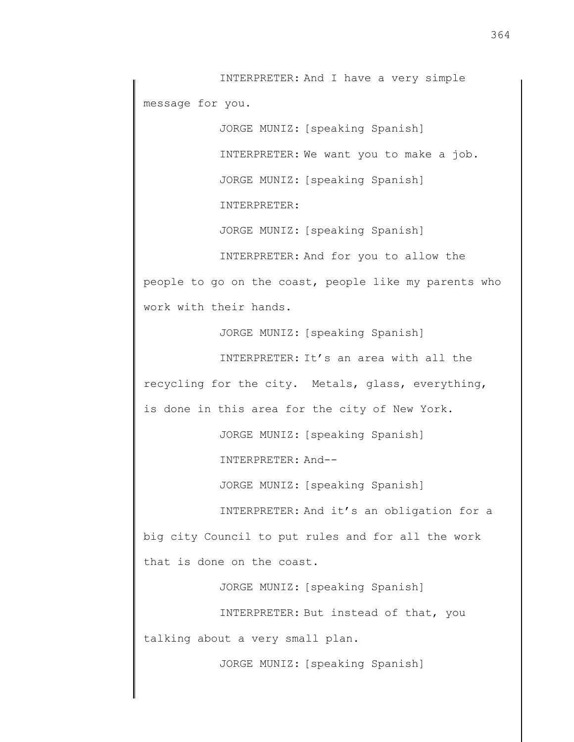INTERPRETER: And I have a very simple message for you.

> JORGE MUNIZ: [speaking Spanish] INTERPRETER: We want you to make a job. JORGE MUNIZ: [speaking Spanish] INTERPRETER:

JORGE MUNIZ: [speaking Spanish]

INTERPRETER: And for you to allow the people to go on the coast, people like my parents who work with their hands.

JORGE MUNIZ: [speaking Spanish]

INTERPRETER: It's an area with all the recycling for the city. Metals, glass, everything, is done in this area for the city of New York.

JORGE MUNIZ: [speaking Spanish]

INTERPRETER: And--

JORGE MUNIZ: [speaking Spanish]

INTERPRETER: And it's an obligation for a big city Council to put rules and for all the work that is done on the coast.

JORGE MUNIZ: [speaking Spanish]

INTERPRETER: But instead of that, you talking about a very small plan.

JORGE MUNIZ: [speaking Spanish]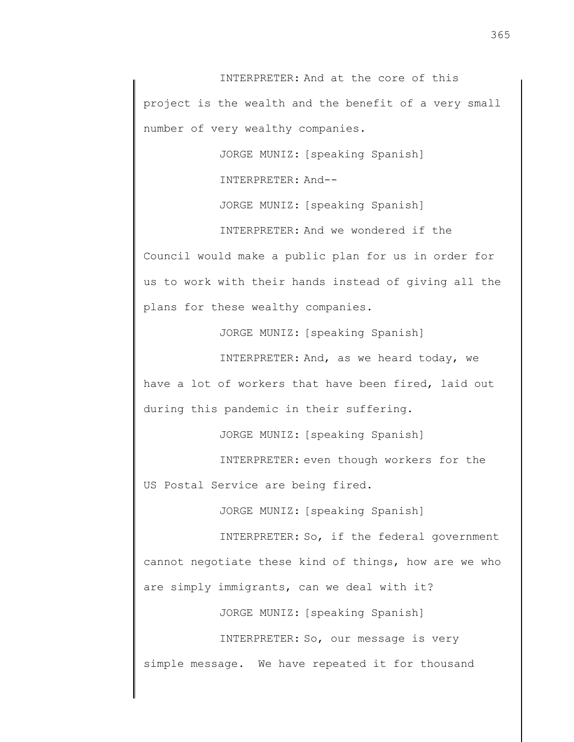INTERPRETER: And at the core of this project is the wealth and the benefit of a very small number of very wealthy companies.

JORGE MUNIZ: [speaking Spanish]

INTERPRETER: And--

JORGE MUNIZ: [speaking Spanish]

INTERPRETER: And we wondered if the

Council would make a public plan for us in order for us to work with their hands instead of giving all the plans for these wealthy companies.

JORGE MUNIZ: [speaking Spanish]

INTERPRETER: And, as we heard today, we have a lot of workers that have been fired, laid out during this pandemic in their suffering.

JORGE MUNIZ: [speaking Spanish]

INTERPRETER: even though workers for the

US Postal Service are being fired.

JORGE MUNIZ: [speaking Spanish]

INTERPRETER: So, if the federal government cannot negotiate these kind of things, how are we who are simply immigrants, can we deal with it?

JORGE MUNIZ: [speaking Spanish]

INTERPRETER: So, our message is very simple message. We have repeated it for thousand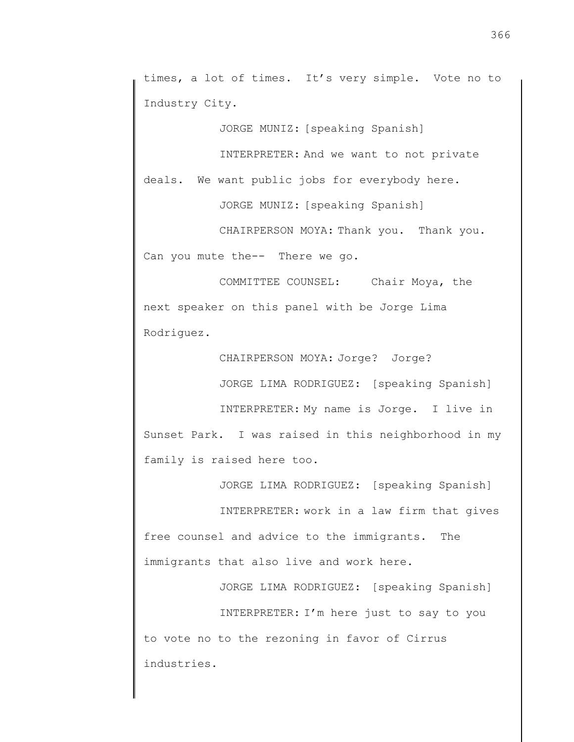times, a lot of times. It's very simple. Vote no to Industry City.

JORGE MUNIZ: [speaking Spanish]

INTERPRETER: And we want to not private

deals. We want public jobs for everybody here.

JORGE MUNIZ: [speaking Spanish]

CHAIRPERSON MOYA: Thank you. Thank you. Can you mute the-- There we go.

COMMITTEE COUNSEL: Chair Moya, the next speaker on this panel with be Jorge Lima Rodriguez.

CHAIRPERSON MOYA: Jorge? Jorge?

JORGE LIMA RODRIGUEZ: [speaking Spanish]

INTERPRETER: My name is Jorge. I live in Sunset Park. I was raised in this neighborhood in my family is raised here too.

JORGE LIMA RODRIGUEZ: [speaking Spanish] INTERPRETER: work in a law firm that gives free counsel and advice to the immigrants. The immigrants that also live and work here.

JORGE LIMA RODRIGUEZ: [speaking Spanish] INTERPRETER: I'm here just to say to you to vote no to the rezoning in favor of Cirrus industries.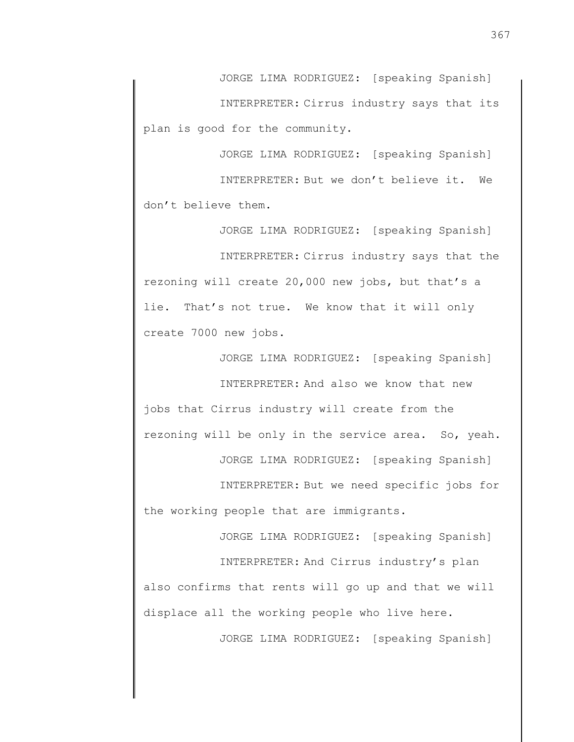JORGE LIMA RODRIGUEZ: [speaking Spanish] INTERPRETER: Cirrus industry says that its plan is good for the community.

JORGE LIMA RODRIGUEZ: [speaking Spanish] INTERPRETER: But we don't believe it. We don't believe them.

JORGE LIMA RODRIGUEZ: [speaking Spanish] INTERPRETER: Cirrus industry says that the rezoning will create 20,000 new jobs, but that's a lie. That's not true. We know that it will only create 7000 new jobs.

JORGE LIMA RODRIGUEZ: [speaking Spanish]

INTERPRETER: And also we know that new jobs that Cirrus industry will create from the rezoning will be only in the service area. So, yeah.

JORGE LIMA RODRIGUEZ: [speaking Spanish]

INTERPRETER: But we need specific jobs for the working people that are immigrants.

JORGE LIMA RODRIGUEZ: [speaking Spanish]

INTERPRETER: And Cirrus industry's plan also confirms that rents will go up and that we will displace all the working people who live here.

JORGE LIMA RODRIGUEZ: [speaking Spanish]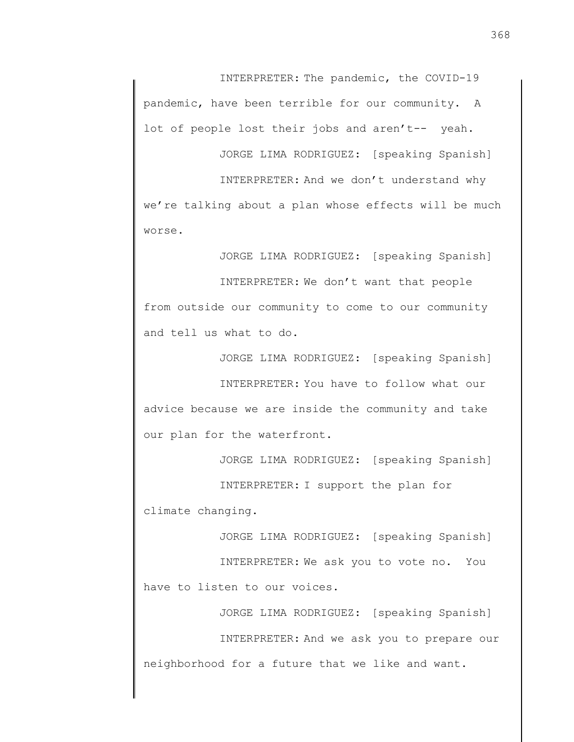INTERPRETER: The pandemic, the COVID-19 pandemic, have been terrible for our community. A lot of people lost their jobs and aren't-- yeah.

JORGE LIMA RODRIGUEZ: [speaking Spanish]

INTERPRETER: And we don't understand why

we're talking about a plan whose effects will be much worse.

JORGE LIMA RODRIGUEZ: [speaking Spanish]

INTERPRETER: We don't want that people from outside our community to come to our community and tell us what to do.

JORGE LIMA RODRIGUEZ: [speaking Spanish]

INTERPRETER: You have to follow what our advice because we are inside the community and take our plan for the waterfront.

JORGE LIMA RODRIGUEZ: [speaking Spanish]

INTERPRETER: I support the plan for climate changing.

JORGE LIMA RODRIGUEZ: [speaking Spanish]

INTERPRETER: We ask you to vote no. You have to listen to our voices.

JORGE LIMA RODRIGUEZ: [speaking Spanish] INTERPRETER: And we ask you to prepare our neighborhood for a future that we like and want.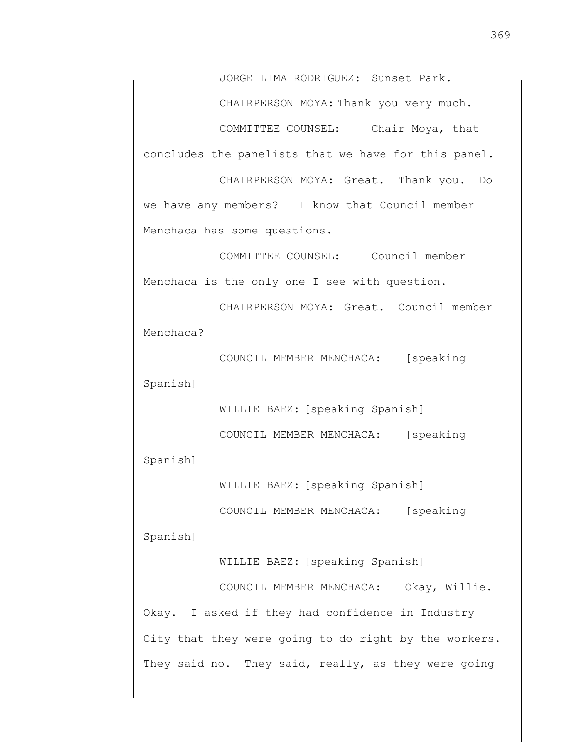JORGE LIMA RODRIGUEZ: Sunset Park.

CHAIRPERSON MOYA: Thank you very much.

COMMITTEE COUNSEL: Chair Moya, that concludes the panelists that we have for this panel.

CHAIRPERSON MOYA: Great. Thank you. Do we have any members? I know that Council member Menchaca has some questions.

COMMITTEE COUNSEL: Council member Menchaca is the only one I see with question.

CHAIRPERSON MOYA: Great. Council member Menchaca?

COUNCIL MEMBER MENCHACA: [speaking Spanish]

COUNCIL MEMBER MENCHACA: [speaking Spanish]

WILLIE BAEZ: [speaking Spanish]

WILLIE BAEZ: [speaking Spanish]

COUNCIL MEMBER MENCHACA: [speaking

Spanish]

WILLIE BAEZ: [speaking Spanish] COUNCIL MEMBER MENCHACA: Okay, Willie. Okay. I asked if they had confidence in Industry City that they were going to do right by the workers. They said no. They said, really, as they were going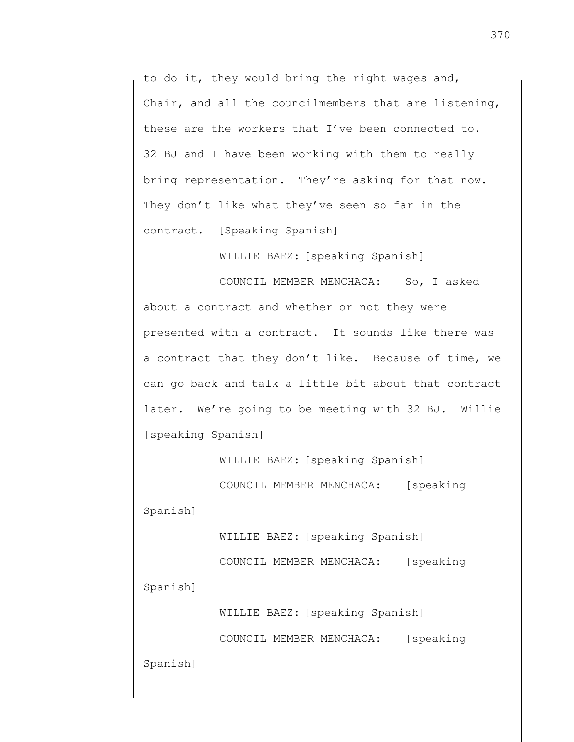to do it, they would bring the right wages and, Chair, and all the councilmembers that are listening, these are the workers that I've been connected to. 32 BJ and I have been working with them to really bring representation. They're asking for that now. They don't like what they've seen so far in the contract. [Speaking Spanish]

WILLIE BAEZ: [speaking Spanish]

COUNCIL MEMBER MENCHACA: So, I asked about a contract and whether or not they were presented with a contract. It sounds like there was a contract that they don't like. Because of time, we can go back and talk a little bit about that contract later. We're going to be meeting with 32 BJ. Willie [speaking Spanish]

WILLIE BAEZ: [speaking Spanish]

COUNCIL MEMBER MENCHACA: [speaking Spanish]

WILLIE BAEZ: [speaking Spanish]

COUNCIL MEMBER MENCHACA: [speaking Spanish]

WILLIE BAEZ: [speaking Spanish]

COUNCIL MEMBER MENCHACA: [speaking

Spanish]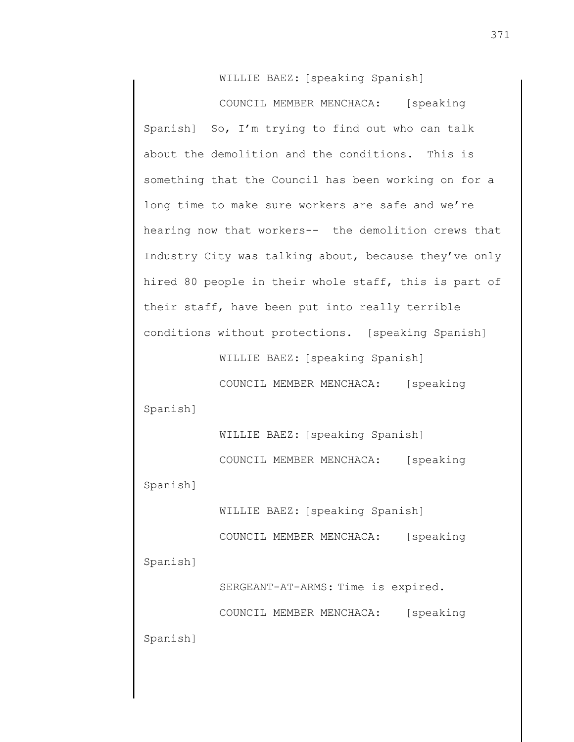WILLIE BAEZ: [speaking Spanish]

COUNCIL MEMBER MENCHACA: [speaking Spanish] So, I'm trying to find out who can talk about the demolition and the conditions. This is something that the Council has been working on for a long time to make sure workers are safe and we're hearing now that workers-- the demolition crews that Industry City was talking about, because they've only hired 80 people in their whole staff, this is part of their staff, have been put into really terrible conditions without protections. [speaking Spanish]

WILLIE BAEZ: [speaking Spanish]

COUNCIL MEMBER MENCHACA: [speaking Spanish]

> WILLIE BAEZ: [speaking Spanish] COUNCIL MEMBER MENCHACA: [speaking

Spanish]

WILLIE BAEZ: [speaking Spanish] COUNCIL MEMBER MENCHACA: [speaking Spanish]

> SERGEANT-AT-ARMS: Time is expired. COUNCIL MEMBER MENCHACA: [speaking

Spanish]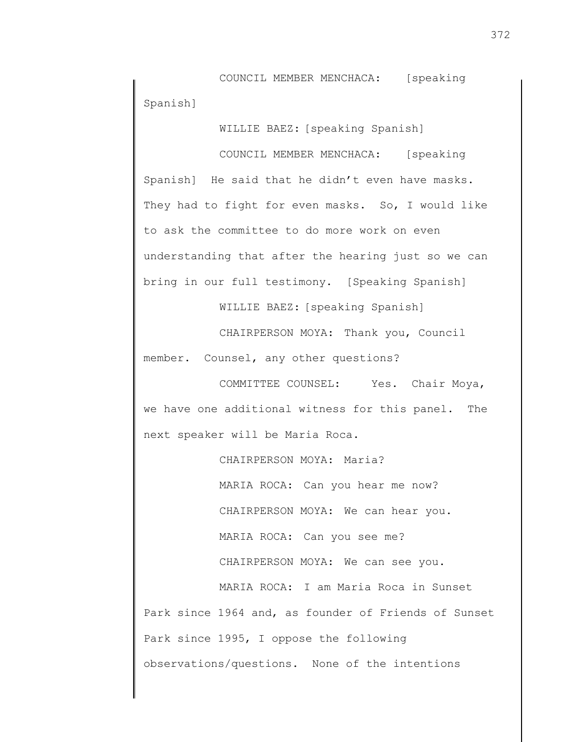COUNCIL MEMBER MENCHACA: [speaking Spanish]

WILLIE BAEZ: [speaking Spanish]

COUNCIL MEMBER MENCHACA: [speaking Spanish] He said that he didn't even have masks. They had to fight for even masks. So, I would like to ask the committee to do more work on even understanding that after the hearing just so we can bring in our full testimony. [Speaking Spanish]

WILLIE BAEZ: [speaking Spanish]

CHAIRPERSON MOYA: Thank you, Council member. Counsel, any other questions?

COMMITTEE COUNSEL: Yes. Chair Moya, we have one additional witness for this panel. The next speaker will be Maria Roca.

CHAIRPERSON MOYA: Maria? MARIA ROCA: Can you hear me now? CHAIRPERSON MOYA: We can hear you. MARIA ROCA: Can you see me? CHAIRPERSON MOYA: We can see you. MARIA ROCA: I am Maria Roca in Sunset Park since 1964 and, as founder of Friends of Sunset Park since 1995, I oppose the following observations/questions. None of the intentions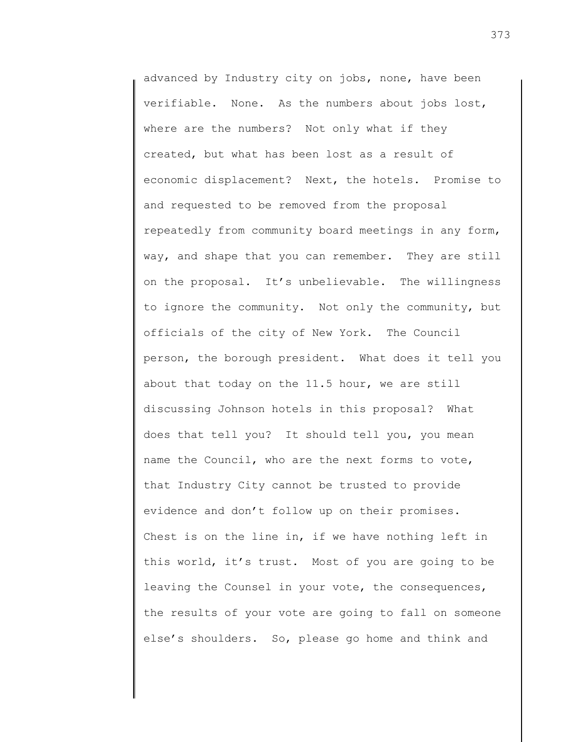advanced by Industry city on jobs, none, have been verifiable. None. As the numbers about jobs lost, where are the numbers? Not only what if they created, but what has been lost as a result of economic displacement? Next, the hotels. Promise to and requested to be removed from the proposal repeatedly from community board meetings in any form, way, and shape that you can remember. They are still on the proposal. It's unbelievable. The willingness to ignore the community. Not only the community, but officials of the city of New York. The Council person, the borough president. What does it tell you about that today on the 11.5 hour, we are still discussing Johnson hotels in this proposal? What does that tell you? It should tell you, you mean name the Council, who are the next forms to vote, that Industry City cannot be trusted to provide evidence and don't follow up on their promises. Chest is on the line in, if we have nothing left in this world, it's trust. Most of you are going to be leaving the Counsel in your vote, the consequences, the results of your vote are going to fall on someone else's shoulders. So, please go home and think and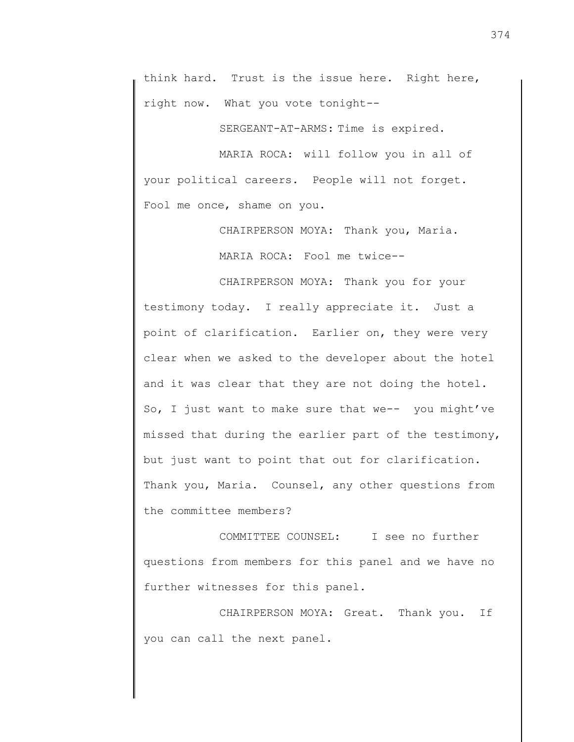think hard. Trust is the issue here. Right here, right now. What you vote tonight--

SERGEANT-AT-ARMS: Time is expired.

MARIA ROCA: will follow you in all of your political careers. People will not forget. Fool me once, shame on you.

CHAIRPERSON MOYA: Thank you, Maria.

MARIA ROCA: Fool me twice--

CHAIRPERSON MOYA: Thank you for your testimony today. I really appreciate it. Just a point of clarification. Earlier on, they were very clear when we asked to the developer about the hotel and it was clear that they are not doing the hotel. So, I just want to make sure that we-- you might've missed that during the earlier part of the testimony, but just want to point that out for clarification. Thank you, Maria. Counsel, any other questions from the committee members?

COMMITTEE COUNSEL: I see no further questions from members for this panel and we have no further witnesses for this panel.

CHAIRPERSON MOYA: Great. Thank you. If you can call the next panel.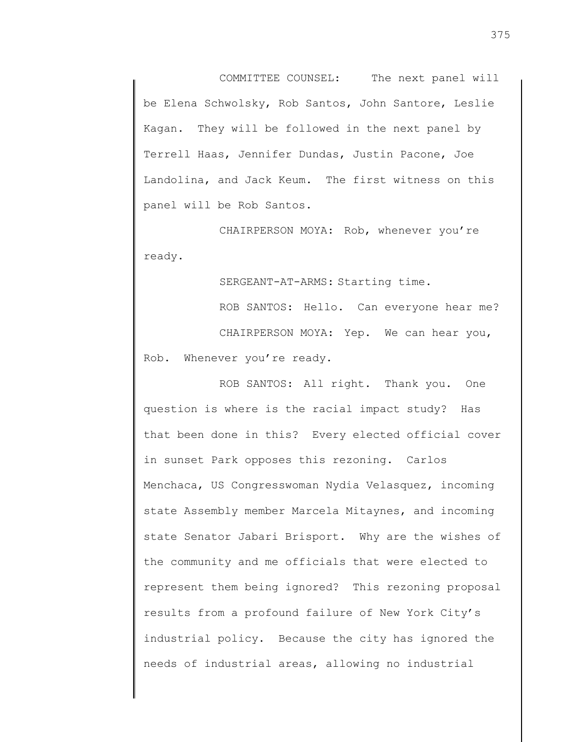COMMITTEE COUNSEL: The next panel will be Elena Schwolsky, Rob Santos, John Santore, Leslie Kagan. They will be followed in the next panel by Terrell Haas, Jennifer Dundas, Justin Pacone, Joe Landolina, and Jack Keum. The first witness on this panel will be Rob Santos.

CHAIRPERSON MOYA: Rob, whenever you're ready.

SERGEANT-AT-ARMS: Starting time.

ROB SANTOS: Hello. Can everyone hear me? CHAIRPERSON MOYA: Yep. We can hear you, Rob. Whenever you're ready.

ROB SANTOS: All right. Thank you. One question is where is the racial impact study? Has that been done in this? Every elected official cover in sunset Park opposes this rezoning. Carlos Menchaca, US Congresswoman Nydia Velasquez, incoming state Assembly member Marcela Mitaynes, and incoming state Senator Jabari Brisport. Why are the wishes of the community and me officials that were elected to represent them being ignored? This rezoning proposal results from a profound failure of New York City's industrial policy. Because the city has ignored the needs of industrial areas, allowing no industrial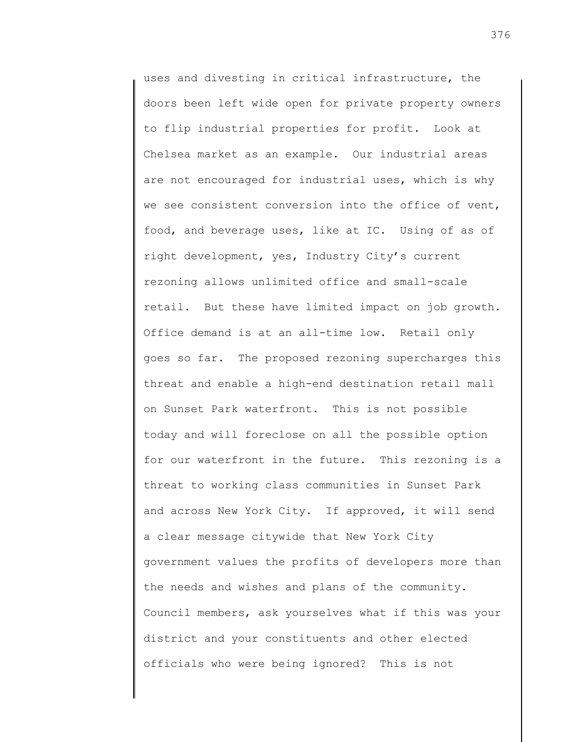uses and divesting in critical infrastructure, the doors been left wide open for private property owners to flip industrial properties for profit. Look at Chelsea market as an example. Our industrial areas are not encouraged for industrial uses, which is why we see consistent conversion into the office of vent, food, and beverage uses, like at IC. Using of as of right development, yes, Industry City's current rezoning allows unlimited office and small-scale retail. But these have limited impact on job growth. Office demand is at an all-time low. Retail only goes so far. The proposed rezoning supercharges this threat and enable a high-end destination retail mall on Sunset Park waterfront. This is not possible today and will foreclose on all the possible option for our waterfront in the future. This rezoning is a threat to working class communities in Sunset Park and across New York City. If approved, it will send a clear message citywide that New York City government values the profits of developers more than the needs and wishes and plans of the community. Council members, ask yourselves what if this was your district and your constituents and other elected officials who were being ignored? This is not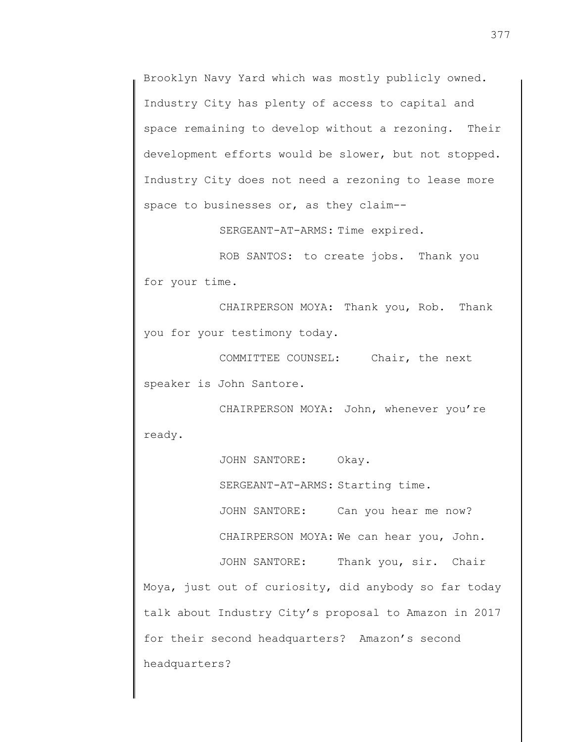Brooklyn Navy Yard which was mostly publicly owned. Industry City has plenty of access to capital and space remaining to develop without a rezoning. Their development efforts would be slower, but not stopped. Industry City does not need a rezoning to lease more space to businesses or, as they claim--

SERGEANT-AT-ARMS: Time expired.

ROB SANTOS: to create jobs. Thank you for your time.

CHAIRPERSON MOYA: Thank you, Rob. Thank you for your testimony today.

COMMITTEE COUNSEL: Chair, the next speaker is John Santore.

CHAIRPERSON MOYA: John, whenever you're ready.

JOHN SANTORE: Okay. SERGEANT-AT-ARMS: Starting time. JOHN SANTORE: Can you hear me now? CHAIRPERSON MOYA: We can hear you, John. JOHN SANTORE: Thank you, sir. Chair Moya, just out of curiosity, did anybody so far today talk about Industry City's proposal to Amazon in 2017 for their second headquarters? Amazon's second headquarters?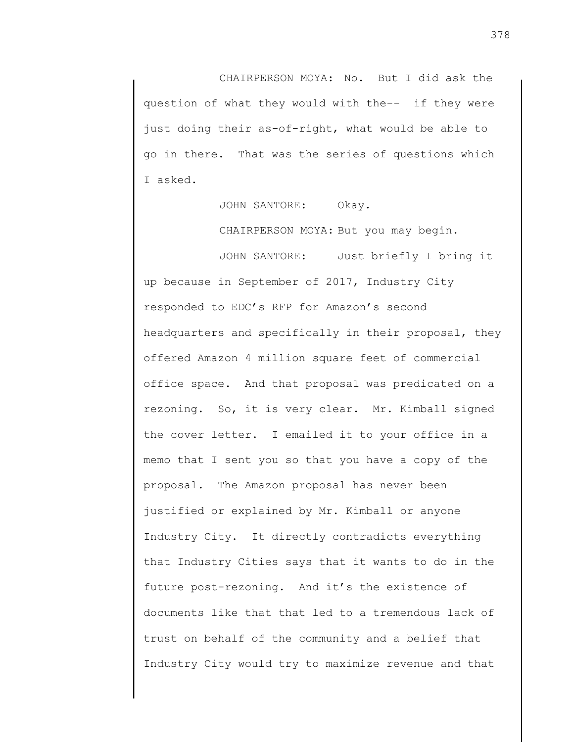CHAIRPERSON MOYA: No. But I did ask the question of what they would with the-- if they were just doing their as-of-right, what would be able to go in there. That was the series of questions which I asked.

JOHN SANTORE: Okay.

CHAIRPERSON MOYA: But you may begin.

JOHN SANTORE: Just briefly I bring it up because in September of 2017, Industry City responded to EDC's RFP for Amazon's second headquarters and specifically in their proposal, they offered Amazon 4 million square feet of commercial office space. And that proposal was predicated on a rezoning. So, it is very clear. Mr. Kimball signed the cover letter. I emailed it to your office in a memo that I sent you so that you have a copy of the proposal. The Amazon proposal has never been justified or explained by Mr. Kimball or anyone Industry City. It directly contradicts everything that Industry Cities says that it wants to do in the future post-rezoning. And it's the existence of documents like that that led to a tremendous lack of trust on behalf of the community and a belief that Industry City would try to maximize revenue and that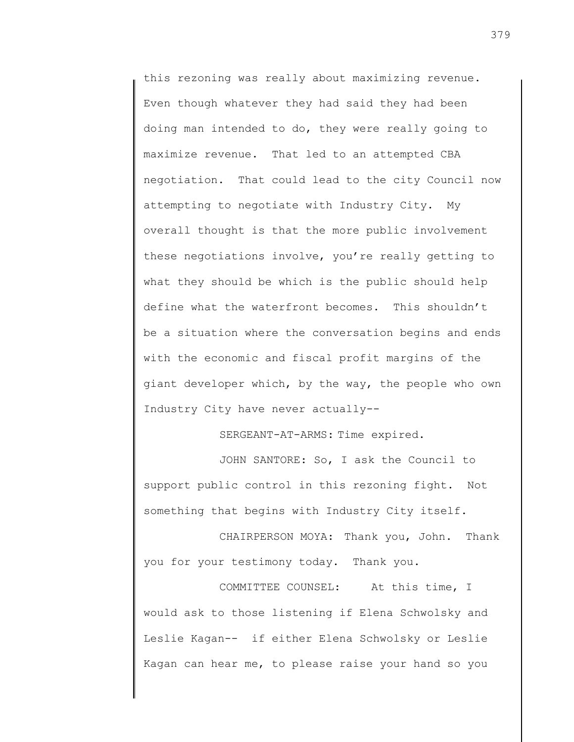this rezoning was really about maximizing revenue. Even though whatever they had said they had been doing man intended to do, they were really going to maximize revenue. That led to an attempted CBA negotiation. That could lead to the city Council now attempting to negotiate with Industry City. My overall thought is that the more public involvement these negotiations involve, you're really getting to what they should be which is the public should help define what the waterfront becomes. This shouldn't be a situation where the conversation begins and ends with the economic and fiscal profit margins of the giant developer which, by the way, the people who own Industry City have never actually--

SERGEANT-AT-ARMS: Time expired.

JOHN SANTORE: So, I ask the Council to support public control in this rezoning fight. Not something that begins with Industry City itself.

CHAIRPERSON MOYA: Thank you, John. Thank you for your testimony today. Thank you.

COMMITTEE COUNSEL: At this time, I would ask to those listening if Elena Schwolsky and Leslie Kagan-- if either Elena Schwolsky or Leslie Kagan can hear me, to please raise your hand so you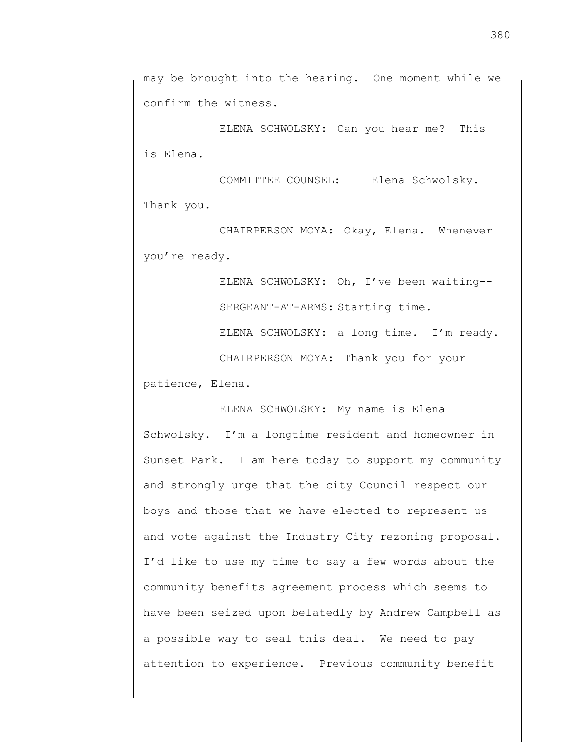ELENA SCHWOLSKY: Can you hear me? This is Elena.

COMMITTEE COUNSEL: Elena Schwolsky. Thank you.

CHAIRPERSON MOYA: Okay, Elena. Whenever you're ready.

ELENA SCHWOLSKY: Oh, I've been waiting-- SERGEANT-AT-ARMS: Starting time. ELENA SCHWOLSKY: a long time. I'm ready. CHAIRPERSON MOYA: Thank you for your patience, Elena.

ELENA SCHWOLSKY: My name is Elena Schwolsky. I'm a longtime resident and homeowner in Sunset Park. I am here today to support my community and strongly urge that the city Council respect our boys and those that we have elected to represent us and vote against the Industry City rezoning proposal. I'd like to use my time to say a few words about the community benefits agreement process which seems to have been seized upon belatedly by Andrew Campbell as a possible way to seal this deal. We need to pay attention to experience. Previous community benefit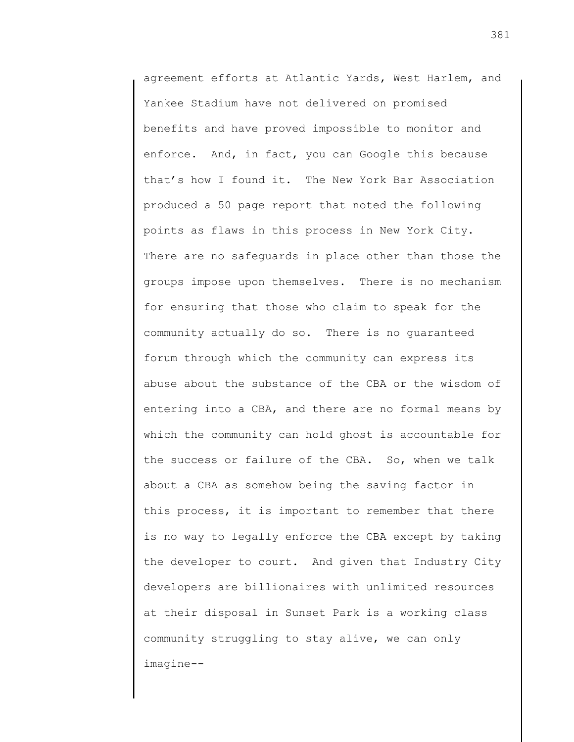agreement efforts at Atlantic Yards, West Harlem, and Yankee Stadium have not delivered on promised benefits and have proved impossible to monitor and enforce. And, in fact, you can Google this because that's how I found it. The New York Bar Association produced a 50 page report that noted the following points as flaws in this process in New York City. There are no safeguards in place other than those the groups impose upon themselves. There is no mechanism for ensuring that those who claim to speak for the community actually do so. There is no guaranteed forum through which the community can express its abuse about the substance of the CBA or the wisdom of entering into a CBA, and there are no formal means by which the community can hold ghost is accountable for the success or failure of the CBA. So, when we talk about a CBA as somehow being the saving factor in this process, it is important to remember that there is no way to legally enforce the CBA except by taking the developer to court. And given that Industry City developers are billionaires with unlimited resources at their disposal in Sunset Park is a working class community struggling to stay alive, we can only imagine--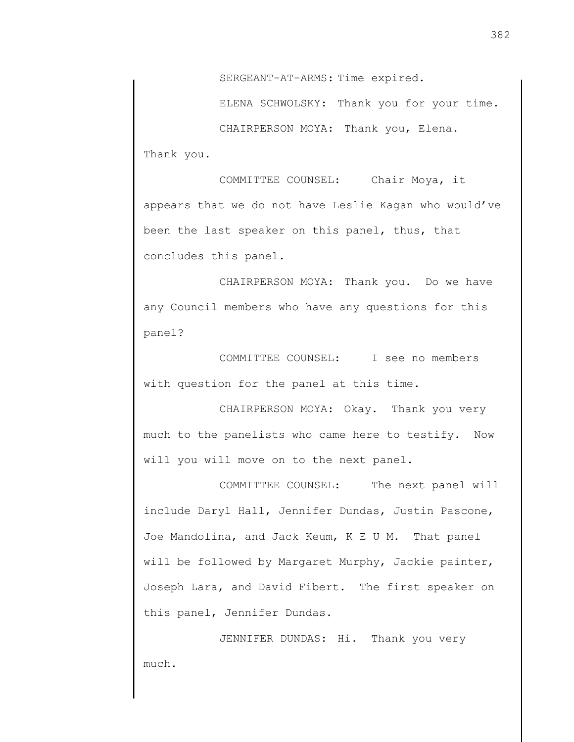SERGEANT-AT-ARMS: Time expired.

ELENA SCHWOLSKY: Thank you for your time.

CHAIRPERSON MOYA: Thank you, Elena. Thank you.

COMMITTEE COUNSEL: Chair Moya, it appears that we do not have Leslie Kagan who would've been the last speaker on this panel, thus, that concludes this panel.

CHAIRPERSON MOYA: Thank you. Do we have any Council members who have any questions for this panel?

COMMITTEE COUNSEL: I see no members with question for the panel at this time.

CHAIRPERSON MOYA: Okay. Thank you very much to the panelists who came here to testify. Now will you will move on to the next panel.

COMMITTEE COUNSEL: The next panel will include Daryl Hall, Jennifer Dundas, Justin Pascone, Joe Mandolina, and Jack Keum, K E U M. That panel will be followed by Margaret Murphy, Jackie painter, Joseph Lara, and David Fibert. The first speaker on this panel, Jennifer Dundas.

JENNIFER DUNDAS: Hi. Thank you very much.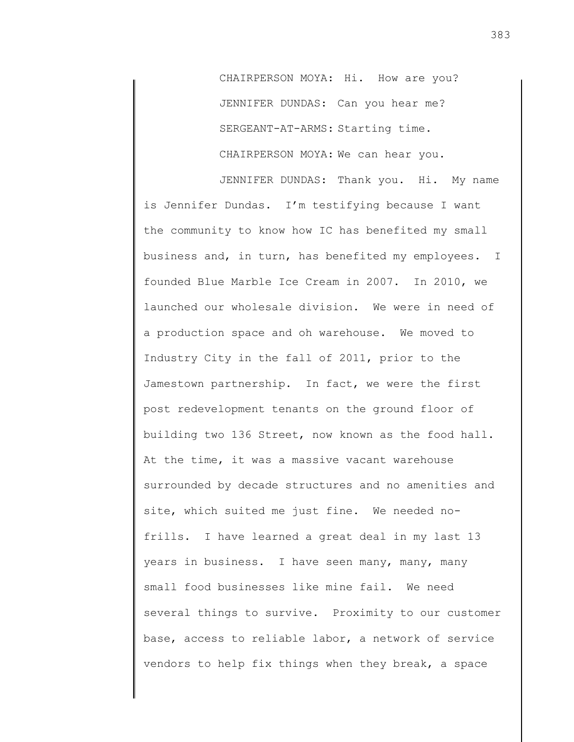CHAIRPERSON MOYA: Hi. How are you? JENNIFER DUNDAS: Can you hear me? SERGEANT-AT-ARMS: Starting time. CHAIRPERSON MOYA: We can hear you.

JENNIFER DUNDAS: Thank you. Hi. My name is Jennifer Dundas. I'm testifying because I want the community to know how IC has benefited my small business and, in turn, has benefited my employees. I founded Blue Marble Ice Cream in 2007. In 2010, we launched our wholesale division. We were in need of a production space and oh warehouse. We moved to Industry City in the fall of 2011, prior to the Jamestown partnership. In fact, we were the first post redevelopment tenants on the ground floor of building two 136 Street, now known as the food hall. At the time, it was a massive vacant warehouse surrounded by decade structures and no amenities and site, which suited me just fine. We needed nofrills. I have learned a great deal in my last 13 years in business. I have seen many, many, many small food businesses like mine fail. We need several things to survive. Proximity to our customer base, access to reliable labor, a network of service vendors to help fix things when they break, a space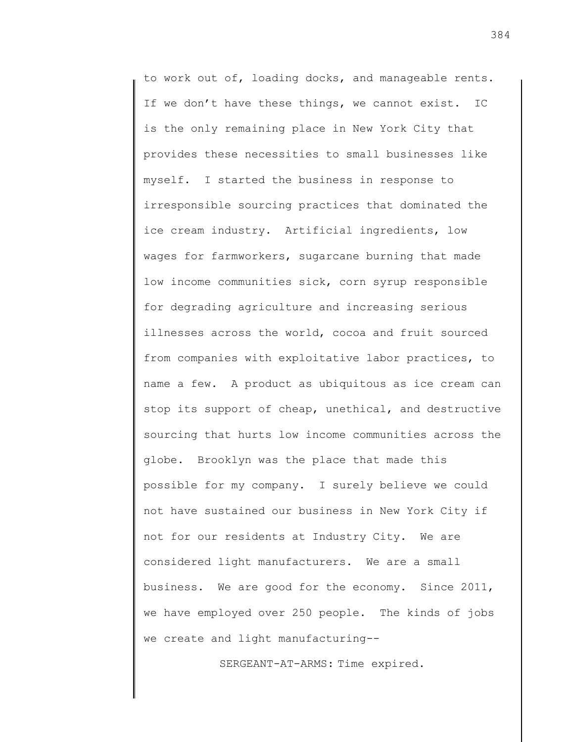to work out of, loading docks, and manageable rents. If we don't have these things, we cannot exist. IC is the only remaining place in New York City that provides these necessities to small businesses like myself. I started the business in response to irresponsible sourcing practices that dominated the ice cream industry. Artificial ingredients, low wages for farmworkers, sugarcane burning that made low income communities sick, corn syrup responsible for degrading agriculture and increasing serious illnesses across the world, cocoa and fruit sourced from companies with exploitative labor practices, to name a few. A product as ubiquitous as ice cream can stop its support of cheap, unethical, and destructive sourcing that hurts low income communities across the globe. Brooklyn was the place that made this possible for my company. I surely believe we could not have sustained our business in New York City if not for our residents at Industry City. We are considered light manufacturers. We are a small business. We are good for the economy. Since 2011, we have employed over 250 people. The kinds of jobs we create and light manufacturing--

SERGEANT-AT-ARMS: Time expired.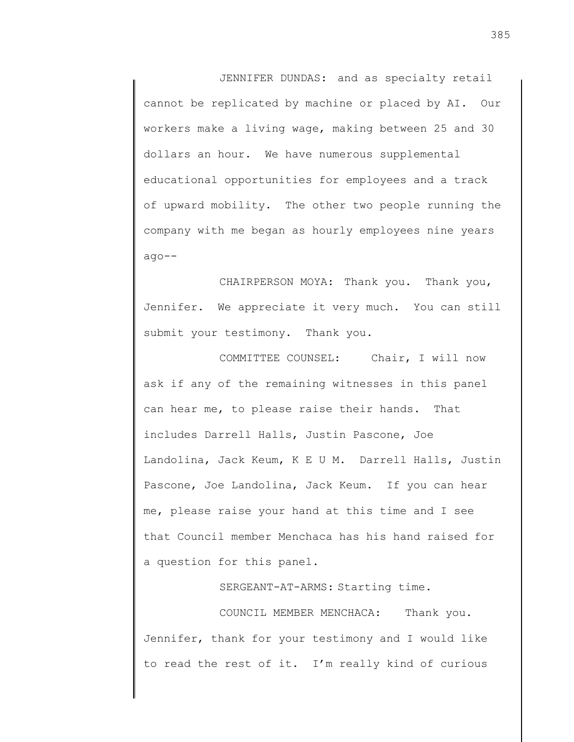JENNIFER DUNDAS: and as specialty retail cannot be replicated by machine or placed by AI. Our workers make a living wage, making between 25 and 30 dollars an hour. We have numerous supplemental educational opportunities for employees and a track of upward mobility. The other two people running the company with me began as hourly employees nine years ago--

CHAIRPERSON MOYA: Thank you. Thank you, Jennifer. We appreciate it very much. You can still submit your testimony. Thank you.

COMMITTEE COUNSEL: Chair, I will now ask if any of the remaining witnesses in this panel can hear me, to please raise their hands. That includes Darrell Halls, Justin Pascone, Joe Landolina, Jack Keum, K E U M. Darrell Halls, Justin Pascone, Joe Landolina, Jack Keum. If you can hear me, please raise your hand at this time and I see that Council member Menchaca has his hand raised for a question for this panel.

SERGEANT-AT-ARMS: Starting time.

COUNCIL MEMBER MENCHACA: Thank you. Jennifer, thank for your testimony and I would like to read the rest of it. I'm really kind of curious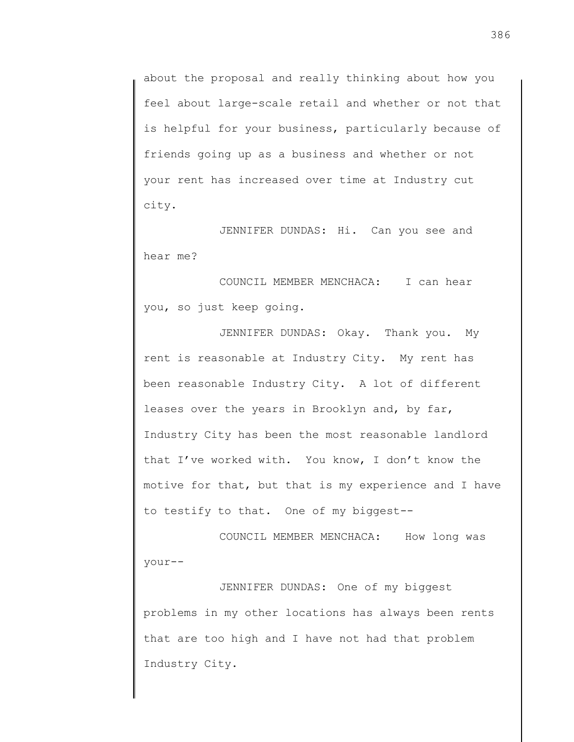about the proposal and really thinking about how you feel about large-scale retail and whether or not that is helpful for your business, particularly because of friends going up as a business and whether or not your rent has increased over time at Industry cut city.

JENNIFER DUNDAS: Hi. Can you see and hear me?

COUNCIL MEMBER MENCHACA: I can hear you, so just keep going.

JENNIFER DUNDAS: Okay. Thank you. My rent is reasonable at Industry City. My rent has been reasonable Industry City. A lot of different leases over the years in Brooklyn and, by far, Industry City has been the most reasonable landlord that I've worked with. You know, I don't know the motive for that, but that is my experience and I have to testify to that. One of my biggest--

COUNCIL MEMBER MENCHACA: How long was your--

JENNIFER DUNDAS: One of my biggest problems in my other locations has always been rents that are too high and I have not had that problem Industry City.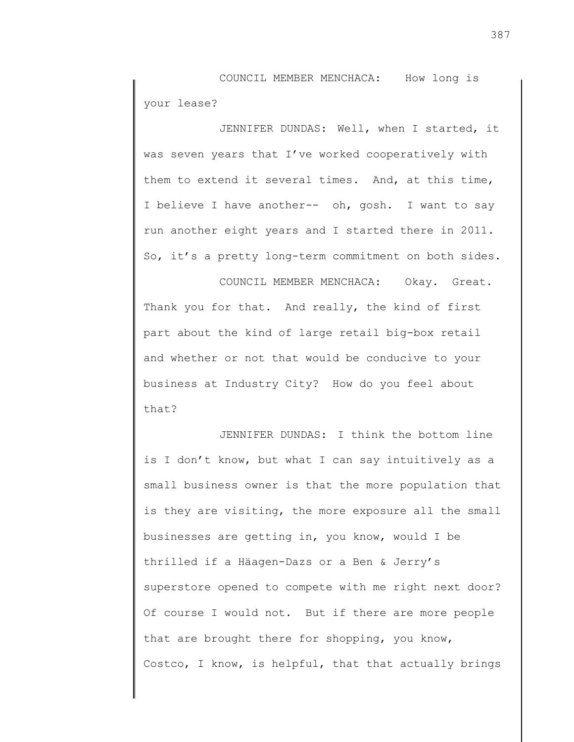COUNCIL MEMBER MENCHACA: How long is your lease?

JENNIFER DUNDAS: Well, when I started, it was seven years that I've worked cooperatively with them to extend it several times. And, at this time, I believe I have another-- oh, gosh. I want to say run another eight years and I started there in 2011. So, it's a pretty long-term commitment on both sides.

COUNCIL MEMBER MENCHACA: Okay. Great. Thank you for that. And really, the kind of first part about the kind of large retail big-box retail and whether or not that would be conducive to your business at Industry City? How do you feel about that?

JENNIFER DUNDAS: I think the bottom line is I don't know, but what I can say intuitively as a small business owner is that the more population that is they are visiting, the more exposure all the small businesses are getting in, you know, would I be thrilled if a Häagen-Dazs or a Ben & Jerry's superstore opened to compete with me right next door? Of course I would not. But if there are more people that are brought there for shopping, you know, Costco, I know, is helpful, that that actually brings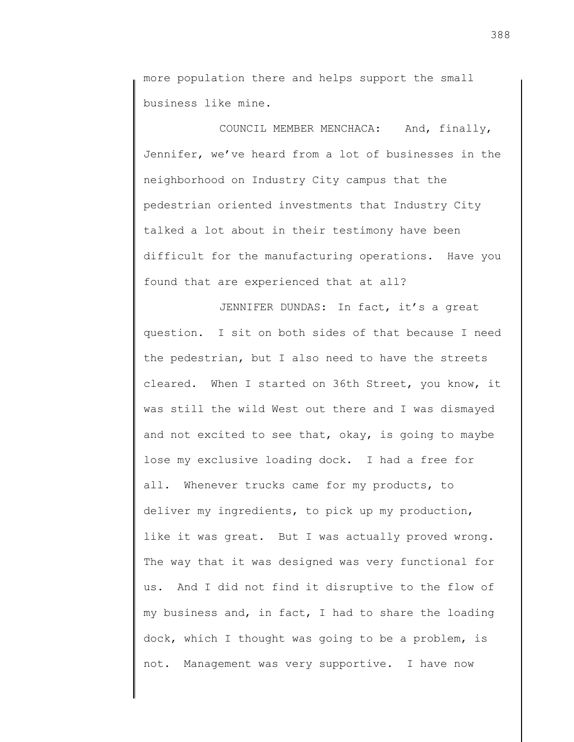more population there and helps support the small business like mine.

COUNCIL MEMBER MENCHACA: And, finally, Jennifer, we've heard from a lot of businesses in the neighborhood on Industry City campus that the pedestrian oriented investments that Industry City talked a lot about in their testimony have been difficult for the manufacturing operations. Have you found that are experienced that at all?

JENNIFER DUNDAS: In fact, it's a great question. I sit on both sides of that because I need the pedestrian, but I also need to have the streets cleared. When I started on 36th Street, you know, it was still the wild West out there and I was dismayed and not excited to see that, okay, is going to maybe lose my exclusive loading dock. I had a free for all. Whenever trucks came for my products, to deliver my ingredients, to pick up my production, like it was great. But I was actually proved wrong. The way that it was designed was very functional for us. And I did not find it disruptive to the flow of my business and, in fact, I had to share the loading dock, which I thought was going to be a problem, is not. Management was very supportive. I have now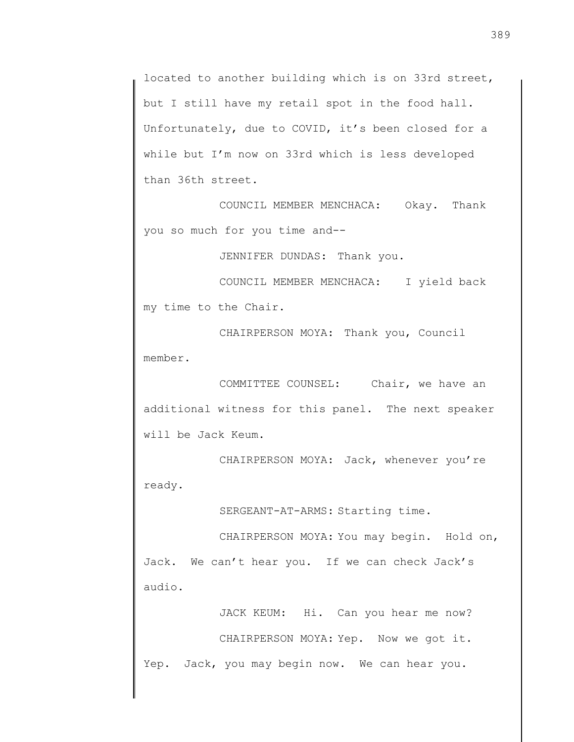located to another building which is on 33rd street, but I still have my retail spot in the food hall. Unfortunately, due to COVID, it's been closed for a while but I'm now on 33rd which is less developed than 36th street.

COUNCIL MEMBER MENCHACA: Okay. Thank you so much for you time and--

JENNIFER DUNDAS: Thank you.

COUNCIL MEMBER MENCHACA: I yield back my time to the Chair.

CHAIRPERSON MOYA: Thank you, Council member.

COMMITTEE COUNSEL: Chair, we have an additional witness for this panel. The next speaker will be Jack Keum.

CHAIRPERSON MOYA: Jack, whenever you're ready.

SERGEANT-AT-ARMS: Starting time.

CHAIRPERSON MOYA: You may begin. Hold on, Jack. We can't hear you. If we can check Jack's audio.

JACK KEUM: Hi. Can you hear me now? CHAIRPERSON MOYA: Yep. Now we got it. Yep. Jack, you may begin now. We can hear you.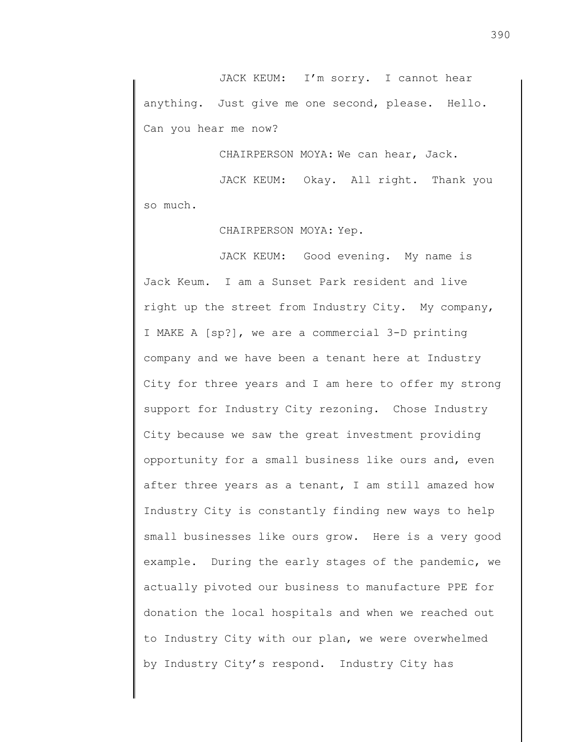JACK KEUM: I'm sorry. I cannot hear anything. Just give me one second, please. Hello. Can you hear me now?

CHAIRPERSON MOYA: We can hear, Jack.

JACK KEUM: Okay. All right. Thank you so much.

CHAIRPERSON MOYA: Yep.

JACK KEUM: Good evening. My name is Jack Keum. I am a Sunset Park resident and live right up the street from Industry City. My company, I MAKE A [sp?], we are a commercial 3-D printing company and we have been a tenant here at Industry City for three years and I am here to offer my strong support for Industry City rezoning. Chose Industry City because we saw the great investment providing opportunity for a small business like ours and, even after three years as a tenant, I am still amazed how Industry City is constantly finding new ways to help small businesses like ours grow. Here is a very good example. During the early stages of the pandemic, we actually pivoted our business to manufacture PPE for donation the local hospitals and when we reached out to Industry City with our plan, we were overwhelmed by Industry City's respond. Industry City has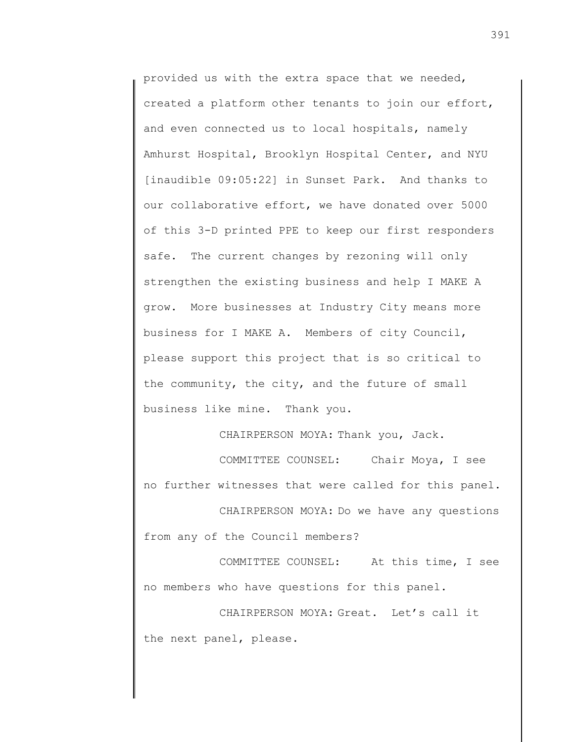provided us with the extra space that we needed, created a platform other tenants to join our effort, and even connected us to local hospitals, namely Amhurst Hospital, Brooklyn Hospital Center, and NYU [inaudible 09:05:22] in Sunset Park. And thanks to our collaborative effort, we have donated over 5000 of this 3-D printed PPE to keep our first responders safe. The current changes by rezoning will only strengthen the existing business and help I MAKE A grow. More businesses at Industry City means more business for I MAKE A. Members of city Council, please support this project that is so critical to the community, the city, and the future of small business like mine. Thank you.

CHAIRPERSON MOYA: Thank you, Jack.

COMMITTEE COUNSEL: Chair Moya, I see no further witnesses that were called for this panel.

CHAIRPERSON MOYA: Do we have any questions from any of the Council members?

COMMITTEE COUNSEL: At this time, I see no members who have questions for this panel.

CHAIRPERSON MOYA: Great. Let's call it the next panel, please.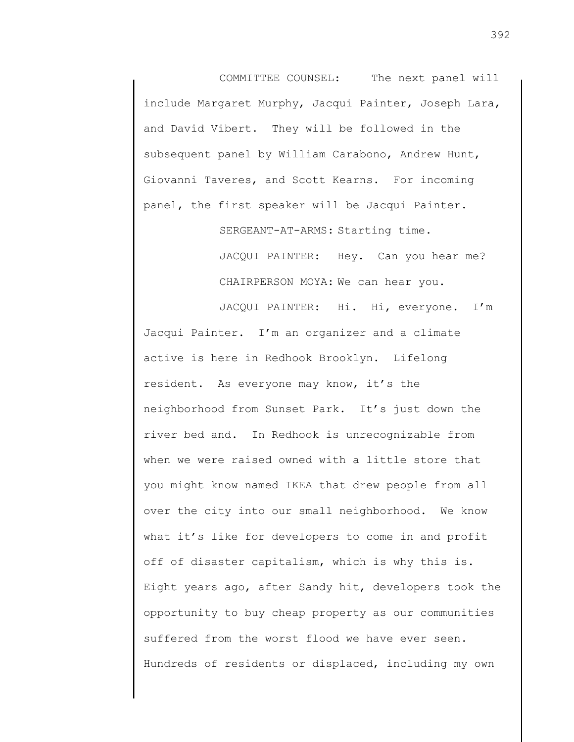COMMITTEE COUNSEL: The next panel will include Margaret Murphy, Jacqui Painter, Joseph Lara, and David Vibert. They will be followed in the subsequent panel by William Carabono, Andrew Hunt, Giovanni Taveres, and Scott Kearns. For incoming panel, the first speaker will be Jacqui Painter.

SERGEANT-AT-ARMS: Starting time.

JACQUI PAINTER: Hey. Can you hear me? CHAIRPERSON MOYA: We can hear you.

JACQUI PAINTER: Hi. Hi, everyone. I'm Jacqui Painter. I'm an organizer and a climate active is here in Redhook Brooklyn. Lifelong resident. As everyone may know, it's the neighborhood from Sunset Park. It's just down the river bed and. In Redhook is unrecognizable from when we were raised owned with a little store that you might know named IKEA that drew people from all over the city into our small neighborhood. We know what it's like for developers to come in and profit off of disaster capitalism, which is why this is. Eight years ago, after Sandy hit, developers took the opportunity to buy cheap property as our communities suffered from the worst flood we have ever seen. Hundreds of residents or displaced, including my own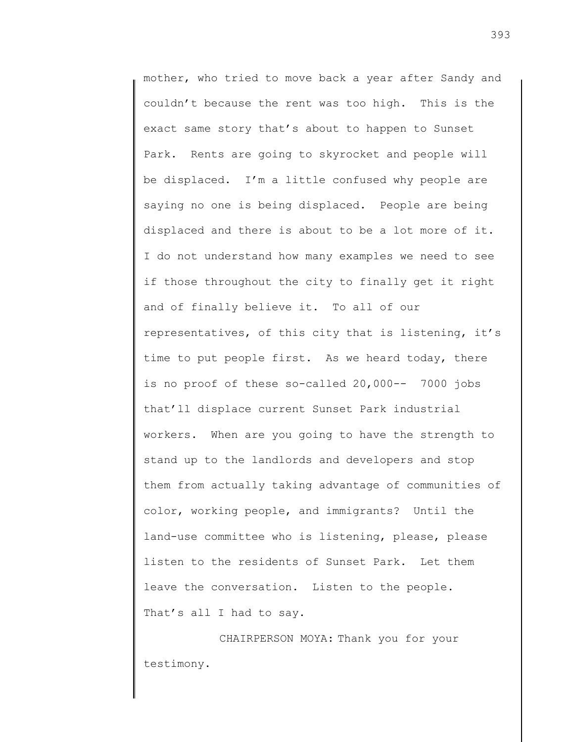mother, who tried to move back a year after Sandy and couldn't because the rent was too high. This is the exact same story that's about to happen to Sunset Park. Rents are going to skyrocket and people will be displaced. I'm a little confused why people are saying no one is being displaced. People are being displaced and there is about to be a lot more of it. I do not understand how many examples we need to see if those throughout the city to finally get it right and of finally believe it. To all of our representatives, of this city that is listening, it's time to put people first. As we heard today, there is no proof of these so-called 20,000-- 7000 jobs that'll displace current Sunset Park industrial workers. When are you going to have the strength to stand up to the landlords and developers and stop them from actually taking advantage of communities of color, working people, and immigrants? Until the land-use committee who is listening, please, please listen to the residents of Sunset Park. Let them leave the conversation. Listen to the people. That's all I had to say.

CHAIRPERSON MOYA: Thank you for your testimony.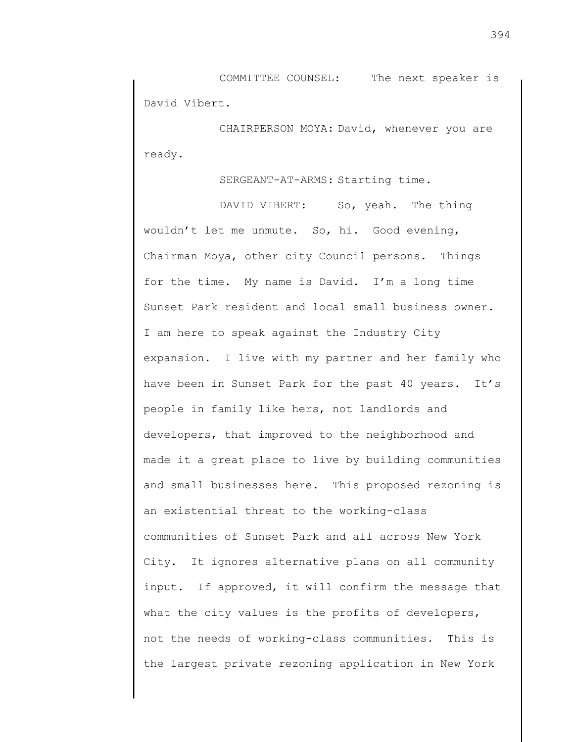COMMITTEE COUNSEL: The next speaker is David Vibert.

CHAIRPERSON MOYA: David, whenever you are ready.

SERGEANT-AT-ARMS: Starting time.

DAVID VIBERT: So, yeah. The thing wouldn't let me unmute. So, hi. Good evening, Chairman Moya, other city Council persons. Things for the time. My name is David. I'm a long time Sunset Park resident and local small business owner. I am here to speak against the Industry City expansion. I live with my partner and her family who have been in Sunset Park for the past 40 years. It's people in family like hers, not landlords and developers, that improved to the neighborhood and made it a great place to live by building communities and small businesses here. This proposed rezoning is an existential threat to the working-class communities of Sunset Park and all across New York City. It ignores alternative plans on all community input. If approved, it will confirm the message that what the city values is the profits of developers, not the needs of working-class communities. This is the largest private rezoning application in New York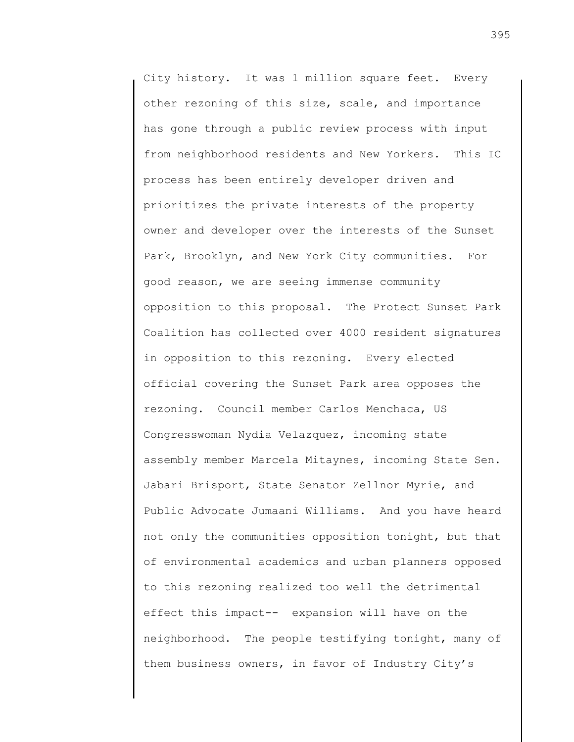City history. It was 1 million square feet. Every other rezoning of this size, scale, and importance has gone through a public review process with input from neighborhood residents and New Yorkers. This IC process has been entirely developer driven and prioritizes the private interests of the property owner and developer over the interests of the Sunset Park, Brooklyn, and New York City communities. For good reason, we are seeing immense community opposition to this proposal. The Protect Sunset Park Coalition has collected over 4000 resident signatures in opposition to this rezoning. Every elected official covering the Sunset Park area opposes the rezoning. Council member Carlos Menchaca, US Congresswoman Nydia Velazquez, incoming state assembly member Marcela Mitaynes, incoming State Sen. Jabari Brisport, State Senator Zellnor Myrie, and Public Advocate Jumaani Williams. And you have heard not only the communities opposition tonight, but that of environmental academics and urban planners opposed to this rezoning realized too well the detrimental effect this impact-- expansion will have on the neighborhood. The people testifying tonight, many of them business owners, in favor of Industry City's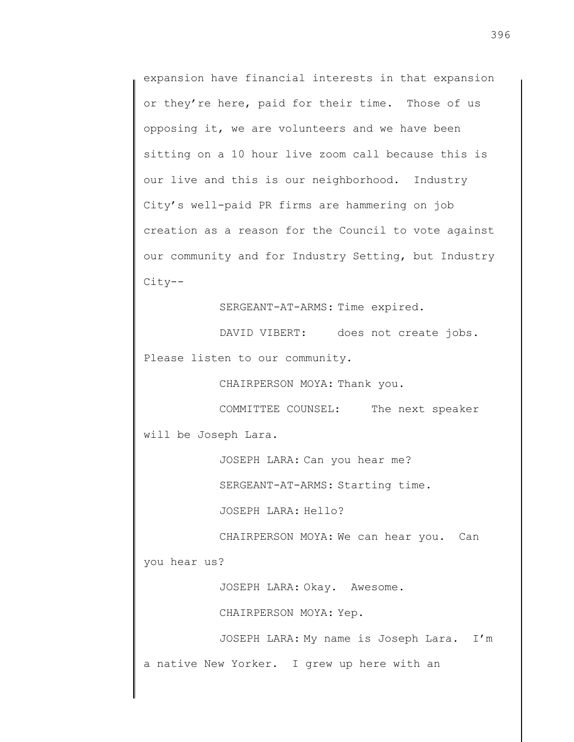expansion have financial interests in that expansion or they're here, paid for their time. Those of us opposing it, we are volunteers and we have been sitting on a 10 hour live zoom call because this is our live and this is our neighborhood. Industry City's well-paid PR firms are hammering on job creation as a reason for the Council to vote against our community and for Industry Setting, but Industry City--

SERGEANT-AT-ARMS: Time expired.

DAVID VIBERT: does not create jobs. Please listen to our community.

CHAIRPERSON MOYA: Thank you.

COMMITTEE COUNSEL: The next speaker will be Joseph Lara.

JOSEPH LARA: Can you hear me?

SERGEANT-AT-ARMS: Starting time.

JOSEPH LARA: Hello?

CHAIRPERSON MOYA: We can hear you. Can

you hear us?

JOSEPH LARA: Okay. Awesome.

CHAIRPERSON MOYA: Yep.

JOSEPH LARA: My name is Joseph Lara. I'm a native New Yorker. I grew up here with an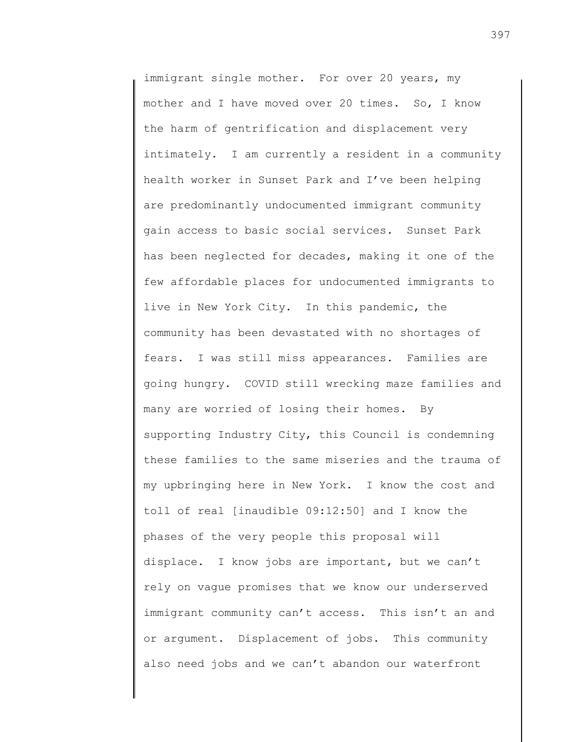immigrant single mother. For over 20 years, my mother and I have moved over 20 times. So, I know the harm of gentrification and displacement very intimately. I am currently a resident in a community health worker in Sunset Park and I've been helping are predominantly undocumented immigrant community gain access to basic social services. Sunset Park has been neglected for decades, making it one of the few affordable places for undocumented immigrants to live in New York City. In this pandemic, the community has been devastated with no shortages of fears. I was still miss appearances. Families are going hungry. COVID still wrecking maze families and many are worried of losing their homes. By supporting Industry City, this Council is condemning these families to the same miseries and the trauma of my upbringing here in New York. I know the cost and toll of real [inaudible 09:12:50] and I know the phases of the very people this proposal will displace. I know jobs are important, but we can't rely on vague promises that we know our underserved immigrant community can't access. This isn't an and or argument. Displacement of jobs. This community also need jobs and we can't abandon our waterfront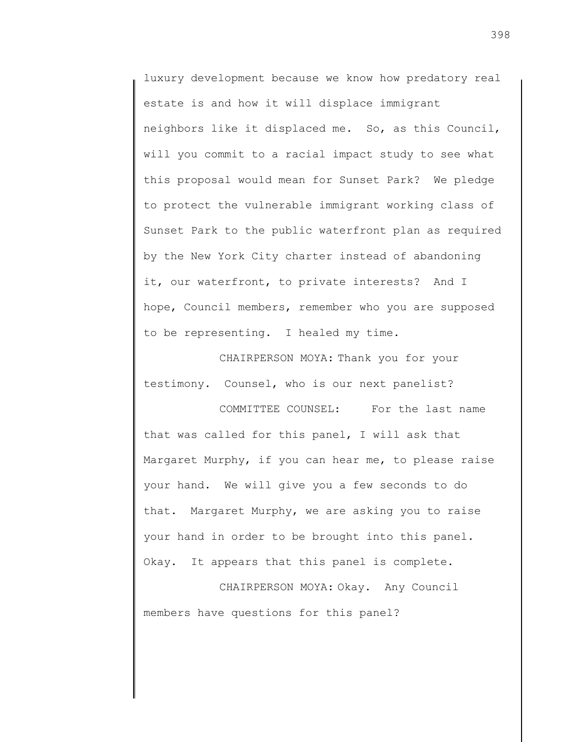luxury development because we know how predatory real estate is and how it will displace immigrant neighbors like it displaced me. So, as this Council, will you commit to a racial impact study to see what this proposal would mean for Sunset Park? We pledge to protect the vulnerable immigrant working class of Sunset Park to the public waterfront plan as required by the New York City charter instead of abandoning it, our waterfront, to private interests? And I hope, Council members, remember who you are supposed to be representing. I healed my time.

CHAIRPERSON MOYA: Thank you for your testimony. Counsel, who is our next panelist?

COMMITTEE COUNSEL: For the last name that was called for this panel, I will ask that Margaret Murphy, if you can hear me, to please raise your hand. We will give you a few seconds to do that. Margaret Murphy, we are asking you to raise your hand in order to be brought into this panel. Okay. It appears that this panel is complete.

CHAIRPERSON MOYA: Okay. Any Council members have questions for this panel?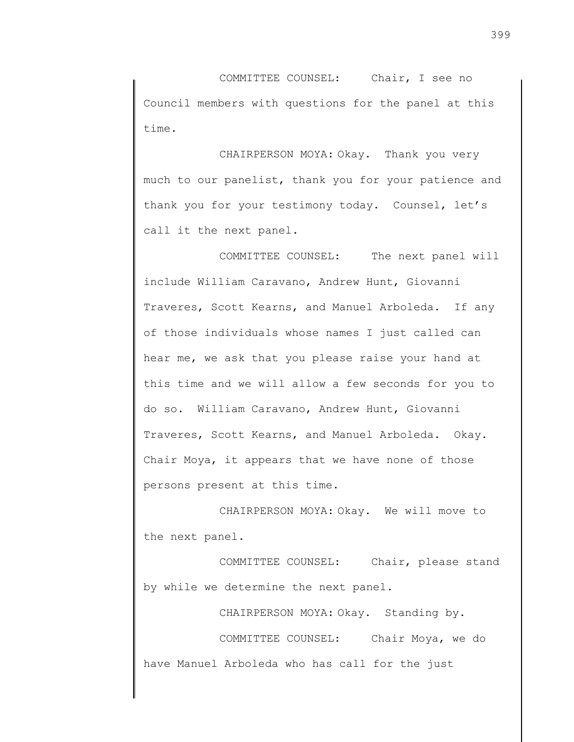COMMITTEE COUNSEL: Chair, I see no Council members with questions for the panel at this time.

CHAIRPERSON MOYA: Okay. Thank you very much to our panelist, thank you for your patience and thank you for your testimony today. Counsel, let's call it the next panel.

COMMITTEE COUNSEL: The next panel will include William Caravano, Andrew Hunt, Giovanni Traveres, Scott Kearns, and Manuel Arboleda. If any of those individuals whose names I just called can hear me, we ask that you please raise your hand at this time and we will allow a few seconds for you to do so. William Caravano, Andrew Hunt, Giovanni Traveres, Scott Kearns, and Manuel Arboleda. Okay. Chair Moya, it appears that we have none of those persons present at this time.

CHAIRPERSON MOYA: Okay. We will move to the next panel.

COMMITTEE COUNSEL: Chair, please stand by while we determine the next panel.

CHAIRPERSON MOYA: Okay. Standing by. COMMITTEE COUNSEL: Chair Moya, we do have Manuel Arboleda who has call for the just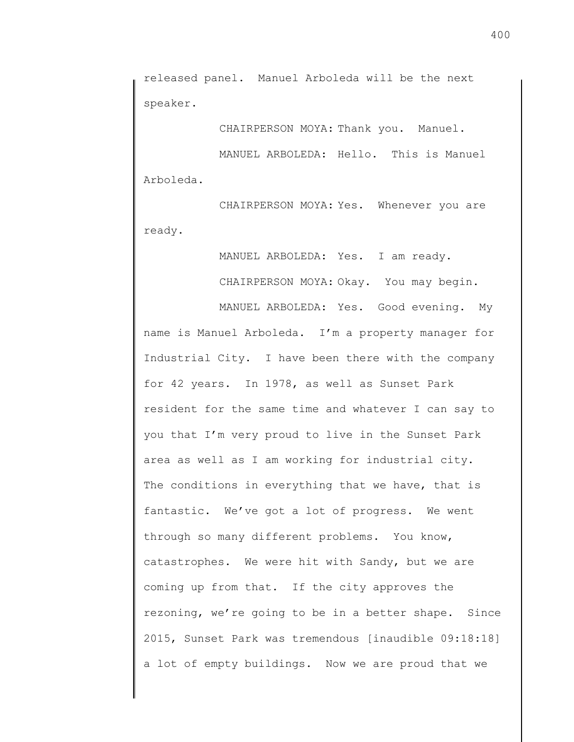released panel. Manuel Arboleda will be the next speaker.

CHAIRPERSON MOYA: Thank you. Manuel.

MANUEL ARBOLEDA: Hello. This is Manuel Arboleda.

CHAIRPERSON MOYA: Yes. Whenever you are ready.

> MANUEL ARBOLEDA: Yes. I am ready. CHAIRPERSON MOYA: Okay. You may begin.

MANUEL ARBOLEDA: Yes. Good evening. My name is Manuel Arboleda. I'm a property manager for Industrial City. I have been there with the company for 42 years. In 1978, as well as Sunset Park resident for the same time and whatever I can say to you that I'm very proud to live in the Sunset Park area as well as I am working for industrial city. The conditions in everything that we have, that is fantastic. We've got a lot of progress. We went through so many different problems. You know, catastrophes. We were hit with Sandy, but we are coming up from that. If the city approves the rezoning, we're going to be in a better shape. Since 2015, Sunset Park was tremendous [inaudible 09:18:18] a lot of empty buildings. Now we are proud that we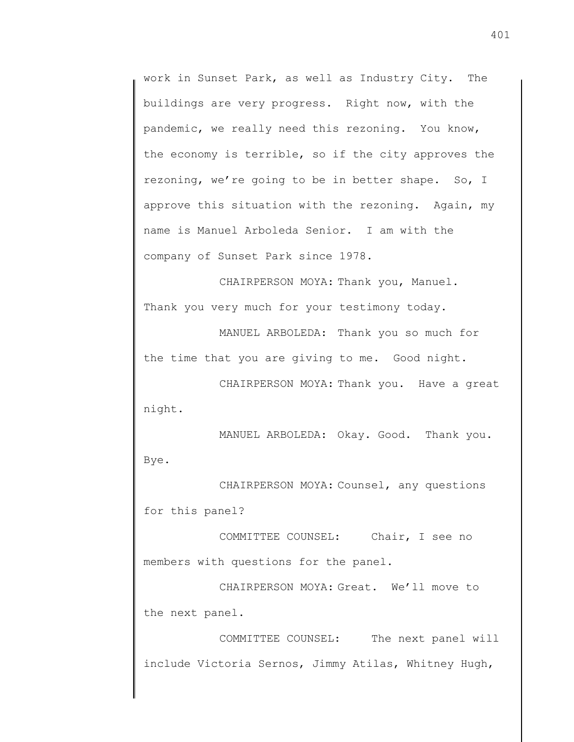work in Sunset Park, as well as Industry City. The buildings are very progress. Right now, with the pandemic, we really need this rezoning. You know, the economy is terrible, so if the city approves the rezoning, we're going to be in better shape. So, I approve this situation with the rezoning. Again, my name is Manuel Arboleda Senior. I am with the company of Sunset Park since 1978.

CHAIRPERSON MOYA: Thank you, Manuel. Thank you very much for your testimony today.

MANUEL ARBOLEDA: Thank you so much for the time that you are giving to me. Good night.

CHAIRPERSON MOYA: Thank you. Have a great night.

MANUEL ARBOLEDA: Okay. Good. Thank you. Bye.

CHAIRPERSON MOYA: Counsel, any questions for this panel?

COMMITTEE COUNSEL: Chair, I see no members with questions for the panel.

CHAIRPERSON MOYA: Great. We'll move to the next panel.

COMMITTEE COUNSEL: The next panel will include Victoria Sernos, Jimmy Atilas, Whitney Hugh,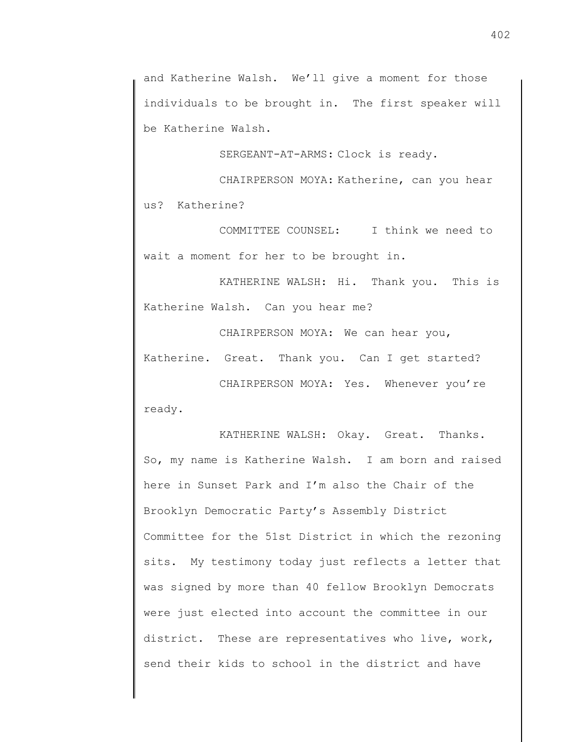and Katherine Walsh. We'll give a moment for those individuals to be brought in. The first speaker will be Katherine Walsh.

SERGEANT-AT-ARMS: Clock is ready.

CHAIRPERSON MOYA: Katherine, can you hear us? Katherine?

COMMITTEE COUNSEL: I think we need to wait a moment for her to be brought in.

KATHERINE WALSH: Hi. Thank you. This is Katherine Walsh. Can you hear me?

CHAIRPERSON MOYA: We can hear you, Katherine. Great. Thank you. Can I get started?

CHAIRPERSON MOYA: Yes. Whenever you're ready.

KATHERINE WALSH: Okay. Great. Thanks. So, my name is Katherine Walsh. I am born and raised here in Sunset Park and I'm also the Chair of the Brooklyn Democratic Party's Assembly District Committee for the 51st District in which the rezoning sits. My testimony today just reflects a letter that was signed by more than 40 fellow Brooklyn Democrats were just elected into account the committee in our district. These are representatives who live, work, send their kids to school in the district and have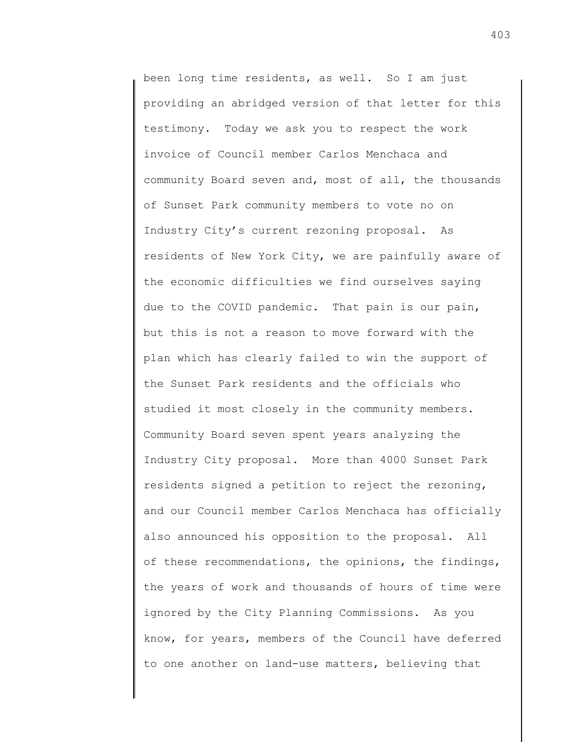been long time residents, as well. So I am just providing an abridged version of that letter for this testimony. Today we ask you to respect the work invoice of Council member Carlos Menchaca and community Board seven and, most of all, the thousands of Sunset Park community members to vote no on Industry City's current rezoning proposal. As residents of New York City, we are painfully aware of the economic difficulties we find ourselves saying due to the COVID pandemic. That pain is our pain, but this is not a reason to move forward with the plan which has clearly failed to win the support of the Sunset Park residents and the officials who studied it most closely in the community members. Community Board seven spent years analyzing the Industry City proposal. More than 4000 Sunset Park residents signed a petition to reject the rezoning, and our Council member Carlos Menchaca has officially also announced his opposition to the proposal. All of these recommendations, the opinions, the findings, the years of work and thousands of hours of time were ignored by the City Planning Commissions. As you know, for years, members of the Council have deferred to one another on land-use matters, believing that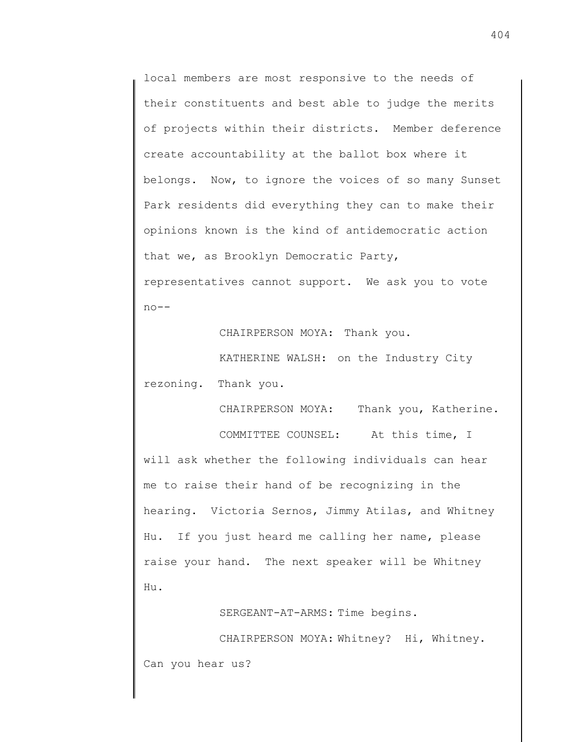local members are most responsive to the needs of their constituents and best able to judge the merits of projects within their districts. Member deference create accountability at the ballot box where it belongs. Now, to ignore the voices of so many Sunset Park residents did everything they can to make their opinions known is the kind of antidemocratic action that we, as Brooklyn Democratic Party, representatives cannot support. We ask you to vote  $no--$ 

CHAIRPERSON MOYA: Thank you.

KATHERINE WALSH: on the Industry City rezoning. Thank you.

CHAIRPERSON MOYA: Thank you, Katherine.

COMMITTEE COUNSEL: At this time, I will ask whether the following individuals can hear me to raise their hand of be recognizing in the hearing. Victoria Sernos, Jimmy Atilas, and Whitney Hu. If you just heard me calling her name, please raise your hand. The next speaker will be Whitney Hu.

SERGEANT-AT-ARMS: Time begins.

CHAIRPERSON MOYA: Whitney? Hi, Whitney. Can you hear us?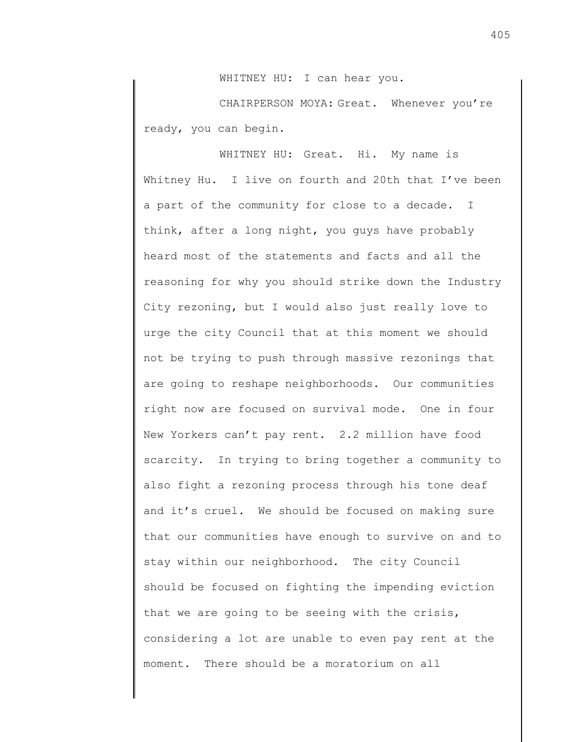WHITNEY HU: I can hear you.

CHAIRPERSON MOYA: Great. Whenever you're ready, you can begin.

WHITNEY HU: Great. Hi. My name is Whitney Hu. I live on fourth and 20th that I've been a part of the community for close to a decade. I think, after a long night, you guys have probably heard most of the statements and facts and all the reasoning for why you should strike down the Industry City rezoning, but I would also just really love to urge the city Council that at this moment we should not be trying to push through massive rezonings that are going to reshape neighborhoods. Our communities right now are focused on survival mode. One in four New Yorkers can't pay rent. 2.2 million have food scarcity. In trying to bring together a community to also fight a rezoning process through his tone deaf and it's cruel. We should be focused on making sure that our communities have enough to survive on and to stay within our neighborhood. The city Council should be focused on fighting the impending eviction that we are going to be seeing with the crisis, considering a lot are unable to even pay rent at the moment. There should be a moratorium on all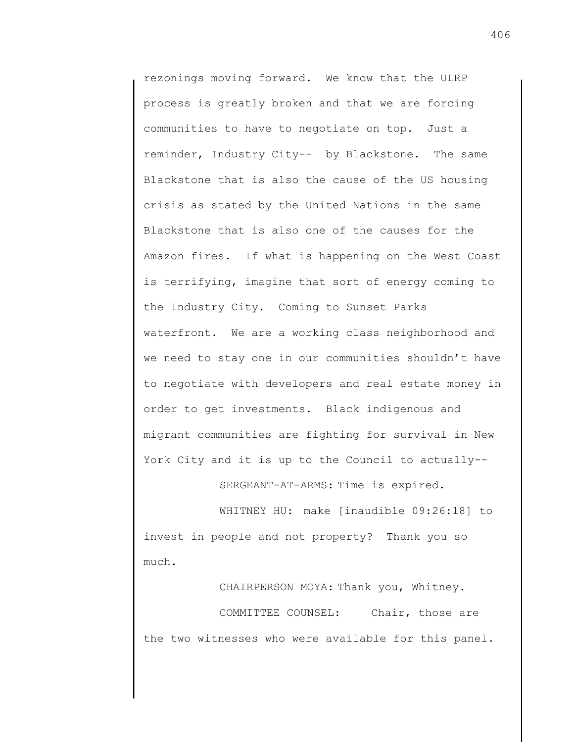rezonings moving forward. We know that the ULRP process is greatly broken and that we are forcing communities to have to negotiate on top. Just a reminder, Industry City-- by Blackstone. The same Blackstone that is also the cause of the US housing crisis as stated by the United Nations in the same Blackstone that is also one of the causes for the Amazon fires. If what is happening on the West Coast is terrifying, imagine that sort of energy coming to the Industry City. Coming to Sunset Parks waterfront. We are a working class neighborhood and we need to stay one in our communities shouldn't have to negotiate with developers and real estate money in order to get investments. Black indigenous and migrant communities are fighting for survival in New York City and it is up to the Council to actually--

SERGEANT-AT-ARMS: Time is expired.

WHITNEY HU: make [inaudible 09:26:18] to invest in people and not property? Thank you so much.

CHAIRPERSON MOYA: Thank you, Whitney. COMMITTEE COUNSEL: Chair, those are the two witnesses who were available for this panel.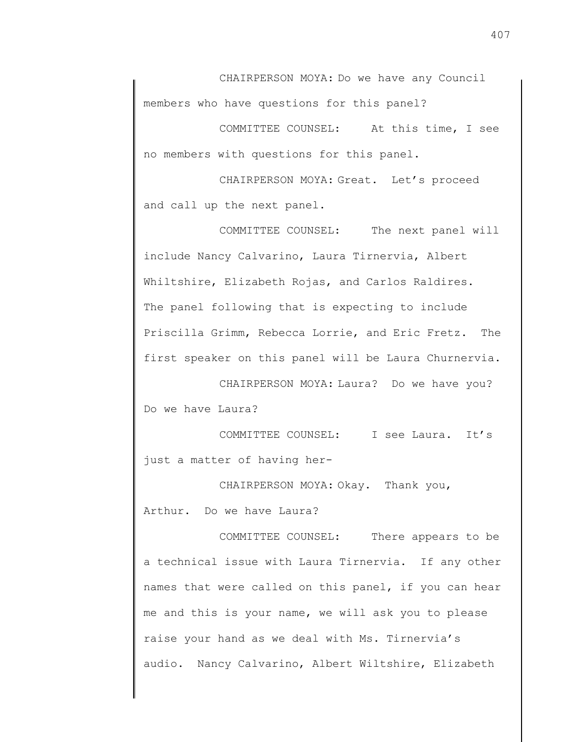CHAIRPERSON MOYA: Do we have any Council members who have questions for this panel?

COMMITTEE COUNSEL: At this time, I see no members with questions for this panel.

CHAIRPERSON MOYA: Great. Let's proceed and call up the next panel.

COMMITTEE COUNSEL: The next panel will include Nancy Calvarino, Laura Tirnervia, Albert Whiltshire, Elizabeth Rojas, and Carlos Raldires. The panel following that is expecting to include Priscilla Grimm, Rebecca Lorrie, and Eric Fretz. The first speaker on this panel will be Laura Churnervia.

CHAIRPERSON MOYA: Laura? Do we have you? Do we have Laura?

COMMITTEE COUNSEL: I see Laura. It's just a matter of having her-

CHAIRPERSON MOYA: Okay. Thank you, Arthur. Do we have Laura?

COMMITTEE COUNSEL: There appears to be a technical issue with Laura Tirnervia. If any other names that were called on this panel, if you can hear me and this is your name, we will ask you to please raise your hand as we deal with Ms. Tirnervia's audio. Nancy Calvarino, Albert Wiltshire, Elizabeth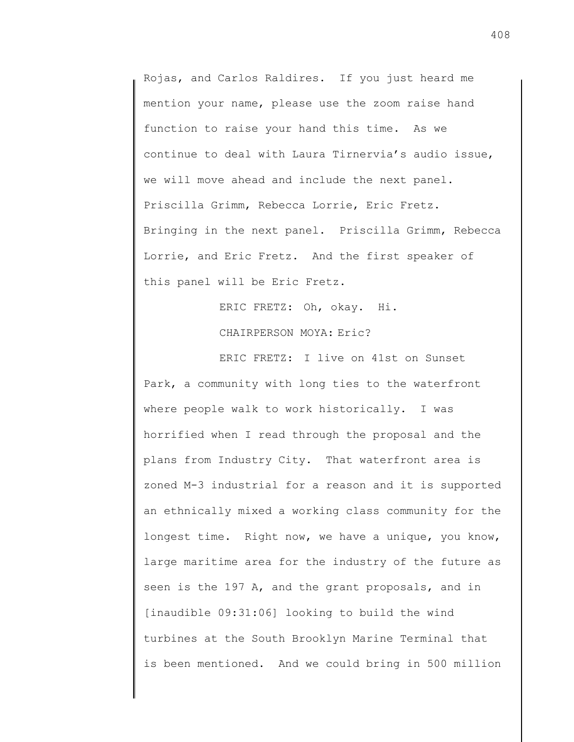Rojas, and Carlos Raldires. If you just heard me mention your name, please use the zoom raise hand function to raise your hand this time. As we continue to deal with Laura Tirnervia's audio issue, we will move ahead and include the next panel. Priscilla Grimm, Rebecca Lorrie, Eric Fretz. Bringing in the next panel. Priscilla Grimm, Rebecca Lorrie, and Eric Fretz. And the first speaker of this panel will be Eric Fretz.

> ERIC FRETZ: Oh, okay. Hi. CHAIRPERSON MOYA: Eric?

ERIC FRETZ: I live on 41st on Sunset Park, a community with long ties to the waterfront where people walk to work historically. I was horrified when I read through the proposal and the plans from Industry City. That waterfront area is zoned M-3 industrial for a reason and it is supported an ethnically mixed a working class community for the longest time. Right now, we have a unique, you know, large maritime area for the industry of the future as seen is the 197 A, and the grant proposals, and in [inaudible 09:31:06] looking to build the wind turbines at the South Brooklyn Marine Terminal that is been mentioned. And we could bring in 500 million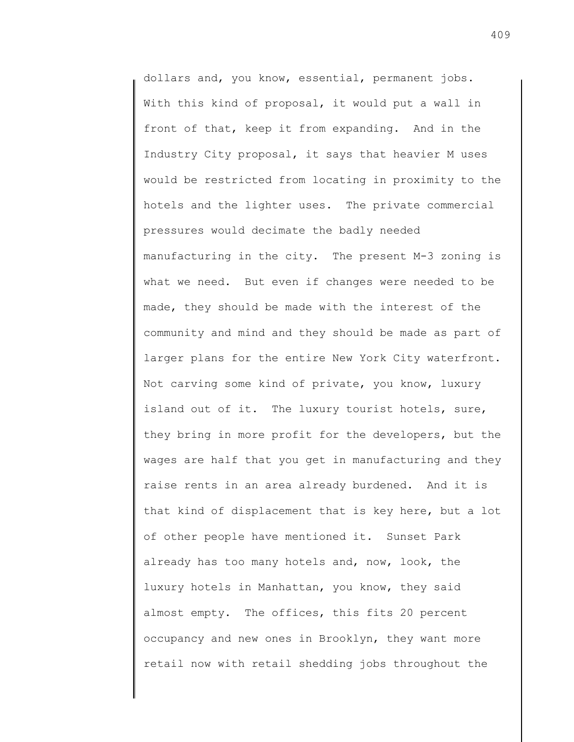dollars and, you know, essential, permanent jobs. With this kind of proposal, it would put a wall in front of that, keep it from expanding. And in the Industry City proposal, it says that heavier M uses would be restricted from locating in proximity to the hotels and the lighter uses. The private commercial pressures would decimate the badly needed manufacturing in the city. The present M-3 zoning is what we need. But even if changes were needed to be made, they should be made with the interest of the community and mind and they should be made as part of larger plans for the entire New York City waterfront. Not carving some kind of private, you know, luxury island out of it. The luxury tourist hotels, sure, they bring in more profit for the developers, but the wages are half that you get in manufacturing and they raise rents in an area already burdened. And it is that kind of displacement that is key here, but a lot of other people have mentioned it. Sunset Park already has too many hotels and, now, look, the luxury hotels in Manhattan, you know, they said almost empty. The offices, this fits 20 percent occupancy and new ones in Brooklyn, they want more retail now with retail shedding jobs throughout the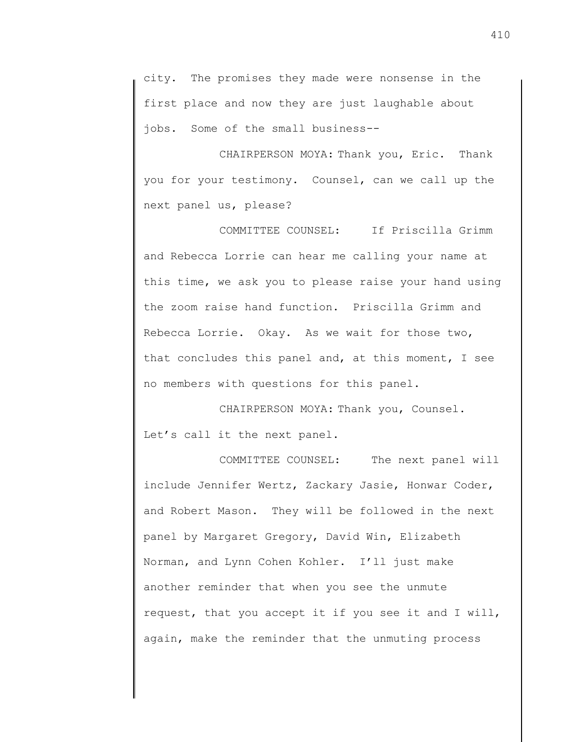city. The promises they made were nonsense in the first place and now they are just laughable about jobs. Some of the small business--

CHAIRPERSON MOYA: Thank you, Eric. Thank you for your testimony. Counsel, can we call up the next panel us, please?

COMMITTEE COUNSEL: If Priscilla Grimm and Rebecca Lorrie can hear me calling your name at this time, we ask you to please raise your hand using the zoom raise hand function. Priscilla Grimm and Rebecca Lorrie. Okay. As we wait for those two, that concludes this panel and, at this moment, I see no members with questions for this panel.

CHAIRPERSON MOYA: Thank you, Counsel. Let's call it the next panel.

COMMITTEE COUNSEL: The next panel will include Jennifer Wertz, Zackary Jasie, Honwar Coder, and Robert Mason. They will be followed in the next panel by Margaret Gregory, David Win, Elizabeth Norman, and Lynn Cohen Kohler. I'll just make another reminder that when you see the unmute request, that you accept it if you see it and I will, again, make the reminder that the unmuting process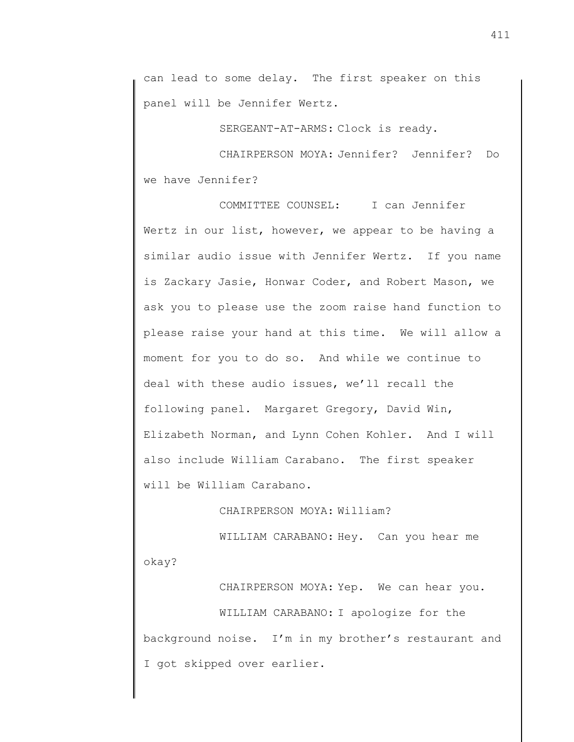can lead to some delay. The first speaker on this panel will be Jennifer Wertz.

SERGEANT-AT-ARMS: Clock is ready.

CHAIRPERSON MOYA: Jennifer? Jennifer? Do we have Jennifer?

COMMITTEE COUNSEL: I can Jennifer Wertz in our list, however, we appear to be having a similar audio issue with Jennifer Wertz. If you name is Zackary Jasie, Honwar Coder, and Robert Mason, we ask you to please use the zoom raise hand function to please raise your hand at this time. We will allow a moment for you to do so. And while we continue to deal with these audio issues, we'll recall the following panel. Margaret Gregory, David Win, Elizabeth Norman, and Lynn Cohen Kohler. And I will also include William Carabano. The first speaker will be William Carabano.

CHAIRPERSON MOYA: William?

WILLIAM CARABANO: Hey. Can you hear me okay?

CHAIRPERSON MOYA: Yep. We can hear you.

WILLIAM CARABANO: I apologize for the background noise. I'm in my brother's restaurant and I got skipped over earlier.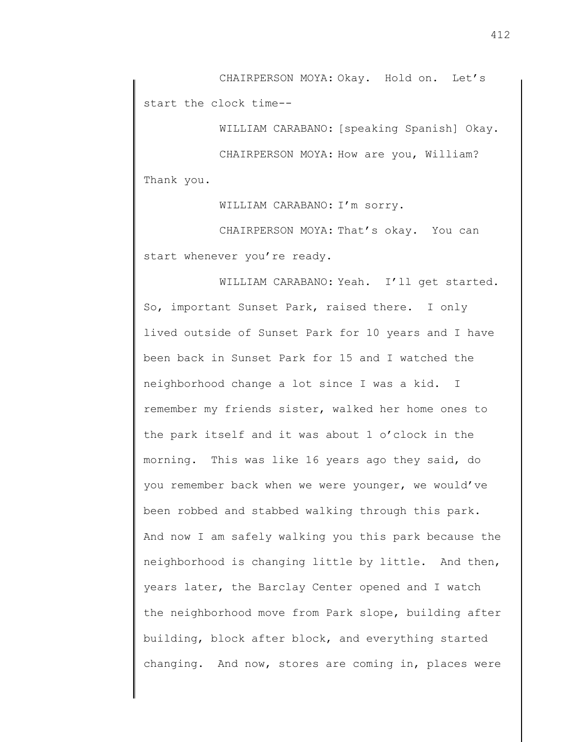CHAIRPERSON MOYA: Okay. Hold on. Let's start the clock time--

WILLIAM CARABANO: [speaking Spanish] Okay.

CHAIRPERSON MOYA: How are you, William? Thank you.

WILLIAM CARABANO: I'm sorry.

CHAIRPERSON MOYA: That's okay. You can start whenever you're ready.

WILLIAM CARABANO: Yeah. I'll get started. So, important Sunset Park, raised there. I only lived outside of Sunset Park for 10 years and I have been back in Sunset Park for 15 and I watched the neighborhood change a lot since I was a kid. I remember my friends sister, walked her home ones to the park itself and it was about 1 o'clock in the morning. This was like 16 years ago they said, do you remember back when we were younger, we would've been robbed and stabbed walking through this park. And now I am safely walking you this park because the neighborhood is changing little by little. And then, years later, the Barclay Center opened and I watch the neighborhood move from Park slope, building after building, block after block, and everything started changing. And now, stores are coming in, places were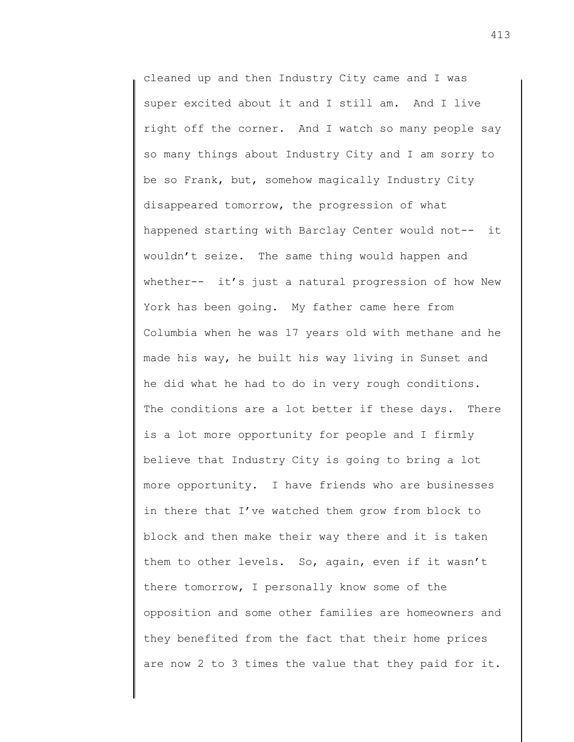cleaned up and then Industry City came and I was super excited about it and I still am. And I live right off the corner. And I watch so many people say so many things about Industry City and I am sorry to be so Frank, but, somehow magically Industry City disappeared tomorrow, the progression of what happened starting with Barclay Center would not-- it wouldn't seize. The same thing would happen and whether-- it's just a natural progression of how New York has been going. My father came here from Columbia when he was 17 years old with methane and he made his way, he built his way living in Sunset and he did what he had to do in very rough conditions. The conditions are a lot better if these days. There is a lot more opportunity for people and I firmly believe that Industry City is going to bring a lot more opportunity. I have friends who are businesses in there that I've watched them grow from block to block and then make their way there and it is taken them to other levels. So, again, even if it wasn't there tomorrow, I personally know some of the opposition and some other families are homeowners and they benefited from the fact that their home prices are now 2 to 3 times the value that they paid for it.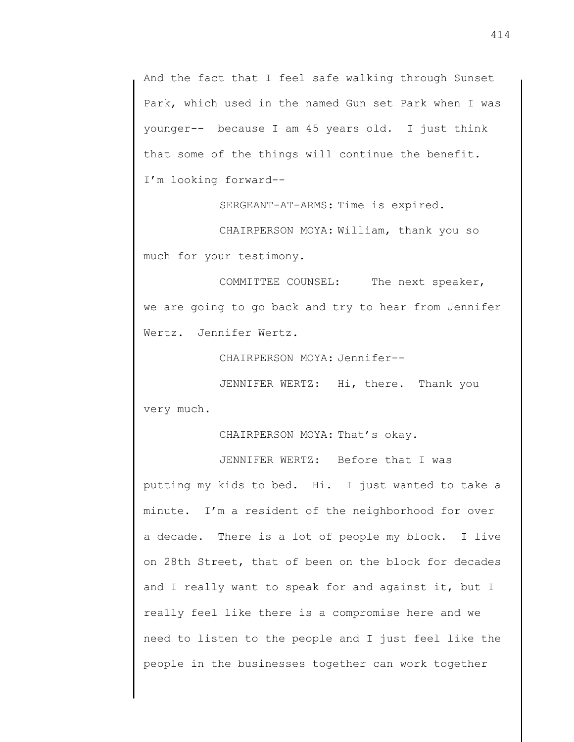And the fact that I feel safe walking through Sunset Park, which used in the named Gun set Park when I was younger-- because I am 45 years old. I just think that some of the things will continue the benefit. I'm looking forward--

SERGEANT-AT-ARMS: Time is expired.

CHAIRPERSON MOYA: William, thank you so much for your testimony.

COMMITTEE COUNSEL: The next speaker, we are going to go back and try to hear from Jennifer Wertz. Jennifer Wertz.

CHAIRPERSON MOYA: Jennifer--

JENNIFER WERTZ: Hi, there. Thank you very much.

CHAIRPERSON MOYA: That's okay.

JENNIFER WERTZ: Before that I was

putting my kids to bed. Hi. I just wanted to take a minute. I'm a resident of the neighborhood for over a decade. There is a lot of people my block. I live on 28th Street, that of been on the block for decades and I really want to speak for and against it, but I really feel like there is a compromise here and we need to listen to the people and I just feel like the people in the businesses together can work together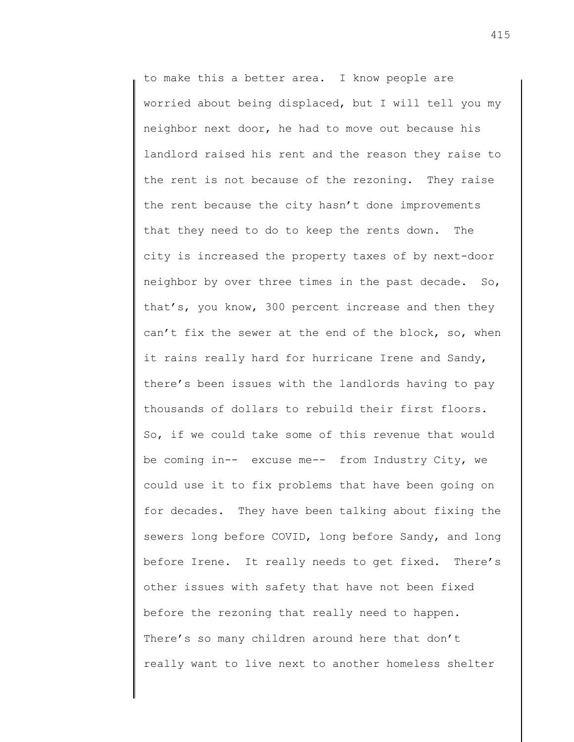to make this a better area. I know people are worried about being displaced, but I will tell you my neighbor next door, he had to move out because his landlord raised his rent and the reason they raise to the rent is not because of the rezoning. They raise the rent because the city hasn't done improvements that they need to do to keep the rents down. The city is increased the property taxes of by next-door neighbor by over three times in the past decade. So, that's, you know, 300 percent increase and then they can't fix the sewer at the end of the block, so, when it rains really hard for hurricane Irene and Sandy, there's been issues with the landlords having to pay thousands of dollars to rebuild their first floors. So, if we could take some of this revenue that would be coming in-- excuse me-- from Industry City, we could use it to fix problems that have been going on for decades. They have been talking about fixing the sewers long before COVID, long before Sandy, and long before Irene. It really needs to get fixed. There's other issues with safety that have not been fixed before the rezoning that really need to happen. There's so many children around here that don't really want to live next to another homeless shelter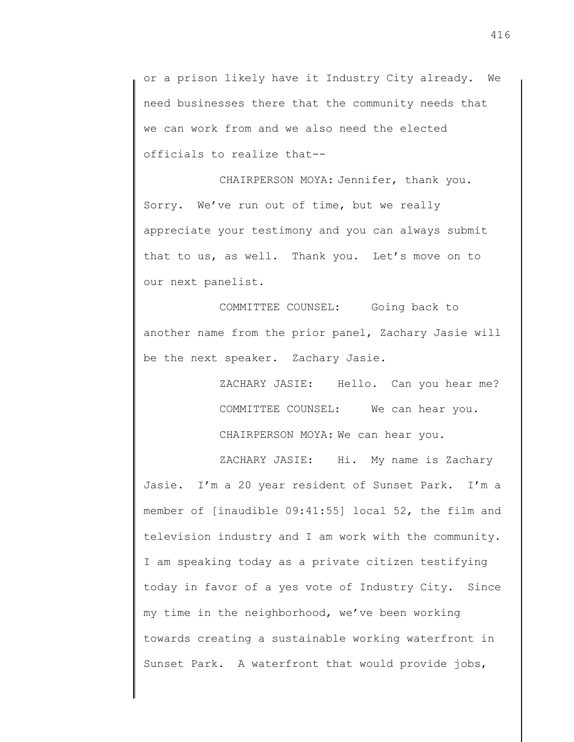or a prison likely have it Industry City already. We need businesses there that the community needs that we can work from and we also need the elected officials to realize that--

CHAIRPERSON MOYA: Jennifer, thank you. Sorry. We've run out of time, but we really appreciate your testimony and you can always submit that to us, as well. Thank you. Let's move on to our next panelist.

COMMITTEE COUNSEL: Going back to another name from the prior panel, Zachary Jasie will be the next speaker. Zachary Jasie.

> ZACHARY JASIE: Hello. Can you hear me? COMMITTEE COUNSEL: We can hear you.

CHAIRPERSON MOYA: We can hear you.

ZACHARY JASIE: Hi. My name is Zachary Jasie. I'm a 20 year resident of Sunset Park. I'm a member of [inaudible 09:41:55] local 52, the film and television industry and I am work with the community. I am speaking today as a private citizen testifying today in favor of a yes vote of Industry City. Since my time in the neighborhood, we've been working towards creating a sustainable working waterfront in Sunset Park. A waterfront that would provide jobs,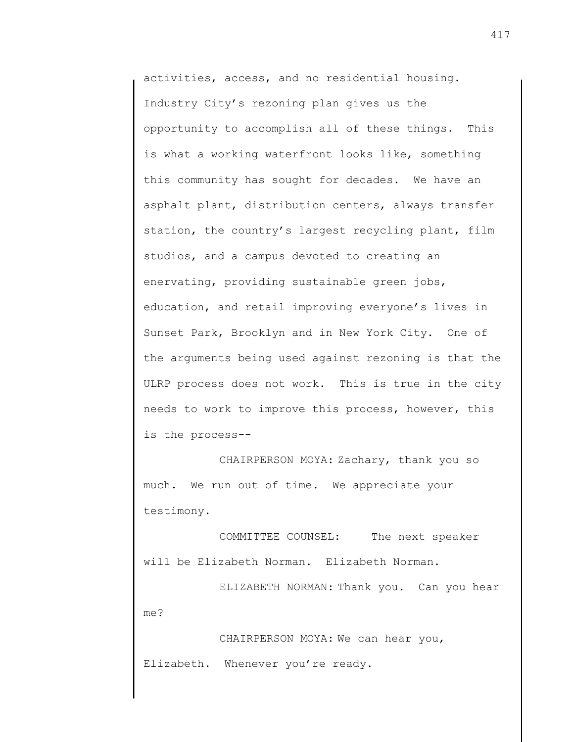activities, access, and no residential housing. Industry City's rezoning plan gives us the opportunity to accomplish all of these things. This is what a working waterfront looks like, something this community has sought for decades. We have an asphalt plant, distribution centers, always transfer station, the country's largest recycling plant, film studios, and a campus devoted to creating an enervating, providing sustainable green jobs, education, and retail improving everyone's lives in Sunset Park, Brooklyn and in New York City. One of the arguments being used against rezoning is that the ULRP process does not work. This is true in the city needs to work to improve this process, however, this is the process--

CHAIRPERSON MOYA: Zachary, thank you so much. We run out of time. We appreciate your testimony.

COMMITTEE COUNSEL: The next speaker will be Elizabeth Norman. Elizabeth Norman.

ELIZABETH NORMAN: Thank you. Can you hear me?

CHAIRPERSON MOYA: We can hear you, Elizabeth. Whenever you're ready.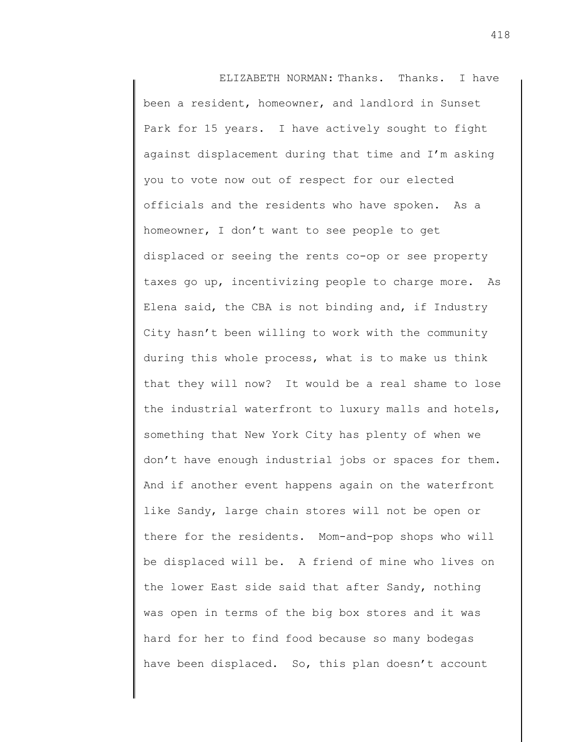ELIZABETH NORMAN: Thanks. Thanks. I have been a resident, homeowner, and landlord in Sunset Park for 15 years. I have actively sought to fight against displacement during that time and I'm asking you to vote now out of respect for our elected officials and the residents who have spoken. As a homeowner, I don't want to see people to get displaced or seeing the rents co-op or see property taxes go up, incentivizing people to charge more. As Elena said, the CBA is not binding and, if Industry City hasn't been willing to work with the community during this whole process, what is to make us think that they will now? It would be a real shame to lose the industrial waterfront to luxury malls and hotels, something that New York City has plenty of when we don't have enough industrial jobs or spaces for them. And if another event happens again on the waterfront like Sandy, large chain stores will not be open or there for the residents. Mom-and-pop shops who will be displaced will be. A friend of mine who lives on the lower East side said that after Sandy, nothing was open in terms of the big box stores and it was hard for her to find food because so many bodegas have been displaced. So, this plan doesn't account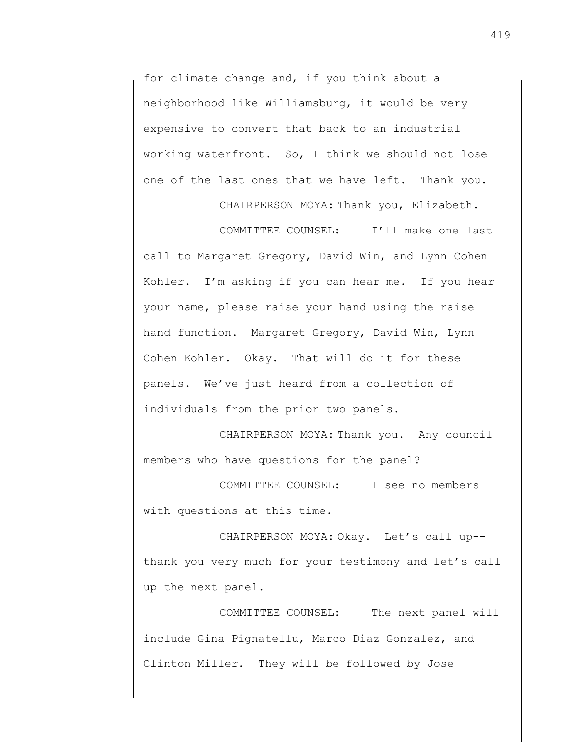for climate change and, if you think about a neighborhood like Williamsburg, it would be very expensive to convert that back to an industrial working waterfront. So, I think we should not lose one of the last ones that we have left. Thank you.

CHAIRPERSON MOYA: Thank you, Elizabeth.

COMMITTEE COUNSEL: I'll make one last call to Margaret Gregory, David Win, and Lynn Cohen Kohler. I'm asking if you can hear me. If you hear your name, please raise your hand using the raise hand function. Margaret Gregory, David Win, Lynn Cohen Kohler. Okay. That will do it for these panels. We've just heard from a collection of individuals from the prior two panels.

CHAIRPERSON MOYA: Thank you. Any council members who have questions for the panel?

COMMITTEE COUNSEL: I see no members with questions at this time.

CHAIRPERSON MOYA: Okay. Let's call up- thank you very much for your testimony and let's call up the next panel.

COMMITTEE COUNSEL: The next panel will include Gina Pignatellu, Marco Diaz Gonzalez, and Clinton Miller. They will be followed by Jose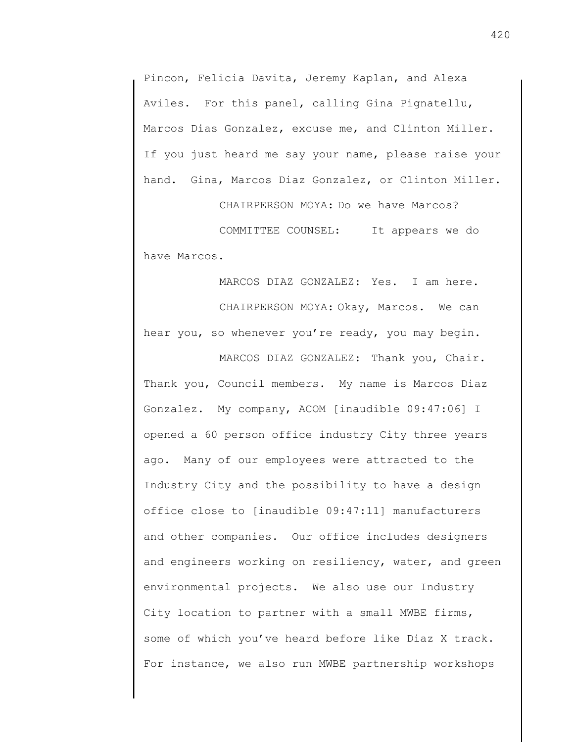Pincon, Felicia Davita, Jeremy Kaplan, and Alexa Aviles. For this panel, calling Gina Pignatellu, Marcos Dias Gonzalez, excuse me, and Clinton Miller. If you just heard me say your name, please raise your hand. Gina, Marcos Diaz Gonzalez, or Clinton Miller.

CHAIRPERSON MOYA: Do we have Marcos?

COMMITTEE COUNSEL: It appears we do have Marcos.

MARCOS DIAZ GONZALEZ: Yes. I am here. CHAIRPERSON MOYA: Okay, Marcos. We can hear you, so whenever you're ready, you may begin.

MARCOS DIAZ GONZALEZ: Thank you, Chair. Thank you, Council members. My name is Marcos Diaz Gonzalez. My company, ACOM [inaudible 09:47:06] I opened a 60 person office industry City three years ago. Many of our employees were attracted to the Industry City and the possibility to have a design office close to [inaudible 09:47:11] manufacturers and other companies. Our office includes designers and engineers working on resiliency, water, and green environmental projects. We also use our Industry City location to partner with a small MWBE firms, some of which you've heard before like Diaz X track. For instance, we also run MWBE partnership workshops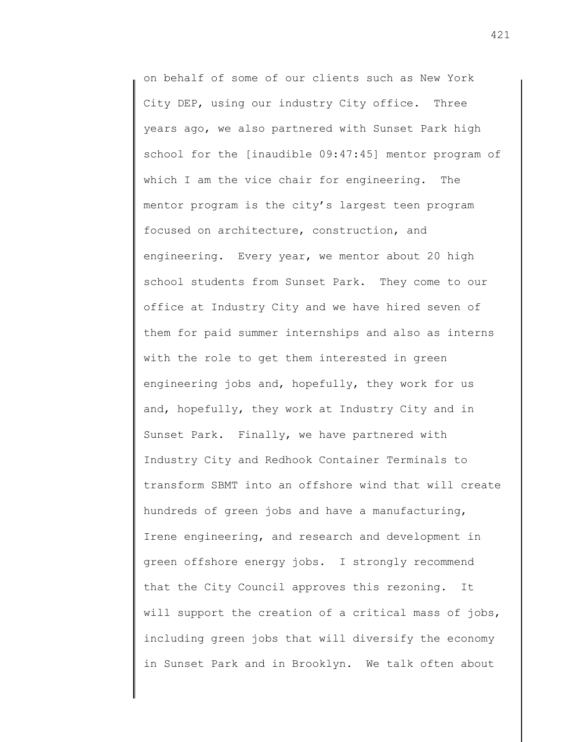on behalf of some of our clients such as New York City DEP, using our industry City office. Three years ago, we also partnered with Sunset Park high school for the [inaudible 09:47:45] mentor program of which I am the vice chair for engineering. The mentor program is the city's largest teen program focused on architecture, construction, and engineering. Every year, we mentor about 20 high school students from Sunset Park. They come to our office at Industry City and we have hired seven of them for paid summer internships and also as interns with the role to get them interested in green engineering jobs and, hopefully, they work for us and, hopefully, they work at Industry City and in Sunset Park. Finally, we have partnered with Industry City and Redhook Container Terminals to transform SBMT into an offshore wind that will create hundreds of green jobs and have a manufacturing, Irene engineering, and research and development in green offshore energy jobs. I strongly recommend that the City Council approves this rezoning. It will support the creation of a critical mass of jobs, including green jobs that will diversify the economy in Sunset Park and in Brooklyn. We talk often about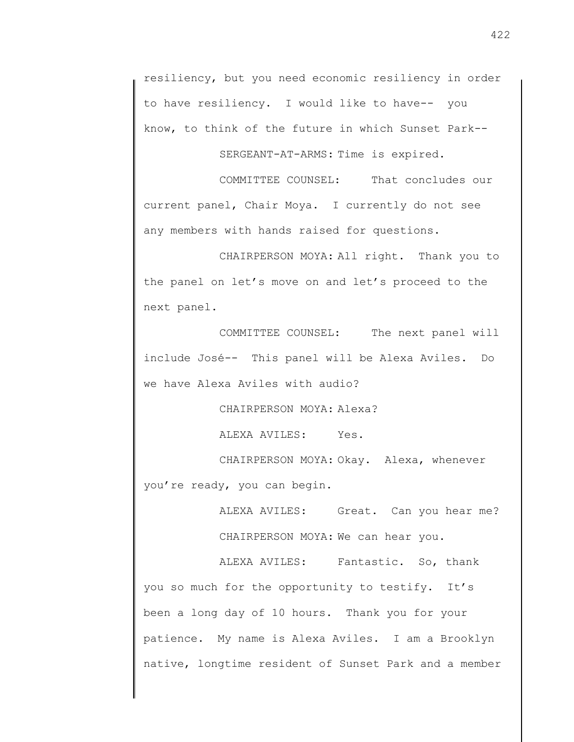resiliency, but you need economic resiliency in order to have resiliency. I would like to have-- you know, to think of the future in which Sunset Park--

SERGEANT-AT-ARMS: Time is expired.

COMMITTEE COUNSEL: That concludes our current panel, Chair Moya. I currently do not see any members with hands raised for questions.

CHAIRPERSON MOYA: All right. Thank you to the panel on let's move on and let's proceed to the next panel.

COMMITTEE COUNSEL: The next panel will include José-- This panel will be Alexa Aviles. Do we have Alexa Aviles with audio?

CHAIRPERSON MOYA: Alexa?

ALEXA AVILES: Yes.

CHAIRPERSON MOYA: Okay. Alexa, whenever you're ready, you can begin.

> ALEXA AVILES: Great. Can you hear me? CHAIRPERSON MOYA: We can hear you.

ALEXA AVILES: Fantastic. So, thank you so much for the opportunity to testify. It's been a long day of 10 hours. Thank you for your patience. My name is Alexa Aviles. I am a Brooklyn native, longtime resident of Sunset Park and a member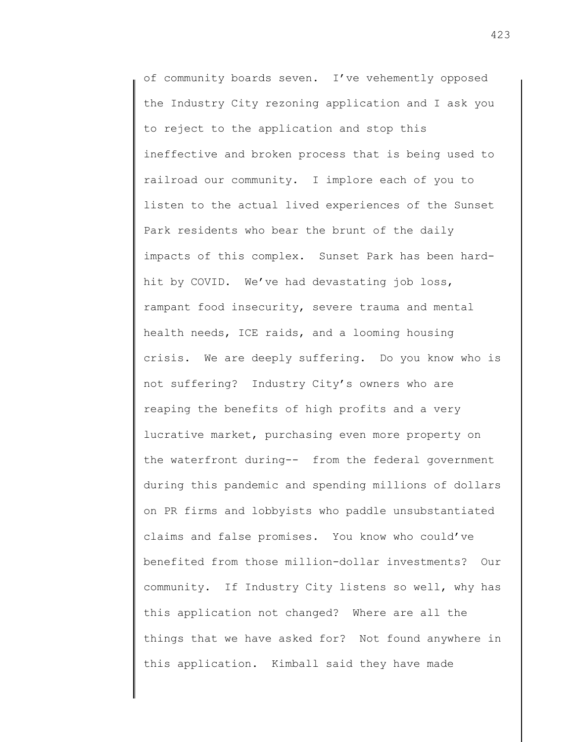of community boards seven. I've vehemently opposed the Industry City rezoning application and I ask you to reject to the application and stop this ineffective and broken process that is being used to railroad our community. I implore each of you to listen to the actual lived experiences of the Sunset Park residents who bear the brunt of the daily impacts of this complex. Sunset Park has been hardhit by COVID. We've had devastating job loss, rampant food insecurity, severe trauma and mental health needs, ICE raids, and a looming housing crisis. We are deeply suffering. Do you know who is not suffering? Industry City's owners who are reaping the benefits of high profits and a very lucrative market, purchasing even more property on the waterfront during-- from the federal government during this pandemic and spending millions of dollars on PR firms and lobbyists who paddle unsubstantiated claims and false promises. You know who could've benefited from those million-dollar investments? Our community. If Industry City listens so well, why has this application not changed? Where are all the things that we have asked for? Not found anywhere in this application. Kimball said they have made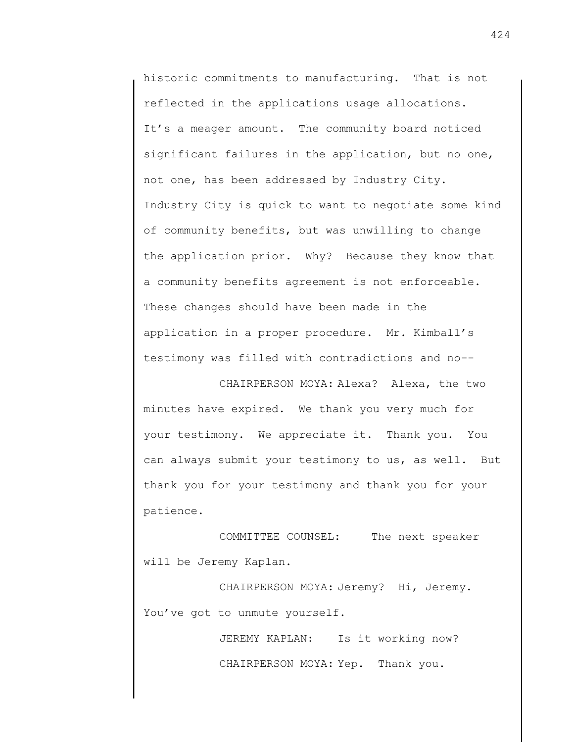historic commitments to manufacturing. That is not reflected in the applications usage allocations. It's a meager amount. The community board noticed significant failures in the application, but no one, not one, has been addressed by Industry City. Industry City is quick to want to negotiate some kind of community benefits, but was unwilling to change the application prior. Why? Because they know that a community benefits agreement is not enforceable. These changes should have been made in the application in a proper procedure. Mr. Kimball's testimony was filled with contradictions and no--

CHAIRPERSON MOYA: Alexa? Alexa, the two minutes have expired. We thank you very much for your testimony. We appreciate it. Thank you. You can always submit your testimony to us, as well. But thank you for your testimony and thank you for your patience.

COMMITTEE COUNSEL: The next speaker will be Jeremy Kaplan.

CHAIRPERSON MOYA: Jeremy? Hi, Jeremy. You've got to unmute yourself.

> JEREMY KAPLAN: Is it working now? CHAIRPERSON MOYA: Yep. Thank you.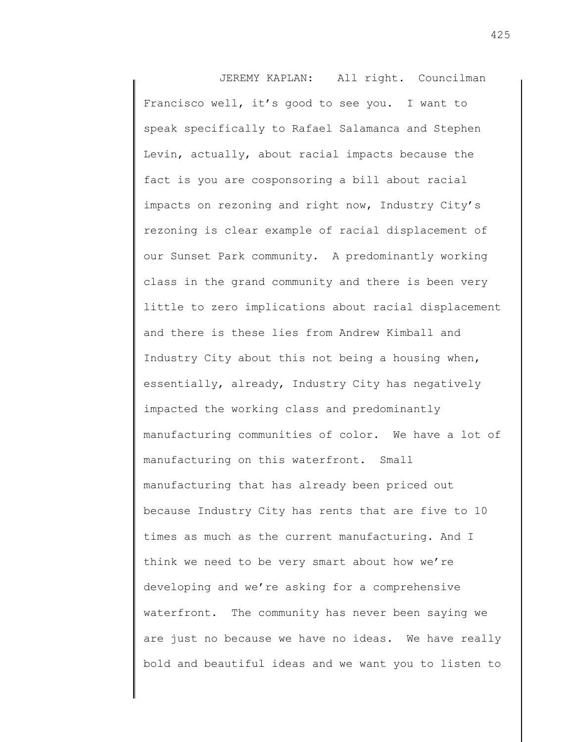JEREMY KAPLAN: All right. Councilman Francisco well, it's good to see you. I want to speak specifically to Rafael Salamanca and Stephen Levin, actually, about racial impacts because the fact is you are cosponsoring a bill about racial impacts on rezoning and right now, Industry City's rezoning is clear example of racial displacement of our Sunset Park community. A predominantly working class in the grand community and there is been very little to zero implications about racial displacement and there is these lies from Andrew Kimball and Industry City about this not being a housing when, essentially, already, Industry City has negatively impacted the working class and predominantly manufacturing communities of color. We have a lot of manufacturing on this waterfront. Small manufacturing that has already been priced out because Industry City has rents that are five to 10 times as much as the current manufacturing. And I think we need to be very smart about how we're developing and we're asking for a comprehensive waterfront. The community has never been saying we are just no because we have no ideas. We have really bold and beautiful ideas and we want you to listen to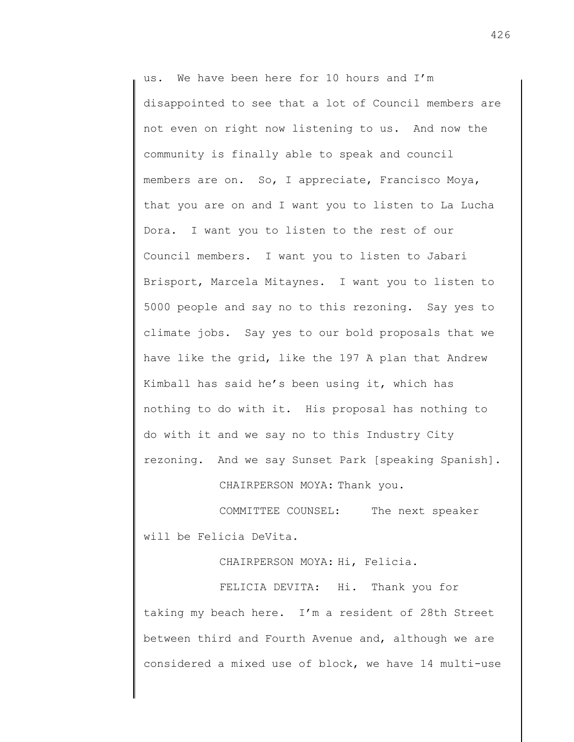us. We have been here for 10 hours and I'm disappointed to see that a lot of Council members are not even on right now listening to us. And now the community is finally able to speak and council members are on. So, I appreciate, Francisco Moya, that you are on and I want you to listen to La Lucha Dora. I want you to listen to the rest of our Council members. I want you to listen to Jabari Brisport, Marcela Mitaynes. I want you to listen to 5000 people and say no to this rezoning. Say yes to climate jobs. Say yes to our bold proposals that we have like the grid, like the 197 A plan that Andrew Kimball has said he's been using it, which has nothing to do with it. His proposal has nothing to do with it and we say no to this Industry City rezoning. And we say Sunset Park [speaking Spanish].

CHAIRPERSON MOYA: Thank you.

COMMITTEE COUNSEL: The next speaker will be Felicia DeVita.

CHAIRPERSON MOYA: Hi, Felicia.

FELICIA DEVITA: Hi. Thank you for taking my beach here. I'm a resident of 28th Street between third and Fourth Avenue and, although we are considered a mixed use of block, we have 14 multi-use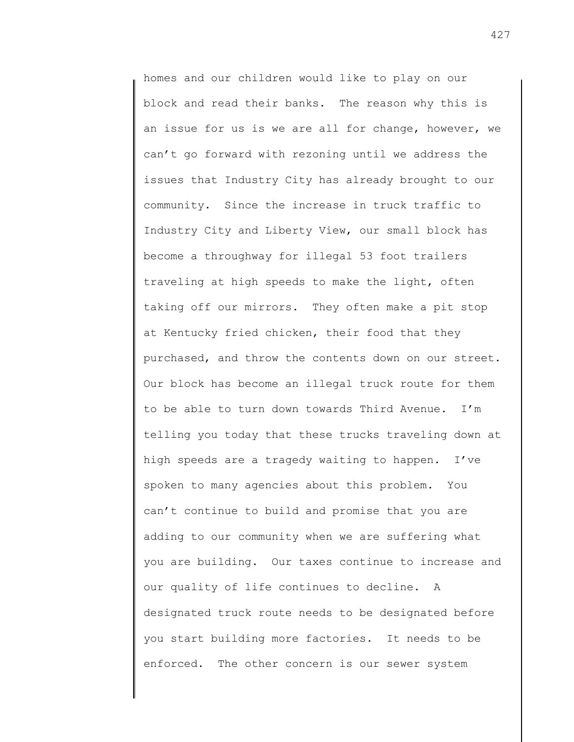homes and our children would like to play on our block and read their banks. The reason why this is an issue for us is we are all for change, however, we can't go forward with rezoning until we address the issues that Industry City has already brought to our community. Since the increase in truck traffic to Industry City and Liberty View, our small block has become a throughway for illegal 53 foot trailers traveling at high speeds to make the light, often taking off our mirrors. They often make a pit stop at Kentucky fried chicken, their food that they purchased, and throw the contents down on our street. Our block has become an illegal truck route for them to be able to turn down towards Third Avenue. I'm telling you today that these trucks traveling down at high speeds are a tragedy waiting to happen. I've spoken to many agencies about this problem. You can't continue to build and promise that you are adding to our community when we are suffering what you are building. Our taxes continue to increase and our quality of life continues to decline. A designated truck route needs to be designated before you start building more factories. It needs to be enforced. The other concern is our sewer system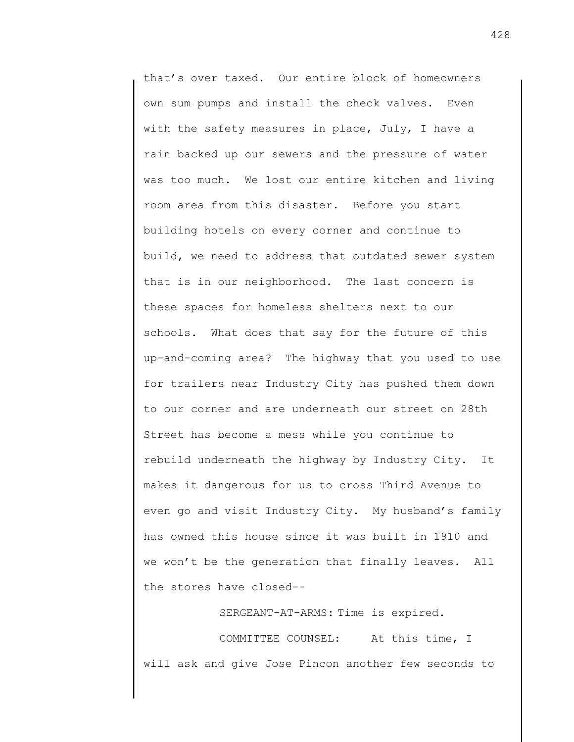that's over taxed. Our entire block of homeowners own sum pumps and install the check valves. Even with the safety measures in place, July, I have a rain backed up our sewers and the pressure of water was too much. We lost our entire kitchen and living room area from this disaster. Before you start building hotels on every corner and continue to build, we need to address that outdated sewer system that is in our neighborhood. The last concern is these spaces for homeless shelters next to our schools. What does that say for the future of this up-and-coming area? The highway that you used to use for trailers near Industry City has pushed them down to our corner and are underneath our street on 28th Street has become a mess while you continue to rebuild underneath the highway by Industry City. It makes it dangerous for us to cross Third Avenue to even go and visit Industry City. My husband's family has owned this house since it was built in 1910 and we won't be the generation that finally leaves. All the stores have closed--

SERGEANT-AT-ARMS: Time is expired.

COMMITTEE COUNSEL: At this time, I will ask and give Jose Pincon another few seconds to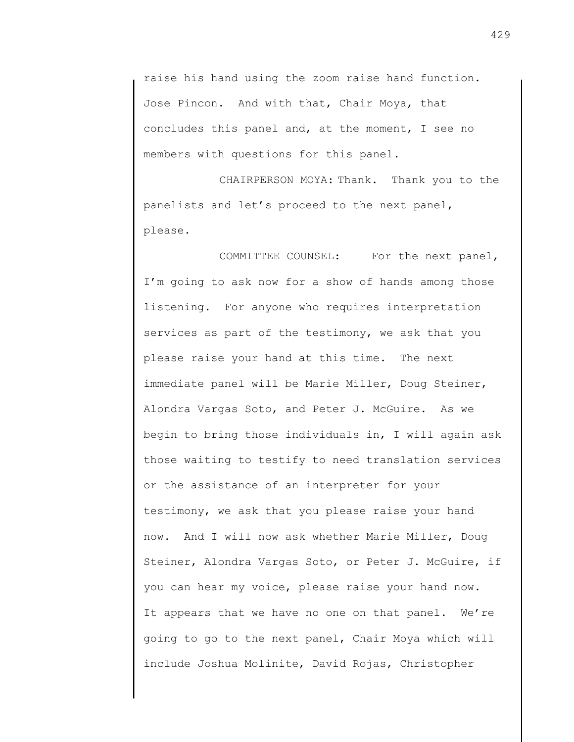raise his hand using the zoom raise hand function. Jose Pincon. And with that, Chair Moya, that concludes this panel and, at the moment, I see no members with questions for this panel.

CHAIRPERSON MOYA: Thank. Thank you to the panelists and let's proceed to the next panel, please.

COMMITTEE COUNSEL: For the next panel, I'm going to ask now for a show of hands among those listening. For anyone who requires interpretation services as part of the testimony, we ask that you please raise your hand at this time. The next immediate panel will be Marie Miller, Doug Steiner, Alondra Vargas Soto, and Peter J. McGuire. As we begin to bring those individuals in, I will again ask those waiting to testify to need translation services or the assistance of an interpreter for your testimony, we ask that you please raise your hand now. And I will now ask whether Marie Miller, Doug Steiner, Alondra Vargas Soto, or Peter J. McGuire, if you can hear my voice, please raise your hand now. It appears that we have no one on that panel. We're going to go to the next panel, Chair Moya which will include Joshua Molinite, David Rojas, Christopher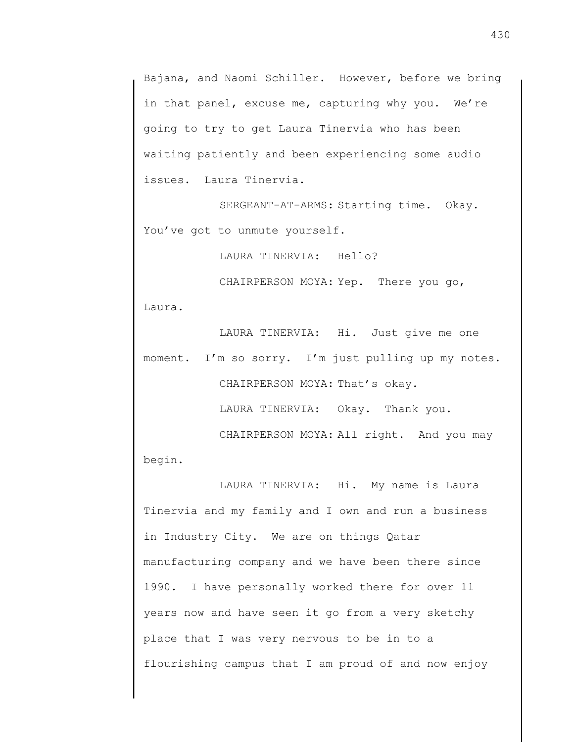Bajana, and Naomi Schiller. However, before we bring in that panel, excuse me, capturing why you. We're going to try to get Laura Tinervia who has been waiting patiently and been experiencing some audio issues. Laura Tinervia.

SERGEANT-AT-ARMS: Starting time. Okay. You've got to unmute yourself.

LAURA TINERVIA: Hello?

CHAIRPERSON MOYA: Yep. There you go,

Laura.

LAURA TINERVIA: Hi. Just give me one moment. I'm so sorry. I'm just pulling up my notes. CHAIRPERSON MOYA: That's okay.

LAURA TINERVIA: Okay. Thank you.

CHAIRPERSON MOYA: All right. And you may

begin.

LAURA TINERVIA: Hi. My name is Laura Tinervia and my family and I own and run a business in Industry City. We are on things Qatar manufacturing company and we have been there since 1990. I have personally worked there for over 11 years now and have seen it go from a very sketchy place that I was very nervous to be in to a flourishing campus that I am proud of and now enjoy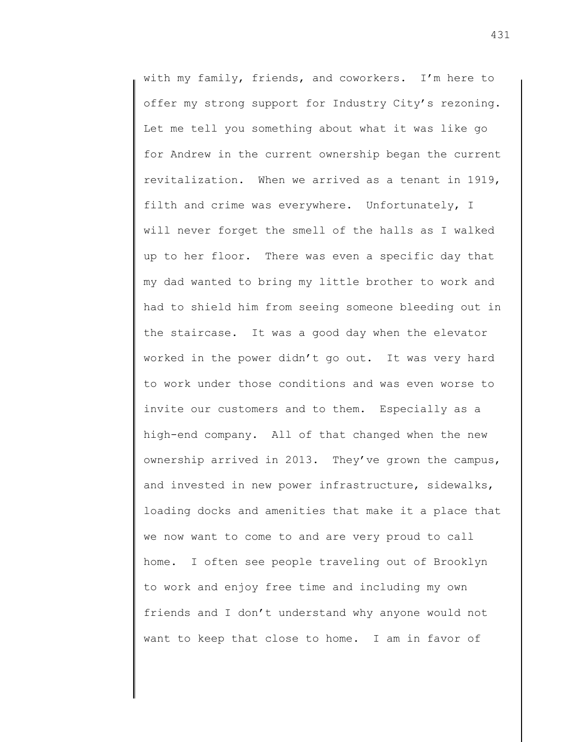with my family, friends, and coworkers. I'm here to offer my strong support for Industry City's rezoning. Let me tell you something about what it was like go for Andrew in the current ownership began the current revitalization. When we arrived as a tenant in 1919, filth and crime was everywhere. Unfortunately, I will never forget the smell of the halls as I walked up to her floor. There was even a specific day that my dad wanted to bring my little brother to work and had to shield him from seeing someone bleeding out in the staircase. It was a good day when the elevator worked in the power didn't go out. It was very hard to work under those conditions and was even worse to invite our customers and to them. Especially as a high-end company. All of that changed when the new ownership arrived in 2013. They've grown the campus, and invested in new power infrastructure, sidewalks, loading docks and amenities that make it a place that we now want to come to and are very proud to call home. I often see people traveling out of Brooklyn to work and enjoy free time and including my own friends and I don't understand why anyone would not want to keep that close to home. I am in favor of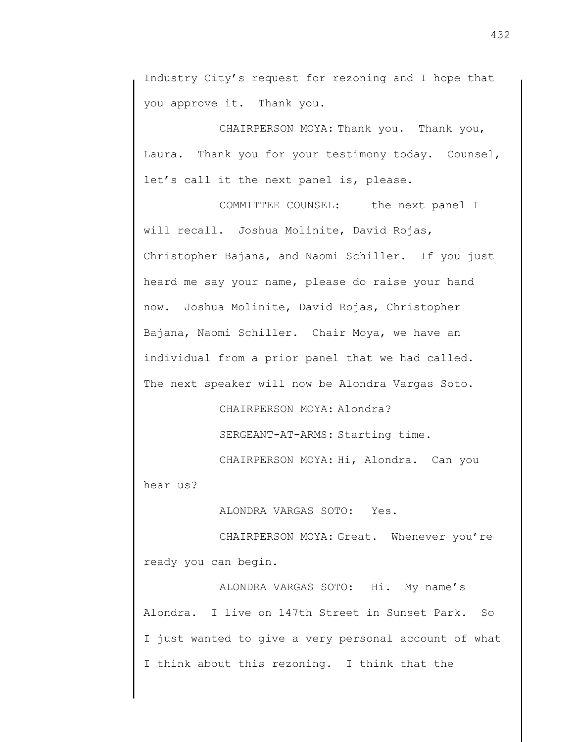Industry City's request for rezoning and I hope that you approve it. Thank you.

CHAIRPERSON MOYA: Thank you. Thank you, Laura. Thank you for your testimony today. Counsel, let's call it the next panel is, please.

COMMITTEE COUNSEL: the next panel I will recall. Joshua Molinite, David Rojas, Christopher Bajana, and Naomi Schiller. If you just heard me say your name, please do raise your hand now. Joshua Molinite, David Rojas, Christopher Bajana, Naomi Schiller. Chair Moya, we have an individual from a prior panel that we had called. The next speaker will now be Alondra Vargas Soto.

CHAIRPERSON MOYA: Alondra?

SERGEANT-AT-ARMS: Starting time.

CHAIRPERSON MOYA: Hi, Alondra. Can you

hear us?

ALONDRA VARGAS SOTO: Yes.

CHAIRPERSON MOYA: Great. Whenever you're ready you can begin.

ALONDRA VARGAS SOTO: Hi. My name's Alondra. I live on 147th Street in Sunset Park. So I just wanted to give a very personal account of what I think about this rezoning. I think that the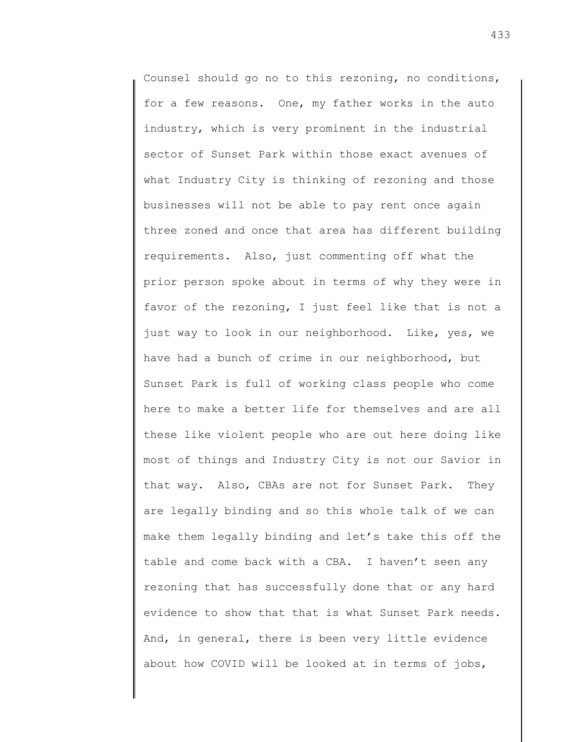Counsel should go no to this rezoning, no conditions, for a few reasons. One, my father works in the auto industry, which is very prominent in the industrial sector of Sunset Park within those exact avenues of what Industry City is thinking of rezoning and those businesses will not be able to pay rent once again three zoned and once that area has different building requirements. Also, just commenting off what the prior person spoke about in terms of why they were in favor of the rezoning, I just feel like that is not a just way to look in our neighborhood. Like, yes, we have had a bunch of crime in our neighborhood, but Sunset Park is full of working class people who come here to make a better life for themselves and are all these like violent people who are out here doing like most of things and Industry City is not our Savior in that way. Also, CBAs are not for Sunset Park. They are legally binding and so this whole talk of we can make them legally binding and let's take this off the table and come back with a CBA. I haven't seen any rezoning that has successfully done that or any hard evidence to show that that is what Sunset Park needs. And, in general, there is been very little evidence about how COVID will be looked at in terms of jobs,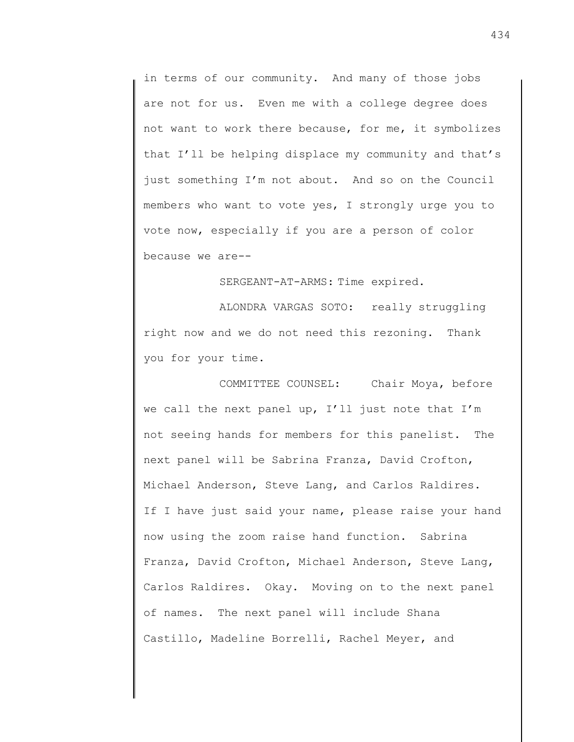in terms of our community. And many of those jobs are not for us. Even me with a college degree does not want to work there because, for me, it symbolizes that I'll be helping displace my community and that's just something I'm not about. And so on the Council members who want to vote yes, I strongly urge you to vote now, especially if you are a person of color because we are--

SERGEANT-AT-ARMS: Time expired.

ALONDRA VARGAS SOTO: really struggling right now and we do not need this rezoning. Thank you for your time.

COMMITTEE COUNSEL: Chair Moya, before we call the next panel up, I'll just note that I'm not seeing hands for members for this panelist. The next panel will be Sabrina Franza, David Crofton, Michael Anderson, Steve Lang, and Carlos Raldires. If I have just said your name, please raise your hand now using the zoom raise hand function. Sabrina Franza, David Crofton, Michael Anderson, Steve Lang, Carlos Raldires. Okay. Moving on to the next panel of names. The next panel will include Shana Castillo, Madeline Borrelli, Rachel Meyer, and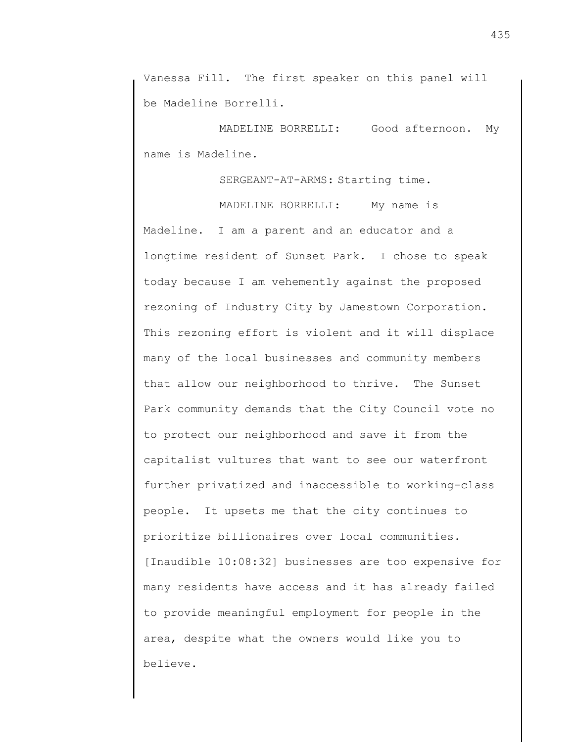Vanessa Fill. The first speaker on this panel will be Madeline Borrelli.

MADELINE BORRELLI: Good afternoon. My name is Madeline.

SERGEANT-AT-ARMS: Starting time.

MADELINE BORRELLI: My name is Madeline. I am a parent and an educator and a longtime resident of Sunset Park. I chose to speak today because I am vehemently against the proposed rezoning of Industry City by Jamestown Corporation. This rezoning effort is violent and it will displace many of the local businesses and community members that allow our neighborhood to thrive. The Sunset Park community demands that the City Council vote no to protect our neighborhood and save it from the capitalist vultures that want to see our waterfront further privatized and inaccessible to working-class people. It upsets me that the city continues to prioritize billionaires over local communities. [Inaudible 10:08:32] businesses are too expensive for many residents have access and it has already failed to provide meaningful employment for people in the area, despite what the owners would like you to believe.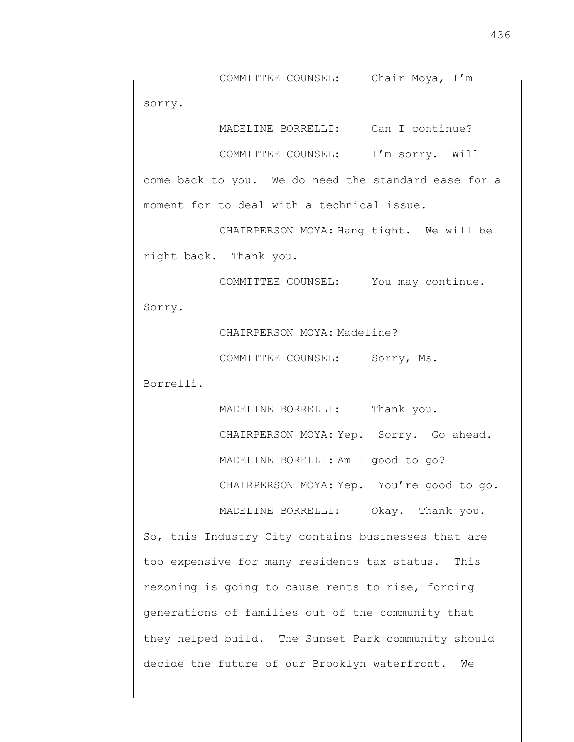COMMITTEE COUNSEL: Chair Moya, I'm sorry.

MADELINE BORRELLI: Can I continue?

COMMITTEE COUNSEL: I'm sorry. Will

come back to you. We do need the standard ease for a moment for to deal with a technical issue.

CHAIRPERSON MOYA: Hang tight. We will be right back. Thank you.

COMMITTEE COUNSEL: You may continue. Sorry.

CHAIRPERSON MOYA: Madeline?

COMMITTEE COUNSEL: Sorry, Ms.

Borrelli.

MADELINE BORRELLI: Thank you. CHAIRPERSON MOYA: Yep. Sorry. Go ahead. MADELINE BORELLI: Am I good to go? CHAIRPERSON MOYA: Yep. You're good to go.

MADELINE BORRELLI: Okay. Thank you.

So, this Industry City contains businesses that are too expensive for many residents tax status. This rezoning is going to cause rents to rise, forcing generations of families out of the community that they helped build. The Sunset Park community should decide the future of our Brooklyn waterfront. We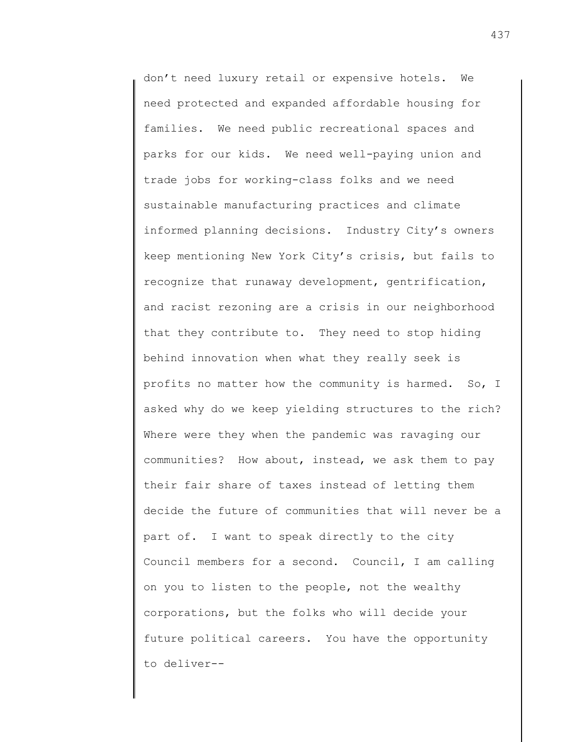don't need luxury retail or expensive hotels. We need protected and expanded affordable housing for families. We need public recreational spaces and parks for our kids. We need well-paying union and trade jobs for working-class folks and we need sustainable manufacturing practices and climate informed planning decisions. Industry City's owners keep mentioning New York City's crisis, but fails to recognize that runaway development, gentrification, and racist rezoning are a crisis in our neighborhood that they contribute to. They need to stop hiding behind innovation when what they really seek is profits no matter how the community is harmed. So, I asked why do we keep yielding structures to the rich? Where were they when the pandemic was ravaging our communities? How about, instead, we ask them to pay their fair share of taxes instead of letting them decide the future of communities that will never be a part of. I want to speak directly to the city Council members for a second. Council, I am calling on you to listen to the people, not the wealthy corporations, but the folks who will decide your future political careers. You have the opportunity to deliver--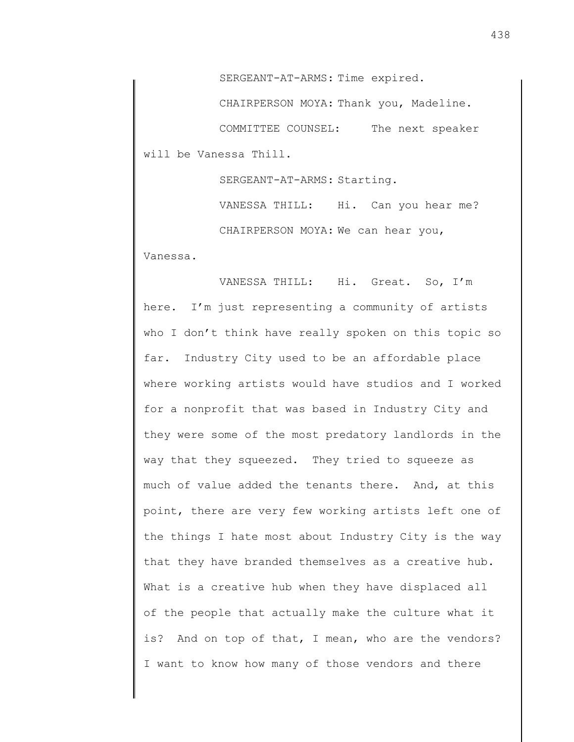SERGEANT-AT-ARMS: Time expired.

CHAIRPERSON MOYA: Thank you, Madeline.

COMMITTEE COUNSEL: The next speaker will be Vanessa Thill.

SERGEANT-AT-ARMS: Starting.

VANESSA THILL: Hi. Can you hear me? CHAIRPERSON MOYA: We can hear you,

Vanessa.

VANESSA THILL: Hi. Great. So, I'm here. I'm just representing a community of artists who I don't think have really spoken on this topic so far. Industry City used to be an affordable place where working artists would have studios and I worked for a nonprofit that was based in Industry City and they were some of the most predatory landlords in the way that they squeezed. They tried to squeeze as much of value added the tenants there. And, at this point, there are very few working artists left one of the things I hate most about Industry City is the way that they have branded themselves as a creative hub. What is a creative hub when they have displaced all of the people that actually make the culture what it is? And on top of that, I mean, who are the vendors? I want to know how many of those vendors and there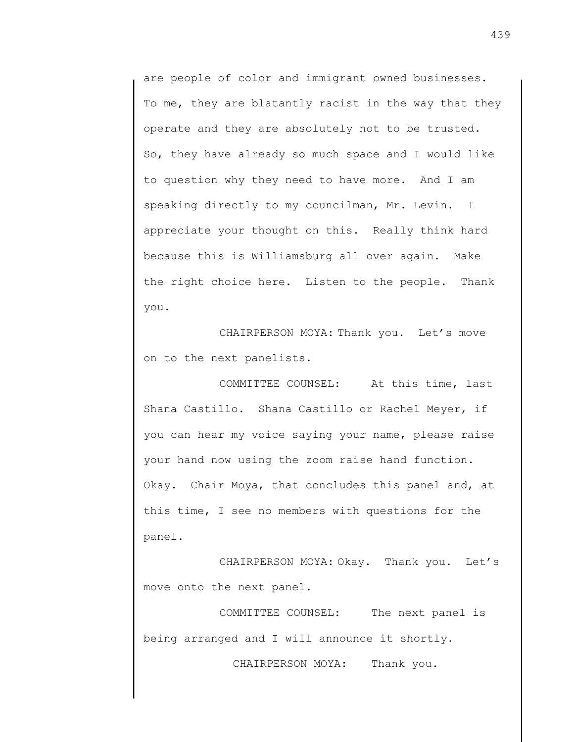are people of color and immigrant owned businesses. To me, they are blatantly racist in the way that they operate and they are absolutely not to be trusted. So, they have already so much space and I would like to question why they need to have more. And I am speaking directly to my councilman, Mr. Levin. I appreciate your thought on this. Really think hard because this is Williamsburg all over again. Make the right choice here. Listen to the people. Thank you.

CHAIRPERSON MOYA: Thank you. Let's move on to the next panelists.

COMMITTEE COUNSEL: At this time, last Shana Castillo. Shana Castillo or Rachel Meyer, if you can hear my voice saying your name, please raise your hand now using the zoom raise hand function. Okay. Chair Moya, that concludes this panel and, at this time, I see no members with questions for the panel.

CHAIRPERSON MOYA: Okay. Thank you. Let's move onto the next panel.

COMMITTEE COUNSEL: The next panel is being arranged and I will announce it shortly.

CHAIRPERSON MOYA: Thank you.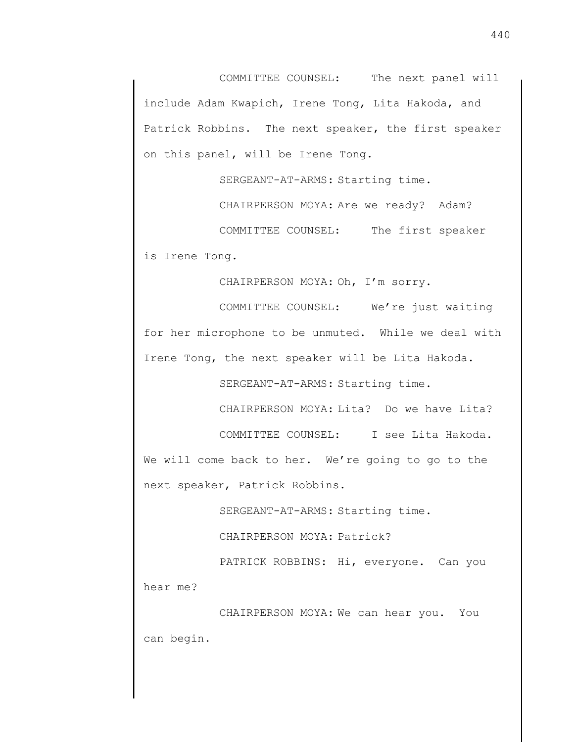COMMITTEE COUNSEL: The next panel will include Adam Kwapich, Irene Tong, Lita Hakoda, and Patrick Robbins. The next speaker, the first speaker on this panel, will be Irene Tong.

SERGEANT-AT-ARMS: Starting time.

CHAIRPERSON MOYA: Are we ready? Adam?

COMMITTEE COUNSEL: The first speaker is Irene Tong.

CHAIRPERSON MOYA: Oh, I'm sorry.

COMMITTEE COUNSEL: We're just waiting for her microphone to be unmuted. While we deal with Irene Tong, the next speaker will be Lita Hakoda.

SERGEANT-AT-ARMS: Starting time.

CHAIRPERSON MOYA: Lita? Do we have Lita?

COMMITTEE COUNSEL: I see Lita Hakoda.

We will come back to her. We're going to go to the next speaker, Patrick Robbins.

SERGEANT-AT-ARMS: Starting time.

CHAIRPERSON MOYA: Patrick?

PATRICK ROBBINS: Hi, everyone. Can you hear me?

CHAIRPERSON MOYA: We can hear you. You can begin.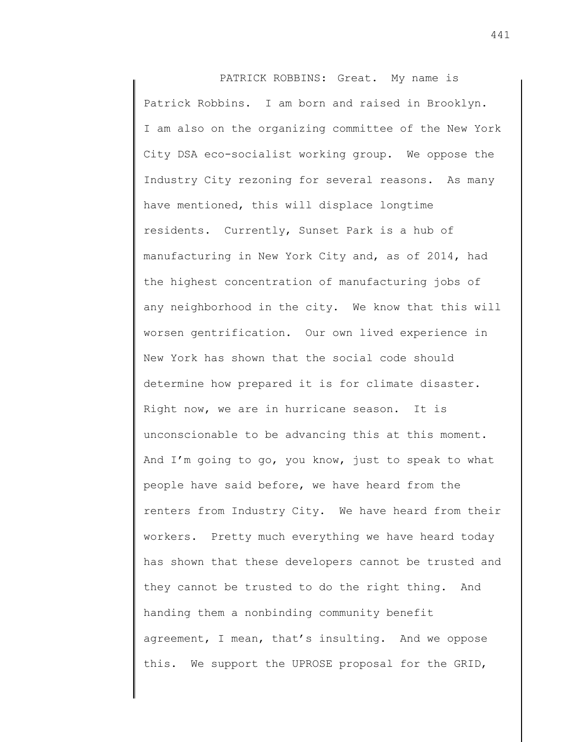PATRICK ROBBINS: Great. My name is Patrick Robbins. I am born and raised in Brooklyn. I am also on the organizing committee of the New York City DSA eco-socialist working group. We oppose the Industry City rezoning for several reasons. As many have mentioned, this will displace longtime residents. Currently, Sunset Park is a hub of manufacturing in New York City and, as of 2014, had the highest concentration of manufacturing jobs of any neighborhood in the city. We know that this will worsen gentrification. Our own lived experience in New York has shown that the social code should determine how prepared it is for climate disaster. Right now, we are in hurricane season. It is unconscionable to be advancing this at this moment. And I'm going to go, you know, just to speak to what people have said before, we have heard from the renters from Industry City. We have heard from their workers. Pretty much everything we have heard today has shown that these developers cannot be trusted and they cannot be trusted to do the right thing. And handing them a nonbinding community benefit agreement, I mean, that's insulting. And we oppose this. We support the UPROSE proposal for the GRID,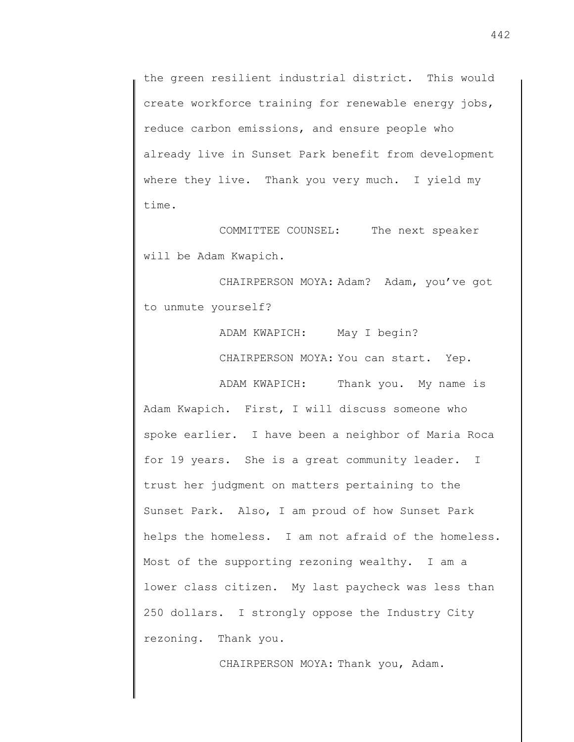the green resilient industrial district. This would create workforce training for renewable energy jobs, reduce carbon emissions, and ensure people who already live in Sunset Park benefit from development where they live. Thank you very much. I yield my time.

COMMITTEE COUNSEL: The next speaker will be Adam Kwapich.

CHAIRPERSON MOYA: Adam? Adam, you've got to unmute yourself?

> ADAM KWAPICH: May I begin? CHAIRPERSON MOYA: You can start. Yep.

ADAM KWAPICH: Thank you. My name is Adam Kwapich. First, I will discuss someone who spoke earlier. I have been a neighbor of Maria Roca for 19 years. She is a great community leader. I trust her judgment on matters pertaining to the Sunset Park. Also, I am proud of how Sunset Park helps the homeless. I am not afraid of the homeless. Most of the supporting rezoning wealthy. I am a lower class citizen. My last paycheck was less than 250 dollars. I strongly oppose the Industry City rezoning. Thank you.

CHAIRPERSON MOYA: Thank you, Adam.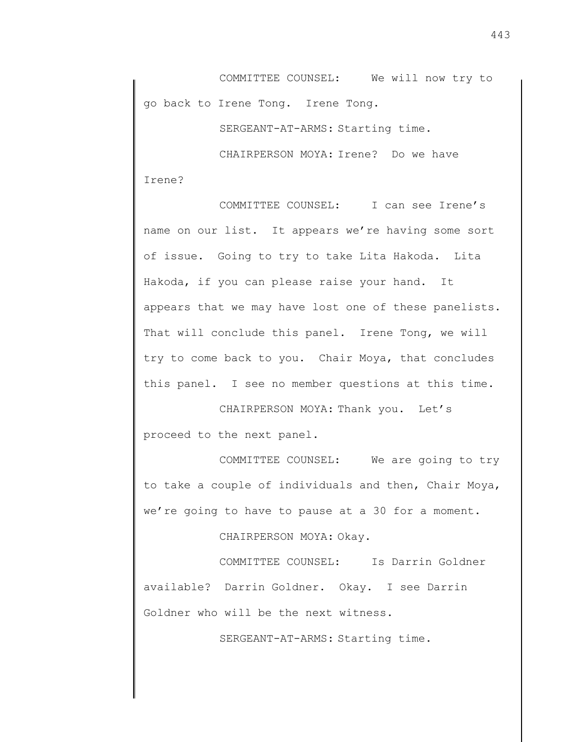COMMITTEE COUNSEL: We will now try to go back to Irene Tong. Irene Tong.

SERGEANT-AT-ARMS: Starting time.

CHAIRPERSON MOYA: Irene? Do we have Irene?

COMMITTEE COUNSEL: I can see Irene's name on our list. It appears we're having some sort of issue. Going to try to take Lita Hakoda. Lita Hakoda, if you can please raise your hand. It appears that we may have lost one of these panelists. That will conclude this panel. Irene Tong, we will try to come back to you. Chair Moya, that concludes this panel. I see no member questions at this time.

CHAIRPERSON MOYA: Thank you. Let's proceed to the next panel.

COMMITTEE COUNSEL: We are going to try to take a couple of individuals and then, Chair Moya, we're going to have to pause at a 30 for a moment.

CHAIRPERSON MOYA: Okay.

COMMITTEE COUNSEL: Is Darrin Goldner available? Darrin Goldner. Okay. I see Darrin Goldner who will be the next witness.

SERGEANT-AT-ARMS: Starting time.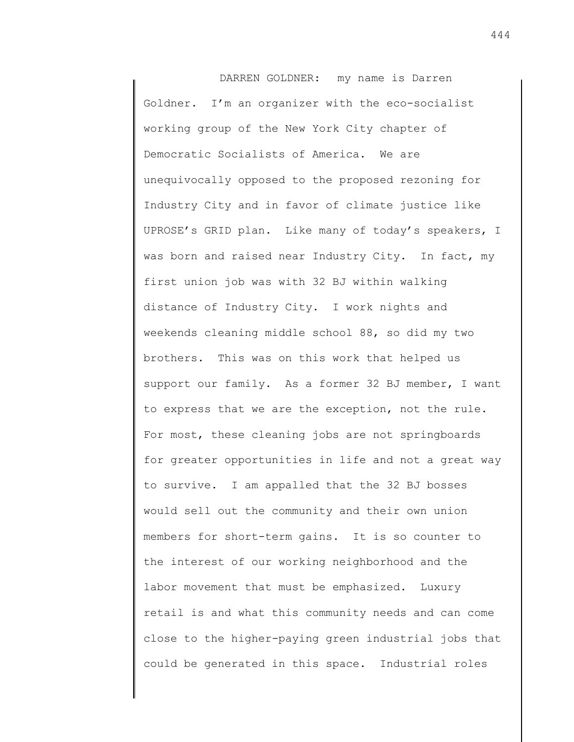DARREN GOLDNER: my name is Darren Goldner. I'm an organizer with the eco-socialist working group of the New York City chapter of Democratic Socialists of America. We are unequivocally opposed to the proposed rezoning for Industry City and in favor of climate justice like UPROSE's GRID plan. Like many of today's speakers, I was born and raised near Industry City. In fact, my first union job was with 32 BJ within walking distance of Industry City. I work nights and weekends cleaning middle school 88, so did my two brothers. This was on this work that helped us support our family. As a former 32 BJ member, I want to express that we are the exception, not the rule. For most, these cleaning jobs are not springboards for greater opportunities in life and not a great way to survive. I am appalled that the 32 BJ bosses would sell out the community and their own union members for short-term gains. It is so counter to the interest of our working neighborhood and the labor movement that must be emphasized. Luxury retail is and what this community needs and can come close to the higher-paying green industrial jobs that could be generated in this space. Industrial roles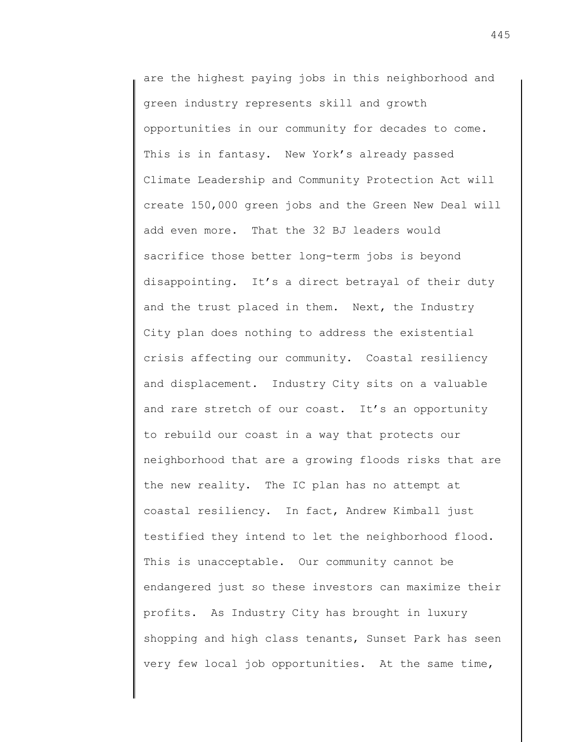are the highest paying jobs in this neighborhood and green industry represents skill and growth opportunities in our community for decades to come. This is in fantasy. New York's already passed Climate Leadership and Community Protection Act will create 150,000 green jobs and the Green New Deal will add even more. That the 32 BJ leaders would sacrifice those better long-term jobs is beyond disappointing. It's a direct betrayal of their duty and the trust placed in them. Next, the Industry City plan does nothing to address the existential crisis affecting our community. Coastal resiliency and displacement. Industry City sits on a valuable and rare stretch of our coast. It's an opportunity to rebuild our coast in a way that protects our neighborhood that are a growing floods risks that are the new reality. The IC plan has no attempt at coastal resiliency. In fact, Andrew Kimball just testified they intend to let the neighborhood flood. This is unacceptable. Our community cannot be endangered just so these investors can maximize their profits. As Industry City has brought in luxury shopping and high class tenants, Sunset Park has seen very few local job opportunities. At the same time,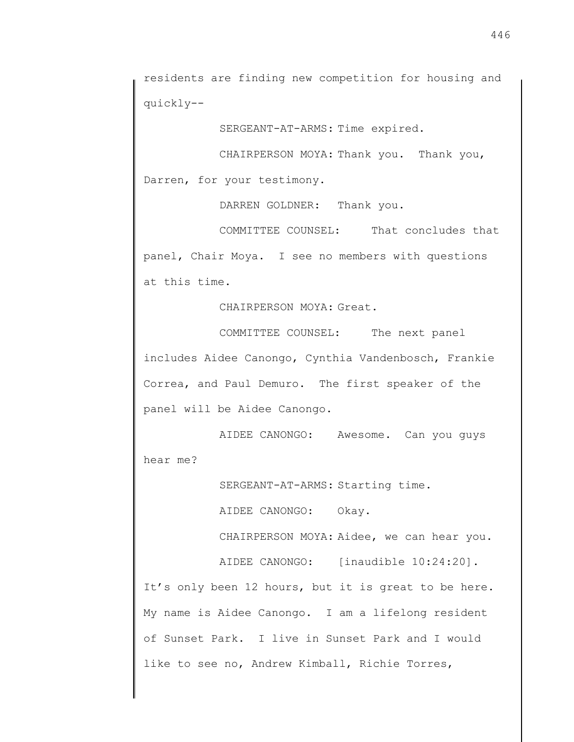residents are finding new competition for housing and quickly--

SERGEANT-AT-ARMS: Time expired.

CHAIRPERSON MOYA: Thank you. Thank you, Darren, for your testimony.

DARREN GOLDNER: Thank you.

COMMITTEE COUNSEL: That concludes that panel, Chair Moya. I see no members with questions at this time.

CHAIRPERSON MOYA: Great.

COMMITTEE COUNSEL: The next panel includes Aidee Canongo, Cynthia Vandenbosch, Frankie Correa, and Paul Demuro. The first speaker of the panel will be Aidee Canongo.

AIDEE CANONGO: Awesome. Can you guys hear me?

SERGEANT-AT-ARMS: Starting time.

AIDEE CANONGO: Okay.

CHAIRPERSON MOYA: Aidee, we can hear you.

AIDEE CANONGO: [inaudible 10:24:20].

It's only been 12 hours, but it is great to be here. My name is Aidee Canongo. I am a lifelong resident of Sunset Park. I live in Sunset Park and I would like to see no, Andrew Kimball, Richie Torres,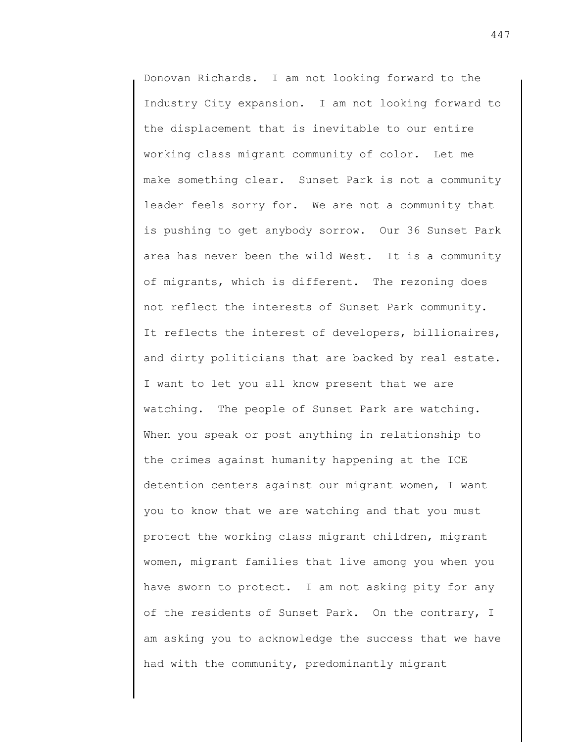Donovan Richards. I am not looking forward to the Industry City expansion. I am not looking forward to the displacement that is inevitable to our entire working class migrant community of color. Let me make something clear. Sunset Park is not a community leader feels sorry for. We are not a community that is pushing to get anybody sorrow. Our 36 Sunset Park area has never been the wild West. It is a community of migrants, which is different. The rezoning does not reflect the interests of Sunset Park community. It reflects the interest of developers, billionaires, and dirty politicians that are backed by real estate. I want to let you all know present that we are watching. The people of Sunset Park are watching. When you speak or post anything in relationship to the crimes against humanity happening at the ICE detention centers against our migrant women, I want you to know that we are watching and that you must protect the working class migrant children, migrant women, migrant families that live among you when you have sworn to protect. I am not asking pity for any of the residents of Sunset Park. On the contrary, I am asking you to acknowledge the success that we have had with the community, predominantly migrant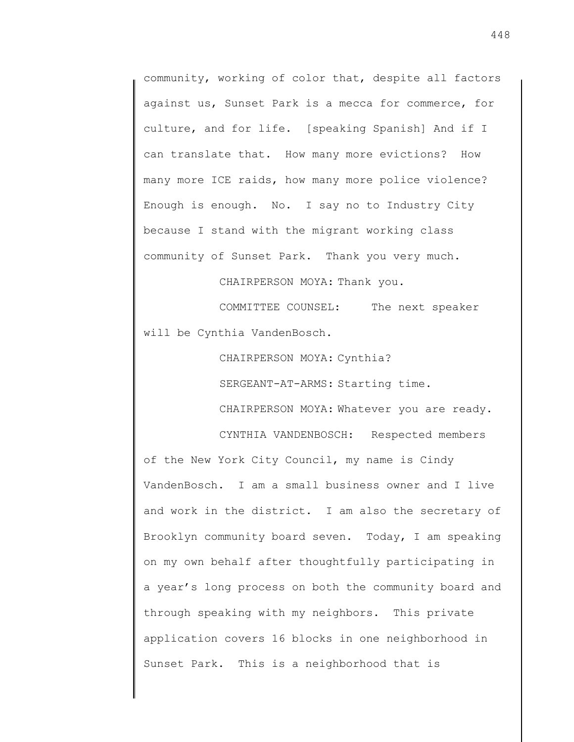community, working of color that, despite all factors against us, Sunset Park is a mecca for commerce, for culture, and for life. [speaking Spanish] And if I can translate that. How many more evictions? How many more ICE raids, how many more police violence? Enough is enough. No. I say no to Industry City because I stand with the migrant working class community of Sunset Park. Thank you very much.

CHAIRPERSON MOYA: Thank you.

COMMITTEE COUNSEL: The next speaker will be Cynthia VandenBosch.

CHAIRPERSON MOYA: Cynthia?

SERGEANT-AT-ARMS: Starting time.

CHAIRPERSON MOYA: Whatever you are ready.

CYNTHIA VANDENBOSCH: Respected members of the New York City Council, my name is Cindy VandenBosch. I am a small business owner and I live and work in the district. I am also the secretary of Brooklyn community board seven. Today, I am speaking on my own behalf after thoughtfully participating in a year's long process on both the community board and through speaking with my neighbors. This private application covers 16 blocks in one neighborhood in Sunset Park. This is a neighborhood that is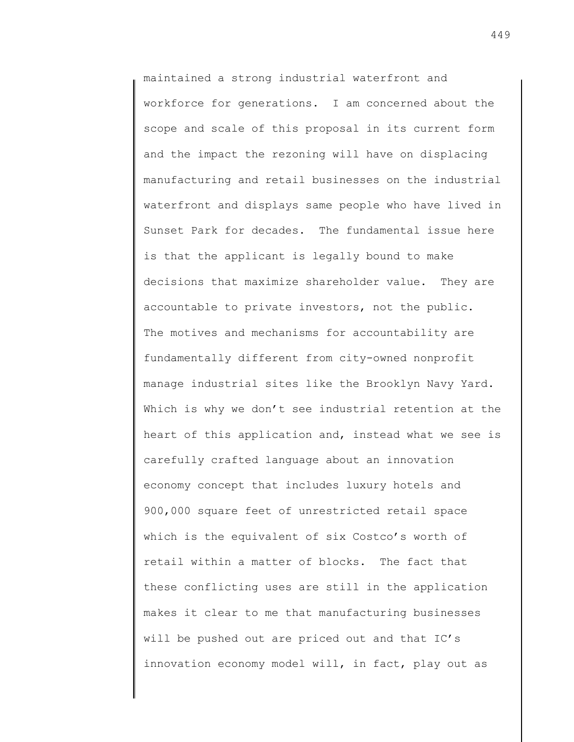maintained a strong industrial waterfront and workforce for generations. I am concerned about the scope and scale of this proposal in its current form and the impact the rezoning will have on displacing manufacturing and retail businesses on the industrial waterfront and displays same people who have lived in Sunset Park for decades. The fundamental issue here is that the applicant is legally bound to make decisions that maximize shareholder value. They are accountable to private investors, not the public. The motives and mechanisms for accountability are fundamentally different from city-owned nonprofit manage industrial sites like the Brooklyn Navy Yard. Which is why we don't see industrial retention at the heart of this application and, instead what we see is carefully crafted language about an innovation economy concept that includes luxury hotels and 900,000 square feet of unrestricted retail space which is the equivalent of six Costco's worth of retail within a matter of blocks. The fact that these conflicting uses are still in the application makes it clear to me that manufacturing businesses will be pushed out are priced out and that IC's innovation economy model will, in fact, play out as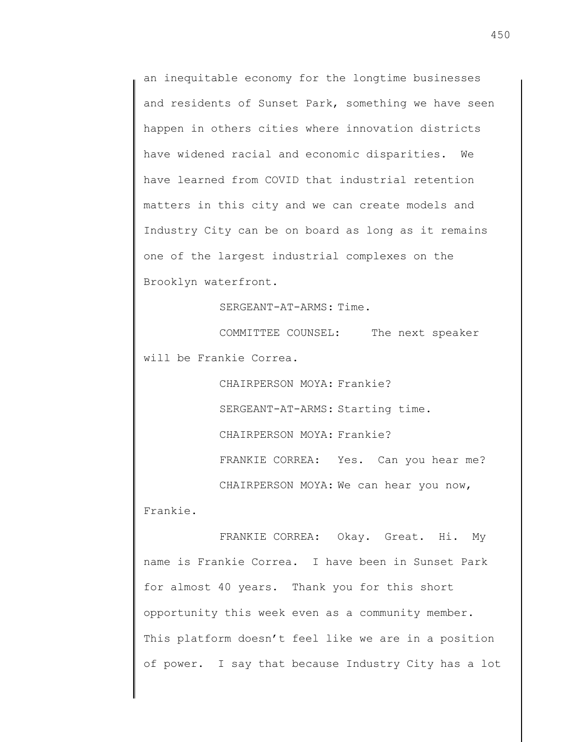an inequitable economy for the longtime businesses and residents of Sunset Park, something we have seen happen in others cities where innovation districts have widened racial and economic disparities. We have learned from COVID that industrial retention matters in this city and we can create models and Industry City can be on board as long as it remains one of the largest industrial complexes on the Brooklyn waterfront.

SERGEANT-AT-ARMS: Time.

COMMITTEE COUNSEL: The next speaker will be Frankie Correa.

CHAIRPERSON MOYA: Frankie?

SERGEANT-AT-ARMS: Starting time.

CHAIRPERSON MOYA: Frankie?

FRANKIE CORREA: Yes. Can you hear me?

CHAIRPERSON MOYA: We can hear you now, Frankie.

FRANKIE CORREA: Okay. Great. Hi. My name is Frankie Correa. I have been in Sunset Park for almost 40 years. Thank you for this short opportunity this week even as a community member. This platform doesn't feel like we are in a position of power. I say that because Industry City has a lot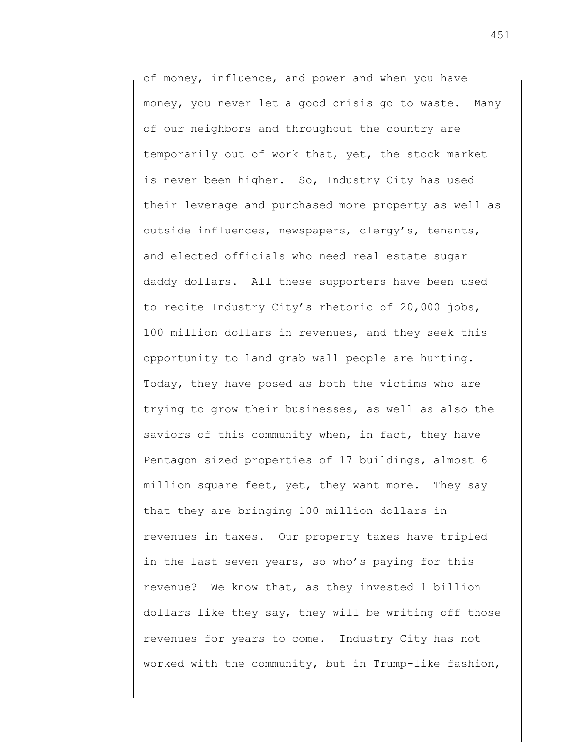of money, influence, and power and when you have money, you never let a good crisis go to waste. Many of our neighbors and throughout the country are temporarily out of work that, yet, the stock market is never been higher. So, Industry City has used their leverage and purchased more property as well as outside influences, newspapers, clergy's, tenants, and elected officials who need real estate sugar daddy dollars. All these supporters have been used to recite Industry City's rhetoric of 20,000 jobs, 100 million dollars in revenues, and they seek this opportunity to land grab wall people are hurting. Today, they have posed as both the victims who are trying to grow their businesses, as well as also the saviors of this community when, in fact, they have Pentagon sized properties of 17 buildings, almost 6 million square feet, yet, they want more. They say that they are bringing 100 million dollars in revenues in taxes. Our property taxes have tripled in the last seven years, so who's paying for this revenue? We know that, as they invested 1 billion dollars like they say, they will be writing off those revenues for years to come. Industry City has not worked with the community, but in Trump-like fashion,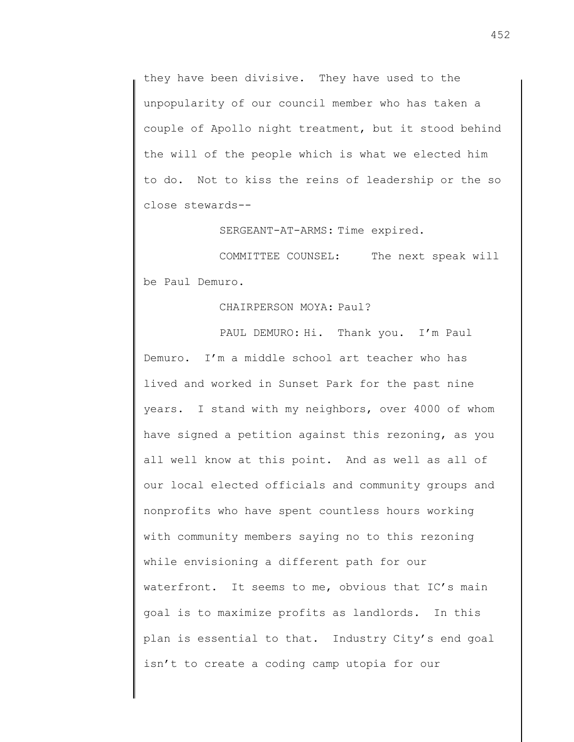they have been divisive. They have used to the unpopularity of our council member who has taken a couple of Apollo night treatment, but it stood behind the will of the people which is what we elected him to do. Not to kiss the reins of leadership or the so close stewards--

SERGEANT-AT-ARMS: Time expired.

COMMITTEE COUNSEL: The next speak will be Paul Demuro.

CHAIRPERSON MOYA: Paul?

PAUL DEMURO: Hi. Thank you. I'm Paul Demuro. I'm a middle school art teacher who has lived and worked in Sunset Park for the past nine years. I stand with my neighbors, over 4000 of whom have signed a petition against this rezoning, as you all well know at this point. And as well as all of our local elected officials and community groups and nonprofits who have spent countless hours working with community members saying no to this rezoning while envisioning a different path for our waterfront. It seems to me, obvious that IC's main goal is to maximize profits as landlords. In this plan is essential to that. Industry City's end goal isn't to create a coding camp utopia for our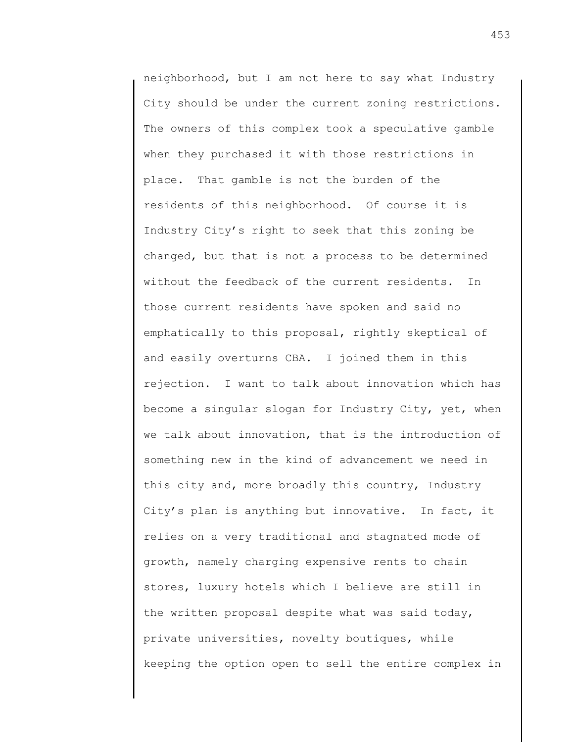neighborhood, but I am not here to say what Industry City should be under the current zoning restrictions. The owners of this complex took a speculative gamble when they purchased it with those restrictions in place. That gamble is not the burden of the residents of this neighborhood. Of course it is Industry City's right to seek that this zoning be changed, but that is not a process to be determined without the feedback of the current residents. In those current residents have spoken and said no emphatically to this proposal, rightly skeptical of and easily overturns CBA. I joined them in this rejection. I want to talk about innovation which has become a singular slogan for Industry City, yet, when we talk about innovation, that is the introduction of something new in the kind of advancement we need in this city and, more broadly this country, Industry City's plan is anything but innovative. In fact, it relies on a very traditional and stagnated mode of growth, namely charging expensive rents to chain stores, luxury hotels which I believe are still in the written proposal despite what was said today, private universities, novelty boutiques, while keeping the option open to sell the entire complex in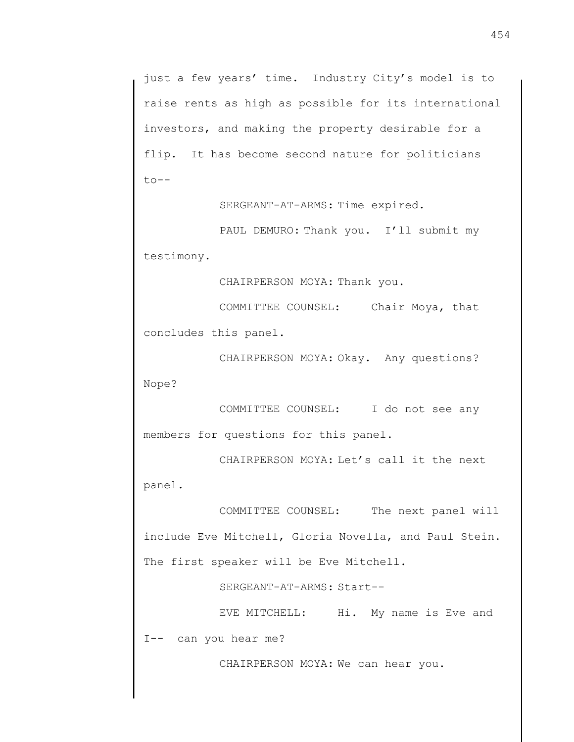just a few years' time. Industry City's model is to raise rents as high as possible for its international investors, and making the property desirable for a flip. It has become second nature for politicians to--

SERGEANT-AT-ARMS: Time expired.

PAUL DEMURO: Thank you. I'll submit my testimony.

CHAIRPERSON MOYA: Thank you.

COMMITTEE COUNSEL: Chair Moya, that concludes this panel.

CHAIRPERSON MOYA: Okay. Any questions? Nope?

COMMITTEE COUNSEL: I do not see any members for questions for this panel.

CHAIRPERSON MOYA: Let's call it the next panel.

COMMITTEE COUNSEL: The next panel will include Eve Mitchell, Gloria Novella, and Paul Stein. The first speaker will be Eve Mitchell.

SERGEANT-AT-ARMS: Start--

EVE MITCHELL: Hi. My name is Eve and I-- can you hear me?

CHAIRPERSON MOYA: We can hear you.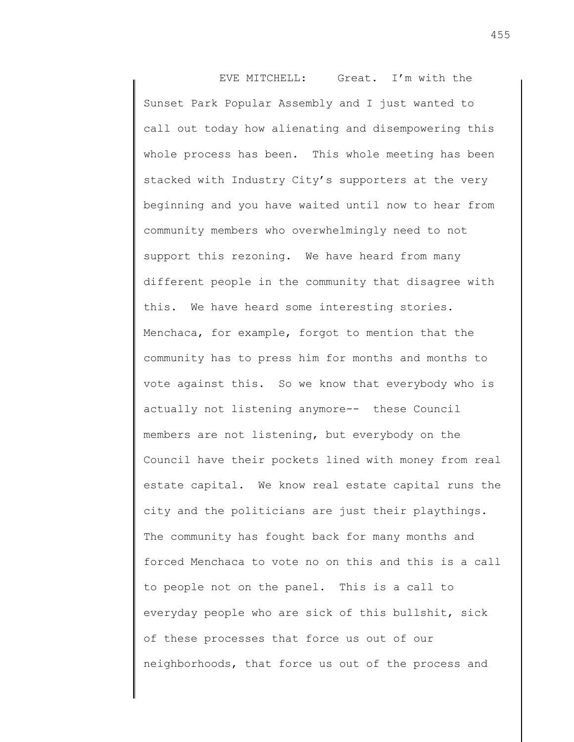EVE MITCHELL: Great. I'm with the Sunset Park Popular Assembly and I just wanted to call out today how alienating and disempowering this whole process has been. This whole meeting has been stacked with Industry City's supporters at the very beginning and you have waited until now to hear from community members who overwhelmingly need to not support this rezoning. We have heard from many different people in the community that disagree with this. We have heard some interesting stories. Menchaca, for example, forgot to mention that the community has to press him for months and months to vote against this. So we know that everybody who is actually not listening anymore-- these Council members are not listening, but everybody on the Council have their pockets lined with money from real estate capital. We know real estate capital runs the city and the politicians are just their playthings. The community has fought back for many months and forced Menchaca to vote no on this and this is a call to people not on the panel. This is a call to everyday people who are sick of this bullshit, sick of these processes that force us out of our neighborhoods, that force us out of the process and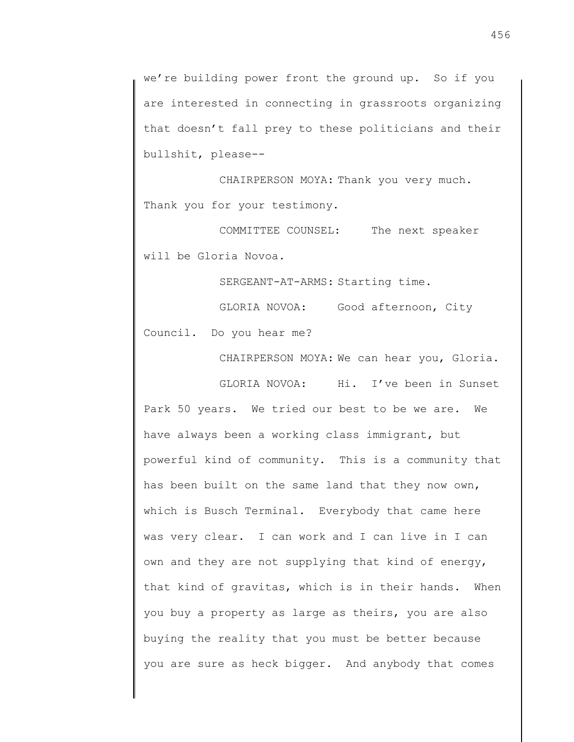we're building power front the ground up. So if you are interested in connecting in grassroots organizing that doesn't fall prey to these politicians and their bullshit, please--

CHAIRPERSON MOYA: Thank you very much. Thank you for your testimony.

COMMITTEE COUNSEL: The next speaker will be Gloria Novoa.

SERGEANT-AT-ARMS: Starting time.

GLORIA NOVOA: Good afternoon, City

Council. Do you hear me?

CHAIRPERSON MOYA: We can hear you, Gloria.

GLORIA NOVOA: Hi. I've been in Sunset Park 50 years. We tried our best to be we are. We have always been a working class immigrant, but powerful kind of community. This is a community that has been built on the same land that they now own, which is Busch Terminal. Everybody that came here was very clear. I can work and I can live in I can own and they are not supplying that kind of energy, that kind of gravitas, which is in their hands. When you buy a property as large as theirs, you are also buying the reality that you must be better because you are sure as heck bigger. And anybody that comes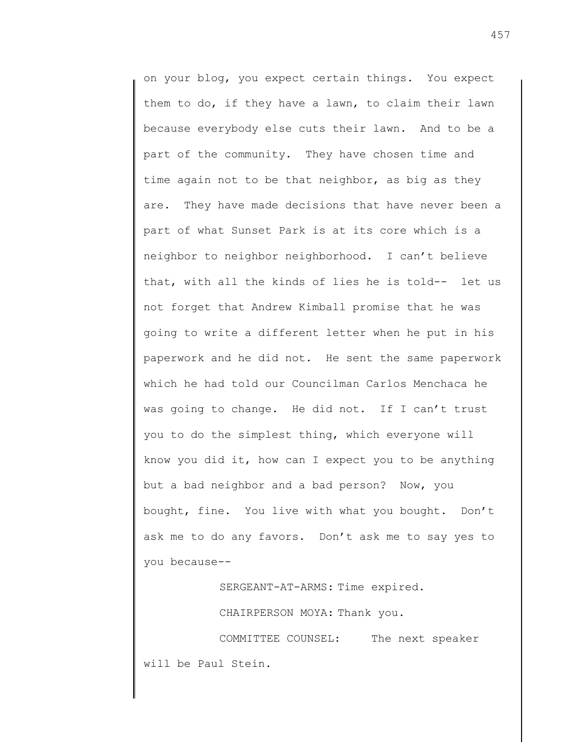on your blog, you expect certain things. You expect them to do, if they have a lawn, to claim their lawn because everybody else cuts their lawn. And to be a part of the community. They have chosen time and time again not to be that neighbor, as big as they are. They have made decisions that have never been a part of what Sunset Park is at its core which is a neighbor to neighbor neighborhood. I can't believe that, with all the kinds of lies he is told-- let us not forget that Andrew Kimball promise that he was going to write a different letter when he put in his paperwork and he did not. He sent the same paperwork which he had told our Councilman Carlos Menchaca he was going to change. He did not. If I can't trust you to do the simplest thing, which everyone will know you did it, how can I expect you to be anything but a bad neighbor and a bad person? Now, you bought, fine. You live with what you bought. Don't ask me to do any favors. Don't ask me to say yes to you because--

SERGEANT-AT-ARMS: Time expired.

CHAIRPERSON MOYA: Thank you.

COMMITTEE COUNSEL: The next speaker will be Paul Stein.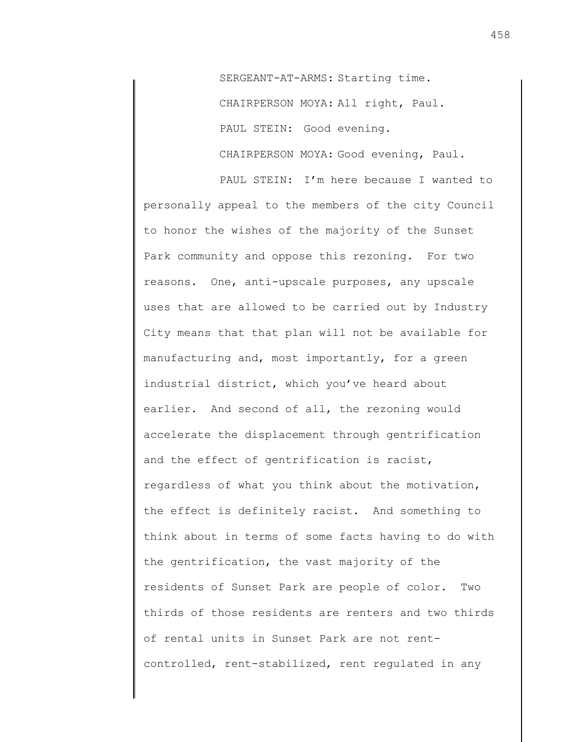SERGEANT-AT-ARMS: Starting time. CHAIRPERSON MOYA: All right, Paul. PAUL STEIN: Good evening. CHAIRPERSON MOYA: Good evening, Paul.

PAUL STEIN: I'm here because I wanted to personally appeal to the members of the city Council to honor the wishes of the majority of the Sunset Park community and oppose this rezoning. For two reasons. One, anti-upscale purposes, any upscale uses that are allowed to be carried out by Industry City means that that plan will not be available for manufacturing and, most importantly, for a green industrial district, which you've heard about earlier. And second of all, the rezoning would accelerate the displacement through gentrification and the effect of gentrification is racist, regardless of what you think about the motivation, the effect is definitely racist. And something to think about in terms of some facts having to do with the gentrification, the vast majority of the residents of Sunset Park are people of color. Two thirds of those residents are renters and two thirds of rental units in Sunset Park are not rentcontrolled, rent-stabilized, rent regulated in any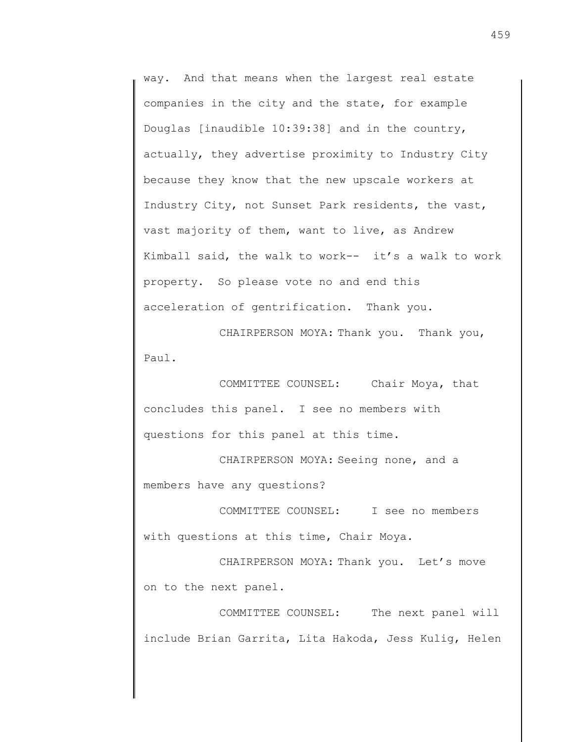way. And that means when the largest real estate companies in the city and the state, for example Douglas [inaudible 10:39:38] and in the country, actually, they advertise proximity to Industry City because they know that the new upscale workers at Industry City, not Sunset Park residents, the vast, vast majority of them, want to live, as Andrew Kimball said, the walk to work-- it's a walk to work property. So please vote no and end this acceleration of gentrification. Thank you.

CHAIRPERSON MOYA: Thank you. Thank you, Paul.

COMMITTEE COUNSEL: Chair Moya, that concludes this panel. I see no members with questions for this panel at this time.

CHAIRPERSON MOYA: Seeing none, and a members have any questions?

COMMITTEE COUNSEL: I see no members with questions at this time, Chair Moya.

CHAIRPERSON MOYA: Thank you. Let's move on to the next panel.

COMMITTEE COUNSEL: The next panel will include Brian Garrita, Lita Hakoda, Jess Kulig, Helen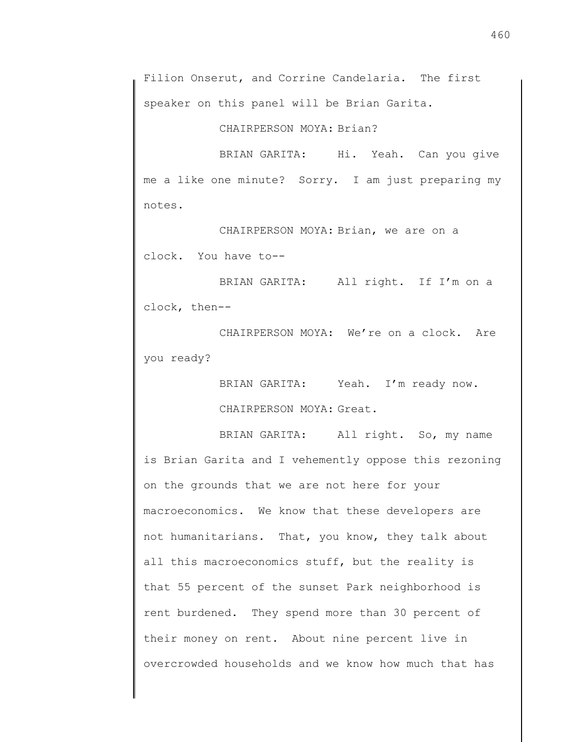Filion Onserut, and Corrine Candelaria. The first speaker on this panel will be Brian Garita.

CHAIRPERSON MOYA: Brian?

BRIAN GARITA: Hi. Yeah. Can you give me a like one minute? Sorry. I am just preparing my notes.

CHAIRPERSON MOYA: Brian, we are on a clock. You have to--

BRIAN GARITA: All right. If I'm on a clock, then--

CHAIRPERSON MOYA: We're on a clock. Are you ready?

> BRIAN GARITA: Yeah. I'm ready now. CHAIRPERSON MOYA: Great.

BRIAN GARITA: All right. So, my name is Brian Garita and I vehemently oppose this rezoning on the grounds that we are not here for your macroeconomics. We know that these developers are not humanitarians. That, you know, they talk about all this macroeconomics stuff, but the reality is that 55 percent of the sunset Park neighborhood is rent burdened. They spend more than 30 percent of their money on rent. About nine percent live in overcrowded households and we know how much that has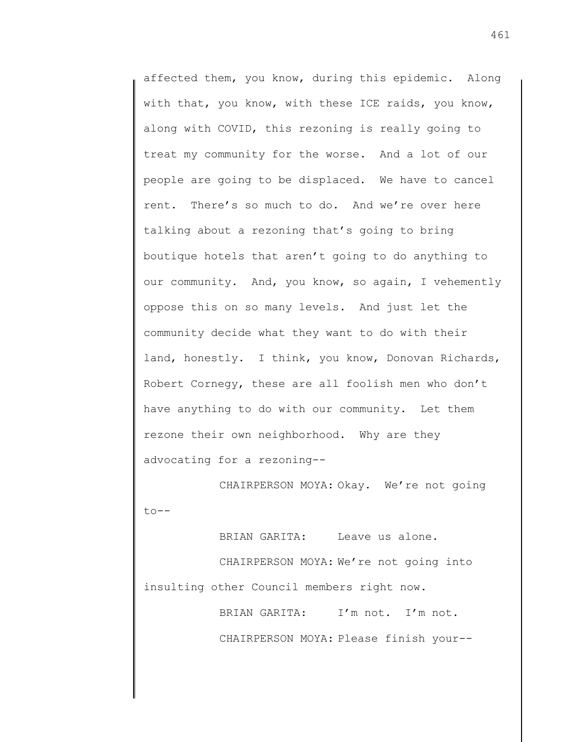affected them, you know, during this epidemic. Along with that, you know, with these ICE raids, you know, along with COVID, this rezoning is really going to treat my community for the worse. And a lot of our people are going to be displaced. We have to cancel rent. There's so much to do. And we're over here talking about a rezoning that's going to bring boutique hotels that aren't going to do anything to our community. And, you know, so again, I vehemently oppose this on so many levels. And just let the community decide what they want to do with their land, honestly. I think, you know, Donovan Richards, Robert Cornegy, these are all foolish men who don't have anything to do with our community. Let them rezone their own neighborhood. Why are they advocating for a rezoning--

CHAIRPERSON MOYA: Okay. We're not going  $to$ --

BRIAN GARITA: Leave us alone. CHAIRPERSON MOYA: We're not going into insulting other Council members right now.

> BRIAN GARITA: I'm not. I'm not. CHAIRPERSON MOYA: Please finish your--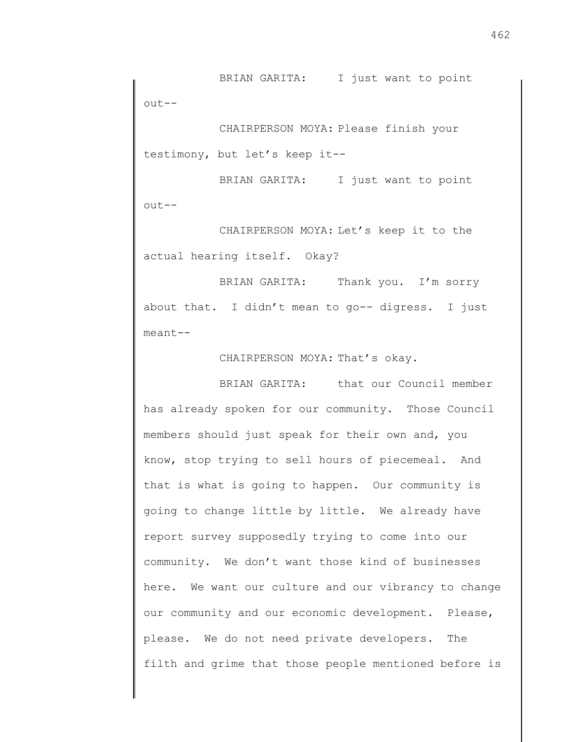BRIAN GARITA: I just want to point out--

CHAIRPERSON MOYA: Please finish your testimony, but let's keep it--

BRIAN GARITA: I just want to point out--

CHAIRPERSON MOYA: Let's keep it to the actual hearing itself. Okay?

BRIAN GARITA: Thank you. I'm sorry about that. I didn't mean to go-- digress. I just meant--

CHAIRPERSON MOYA: That's okay.

BRIAN GARITA: that our Council member has already spoken for our community. Those Council members should just speak for their own and, you know, stop trying to sell hours of piecemeal. And that is what is going to happen. Our community is going to change little by little. We already have report survey supposedly trying to come into our community. We don't want those kind of businesses here. We want our culture and our vibrancy to change our community and our economic development. Please, please. We do not need private developers. The filth and grime that those people mentioned before is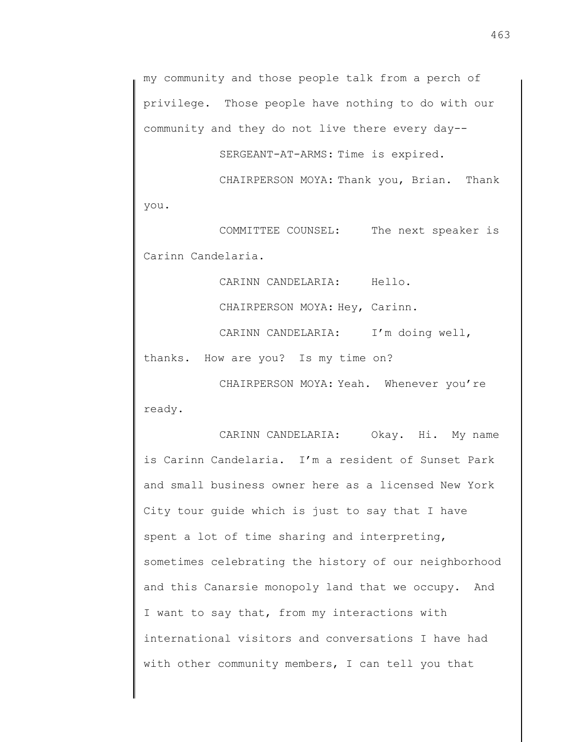my community and those people talk from a perch of privilege. Those people have nothing to do with our community and they do not live there every day--

SERGEANT-AT-ARMS: Time is expired.

CHAIRPERSON MOYA: Thank you, Brian. Thank you.

COMMITTEE COUNSEL: The next speaker is Carinn Candelaria.

CARINN CANDELARIA: Hello.

CHAIRPERSON MOYA: Hey, Carinn.

CARINN CANDELARIA: I'm doing well,

thanks. How are you? Is my time on?

CHAIRPERSON MOYA: Yeah. Whenever you're ready.

CARINN CANDELARIA: Okay. Hi. My name is Carinn Candelaria. I'm a resident of Sunset Park and small business owner here as a licensed New York City tour guide which is just to say that I have spent a lot of time sharing and interpreting, sometimes celebrating the history of our neighborhood and this Canarsie monopoly land that we occupy. And I want to say that, from my interactions with international visitors and conversations I have had with other community members, I can tell you that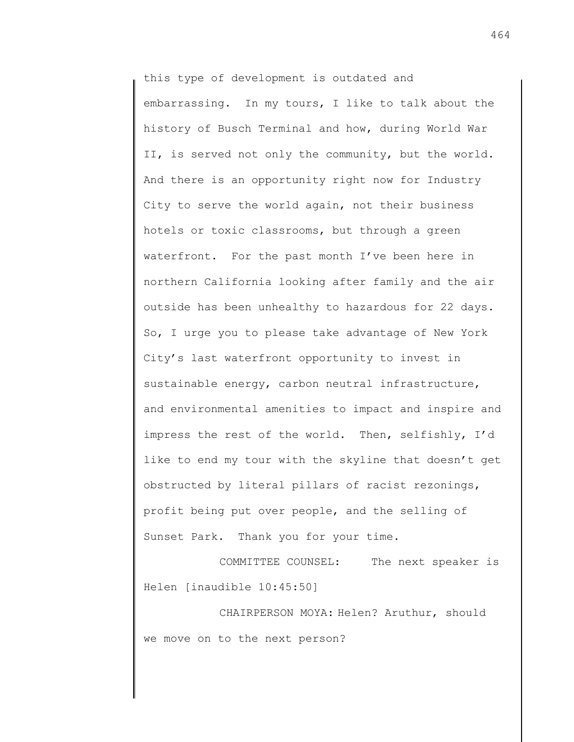this type of development is outdated and embarrassing. In my tours, I like to talk about the history of Busch Terminal and how, during World War II, is served not only the community, but the world. And there is an opportunity right now for Industry City to serve the world again, not their business hotels or toxic classrooms, but through a green waterfront. For the past month I've been here in northern California looking after family and the air outside has been unhealthy to hazardous for 22 days. So, I urge you to please take advantage of New York City's last waterfront opportunity to invest in sustainable energy, carbon neutral infrastructure, and environmental amenities to impact and inspire and impress the rest of the world. Then, selfishly, I'd like to end my tour with the skyline that doesn't get obstructed by literal pillars of racist rezonings, profit being put over people, and the selling of Sunset Park. Thank you for your time.

COMMITTEE COUNSEL: The next speaker is Helen [inaudible 10:45:50]

CHAIRPERSON MOYA: Helen? Aruthur, should we move on to the next person?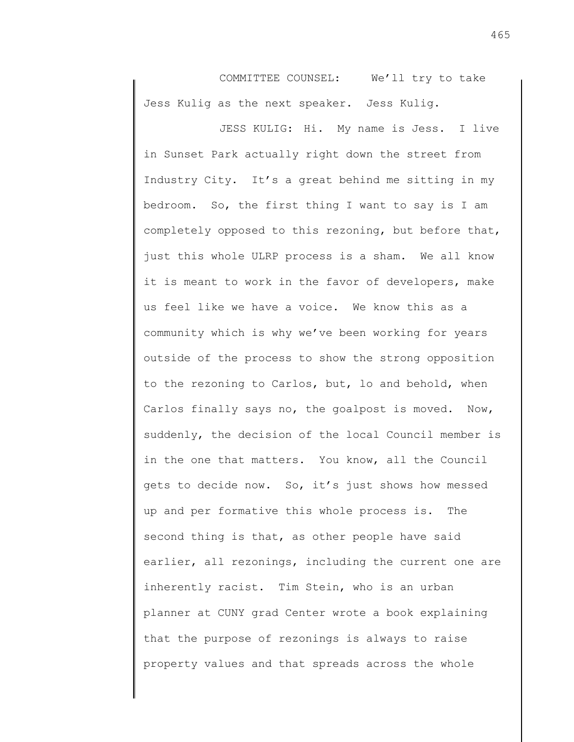COMMITTEE COUNSEL: We'll try to take Jess Kulig as the next speaker. Jess Kulig.

JESS KULIG: Hi. My name is Jess. I live in Sunset Park actually right down the street from Industry City. It's a great behind me sitting in my bedroom. So, the first thing I want to say is I am completely opposed to this rezoning, but before that, just this whole ULRP process is a sham. We all know it is meant to work in the favor of developers, make us feel like we have a voice. We know this as a community which is why we've been working for years outside of the process to show the strong opposition to the rezoning to Carlos, but, lo and behold, when Carlos finally says no, the goalpost is moved. Now, suddenly, the decision of the local Council member is in the one that matters. You know, all the Council gets to decide now. So, it's just shows how messed up and per formative this whole process is. The second thing is that, as other people have said earlier, all rezonings, including the current one are inherently racist. Tim Stein, who is an urban planner at CUNY grad Center wrote a book explaining that the purpose of rezonings is always to raise property values and that spreads across the whole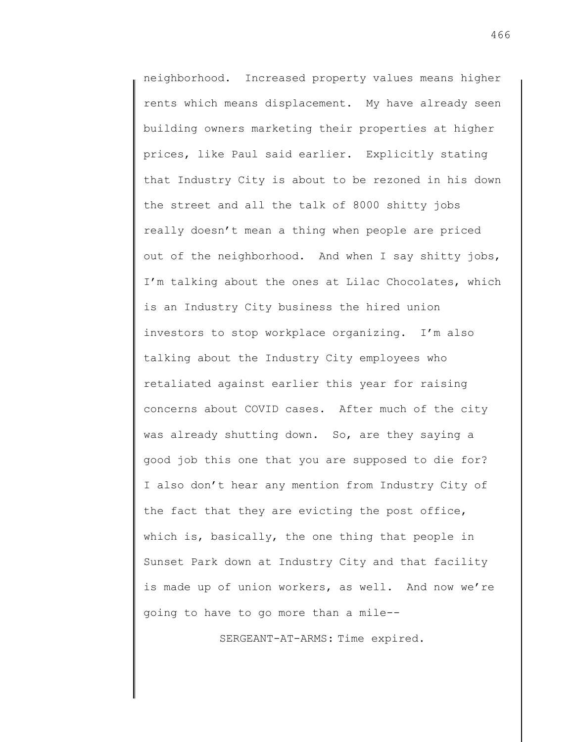neighborhood. Increased property values means higher rents which means displacement. My have already seen building owners marketing their properties at higher prices, like Paul said earlier. Explicitly stating that Industry City is about to be rezoned in his down the street and all the talk of 8000 shitty jobs really doesn't mean a thing when people are priced out of the neighborhood. And when I say shitty jobs, I'm talking about the ones at Lilac Chocolates, which is an Industry City business the hired union investors to stop workplace organizing. I'm also talking about the Industry City employees who retaliated against earlier this year for raising concerns about COVID cases. After much of the city was already shutting down. So, are they saying a good job this one that you are supposed to die for? I also don't hear any mention from Industry City of the fact that they are evicting the post office, which is, basically, the one thing that people in Sunset Park down at Industry City and that facility is made up of union workers, as well. And now we're going to have to go more than a mile--

SERGEANT-AT-ARMS: Time expired.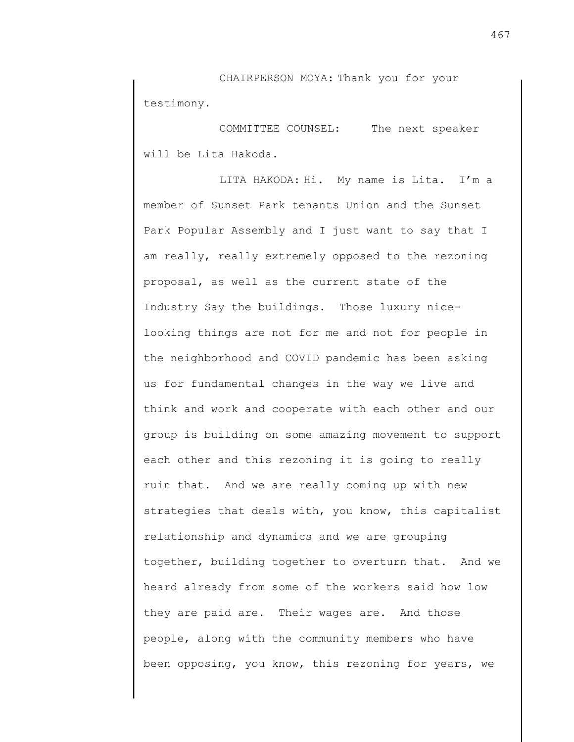CHAIRPERSON MOYA: Thank you for your testimony.

COMMITTEE COUNSEL: The next speaker will be Lita Hakoda.

LITA HAKODA: Hi. My name is Lita. I'm a member of Sunset Park tenants Union and the Sunset Park Popular Assembly and I just want to say that I am really, really extremely opposed to the rezoning proposal, as well as the current state of the Industry Say the buildings. Those luxury nicelooking things are not for me and not for people in the neighborhood and COVID pandemic has been asking us for fundamental changes in the way we live and think and work and cooperate with each other and our group is building on some amazing movement to support each other and this rezoning it is going to really ruin that. And we are really coming up with new strategies that deals with, you know, this capitalist relationship and dynamics and we are grouping together, building together to overturn that. And we heard already from some of the workers said how low they are paid are. Their wages are. And those people, along with the community members who have been opposing, you know, this rezoning for years, we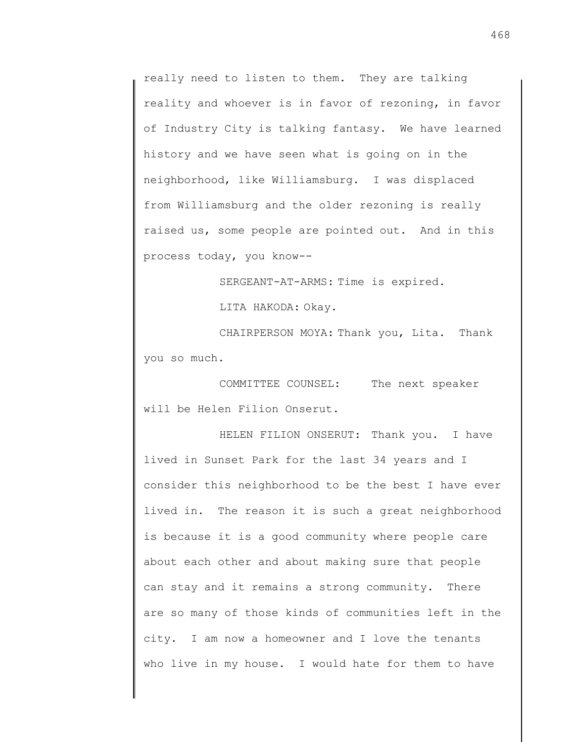really need to listen to them. They are talking reality and whoever is in favor of rezoning, in favor of Industry City is talking fantasy. We have learned history and we have seen what is going on in the neighborhood, like Williamsburg. I was displaced from Williamsburg and the older rezoning is really raised us, some people are pointed out. And in this process today, you know--

SERGEANT-AT-ARMS: Time is expired.

LITA HAKODA: Okay.

CHAIRPERSON MOYA: Thank you, Lita. Thank you so much.

COMMITTEE COUNSEL: The next speaker will be Helen Filion Onserut.

HELEN FILION ONSERUT: Thank you. I have lived in Sunset Park for the last 34 years and I consider this neighborhood to be the best I have ever lived in. The reason it is such a great neighborhood is because it is a good community where people care about each other and about making sure that people can stay and it remains a strong community. There are so many of those kinds of communities left in the city. I am now a homeowner and I love the tenants who live in my house. I would hate for them to have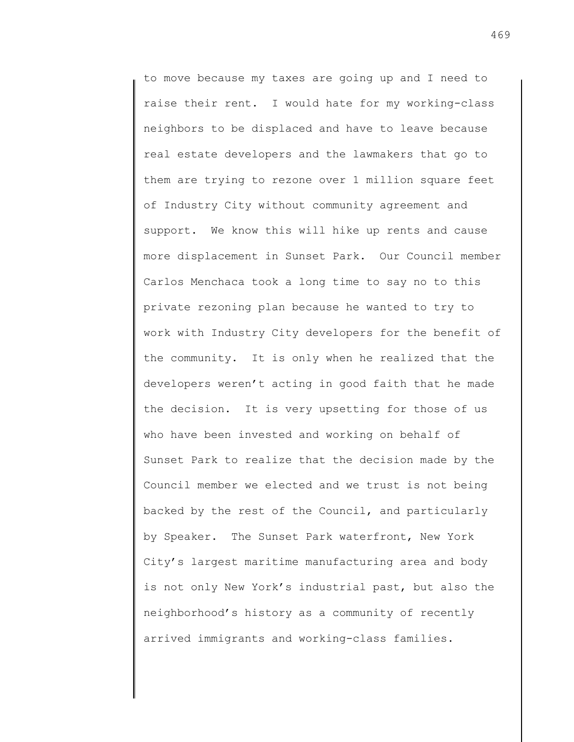to move because my taxes are going up and I need to raise their rent. I would hate for my working-class neighbors to be displaced and have to leave because real estate developers and the lawmakers that go to them are trying to rezone over 1 million square feet of Industry City without community agreement and support. We know this will hike up rents and cause more displacement in Sunset Park. Our Council member Carlos Menchaca took a long time to say no to this private rezoning plan because he wanted to try to work with Industry City developers for the benefit of the community. It is only when he realized that the developers weren't acting in good faith that he made the decision. It is very upsetting for those of us who have been invested and working on behalf of Sunset Park to realize that the decision made by the Council member we elected and we trust is not being backed by the rest of the Council, and particularly by Speaker. The Sunset Park waterfront, New York City's largest maritime manufacturing area and body is not only New York's industrial past, but also the neighborhood's history as a community of recently arrived immigrants and working-class families.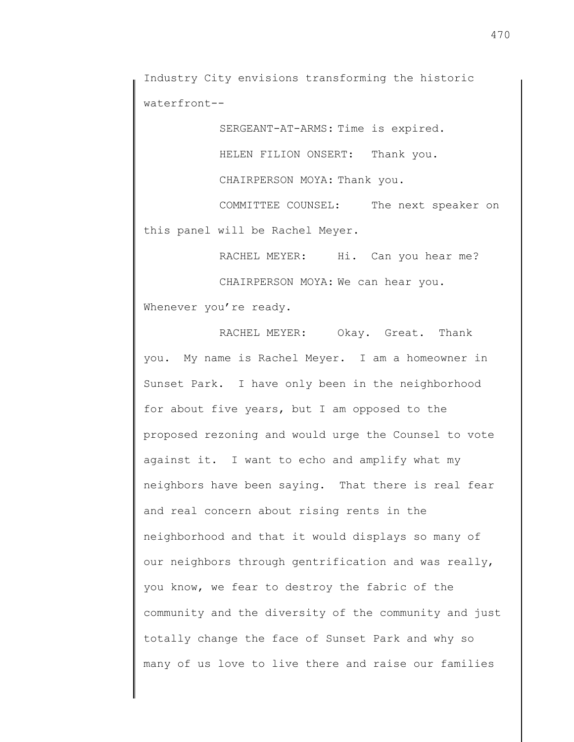Industry City envisions transforming the historic waterfront--

SERGEANT-AT-ARMS: Time is expired.

HELEN FILION ONSERT: Thank you.

CHAIRPERSON MOYA: Thank you.

COMMITTEE COUNSEL: The next speaker on this panel will be Rachel Meyer.

RACHEL MEYER: Hi. Can you hear me?

CHAIRPERSON MOYA: We can hear you.

Whenever you're ready.

RACHEL MEYER: Okay. Great. Thank you. My name is Rachel Meyer. I am a homeowner in Sunset Park. I have only been in the neighborhood for about five years, but I am opposed to the proposed rezoning and would urge the Counsel to vote against it. I want to echo and amplify what my neighbors have been saying. That there is real fear and real concern about rising rents in the neighborhood and that it would displays so many of our neighbors through gentrification and was really, you know, we fear to destroy the fabric of the community and the diversity of the community and just totally change the face of Sunset Park and why so many of us love to live there and raise our families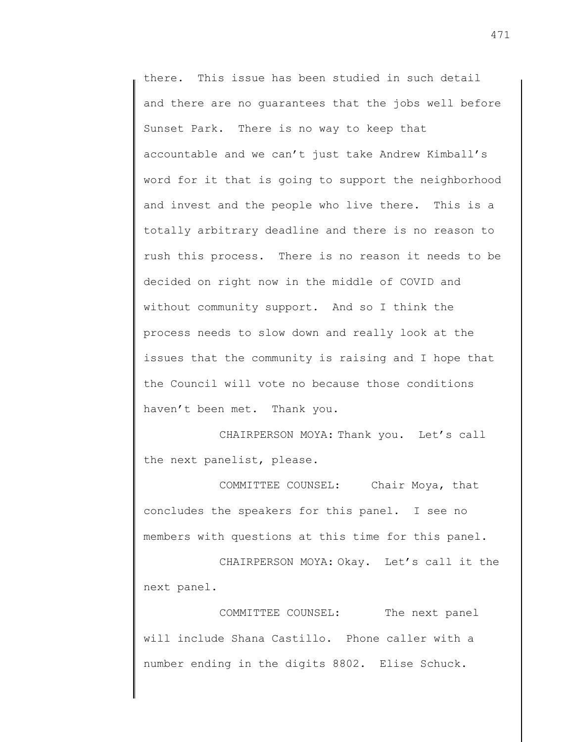there. This issue has been studied in such detail and there are no guarantees that the jobs well before Sunset Park. There is no way to keep that accountable and we can't just take Andrew Kimball's word for it that is going to support the neighborhood and invest and the people who live there. This is a totally arbitrary deadline and there is no reason to rush this process. There is no reason it needs to be decided on right now in the middle of COVID and without community support. And so I think the process needs to slow down and really look at the issues that the community is raising and I hope that the Council will vote no because those conditions haven't been met. Thank you.

CHAIRPERSON MOYA: Thank you. Let's call the next panelist, please.

COMMITTEE COUNSEL: Chair Moya, that concludes the speakers for this panel. I see no members with questions at this time for this panel.

CHAIRPERSON MOYA: Okay. Let's call it the next panel.

COMMITTEE COUNSEL: The next panel will include Shana Castillo. Phone caller with a number ending in the digits 8802. Elise Schuck.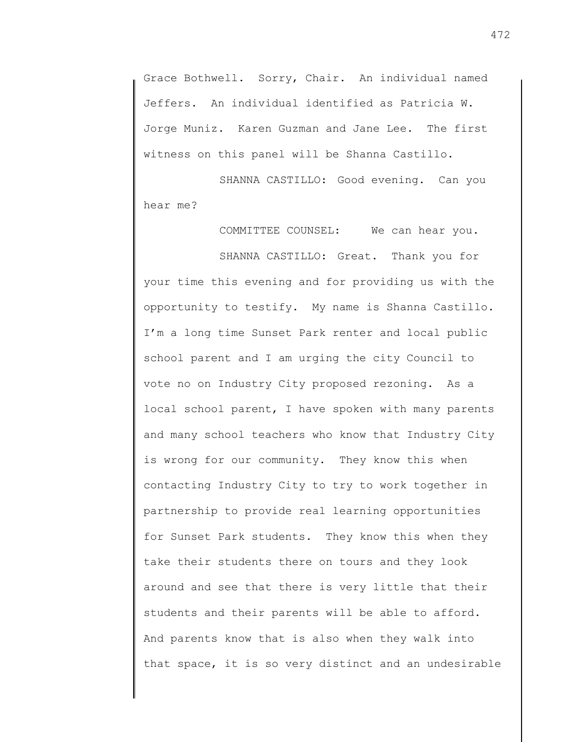Grace Bothwell. Sorry, Chair. An individual named Jeffers. An individual identified as Patricia W. Jorge Muniz. Karen Guzman and Jane Lee. The first witness on this panel will be Shanna Castillo.

SHANNA CASTILLO: Good evening. Can you hear me?

COMMITTEE COUNSEL: We can hear you. SHANNA CASTILLO: Great. Thank you for your time this evening and for providing us with the opportunity to testify. My name is Shanna Castillo. I'm a long time Sunset Park renter and local public school parent and I am urging the city Council to vote no on Industry City proposed rezoning. As a local school parent, I have spoken with many parents and many school teachers who know that Industry City is wrong for our community. They know this when contacting Industry City to try to work together in partnership to provide real learning opportunities for Sunset Park students. They know this when they take their students there on tours and they look around and see that there is very little that their students and their parents will be able to afford. And parents know that is also when they walk into that space, it is so very distinct and an undesirable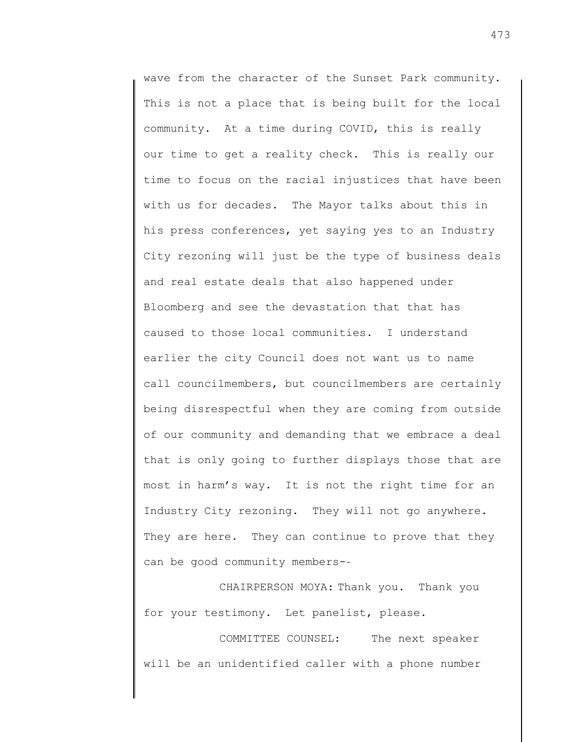wave from the character of the Sunset Park community. This is not a place that is being built for the local community. At a time during COVID, this is really our time to get a reality check. This is really our time to focus on the racial injustices that have been with us for decades. The Mayor talks about this in his press conferences, yet saying yes to an Industry City rezoning will just be the type of business deals and real estate deals that also happened under Bloomberg and see the devastation that that has caused to those local communities. I understand earlier the city Council does not want us to name call councilmembers, but councilmembers are certainly being disrespectful when they are coming from outside of our community and demanding that we embrace a deal that is only going to further displays those that are most in harm's way. It is not the right time for an Industry City rezoning. They will not go anywhere. They are here. They can continue to prove that they can be good community members--

CHAIRPERSON MOYA: Thank you. Thank you for your testimony. Let panelist, please.

COMMITTEE COUNSEL: The next speaker will be an unidentified caller with a phone number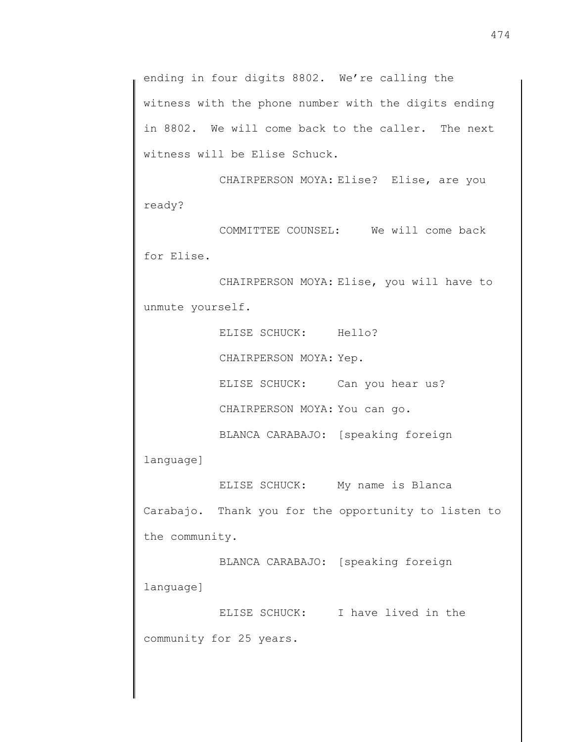ending in four digits 8802. We're calling the witness with the phone number with the digits ending in 8802. We will come back to the caller. The next witness will be Elise Schuck.

CHAIRPERSON MOYA: Elise? Elise, are you ready?

COMMITTEE COUNSEL: We will come back for Elise.

CHAIRPERSON MOYA: Elise, you will have to unmute yourself.

> ELISE SCHUCK: Hello? CHAIRPERSON MOYA: Yep.

ELISE SCHUCK: Can you hear us?

CHAIRPERSON MOYA: You can go.

BLANCA CARABAJO: [speaking foreign

language]

ELISE SCHUCK: My name is Blanca Carabajo. Thank you for the opportunity to listen to the community.

BLANCA CARABAJO: [speaking foreign language]

ELISE SCHUCK: I have lived in the community for 25 years.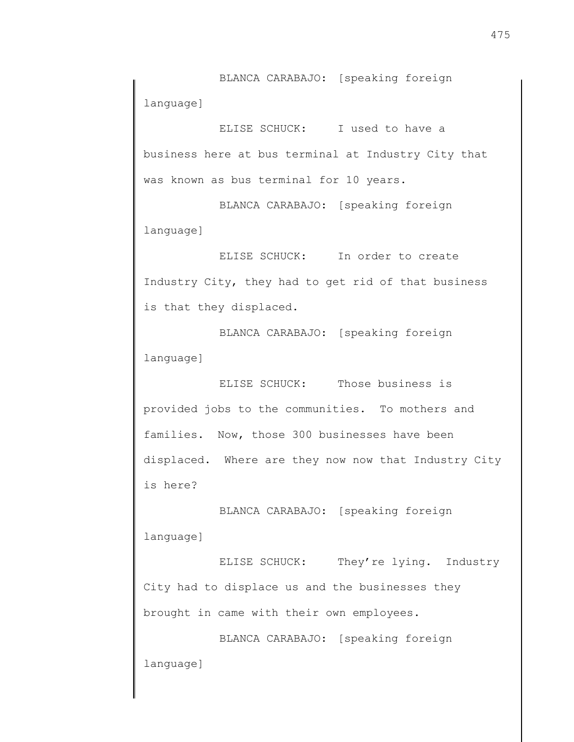BLANCA CARABAJO: [speaking foreign language]

ELISE SCHUCK: I used to have a business here at bus terminal at Industry City that was known as bus terminal for 10 years.

BLANCA CARABAJO: [speaking foreign language]

ELISE SCHUCK: In order to create Industry City, they had to get rid of that business is that they displaced.

BLANCA CARABAJO: [speaking foreign language]

ELISE SCHUCK: Those business is provided jobs to the communities. To mothers and families. Now, those 300 businesses have been displaced. Where are they now now that Industry City is here?

BLANCA CARABAJO: [speaking foreign language]

ELISE SCHUCK: They're lying. Industry City had to displace us and the businesses they brought in came with their own employees.

BLANCA CARABAJO: [speaking foreign language]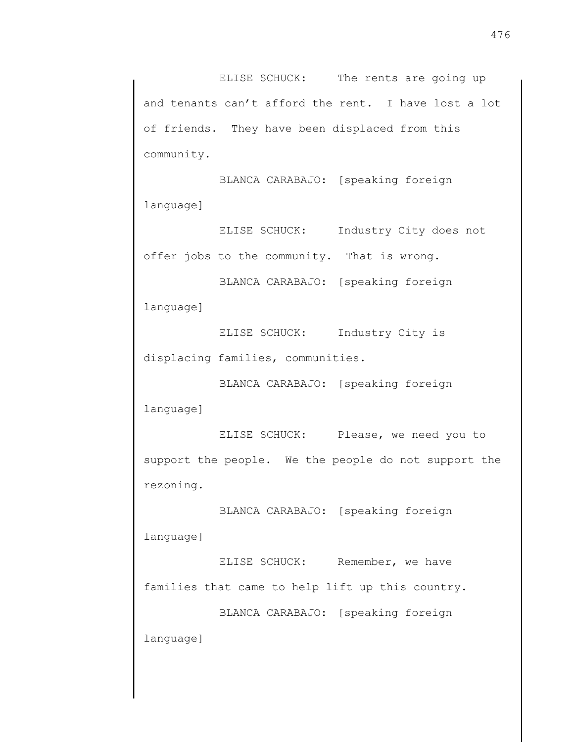ELISE SCHUCK: The rents are going up and tenants can't afford the rent. I have lost a lot of friends. They have been displaced from this community.

BLANCA CARABAJO: [speaking foreign language]

ELISE SCHUCK: Industry City does not offer jobs to the community. That is wrong.

BLANCA CARABAJO: [speaking foreign language]

ELISE SCHUCK: Industry City is displacing families, communities.

BLANCA CARABAJO: [speaking foreign language]

ELISE SCHUCK: Please, we need you to support the people. We the people do not support the rezoning.

BLANCA CARABAJO: [speaking foreign language]

ELISE SCHUCK: Remember, we have families that came to help lift up this country.

BLANCA CARABAJO: [speaking foreign language]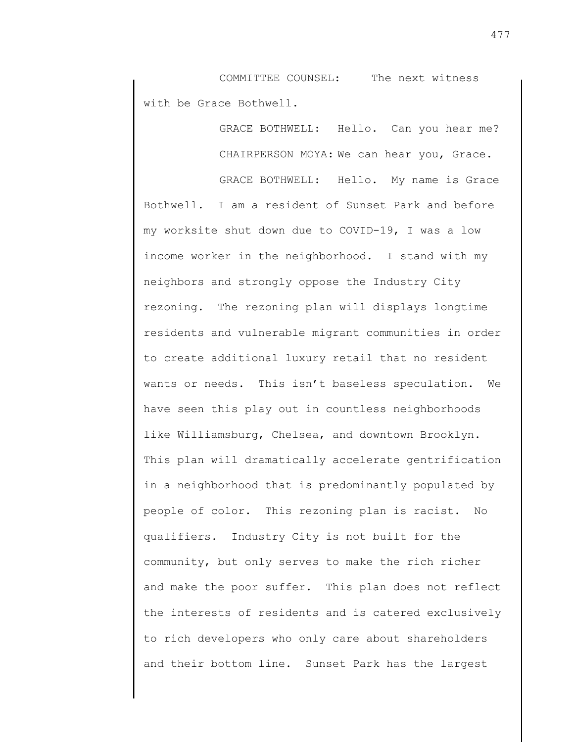COMMITTEE COUNSEL: The next witness with be Grace Bothwell.

> GRACE BOTHWELL: Hello. Can you hear me? CHAIRPERSON MOYA: We can hear you, Grace.

GRACE BOTHWELL: Hello. My name is Grace Bothwell. I am a resident of Sunset Park and before my worksite shut down due to COVID-19, I was a low income worker in the neighborhood. I stand with my neighbors and strongly oppose the Industry City rezoning. The rezoning plan will displays longtime residents and vulnerable migrant communities in order to create additional luxury retail that no resident wants or needs. This isn't baseless speculation. We have seen this play out in countless neighborhoods like Williamsburg, Chelsea, and downtown Brooklyn. This plan will dramatically accelerate gentrification in a neighborhood that is predominantly populated by people of color. This rezoning plan is racist. No qualifiers. Industry City is not built for the community, but only serves to make the rich richer and make the poor suffer. This plan does not reflect the interests of residents and is catered exclusively to rich developers who only care about shareholders and their bottom line. Sunset Park has the largest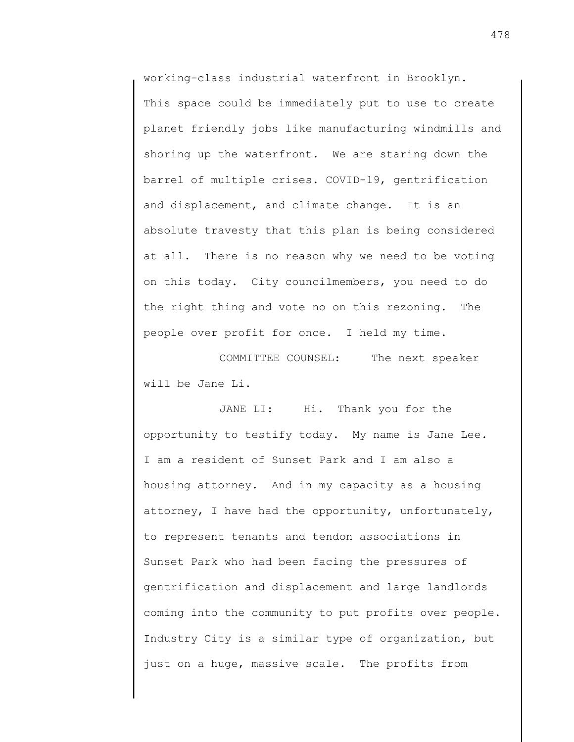working-class industrial waterfront in Brooklyn. This space could be immediately put to use to create planet friendly jobs like manufacturing windmills and shoring up the waterfront. We are staring down the barrel of multiple crises. COVID-19, gentrification and displacement, and climate change. It is an absolute travesty that this plan is being considered at all. There is no reason why we need to be voting on this today. City councilmembers, you need to do the right thing and vote no on this rezoning. The people over profit for once. I held my time.

COMMITTEE COUNSEL: The next speaker will be Jane Li.

JANE LI: Hi. Thank you for the opportunity to testify today. My name is Jane Lee. I am a resident of Sunset Park and I am also a housing attorney. And in my capacity as a housing attorney, I have had the opportunity, unfortunately, to represent tenants and tendon associations in Sunset Park who had been facing the pressures of gentrification and displacement and large landlords coming into the community to put profits over people. Industry City is a similar type of organization, but just on a huge, massive scale. The profits from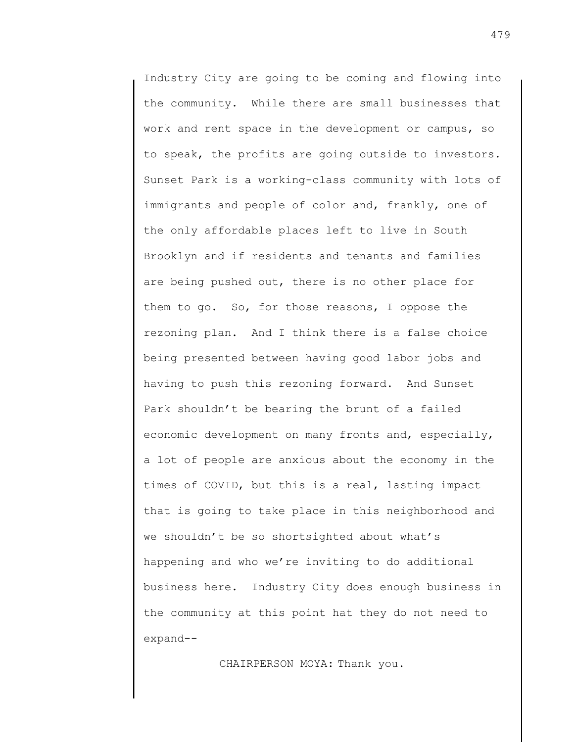Industry City are going to be coming and flowing into the community. While there are small businesses that work and rent space in the development or campus, so to speak, the profits are going outside to investors. Sunset Park is a working-class community with lots of immigrants and people of color and, frankly, one of the only affordable places left to live in South Brooklyn and if residents and tenants and families are being pushed out, there is no other place for them to go. So, for those reasons, I oppose the rezoning plan. And I think there is a false choice being presented between having good labor jobs and having to push this rezoning forward. And Sunset Park shouldn't be bearing the brunt of a failed economic development on many fronts and, especially, a lot of people are anxious about the economy in the times of COVID, but this is a real, lasting impact that is going to take place in this neighborhood and we shouldn't be so shortsighted about what's happening and who we're inviting to do additional business here. Industry City does enough business in the community at this point hat they do not need to expand--

CHAIRPERSON MOYA: Thank you.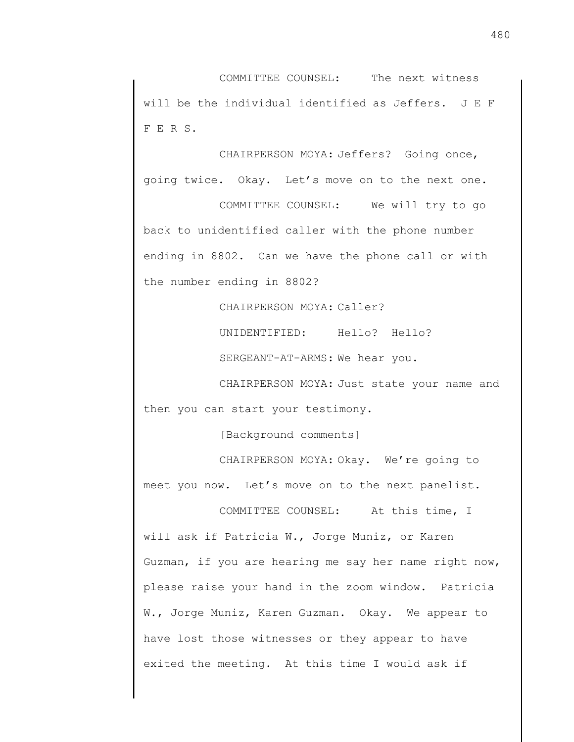COMMITTEE COUNSEL: The next witness will be the individual identified as Jeffers. J E F F E R S.

CHAIRPERSON MOYA: Jeffers? Going once, going twice. Okay. Let's move on to the next one.

COMMITTEE COUNSEL: We will try to go back to unidentified caller with the phone number ending in 8802. Can we have the phone call or with the number ending in 8802?

CHAIRPERSON MOYA: Caller?

UNIDENTIFIED: Hello? Hello?

SERGEANT-AT-ARMS: We hear you.

CHAIRPERSON MOYA: Just state your name and then you can start your testimony.

[Background comments]

CHAIRPERSON MOYA: Okay. We're going to meet you now. Let's move on to the next panelist.

COMMITTEE COUNSEL: At this time, I will ask if Patricia W., Jorge Muniz, or Karen Guzman, if you are hearing me say her name right now, please raise your hand in the zoom window. Patricia W., Jorge Muniz, Karen Guzman. Okay. We appear to have lost those witnesses or they appear to have exited the meeting. At this time I would ask if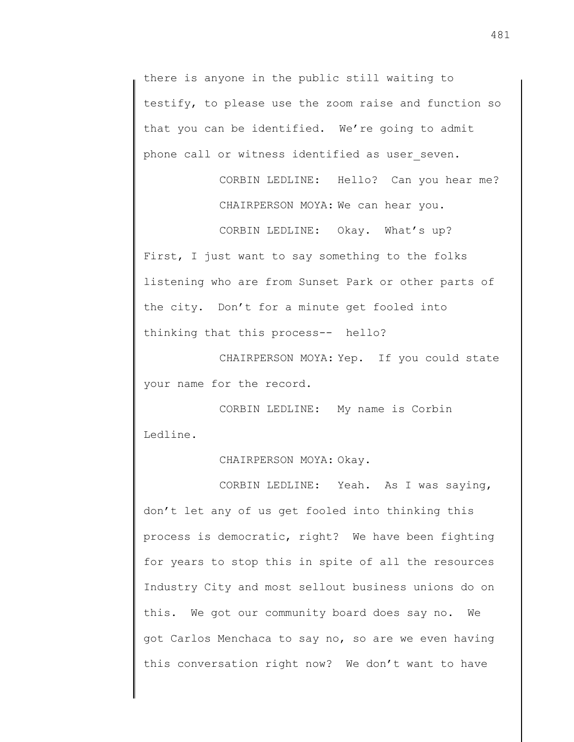there is anyone in the public still waiting to testify, to please use the zoom raise and function so that you can be identified. We're going to admit phone call or witness identified as user seven.

> CORBIN LEDLINE: Hello? Can you hear me? CHAIRPERSON MOYA: We can hear you.

CORBIN LEDLINE: Okay. What's up? First, I just want to say something to the folks listening who are from Sunset Park or other parts of the city. Don't for a minute get fooled into thinking that this process-- hello?

CHAIRPERSON MOYA: Yep. If you could state your name for the record.

CORBIN LEDLINE: My name is Corbin Ledline.

CHAIRPERSON MOYA: Okay.

CORBIN LEDLINE: Yeah. As I was saying, don't let any of us get fooled into thinking this process is democratic, right? We have been fighting for years to stop this in spite of all the resources Industry City and most sellout business unions do on this. We got our community board does say no. We got Carlos Menchaca to say no, so are we even having this conversation right now? We don't want to have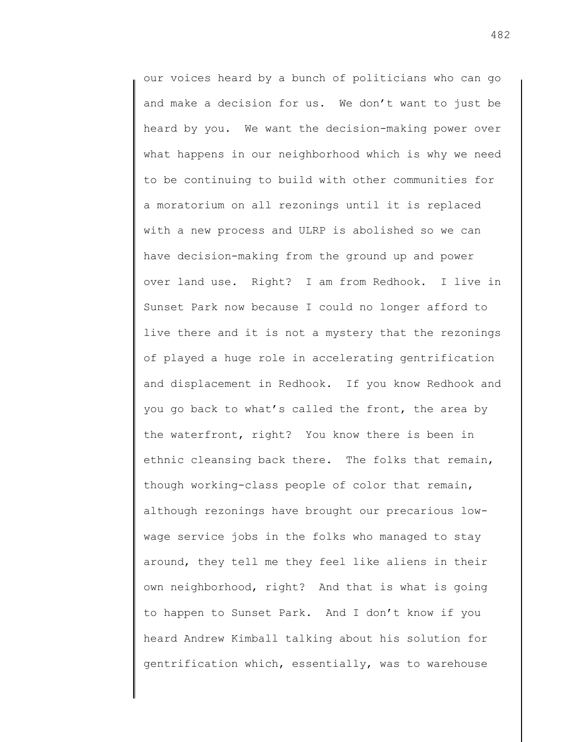our voices heard by a bunch of politicians who can go and make a decision for us. We don't want to just be heard by you. We want the decision-making power over what happens in our neighborhood which is why we need to be continuing to build with other communities for a moratorium on all rezonings until it is replaced with a new process and ULRP is abolished so we can have decision-making from the ground up and power over land use. Right? I am from Redhook. I live in Sunset Park now because I could no longer afford to live there and it is not a mystery that the rezonings of played a huge role in accelerating gentrification and displacement in Redhook. If you know Redhook and you go back to what's called the front, the area by the waterfront, right? You know there is been in ethnic cleansing back there. The folks that remain, though working-class people of color that remain, although rezonings have brought our precarious lowwage service jobs in the folks who managed to stay around, they tell me they feel like aliens in their own neighborhood, right? And that is what is going to happen to Sunset Park. And I don't know if you heard Andrew Kimball talking about his solution for gentrification which, essentially, was to warehouse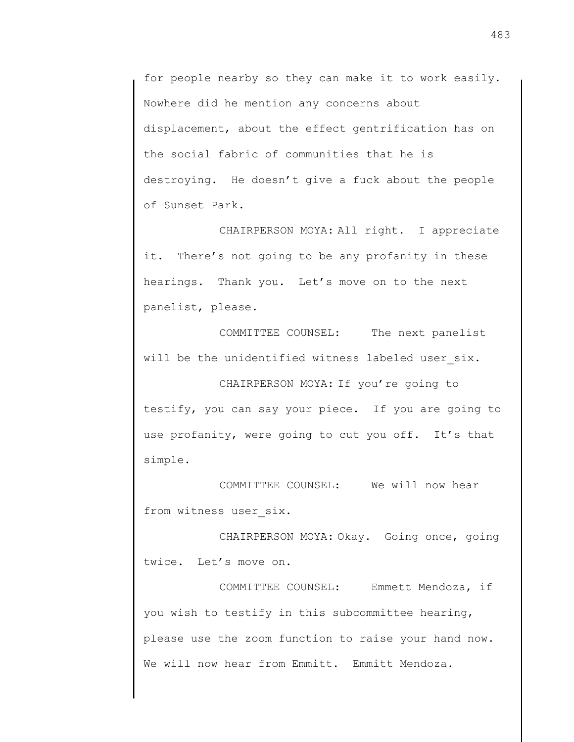for people nearby so they can make it to work easily. Nowhere did he mention any concerns about displacement, about the effect gentrification has on the social fabric of communities that he is destroying. He doesn't give a fuck about the people of Sunset Park.

CHAIRPERSON MOYA: All right. I appreciate it. There's not going to be any profanity in these hearings. Thank you. Let's move on to the next panelist, please.

COMMITTEE COUNSEL: The next panelist will be the unidentified witness labeled user six.

CHAIRPERSON MOYA: If you're going to testify, you can say your piece. If you are going to use profanity, were going to cut you off. It's that simple.

COMMITTEE COUNSEL: We will now hear from witness user six.

CHAIRPERSON MOYA: Okay. Going once, going twice. Let's move on.

COMMITTEE COUNSEL: Emmett Mendoza, if you wish to testify in this subcommittee hearing, please use the zoom function to raise your hand now. We will now hear from Emmitt. Emmitt Mendoza.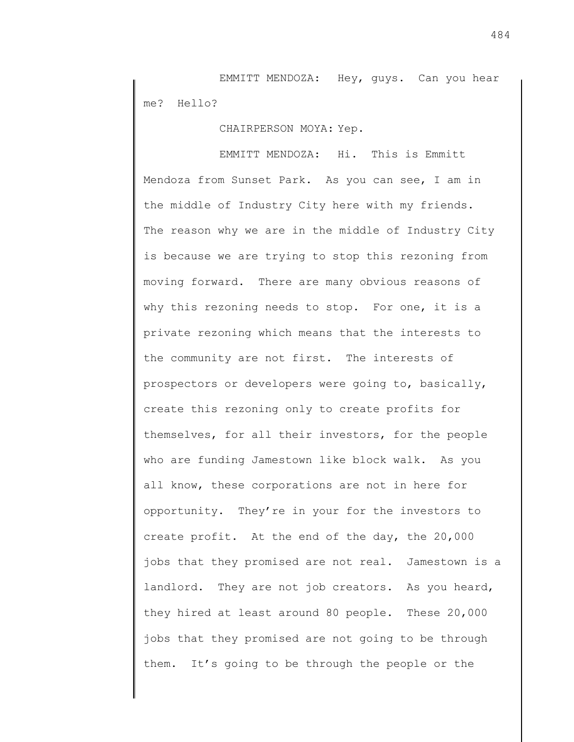EMMITT MENDOZA: Hey, guys. Can you hear me? Hello?

CHAIRPERSON MOYA: Yep.

EMMITT MENDOZA: Hi. This is Emmitt Mendoza from Sunset Park. As you can see, I am in the middle of Industry City here with my friends. The reason why we are in the middle of Industry City is because we are trying to stop this rezoning from moving forward. There are many obvious reasons of why this rezoning needs to stop. For one, it is a private rezoning which means that the interests to the community are not first. The interests of prospectors or developers were going to, basically, create this rezoning only to create profits for themselves, for all their investors, for the people who are funding Jamestown like block walk. As you all know, these corporations are not in here for opportunity. They're in your for the investors to create profit. At the end of the day, the 20,000 jobs that they promised are not real. Jamestown is a landlord. They are not job creators. As you heard, they hired at least around 80 people. These 20,000 jobs that they promised are not going to be through them. It's going to be through the people or the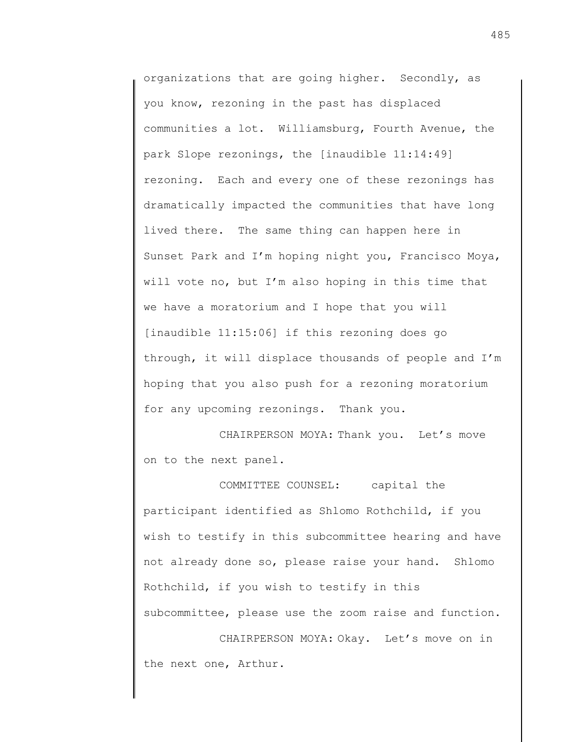organizations that are going higher. Secondly, as you know, rezoning in the past has displaced communities a lot. Williamsburg, Fourth Avenue, the park Slope rezonings, the [inaudible 11:14:49] rezoning. Each and every one of these rezonings has dramatically impacted the communities that have long lived there. The same thing can happen here in Sunset Park and I'm hoping night you, Francisco Moya, will vote no, but I'm also hoping in this time that we have a moratorium and I hope that you will [inaudible 11:15:06] if this rezoning does go through, it will displace thousands of people and I'm hoping that you also push for a rezoning moratorium for any upcoming rezonings. Thank you.

CHAIRPERSON MOYA: Thank you. Let's move on to the next panel.

COMMITTEE COUNSEL: capital the participant identified as Shlomo Rothchild, if you wish to testify in this subcommittee hearing and have not already done so, please raise your hand. Shlomo Rothchild, if you wish to testify in this subcommittee, please use the zoom raise and function.

CHAIRPERSON MOYA: Okay. Let's move on in the next one, Arthur.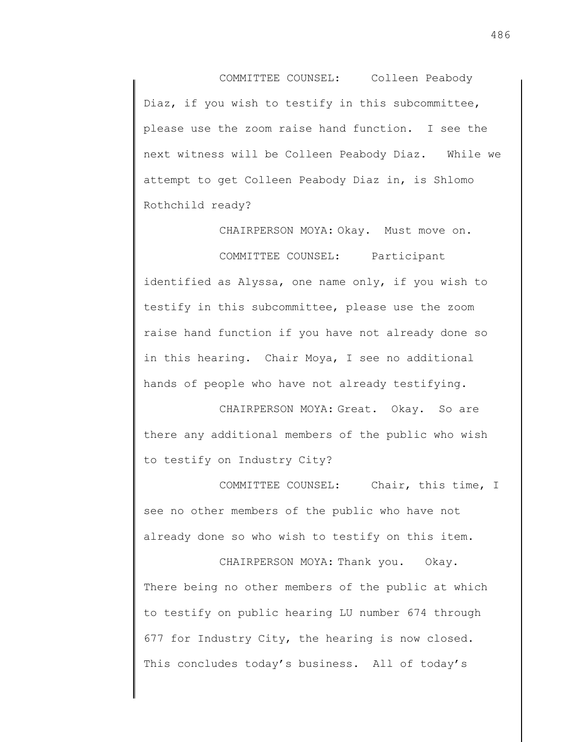COMMITTEE COUNSEL: Colleen Peabody Diaz, if you wish to testify in this subcommittee, please use the zoom raise hand function. I see the next witness will be Colleen Peabody Diaz. While we attempt to get Colleen Peabody Diaz in, is Shlomo Rothchild ready?

CHAIRPERSON MOYA: Okay. Must move on. COMMITTEE COUNSEL: Participant identified as Alyssa, one name only, if you wish to testify in this subcommittee, please use the zoom raise hand function if you have not already done so in this hearing. Chair Moya, I see no additional hands of people who have not already testifying.

CHAIRPERSON MOYA: Great. Okay. So are there any additional members of the public who wish to testify on Industry City?

COMMITTEE COUNSEL: Chair, this time, I see no other members of the public who have not already done so who wish to testify on this item.

CHAIRPERSON MOYA: Thank you. Okay. There being no other members of the public at which to testify on public hearing LU number 674 through 677 for Industry City, the hearing is now closed. This concludes today's business. All of today's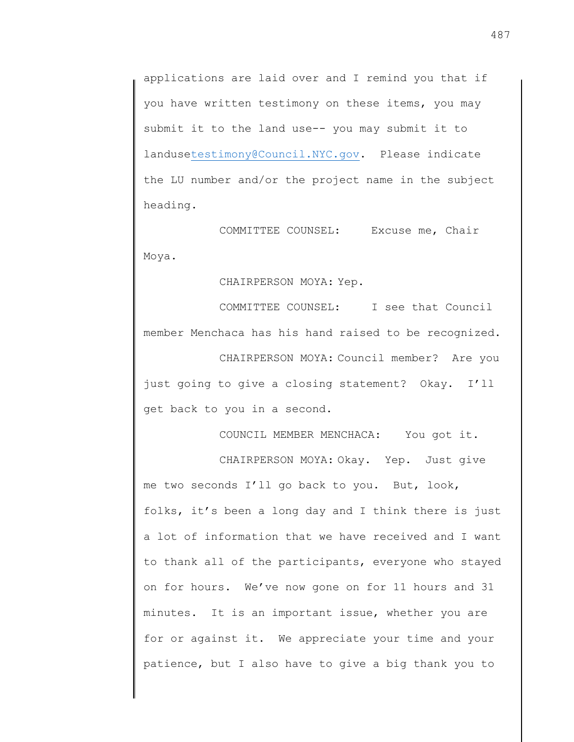applications are laid over and I remind you that if you have written testimony on these items, you may submit it to the land use-- you may submit it to landus[etestimony@Council.NYC.gov.](mailto:testimony@Council.NYC.gov) Please indicate the LU number and/or the project name in the subject heading.

COMMITTEE COUNSEL: Excuse me, Chair Moya.

CHAIRPERSON MOYA: Yep.

COMMITTEE COUNSEL: I see that Council member Menchaca has his hand raised to be recognized.

CHAIRPERSON MOYA: Council member? Are you just going to give a closing statement? Okay. I'll get back to you in a second.

COUNCIL MEMBER MENCHACA: You got it.

CHAIRPERSON MOYA: Okay. Yep. Just give

me two seconds I'll go back to you. But, look, folks, it's been a long day and I think there is just a lot of information that we have received and I want to thank all of the participants, everyone who stayed on for hours. We've now gone on for 11 hours and 31 minutes. It is an important issue, whether you are for or against it. We appreciate your time and your patience, but I also have to give a big thank you to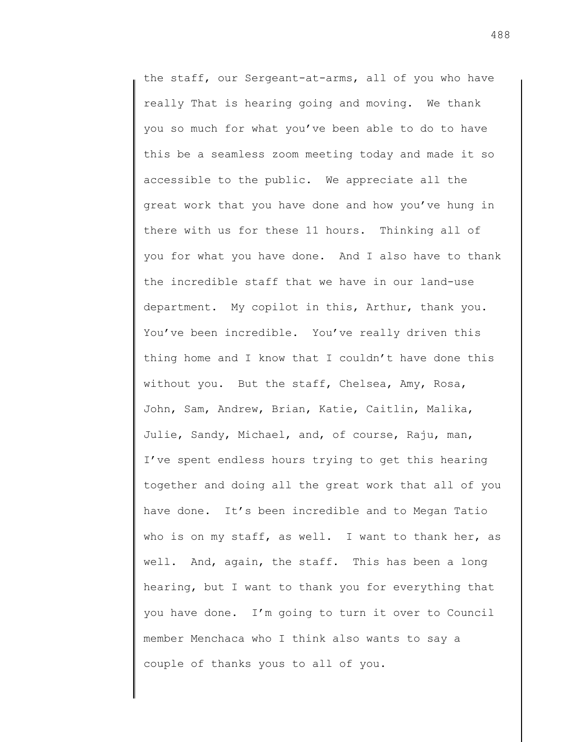the staff, our Sergeant-at-arms, all of you who have really That is hearing going and moving. We thank you so much for what you've been able to do to have this be a seamless zoom meeting today and made it so accessible to the public. We appreciate all the great work that you have done and how you've hung in there with us for these 11 hours. Thinking all of you for what you have done. And I also have to thank the incredible staff that we have in our land-use department. My copilot in this, Arthur, thank you. You've been incredible. You've really driven this thing home and I know that I couldn't have done this without you. But the staff, Chelsea, Amy, Rosa, John, Sam, Andrew, Brian, Katie, Caitlin, Malika, Julie, Sandy, Michael, and, of course, Raju, man, I've spent endless hours trying to get this hearing together and doing all the great work that all of you have done. It's been incredible and to Megan Tatio who is on my staff, as well. I want to thank her, as well. And, again, the staff. This has been a long hearing, but I want to thank you for everything that you have done. I'm going to turn it over to Council member Menchaca who I think also wants to say a couple of thanks yous to all of you.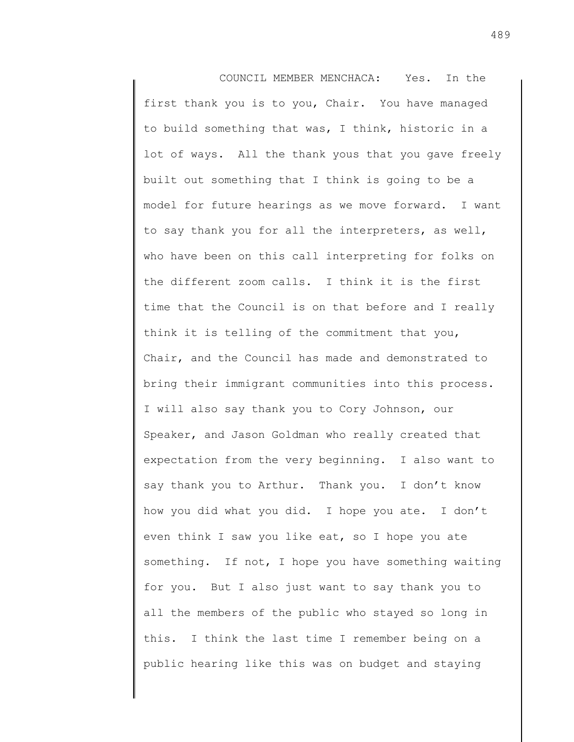COUNCIL MEMBER MENCHACA: Yes. In the first thank you is to you, Chair. You have managed to build something that was, I think, historic in a lot of ways. All the thank yous that you gave freely built out something that I think is going to be a model for future hearings as we move forward. I want to say thank you for all the interpreters, as well, who have been on this call interpreting for folks on the different zoom calls. I think it is the first time that the Council is on that before and I really think it is telling of the commitment that you, Chair, and the Council has made and demonstrated to bring their immigrant communities into this process. I will also say thank you to Cory Johnson, our Speaker, and Jason Goldman who really created that expectation from the very beginning. I also want to say thank you to Arthur. Thank you. I don't know how you did what you did. I hope you ate. I don't even think I saw you like eat, so I hope you ate something. If not, I hope you have something waiting for you. But I also just want to say thank you to all the members of the public who stayed so long in this. I think the last time I remember being on a public hearing like this was on budget and staying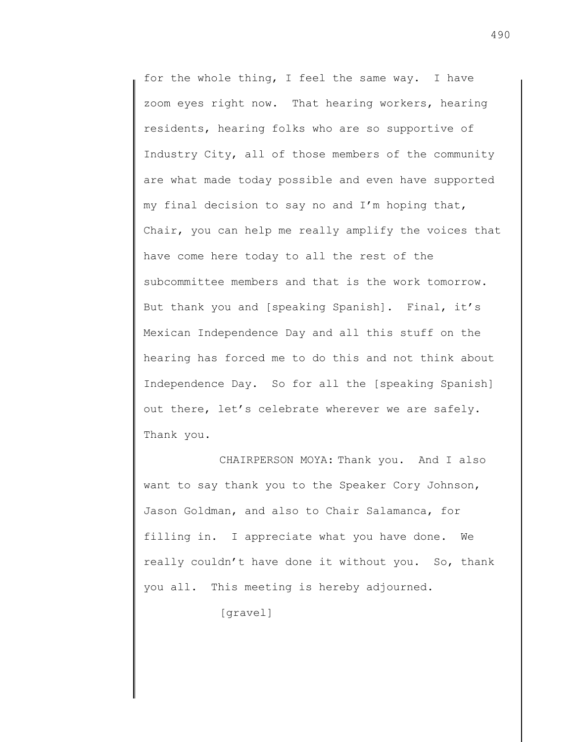for the whole thing, I feel the same way. I have zoom eyes right now. That hearing workers, hearing residents, hearing folks who are so supportive of Industry City, all of those members of the community are what made today possible and even have supported my final decision to say no and I'm hoping that, Chair, you can help me really amplify the voices that have come here today to all the rest of the subcommittee members and that is the work tomorrow. But thank you and [speaking Spanish]. Final, it's Mexican Independence Day and all this stuff on the hearing has forced me to do this and not think about Independence Day. So for all the [speaking Spanish] out there, let's celebrate wherever we are safely. Thank you.

CHAIRPERSON MOYA: Thank you. And I also want to say thank you to the Speaker Cory Johnson, Jason Goldman, and also to Chair Salamanca, for filling in. I appreciate what you have done. We really couldn't have done it without you. So, thank you all. This meeting is hereby adjourned.

[gravel]